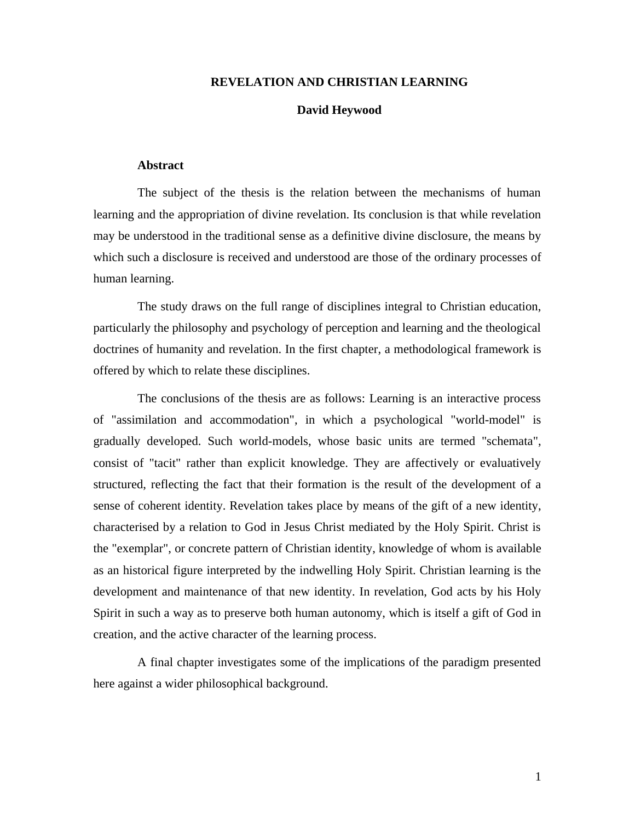#### **REVELATION AND CHRISTIAN LEARNING**

#### **David Heywood**

### **Abstract**

The subject of the thesis is the relation between the mechanisms of human learning and the appropriation of divine revelation. Its conclusion is that while revelation may be understood in the traditional sense as a definitive divine disclosure, the means by which such a disclosure is received and understood are those of the ordinary processes of human learning.

The study draws on the full range of disciplines integral to Christian education, particularly the philosophy and psychology of perception and learning and the theological doctrines of humanity and revelation. In the first chapter, a methodological framework is offered by which to relate these disciplines.

The conclusions of the thesis are as follows: Learning is an interactive process of "assimilation and accommodation", in which a psychological "world-model" is gradually developed. Such world-models, whose basic units are termed "schemata", consist of "tacit" rather than explicit knowledge. They are affectively or evaluatively structured, reflecting the fact that their formation is the result of the development of a sense of coherent identity. Revelation takes place by means of the gift of a new identity, characterised by a relation to God in Jesus Christ mediated by the Holy Spirit. Christ is the "exemplar", or concrete pattern of Christian identity, knowledge of whom is available as an historical figure interpreted by the indwelling Holy Spirit. Christian learning is the development and maintenance of that new identity. In revelation, God acts by his Holy Spirit in such a way as to preserve both human autonomy, which is itself a gift of God in creation, and the active character of the learning process.

A final chapter investigates some of the implications of the paradigm presented here against a wider philosophical background.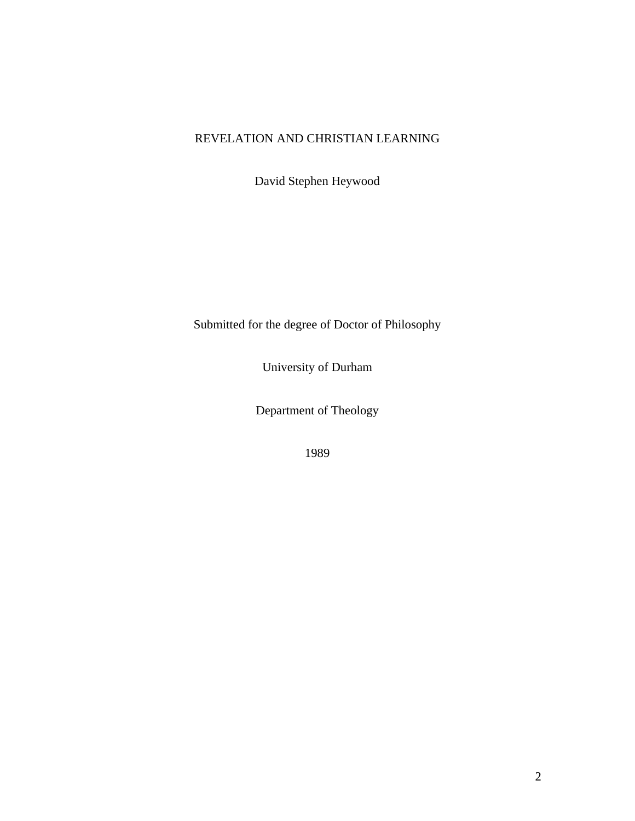## REVELATION AND CHRISTIAN LEARNING

David Stephen Heywood

Submitted for the degree of Doctor of Philosophy

University of Durham

Department of Theology

1989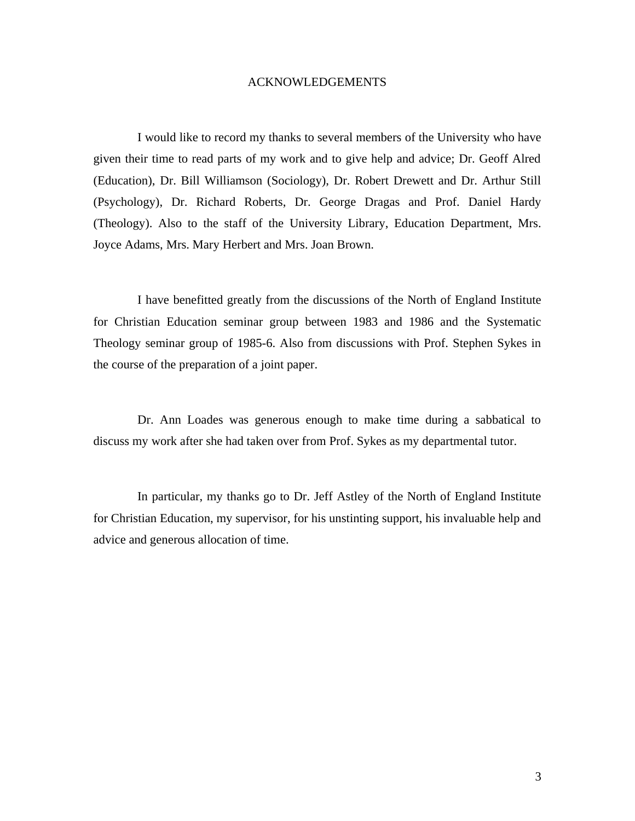#### ACKNOWLEDGEMENTS

I would like to record my thanks to several members of the University who have given their time to read parts of my work and to give help and advice; Dr. Geoff Alred (Education), Dr. Bill Williamson (Sociology), Dr. Robert Drewett and Dr. Arthur Still (Psychology), Dr. Richard Roberts, Dr. George Dragas and Prof. Daniel Hardy (Theology). Also to the staff of the University Library, Education Department, Mrs. Joyce Adams, Mrs. Mary Herbert and Mrs. Joan Brown.

I have benefitted greatly from the discussions of the North of England Institute for Christian Education seminar group between 1983 and 1986 and the Systematic Theology seminar group of 1985-6. Also from discussions with Prof. Stephen Sykes in the course of the preparation of a joint paper.

Dr. Ann Loades was generous enough to make time during a sabbatical to discuss my work after she had taken over from Prof. Sykes as my departmental tutor.

In particular, my thanks go to Dr. Jeff Astley of the North of England Institute for Christian Education, my supervisor, for his unstinting support, his invaluable help and advice and generous allocation of time.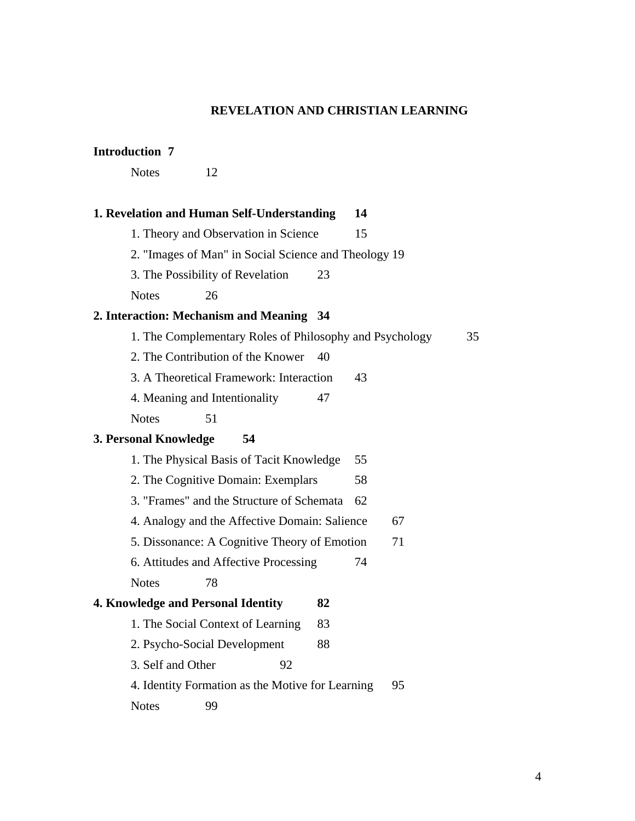# **REVELATION AND CHRISTIAN LEARNING**

## **Introduction 7**

Notes 12

| 1. Revelation and Human Self-Understanding |                                                                                |                                                      |    |    |    |  |  |  |  |
|--------------------------------------------|--------------------------------------------------------------------------------|------------------------------------------------------|----|----|----|--|--|--|--|
|                                            | 1. Theory and Observation in Science                                           |                                                      |    |    |    |  |  |  |  |
|                                            |                                                                                | 2. "Images of Man" in Social Science and Theology 19 |    |    |    |  |  |  |  |
|                                            | 3. The Possibility of Revelation<br>23                                         |                                                      |    |    |    |  |  |  |  |
|                                            | <b>Notes</b>                                                                   | 26                                                   |    |    |    |  |  |  |  |
|                                            |                                                                                | 2. Interaction: Mechanism and Meaning 34             |    |    |    |  |  |  |  |
|                                            | 1. The Complementary Roles of Philosophy and Psychology                        |                                                      |    |    |    |  |  |  |  |
|                                            |                                                                                | 2. The Contribution of the Knower                    |    | 40 |    |  |  |  |  |
|                                            |                                                                                | 3. A Theoretical Framework: Interaction              |    | 43 |    |  |  |  |  |
|                                            |                                                                                | 4. Meaning and Intentionality                        |    | 47 |    |  |  |  |  |
|                                            | <b>Notes</b>                                                                   | 51                                                   |    |    |    |  |  |  |  |
|                                            | 3. Personal Knowledge                                                          | 54                                                   |    |    |    |  |  |  |  |
|                                            | 1. The Physical Basis of Tacit Knowledge<br>2. The Cognitive Domain: Exemplars |                                                      |    |    |    |  |  |  |  |
|                                            |                                                                                |                                                      |    |    |    |  |  |  |  |
|                                            |                                                                                | 3. "Frames" and the Structure of Schemata            | 62 |    |    |  |  |  |  |
|                                            | 4. Analogy and the Affective Domain: Salience                                  |                                                      | 67 |    |    |  |  |  |  |
|                                            |                                                                                | 5. Dissonance: A Cognitive Theory of Emotion         |    |    | 71 |  |  |  |  |
|                                            |                                                                                | 6. Attitudes and Affective Processing                |    |    | 74 |  |  |  |  |
|                                            | <b>Notes</b>                                                                   | 78                                                   |    |    |    |  |  |  |  |
| 4. Knowledge and Personal Identity<br>82   |                                                                                |                                                      |    |    |    |  |  |  |  |
|                                            |                                                                                | 1. The Social Context of Learning                    |    | 83 |    |  |  |  |  |
|                                            |                                                                                | 2. Psycho-Social Development                         |    | 88 |    |  |  |  |  |
|                                            | 3. Self and Other                                                              |                                                      | 92 |    |    |  |  |  |  |
|                                            |                                                                                | 4. Identity Formation as the Motive for Learning     |    |    | 95 |  |  |  |  |
|                                            | <b>Notes</b>                                                                   | 99                                                   |    |    |    |  |  |  |  |
|                                            |                                                                                |                                                      |    |    |    |  |  |  |  |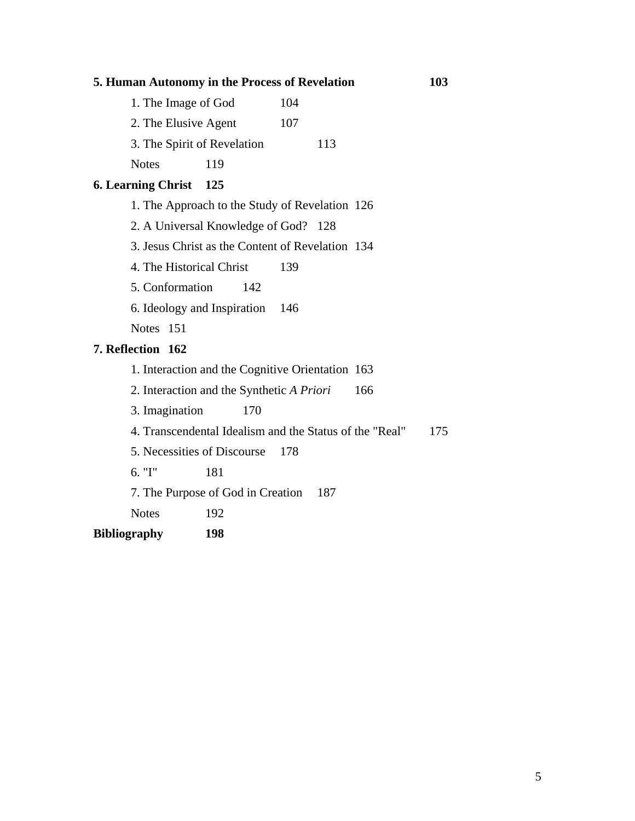|                     | 5. Human Autonomy in the Process of Revelation          |                                                  |     |  |     | 103 |  |  |  |
|---------------------|---------------------------------------------------------|--------------------------------------------------|-----|--|-----|-----|--|--|--|
|                     | 1. The Image of God                                     | 104                                              |     |  |     |     |  |  |  |
|                     | 2. The Elusive Agent                                    |                                                  | 107 |  |     |     |  |  |  |
|                     | 3. The Spirit of Revelation                             |                                                  | 113 |  |     |     |  |  |  |
|                     | <b>Notes</b>                                            | 119                                              |     |  |     |     |  |  |  |
|                     | <b>6. Learning Christ</b>                               | 125                                              |     |  |     |     |  |  |  |
|                     | 1. The Approach to the Study of Revelation 126          |                                                  |     |  |     |     |  |  |  |
|                     | 2. A Universal Knowledge of God? 128                    |                                                  |     |  |     |     |  |  |  |
|                     | 3. Jesus Christ as the Content of Revelation 134        |                                                  |     |  |     |     |  |  |  |
|                     | 4. The Historical Christ<br>139                         |                                                  |     |  |     |     |  |  |  |
|                     | 5. Conformation                                         | 142                                              |     |  |     |     |  |  |  |
|                     | 6. Ideology and Inspiration                             |                                                  | 146 |  |     |     |  |  |  |
|                     | Notes 151                                               |                                                  |     |  |     |     |  |  |  |
|                     | 7. Reflection 162                                       |                                                  |     |  |     |     |  |  |  |
|                     |                                                         | 1. Interaction and the Cognitive Orientation 163 |     |  |     |     |  |  |  |
|                     |                                                         | 2. Interaction and the Synthetic A Priori        |     |  | 166 |     |  |  |  |
|                     | 3. Imagination                                          | 170                                              |     |  |     |     |  |  |  |
|                     | 4. Transcendental Idealism and the Status of the "Real" |                                                  |     |  |     |     |  |  |  |
|                     | 5. Necessities of Discourse<br>178                      |                                                  |     |  |     |     |  |  |  |
|                     | 6. "I"                                                  | 181                                              |     |  |     |     |  |  |  |
|                     | 7. The Purpose of God in Creation<br>187                |                                                  |     |  |     |     |  |  |  |
|                     | <b>Notes</b>                                            | 192                                              |     |  |     |     |  |  |  |
| <b>Bibliography</b> |                                                         | 198                                              |     |  |     |     |  |  |  |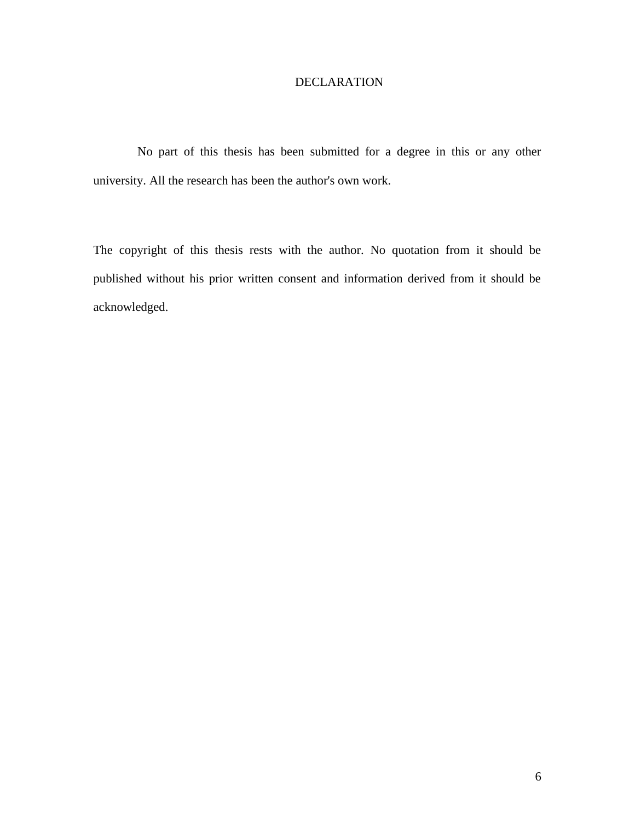## DECLARATION

No part of this thesis has been submitted for a degree in this or any other university. All the research has been the author's own work.

The copyright of this thesis rests with the author. No quotation from it should be published without his prior written consent and information derived from it should be acknowledged.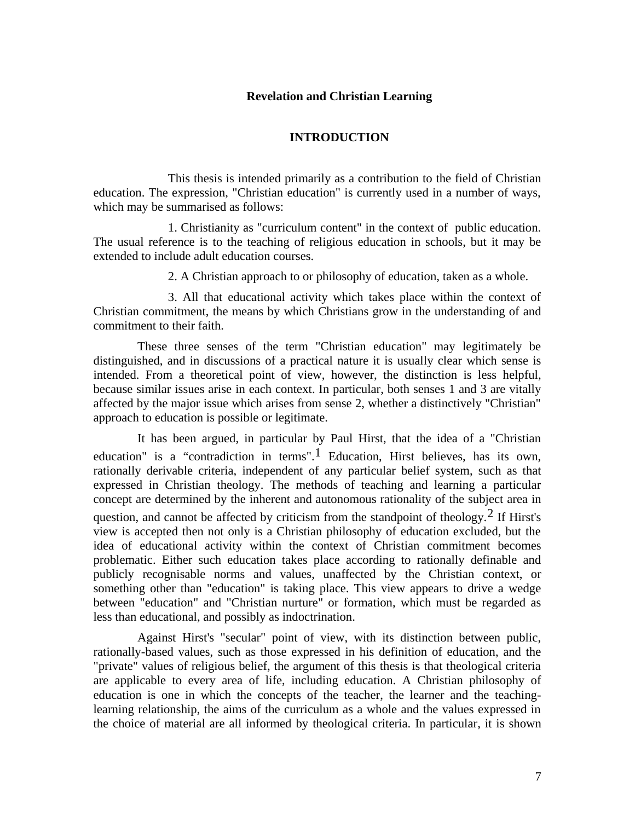### **Revelation and Christian Learning**

### **INTRODUCTION**

This thesis is intended primarily as a contribution to the field of Christian education. The expression, "Christian education" is currently used in a number of ways, which may be summarised as follows:

1. Christianity as "curriculum content" in the context of public education. The usual reference is to the teaching of religious education in schools, but it may be extended to include adult education courses.

2. A Christian approach to or philosophy of education, taken as a whole.

3. All that educational activity which takes place within the context of Christian commitment, the means by which Christians grow in the understanding of and commitment to their faith.

These three senses of the term "Christian education" may legitimately be distinguished, and in discussions of a practical nature it is usually clear which sense is intended. From a theoretical point of view, however, the distinction is less helpful, because similar issues arise in each context. In particular, both senses 1 and 3 are vitally affected by the major issue which arises from sense 2, whether a distinctively "Christian" approach to education is possible or legitimate.

It has been argued, in particular by Paul Hirst, that the idea of a "Christian education" is a "contradiction in terms".<sup>1</sup> Education, Hirst believes, has its own, rationally derivable criteria, independent of any particular belief system, such as that expressed in Christian theology. The methods of teaching and learning a particular concept are determined by the inherent and autonomous rationality of the subject area in question, and cannot be affected by criticism from the standpoint of theology.2 If Hirst's view is accepted then not only is a Christian philosophy of education excluded, but the idea of educational activity within the context of Christian commitment becomes problematic. Either such education takes place according to rationally definable and publicly recognisable norms and values, unaffected by the Christian context, or something other than "education" is taking place. This view appears to drive a wedge between "education" and "Christian nurture" or formation, which must be regarded as less than educational, and possibly as indoctrination.

Against Hirst's "secular" point of view, with its distinction between public, rationally-based values, such as those expressed in his definition of education, and the "private" values of religious belief, the argument of this thesis is that theological criteria are applicable to every area of life, including education. A Christian philosophy of education is one in which the concepts of the teacher, the learner and the teachinglearning relationship, the aims of the curriculum as a whole and the values expressed in the choice of material are all informed by theological criteria. In particular, it is shown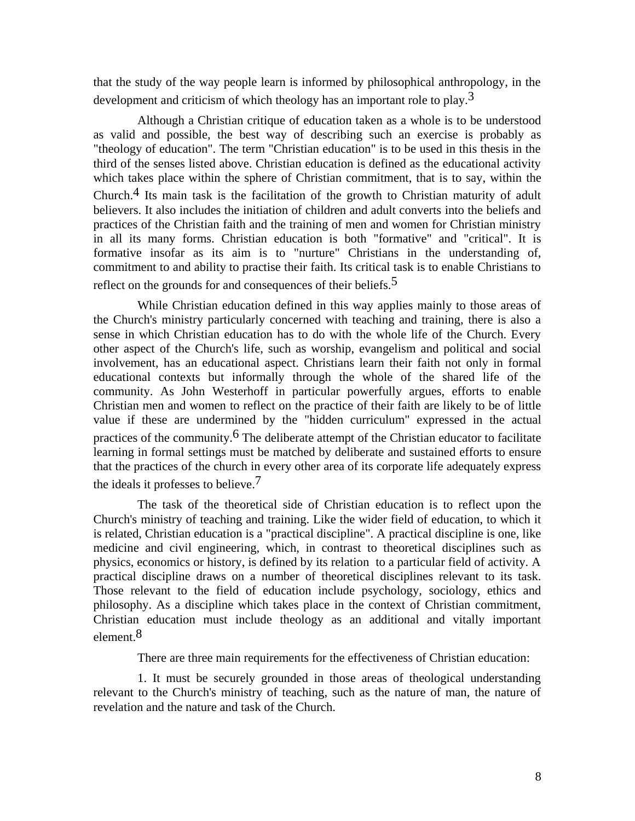that the study of the way people learn is informed by philosophical anthropology, in the development and criticism of which theology has an important role to play.<sup>3</sup>

Although a Christian critique of education taken as a whole is to be understood as valid and possible, the best way of describing such an exercise is probably as "theology of education". The term "Christian education" is to be used in this thesis in the third of the senses listed above. Christian education is defined as the educational activity which takes place within the sphere of Christian commitment, that is to say, within the Church.<sup>4</sup> Its main task is the facilitation of the growth to Christian maturity of adult believers. It also includes the initiation of children and adult converts into the beliefs and practices of the Christian faith and the training of men and women for Christian ministry in all its many forms. Christian education is both "formative" and "critical". It is formative insofar as its aim is to "nurture" Christians in the understanding of, commitment to and ability to practise their faith. Its critical task is to enable Christians to reflect on the grounds for and consequences of their beliefs.<sup>5</sup>

While Christian education defined in this way applies mainly to those areas of the Church's ministry particularly concerned with teaching and training, there is also a sense in which Christian education has to do with the whole life of the Church. Every other aspect of the Church's life, such as worship, evangelism and political and social involvement, has an educational aspect. Christians learn their faith not only in formal educational contexts but informally through the whole of the shared life of the community. As John Westerhoff in particular powerfully argues, efforts to enable Christian men and women to reflect on the practice of their faith are likely to be of little value if these are undermined by the "hidden curriculum" expressed in the actual practices of the community.<sup>6</sup> The deliberate attempt of the Christian educator to facilitate learning in formal settings must be matched by deliberate and sustained efforts to ensure that the practices of the church in every other area of its corporate life adequately express the ideals it professes to believe.<sup>7</sup>

The task of the theoretical side of Christian education is to reflect upon the Church's ministry of teaching and training. Like the wider field of education, to which it is related, Christian education is a "practical discipline". A practical discipline is one, like medicine and civil engineering, which, in contrast to theoretical disciplines such as physics, economics or history, is defined by its relation to a particular field of activity. A practical discipline draws on a number of theoretical disciplines relevant to its task. Those relevant to the field of education include psychology, sociology, ethics and philosophy. As a discipline which takes place in the context of Christian commitment, Christian education must include theology as an additional and vitally important element.8

There are three main requirements for the effectiveness of Christian education:

1. It must be securely grounded in those areas of theological understanding relevant to the Church's ministry of teaching, such as the nature of man, the nature of revelation and the nature and task of the Church.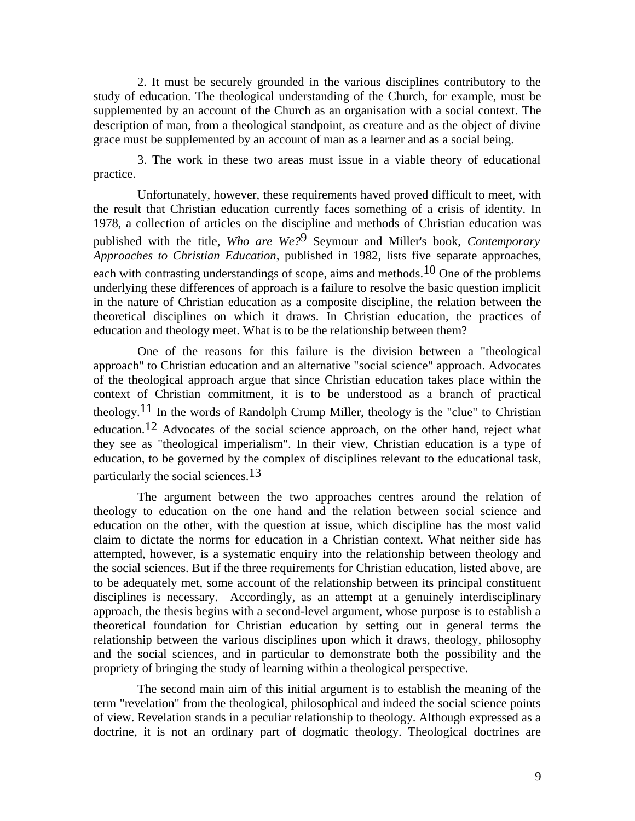2. It must be securely grounded in the various disciplines contributory to the study of education. The theological understanding of the Church, for example, must be supplemented by an account of the Church as an organisation with a social context. The description of man, from a theological standpoint, as creature and as the object of divine grace must be supplemented by an account of man as a learner and as a social being.

3. The work in these two areas must issue in a viable theory of educational practice.

Unfortunately, however, these requirements haved proved difficult to meet, with the result that Christian education currently faces something of a crisis of identity. In 1978, a collection of articles on the discipline and methods of Christian education was published with the title, *Who are We?*9 Seymour and Miller's book, *Contemporary Approaches to Christian Education*, published in 1982, lists five separate approaches, each with contrasting understandings of scope, aims and methods.<sup>10</sup> One of the problems underlying these differences of approach is a failure to resolve the basic question implicit in the nature of Christian education as a composite discipline, the relation between the theoretical disciplines on which it draws. In Christian education, the practices of education and theology meet. What is to be the relationship between them?

One of the reasons for this failure is the division between a "theological approach" to Christian education and an alternative "social science" approach. Advocates of the theological approach argue that since Christian education takes place within the context of Christian commitment, it is to be understood as a branch of practical theology.<sup>11</sup> In the words of Randolph Crump Miller, theology is the "clue" to Christian education.12 Advocates of the social science approach, on the other hand, reject what they see as "theological imperialism". In their view, Christian education is a type of education, to be governed by the complex of disciplines relevant to the educational task, particularly the social sciences.13

The argument between the two approaches centres around the relation of theology to education on the one hand and the relation between social science and education on the other, with the question at issue, which discipline has the most valid claim to dictate the norms for education in a Christian context. What neither side has attempted, however, is a systematic enquiry into the relationship between theology and the social sciences. But if the three requirements for Christian education, listed above, are to be adequately met, some account of the relationship between its principal constituent disciplines is necessary. Accordingly, as an attempt at a genuinely interdisciplinary approach, the thesis begins with a second-level argument, whose purpose is to establish a theoretical foundation for Christian education by setting out in general terms the relationship between the various disciplines upon which it draws, theology, philosophy and the social sciences, and in particular to demonstrate both the possibility and the propriety of bringing the study of learning within a theological perspective.

The second main aim of this initial argument is to establish the meaning of the term "revelation" from the theological, philosophical and indeed the social science points of view. Revelation stands in a peculiar relationship to theology. Although expressed as a doctrine, it is not an ordinary part of dogmatic theology. Theological doctrines are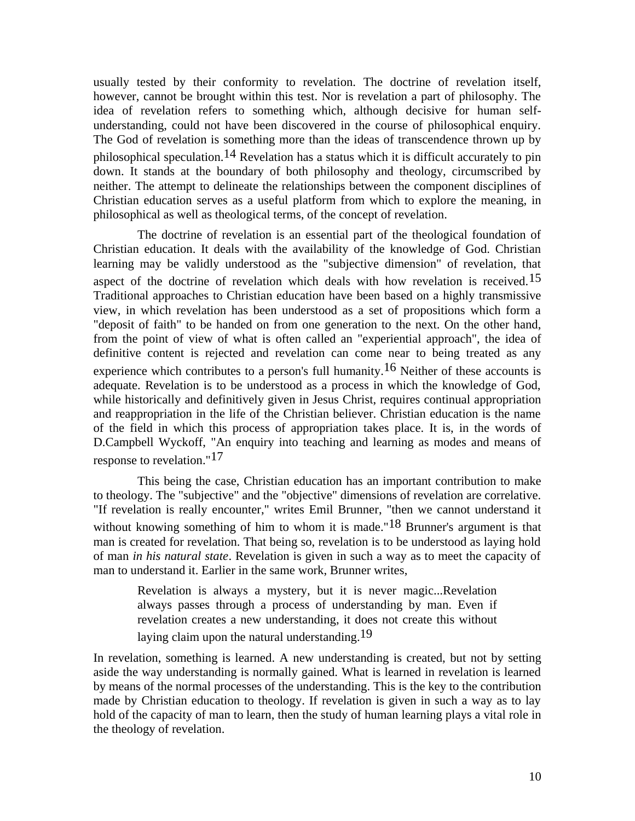usually tested by their conformity to revelation. The doctrine of revelation itself, however, cannot be brought within this test. Nor is revelation a part of philosophy. The idea of revelation refers to something which, although decisive for human selfunderstanding, could not have been discovered in the course of philosophical enquiry. The God of revelation is something more than the ideas of transcendence thrown up by philosophical speculation.14 Revelation has a status which it is difficult accurately to pin down. It stands at the boundary of both philosophy and theology, circumscribed by neither. The attempt to delineate the relationships between the component disciplines of Christian education serves as a useful platform from which to explore the meaning, in philosophical as well as theological terms, of the concept of revelation.

The doctrine of revelation is an essential part of the theological foundation of Christian education. It deals with the availability of the knowledge of God. Christian learning may be validly understood as the "subjective dimension" of revelation, that aspect of the doctrine of revelation which deals with how revelation is received.<sup>15</sup> Traditional approaches to Christian education have been based on a highly transmissive view, in which revelation has been understood as a set of propositions which form a "deposit of faith" to be handed on from one generation to the next. On the other hand, from the point of view of what is often called an "experiential approach", the idea of definitive content is rejected and revelation can come near to being treated as any experience which contributes to a person's full humanity.<sup>16</sup> Neither of these accounts is adequate. Revelation is to be understood as a process in which the knowledge of God, while historically and definitively given in Jesus Christ, requires continual appropriation and reappropriation in the life of the Christian believer. Christian education is the name of the field in which this process of appropriation takes place. It is, in the words of D.Campbell Wyckoff, "An enquiry into teaching and learning as modes and means of response to revelation." $17$ 

This being the case, Christian education has an important contribution to make to theology. The "subjective" and the "objective" dimensions of revelation are correlative. "If revelation is really encounter," writes Emil Brunner, "then we cannot understand it without knowing something of him to whom it is made."<sup>18</sup> Brunner's argument is that man is created for revelation. That being so, revelation is to be understood as laying hold of man *in his natural state*. Revelation is given in such a way as to meet the capacity of man to understand it. Earlier in the same work, Brunner writes,

Revelation is always a mystery, but it is never magic...Revelation always passes through a process of understanding by man. Even if revelation creates a new understanding, it does not create this without laying claim upon the natural understanding.  $19$ 

In revelation, something is learned. A new understanding is created, but not by setting aside the way understanding is normally gained. What is learned in revelation is learned by means of the normal processes of the understanding. This is the key to the contribution made by Christian education to theology. If revelation is given in such a way as to lay hold of the capacity of man to learn, then the study of human learning plays a vital role in the theology of revelation.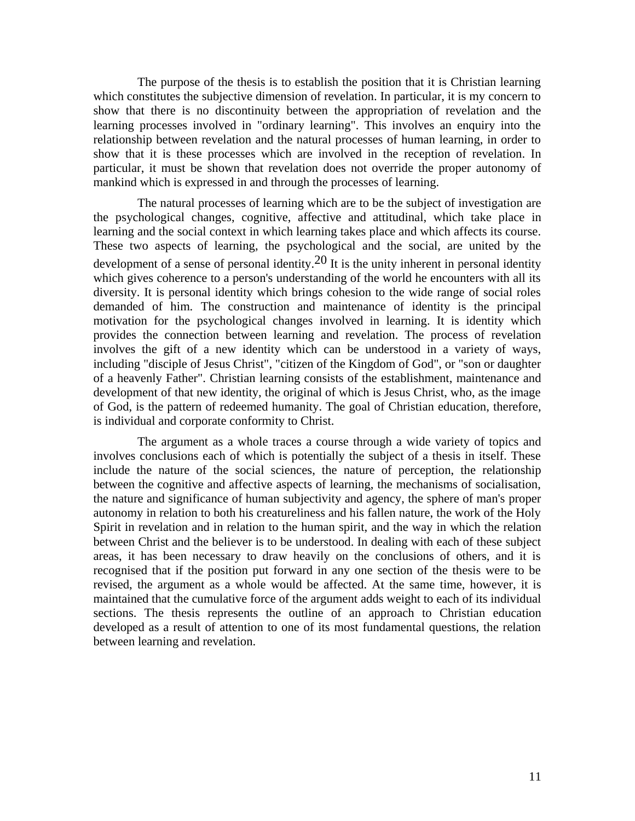The purpose of the thesis is to establish the position that it is Christian learning which constitutes the subjective dimension of revelation. In particular, it is my concern to show that there is no discontinuity between the appropriation of revelation and the learning processes involved in "ordinary learning". This involves an enquiry into the relationship between revelation and the natural processes of human learning, in order to show that it is these processes which are involved in the reception of revelation. In particular, it must be shown that revelation does not override the proper autonomy of mankind which is expressed in and through the processes of learning.

The natural processes of learning which are to be the subject of investigation are the psychological changes, cognitive, affective and attitudinal, which take place in learning and the social context in which learning takes place and which affects its course. These two aspects of learning, the psychological and the social, are united by the development of a sense of personal identity.<sup>20</sup> It is the unity inherent in personal identity which gives coherence to a person's understanding of the world he encounters with all its diversity. It is personal identity which brings cohesion to the wide range of social roles demanded of him. The construction and maintenance of identity is the principal motivation for the psychological changes involved in learning. It is identity which provides the connection between learning and revelation. The process of revelation involves the gift of a new identity which can be understood in a variety of ways, including "disciple of Jesus Christ", "citizen of the Kingdom of God", or "son or daughter of a heavenly Father". Christian learning consists of the establishment, maintenance and development of that new identity, the original of which is Jesus Christ, who, as the image of God, is the pattern of redeemed humanity. The goal of Christian education, therefore, is individual and corporate conformity to Christ.

The argument as a whole traces a course through a wide variety of topics and involves conclusions each of which is potentially the subject of a thesis in itself. These include the nature of the social sciences, the nature of perception, the relationship between the cognitive and affective aspects of learning, the mechanisms of socialisation, the nature and significance of human subjectivity and agency, the sphere of man's proper autonomy in relation to both his creatureliness and his fallen nature, the work of the Holy Spirit in revelation and in relation to the human spirit, and the way in which the relation between Christ and the believer is to be understood. In dealing with each of these subject areas, it has been necessary to draw heavily on the conclusions of others, and it is recognised that if the position put forward in any one section of the thesis were to be revised, the argument as a whole would be affected. At the same time, however, it is maintained that the cumulative force of the argument adds weight to each of its individual sections. The thesis represents the outline of an approach to Christian education developed as a result of attention to one of its most fundamental questions, the relation between learning and revelation.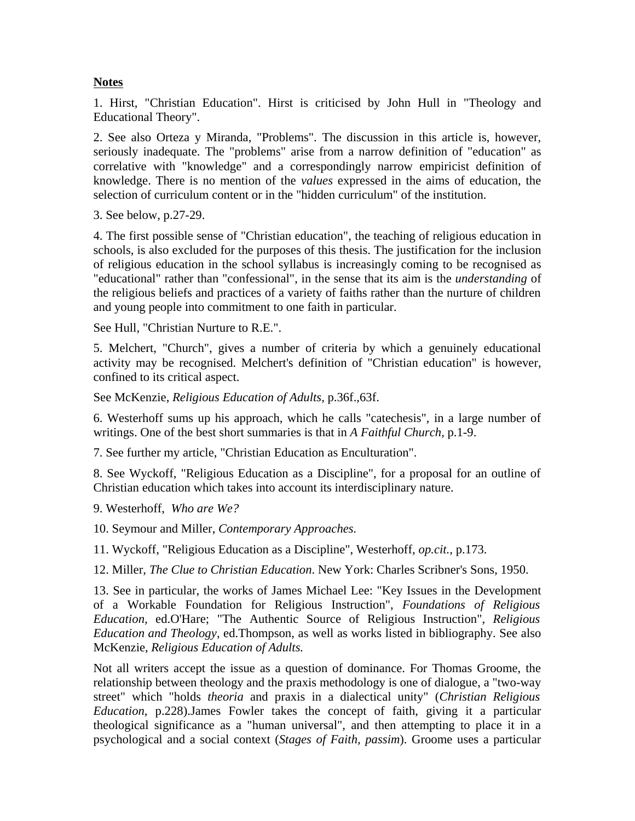### **Notes**

1. Hirst, "Christian Education". Hirst is criticised by John Hull in "Theology and Educational Theory".

2. See also Orteza y Miranda, "Problems". The discussion in this article is, however, seriously inadequate. The "problems" arise from a narrow definition of "education" as correlative with "knowledge" and a correspondingly narrow empiricist definition of knowledge. There is no mention of the *values* expressed in the aims of education, the selection of curriculum content or in the "hidden curriculum" of the institution.

3. See below, p.27-29.

4. The first possible sense of "Christian education", the teaching of religious education in schools, is also excluded for the purposes of this thesis. The justification for the inclusion of religious education in the school syllabus is increasingly coming to be recognised as "educational" rather than "confessional", in the sense that its aim is the *understanding* of the religious beliefs and practices of a variety of faiths rather than the nurture of children and young people into commitment to one faith in particular.

See Hull, "Christian Nurture to R.E.".

5. Melchert, "Church", gives a number of criteria by which a genuinely educational activity may be recognised. Melchert's definition of "Christian education" is however, confined to its critical aspect.

See McKenzie, *Religious Education of Adults,* p.36f.,63f.

6. Westerhoff sums up his approach, which he calls "catechesis", in a large number of writings. One of the best short summaries is that in *A Faithful Church,* p.1-9.

7. See further my article, "Christian Education as Enculturation".

8. See Wyckoff, "Religious Education as a Discipline", for a proposal for an outline of Christian education which takes into account its interdisciplinary nature.

9. Westerhoff, *Who are We?* 

10. Seymour and Miller, *Contemporary Approaches.*

11. Wyckoff, "Religious Education as a Discipline", Westerhoff, *op.cit.,* p.173.

12. Miller, *The Clue to Christian Education*. New York: Charles Scribner's Sons, 1950.

13. See in particular, the works of James Michael Lee: "Key Issues in the Development of a Workable Foundation for Religious Instruction", *Foundations of Religious Education,* ed.O'Hare; "The Authentic Source of Religious Instruction", *Religious Education and Theology,* ed.Thompson, as well as works listed in bibliography. See also McKenzie, *Religious Education of Adults.*

Not all writers accept the issue as a question of dominance. For Thomas Groome, the relationship between theology and the praxis methodology is one of dialogue, a "two-way street" which "holds *theoria* and praxis in a dialectical unity" (*Christian Religious Education*, p.228).James Fowler takes the concept of faith, giving it a particular theological significance as a "human universal", and then attempting to place it in a psychological and a social context (*Stages of Faith, passim*). Groome uses a particular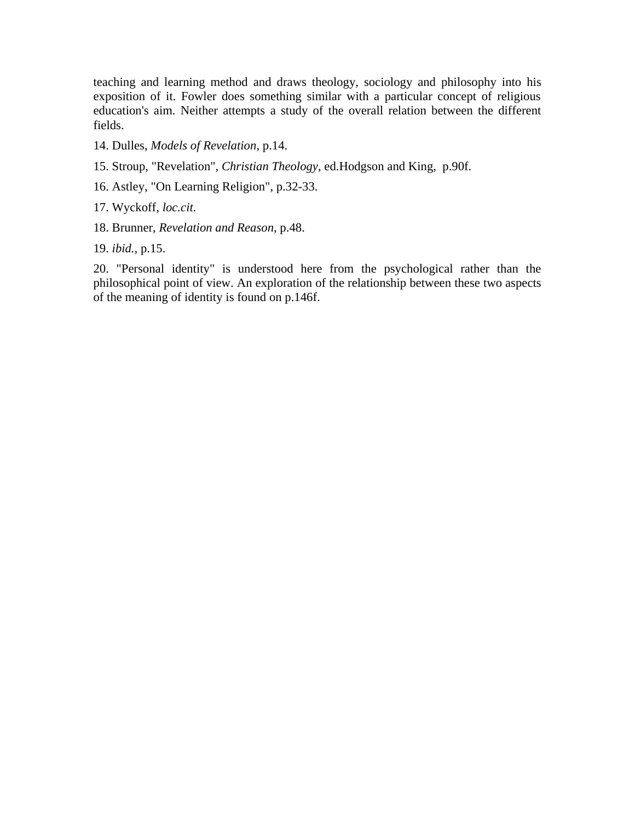teaching and learning method and draws theology, sociology and philosophy into his exposition of it. Fowler does something similar with a particular concept of religious education's aim. Neither attempts a study of the overall relation between the different fields.

- 14. Dulles, *Models of Revelation*, p.14.
- 15. Stroup, "Revelation", *Christian Theology*, ed.Hodgson and King, p.90f.
- 16. Astley, "On Learning Religion", p.32-33.
- 17. Wyckoff, *loc.cit.*
- 18. Brunner, *Revelation and Reason,* p.48.
- 19. *ibid.,* p.15.

20. "Personal identity" is understood here from the psychological rather than the philosophical point of view. An exploration of the relationship between these two aspects of the meaning of identity is found on p.146f.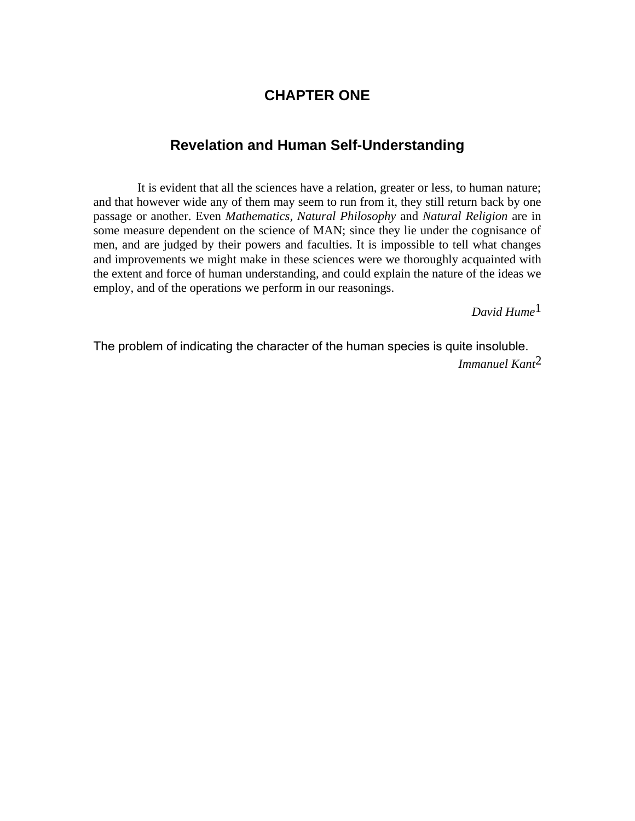# **CHAPTER ONE**

# **Revelation and Human Self-Understanding**

It is evident that all the sciences have a relation, greater or less, to human nature; and that however wide any of them may seem to run from it, they still return back by one passage or another. Even *Mathematics, Natural Philosophy* and *Natural Religion* are in some measure dependent on the science of MAN; since they lie under the cognisance of men, and are judged by their powers and faculties. It is impossible to tell what changes and improvements we might make in these sciences were we thoroughly acquainted with the extent and force of human understanding, and could explain the nature of the ideas we employ, and of the operations we perform in our reasonings.

*David Hume*1

The problem of indicating the character of the human species is quite insoluble. *Immanuel Kant*2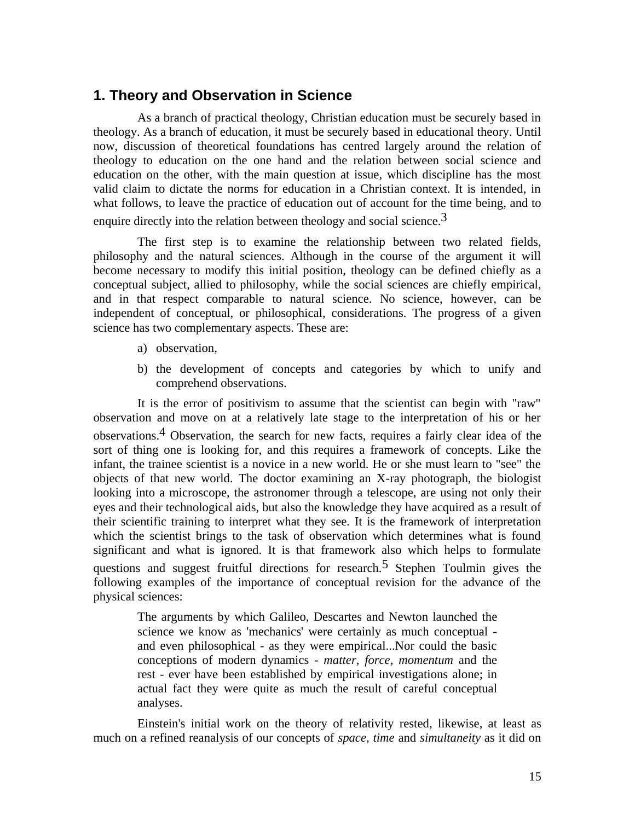## **1. Theory and Observation in Science**

As a branch of practical theology, Christian education must be securely based in theology. As a branch of education, it must be securely based in educational theory. Until now, discussion of theoretical foundations has centred largely around the relation of theology to education on the one hand and the relation between social science and education on the other, with the main question at issue, which discipline has the most valid claim to dictate the norms for education in a Christian context. It is intended, in what follows, to leave the practice of education out of account for the time being, and to enquire directly into the relation between theology and social science.<sup>3</sup>

The first step is to examine the relationship between two related fields, philosophy and the natural sciences. Although in the course of the argument it will become necessary to modify this initial position, theology can be defined chiefly as a conceptual subject, allied to philosophy, while the social sciences are chiefly empirical, and in that respect comparable to natural science. No science, however, can be independent of conceptual, or philosophical, considerations. The progress of a given science has two complementary aspects. These are:

- a) observation,
- b) the development of concepts and categories by which to unify and comprehend observations.

It is the error of positivism to assume that the scientist can begin with "raw" observation and move on at a relatively late stage to the interpretation of his or her observations.4 Observation, the search for new facts, requires a fairly clear idea of the sort of thing one is looking for, and this requires a framework of concepts. Like the infant, the trainee scientist is a novice in a new world. He or she must learn to "see" the objects of that new world. The doctor examining an X-ray photograph, the biologist looking into a microscope, the astronomer through a telescope, are using not only their eyes and their technological aids, but also the knowledge they have acquired as a result of their scientific training to interpret what they see. It is the framework of interpretation which the scientist brings to the task of observation which determines what is found significant and what is ignored. It is that framework also which helps to formulate questions and suggest fruitful directions for research.<sup>5</sup> Stephen Toulmin gives the following examples of the importance of conceptual revision for the advance of the physical sciences:

The arguments by which Galileo, Descartes and Newton launched the science we know as 'mechanics' were certainly as much conceptual and even philosophical - as they were empirical...Nor could the basic conceptions of modern dynamics - *matter, force, momentum* and the rest - ever have been established by empirical investigations alone; in actual fact they were quite as much the result of careful conceptual analyses.

Einstein's initial work on the theory of relativity rested, likewise, at least as much on a refined reanalysis of our concepts of *space, time* and *simultaneity* as it did on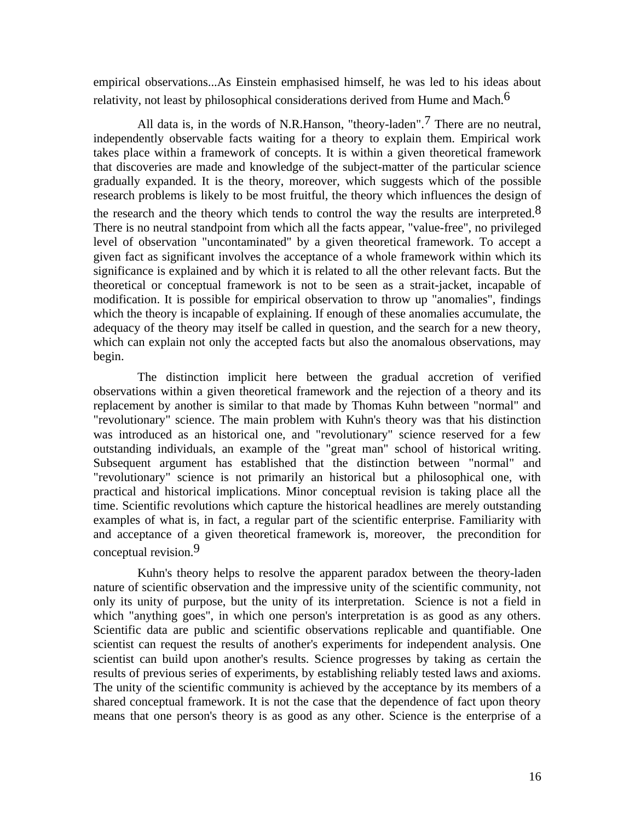empirical observations...As Einstein emphasised himself, he was led to his ideas about relativity, not least by philosophical considerations derived from Hume and Mach.<sup>6</sup>

All data is, in the words of N.R.Hanson, "theory-laden".<sup>7</sup> There are no neutral, independently observable facts waiting for a theory to explain them. Empirical work takes place within a framework of concepts. It is within a given theoretical framework that discoveries are made and knowledge of the subject-matter of the particular science gradually expanded. It is the theory, moreover, which suggests which of the possible research problems is likely to be most fruitful, the theory which influences the design of the research and the theory which tends to control the way the results are interpreted.<sup>8</sup> There is no neutral standpoint from which all the facts appear, "value-free", no privileged level of observation "uncontaminated" by a given theoretical framework. To accept a given fact as significant involves the acceptance of a whole framework within which its significance is explained and by which it is related to all the other relevant facts. But the theoretical or conceptual framework is not to be seen as a strait-jacket, incapable of modification. It is possible for empirical observation to throw up "anomalies", findings which the theory is incapable of explaining. If enough of these anomalies accumulate, the adequacy of the theory may itself be called in question, and the search for a new theory, which can explain not only the accepted facts but also the anomalous observations, may begin.

The distinction implicit here between the gradual accretion of verified observations within a given theoretical framework and the rejection of a theory and its replacement by another is similar to that made by Thomas Kuhn between "normal" and "revolutionary" science. The main problem with Kuhn's theory was that his distinction was introduced as an historical one, and "revolutionary" science reserved for a few outstanding individuals, an example of the "great man" school of historical writing. Subsequent argument has established that the distinction between "normal" and "revolutionary" science is not primarily an historical but a philosophical one, with practical and historical implications. Minor conceptual revision is taking place all the time. Scientific revolutions which capture the historical headlines are merely outstanding examples of what is, in fact, a regular part of the scientific enterprise. Familiarity with and acceptance of a given theoretical framework is, moreover, the precondition for conceptual revision.9

Kuhn's theory helps to resolve the apparent paradox between the theory-laden nature of scientific observation and the impressive unity of the scientific community, not only its unity of purpose, but the unity of its interpretation. Science is not a field in which "anything goes", in which one person's interpretation is as good as any others. Scientific data are public and scientific observations replicable and quantifiable. One scientist can request the results of another's experiments for independent analysis. One scientist can build upon another's results. Science progresses by taking as certain the results of previous series of experiments, by establishing reliably tested laws and axioms. The unity of the scientific community is achieved by the acceptance by its members of a shared conceptual framework. It is not the case that the dependence of fact upon theory means that one person's theory is as good as any other. Science is the enterprise of a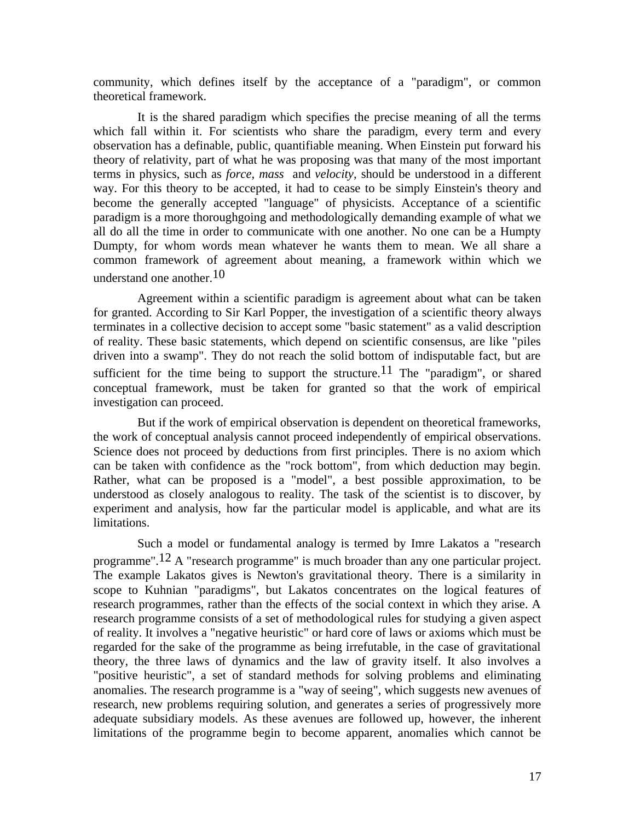community, which defines itself by the acceptance of a "paradigm", or common theoretical framework.

It is the shared paradigm which specifies the precise meaning of all the terms which fall within it. For scientists who share the paradigm, every term and every observation has a definable, public, quantifiable meaning. When Einstein put forward his theory of relativity, part of what he was proposing was that many of the most important terms in physics, such as *force, mass* and *velocity*, should be understood in a different way. For this theory to be accepted, it had to cease to be simply Einstein's theory and become the generally accepted "language" of physicists. Acceptance of a scientific paradigm is a more thoroughgoing and methodologically demanding example of what we all do all the time in order to communicate with one another. No one can be a Humpty Dumpty, for whom words mean whatever he wants them to mean. We all share a common framework of agreement about meaning, a framework within which we understand one another.10

Agreement within a scientific paradigm is agreement about what can be taken for granted. According to Sir Karl Popper, the investigation of a scientific theory always terminates in a collective decision to accept some "basic statement" as a valid description of reality. These basic statements, which depend on scientific consensus, are like "piles driven into a swamp". They do not reach the solid bottom of indisputable fact, but are sufficient for the time being to support the structure.<sup>11</sup> The "paradigm", or shared conceptual framework, must be taken for granted so that the work of empirical investigation can proceed.

But if the work of empirical observation is dependent on theoretical frameworks, the work of conceptual analysis cannot proceed independently of empirical observations. Science does not proceed by deductions from first principles. There is no axiom which can be taken with confidence as the "rock bottom", from which deduction may begin. Rather, what can be proposed is a "model", a best possible approximation, to be understood as closely analogous to reality. The task of the scientist is to discover, by experiment and analysis, how far the particular model is applicable, and what are its limitations.

Such a model or fundamental analogy is termed by Imre Lakatos a "research programme".<sup>12</sup> A "research programme" is much broader than any one particular project. The example Lakatos gives is Newton's gravitational theory. There is a similarity in scope to Kuhnian "paradigms", but Lakatos concentrates on the logical features of research programmes, rather than the effects of the social context in which they arise. A research programme consists of a set of methodological rules for studying a given aspect of reality. It involves a "negative heuristic" or hard core of laws or axioms which must be regarded for the sake of the programme as being irrefutable, in the case of gravitational theory, the three laws of dynamics and the law of gravity itself. It also involves a "positive heuristic", a set of standard methods for solving problems and eliminating anomalies. The research programme is a "way of seeing", which suggests new avenues of research, new problems requiring solution, and generates a series of progressively more adequate subsidiary models. As these avenues are followed up, however, the inherent limitations of the programme begin to become apparent, anomalies which cannot be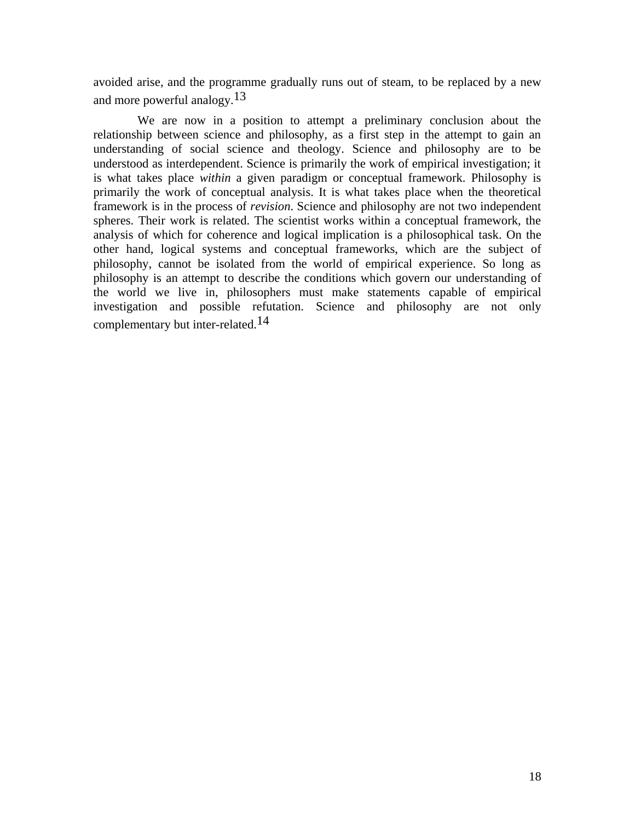avoided arise, and the programme gradually runs out of steam, to be replaced by a new and more powerful analogy.13

We are now in a position to attempt a preliminary conclusion about the relationship between science and philosophy, as a first step in the attempt to gain an understanding of social science and theology. Science and philosophy are to be understood as interdependent. Science is primarily the work of empirical investigation; it is what takes place *within* a given paradigm or conceptual framework. Philosophy is primarily the work of conceptual analysis. It is what takes place when the theoretical framework is in the process of *revision*. Science and philosophy are not two independent spheres. Their work is related. The scientist works within a conceptual framework, the analysis of which for coherence and logical implication is a philosophical task. On the other hand, logical systems and conceptual frameworks, which are the subject of philosophy, cannot be isolated from the world of empirical experience. So long as philosophy is an attempt to describe the conditions which govern our understanding of the world we live in, philosophers must make statements capable of empirical investigation and possible refutation. Science and philosophy are not only complementary but inter-related.14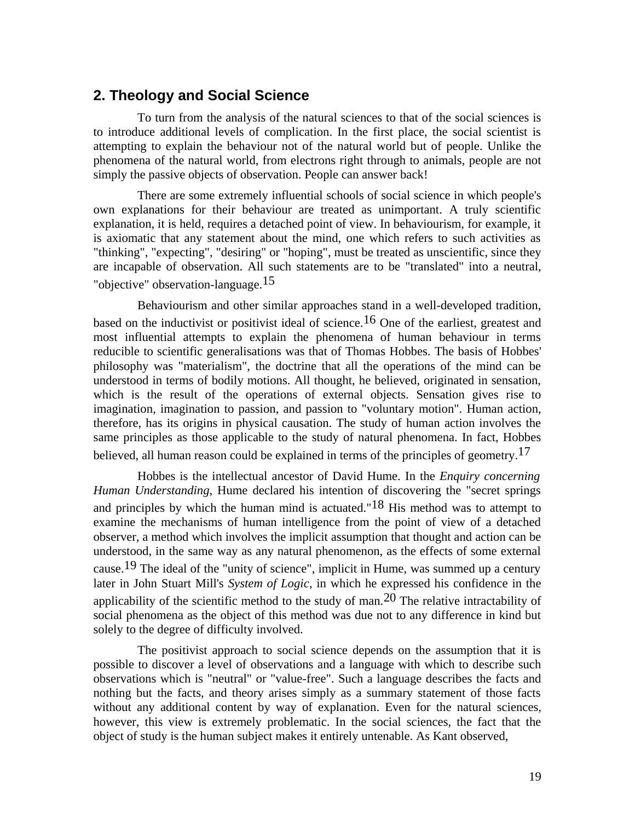## **2. Theology and Social Science**

To turn from the analysis of the natural sciences to that of the social sciences is to introduce additional levels of complication. In the first place, the social scientist is attempting to explain the behaviour not of the natural world but of people. Unlike the phenomena of the natural world, from electrons right through to animals, people are not simply the passive objects of observation. People can answer back!

There are some extremely influential schools of social science in which people's own explanations for their behaviour are treated as unimportant. A truly scientific explanation, it is held, requires a detached point of view. In behaviourism, for example, it is axiomatic that any statement about the mind, one which refers to such activities as "thinking", "expecting", "desiring" or "hoping", must be treated as unscientific, since they are incapable of observation. All such statements are to be "translated" into a neutral, "objective" observation-language.15

Behaviourism and other similar approaches stand in a well-developed tradition, based on the inductivist or positivist ideal of science.<sup>16</sup> One of the earliest, greatest and most influential attempts to explain the phenomena of human behaviour in terms reducible to scientific generalisations was that of Thomas Hobbes. The basis of Hobbes' philosophy was "materialism", the doctrine that all the operations of the mind can be understood in terms of bodily motions. All thought, he believed, originated in sensation, which is the result of the operations of external objects. Sensation gives rise to imagination, imagination to passion, and passion to "voluntary motion". Human action, therefore, has its origins in physical causation. The study of human action involves the same principles as those applicable to the study of natural phenomena. In fact, Hobbes believed, all human reason could be explained in terms of the principles of geometry.<sup>17</sup>

Hobbes is the intellectual ancestor of David Hume. In the *Enquiry concerning Human Understanding*, Hume declared his intention of discovering the "secret springs and principles by which the human mind is actuated." $18$  His method was to attempt to examine the mechanisms of human intelligence from the point of view of a detached observer, a method which involves the implicit assumption that thought and action can be understood, in the same way as any natural phenomenon, as the effects of some external cause.19 The ideal of the "unity of science", implicit in Hume, was summed up a century later in John Stuart Mill's *System of Logic*, in which he expressed his confidence in the applicability of the scientific method to the study of man.<sup>20</sup> The relative intractability of social phenomena as the object of this method was due not to any difference in kind but solely to the degree of difficulty involved.

The positivist approach to social science depends on the assumption that it is possible to discover a level of observations and a language with which to describe such observations which is "neutral" or "value-free". Such a language describes the facts and nothing but the facts, and theory arises simply as a summary statement of those facts without any additional content by way of explanation. Even for the natural sciences, however, this view is extremely problematic. In the social sciences, the fact that the object of study is the human subject makes it entirely untenable. As Kant observed,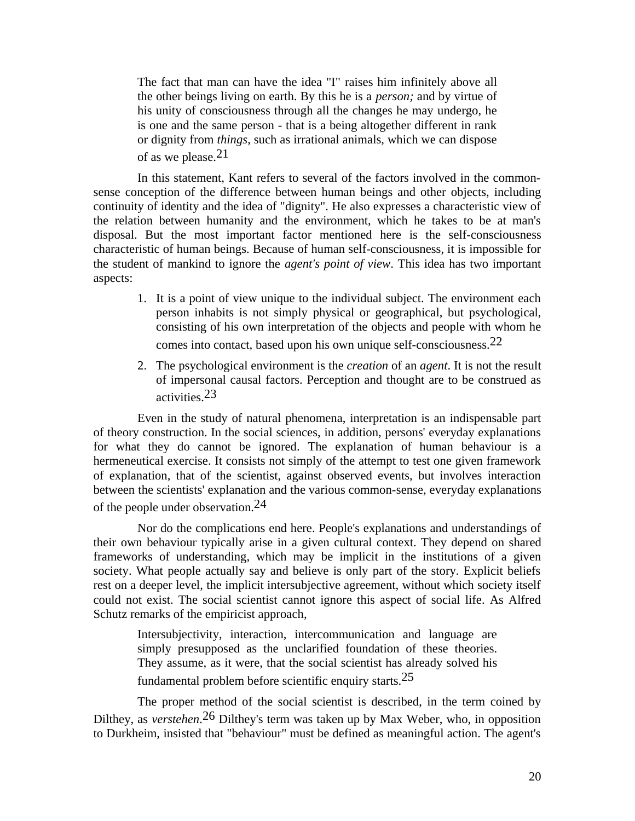The fact that man can have the idea "I" raises him infinitely above all the other beings living on earth. By this he is a *person;* and by virtue of his unity of consciousness through all the changes he may undergo, he is one and the same person - that is a being altogether different in rank or dignity from *things*, such as irrational animals, which we can dispose of as we please. $21$ 

In this statement, Kant refers to several of the factors involved in the commonsense conception of the difference between human beings and other objects, including continuity of identity and the idea of "dignity". He also expresses a characteristic view of the relation between humanity and the environment, which he takes to be at man's disposal. But the most important factor mentioned here is the self-consciousness characteristic of human beings. Because of human self-consciousness, it is impossible for the student of mankind to ignore the *agent's point of view*. This idea has two important aspects:

- 1. It is a point of view unique to the individual subject. The environment each person inhabits is not simply physical or geographical, but psychological, consisting of his own interpretation of the objects and people with whom he comes into contact, based upon his own unique self-consciousness.22
- 2. The psychological environment is the *creation* of an *agent*. It is not the result of impersonal causal factors. Perception and thought are to be construed as activities.23

Even in the study of natural phenomena, interpretation is an indispensable part of theory construction. In the social sciences, in addition, persons' everyday explanations for what they do cannot be ignored. The explanation of human behaviour is a hermeneutical exercise. It consists not simply of the attempt to test one given framework of explanation, that of the scientist, against observed events, but involves interaction between the scientists' explanation and the various common-sense, everyday explanations of the people under observation.24

Nor do the complications end here. People's explanations and understandings of their own behaviour typically arise in a given cultural context. They depend on shared frameworks of understanding, which may be implicit in the institutions of a given society. What people actually say and believe is only part of the story. Explicit beliefs rest on a deeper level, the implicit intersubjective agreement, without which society itself could not exist. The social scientist cannot ignore this aspect of social life. As Alfred Schutz remarks of the empiricist approach,

Intersubjectivity, interaction, intercommunication and language are simply presupposed as the unclarified foundation of these theories. They assume, as it were, that the social scientist has already solved his fundamental problem before scientific enquiry starts.25

The proper method of the social scientist is described, in the term coined by Dilthey, as *verstehen*. 26 Dilthey's term was taken up by Max Weber, who, in opposition to Durkheim, insisted that "behaviour" must be defined as meaningful action. The agent's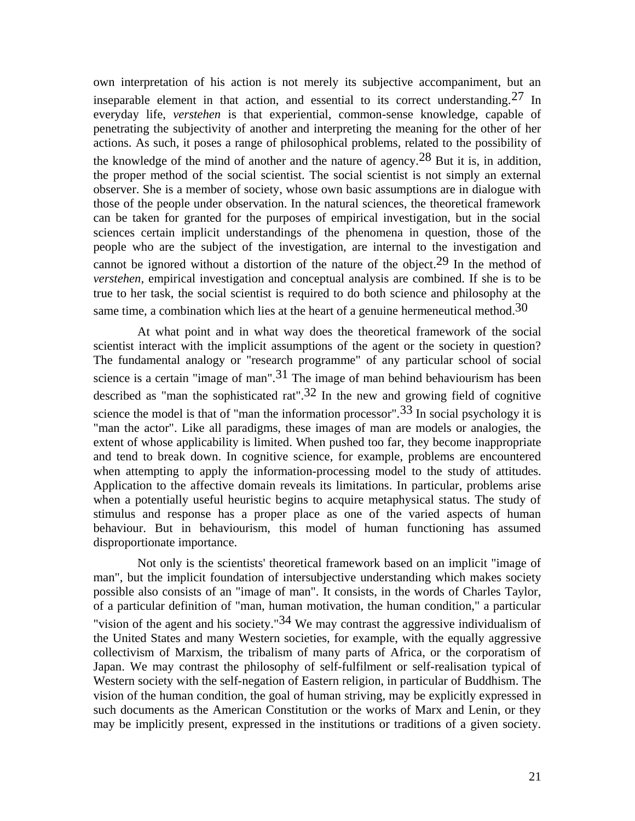own interpretation of his action is not merely its subjective accompaniment, but an inseparable element in that action, and essential to its correct understanding.<sup>27</sup> In everyday life, *verstehen* is that experiential, common-sense knowledge, capable of penetrating the subjectivity of another and interpreting the meaning for the other of her actions. As such, it poses a range of philosophical problems, related to the possibility of the knowledge of the mind of another and the nature of agency.<sup>28</sup> But it is, in addition, the proper method of the social scientist. The social scientist is not simply an external observer. She is a member of society, whose own basic assumptions are in dialogue with those of the people under observation. In the natural sciences, the theoretical framework can be taken for granted for the purposes of empirical investigation, but in the social sciences certain implicit understandings of the phenomena in question, those of the people who are the subject of the investigation, are internal to the investigation and cannot be ignored without a distortion of the nature of the object.29 In the method of *verstehen,* empirical investigation and conceptual analysis are combined. If she is to be true to her task, the social scientist is required to do both science and philosophy at the same time, a combination which lies at the heart of a genuine hermeneutical method.<sup>30</sup>

At what point and in what way does the theoretical framework of the social scientist interact with the implicit assumptions of the agent or the society in question? The fundamental analogy or "research programme" of any particular school of social science is a certain "image of man".<sup>31</sup> The image of man behind behaviourism has been described as "man the sophisticated rat".  $32$  In the new and growing field of cognitive science the model is that of "man the information processor".<sup>33</sup> In social psychology it is "man the actor". Like all paradigms, these images of man are models or analogies, the extent of whose applicability is limited. When pushed too far, they become inappropriate and tend to break down. In cognitive science, for example, problems are encountered when attempting to apply the information-processing model to the study of attitudes. Application to the affective domain reveals its limitations. In particular, problems arise when a potentially useful heuristic begins to acquire metaphysical status. The study of stimulus and response has a proper place as one of the varied aspects of human behaviour. But in behaviourism, this model of human functioning has assumed disproportionate importance.

Not only is the scientists' theoretical framework based on an implicit "image of man", but the implicit foundation of intersubjective understanding which makes society possible also consists of an "image of man". It consists, in the words of Charles Taylor, of a particular definition of "man, human motivation, the human condition," a particular "vision of the agent and his society."<sup>34</sup> We may contrast the aggressive individualism of the United States and many Western societies, for example, with the equally aggressive collectivism of Marxism, the tribalism of many parts of Africa, or the corporatism of Japan. We may contrast the philosophy of self-fulfilment or self-realisation typical of Western society with the self-negation of Eastern religion, in particular of Buddhism. The vision of the human condition, the goal of human striving, may be explicitly expressed in such documents as the American Constitution or the works of Marx and Lenin, or they may be implicitly present, expressed in the institutions or traditions of a given society.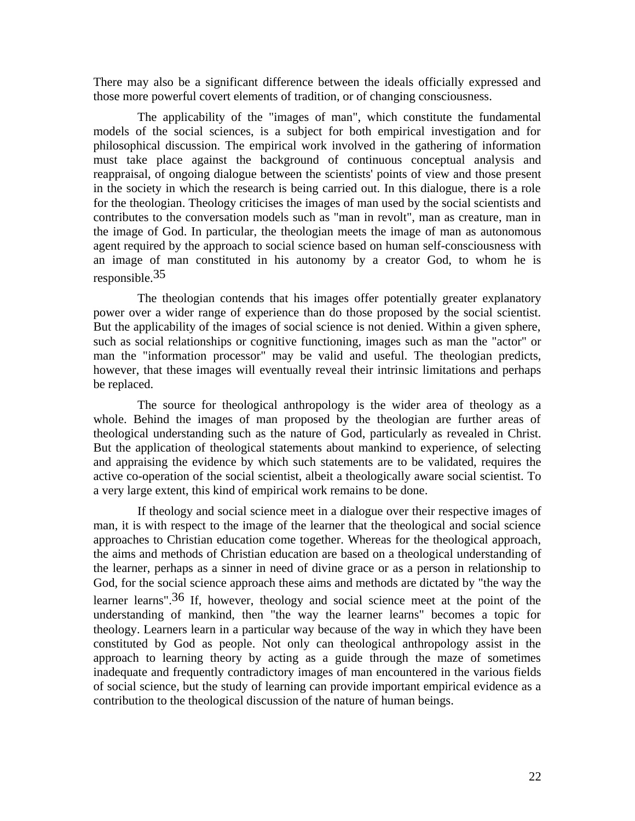There may also be a significant difference between the ideals officially expressed and those more powerful covert elements of tradition, or of changing consciousness.

The applicability of the "images of man", which constitute the fundamental models of the social sciences, is a subject for both empirical investigation and for philosophical discussion. The empirical work involved in the gathering of information must take place against the background of continuous conceptual analysis and reappraisal, of ongoing dialogue between the scientists' points of view and those present in the society in which the research is being carried out. In this dialogue, there is a role for the theologian. Theology criticises the images of man used by the social scientists and contributes to the conversation models such as "man in revolt", man as creature, man in the image of God. In particular, the theologian meets the image of man as autonomous agent required by the approach to social science based on human self-consciousness with an image of man constituted in his autonomy by a creator God, to whom he is responsible.35

The theologian contends that his images offer potentially greater explanatory power over a wider range of experience than do those proposed by the social scientist. But the applicability of the images of social science is not denied. Within a given sphere, such as social relationships or cognitive functioning, images such as man the "actor" or man the "information processor" may be valid and useful. The theologian predicts, however, that these images will eventually reveal their intrinsic limitations and perhaps be replaced.

The source for theological anthropology is the wider area of theology as a whole. Behind the images of man proposed by the theologian are further areas of theological understanding such as the nature of God, particularly as revealed in Christ. But the application of theological statements about mankind to experience, of selecting and appraising the evidence by which such statements are to be validated, requires the active co-operation of the social scientist, albeit a theologically aware social scientist. To a very large extent, this kind of empirical work remains to be done.

If theology and social science meet in a dialogue over their respective images of man, it is with respect to the image of the learner that the theological and social science approaches to Christian education come together. Whereas for the theological approach, the aims and methods of Christian education are based on a theological understanding of the learner, perhaps as a sinner in need of divine grace or as a person in relationship to God, for the social science approach these aims and methods are dictated by "the way the learner learns".36 If, however, theology and social science meet at the point of the understanding of mankind, then "the way the learner learns" becomes a topic for theology. Learners learn in a particular way because of the way in which they have been constituted by God as people. Not only can theological anthropology assist in the approach to learning theory by acting as a guide through the maze of sometimes inadequate and frequently contradictory images of man encountered in the various fields of social science, but the study of learning can provide important empirical evidence as a contribution to the theological discussion of the nature of human beings.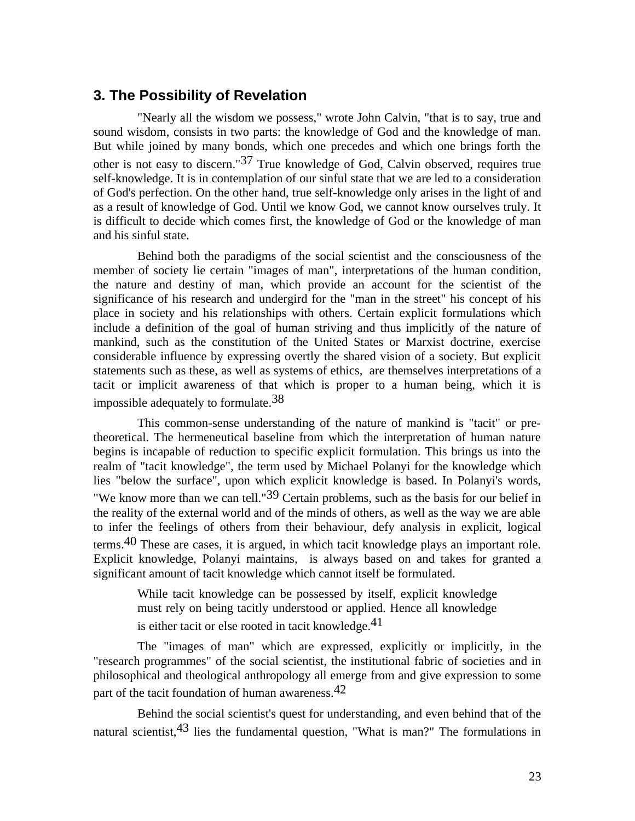## **3. The Possibility of Revelation**

"Nearly all the wisdom we possess," wrote John Calvin, "that is to say, true and sound wisdom, consists in two parts: the knowledge of God and the knowledge of man. But while joined by many bonds, which one precedes and which one brings forth the other is not easy to discern."37 True knowledge of God, Calvin observed, requires true self-knowledge. It is in contemplation of our sinful state that we are led to a consideration of God's perfection. On the other hand, true self-knowledge only arises in the light of and as a result of knowledge of God. Until we know God, we cannot know ourselves truly. It is difficult to decide which comes first, the knowledge of God or the knowledge of man and his sinful state.

Behind both the paradigms of the social scientist and the consciousness of the member of society lie certain "images of man", interpretations of the human condition, the nature and destiny of man, which provide an account for the scientist of the significance of his research and undergird for the "man in the street" his concept of his place in society and his relationships with others. Certain explicit formulations which include a definition of the goal of human striving and thus implicitly of the nature of mankind, such as the constitution of the United States or Marxist doctrine, exercise considerable influence by expressing overtly the shared vision of a society. But explicit statements such as these, as well as systems of ethics, are themselves interpretations of a tacit or implicit awareness of that which is proper to a human being, which it is impossible adequately to formulate.  $38$ 

This common-sense understanding of the nature of mankind is "tacit" or pretheoretical. The hermeneutical baseline from which the interpretation of human nature begins is incapable of reduction to specific explicit formulation. This brings us into the realm of "tacit knowledge", the term used by Michael Polanyi for the knowledge which lies "below the surface", upon which explicit knowledge is based. In Polanyi's words, "We know more than we can tell."<sup>39</sup> Certain problems, such as the basis for our belief in the reality of the external world and of the minds of others, as well as the way we are able to infer the feelings of others from their behaviour, defy analysis in explicit, logical terms.40 These are cases, it is argued, in which tacit knowledge plays an important role. Explicit knowledge, Polanyi maintains, is always based on and takes for granted a significant amount of tacit knowledge which cannot itself be formulated.

While tacit knowledge can be possessed by itself, explicit knowledge must rely on being tacitly understood or applied. Hence all knowledge is either tacit or else rooted in tacit knowledge.<sup>41</sup>

The "images of man" which are expressed, explicitly or implicitly, in the "research programmes" of the social scientist, the institutional fabric of societies and in philosophical and theological anthropology all emerge from and give expression to some part of the tacit foundation of human awareness.<sup>42</sup>

Behind the social scientist's quest for understanding, and even behind that of the natural scientist,  $43$  lies the fundamental question, "What is man?" The formulations in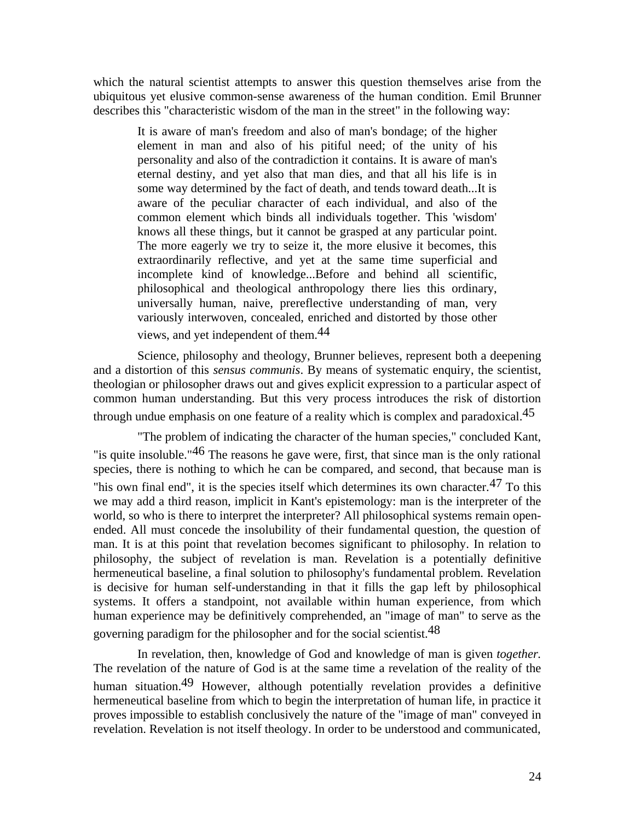which the natural scientist attempts to answer this question themselves arise from the ubiquitous yet elusive common-sense awareness of the human condition. Emil Brunner describes this "characteristic wisdom of the man in the street" in the following way:

It is aware of man's freedom and also of man's bondage; of the higher element in man and also of his pitiful need; of the unity of his personality and also of the contradiction it contains. It is aware of man's eternal destiny, and yet also that man dies, and that all his life is in some way determined by the fact of death, and tends toward death...It is aware of the peculiar character of each individual, and also of the common element which binds all individuals together. This 'wisdom' knows all these things, but it cannot be grasped at any particular point. The more eagerly we try to seize it, the more elusive it becomes, this extraordinarily reflective, and yet at the same time superficial and incomplete kind of knowledge...Before and behind all scientific, philosophical and theological anthropology there lies this ordinary, universally human, naive, prereflective understanding of man, very variously interwoven, concealed, enriched and distorted by those other views, and yet independent of them.44

Science, philosophy and theology, Brunner believes, represent both a deepening and a distortion of this *sensus communis*. By means of systematic enquiry, the scientist, theologian or philosopher draws out and gives explicit expression to a particular aspect of common human understanding. But this very process introduces the risk of distortion through undue emphasis on one feature of a reality which is complex and paradoxical.<sup>45</sup>

"The problem of indicating the character of the human species," concluded Kant, "is quite insoluble."<sup>46</sup> The reasons he gave were, first, that since man is the only rational species, there is nothing to which he can be compared, and second, that because man is "his own final end", it is the species itself which determines its own character.<sup>47</sup> To this we may add a third reason, implicit in Kant's epistemology: man is the interpreter of the world, so who is there to interpret the interpreter? All philosophical systems remain openended. All must concede the insolubility of their fundamental question, the question of man. It is at this point that revelation becomes significant to philosophy. In relation to philosophy, the subject of revelation is man. Revelation is a potentially definitive hermeneutical baseline, a final solution to philosophy's fundamental problem. Revelation is decisive for human self-understanding in that it fills the gap left by philosophical systems. It offers a standpoint, not available within human experience, from which human experience may be definitively comprehended, an "image of man" to serve as the governing paradigm for the philosopher and for the social scientist.48

In revelation, then, knowledge of God and knowledge of man is given *together.* The revelation of the nature of God is at the same time a revelation of the reality of the human situation.49 However, although potentially revelation provides a definitive hermeneutical baseline from which to begin the interpretation of human life, in practice it proves impossible to establish conclusively the nature of the "image of man" conveyed in revelation. Revelation is not itself theology. In order to be understood and communicated,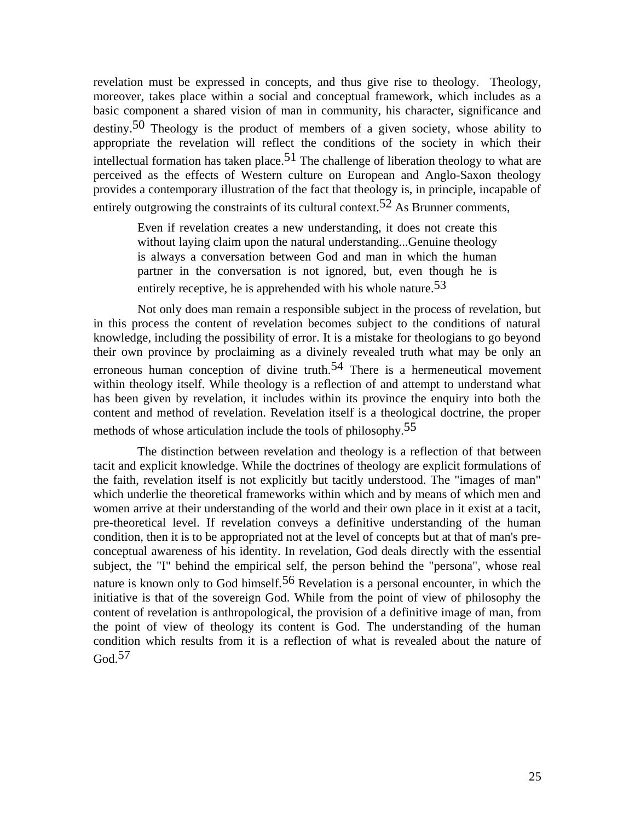revelation must be expressed in concepts, and thus give rise to theology. Theology, moreover, takes place within a social and conceptual framework, which includes as a basic component a shared vision of man in community, his character, significance and destiny.50 Theology is the product of members of a given society, whose ability to appropriate the revelation will reflect the conditions of the society in which their intellectual formation has taken place.<sup>51</sup> The challenge of liberation theology to what are perceived as the effects of Western culture on European and Anglo-Saxon theology provides a contemporary illustration of the fact that theology is, in principle, incapable of entirely outgrowing the constraints of its cultural context.<sup>52</sup> As Brunner comments,

Even if revelation creates a new understanding, it does not create this without laying claim upon the natural understanding...Genuine theology is always a conversation between God and man in which the human partner in the conversation is not ignored, but, even though he is entirely receptive, he is apprehended with his whole nature.<sup>53</sup>

Not only does man remain a responsible subject in the process of revelation, but in this process the content of revelation becomes subject to the conditions of natural knowledge, including the possibility of error. It is a mistake for theologians to go beyond their own province by proclaiming as a divinely revealed truth what may be only an erroneous human conception of divine truth.<sup>54</sup> There is a hermeneutical movement within theology itself. While theology is a reflection of and attempt to understand what has been given by revelation, it includes within its province the enquiry into both the content and method of revelation. Revelation itself is a theological doctrine, the proper methods of whose articulation include the tools of philosophy.<sup>55</sup>

The distinction between revelation and theology is a reflection of that between tacit and explicit knowledge. While the doctrines of theology are explicit formulations of the faith, revelation itself is not explicitly but tacitly understood. The "images of man" which underlie the theoretical frameworks within which and by means of which men and women arrive at their understanding of the world and their own place in it exist at a tacit, pre-theoretical level. If revelation conveys a definitive understanding of the human condition, then it is to be appropriated not at the level of concepts but at that of man's preconceptual awareness of his identity. In revelation, God deals directly with the essential subject, the "I" behind the empirical self, the person behind the "persona", whose real nature is known only to God himself.<sup>56</sup> Revelation is a personal encounter, in which the initiative is that of the sovereign God. While from the point of view of philosophy the content of revelation is anthropological, the provision of a definitive image of man, from the point of view of theology its content is God. The understanding of the human condition which results from it is a reflection of what is revealed about the nature of  $God.57$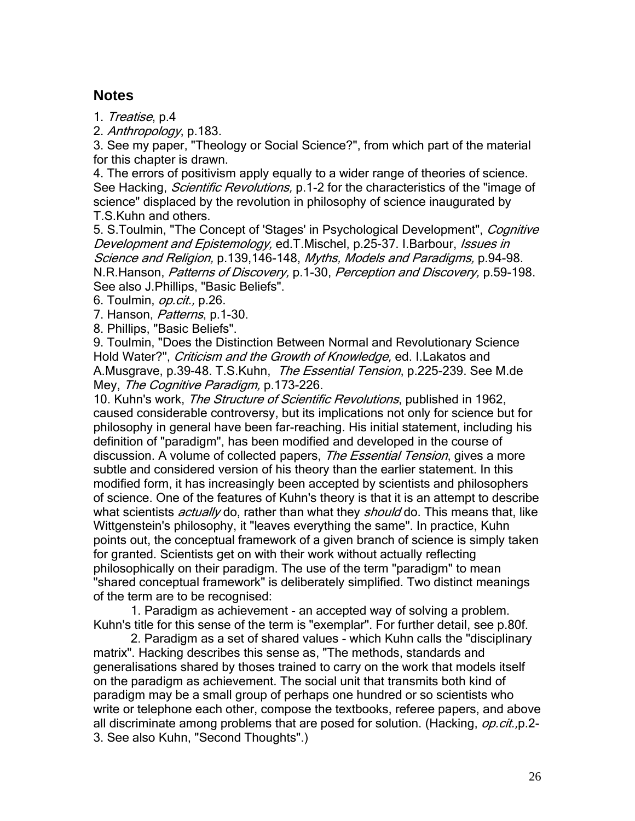# **Notes**

1. Treatise, p.4

2. Anthropology, p.183.

3. See my paper, "Theology or Social Science?", from which part of the material for this chapter is drawn.

4. The errors of positivism apply equally to a wider range of theories of science. See Hacking, *Scientific Revolutions*, p.1-2 for the characteristics of the "image of science" displaced by the revolution in philosophy of science inaugurated by T.S.Kuhn and others.

5. S. Toulmin, "The Concept of 'Stages' in Psychological Development", Cognitive Development and Epistemology, ed.T.Mischel, p.25-37. I.Barbour, Issues in Science and Religion, p.139,146-148, Myths, Models and Paradigms, p.94-98. N.R.Hanson, Patterns of Discovery, p.1-30, Perception and Discovery, p.59-198. See also J.Phillips, "Basic Beliefs".

6. Toulmin, op.cit., p.26.

7. Hanson, Patterns, p.1-30.

8. Phillips, "Basic Beliefs".

9. Toulmin, "Does the Distinction Between Normal and Revolutionary Science Hold Water?", *Criticism and the Growth of Knowledge*, ed. I. Lakatos and A.Musgrave, p.39-48. T.S.Kuhn, The Essential Tension, p.225-239. See M.de Mey, The Cognitive Paradigm, p.173-226.

10. Kuhn's work, The Structure of Scientific Revolutions, published in 1962, caused considerable controversy, but its implications not only for science but for philosophy in general have been far-reaching. His initial statement, including his definition of "paradigm", has been modified and developed in the course of discussion. A volume of collected papers, *The Essential Tension*, gives a more subtle and considered version of his theory than the earlier statement. In this modified form, it has increasingly been accepted by scientists and philosophers of science. One of the features of Kuhn's theory is that it is an attempt to describe what scientists *actually* do, rather than what they *should* do. This means that, like Wittgenstein's philosophy, it "leaves everything the same". In practice, Kuhn points out, the conceptual framework of a given branch of science is simply taken for granted. Scientists get on with their work without actually reflecting philosophically on their paradigm. The use of the term "paradigm" to mean "shared conceptual framework" is deliberately simplified. Two distinct meanings of the term are to be recognised:

1. Paradigm as achievement - an accepted way of solving a problem. Kuhn's title for this sense of the term is "exemplar". For further detail, see p.80f.

2. Paradigm as a set of shared values - which Kuhn calls the "disciplinary matrix". Hacking describes this sense as, "The methods, standards and generalisations shared by thoses trained to carry on the work that models itself on the paradigm as achievement. The social unit that transmits both kind of paradigm may be a small group of perhaps one hundred or so scientists who write or telephone each other, compose the textbooks, referee papers, and above all discriminate among problems that are posed for solution. (Hacking, *op.cit.,*p.2-3. See also Kuhn, "Second Thoughts".)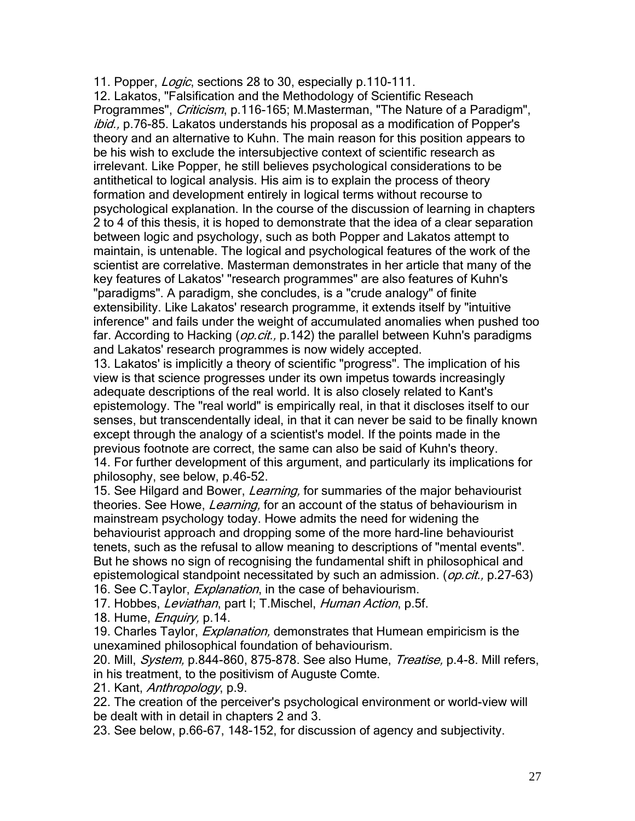11. Popper, *Logic*, sections 28 to 30, especially p.110-111.

12. Lakatos, "Falsification and the Methodology of Scientific Reseach Programmes", Criticism, p.116-165; M.Masterman, "The Nature of a Paradigm", ibid., p.76-85. Lakatos understands his proposal as a modification of Popper's theory and an alternative to Kuhn. The main reason for this position appears to be his wish to exclude the intersubjective context of scientific research as irrelevant. Like Popper, he still believes psychological considerations to be antithetical to logical analysis. His aim is to explain the process of theory formation and development entirely in logical terms without recourse to psychological explanation. In the course of the discussion of learning in chapters 2 to 4 of this thesis, it is hoped to demonstrate that the idea of a clear separation between logic and psychology, such as both Popper and Lakatos attempt to maintain, is untenable. The logical and psychological features of the work of the scientist are correlative. Masterman demonstrates in her article that many of the key features of Lakatos' "research programmes" are also features of Kuhn's "paradigms". A paradigm, she concludes, is a "crude analogy" of finite extensibility. Like Lakatos' research programme, it extends itself by "intuitive inference" and fails under the weight of accumulated anomalies when pushed too far. According to Hacking (*op.cit.,* p.142) the parallel between Kuhn's paradigms and Lakatos' research programmes is now widely accepted.

13. Lakatos' is implicitly a theory of scientific "progress". The implication of his view is that science progresses under its own impetus towards increasingly adequate descriptions of the real world. It is also closely related to Kant's epistemology. The "real world" is empirically real, in that it discloses itself to our senses, but transcendentally ideal, in that it can never be said to be finally known except through the analogy of a scientist's model. If the points made in the previous footnote are correct, the same can also be said of Kuhn's theory. 14. For further development of this argument, and particularly its implications for philosophy, see below, p.46-52.

15. See Hilgard and Bower, *Learning*, for summaries of the major behaviourist theories. See Howe, *Learning*, for an account of the status of behaviourism in mainstream psychology today. Howe admits the need for widening the behaviourist approach and dropping some of the more hard-line behaviourist tenets, such as the refusal to allow meaning to descriptions of "mental events". But he shows no sign of recognising the fundamental shift in philosophical and epistemological standpoint necessitated by such an admission. (*op.cit.*, p.27-63)

16. See C.Taylor, *Explanation*, in the case of behaviourism.

17. Hobbes, Leviathan, part I; T. Mischel, Human Action, p. 5f.

18. Hume, *Enquiry*, p.14.

19. Charles Taylor, *Explanation*, demonstrates that Humean empiricism is the unexamined philosophical foundation of behaviourism.

20. Mill, *System,* p.844-860, 875-878. See also Hume, *Treatise,* p.4-8. Mill refers, in his treatment, to the positivism of Auguste Comte.

21. Kant, Anthropology, p.9.

22. The creation of the perceiver's psychological environment or world-view will be dealt with in detail in chapters 2 and 3.

23. See below, p.66-67, 148-152, for discussion of agency and subjectivity.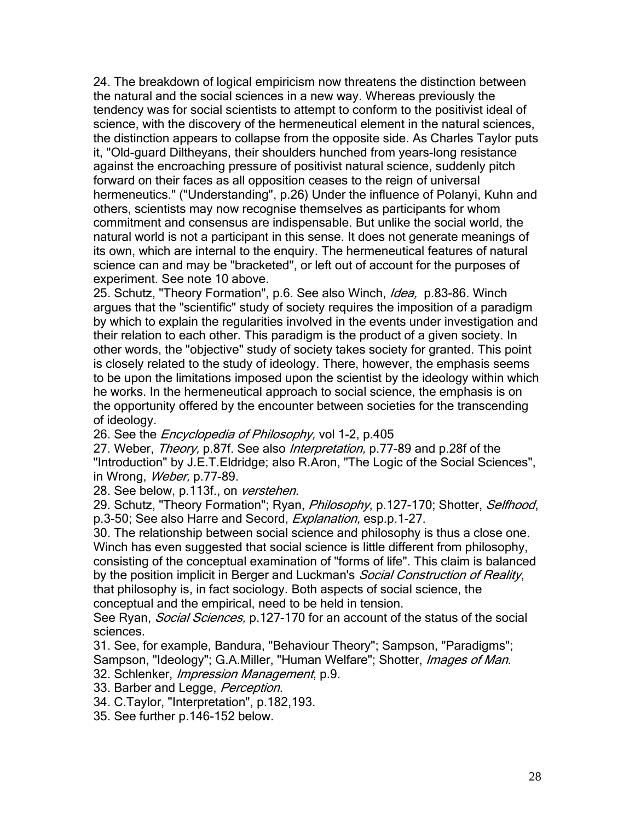24. The breakdown of logical empiricism now threatens the distinction between the natural and the social sciences in a new way. Whereas previously the tendency was for social scientists to attempt to conform to the positivist ideal of science, with the discovery of the hermeneutical element in the natural sciences, the distinction appears to collapse from the opposite side. As Charles Taylor puts it, "Old-guard Diltheyans, their shoulders hunched from years-long resistance against the encroaching pressure of positivist natural science, suddenly pitch forward on their faces as all opposition ceases to the reign of universal hermeneutics." ("Understanding", p.26) Under the influence of Polanyi, Kuhn and others, scientists may now recognise themselves as participants for whom commitment and consensus are indispensable. But unlike the social world, the natural world is not a participant in this sense. It does not generate meanings of its own, which are internal to the enquiry. The hermeneutical features of natural science can and may be "bracketed", or left out of account for the purposes of experiment. See note 10 above.

25. Schutz, "Theory Formation", p.6. See also Winch, *Idea,* p.83-86. Winch argues that the "scientific" study of society requires the imposition of a paradigm by which to explain the regularities involved in the events under investigation and their relation to each other. This paradigm is the product of a given society. In other words, the "objective" study of society takes society for granted. This point is closely related to the study of ideology. There, however, the emphasis seems to be upon the limitations imposed upon the scientist by the ideology within which he works. In the hermeneutical approach to social science, the emphasis is on the opportunity offered by the encounter between societies for the transcending of ideology.

26. See the *Encyclopedia of Philosophy*, vol 1-2, p.405

27. Weber, *Theory*, p.87f. See also *Interpretation*, p.77-89 and p.28f of the "Introduction" by J.E.T.Eldridge; also R.Aron, "The Logic of the Social Sciences", in Wrong, *Weber*, p.77-89.

28. See below, p.113f., on verstehen.

29. Schutz, "Theory Formation"; Ryan, Philosophy, p.127-170; Shotter, Selfhood, p.3-50; See also Harre and Secord, *Explanation*, esp.p.1-27.

30. The relationship between social science and philosophy is thus a close one. Winch has even suggested that social science is little different from philosophy, consisting of the conceptual examination of "forms of life". This claim is balanced by the position implicit in Berger and Luckman's Social Construction of Reality, that philosophy is, in fact sociology. Both aspects of social science, the conceptual and the empirical, need to be held in tension.

See Ryan, *Social Sciences*, p.127-170 for an account of the status of the social sciences.

31. See, for example, Bandura, "Behaviour Theory"; Sampson, "Paradigms"; Sampson, "Ideology"; G.A.Miller, "Human Welfare"; Shotter, *Images of Man.* 

32. Schlenker, *Impression Management*, p.9.

- 33. Barber and Legge, Perception.
- 34. C.Taylor, "Interpretation", p.182,193.
- 35. See further p.146-152 below.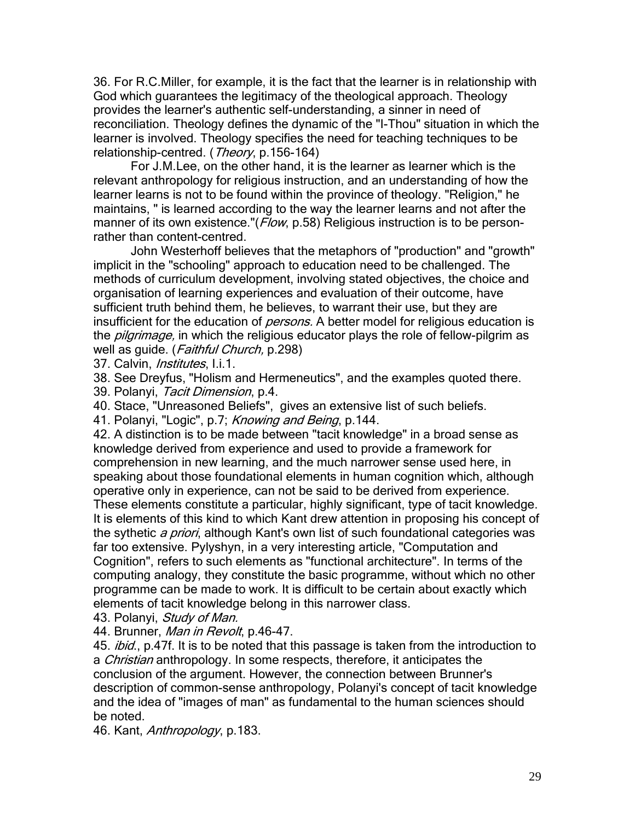36. For R.C.Miller, for example, it is the fact that the learner is in relationship with God which guarantees the legitimacy of the theological approach. Theology provides the learner's authentic self-understanding, a sinner in need of reconciliation. Theology defines the dynamic of the "I-Thou" situation in which the learner is involved. Theology specifies the need for teaching techniques to be relationship-centred. (Theory, p.156-164)

For J.M.Lee, on the other hand, it is the learner as learner which is the relevant anthropology for religious instruction, and an understanding of how the learner learns is not to be found within the province of theology. "Religion," he maintains, " is learned according to the way the learner learns and not after the manner of its own existence."(*Flow*, p.58) Religious instruction is to be personrather than content-centred.

John Westerhoff believes that the metaphors of "production" and "growth" implicit in the "schooling" approach to education need to be challenged. The methods of curriculum development, involving stated objectives, the choice and organisation of learning experiences and evaluation of their outcome, have sufficient truth behind them, he believes, to warrant their use, but they are insufficient for the education of *persons*. A better model for religious education is the *pilgrimage*, in which the religious educator plays the role of fellow-pilgrim as well as quide. (Faithful Church, p.298)

37. Calvin, *Institutes*, I.i.1.

38. See Dreyfus, "Holism and Hermeneutics", and the examples quoted there.

39. Polanyi, *Tacit Dimension*, p.4.

40. Stace, "Unreasoned Beliefs", gives an extensive list of such beliefs.

41. Polanyi, "Logic", p.7; Knowing and Being, p.144.

42. A distinction is to be made between "tacit knowledge" in a broad sense as knowledge derived from experience and used to provide a framework for comprehension in new learning, and the much narrower sense used here, in speaking about those foundational elements in human cognition which, although operative only in experience, can not be said to be derived from experience. These elements constitute a particular, highly significant, type of tacit knowledge. It is elements of this kind to which Kant drew attention in proposing his concept of the sythetic *a priori*, although Kant's own list of such foundational categories was far too extensive. Pylyshyn, in a very interesting article, "Computation and Cognition", refers to such elements as "functional architecture". In terms of the computing analogy, they constitute the basic programme, without which no other programme can be made to work. It is difficult to be certain about exactly which elements of tacit knowledge belong in this narrower class.

43. Polanyi, Study of Man.

44. Brunner, *Man in Revolt*, p.46-47.

45. *ibid.*, p.47f. It is to be noted that this passage is taken from the introduction to a *Christian* anthropology. In some respects, therefore, it anticipates the conclusion of the argument. However, the connection between Brunner's description of common-sense anthropology, Polanyi's concept of tacit knowledge and the idea of "images of man" as fundamental to the human sciences should be noted.

46. Kant, Anthropology, p.183.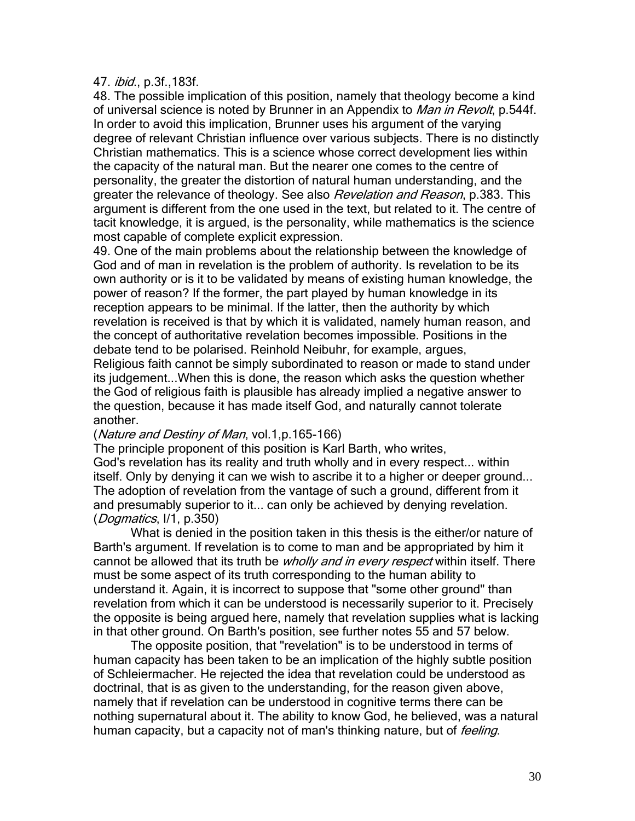### 47. ibid., p.3f.,183f.

48. The possible implication of this position, namely that theology become a kind of universal science is noted by Brunner in an Appendix to *Man in Revolt*, p.544f. In order to avoid this implication, Brunner uses his argument of the varying degree of relevant Christian influence over various subjects. There is no distinctly Christian mathematics. This is a science whose correct development lies within the capacity of the natural man. But the nearer one comes to the centre of personality, the greater the distortion of natural human understanding, and the greater the relevance of theology. See also Revelation and Reason, p.383. This argument is different from the one used in the text, but related to it. The centre of tacit knowledge, it is argued, is the personality, while mathematics is the science most capable of complete explicit expression.

49. One of the main problems about the relationship between the knowledge of God and of man in revelation is the problem of authority. Is revelation to be its own authority or is it to be validated by means of existing human knowledge, the power of reason? If the former, the part played by human knowledge in its reception appears to be minimal. If the latter, then the authority by which revelation is received is that by which it is validated, namely human reason, and the concept of authoritative revelation becomes impossible. Positions in the debate tend to be polarised. Reinhold Neibuhr, for example, argues,

Religious faith cannot be simply subordinated to reason or made to stand under its judgement...When this is done, the reason which asks the question whether the God of religious faith is plausible has already implied a negative answer to the question, because it has made itself God, and naturally cannot tolerate another.

### (*Nature and Destiny of Man*, vol. 1, p. 165-166)

The principle proponent of this position is Karl Barth, who writes,

God's revelation has its reality and truth wholly and in every respect... within itself. Only by denying it can we wish to ascribe it to a higher or deeper ground... The adoption of revelation from the vantage of such a ground, different from it and presumably superior to it... can only be achieved by denying revelation. (Dogmatics, I/1, p.350)

What is denied in the position taken in this thesis is the either/or nature of Barth's argument. If revelation is to come to man and be appropriated by him it cannot be allowed that its truth be *wholly and in every respect* within itself. There must be some aspect of its truth corresponding to the human ability to understand it. Again, it is incorrect to suppose that "some other ground" than revelation from which it can be understood is necessarily superior to it. Precisely the opposite is being argued here, namely that revelation supplies what is lacking in that other ground. On Barth's position, see further notes 55 and 57 below.

The opposite position, that "revelation" is to be understood in terms of human capacity has been taken to be an implication of the highly subtle position of Schleiermacher. He rejected the idea that revelation could be understood as doctrinal, that is as given to the understanding, for the reason given above, namely that if revelation can be understood in cognitive terms there can be nothing supernatural about it. The ability to know God, he believed, was a natural human capacity, but a capacity not of man's thinking nature, but of *feeling*.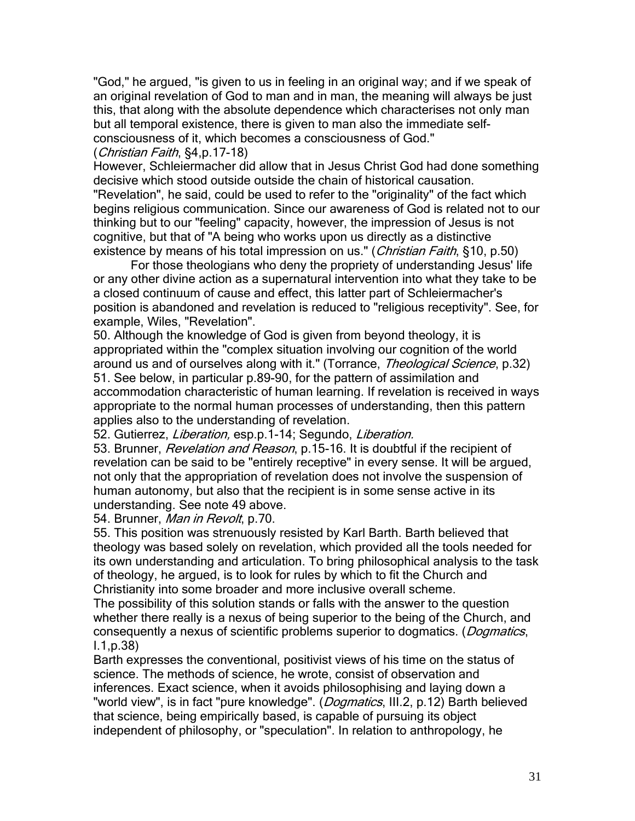"God," he argued, "is given to us in feeling in an original way; and if we speak of an original revelation of God to man and in man, the meaning will always be just this, that along with the absolute dependence which characterises not only man but all temporal existence, there is given to man also the immediate selfconsciousness of it, which becomes a consciousness of God."

(Christian Faith, §4,p.17-18)

However, Schleiermacher did allow that in Jesus Christ God had done something decisive which stood outside outside the chain of historical causation.

"Revelation", he said, could be used to refer to the "originality" of the fact which begins religious communication. Since our awareness of God is related not to our thinking but to our "feeling" capacity, however, the impression of Jesus is not cognitive, but that of "A being who works upon us directly as a distinctive existence by means of his total impression on us." (Christian Faith, §10, p.50)

For those theologians who deny the propriety of understanding Jesus' life or any other divine action as a supernatural intervention into what they take to be a closed continuum of cause and effect, this latter part of Schleiermacher's position is abandoned and revelation is reduced to "religious receptivity". See, for example, Wiles, "Revelation".

50. Although the knowledge of God is given from beyond theology, it is appropriated within the "complex situation involving our cognition of the world around us and of ourselves along with it." (Torrance, *Theological Science*, p.32) 51. See below, in particular p.89-90, for the pattern of assimilation and accommodation characteristic of human learning. If revelation is received in ways appropriate to the normal human processes of understanding, then this pattern applies also to the understanding of revelation.

52. Gutierrez, Liberation, esp.p.1-14; Segundo, Liberation.

53. Brunner, *Revelation and Reason*, p.15-16. It is doubtful if the recipient of revelation can be said to be "entirely receptive" in every sense. It will be argued, not only that the appropriation of revelation does not involve the suspension of human autonomy, but also that the recipient is in some sense active in its understanding. See note 49 above.

54. Brunner, Man in Revolt, p.70.

55. This position was strenuously resisted by Karl Barth. Barth believed that theology was based solely on revelation, which provided all the tools needed for its own understanding and articulation. To bring philosophical analysis to the task of theology, he argued, is to look for rules by which to fit the Church and Christianity into some broader and more inclusive overall scheme.

The possibility of this solution stands or falls with the answer to the question whether there really is a nexus of being superior to the being of the Church, and consequently a nexus of scientific problems superior to dogmatics. (*Dogmatics*, I.1,p.38)

Barth expresses the conventional, positivist views of his time on the status of science. The methods of science, he wrote, consist of observation and inferences. Exact science, when it avoids philosophising and laying down a "world view", is in fact "pure knowledge". (*Dogmatics*, III.2, p.12) Barth believed that science, being empirically based, is capable of pursuing its object independent of philosophy, or "speculation". In relation to anthropology, he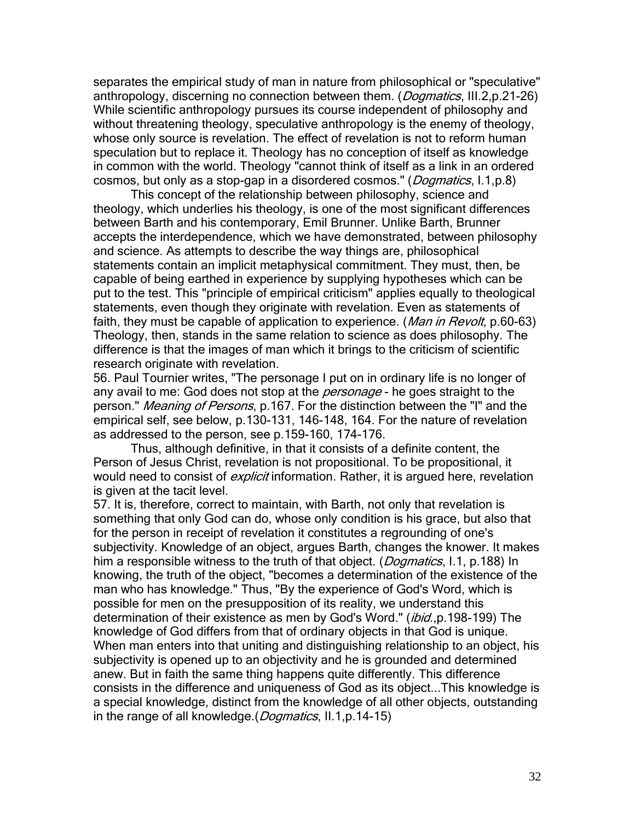separates the empirical study of man in nature from philosophical or "speculative" anthropology, discerning no connection between them. (*Dogmatics*, III.2, p.21-26) While scientific anthropology pursues its course independent of philosophy and without threatening theology, speculative anthropology is the enemy of theology, whose only source is revelation. The effect of revelation is not to reform human speculation but to replace it. Theology has no conception of itself as knowledge in common with the world. Theology "cannot think of itself as a link in an ordered cosmos, but only as a stop-gap in a disordered cosmos." (*Dogmatics*, I.1,p.8)

This concept of the relationship between philosophy, science and theology, which underlies his theology, is one of the most significant differences between Barth and his contemporary, Emil Brunner. Unlike Barth, Brunner accepts the interdependence, which we have demonstrated, between philosophy and science. As attempts to describe the way things are, philosophical statements contain an implicit metaphysical commitment. They must, then, be capable of being earthed in experience by supplying hypotheses which can be put to the test. This "principle of empirical criticism" applies equally to theological statements, even though they originate with revelation. Even as statements of faith, they must be capable of application to experience. (*Man in Revolt*, p.60-63) Theology, then, stands in the same relation to science as does philosophy. The difference is that the images of man which it brings to the criticism of scientific research originate with revelation.

56. Paul Tournier writes, "The personage I put on in ordinary life is no longer of any avail to me: God does not stop at the *personage* - he goes straight to the person." *Meaning of Persons*, p.167. For the distinction between the "I" and the empirical self, see below, p.130-131, 146-148, 164. For the nature of revelation as addressed to the person, see p.159-160, 174-176.

Thus, although definitive, in that it consists of a definite content, the Person of Jesus Christ, revelation is not propositional. To be propositional, it would need to consist of *explicit* information. Rather, it is argued here, revelation is given at the tacit level.

57. It is, therefore, correct to maintain, with Barth, not only that revelation is something that only God can do, whose only condition is his grace, but also that for the person in receipt of revelation it constitutes a regrounding of one's subjectivity. Knowledge of an object, argues Barth, changes the knower. It makes him a responsible witness to the truth of that object. (*Dogmatics*, I.1, p.188) In knowing, the truth of the object, "becomes a determination of the existence of the man who has knowledge." Thus, "By the experience of God's Word, which is possible for men on the presupposition of its reality, we understand this determination of their existence as men by God's Word." (ibid., p. 198-199) The knowledge of God differs from that of ordinary objects in that God is unique. When man enters into that uniting and distinguishing relationship to an object, his subjectivity is opened up to an objectivity and he is grounded and determined anew. But in faith the same thing happens quite differently. This difference consists in the difference and uniqueness of God as its object...This knowledge is a special knowledge, distinct from the knowledge of all other objects, outstanding in the range of all knowledge. (*Dogmatics*, II.1, p. 14-15)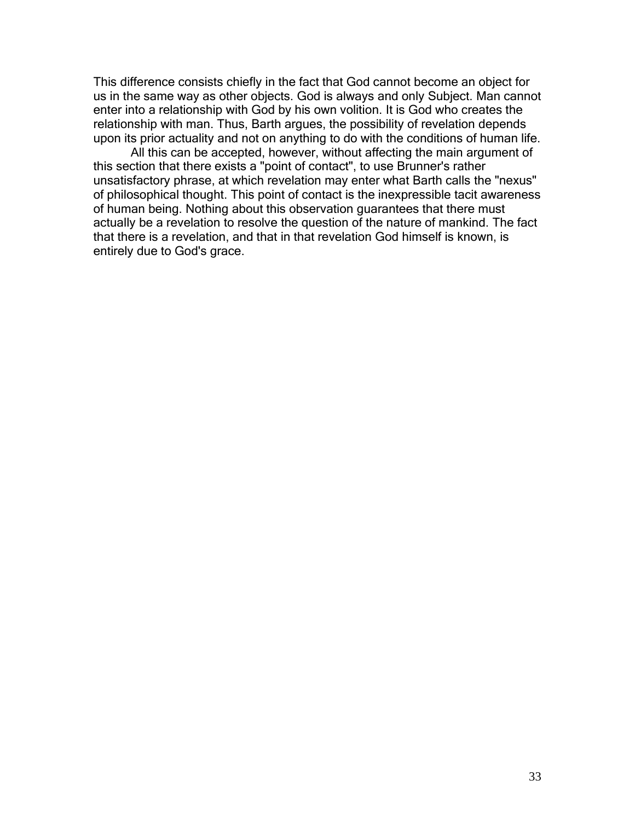This difference consists chiefly in the fact that God cannot become an object for us in the same way as other objects. God is always and only Subject. Man cannot enter into a relationship with God by his own volition. It is God who creates the relationship with man. Thus, Barth argues, the possibility of revelation depends upon its prior actuality and not on anything to do with the conditions of human life.

All this can be accepted, however, without affecting the main argument of this section that there exists a "point of contact", to use Brunner's rather unsatisfactory phrase, at which revelation may enter what Barth calls the "nexus" of philosophical thought. This point of contact is the inexpressible tacit awareness of human being. Nothing about this observation guarantees that there must actually be a revelation to resolve the question of the nature of mankind. The fact that there is a revelation, and that in that revelation God himself is known, is entirely due to God's grace.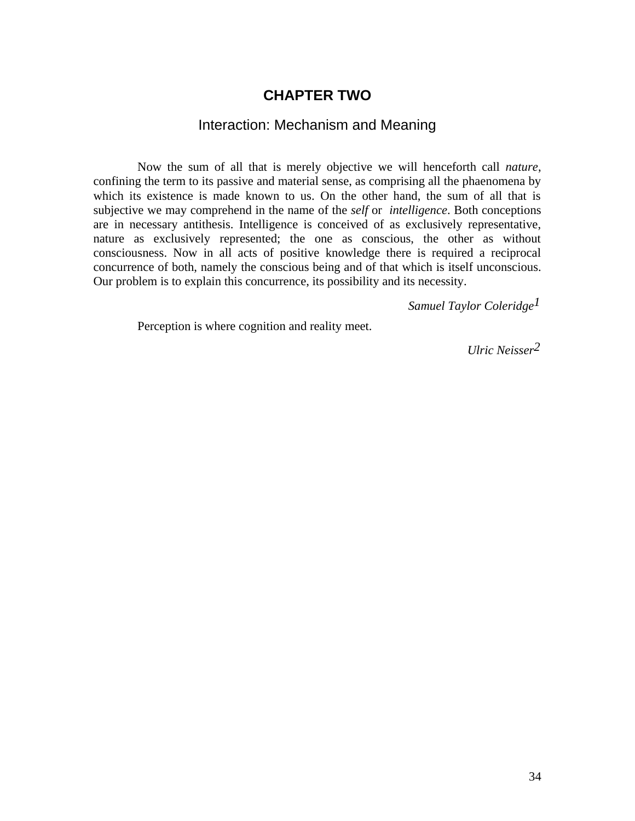# **CHAPTER TWO**

## Interaction: Mechanism and Meaning

Now the sum of all that is merely objective we will henceforth call *nature*, confining the term to its passive and material sense, as comprising all the phaenomena by which its existence is made known to us. On the other hand, the sum of all that is subjective we may comprehend in the name of the *self* or *intelligence*. Both conceptions are in necessary antithesis. Intelligence is conceived of as exclusively representative, nature as exclusively represented; the one as conscious, the other as without consciousness. Now in all acts of positive knowledge there is required a reciprocal concurrence of both, namely the conscious being and of that which is itself unconscious. Our problem is to explain this concurrence, its possibility and its necessity.

*Samuel Taylor Coleridge1*

Perception is where cognition and reality meet.

*Ulric Neisser2*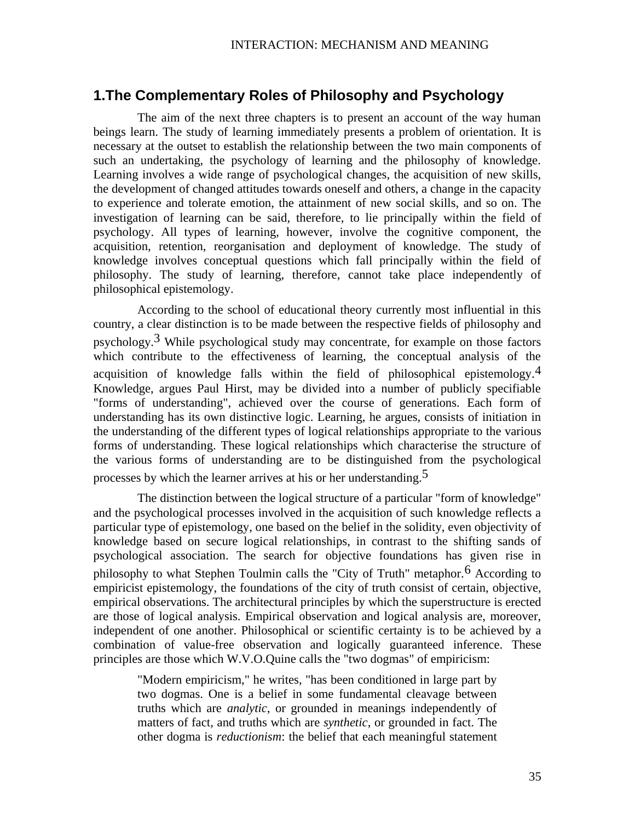## **1.The Complementary Roles of Philosophy and Psychology**

The aim of the next three chapters is to present an account of the way human beings learn. The study of learning immediately presents a problem of orientation. It is necessary at the outset to establish the relationship between the two main components of such an undertaking, the psychology of learning and the philosophy of knowledge. Learning involves a wide range of psychological changes, the acquisition of new skills, the development of changed attitudes towards oneself and others, a change in the capacity to experience and tolerate emotion, the attainment of new social skills, and so on. The investigation of learning can be said, therefore, to lie principally within the field of psychology. All types of learning, however, involve the cognitive component, the acquisition, retention, reorganisation and deployment of knowledge. The study of knowledge involves conceptual questions which fall principally within the field of philosophy. The study of learning, therefore, cannot take place independently of philosophical epistemology.

According to the school of educational theory currently most influential in this country, a clear distinction is to be made between the respective fields of philosophy and psychology.3 While psychological study may concentrate, for example on those factors which contribute to the effectiveness of learning, the conceptual analysis of the acquisition of knowledge falls within the field of philosophical epistemology.4 Knowledge, argues Paul Hirst, may be divided into a number of publicly specifiable "forms of understanding", achieved over the course of generations. Each form of understanding has its own distinctive logic. Learning, he argues, consists of initiation in the understanding of the different types of logical relationships appropriate to the various forms of understanding. These logical relationships which characterise the structure of the various forms of understanding are to be distinguished from the psychological processes by which the learner arrives at his or her understanding.<sup>5</sup>

The distinction between the logical structure of a particular "form of knowledge" and the psychological processes involved in the acquisition of such knowledge reflects a particular type of epistemology, one based on the belief in the solidity, even objectivity of knowledge based on secure logical relationships, in contrast to the shifting sands of psychological association. The search for objective foundations has given rise in philosophy to what Stephen Toulmin calls the "City of Truth" metaphor.6 According to empiricist epistemology, the foundations of the city of truth consist of certain, objective, empirical observations. The architectural principles by which the superstructure is erected are those of logical analysis. Empirical observation and logical analysis are, moreover, independent of one another. Philosophical or scientific certainty is to be achieved by a combination of value-free observation and logically guaranteed inference. These principles are those which W.V.O.Quine calls the "two dogmas" of empiricism:

"Modern empiricism," he writes, "has been conditioned in large part by two dogmas. One is a belief in some fundamental cleavage between truths which are *analytic*, or grounded in meanings independently of matters of fact, and truths which are *synthetic*, or grounded in fact. The other dogma is *reductionism*: the belief that each meaningful statement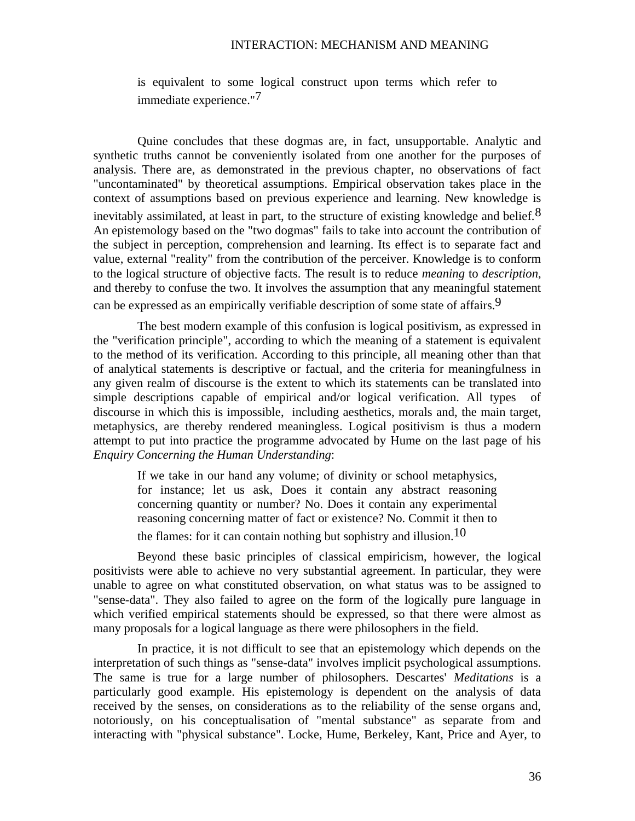### INTERACTION: MECHANISM AND MEANING

is equivalent to some logical construct upon terms which refer to immediate experience."7

Quine concludes that these dogmas are, in fact, unsupportable. Analytic and synthetic truths cannot be conveniently isolated from one another for the purposes of analysis. There are, as demonstrated in the previous chapter, no observations of fact "uncontaminated" by theoretical assumptions. Empirical observation takes place in the context of assumptions based on previous experience and learning. New knowledge is inevitably assimilated, at least in part, to the structure of existing knowledge and belief.<sup>8</sup> An epistemology based on the "two dogmas" fails to take into account the contribution of the subject in perception, comprehension and learning. Its effect is to separate fact and value, external "reality" from the contribution of the perceiver. Knowledge is to conform to the logical structure of objective facts. The result is to reduce *meaning* to *description*, and thereby to confuse the two. It involves the assumption that any meaningful statement can be expressed as an empirically verifiable description of some state of affairs.<sup>9</sup>

The best modern example of this confusion is logical positivism, as expressed in the "verification principle", according to which the meaning of a statement is equivalent to the method of its verification. According to this principle, all meaning other than that of analytical statements is descriptive or factual, and the criteria for meaningfulness in any given realm of discourse is the extent to which its statements can be translated into simple descriptions capable of empirical and/or logical verification. All types of discourse in which this is impossible, including aesthetics, morals and, the main target, metaphysics, are thereby rendered meaningless. Logical positivism is thus a modern attempt to put into practice the programme advocated by Hume on the last page of his *Enquiry Concerning the Human Understanding*:

If we take in our hand any volume; of divinity or school metaphysics, for instance; let us ask, Does it contain any abstract reasoning concerning quantity or number? No. Does it contain any experimental reasoning concerning matter of fact or existence? No. Commit it then to the flames: for it can contain nothing but sophistry and illusion.<sup>10</sup>

Beyond these basic principles of classical empiricism, however, the logical positivists were able to achieve no very substantial agreement. In particular, they were unable to agree on what constituted observation, on what status was to be assigned to "sense-data". They also failed to agree on the form of the logically pure language in which verified empirical statements should be expressed, so that there were almost as many proposals for a logical language as there were philosophers in the field.

In practice, it is not difficult to see that an epistemology which depends on the interpretation of such things as "sense-data" involves implicit psychological assumptions. The same is true for a large number of philosophers. Descartes' *Meditations* is a particularly good example. His epistemology is dependent on the analysis of data received by the senses, on considerations as to the reliability of the sense organs and, notoriously, on his conceptualisation of "mental substance" as separate from and interacting with "physical substance". Locke, Hume, Berkeley, Kant, Price and Ayer, to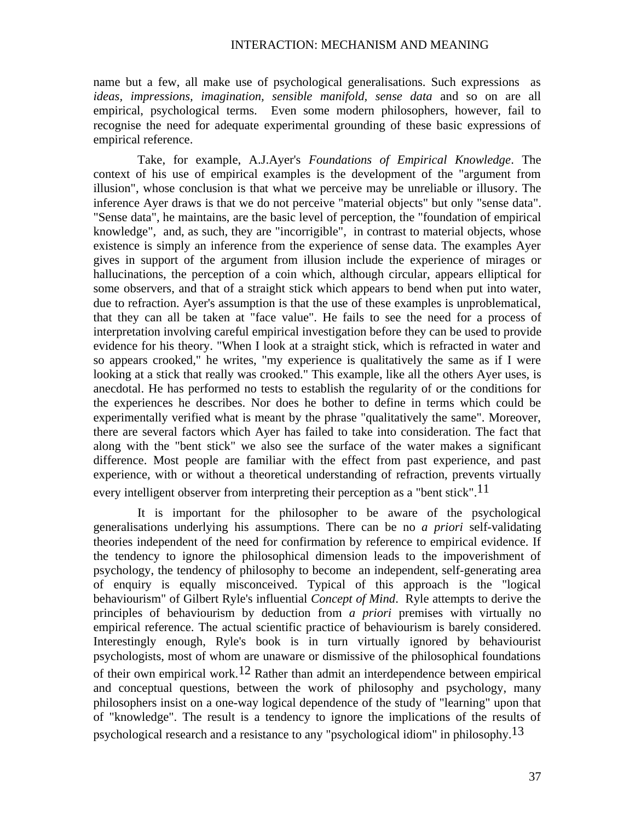name but a few, all make use of psychological generalisations. Such expressions as *ideas, impressions, imagination, sensible manifold, sense data* and so on are all empirical, psychological terms. Even some modern philosophers, however, fail to recognise the need for adequate experimental grounding of these basic expressions of empirical reference.

Take, for example, A.J.Ayer's *Foundations of Empirical Knowledge*. The context of his use of empirical examples is the development of the "argument from illusion", whose conclusion is that what we perceive may be unreliable or illusory. The inference Ayer draws is that we do not perceive "material objects" but only "sense data". "Sense data", he maintains, are the basic level of perception, the "foundation of empirical knowledge", and, as such, they are "incorrigible", in contrast to material objects, whose existence is simply an inference from the experience of sense data. The examples Ayer gives in support of the argument from illusion include the experience of mirages or hallucinations, the perception of a coin which, although circular, appears elliptical for some observers, and that of a straight stick which appears to bend when put into water, due to refraction. Ayer's assumption is that the use of these examples is unproblematical, that they can all be taken at "face value". He fails to see the need for a process of interpretation involving careful empirical investigation before they can be used to provide evidence for his theory. "When I look at a straight stick, which is refracted in water and so appears crooked," he writes, "my experience is qualitatively the same as if I were looking at a stick that really was crooked." This example, like all the others Ayer uses, is anecdotal. He has performed no tests to establish the regularity of or the conditions for the experiences he describes. Nor does he bother to define in terms which could be experimentally verified what is meant by the phrase "qualitatively the same". Moreover, there are several factors which Ayer has failed to take into consideration. The fact that along with the "bent stick" we also see the surface of the water makes a significant difference. Most people are familiar with the effect from past experience, and past experience, with or without a theoretical understanding of refraction, prevents virtually every intelligent observer from interpreting their perception as a "bent stick".<sup>11</sup>

It is important for the philosopher to be aware of the psychological generalisations underlying his assumptions. There can be no *a priori* self-validating theories independent of the need for confirmation by reference to empirical evidence. If the tendency to ignore the philosophical dimension leads to the impoverishment of psychology, the tendency of philosophy to become an independent, self-generating area of enquiry is equally misconceived. Typical of this approach is the "logical behaviourism" of Gilbert Ryle's influential *Concept of Mind*. Ryle attempts to derive the principles of behaviourism by deduction from *a priori* premises with virtually no empirical reference. The actual scientific practice of behaviourism is barely considered. Interestingly enough, Ryle's book is in turn virtually ignored by behaviourist psychologists, most of whom are unaware or dismissive of the philosophical foundations of their own empirical work.12 Rather than admit an interdependence between empirical and conceptual questions, between the work of philosophy and psychology, many philosophers insist on a one-way logical dependence of the study of "learning" upon that of "knowledge". The result is a tendency to ignore the implications of the results of psychological research and a resistance to any "psychological idiom" in philosophy.<sup>13</sup>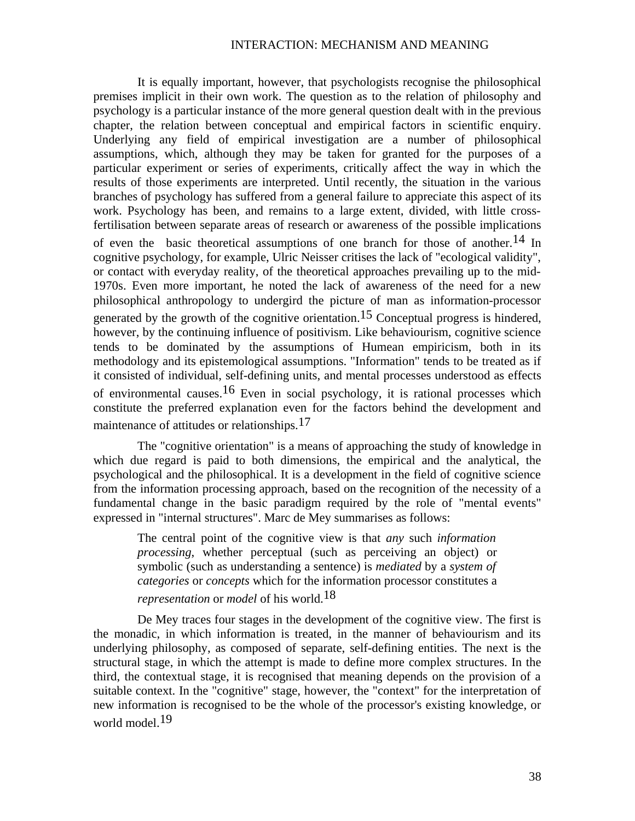It is equally important, however, that psychologists recognise the philosophical premises implicit in their own work. The question as to the relation of philosophy and psychology is a particular instance of the more general question dealt with in the previous chapter, the relation between conceptual and empirical factors in scientific enquiry. Underlying any field of empirical investigation are a number of philosophical assumptions, which, although they may be taken for granted for the purposes of a particular experiment or series of experiments, critically affect the way in which the results of those experiments are interpreted. Until recently, the situation in the various branches of psychology has suffered from a general failure to appreciate this aspect of its work. Psychology has been, and remains to a large extent, divided, with little crossfertilisation between separate areas of research or awareness of the possible implications of even the basic theoretical assumptions of one branch for those of another.14 In cognitive psychology, for example, Ulric Neisser critises the lack of "ecological validity", or contact with everyday reality, of the theoretical approaches prevailing up to the mid-1970s. Even more important, he noted the lack of awareness of the need for a new philosophical anthropology to undergird the picture of man as information-processor generated by the growth of the cognitive orientation.<sup>15</sup> Conceptual progress is hindered, however, by the continuing influence of positivism. Like behaviourism, cognitive science tends to be dominated by the assumptions of Humean empiricism, both in its methodology and its epistemological assumptions. "Information" tends to be treated as if it consisted of individual, self-defining units, and mental processes understood as effects of environmental causes.<sup>16</sup> Even in social psychology, it is rational processes which constitute the preferred explanation even for the factors behind the development and maintenance of attitudes or relationships.<sup>17</sup>

The "cognitive orientation" is a means of approaching the study of knowledge in which due regard is paid to both dimensions, the empirical and the analytical, the psychological and the philosophical. It is a development in the field of cognitive science from the information processing approach, based on the recognition of the necessity of a fundamental change in the basic paradigm required by the role of "mental events" expressed in "internal structures". Marc de Mey summarises as follows:

The central point of the cognitive view is that *any* such *information processing*, whether perceptual (such as perceiving an object) or symbolic (such as understanding a sentence) is *mediated* by a *system of categories* or *concepts* which for the information processor constitutes a *representation* or *model* of his world.18

De Mey traces four stages in the development of the cognitive view. The first is the monadic, in which information is treated, in the manner of behaviourism and its underlying philosophy, as composed of separate, self-defining entities. The next is the structural stage, in which the attempt is made to define more complex structures. In the third, the contextual stage, it is recognised that meaning depends on the provision of a suitable context. In the "cognitive" stage, however, the "context" for the interpretation of new information is recognised to be the whole of the processor's existing knowledge, or world model.<sup>19</sup>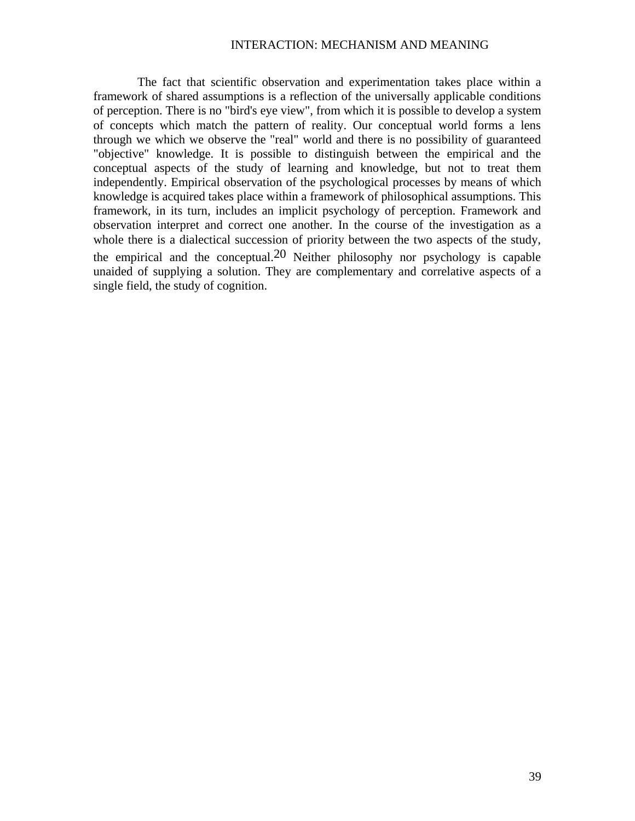The fact that scientific observation and experimentation takes place within a framework of shared assumptions is a reflection of the universally applicable conditions of perception. There is no "bird's eye view", from which it is possible to develop a system of concepts which match the pattern of reality. Our conceptual world forms a lens through we which we observe the "real" world and there is no possibility of guaranteed "objective" knowledge. It is possible to distinguish between the empirical and the conceptual aspects of the study of learning and knowledge, but not to treat them independently. Empirical observation of the psychological processes by means of which knowledge is acquired takes place within a framework of philosophical assumptions. This framework, in its turn, includes an implicit psychology of perception. Framework and observation interpret and correct one another. In the course of the investigation as a whole there is a dialectical succession of priority between the two aspects of the study, the empirical and the conceptual. <sup>20</sup> Neither philosophy nor psychology is capable unaided of supplying a solution. They are complementary and correlative aspects of a single field, the study of cognition.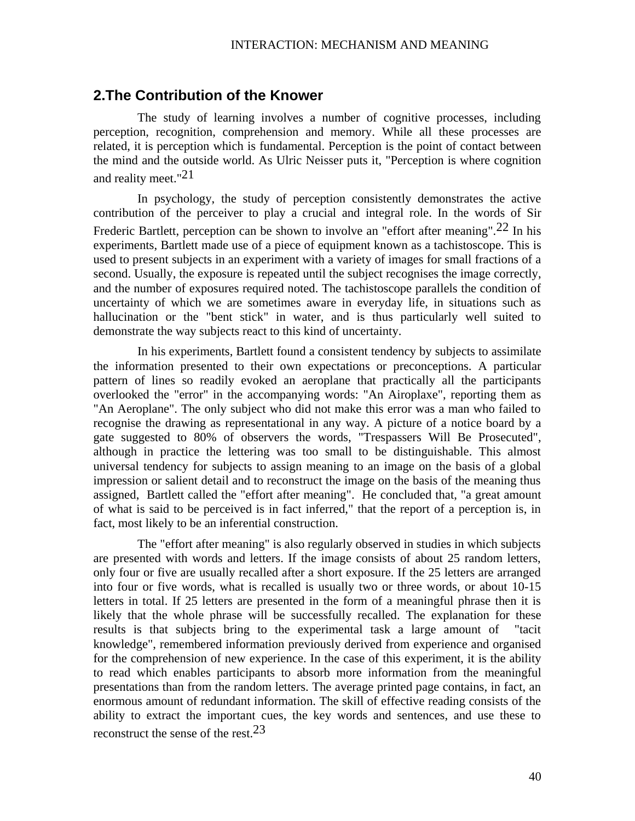### **2.The Contribution of the Knower**

The study of learning involves a number of cognitive processes, including perception, recognition, comprehension and memory. While all these processes are related, it is perception which is fundamental. Perception is the point of contact between the mind and the outside world. As Ulric Neisser puts it, "Perception is where cognition and reality meet." $21$ 

In psychology, the study of perception consistently demonstrates the active contribution of the perceiver to play a crucial and integral role. In the words of Sir Frederic Bartlett, perception can be shown to involve an "effort after meaning". <sup>22</sup> In his experiments, Bartlett made use of a piece of equipment known as a tachistoscope. This is used to present subjects in an experiment with a variety of images for small fractions of a second. Usually, the exposure is repeated until the subject recognises the image correctly, and the number of exposures required noted. The tachistoscope parallels the condition of uncertainty of which we are sometimes aware in everyday life, in situations such as hallucination or the "bent stick" in water, and is thus particularly well suited to demonstrate the way subjects react to this kind of uncertainty.

In his experiments, Bartlett found a consistent tendency by subjects to assimilate the information presented to their own expectations or preconceptions. A particular pattern of lines so readily evoked an aeroplane that practically all the participants overlooked the "error" in the accompanying words: "An Airoplaxe", reporting them as "An Aeroplane". The only subject who did not make this error was a man who failed to recognise the drawing as representational in any way. A picture of a notice board by a gate suggested to 80% of observers the words, "Trespassers Will Be Prosecuted", although in practice the lettering was too small to be distinguishable. This almost universal tendency for subjects to assign meaning to an image on the basis of a global impression or salient detail and to reconstruct the image on the basis of the meaning thus assigned, Bartlett called the "effort after meaning". He concluded that, "a great amount of what is said to be perceived is in fact inferred," that the report of a perception is, in fact, most likely to be an inferential construction.

The "effort after meaning" is also regularly observed in studies in which subjects are presented with words and letters. If the image consists of about 25 random letters, only four or five are usually recalled after a short exposure. If the 25 letters are arranged into four or five words, what is recalled is usually two or three words, or about 10-15 letters in total. If 25 letters are presented in the form of a meaningful phrase then it is likely that the whole phrase will be successfully recalled. The explanation for these results is that subjects bring to the experimental task a large amount of "tacit knowledge", remembered information previously derived from experience and organised for the comprehension of new experience. In the case of this experiment, it is the ability to read which enables participants to absorb more information from the meaningful presentations than from the random letters. The average printed page contains, in fact, an enormous amount of redundant information. The skill of effective reading consists of the ability to extract the important cues, the key words and sentences, and use these to reconstruct the sense of the rest.23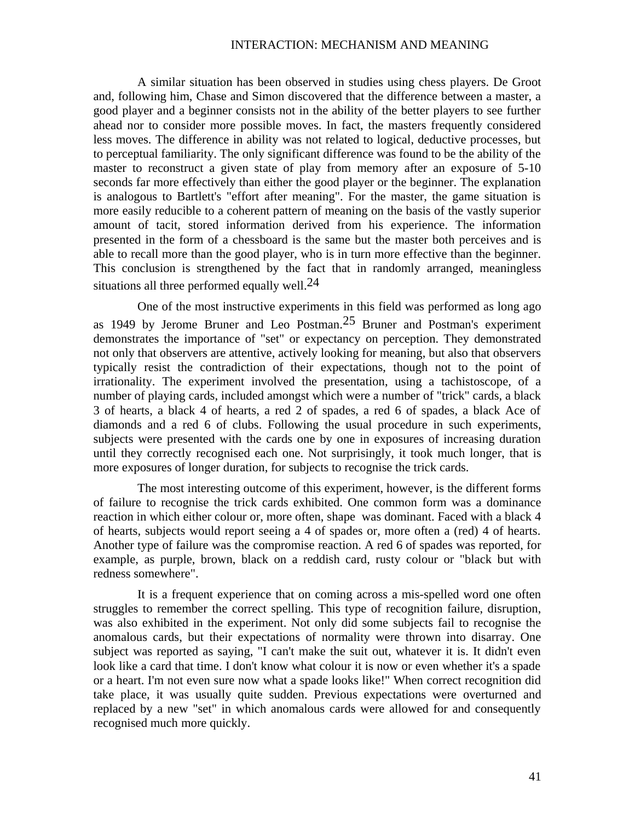A similar situation has been observed in studies using chess players. De Groot and, following him, Chase and Simon discovered that the difference between a master, a good player and a beginner consists not in the ability of the better players to see further ahead nor to consider more possible moves. In fact, the masters frequently considered less moves. The difference in ability was not related to logical, deductive processes, but to perceptual familiarity. The only significant difference was found to be the ability of the master to reconstruct a given state of play from memory after an exposure of 5-10 seconds far more effectively than either the good player or the beginner. The explanation is analogous to Bartlett's "effort after meaning". For the master, the game situation is more easily reducible to a coherent pattern of meaning on the basis of the vastly superior amount of tacit, stored information derived from his experience. The information presented in the form of a chessboard is the same but the master both perceives and is able to recall more than the good player, who is in turn more effective than the beginner. This conclusion is strengthened by the fact that in randomly arranged, meaningless situations all three performed equally well.<sup>24</sup>

One of the most instructive experiments in this field was performed as long ago as 1949 by Jerome Bruner and Leo Postman.25 Bruner and Postman's experiment demonstrates the importance of "set" or expectancy on perception. They demonstrated not only that observers are attentive, actively looking for meaning, but also that observers typically resist the contradiction of their expectations, though not to the point of irrationality. The experiment involved the presentation, using a tachistoscope, of a number of playing cards, included amongst which were a number of "trick" cards, a black 3 of hearts, a black 4 of hearts, a red 2 of spades, a red 6 of spades, a black Ace of diamonds and a red 6 of clubs. Following the usual procedure in such experiments, subjects were presented with the cards one by one in exposures of increasing duration until they correctly recognised each one. Not surprisingly, it took much longer, that is more exposures of longer duration, for subjects to recognise the trick cards.

The most interesting outcome of this experiment, however, is the different forms of failure to recognise the trick cards exhibited. One common form was a dominance reaction in which either colour or, more often, shape was dominant. Faced with a black 4 of hearts, subjects would report seeing a 4 of spades or, more often a (red) 4 of hearts. Another type of failure was the compromise reaction. A red 6 of spades was reported, for example, as purple, brown, black on a reddish card, rusty colour or "black but with redness somewhere".

It is a frequent experience that on coming across a mis-spelled word one often struggles to remember the correct spelling. This type of recognition failure, disruption, was also exhibited in the experiment. Not only did some subjects fail to recognise the anomalous cards, but their expectations of normality were thrown into disarray. One subject was reported as saying, "I can't make the suit out, whatever it is. It didn't even look like a card that time. I don't know what colour it is now or even whether it's a spade or a heart. I'm not even sure now what a spade looks like!" When correct recognition did take place, it was usually quite sudden. Previous expectations were overturned and replaced by a new "set" in which anomalous cards were allowed for and consequently recognised much more quickly.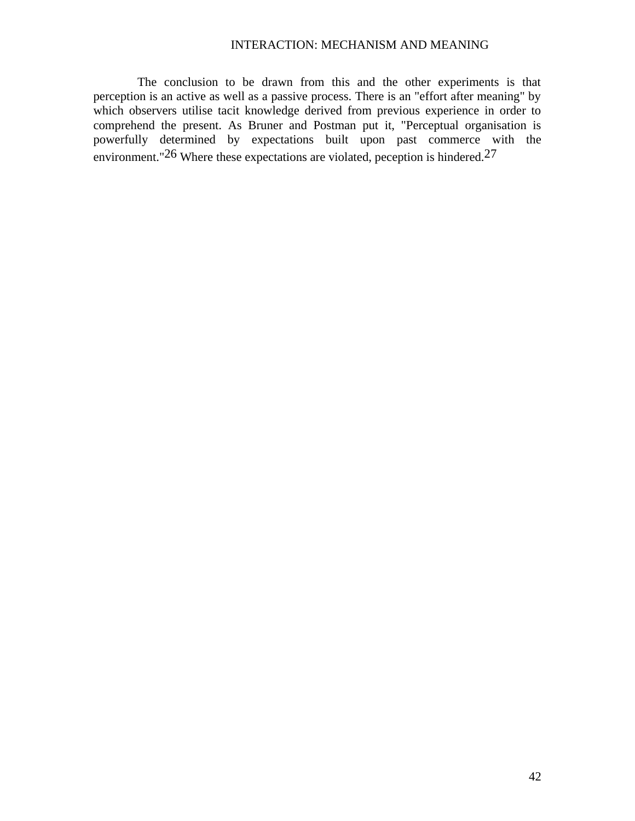The conclusion to be drawn from this and the other experiments is that perception is an active as well as a passive process. There is an "effort after meaning" by which observers utilise tacit knowledge derived from previous experience in order to comprehend the present. As Bruner and Postman put it, "Perceptual organisation is powerfully determined by expectations built upon past commerce with the environment."<sup>26</sup> Where these expectations are violated, peception is hindered.<sup>27</sup>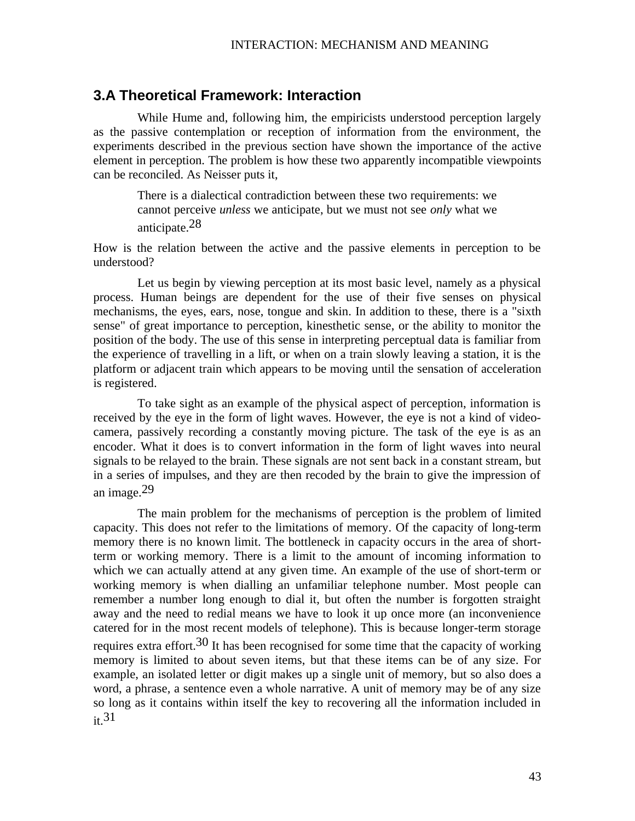### **3.A Theoretical Framework: Interaction**

While Hume and, following him, the empiricists understood perception largely as the passive contemplation or reception of information from the environment, the experiments described in the previous section have shown the importance of the active element in perception. The problem is how these two apparently incompatible viewpoints can be reconciled. As Neisser puts it,

There is a dialectical contradiction between these two requirements: we cannot perceive *unless* we anticipate, but we must not see *only* what we anticipate.<sup>28</sup>

How is the relation between the active and the passive elements in perception to be understood?

Let us begin by viewing perception at its most basic level, namely as a physical process. Human beings are dependent for the use of their five senses on physical mechanisms, the eyes, ears, nose, tongue and skin. In addition to these, there is a "sixth sense" of great importance to perception, kinesthetic sense, or the ability to monitor the position of the body. The use of this sense in interpreting perceptual data is familiar from the experience of travelling in a lift, or when on a train slowly leaving a station, it is the platform or adjacent train which appears to be moving until the sensation of acceleration is registered.

To take sight as an example of the physical aspect of perception, information is received by the eye in the form of light waves. However, the eye is not a kind of videocamera, passively recording a constantly moving picture. The task of the eye is as an encoder. What it does is to convert information in the form of light waves into neural signals to be relayed to the brain. These signals are not sent back in a constant stream, but in a series of impulses, and they are then recoded by the brain to give the impression of an image.29

The main problem for the mechanisms of perception is the problem of limited capacity. This does not refer to the limitations of memory. Of the capacity of long-term memory there is no known limit. The bottleneck in capacity occurs in the area of shortterm or working memory. There is a limit to the amount of incoming information to which we can actually attend at any given time. An example of the use of short-term or working memory is when dialling an unfamiliar telephone number. Most people can remember a number long enough to dial it, but often the number is forgotten straight away and the need to redial means we have to look it up once more (an inconvenience catered for in the most recent models of telephone). This is because longer-term storage requires extra effort.<sup>30</sup> It has been recognised for some time that the capacity of working memory is limited to about seven items, but that these items can be of any size. For example, an isolated letter or digit makes up a single unit of memory, but so also does a word, a phrase, a sentence even a whole narrative. A unit of memory may be of any size so long as it contains within itself the key to recovering all the information included in it.31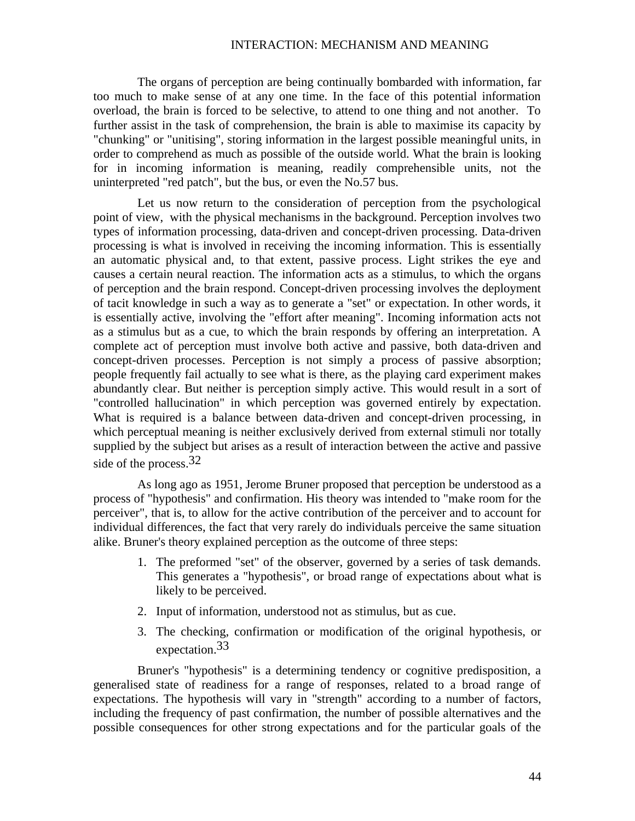The organs of perception are being continually bombarded with information, far too much to make sense of at any one time. In the face of this potential information overload, the brain is forced to be selective, to attend to one thing and not another. To further assist in the task of comprehension, the brain is able to maximise its capacity by "chunking" or "unitising", storing information in the largest possible meaningful units, in order to comprehend as much as possible of the outside world. What the brain is looking for in incoming information is meaning, readily comprehensible units, not the uninterpreted "red patch", but the bus, or even the No.57 bus.

Let us now return to the consideration of perception from the psychological point of view, with the physical mechanisms in the background. Perception involves two types of information processing, data-driven and concept-driven processing. Data-driven processing is what is involved in receiving the incoming information. This is essentially an automatic physical and, to that extent, passive process. Light strikes the eye and causes a certain neural reaction. The information acts as a stimulus, to which the organs of perception and the brain respond. Concept-driven processing involves the deployment of tacit knowledge in such a way as to generate a "set" or expectation. In other words, it is essentially active, involving the "effort after meaning". Incoming information acts not as a stimulus but as a cue, to which the brain responds by offering an interpretation. A complete act of perception must involve both active and passive, both data-driven and concept-driven processes. Perception is not simply a process of passive absorption; people frequently fail actually to see what is there, as the playing card experiment makes abundantly clear. But neither is perception simply active. This would result in a sort of "controlled hallucination" in which perception was governed entirely by expectation. What is required is a balance between data-driven and concept-driven processing, in which perceptual meaning is neither exclusively derived from external stimuli nor totally supplied by the subject but arises as a result of interaction between the active and passive side of the process.<sup>32</sup>

As long ago as 1951, Jerome Bruner proposed that perception be understood as a process of "hypothesis" and confirmation. His theory was intended to "make room for the perceiver", that is, to allow for the active contribution of the perceiver and to account for individual differences, the fact that very rarely do individuals perceive the same situation alike. Bruner's theory explained perception as the outcome of three steps:

- 1. The preformed "set" of the observer, governed by a series of task demands. This generates a "hypothesis", or broad range of expectations about what is likely to be perceived.
- 2. Input of information, understood not as stimulus, but as cue.
- 3. The checking, confirmation or modification of the original hypothesis, or expectation.33

Bruner's "hypothesis" is a determining tendency or cognitive predisposition, a generalised state of readiness for a range of responses, related to a broad range of expectations. The hypothesis will vary in "strength" according to a number of factors, including the frequency of past confirmation, the number of possible alternatives and the possible consequences for other strong expectations and for the particular goals of the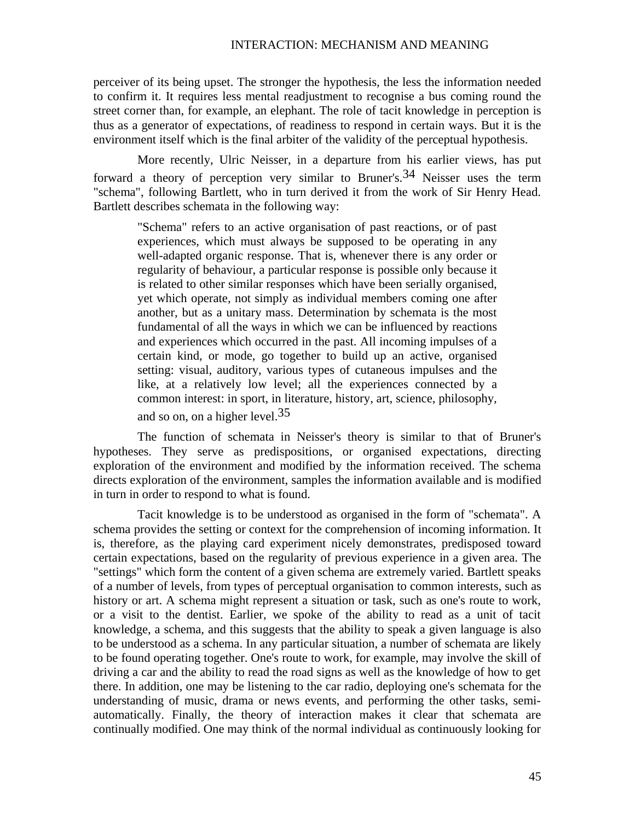perceiver of its being upset. The stronger the hypothesis, the less the information needed to confirm it. It requires less mental readjustment to recognise a bus coming round the street corner than, for example, an elephant. The role of tacit knowledge in perception is thus as a generator of expectations, of readiness to respond in certain ways. But it is the environment itself which is the final arbiter of the validity of the perceptual hypothesis.

More recently, Ulric Neisser, in a departure from his earlier views, has put forward a theory of perception very similar to Bruner's.<sup>34</sup> Neisser uses the term "schema", following Bartlett, who in turn derived it from the work of Sir Henry Head. Bartlett describes schemata in the following way:

"Schema" refers to an active organisation of past reactions, or of past experiences, which must always be supposed to be operating in any well-adapted organic response. That is, whenever there is any order or regularity of behaviour, a particular response is possible only because it is related to other similar responses which have been serially organised, yet which operate, not simply as individual members coming one after another, but as a unitary mass. Determination by schemata is the most fundamental of all the ways in which we can be influenced by reactions and experiences which occurred in the past. All incoming impulses of a certain kind, or mode, go together to build up an active, organised setting: visual, auditory, various types of cutaneous impulses and the like, at a relatively low level; all the experiences connected by a common interest: in sport, in literature, history, art, science, philosophy, and so on, on a higher level.<sup>35</sup>

The function of schemata in Neisser's theory is similar to that of Bruner's hypotheses. They serve as predispositions, or organised expectations, directing exploration of the environment and modified by the information received. The schema directs exploration of the environment, samples the information available and is modified in turn in order to respond to what is found.

Tacit knowledge is to be understood as organised in the form of "schemata". A schema provides the setting or context for the comprehension of incoming information. It is, therefore, as the playing card experiment nicely demonstrates, predisposed toward certain expectations, based on the regularity of previous experience in a given area. The "settings" which form the content of a given schema are extremely varied. Bartlett speaks of a number of levels, from types of perceptual organisation to common interests, such as history or art. A schema might represent a situation or task, such as one's route to work, or a visit to the dentist. Earlier, we spoke of the ability to read as a unit of tacit knowledge, a schema, and this suggests that the ability to speak a given language is also to be understood as a schema. In any particular situation, a number of schemata are likely to be found operating together. One's route to work, for example, may involve the skill of driving a car and the ability to read the road signs as well as the knowledge of how to get there. In addition, one may be listening to the car radio, deploying one's schemata for the understanding of music, drama or news events, and performing the other tasks, semiautomatically. Finally, the theory of interaction makes it clear that schemata are continually modified. One may think of the normal individual as continuously looking for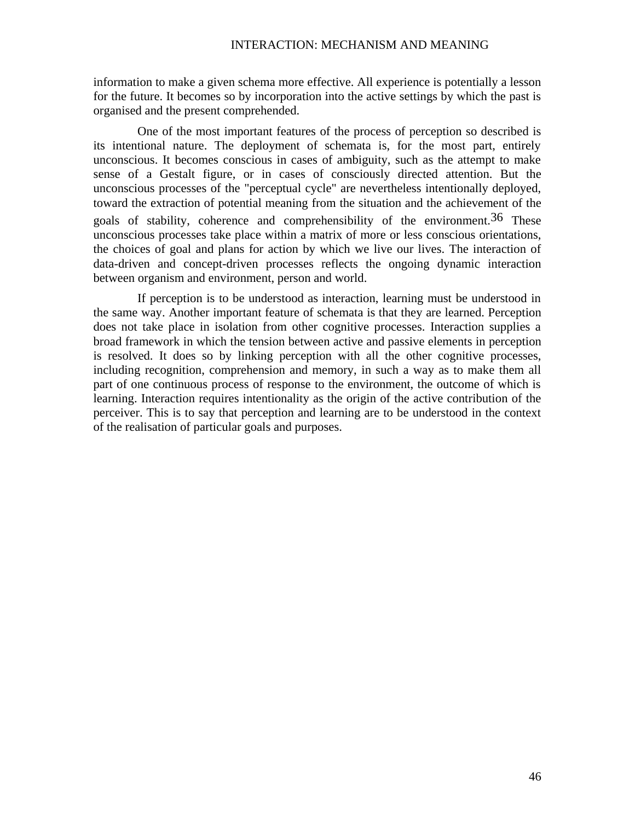information to make a given schema more effective. All experience is potentially a lesson for the future. It becomes so by incorporation into the active settings by which the past is organised and the present comprehended.

One of the most important features of the process of perception so described is its intentional nature. The deployment of schemata is, for the most part, entirely unconscious. It becomes conscious in cases of ambiguity, such as the attempt to make sense of a Gestalt figure, or in cases of consciously directed attention. But the unconscious processes of the "perceptual cycle" are nevertheless intentionally deployed, toward the extraction of potential meaning from the situation and the achievement of the goals of stability, coherence and comprehensibility of the environment.  $36$  These unconscious processes take place within a matrix of more or less conscious orientations, the choices of goal and plans for action by which we live our lives. The interaction of data-driven and concept-driven processes reflects the ongoing dynamic interaction between organism and environment, person and world.

If perception is to be understood as interaction, learning must be understood in the same way. Another important feature of schemata is that they are learned. Perception does not take place in isolation from other cognitive processes. Interaction supplies a broad framework in which the tension between active and passive elements in perception is resolved. It does so by linking perception with all the other cognitive processes, including recognition, comprehension and memory, in such a way as to make them all part of one continuous process of response to the environment, the outcome of which is learning. Interaction requires intentionality as the origin of the active contribution of the perceiver. This is to say that perception and learning are to be understood in the context of the realisation of particular goals and purposes.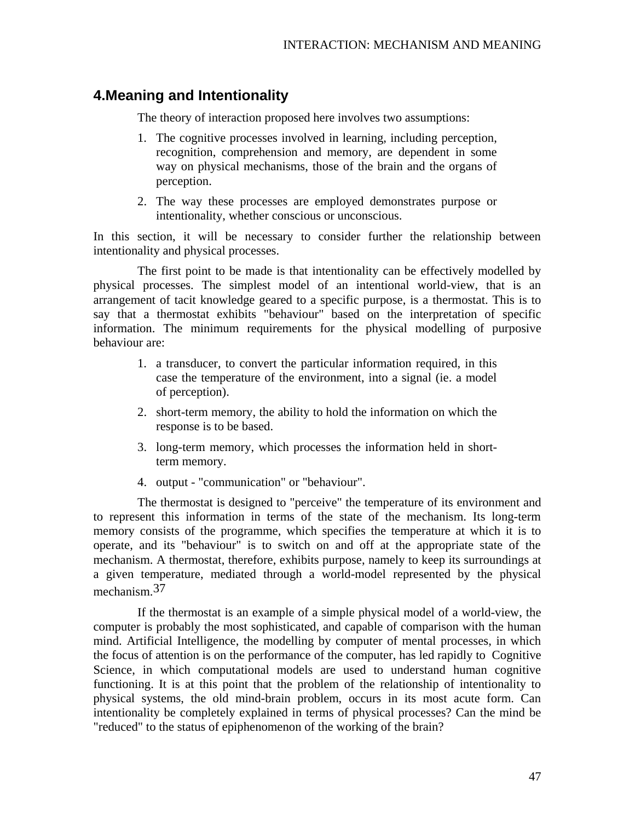## **4.Meaning and Intentionality**

The theory of interaction proposed here involves two assumptions:

- 1. The cognitive processes involved in learning, including perception, recognition, comprehension and memory, are dependent in some way on physical mechanisms, those of the brain and the organs of perception.
- 2. The way these processes are employed demonstrates purpose or intentionality, whether conscious or unconscious.

In this section, it will be necessary to consider further the relationship between intentionality and physical processes.

The first point to be made is that intentionality can be effectively modelled by physical processes. The simplest model of an intentional world-view, that is an arrangement of tacit knowledge geared to a specific purpose, is a thermostat. This is to say that a thermostat exhibits "behaviour" based on the interpretation of specific information. The minimum requirements for the physical modelling of purposive behaviour are:

- 1. a transducer, to convert the particular information required, in this case the temperature of the environment, into a signal (ie. a model of perception).
- 2. short-term memory, the ability to hold the information on which the response is to be based.
- 3. long-term memory, which processes the information held in shortterm memory.
- 4. output "communication" or "behaviour".

The thermostat is designed to "perceive" the temperature of its environment and to represent this information in terms of the state of the mechanism. Its long-term memory consists of the programme, which specifies the temperature at which it is to operate, and its "behaviour" is to switch on and off at the appropriate state of the mechanism. A thermostat, therefore, exhibits purpose, namely to keep its surroundings at a given temperature, mediated through a world-model represented by the physical mechanism<sup>37</sup>

If the thermostat is an example of a simple physical model of a world-view, the computer is probably the most sophisticated, and capable of comparison with the human mind. Artificial Intelligence, the modelling by computer of mental processes, in which the focus of attention is on the performance of the computer, has led rapidly to Cognitive Science, in which computational models are used to understand human cognitive functioning. It is at this point that the problem of the relationship of intentionality to physical systems, the old mind-brain problem, occurs in its most acute form. Can intentionality be completely explained in terms of physical processes? Can the mind be "reduced" to the status of epiphenomenon of the working of the brain?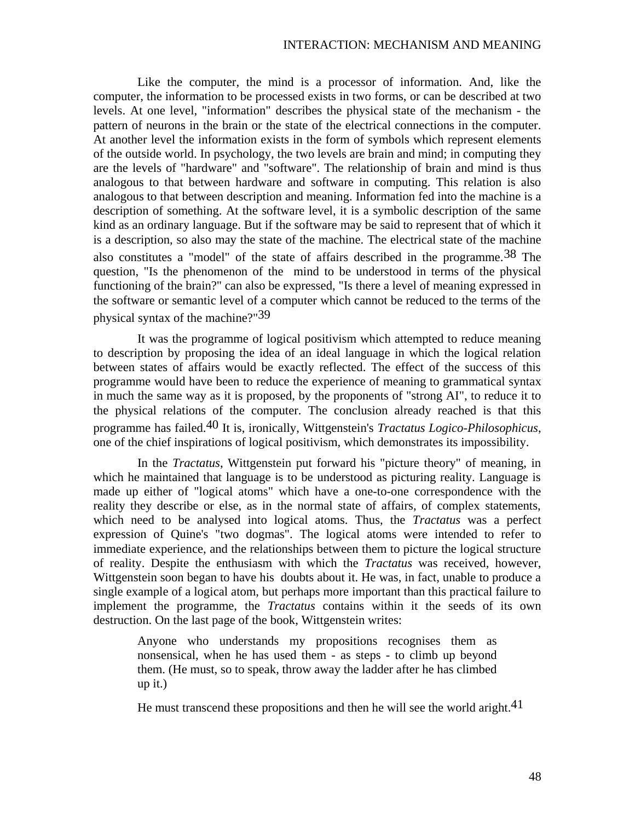Like the computer, the mind is a processor of information. And, like the computer, the information to be processed exists in two forms, or can be described at two levels. At one level, "information" describes the physical state of the mechanism - the pattern of neurons in the brain or the state of the electrical connections in the computer. At another level the information exists in the form of symbols which represent elements of the outside world. In psychology, the two levels are brain and mind; in computing they are the levels of "hardware" and "software". The relationship of brain and mind is thus analogous to that between hardware and software in computing. This relation is also analogous to that between description and meaning. Information fed into the machine is a description of something. At the software level, it is a symbolic description of the same kind as an ordinary language. But if the software may be said to represent that of which it is a description, so also may the state of the machine. The electrical state of the machine also constitutes a "model" of the state of affairs described in the programme.38 The question, "Is the phenomenon of the mind to be understood in terms of the physical functioning of the brain?" can also be expressed, "Is there a level of meaning expressed in the software or semantic level of a computer which cannot be reduced to the terms of the physical syntax of the machine?"39

It was the programme of logical positivism which attempted to reduce meaning to description by proposing the idea of an ideal language in which the logical relation between states of affairs would be exactly reflected. The effect of the success of this programme would have been to reduce the experience of meaning to grammatical syntax in much the same way as it is proposed, by the proponents of "strong AI", to reduce it to the physical relations of the computer. The conclusion already reached is that this programme has failed.40 It is, ironically, Wittgenstein's *Tractatus Logico-Philosophicus*, one of the chief inspirations of logical positivism, which demonstrates its impossibility.

In the *Tractatus*, Wittgenstein put forward his "picture theory" of meaning, in which he maintained that language is to be understood as picturing reality. Language is made up either of "logical atoms" which have a one-to-one correspondence with the reality they describe or else, as in the normal state of affairs, of complex statements, which need to be analysed into logical atoms. Thus, the *Tractatus* was a perfect expression of Quine's "two dogmas". The logical atoms were intended to refer to immediate experience, and the relationships between them to picture the logical structure of reality. Despite the enthusiasm with which the *Tractatus* was received, however, Wittgenstein soon began to have his doubts about it. He was, in fact, unable to produce a single example of a logical atom, but perhaps more important than this practical failure to implement the programme, the *Tractatus* contains within it the seeds of its own destruction. On the last page of the book, Wittgenstein writes:

Anyone who understands my propositions recognises them as nonsensical, when he has used them - as steps - to climb up beyond them. (He must, so to speak, throw away the ladder after he has climbed up it.)

He must transcend these propositions and then he will see the world aright.<sup>41</sup>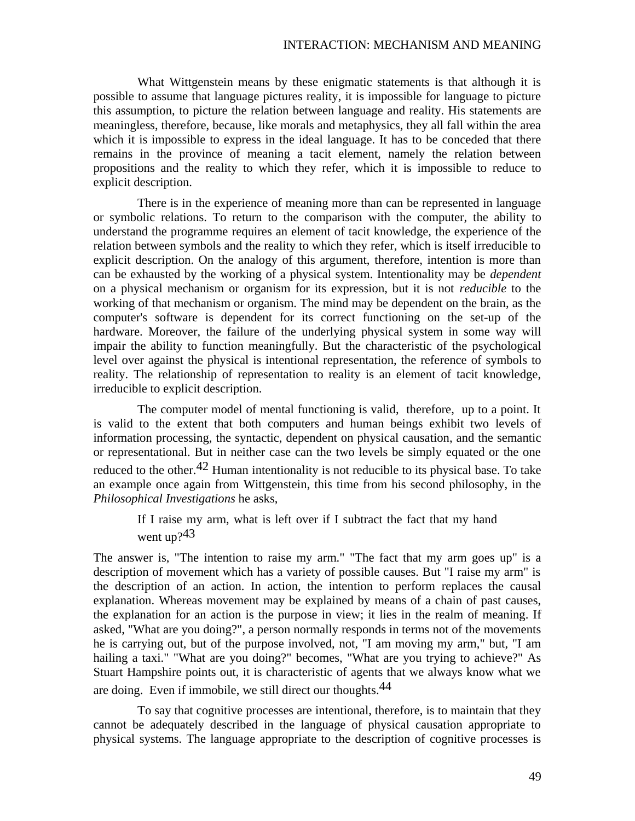What Wittgenstein means by these enigmatic statements is that although it is possible to assume that language pictures reality, it is impossible for language to picture this assumption, to picture the relation between language and reality. His statements are meaningless, therefore, because, like morals and metaphysics, they all fall within the area which it is impossible to express in the ideal language. It has to be conceded that there remains in the province of meaning a tacit element, namely the relation between propositions and the reality to which they refer, which it is impossible to reduce to explicit description.

There is in the experience of meaning more than can be represented in language or symbolic relations. To return to the comparison with the computer, the ability to understand the programme requires an element of tacit knowledge, the experience of the relation between symbols and the reality to which they refer, which is itself irreducible to explicit description. On the analogy of this argument, therefore, intention is more than can be exhausted by the working of a physical system. Intentionality may be *dependent* on a physical mechanism or organism for its expression, but it is not *reducible* to the working of that mechanism or organism. The mind may be dependent on the brain, as the computer's software is dependent for its correct functioning on the set-up of the hardware. Moreover, the failure of the underlying physical system in some way will impair the ability to function meaningfully. But the characteristic of the psychological level over against the physical is intentional representation, the reference of symbols to reality. The relationship of representation to reality is an element of tacit knowledge, irreducible to explicit description.

The computer model of mental functioning is valid, therefore, up to a point. It is valid to the extent that both computers and human beings exhibit two levels of information processing, the syntactic, dependent on physical causation, and the semantic or representational. But in neither case can the two levels be simply equated or the one reduced to the other.<sup>42</sup> Human intentionality is not reducible to its physical base. To take an example once again from Wittgenstein, this time from his second philosophy, in the *Philosophical Investigations* he asks,

If I raise my arm, what is left over if I subtract the fact that my hand went up? $43$ 

The answer is, "The intention to raise my arm." "The fact that my arm goes up" is a description of movement which has a variety of possible causes. But "I raise my arm" is the description of an action. In action, the intention to perform replaces the causal explanation. Whereas movement may be explained by means of a chain of past causes, the explanation for an action is the purpose in view; it lies in the realm of meaning. If asked, "What are you doing?", a person normally responds in terms not of the movements he is carrying out, but of the purpose involved, not, "I am moving my arm," but, "I am hailing a taxi." "What are you doing?" becomes, "What are you trying to achieve?" As Stuart Hampshire points out, it is characteristic of agents that we always know what we are doing. Even if immobile, we still direct our thoughts.<sup>44</sup>

To say that cognitive processes are intentional, therefore, is to maintain that they cannot be adequately described in the language of physical causation appropriate to physical systems. The language appropriate to the description of cognitive processes is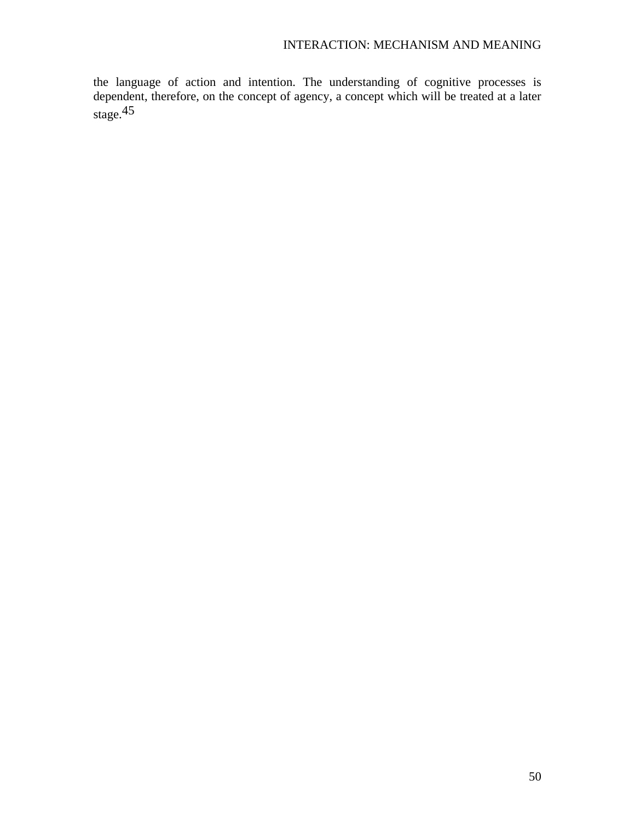the language of action and intention. The understanding of cognitive processes is dependent, therefore, on the concept of agency, a concept which will be treated at a later stage.45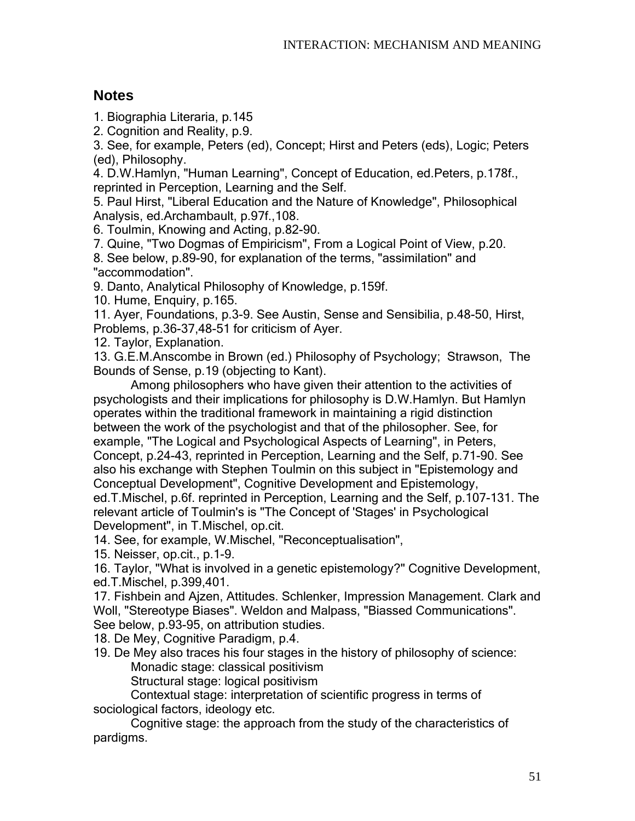# **Notes**

1. Biographia Literaria, p.145

2. Cognition and Reality, p.9.

3. See, for example, Peters (ed), Concept; Hirst and Peters (eds), Logic; Peters (ed), Philosophy.

4. D.W.Hamlyn, "Human Learning", Concept of Education, ed.Peters, p.178f., reprinted in Perception, Learning and the Self.

5. Paul Hirst, "Liberal Education and the Nature of Knowledge", Philosophical Analysis, ed.Archambault, p.97f.,108.

6. Toulmin, Knowing and Acting, p.82-90.

7. Quine, "Two Dogmas of Empiricism", From a Logical Point of View, p.20.

8. See below, p.89-90, for explanation of the terms, "assimilation" and "accommodation".

9. Danto, Analytical Philosophy of Knowledge, p.159f.

10. Hume, Enquiry, p.165.

11. Ayer, Foundations, p.3-9. See Austin, Sense and Sensibilia, p.48-50, Hirst, Problems, p.36-37,48-51 for criticism of Ayer.

12. Taylor, Explanation.

13. G.E.M.Anscombe in Brown (ed.) Philosophy of Psychology; Strawson, The Bounds of Sense, p.19 (objecting to Kant).

Among philosophers who have given their attention to the activities of psychologists and their implications for philosophy is D.W.Hamlyn. But Hamlyn operates within the traditional framework in maintaining a rigid distinction between the work of the psychologist and that of the philosopher. See, for example, "The Logical and Psychological Aspects of Learning", in Peters, Concept, p.24-43, reprinted in Perception, Learning and the Self, p.71-90. See also his exchange with Stephen Toulmin on this subject in "Epistemology and Conceptual Development", Cognitive Development and Epistemology, ed.T.Mischel, p.6f. reprinted in Perception, Learning and the Self, p.107-131. The relevant article of Toulmin's is "The Concept of 'Stages' in Psychological Development", in T.Mischel, op.cit.

14. See, for example, W.Mischel, "Reconceptualisation",

15. Neisser, op.cit., p.1-9.

16. Taylor, "What is involved in a genetic epistemology?" Cognitive Development, ed.T.Mischel, p.399,401.

17. Fishbein and Ajzen, Attitudes. Schlenker, Impression Management. Clark and Woll, "Stereotype Biases". Weldon and Malpass, "Biassed Communications". See below, p.93-95, on attribution studies.

18. De Mey, Cognitive Paradigm, p.4.

19. De Mey also traces his four stages in the history of philosophy of science: Monadic stage: classical positivism

Structural stage: logical positivism

Contextual stage: interpretation of scientific progress in terms of sociological factors, ideology etc.

Cognitive stage: the approach from the study of the characteristics of pardigms.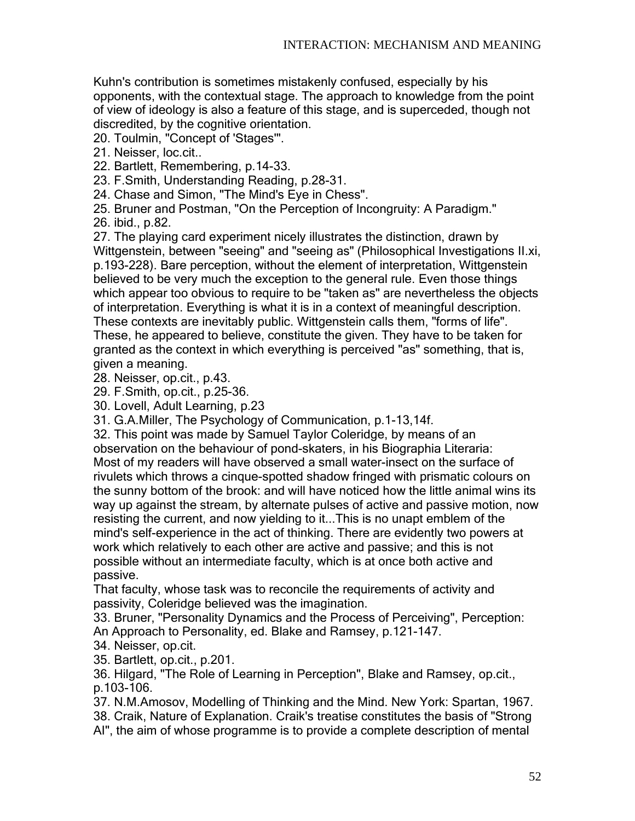Kuhn's contribution is sometimes mistakenly confused, especially by his opponents, with the contextual stage. The approach to knowledge from the point of view of ideology is also a feature of this stage, and is superceded, though not discredited, by the cognitive orientation.

20. Toulmin, "Concept of 'Stages'".

21. Neisser, loc.cit..

22. Bartlett, Remembering, p.14-33.

23. F.Smith, Understanding Reading, p.28-31.

24. Chase and Simon, "The Mind's Eye in Chess".

25. Bruner and Postman, "On the Perception of Incongruity: A Paradigm."

26. ibid., p.82.

27. The playing card experiment nicely illustrates the distinction, drawn by Wittgenstein, between "seeing" and "seeing as" (Philosophical Investigations II.xi, p.193-228). Bare perception, without the element of interpretation, Wittgenstein believed to be very much the exception to the general rule. Even those things which appear too obvious to require to be "taken as" are nevertheless the objects of interpretation. Everything is what it is in a context of meaningful description. These contexts are inevitably public. Wittgenstein calls them, "forms of life". These, he appeared to believe, constitute the given. They have to be taken for granted as the context in which everything is perceived "as" something, that is, given a meaning.

28. Neisser, op.cit., p.43.

29. F.Smith, op.cit., p.25-36.

30. Lovell, Adult Learning, p.23

31. G.A.Miller, The Psychology of Communication, p.1-13,14f.

32. This point was made by Samuel Taylor Coleridge, by means of an observation on the behaviour of pond-skaters, in his Biographia Literaria: Most of my readers will have observed a small water-insect on the surface of rivulets which throws a cinque-spotted shadow fringed with prismatic colours on the sunny bottom of the brook: and will have noticed how the little animal wins its way up against the stream, by alternate pulses of active and passive motion, now resisting the current, and now yielding to it...This is no unapt emblem of the mind's self-experience in the act of thinking. There are evidently two powers at work which relatively to each other are active and passive; and this is not possible without an intermediate faculty, which is at once both active and passive.

That faculty, whose task was to reconcile the requirements of activity and passivity, Coleridge believed was the imagination.

33. Bruner, "Personality Dynamics and the Process of Perceiving", Perception: An Approach to Personality, ed. Blake and Ramsey, p.121-147.

34. Neisser, op.cit.

35. Bartlett, op.cit., p.201.

36. Hilgard, "The Role of Learning in Perception", Blake and Ramsey, op.cit., p.103-106.

37. N.M.Amosov, Modelling of Thinking and the Mind. New York: Spartan, 1967.

38. Craik, Nature of Explanation. Craik's treatise constitutes the basis of "Strong

AI", the aim of whose programme is to provide a complete description of mental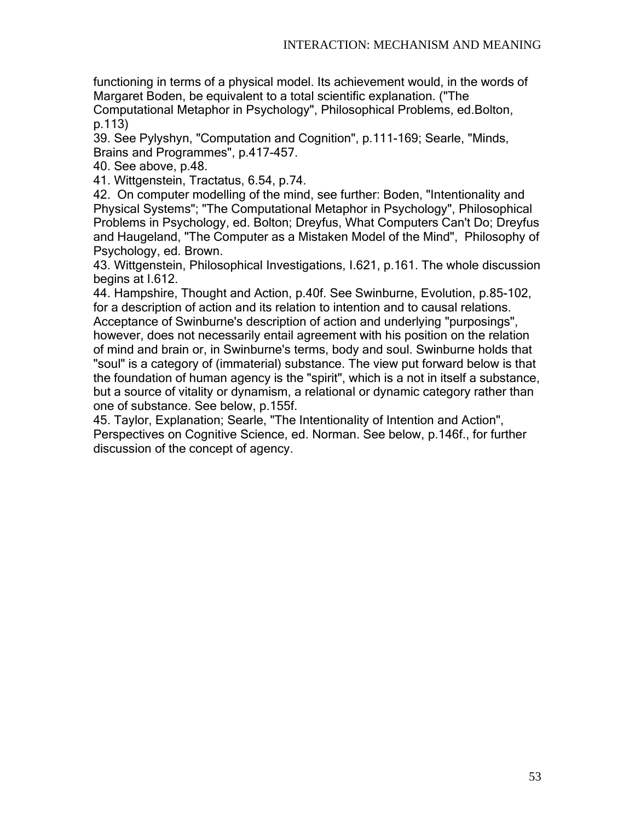functioning in terms of a physical model. Its achievement would, in the words of Margaret Boden, be equivalent to a total scientific explanation. ("The

Computational Metaphor in Psychology", Philosophical Problems, ed.Bolton, p.113)

39. See Pylyshyn, "Computation and Cognition", p.111-169; Searle, "Minds, Brains and Programmes", p.417-457.

40. See above, p.48.

41. Wittgenstein, Tractatus, 6.54, p.74.

42. On computer modelling of the mind, see further: Boden, "Intentionality and Physical Systems"; "The Computational Metaphor in Psychology", Philosophical Problems in Psychology, ed. Bolton; Dreyfus, What Computers Can't Do; Dreyfus and Haugeland, "The Computer as a Mistaken Model of the Mind", Philosophy of Psychology, ed. Brown.

43. Wittgenstein, Philosophical Investigations, I.621, p.161. The whole discussion begins at I.612.

44. Hampshire, Thought and Action, p.40f. See Swinburne, Evolution, p.85-102, for a description of action and its relation to intention and to causal relations. Acceptance of Swinburne's description of action and underlying "purposings", however, does not necessarily entail agreement with his position on the relation of mind and brain or, in Swinburne's terms, body and soul. Swinburne holds that "soul" is a category of (immaterial) substance. The view put forward below is that the foundation of human agency is the "spirit", which is a not in itself a substance, but a source of vitality or dynamism, a relational or dynamic category rather than one of substance. See below, p.155f.

45. Taylor, Explanation; Searle, "The Intentionality of Intention and Action", Perspectives on Cognitive Science, ed. Norman. See below, p.146f., for further discussion of the concept of agency.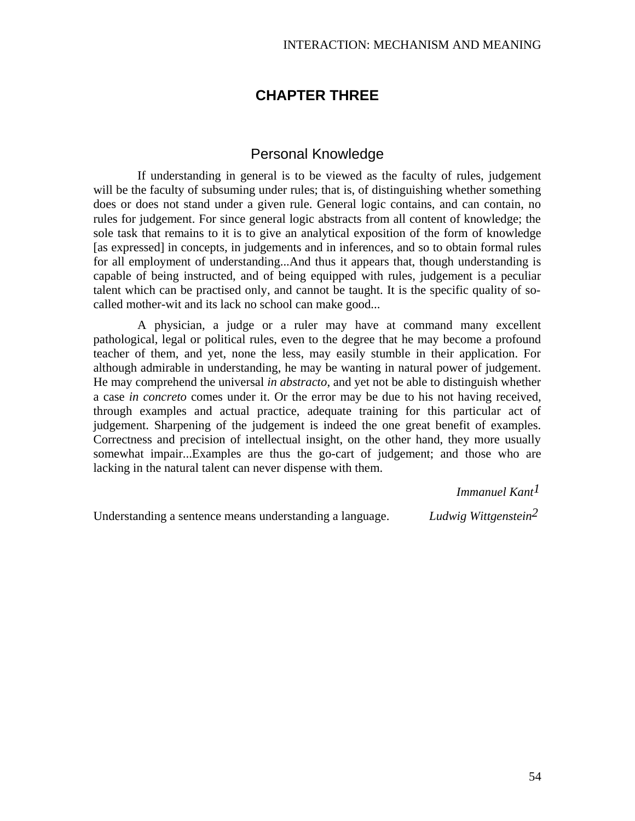# **CHAPTER THREE**

## Personal Knowledge

If understanding in general is to be viewed as the faculty of rules, judgement will be the faculty of subsuming under rules; that is, of distinguishing whether something does or does not stand under a given rule. General logic contains, and can contain, no rules for judgement. For since general logic abstracts from all content of knowledge; the sole task that remains to it is to give an analytical exposition of the form of knowledge [as expressed] in concepts, in judgements and in inferences, and so to obtain formal rules for all employment of understanding...And thus it appears that, though understanding is capable of being instructed, and of being equipped with rules, judgement is a peculiar talent which can be practised only, and cannot be taught. It is the specific quality of socalled mother-wit and its lack no school can make good...

A physician, a judge or a ruler may have at command many excellent pathological, legal or political rules, even to the degree that he may become a profound teacher of them, and yet, none the less, may easily stumble in their application. For although admirable in understanding, he may be wanting in natural power of judgement. He may comprehend the universal *in abstracto*, and yet not be able to distinguish whether a case *in concreto* comes under it. Or the error may be due to his not having received, through examples and actual practice, adequate training for this particular act of judgement. Sharpening of the judgement is indeed the one great benefit of examples. Correctness and precision of intellectual insight, on the other hand, they more usually somewhat impair...Examples are thus the go-cart of judgement; and those who are lacking in the natural talent can never dispense with them.

*Immanuel Kant1*

Understanding a sentence means understanding a language. *Ludwig Wittgenstein2*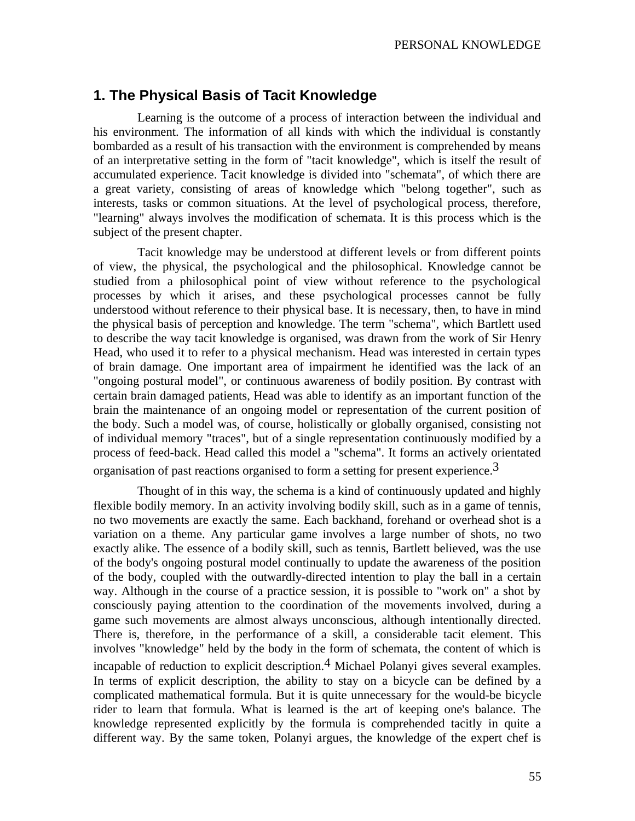# **1. The Physical Basis of Tacit Knowledge**

Learning is the outcome of a process of interaction between the individual and his environment. The information of all kinds with which the individual is constantly bombarded as a result of his transaction with the environment is comprehended by means of an interpretative setting in the form of "tacit knowledge", which is itself the result of accumulated experience. Tacit knowledge is divided into "schemata", of which there are a great variety, consisting of areas of knowledge which "belong together", such as interests, tasks or common situations. At the level of psychological process, therefore, "learning" always involves the modification of schemata. It is this process which is the subject of the present chapter.

Tacit knowledge may be understood at different levels or from different points of view, the physical, the psychological and the philosophical. Knowledge cannot be studied from a philosophical point of view without reference to the psychological processes by which it arises, and these psychological processes cannot be fully understood without reference to their physical base. It is necessary, then, to have in mind the physical basis of perception and knowledge. The term "schema", which Bartlett used to describe the way tacit knowledge is organised, was drawn from the work of Sir Henry Head, who used it to refer to a physical mechanism. Head was interested in certain types of brain damage. One important area of impairment he identified was the lack of an "ongoing postural model", or continuous awareness of bodily position. By contrast with certain brain damaged patients, Head was able to identify as an important function of the brain the maintenance of an ongoing model or representation of the current position of the body. Such a model was, of course, holistically or globally organised, consisting not of individual memory "traces", but of a single representation continuously modified by a process of feed-back. Head called this model a "schema". It forms an actively orientated organisation of past reactions organised to form a setting for present experience.3

Thought of in this way, the schema is a kind of continuously updated and highly flexible bodily memory. In an activity involving bodily skill, such as in a game of tennis, no two movements are exactly the same. Each backhand, forehand or overhead shot is a variation on a theme. Any particular game involves a large number of shots, no two exactly alike. The essence of a bodily skill, such as tennis, Bartlett believed, was the use of the body's ongoing postural model continually to update the awareness of the position of the body, coupled with the outwardly-directed intention to play the ball in a certain way. Although in the course of a practice session, it is possible to "work on" a shot by consciously paying attention to the coordination of the movements involved, during a game such movements are almost always unconscious, although intentionally directed. There is, therefore, in the performance of a skill, a considerable tacit element. This involves "knowledge" held by the body in the form of schemata, the content of which is incapable of reduction to explicit description.4 Michael Polanyi gives several examples. In terms of explicit description, the ability to stay on a bicycle can be defined by a complicated mathematical formula. But it is quite unnecessary for the would-be bicycle rider to learn that formula. What is learned is the art of keeping one's balance. The knowledge represented explicitly by the formula is comprehended tacitly in quite a different way. By the same token, Polanyi argues, the knowledge of the expert chef is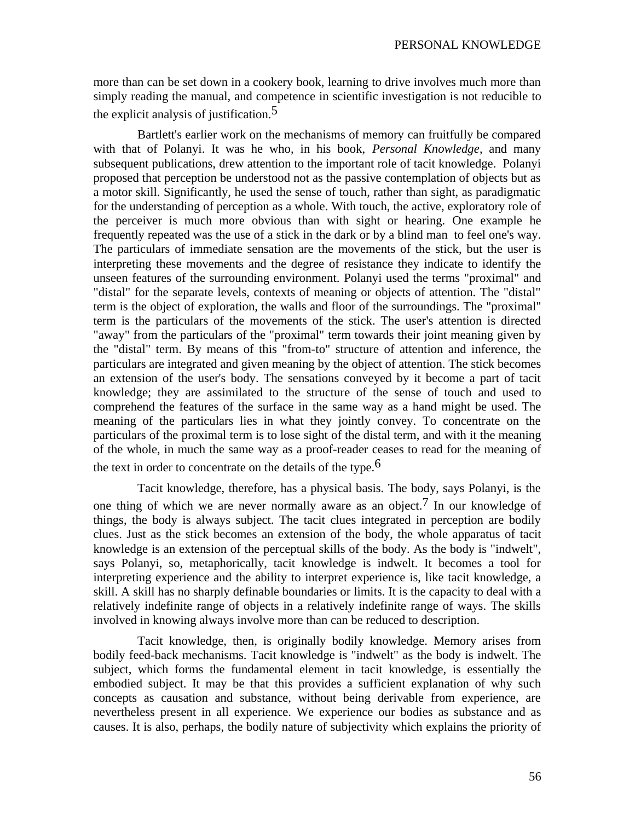more than can be set down in a cookery book, learning to drive involves much more than simply reading the manual, and competence in scientific investigation is not reducible to the explicit analysis of justification.<sup>5</sup>

Bartlett's earlier work on the mechanisms of memory can fruitfully be compared with that of Polanyi. It was he who, in his book, *Personal Knowledge*, and many subsequent publications, drew attention to the important role of tacit knowledge. Polanyi proposed that perception be understood not as the passive contemplation of objects but as a motor skill. Significantly, he used the sense of touch, rather than sight, as paradigmatic for the understanding of perception as a whole. With touch, the active, exploratory role of the perceiver is much more obvious than with sight or hearing. One example he frequently repeated was the use of a stick in the dark or by a blind man to feel one's way. The particulars of immediate sensation are the movements of the stick, but the user is interpreting these movements and the degree of resistance they indicate to identify the unseen features of the surrounding environment. Polanyi used the terms "proximal" and "distal" for the separate levels, contexts of meaning or objects of attention. The "distal" term is the object of exploration, the walls and floor of the surroundings. The "proximal" term is the particulars of the movements of the stick. The user's attention is directed "away" from the particulars of the "proximal" term towards their joint meaning given by the "distal" term. By means of this "from-to" structure of attention and inference, the particulars are integrated and given meaning by the object of attention. The stick becomes an extension of the user's body. The sensations conveyed by it become a part of tacit knowledge; they are assimilated to the structure of the sense of touch and used to comprehend the features of the surface in the same way as a hand might be used. The meaning of the particulars lies in what they jointly convey. To concentrate on the particulars of the proximal term is to lose sight of the distal term, and with it the meaning of the whole, in much the same way as a proof-reader ceases to read for the meaning of the text in order to concentrate on the details of the type.<sup>6</sup>

Tacit knowledge, therefore, has a physical basis. The body, says Polanyi, is the one thing of which we are never normally aware as an object.7 In our knowledge of things, the body is always subject. The tacit clues integrated in perception are bodily clues. Just as the stick becomes an extension of the body, the whole apparatus of tacit knowledge is an extension of the perceptual skills of the body. As the body is "indwelt", says Polanyi, so, metaphorically, tacit knowledge is indwelt. It becomes a tool for interpreting experience and the ability to interpret experience is, like tacit knowledge, a skill. A skill has no sharply definable boundaries or limits. It is the capacity to deal with a relatively indefinite range of objects in a relatively indefinite range of ways. The skills involved in knowing always involve more than can be reduced to description.

Tacit knowledge, then, is originally bodily knowledge. Memory arises from bodily feed-back mechanisms. Tacit knowledge is "indwelt" as the body is indwelt. The subject, which forms the fundamental element in tacit knowledge, is essentially the embodied subject. It may be that this provides a sufficient explanation of why such concepts as causation and substance, without being derivable from experience, are nevertheless present in all experience. We experience our bodies as substance and as causes. It is also, perhaps, the bodily nature of subjectivity which explains the priority of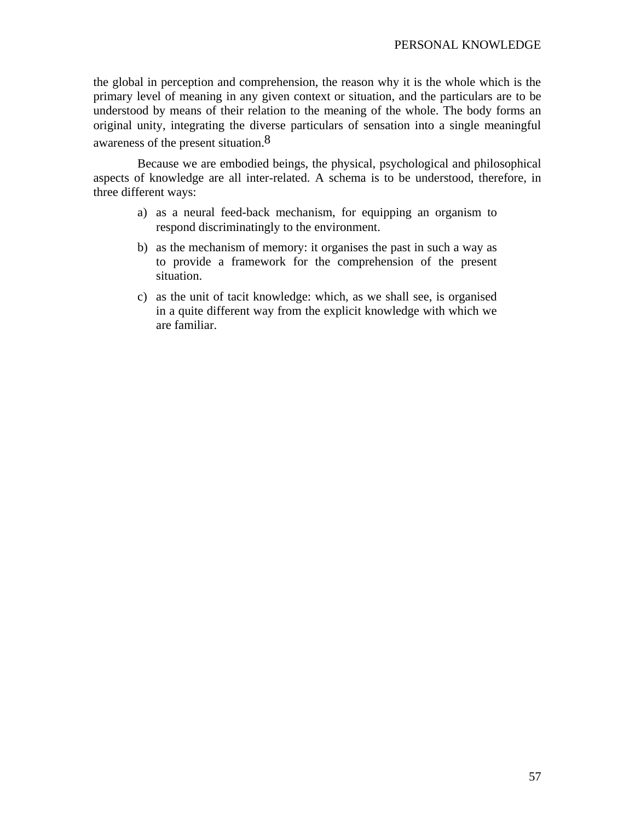the global in perception and comprehension, the reason why it is the whole which is the primary level of meaning in any given context or situation, and the particulars are to be understood by means of their relation to the meaning of the whole. The body forms an original unity, integrating the diverse particulars of sensation into a single meaningful awareness of the present situation.8

Because we are embodied beings, the physical, psychological and philosophical aspects of knowledge are all inter-related. A schema is to be understood, therefore, in three different ways:

- a) as a neural feed-back mechanism, for equipping an organism to respond discriminatingly to the environment.
- b) as the mechanism of memory: it organises the past in such a way as to provide a framework for the comprehension of the present situation.
- c) as the unit of tacit knowledge: which, as we shall see, is organised in a quite different way from the explicit knowledge with which we are familiar.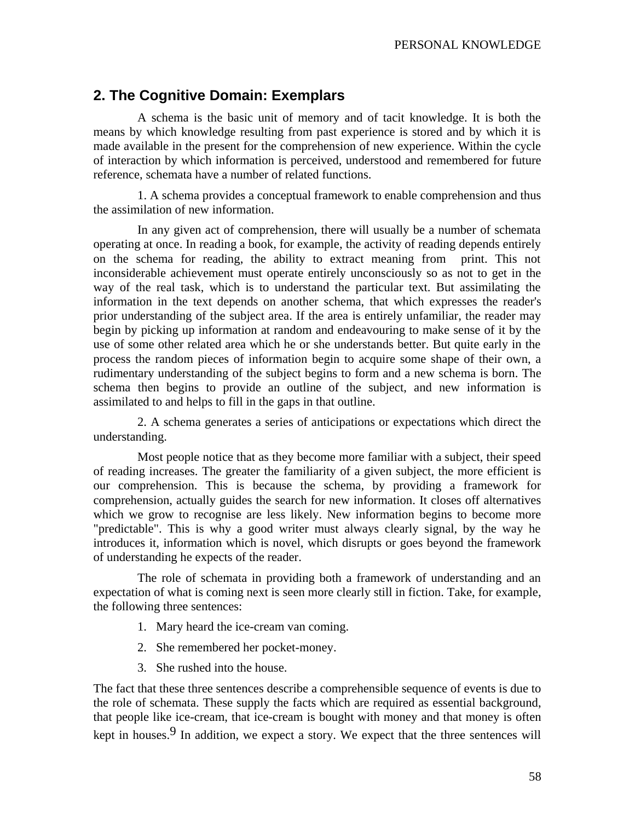# **2. The Cognitive Domain: Exemplars**

A schema is the basic unit of memory and of tacit knowledge. It is both the means by which knowledge resulting from past experience is stored and by which it is made available in the present for the comprehension of new experience. Within the cycle of interaction by which information is perceived, understood and remembered for future reference, schemata have a number of related functions.

1. A schema provides a conceptual framework to enable comprehension and thus the assimilation of new information.

In any given act of comprehension, there will usually be a number of schemata operating at once. In reading a book, for example, the activity of reading depends entirely on the schema for reading, the ability to extract meaning from print. This not inconsiderable achievement must operate entirely unconsciously so as not to get in the way of the real task, which is to understand the particular text. But assimilating the information in the text depends on another schema, that which expresses the reader's prior understanding of the subject area. If the area is entirely unfamiliar, the reader may begin by picking up information at random and endeavouring to make sense of it by the use of some other related area which he or she understands better. But quite early in the process the random pieces of information begin to acquire some shape of their own, a rudimentary understanding of the subject begins to form and a new schema is born. The schema then begins to provide an outline of the subject, and new information is assimilated to and helps to fill in the gaps in that outline.

2. A schema generates a series of anticipations or expectations which direct the understanding.

Most people notice that as they become more familiar with a subject, their speed of reading increases. The greater the familiarity of a given subject, the more efficient is our comprehension. This is because the schema, by providing a framework for comprehension, actually guides the search for new information. It closes off alternatives which we grow to recognise are less likely. New information begins to become more "predictable". This is why a good writer must always clearly signal, by the way he introduces it, information which is novel, which disrupts or goes beyond the framework of understanding he expects of the reader.

The role of schemata in providing both a framework of understanding and an expectation of what is coming next is seen more clearly still in fiction. Take, for example, the following three sentences:

- 1. Mary heard the ice-cream van coming.
- 2. She remembered her pocket-money.
- 3. She rushed into the house.

The fact that these three sentences describe a comprehensible sequence of events is due to the role of schemata. These supply the facts which are required as essential background, that people like ice-cream, that ice-cream is bought with money and that money is often kept in houses.<sup>9</sup> In addition, we expect a story. We expect that the three sentences will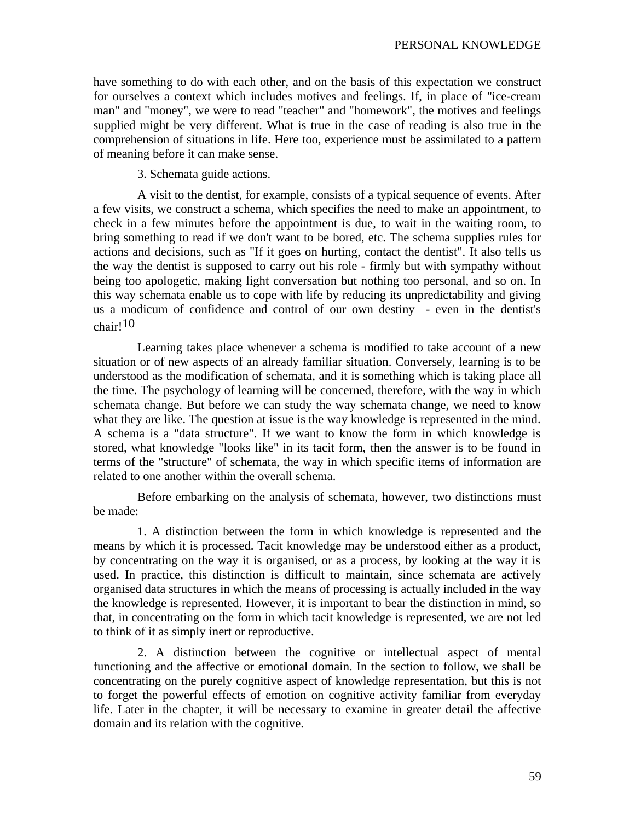have something to do with each other, and on the basis of this expectation we construct for ourselves a context which includes motives and feelings. If, in place of "ice-cream man" and "money", we were to read "teacher" and "homework", the motives and feelings supplied might be very different. What is true in the case of reading is also true in the comprehension of situations in life. Here too, experience must be assimilated to a pattern of meaning before it can make sense.

3. Schemata guide actions.

A visit to the dentist, for example, consists of a typical sequence of events. After a few visits, we construct a schema, which specifies the need to make an appointment, to check in a few minutes before the appointment is due, to wait in the waiting room, to bring something to read if we don't want to be bored, etc. The schema supplies rules for actions and decisions, such as "If it goes on hurting, contact the dentist". It also tells us the way the dentist is supposed to carry out his role - firmly but with sympathy without being too apologetic, making light conversation but nothing too personal, and so on. In this way schemata enable us to cope with life by reducing its unpredictability and giving us a modicum of confidence and control of our own destiny - even in the dentist's chair!10

Learning takes place whenever a schema is modified to take account of a new situation or of new aspects of an already familiar situation. Conversely, learning is to be understood as the modification of schemata, and it is something which is taking place all the time. The psychology of learning will be concerned, therefore, with the way in which schemata change. But before we can study the way schemata change, we need to know what they are like. The question at issue is the way knowledge is represented in the mind. A schema is a "data structure". If we want to know the form in which knowledge is stored, what knowledge "looks like" in its tacit form, then the answer is to be found in terms of the "structure" of schemata, the way in which specific items of information are related to one another within the overall schema.

Before embarking on the analysis of schemata, however, two distinctions must be made:

1. A distinction between the form in which knowledge is represented and the means by which it is processed. Tacit knowledge may be understood either as a product, by concentrating on the way it is organised, or as a process, by looking at the way it is used. In practice, this distinction is difficult to maintain, since schemata are actively organised data structures in which the means of processing is actually included in the way the knowledge is represented. However, it is important to bear the distinction in mind, so that, in concentrating on the form in which tacit knowledge is represented, we are not led to think of it as simply inert or reproductive.

2. A distinction between the cognitive or intellectual aspect of mental functioning and the affective or emotional domain. In the section to follow, we shall be concentrating on the purely cognitive aspect of knowledge representation, but this is not to forget the powerful effects of emotion on cognitive activity familiar from everyday life. Later in the chapter, it will be necessary to examine in greater detail the affective domain and its relation with the cognitive.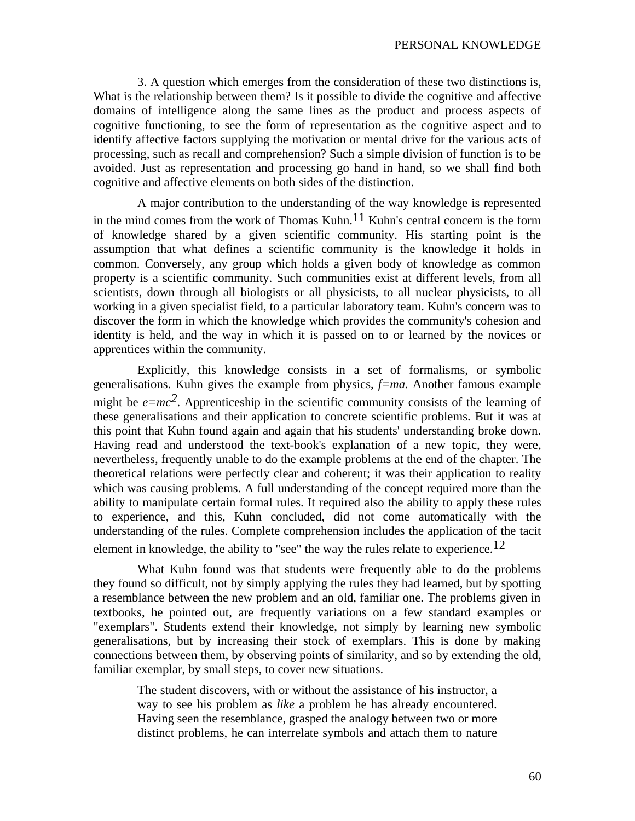3. A question which emerges from the consideration of these two distinctions is, What is the relationship between them? Is it possible to divide the cognitive and affective domains of intelligence along the same lines as the product and process aspects of cognitive functioning, to see the form of representation as the cognitive aspect and to identify affective factors supplying the motivation or mental drive for the various acts of processing, such as recall and comprehension? Such a simple division of function is to be avoided. Just as representation and processing go hand in hand, so we shall find both cognitive and affective elements on both sides of the distinction.

A major contribution to the understanding of the way knowledge is represented in the mind comes from the work of Thomas Kuhn.<sup>11</sup> Kuhn's central concern is the form of knowledge shared by a given scientific community. His starting point is the assumption that what defines a scientific community is the knowledge it holds in common. Conversely, any group which holds a given body of knowledge as common property is a scientific community. Such communities exist at different levels, from all scientists, down through all biologists or all physicists, to all nuclear physicists, to all working in a given specialist field, to a particular laboratory team. Kuhn's concern was to discover the form in which the knowledge which provides the community's cohesion and identity is held, and the way in which it is passed on to or learned by the novices or apprentices within the community.

Explicitly, this knowledge consists in a set of formalisms, or symbolic generalisations. Kuhn gives the example from physics, *f=ma.* Another famous example might be  $e=mc^2$ . Apprenticeship in the scientific community consists of the learning of these generalisations and their application to concrete scientific problems. But it was at this point that Kuhn found again and again that his students' understanding broke down. Having read and understood the text-book's explanation of a new topic, they were, nevertheless, frequently unable to do the example problems at the end of the chapter. The theoretical relations were perfectly clear and coherent; it was their application to reality which was causing problems. A full understanding of the concept required more than the ability to manipulate certain formal rules. It required also the ability to apply these rules to experience, and this, Kuhn concluded, did not come automatically with the understanding of the rules. Complete comprehension includes the application of the tacit element in knowledge, the ability to "see" the way the rules relate to experience.<sup>12</sup>

What Kuhn found was that students were frequently able to do the problems they found so difficult, not by simply applying the rules they had learned, but by spotting a resemblance between the new problem and an old, familiar one. The problems given in textbooks, he pointed out, are frequently variations on a few standard examples or "exemplars". Students extend their knowledge, not simply by learning new symbolic generalisations, but by increasing their stock of exemplars. This is done by making connections between them, by observing points of similarity, and so by extending the old, familiar exemplar, by small steps, to cover new situations.

The student discovers, with or without the assistance of his instructor, a way to see his problem as *like* a problem he has already encountered. Having seen the resemblance, grasped the analogy between two or more distinct problems, he can interrelate symbols and attach them to nature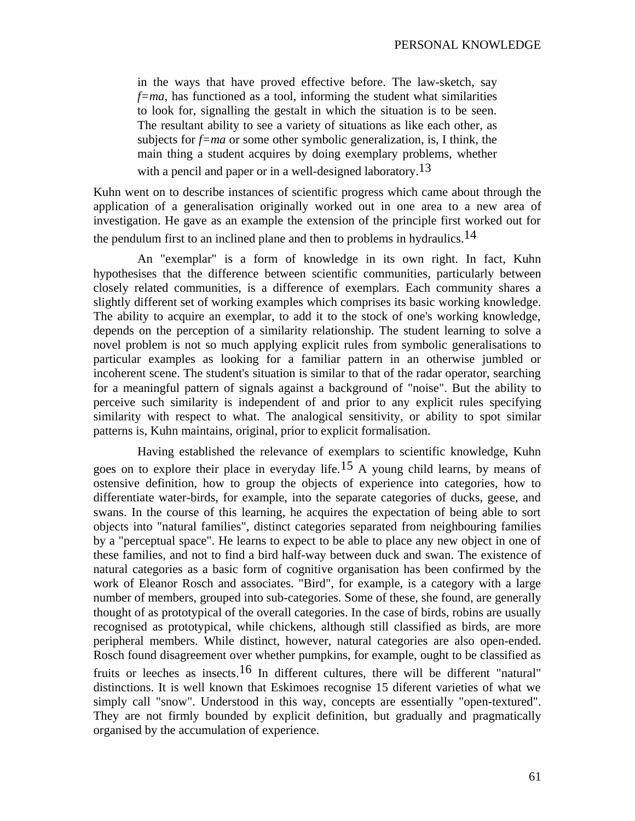in the ways that have proved effective before. The law-sketch, say *f=ma*, has functioned as a tool, informing the student what similarities to look for, signalling the gestalt in which the situation is to be seen. The resultant ability to see a variety of situations as like each other, as subjects for *f=ma* or some other symbolic generalization, is, I think, the main thing a student acquires by doing exemplary problems, whether with a pencil and paper or in a well-designed laboratory.<sup>13</sup>

Kuhn went on to describe instances of scientific progress which came about through the application of a generalisation originally worked out in one area to a new area of investigation. He gave as an example the extension of the principle first worked out for the pendulum first to an inclined plane and then to problems in hydraulics.<sup>14</sup>

An "exemplar" is a form of knowledge in its own right. In fact, Kuhn hypothesises that the difference between scientific communities, particularly between closely related communities, is a difference of exemplars. Each community shares a slightly different set of working examples which comprises its basic working knowledge. The ability to acquire an exemplar, to add it to the stock of one's working knowledge, depends on the perception of a similarity relationship. The student learning to solve a novel problem is not so much applying explicit rules from symbolic generalisations to particular examples as looking for a familiar pattern in an otherwise jumbled or incoherent scene. The student's situation is similar to that of the radar operator, searching for a meaningful pattern of signals against a background of "noise". But the ability to perceive such similarity is independent of and prior to any explicit rules specifying similarity with respect to what. The analogical sensitivity, or ability to spot similar patterns is, Kuhn maintains, original, prior to explicit formalisation.

Having established the relevance of exemplars to scientific knowledge, Kuhn goes on to explore their place in everyday life.<sup>15</sup> A young child learns, by means of ostensive definition, how to group the objects of experience into categories, how to differentiate water-birds, for example, into the separate categories of ducks, geese, and swans. In the course of this learning, he acquires the expectation of being able to sort objects into "natural families", distinct categories separated from neighbouring families by a "perceptual space". He learns to expect to be able to place any new object in one of these families, and not to find a bird half-way between duck and swan. The existence of natural categories as a basic form of cognitive organisation has been confirmed by the work of Eleanor Rosch and associates. "Bird", for example, is a category with a large number of members, grouped into sub-categories. Some of these, she found, are generally thought of as prototypical of the overall categories. In the case of birds, robins are usually recognised as prototypical, while chickens, although still classified as birds, are more peripheral members. While distinct, however, natural categories are also open-ended. Rosch found disagreement over whether pumpkins, for example, ought to be classified as fruits or leeches as insects.<sup>16</sup> In different cultures, there will be different "natural" distinctions. It is well known that Eskimoes recognise 15 diferent varieties of what we simply call "snow". Understood in this way, concepts are essentially "open-textured". They are not firmly bounded by explicit definition, but gradually and pragmatically organised by the accumulation of experience.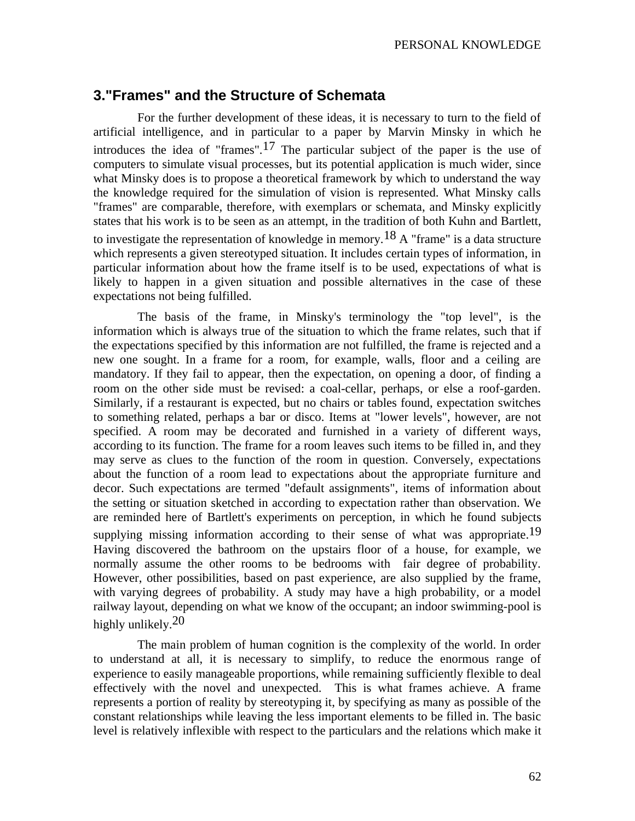# **3."Frames" and the Structure of Schemata**

For the further development of these ideas, it is necessary to turn to the field of artificial intelligence, and in particular to a paper by Marvin Minsky in which he introduces the idea of "frames".<sup>17</sup> The particular subject of the paper is the use of computers to simulate visual processes, but its potential application is much wider, since what Minsky does is to propose a theoretical framework by which to understand the way the knowledge required for the simulation of vision is represented. What Minsky calls "frames" are comparable, therefore, with exemplars or schemata, and Minsky explicitly states that his work is to be seen as an attempt, in the tradition of both Kuhn and Bartlett, to investigate the representation of knowledge in memory.<sup>18</sup> A "frame" is a data structure which represents a given stereotyped situation. It includes certain types of information, in particular information about how the frame itself is to be used, expectations of what is likely to happen in a given situation and possible alternatives in the case of these expectations not being fulfilled.

The basis of the frame, in Minsky's terminology the "top level", is the information which is always true of the situation to which the frame relates, such that if the expectations specified by this information are not fulfilled, the frame is rejected and a new one sought. In a frame for a room, for example, walls, floor and a ceiling are mandatory. If they fail to appear, then the expectation, on opening a door, of finding a room on the other side must be revised: a coal-cellar, perhaps, or else a roof-garden. Similarly, if a restaurant is expected, but no chairs or tables found, expectation switches to something related, perhaps a bar or disco. Items at "lower levels", however, are not specified. A room may be decorated and furnished in a variety of different ways, according to its function. The frame for a room leaves such items to be filled in, and they may serve as clues to the function of the room in question. Conversely, expectations about the function of a room lead to expectations about the appropriate furniture and decor. Such expectations are termed "default assignments", items of information about the setting or situation sketched in according to expectation rather than observation. We are reminded here of Bartlett's experiments on perception, in which he found subjects supplying missing information according to their sense of what was appropriate.<sup>19</sup> Having discovered the bathroom on the upstairs floor of a house, for example, we normally assume the other rooms to be bedrooms with fair degree of probability. However, other possibilities, based on past experience, are also supplied by the frame, with varying degrees of probability. A study may have a high probability, or a model railway layout, depending on what we know of the occupant; an indoor swimming-pool is highly unlikely.<sup>20</sup>

The main problem of human cognition is the complexity of the world. In order to understand at all, it is necessary to simplify, to reduce the enormous range of experience to easily manageable proportions, while remaining sufficiently flexible to deal effectively with the novel and unexpected. This is what frames achieve. A frame represents a portion of reality by stereotyping it, by specifying as many as possible of the constant relationships while leaving the less important elements to be filled in. The basic level is relatively inflexible with respect to the particulars and the relations which make it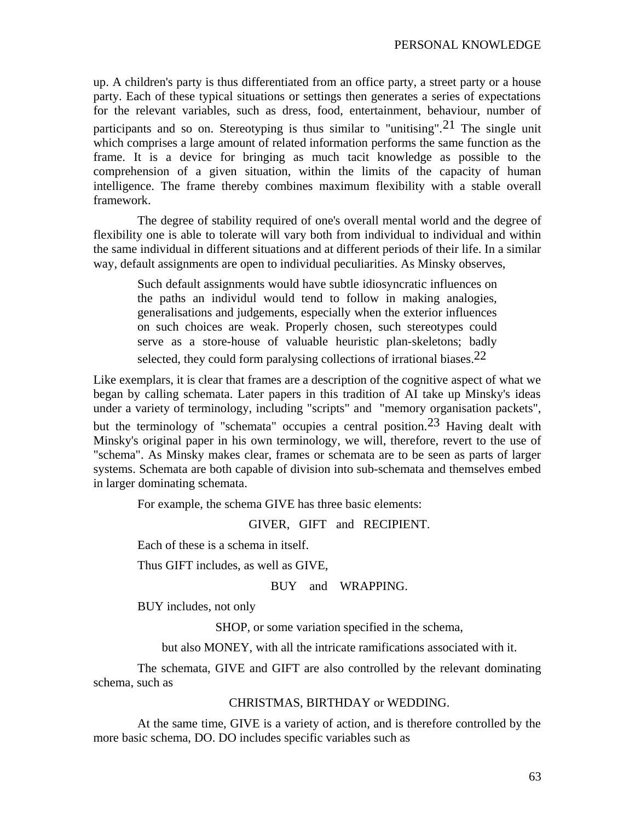up. A children's party is thus differentiated from an office party, a street party or a house party. Each of these typical situations or settings then generates a series of expectations for the relevant variables, such as dress, food, entertainment, behaviour, number of participants and so on. Stereotyping is thus similar to "unitising".<sup>21</sup> The single unit which comprises a large amount of related information performs the same function as the frame. It is a device for bringing as much tacit knowledge as possible to the comprehension of a given situation, within the limits of the capacity of human intelligence. The frame thereby combines maximum flexibility with a stable overall framework.

The degree of stability required of one's overall mental world and the degree of flexibility one is able to tolerate will vary both from individual to individual and within the same individual in different situations and at different periods of their life. In a similar way, default assignments are open to individual peculiarities. As Minsky observes,

Such default assignments would have subtle idiosyncratic influences on the paths an individul would tend to follow in making analogies, generalisations and judgements, especially when the exterior influences on such choices are weak. Properly chosen, such stereotypes could serve as a store-house of valuable heuristic plan-skeletons; badly selected, they could form paralysing collections of irrational biases.  $22$ 

Like exemplars, it is clear that frames are a description of the cognitive aspect of what we began by calling schemata. Later papers in this tradition of AI take up Minsky's ideas under a variety of terminology, including "scripts" and "memory organisation packets", but the terminology of "schemata" occupies a central position.23 Having dealt with Minsky's original paper in his own terminology, we will, therefore, revert to the use of "schema". As Minsky makes clear, frames or schemata are to be seen as parts of larger systems. Schemata are both capable of division into sub-schemata and themselves embed in larger dominating schemata.

For example, the schema GIVE has three basic elements:

GIVER, GIFT and RECIPIENT.

Each of these is a schema in itself.

Thus GIFT includes, as well as GIVE,

BUY and WRAPPING.

BUY includes, not only

SHOP, or some variation specified in the schema,

but also MONEY, with all the intricate ramifications associated with it.

The schemata, GIVE and GIFT are also controlled by the relevant dominating schema, such as

### CHRISTMAS, BIRTHDAY or WEDDING.

At the same time, GIVE is a variety of action, and is therefore controlled by the more basic schema, DO. DO includes specific variables such as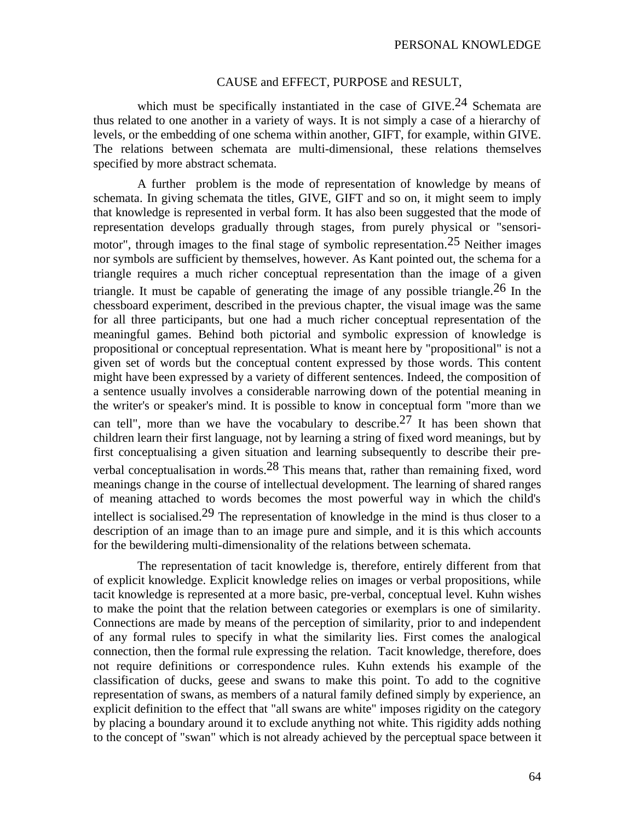### CAUSE and EFFECT, PURPOSE and RESULT,

which must be specifically instantiated in the case of GIVE.<sup>24</sup> Schemata are thus related to one another in a variety of ways. It is not simply a case of a hierarchy of levels, or the embedding of one schema within another, GIFT, for example, within GIVE. The relations between schemata are multi-dimensional, these relations themselves specified by more abstract schemata.

A further problem is the mode of representation of knowledge by means of schemata. In giving schemata the titles, GIVE, GIFT and so on, it might seem to imply that knowledge is represented in verbal form. It has also been suggested that the mode of representation develops gradually through stages, from purely physical or "sensorimotor", through images to the final stage of symbolic representation.25 Neither images nor symbols are sufficient by themselves, however. As Kant pointed out, the schema for a triangle requires a much richer conceptual representation than the image of a given triangle. It must be capable of generating the image of any possible triangle.<sup>26</sup> In the chessboard experiment, described in the previous chapter, the visual image was the same for all three participants, but one had a much richer conceptual representation of the meaningful games. Behind both pictorial and symbolic expression of knowledge is propositional or conceptual representation. What is meant here by "propositional" is not a given set of words but the conceptual content expressed by those words. This content might have been expressed by a variety of different sentences. Indeed, the composition of a sentence usually involves a considerable narrowing down of the potential meaning in the writer's or speaker's mind. It is possible to know in conceptual form "more than we can tell", more than we have the vocabulary to describe.<sup>27</sup> It has been shown that children learn their first language, not by learning a string of fixed word meanings, but by first conceptualising a given situation and learning subsequently to describe their preverbal conceptualisation in words.<sup>28</sup> This means that, rather than remaining fixed, word meanings change in the course of intellectual development. The learning of shared ranges of meaning attached to words becomes the most powerful way in which the child's intellect is socialised.29 The representation of knowledge in the mind is thus closer to a description of an image than to an image pure and simple, and it is this which accounts for the bewildering multi-dimensionality of the relations between schemata.

The representation of tacit knowledge is, therefore, entirely different from that of explicit knowledge. Explicit knowledge relies on images or verbal propositions, while tacit knowledge is represented at a more basic, pre-verbal, conceptual level. Kuhn wishes to make the point that the relation between categories or exemplars is one of similarity. Connections are made by means of the perception of similarity, prior to and independent of any formal rules to specify in what the similarity lies. First comes the analogical connection, then the formal rule expressing the relation. Tacit knowledge, therefore, does not require definitions or correspondence rules. Kuhn extends his example of the classification of ducks, geese and swans to make this point. To add to the cognitive representation of swans, as members of a natural family defined simply by experience, an explicit definition to the effect that "all swans are white" imposes rigidity on the category by placing a boundary around it to exclude anything not white. This rigidity adds nothing to the concept of "swan" which is not already achieved by the perceptual space between it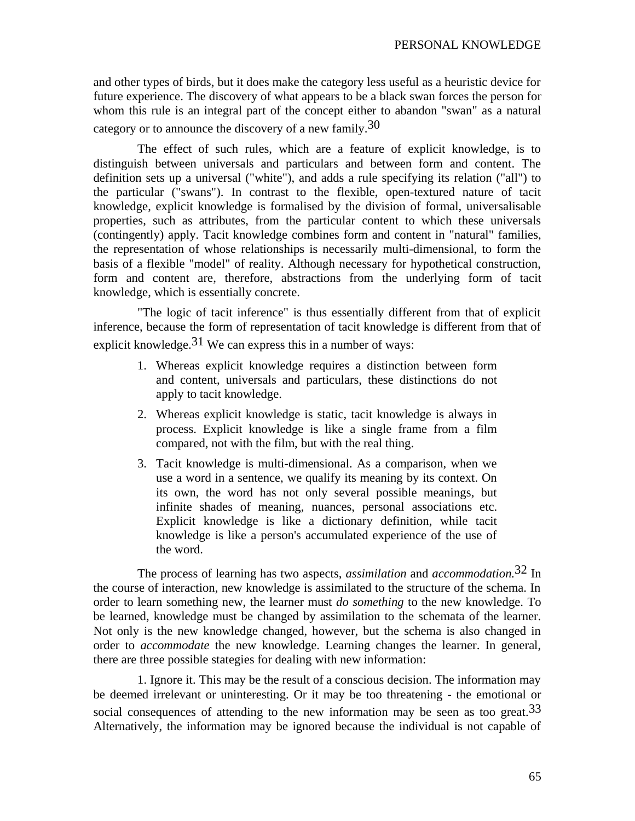and other types of birds, but it does make the category less useful as a heuristic device for future experience. The discovery of what appears to be a black swan forces the person for whom this rule is an integral part of the concept either to abandon "swan" as a natural category or to announce the discovery of a new family.30

The effect of such rules, which are a feature of explicit knowledge, is to distinguish between universals and particulars and between form and content. The definition sets up a universal ("white"), and adds a rule specifying its relation ("all") to the particular ("swans"). In contrast to the flexible, open-textured nature of tacit knowledge, explicit knowledge is formalised by the division of formal, universalisable properties, such as attributes, from the particular content to which these universals (contingently) apply. Tacit knowledge combines form and content in "natural" families, the representation of whose relationships is necessarily multi-dimensional, to form the basis of a flexible "model" of reality. Although necessary for hypothetical construction, form and content are, therefore, abstractions from the underlying form of tacit knowledge, which is essentially concrete.

"The logic of tacit inference" is thus essentially different from that of explicit inference, because the form of representation of tacit knowledge is different from that of explicit knowledge.<sup>31</sup> We can express this in a number of ways:

- 1. Whereas explicit knowledge requires a distinction between form and content, universals and particulars, these distinctions do not apply to tacit knowledge.
- 2. Whereas explicit knowledge is static, tacit knowledge is always in process. Explicit knowledge is like a single frame from a film compared, not with the film, but with the real thing.
- 3. Tacit knowledge is multi-dimensional. As a comparison, when we use a word in a sentence, we qualify its meaning by its context. On its own, the word has not only several possible meanings, but infinite shades of meaning, nuances, personal associations etc. Explicit knowledge is like a dictionary definition, while tacit knowledge is like a person's accumulated experience of the use of the word.

The process of learning has two aspects, *assimilation* and *accommodation.*32 In the course of interaction, new knowledge is assimilated to the structure of the schema. In order to learn something new, the learner must *do something* to the new knowledge. To be learned, knowledge must be changed by assimilation to the schemata of the learner. Not only is the new knowledge changed, however, but the schema is also changed in order to *accommodate* the new knowledge. Learning changes the learner. In general, there are three possible stategies for dealing with new information:

1. Ignore it. This may be the result of a conscious decision. The information may be deemed irrelevant or uninteresting. Or it may be too threatening - the emotional or social consequences of attending to the new information may be seen as too great.  $33$ Alternatively, the information may be ignored because the individual is not capable of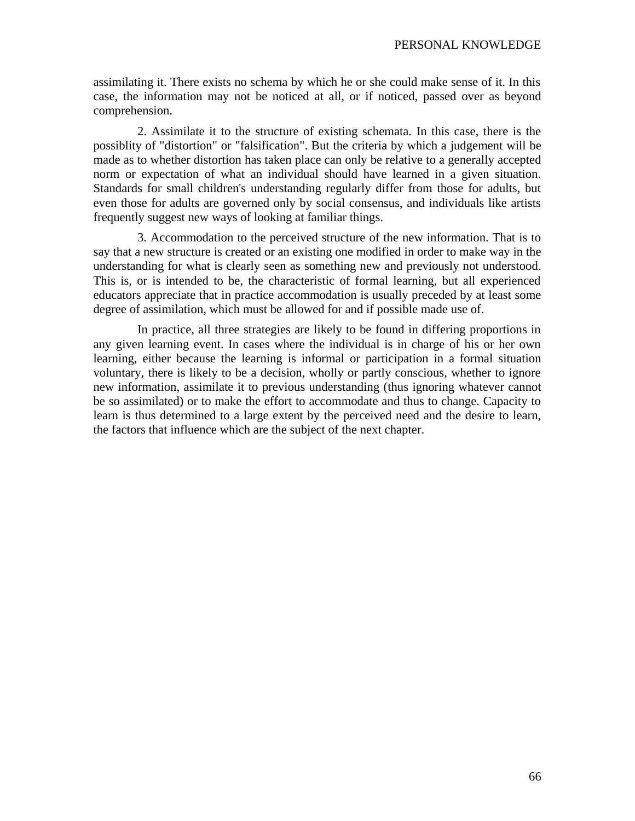assimilating it. There exists no schema by which he or she could make sense of it. In this case, the information may not be noticed at all, or if noticed, passed over as beyond comprehension.

2. Assimilate it to the structure of existing schemata. In this case, there is the possiblity of "distortion" or "falsification". But the criteria by which a judgement will be made as to whether distortion has taken place can only be relative to a generally accepted norm or expectation of what an individual should have learned in a given situation. Standards for small children's understanding regularly differ from those for adults, but even those for adults are governed only by social consensus, and individuals like artists frequently suggest new ways of looking at familiar things.

3. Accommodation to the perceived structure of the new information. That is to say that a new structure is created or an existing one modified in order to make way in the understanding for what is clearly seen as something new and previously not understood. This is, or is intended to be, the characteristic of formal learning, but all experienced educators appreciate that in practice accommodation is usually preceded by at least some degree of assimilation, which must be allowed for and if possible made use of.

In practice, all three strategies are likely to be found in differing proportions in any given learning event. In cases where the individual is in charge of his or her own learning, either because the learning is informal or participation in a formal situation voluntary, there is likely to be a decision, wholly or partly conscious, whether to ignore new information, assimilate it to previous understanding (thus ignoring whatever cannot be so assimilated) or to make the effort to accommodate and thus to change. Capacity to learn is thus determined to a large extent by the perceived need and the desire to learn, the factors that influence which are the subject of the next chapter.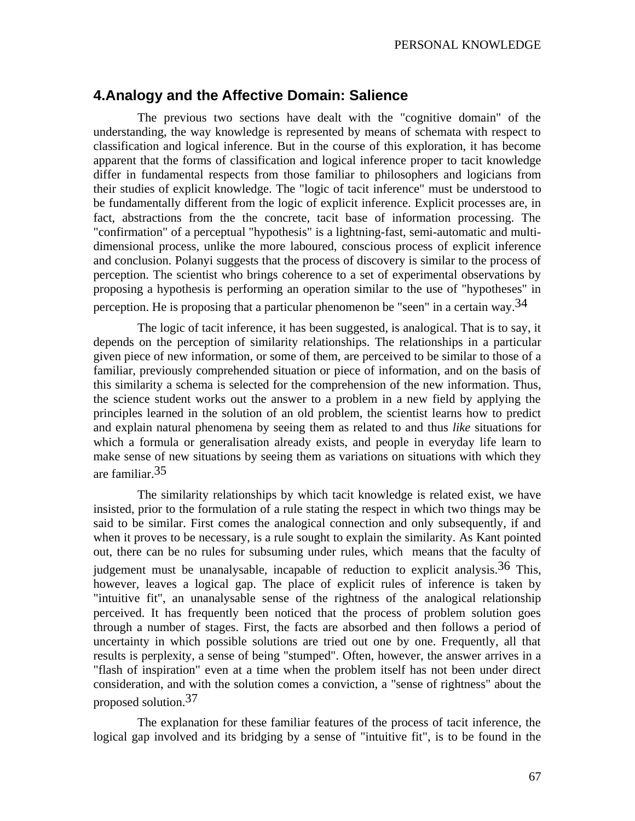# **4.Analogy and the Affective Domain: Salience**

The previous two sections have dealt with the "cognitive domain" of the understanding, the way knowledge is represented by means of schemata with respect to classification and logical inference. But in the course of this exploration, it has become apparent that the forms of classification and logical inference proper to tacit knowledge differ in fundamental respects from those familiar to philosophers and logicians from their studies of explicit knowledge. The "logic of tacit inference" must be understood to be fundamentally different from the logic of explicit inference. Explicit processes are, in fact, abstractions from the the concrete, tacit base of information processing. The "confirmation" of a perceptual "hypothesis" is a lightning-fast, semi-automatic and multidimensional process, unlike the more laboured, conscious process of explicit inference and conclusion. Polanyi suggests that the process of discovery is similar to the process of perception. The scientist who brings coherence to a set of experimental observations by proposing a hypothesis is performing an operation similar to the use of "hypotheses" in perception. He is proposing that a particular phenomenon be "seen" in a certain way.34

The logic of tacit inference, it has been suggested, is analogical. That is to say, it depends on the perception of similarity relationships. The relationships in a particular given piece of new information, or some of them, are perceived to be similar to those of a familiar, previously comprehended situation or piece of information, and on the basis of this similarity a schema is selected for the comprehension of the new information. Thus, the science student works out the answer to a problem in a new field by applying the principles learned in the solution of an old problem, the scientist learns how to predict and explain natural phenomena by seeing them as related to and thus *like* situations for which a formula or generalisation already exists, and people in everyday life learn to make sense of new situations by seeing them as variations on situations with which they are familiar.35

The similarity relationships by which tacit knowledge is related exist, we have insisted, prior to the formulation of a rule stating the respect in which two things may be said to be similar. First comes the analogical connection and only subsequently, if and when it proves to be necessary, is a rule sought to explain the similarity. As Kant pointed out, there can be no rules for subsuming under rules, which means that the faculty of judgement must be unanalysable, incapable of reduction to explicit analysis.<sup>36</sup> This, however, leaves a logical gap. The place of explicit rules of inference is taken by "intuitive fit", an unanalysable sense of the rightness of the analogical relationship perceived. It has frequently been noticed that the process of problem solution goes through a number of stages. First, the facts are absorbed and then follows a period of uncertainty in which possible solutions are tried out one by one. Frequently, all that results is perplexity, a sense of being "stumped". Often, however, the answer arrives in a "flash of inspiration" even at a time when the problem itself has not been under direct consideration, and with the solution comes a conviction, a "sense of rightness" about the proposed solution.<sup>37</sup>

The explanation for these familiar features of the process of tacit inference, the logical gap involved and its bridging by a sense of "intuitive fit", is to be found in the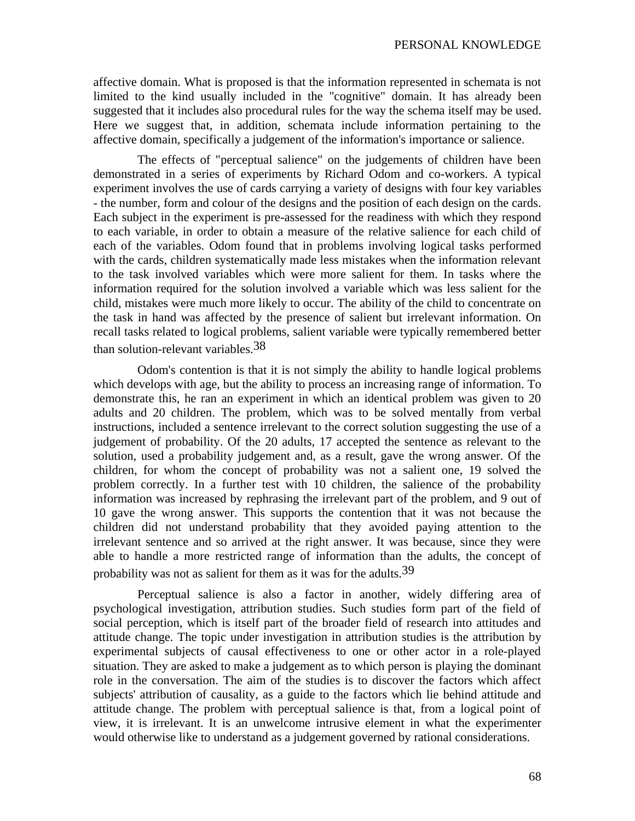affective domain. What is proposed is that the information represented in schemata is not limited to the kind usually included in the "cognitive" domain. It has already been suggested that it includes also procedural rules for the way the schema itself may be used. Here we suggest that, in addition, schemata include information pertaining to the affective domain, specifically a judgement of the information's importance or salience.

The effects of "perceptual salience" on the judgements of children have been demonstrated in a series of experiments by Richard Odom and co-workers. A typical experiment involves the use of cards carrying a variety of designs with four key variables - the number, form and colour of the designs and the position of each design on the cards. Each subject in the experiment is pre-assessed for the readiness with which they respond to each variable, in order to obtain a measure of the relative salience for each child of each of the variables. Odom found that in problems involving logical tasks performed with the cards, children systematically made less mistakes when the information relevant to the task involved variables which were more salient for them. In tasks where the information required for the solution involved a variable which was less salient for the child, mistakes were much more likely to occur. The ability of the child to concentrate on the task in hand was affected by the presence of salient but irrelevant information. On recall tasks related to logical problems, salient variable were typically remembered better than solution-relevant variables.38

Odom's contention is that it is not simply the ability to handle logical problems which develops with age, but the ability to process an increasing range of information. To demonstrate this, he ran an experiment in which an identical problem was given to 20 adults and 20 children. The problem, which was to be solved mentally from verbal instructions, included a sentence irrelevant to the correct solution suggesting the use of a judgement of probability. Of the 20 adults, 17 accepted the sentence as relevant to the solution, used a probability judgement and, as a result, gave the wrong answer. Of the children, for whom the concept of probability was not a salient one, 19 solved the problem correctly. In a further test with 10 children, the salience of the probability information was increased by rephrasing the irrelevant part of the problem, and 9 out of 10 gave the wrong answer. This supports the contention that it was not because the children did not understand probability that they avoided paying attention to the irrelevant sentence and so arrived at the right answer. It was because, since they were able to handle a more restricted range of information than the adults, the concept of probability was not as salient for them as it was for the adults.<sup>39</sup>

Perceptual salience is also a factor in another, widely differing area of psychological investigation, attribution studies. Such studies form part of the field of social perception, which is itself part of the broader field of research into attitudes and attitude change. The topic under investigation in attribution studies is the attribution by experimental subjects of causal effectiveness to one or other actor in a role-played situation. They are asked to make a judgement as to which person is playing the dominant role in the conversation. The aim of the studies is to discover the factors which affect subjects' attribution of causality, as a guide to the factors which lie behind attitude and attitude change. The problem with perceptual salience is that, from a logical point of view, it is irrelevant. It is an unwelcome intrusive element in what the experimenter would otherwise like to understand as a judgement governed by rational considerations.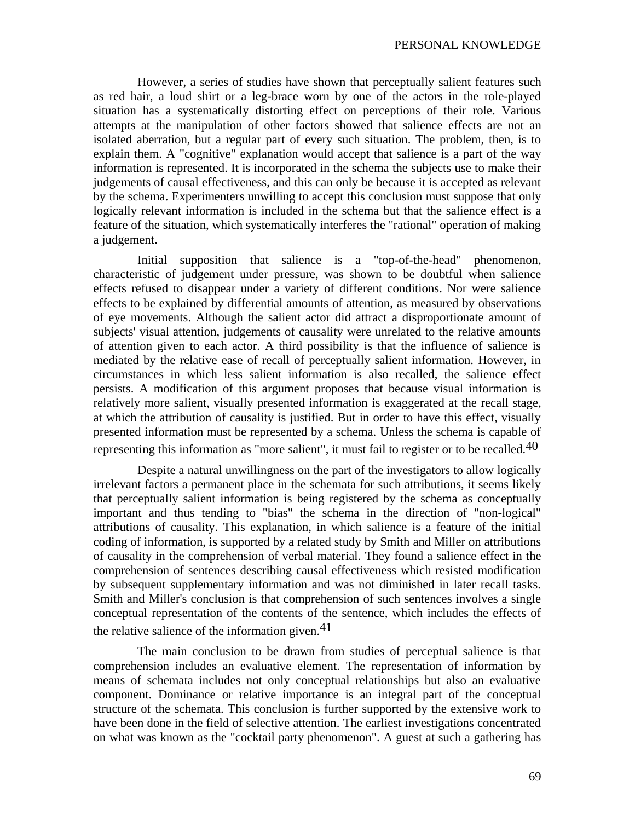However, a series of studies have shown that perceptually salient features such as red hair, a loud shirt or a leg-brace worn by one of the actors in the role-played situation has a systematically distorting effect on perceptions of their role. Various attempts at the manipulation of other factors showed that salience effects are not an isolated aberration, but a regular part of every such situation. The problem, then, is to explain them. A "cognitive" explanation would accept that salience is a part of the way information is represented. It is incorporated in the schema the subjects use to make their judgements of causal effectiveness, and this can only be because it is accepted as relevant by the schema. Experimenters unwilling to accept this conclusion must suppose that only logically relevant information is included in the schema but that the salience effect is a feature of the situation, which systematically interferes the "rational" operation of making a judgement.

Initial supposition that salience is a "top-of-the-head" phenomenon, characteristic of judgement under pressure, was shown to be doubtful when salience effects refused to disappear under a variety of different conditions. Nor were salience effects to be explained by differential amounts of attention, as measured by observations of eye movements. Although the salient actor did attract a disproportionate amount of subjects' visual attention, judgements of causality were unrelated to the relative amounts of attention given to each actor. A third possibility is that the influence of salience is mediated by the relative ease of recall of perceptually salient information. However, in circumstances in which less salient information is also recalled, the salience effect persists. A modification of this argument proposes that because visual information is relatively more salient, visually presented information is exaggerated at the recall stage, at which the attribution of causality is justified. But in order to have this effect, visually presented information must be represented by a schema. Unless the schema is capable of representing this information as "more salient", it must fail to register or to be recalled.40

Despite a natural unwillingness on the part of the investigators to allow logically irrelevant factors a permanent place in the schemata for such attributions, it seems likely that perceptually salient information is being registered by the schema as conceptually important and thus tending to "bias" the schema in the direction of "non-logical" attributions of causality. This explanation, in which salience is a feature of the initial coding of information, is supported by a related study by Smith and Miller on attributions of causality in the comprehension of verbal material. They found a salience effect in the comprehension of sentences describing causal effectiveness which resisted modification by subsequent supplementary information and was not diminished in later recall tasks. Smith and Miller's conclusion is that comprehension of such sentences involves a single conceptual representation of the contents of the sentence, which includes the effects of the relative salience of the information given. $41$ 

The main conclusion to be drawn from studies of perceptual salience is that comprehension includes an evaluative element. The representation of information by means of schemata includes not only conceptual relationships but also an evaluative component. Dominance or relative importance is an integral part of the conceptual structure of the schemata. This conclusion is further supported by the extensive work to have been done in the field of selective attention. The earliest investigations concentrated on what was known as the "cocktail party phenomenon". A guest at such a gathering has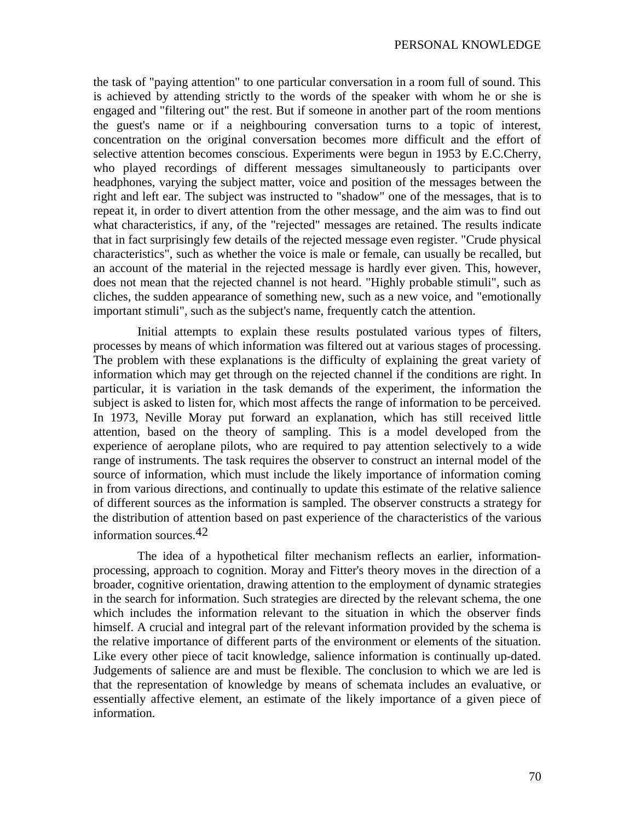the task of "paying attention" to one particular conversation in a room full of sound. This is achieved by attending strictly to the words of the speaker with whom he or she is engaged and "filtering out" the rest. But if someone in another part of the room mentions the guest's name or if a neighbouring conversation turns to a topic of interest, concentration on the original conversation becomes more difficult and the effort of selective attention becomes conscious. Experiments were begun in 1953 by E.C.Cherry, who played recordings of different messages simultaneously to participants over headphones, varying the subject matter, voice and position of the messages between the right and left ear. The subject was instructed to "shadow" one of the messages, that is to repeat it, in order to divert attention from the other message, and the aim was to find out what characteristics, if any, of the "rejected" messages are retained. The results indicate that in fact surprisingly few details of the rejected message even register. "Crude physical characteristics", such as whether the voice is male or female, can usually be recalled, but an account of the material in the rejected message is hardly ever given. This, however, does not mean that the rejected channel is not heard. "Highly probable stimuli", such as cliches, the sudden appearance of something new, such as a new voice, and "emotionally important stimuli", such as the subject's name, frequently catch the attention.

Initial attempts to explain these results postulated various types of filters, processes by means of which information was filtered out at various stages of processing. The problem with these explanations is the difficulty of explaining the great variety of information which may get through on the rejected channel if the conditions are right. In particular, it is variation in the task demands of the experiment, the information the subject is asked to listen for, which most affects the range of information to be perceived. In 1973, Neville Moray put forward an explanation, which has still received little attention, based on the theory of sampling. This is a model developed from the experience of aeroplane pilots, who are required to pay attention selectively to a wide range of instruments. The task requires the observer to construct an internal model of the source of information, which must include the likely importance of information coming in from various directions, and continually to update this estimate of the relative salience of different sources as the information is sampled. The observer constructs a strategy for the distribution of attention based on past experience of the characteristics of the various information sources.42

The idea of a hypothetical filter mechanism reflects an earlier, informationprocessing, approach to cognition. Moray and Fitter's theory moves in the direction of a broader, cognitive orientation, drawing attention to the employment of dynamic strategies in the search for information. Such strategies are directed by the relevant schema, the one which includes the information relevant to the situation in which the observer finds himself. A crucial and integral part of the relevant information provided by the schema is the relative importance of different parts of the environment or elements of the situation. Like every other piece of tacit knowledge, salience information is continually up-dated. Judgements of salience are and must be flexible. The conclusion to which we are led is that the representation of knowledge by means of schemata includes an evaluative, or essentially affective element, an estimate of the likely importance of a given piece of information.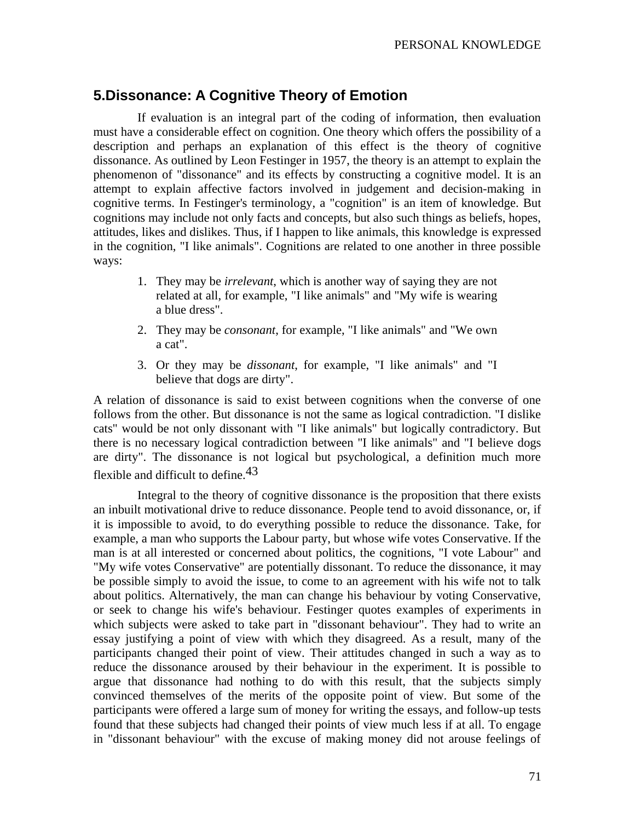# **5.Dissonance: A Cognitive Theory of Emotion**

If evaluation is an integral part of the coding of information, then evaluation must have a considerable effect on cognition. One theory which offers the possibility of a description and perhaps an explanation of this effect is the theory of cognitive dissonance. As outlined by Leon Festinger in 1957, the theory is an attempt to explain the phenomenon of "dissonance" and its effects by constructing a cognitive model. It is an attempt to explain affective factors involved in judgement and decision-making in cognitive terms. In Festinger's terminology, a "cognition" is an item of knowledge. But cognitions may include not only facts and concepts, but also such things as beliefs, hopes, attitudes, likes and dislikes. Thus, if I happen to like animals, this knowledge is expressed in the cognition, "I like animals". Cognitions are related to one another in three possible ways:

- 1. They may be *irrelevant*, which is another way of saying they are not related at all, for example, "I like animals" and "My wife is wearing a blue dress".
- 2. They may be *consonant*, for example, "I like animals" and "We own a cat".
- 3. Or they may be *dissonant*, for example, "I like animals" and "I believe that dogs are dirty".

A relation of dissonance is said to exist between cognitions when the converse of one follows from the other. But dissonance is not the same as logical contradiction. "I dislike cats" would be not only dissonant with "I like animals" but logically contradictory. But there is no necessary logical contradiction between "I like animals" and "I believe dogs are dirty". The dissonance is not logical but psychological, a definition much more flexible and difficult to define.  $43$ 

Integral to the theory of cognitive dissonance is the proposition that there exists an inbuilt motivational drive to reduce dissonance. People tend to avoid dissonance, or, if it is impossible to avoid, to do everything possible to reduce the dissonance. Take, for example, a man who supports the Labour party, but whose wife votes Conservative. If the man is at all interested or concerned about politics, the cognitions, "I vote Labour" and "My wife votes Conservative" are potentially dissonant. To reduce the dissonance, it may be possible simply to avoid the issue, to come to an agreement with his wife not to talk about politics. Alternatively, the man can change his behaviour by voting Conservative, or seek to change his wife's behaviour. Festinger quotes examples of experiments in which subjects were asked to take part in "dissonant behaviour". They had to write an essay justifying a point of view with which they disagreed. As a result, many of the participants changed their point of view. Their attitudes changed in such a way as to reduce the dissonance aroused by their behaviour in the experiment. It is possible to argue that dissonance had nothing to do with this result, that the subjects simply convinced themselves of the merits of the opposite point of view. But some of the participants were offered a large sum of money for writing the essays, and follow-up tests found that these subjects had changed their points of view much less if at all. To engage in "dissonant behaviour" with the excuse of making money did not arouse feelings of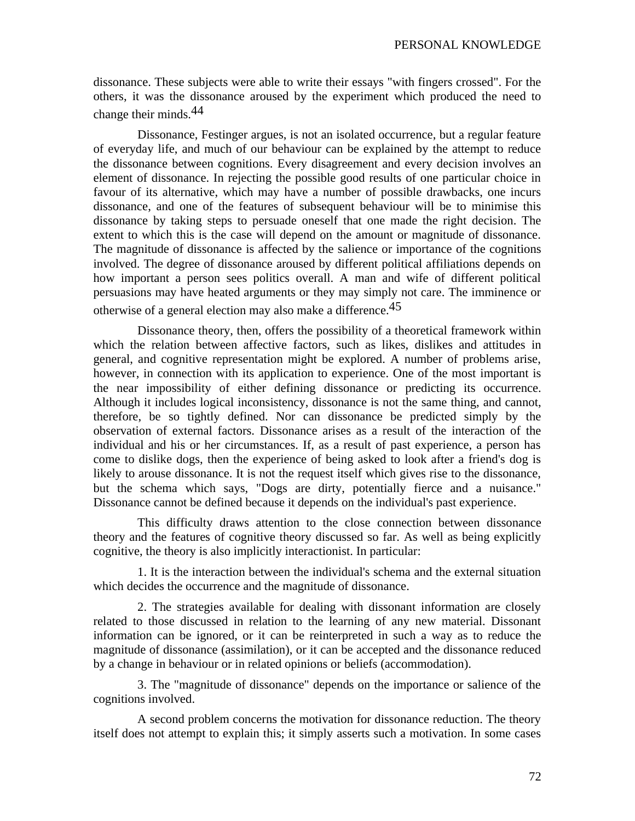dissonance. These subjects were able to write their essays "with fingers crossed". For the others, it was the dissonance aroused by the experiment which produced the need to change their minds.44

Dissonance, Festinger argues, is not an isolated occurrence, but a regular feature of everyday life, and much of our behaviour can be explained by the attempt to reduce the dissonance between cognitions. Every disagreement and every decision involves an element of dissonance. In rejecting the possible good results of one particular choice in favour of its alternative, which may have a number of possible drawbacks, one incurs dissonance, and one of the features of subsequent behaviour will be to minimise this dissonance by taking steps to persuade oneself that one made the right decision. The extent to which this is the case will depend on the amount or magnitude of dissonance. The magnitude of dissonance is affected by the salience or importance of the cognitions involved. The degree of dissonance aroused by different political affiliations depends on how important a person sees politics overall. A man and wife of different political persuasions may have heated arguments or they may simply not care. The imminence or otherwise of a general election may also make a difference.45

Dissonance theory, then, offers the possibility of a theoretical framework within which the relation between affective factors, such as likes, dislikes and attitudes in general, and cognitive representation might be explored. A number of problems arise, however, in connection with its application to experience. One of the most important is the near impossibility of either defining dissonance or predicting its occurrence. Although it includes logical inconsistency, dissonance is not the same thing, and cannot, therefore, be so tightly defined. Nor can dissonance be predicted simply by the observation of external factors. Dissonance arises as a result of the interaction of the individual and his or her circumstances. If, as a result of past experience, a person has come to dislike dogs, then the experience of being asked to look after a friend's dog is likely to arouse dissonance. It is not the request itself which gives rise to the dissonance, but the schema which says, "Dogs are dirty, potentially fierce and a nuisance." Dissonance cannot be defined because it depends on the individual's past experience.

This difficulty draws attention to the close connection between dissonance theory and the features of cognitive theory discussed so far. As well as being explicitly cognitive, the theory is also implicitly interactionist. In particular:

1. It is the interaction between the individual's schema and the external situation which decides the occurrence and the magnitude of dissonance.

2. The strategies available for dealing with dissonant information are closely related to those discussed in relation to the learning of any new material. Dissonant information can be ignored, or it can be reinterpreted in such a way as to reduce the magnitude of dissonance (assimilation), or it can be accepted and the dissonance reduced by a change in behaviour or in related opinions or beliefs (accommodation).

3. The "magnitude of dissonance" depends on the importance or salience of the cognitions involved.

A second problem concerns the motivation for dissonance reduction. The theory itself does not attempt to explain this; it simply asserts such a motivation. In some cases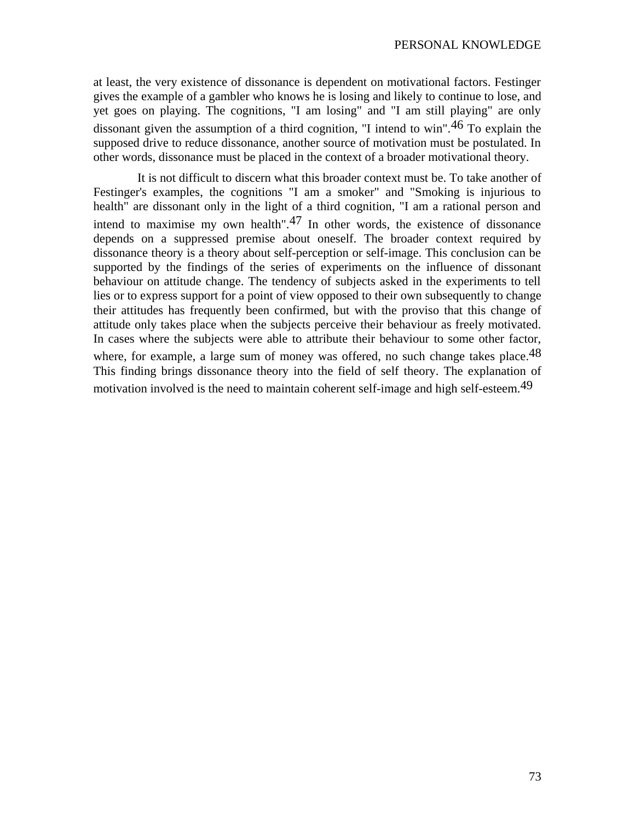at least, the very existence of dissonance is dependent on motivational factors. Festinger gives the example of a gambler who knows he is losing and likely to continue to lose, and yet goes on playing. The cognitions, "I am losing" and "I am still playing" are only dissonant given the assumption of a third cognition, "I intend to win".<sup>46</sup> To explain the supposed drive to reduce dissonance, another source of motivation must be postulated. In other words, dissonance must be placed in the context of a broader motivational theory.

It is not difficult to discern what this broader context must be. To take another of Festinger's examples, the cognitions "I am a smoker" and "Smoking is injurious to health" are dissonant only in the light of a third cognition, "I am a rational person and intend to maximise my own health". $47$  In other words, the existence of dissonance depends on a suppressed premise about oneself. The broader context required by dissonance theory is a theory about self-perception or self-image. This conclusion can be supported by the findings of the series of experiments on the influence of dissonant behaviour on attitude change. The tendency of subjects asked in the experiments to tell lies or to express support for a point of view opposed to their own subsequently to change their attitudes has frequently been confirmed, but with the proviso that this change of attitude only takes place when the subjects perceive their behaviour as freely motivated. In cases where the subjects were able to attribute their behaviour to some other factor, where, for example, a large sum of money was offered, no such change takes place.  $48$ This finding brings dissonance theory into the field of self theory. The explanation of motivation involved is the need to maintain coherent self-image and high self-esteem.<sup>49</sup>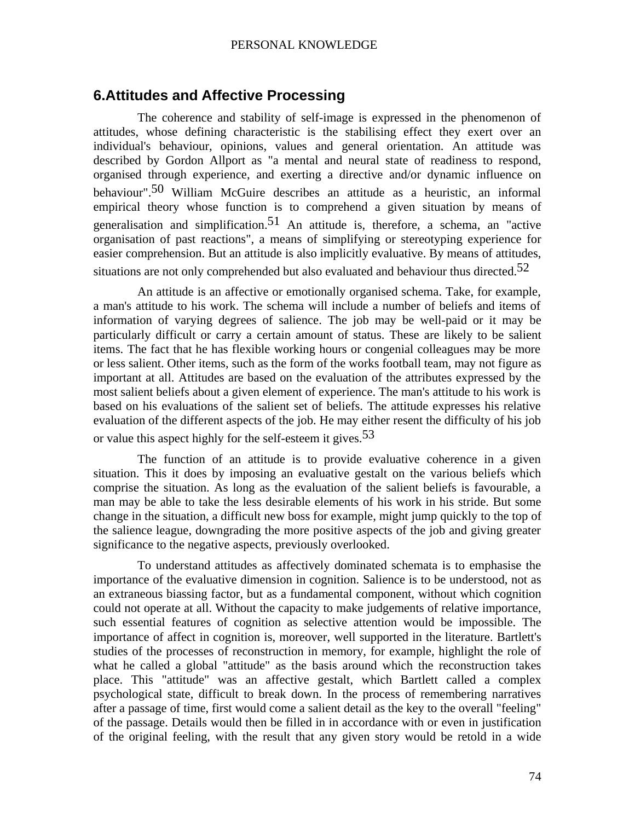## **6.Attitudes and Affective Processing**

The coherence and stability of self-image is expressed in the phenomenon of attitudes, whose defining characteristic is the stabilising effect they exert over an individual's behaviour, opinions, values and general orientation. An attitude was described by Gordon Allport as "a mental and neural state of readiness to respond, organised through experience, and exerting a directive and/or dynamic influence on behaviour".50 William McGuire describes an attitude as a heuristic, an informal empirical theory whose function is to comprehend a given situation by means of generalisation and simplification.<sup>51</sup> An attitude is, therefore, a schema, an "active" organisation of past reactions", a means of simplifying or stereotyping experience for easier comprehension. But an attitude is also implicitly evaluative. By means of attitudes, situations are not only comprehended but also evaluated and behaviour thus directed.<sup>52</sup>

An attitude is an affective or emotionally organised schema. Take, for example, a man's attitude to his work. The schema will include a number of beliefs and items of information of varying degrees of salience. The job may be well-paid or it may be particularly difficult or carry a certain amount of status. These are likely to be salient items. The fact that he has flexible working hours or congenial colleagues may be more or less salient. Other items, such as the form of the works football team, may not figure as important at all. Attitudes are based on the evaluation of the attributes expressed by the most salient beliefs about a given element of experience. The man's attitude to his work is based on his evaluations of the salient set of beliefs. The attitude expresses his relative evaluation of the different aspects of the job. He may either resent the difficulty of his job or value this aspect highly for the self-esteem it gives.<sup>53</sup>

The function of an attitude is to provide evaluative coherence in a given situation. This it does by imposing an evaluative gestalt on the various beliefs which comprise the situation. As long as the evaluation of the salient beliefs is favourable, a man may be able to take the less desirable elements of his work in his stride. But some change in the situation, a difficult new boss for example, might jump quickly to the top of the salience league, downgrading the more positive aspects of the job and giving greater significance to the negative aspects, previously overlooked.

To understand attitudes as affectively dominated schemata is to emphasise the importance of the evaluative dimension in cognition. Salience is to be understood, not as an extraneous biassing factor, but as a fundamental component, without which cognition could not operate at all. Without the capacity to make judgements of relative importance, such essential features of cognition as selective attention would be impossible. The importance of affect in cognition is, moreover, well supported in the literature. Bartlett's studies of the processes of reconstruction in memory, for example, highlight the role of what he called a global "attitude" as the basis around which the reconstruction takes place. This "attitude" was an affective gestalt, which Bartlett called a complex psychological state, difficult to break down. In the process of remembering narratives after a passage of time, first would come a salient detail as the key to the overall "feeling" of the passage. Details would then be filled in in accordance with or even in justification of the original feeling, with the result that any given story would be retold in a wide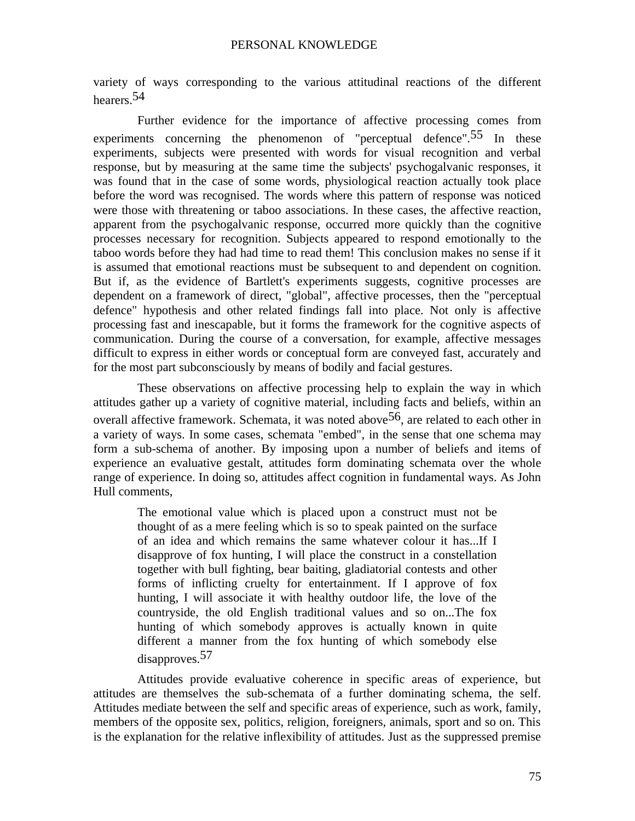variety of ways corresponding to the various attitudinal reactions of the different hearers.54

Further evidence for the importance of affective processing comes from experiments concerning the phenomenon of "perceptual defence".<sup>55</sup> In these experiments, subjects were presented with words for visual recognition and verbal response, but by measuring at the same time the subjects' psychogalvanic responses, it was found that in the case of some words, physiological reaction actually took place before the word was recognised. The words where this pattern of response was noticed were those with threatening or taboo associations. In these cases, the affective reaction, apparent from the psychogalvanic response, occurred more quickly than the cognitive processes necessary for recognition. Subjects appeared to respond emotionally to the taboo words before they had had time to read them! This conclusion makes no sense if it is assumed that emotional reactions must be subsequent to and dependent on cognition. But if, as the evidence of Bartlett's experiments suggests, cognitive processes are dependent on a framework of direct, "global", affective processes, then the "perceptual defence" hypothesis and other related findings fall into place. Not only is affective processing fast and inescapable, but it forms the framework for the cognitive aspects of communication. During the course of a conversation, for example, affective messages difficult to express in either words or conceptual form are conveyed fast, accurately and for the most part subconsciously by means of bodily and facial gestures.

These observations on affective processing help to explain the way in which attitudes gather up a variety of cognitive material, including facts and beliefs, within an overall affective framework. Schemata, it was noted above  $56$ , are related to each other in a variety of ways. In some cases, schemata "embed", in the sense that one schema may form a sub-schema of another. By imposing upon a number of beliefs and items of experience an evaluative gestalt, attitudes form dominating schemata over the whole range of experience. In doing so, attitudes affect cognition in fundamental ways. As John Hull comments,

The emotional value which is placed upon a construct must not be thought of as a mere feeling which is so to speak painted on the surface of an idea and which remains the same whatever colour it has...If I disapprove of fox hunting, I will place the construct in a constellation together with bull fighting, bear baiting, gladiatorial contests and other forms of inflicting cruelty for entertainment. If I approve of fox hunting, I will associate it with healthy outdoor life, the love of the countryside, the old English traditional values and so on...The fox hunting of which somebody approves is actually known in quite different a manner from the fox hunting of which somebody else disapproves.57

Attitudes provide evaluative coherence in specific areas of experience, but attitudes are themselves the sub-schemata of a further dominating schema, the self. Attitudes mediate between the self and specific areas of experience, such as work, family, members of the opposite sex, politics, religion, foreigners, animals, sport and so on. This is the explanation for the relative inflexibility of attitudes. Just as the suppressed premise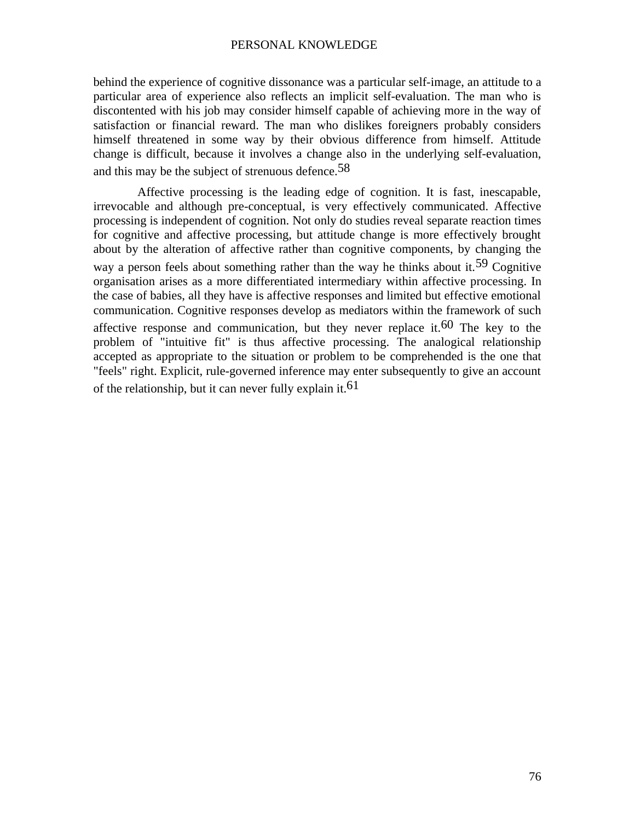### PERSONAL KNOWLEDGE

behind the experience of cognitive dissonance was a particular self-image, an attitude to a particular area of experience also reflects an implicit self-evaluation. The man who is discontented with his job may consider himself capable of achieving more in the way of satisfaction or financial reward. The man who dislikes foreigners probably considers himself threatened in some way by their obvious difference from himself. Attitude change is difficult, because it involves a change also in the underlying self-evaluation, and this may be the subject of strenuous defence.<sup>58</sup>

Affective processing is the leading edge of cognition. It is fast, inescapable, irrevocable and although pre-conceptual, is very effectively communicated. Affective processing is independent of cognition. Not only do studies reveal separate reaction times for cognitive and affective processing, but attitude change is more effectively brought about by the alteration of affective rather than cognitive components, by changing the way a person feels about something rather than the way he thinks about it.<sup>59</sup> Cognitive organisation arises as a more differentiated intermediary within affective processing. In the case of babies, all they have is affective responses and limited but effective emotional communication. Cognitive responses develop as mediators within the framework of such affective response and communication, but they never replace it.<sup>60</sup> The key to the problem of "intuitive fit" is thus affective processing. The analogical relationship accepted as appropriate to the situation or problem to be comprehended is the one that "feels" right. Explicit, rule-governed inference may enter subsequently to give an account of the relationship, but it can never fully explain it.<sup>61</sup>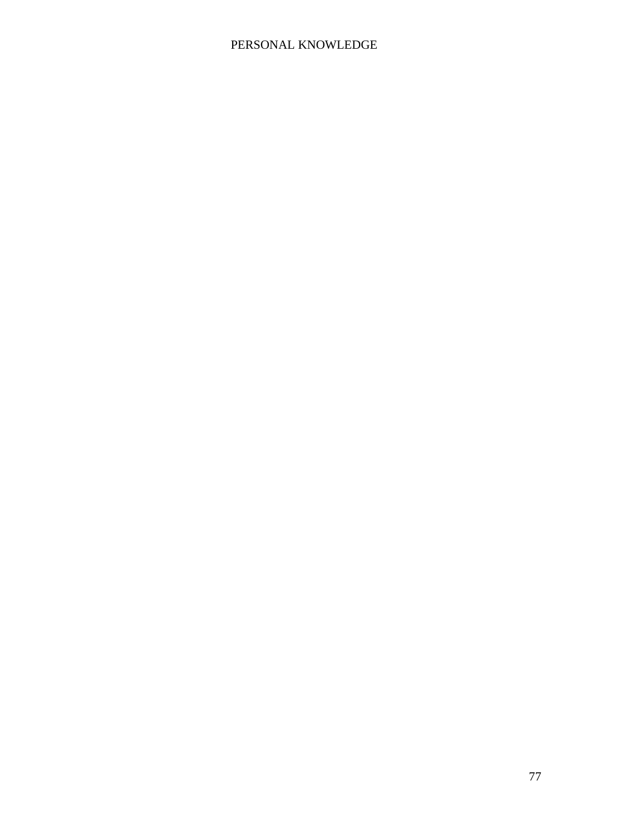### PERSONAL KNOWLEDGE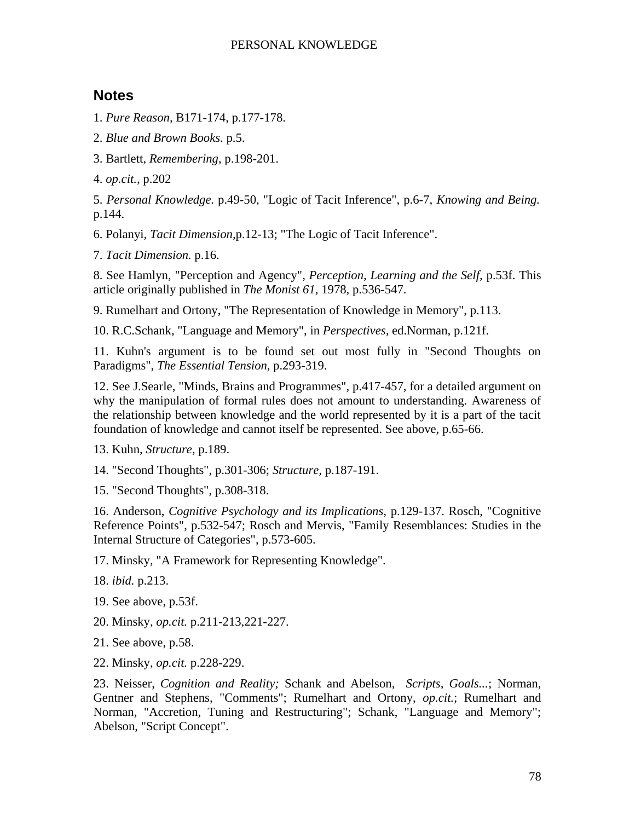## **Notes**

- 1. *Pure Reason,* B171-174, p.177-178.
- 2. *Blue and Brown Books*. p.5.
- 3. Bartlett, *Remembering*, p.198-201.

4. *op.cit.,* p.202

5. *Personal Knowledge.* p.49-50, "Logic of Tacit Inference", p.6-7, *Knowing and Being.* p.144.

6. Polanyi, *Tacit Dimension,*p.12-13; "The Logic of Tacit Inference".

7. *Tacit Dimension.* p.16.

8. See Hamlyn, "Perception and Agency", *Perception, Learning and the Self,* p.53f. This article originally published in *The Monist 61,* 1978, p.536-547.

9. Rumelhart and Ortony, "The Representation of Knowledge in Memory", p.113.

10. R.C.Schank, "Language and Memory", in *Perspectives,* ed.Norman, p.121f.

11. Kuhn's argument is to be found set out most fully in "Second Thoughts on Paradigms", *The Essential Tension*, p.293-319.

12. See J.Searle, "Minds, Brains and Programmes", p.417-457, for a detailed argument on why the manipulation of formal rules does not amount to understanding. Awareness of the relationship between knowledge and the world represented by it is a part of the tacit foundation of knowledge and cannot itself be represented. See above, p.65-66.

13. Kuhn, *Structure,* p.189.

14. "Second Thoughts", p.301-306; *Structure,* p.187-191.

15. "Second Thoughts", p.308-318.

16. Anderson, *Cognitive Psychology and its Implications,* p.129-137. Rosch, "Cognitive Reference Points", p.532-547; Rosch and Mervis, "Family Resemblances: Studies in the Internal Structure of Categories", p.573-605.

17. Minsky, "A Framework for Representing Knowledge".

18. *ibid.* p.213.

19. See above, p.53f.

20. Minsky, *op.cit.* p.211-213,221-227.

21. See above, p.58.

22. Minsky, *op.cit.* p.228-229.

23. Neisser, *Cognition and Reality;* Schank and Abelson, *Scripts, Goals...*; Norman, Gentner and Stephens, "Comments"; Rumelhart and Ortony, *op.cit.*; Rumelhart and Norman, "Accretion, Tuning and Restructuring"; Schank, "Language and Memory"; Abelson, "Script Concept".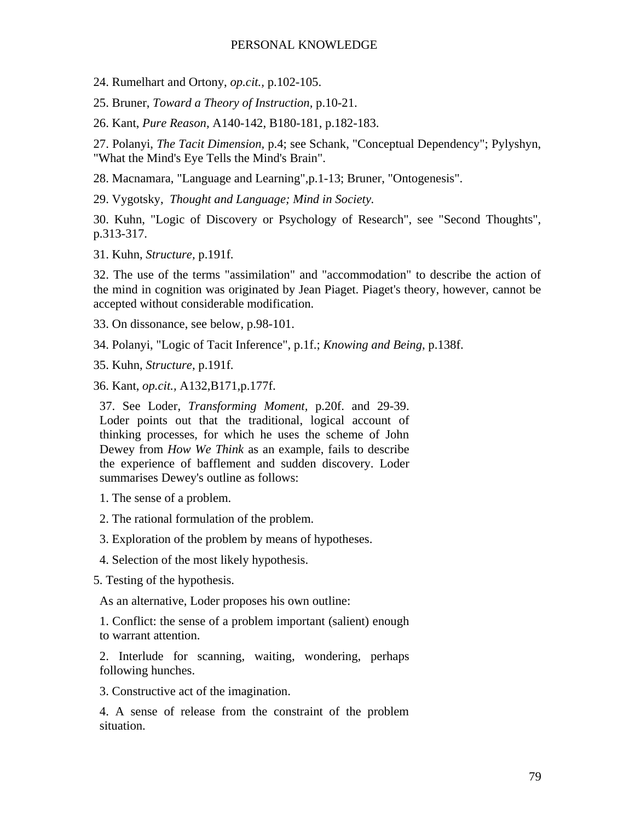#### PERSONAL KNOWLEDGE

24. Rumelhart and Ortony, *op.cit.,* p.102-105.

25. Bruner, *Toward a Theory of Instruction,* p.10-21.

26. Kant, *Pure Reason,* A140-142, B180-181, p.182-183.

27. Polanyi, *The Tacit Dimension,* p.4; see Schank, "Conceptual Dependency"; Pylyshyn, "What the Mind's Eye Tells the Mind's Brain".

28. Macnamara, "Language and Learning",p.1-13; Bruner, "Ontogenesis".

29. Vygotsky, *Thought and Language; Mind in Society.*

30. Kuhn, "Logic of Discovery or Psychology of Research", see "Second Thoughts", p.313-317.

31. Kuhn, *Structure,* p.191f.

32. The use of the terms "assimilation" and "accommodation" to describe the action of the mind in cognition was originated by Jean Piaget. Piaget's theory, however, cannot be accepted without considerable modification.

33. On dissonance, see below, p.98-101.

34. Polanyi, "Logic of Tacit Inference", p.1f.; *Knowing and Being*, p.138f.

35. Kuhn, *Structure*, p.191f.

36. Kant, *op.cit.,* A132,B171,p.177f.

37. See Loder, *Transforming Moment,* p.20f. and 29-39. Loder points out that the traditional, logical account of thinking processes, for which he uses the scheme of John Dewey from *How We Think* as an example, fails to describe the experience of bafflement and sudden discovery. Loder summarises Dewey's outline as follows:

- 1. The sense of a problem.
- 2. The rational formulation of the problem.
- 3. Exploration of the problem by means of hypotheses.
- 4. Selection of the most likely hypothesis.

5. Testing of the hypothesis.

As an alternative, Loder proposes his own outline:

1. Conflict: the sense of a problem important (salient) enough to warrant attention.

2. Interlude for scanning, waiting, wondering, perhaps following hunches.

3. Constructive act of the imagination.

4. A sense of release from the constraint of the problem situation.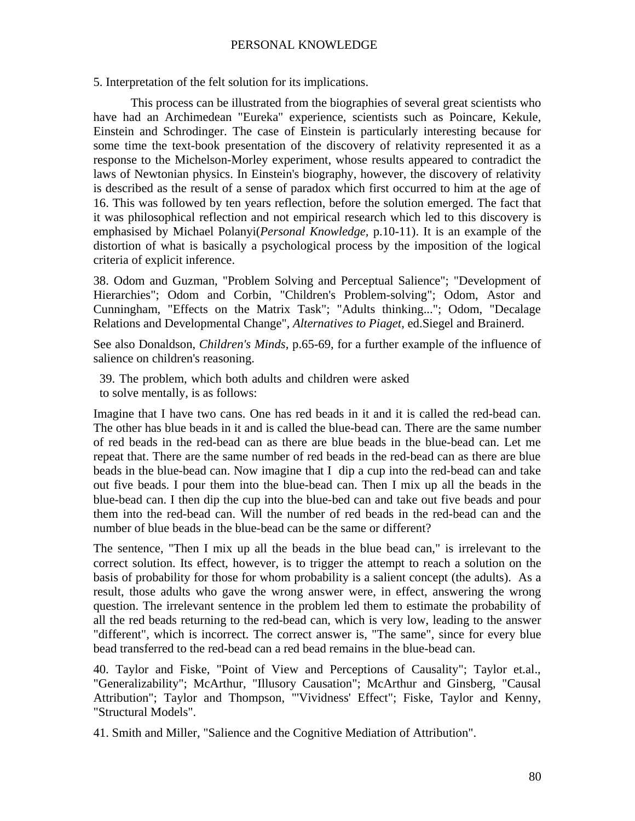5. Interpretation of the felt solution for its implications.

This process can be illustrated from the biographies of several great scientists who have had an Archimedean "Eureka" experience, scientists such as Poincare, Kekule, Einstein and Schrodinger. The case of Einstein is particularly interesting because for some time the text-book presentation of the discovery of relativity represented it as a response to the Michelson-Morley experiment, whose results appeared to contradict the laws of Newtonian physics. In Einstein's biography, however, the discovery of relativity is described as the result of a sense of paradox which first occurred to him at the age of 16. This was followed by ten years reflection, before the solution emerged. The fact that it was philosophical reflection and not empirical research which led to this discovery is emphasised by Michael Polanyi(*Personal Knowledge,* p.10-11). It is an example of the distortion of what is basically a psychological process by the imposition of the logical criteria of explicit inference.

38. Odom and Guzman, "Problem Solving and Perceptual Salience"; "Development of Hierarchies"; Odom and Corbin, "Children's Problem-solving"; Odom, Astor and Cunningham, "Effects on the Matrix Task"; "Adults thinking..."; Odom, "Decalage Relations and Developmental Change", *Alternatives to Piaget,* ed.Siegel and Brainerd.

See also Donaldson, *Children's Minds,* p.65-69, for a further example of the influence of salience on children's reasoning.

39. The problem, which both adults and children were asked to solve mentally, is as follows:

Imagine that I have two cans. One has red beads in it and it is called the red-bead can. The other has blue beads in it and is called the blue-bead can. There are the same number of red beads in the red-bead can as there are blue beads in the blue-bead can. Let me repeat that. There are the same number of red beads in the red-bead can as there are blue beads in the blue-bead can. Now imagine that I dip a cup into the red-bead can and take out five beads. I pour them into the blue-bead can. Then I mix up all the beads in the blue-bead can. I then dip the cup into the blue-bed can and take out five beads and pour them into the red-bead can. Will the number of red beads in the red-bead can and the number of blue beads in the blue-bead can be the same or different?

The sentence, "Then I mix up all the beads in the blue bead can," is irrelevant to the correct solution. Its effect, however, is to trigger the attempt to reach a solution on the basis of probability for those for whom probability is a salient concept (the adults). As a result, those adults who gave the wrong answer were, in effect, answering the wrong question. The irrelevant sentence in the problem led them to estimate the probability of all the red beads returning to the red-bead can, which is very low, leading to the answer "different", which is incorrect. The correct answer is, "The same", since for every blue bead transferred to the red-bead can a red bead remains in the blue-bead can.

40. Taylor and Fiske, "Point of View and Perceptions of Causality"; Taylor et.al., "Generalizability"; McArthur, "Illusory Causation"; McArthur and Ginsberg, "Causal Attribution"; Taylor and Thompson, "'Vividness' Effect"; Fiske, Taylor and Kenny, "Structural Models".

41. Smith and Miller, "Salience and the Cognitive Mediation of Attribution".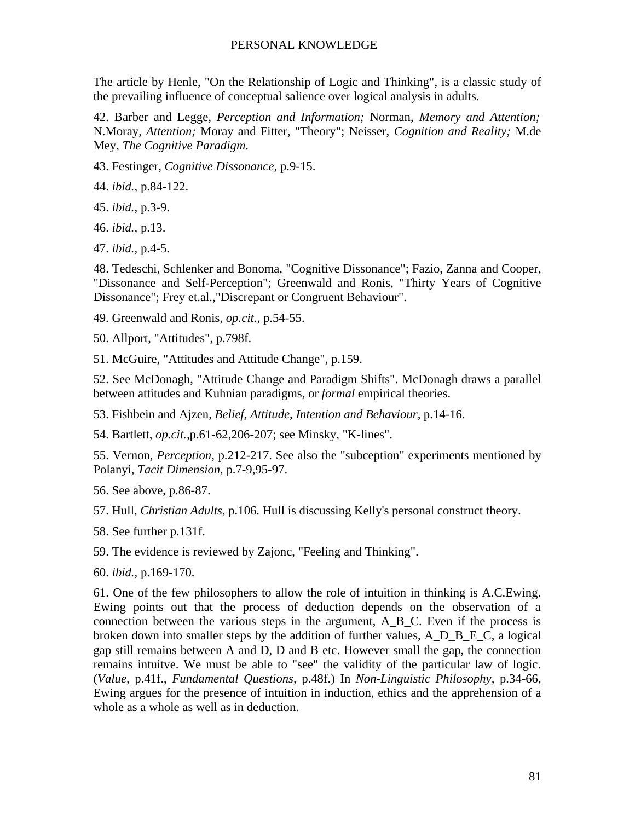### PERSONAL KNOWLEDGE

The article by Henle, "On the Relationship of Logic and Thinking", is a classic study of the prevailing influence of conceptual salience over logical analysis in adults.

42. Barber and Legge, *Perception and Information;* Norman, *Memory and Attention;* N.Moray, *Attention;* Moray and Fitter, "Theory"; Neisser, *Cognition and Reality;* M.de Mey, *The Cognitive Paradigm*.

43. Festinger, *Cognitive Dissonance,* p.9-15.

44. *ibid.,* p.84-122.

45. *ibid.,* p.3-9.

46. *ibid.,* p.13.

47. *ibid.,* p.4-5.

48. Tedeschi, Schlenker and Bonoma, "Cognitive Dissonance"; Fazio, Zanna and Cooper, "Dissonance and Self-Perception"; Greenwald and Ronis, "Thirty Years of Cognitive Dissonance"; Frey et.al.,"Discrepant or Congruent Behaviour".

49. Greenwald and Ronis, *op.cit.,* p.54-55.

50. Allport, "Attitudes", p.798f.

51. McGuire, "Attitudes and Attitude Change", p.159.

52. See McDonagh, "Attitude Change and Paradigm Shifts". McDonagh draws a parallel between attitudes and Kuhnian paradigms, or *formal* empirical theories.

53. Fishbein and Ajzen, *Belief, Attitude, Intention and Behaviour,* p.14-16.

54. Bartlett, *op.cit.,*p.61-62,206-207; see Minsky, "K-lines".

55. Vernon, *Perception,* p.212-217. See also the "subception" experiments mentioned by Polanyi, *Tacit Dimension*, p.7-9,95-97.

56. See above, p.86-87.

57. Hull, *Christian Adults,* p.106. Hull is discussing Kelly's personal construct theory.

58. See further p.131f.

59. The evidence is reviewed by Zajonc, "Feeling and Thinking".

60. *ibid.,* p.169-170.

61. One of the few philosophers to allow the role of intuition in thinking is A.C.Ewing. Ewing points out that the process of deduction depends on the observation of a connection between the various steps in the argument, A\_B\_C. Even if the process is broken down into smaller steps by the addition of further values,  $A$   $D$   $B$   $E$   $C$ , a logical gap still remains between A and D, D and B etc. However small the gap, the connection remains intuitve. We must be able to "see" the validity of the particular law of logic. (*Value,* p.41f., *Fundamental Questions,* p.48f.) In *Non-Linguistic Philosophy,* p.34-66, Ewing argues for the presence of intuition in induction, ethics and the apprehension of a whole as a whole as well as in deduction.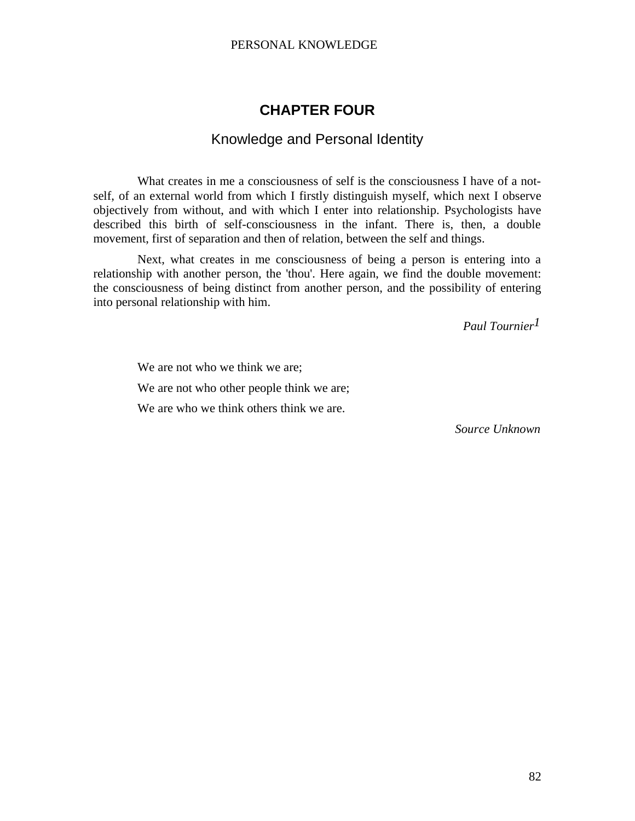#### PERSONAL KNOWLEDGE

# **CHAPTER FOUR**

# Knowledge and Personal Identity

What creates in me a consciousness of self is the consciousness I have of a notself, of an external world from which I firstly distinguish myself, which next I observe objectively from without, and with which I enter into relationship. Psychologists have described this birth of self-consciousness in the infant. There is, then, a double movement, first of separation and then of relation, between the self and things.

Next, what creates in me consciousness of being a person is entering into a relationship with another person, the 'thou'. Here again, we find the double movement: the consciousness of being distinct from another person, and the possibility of entering into personal relationship with him.

*Paul Tournier1*

We are not who we think we are;

We are not who other people think we are;

We are who we think others think we are.

*Source Unknown*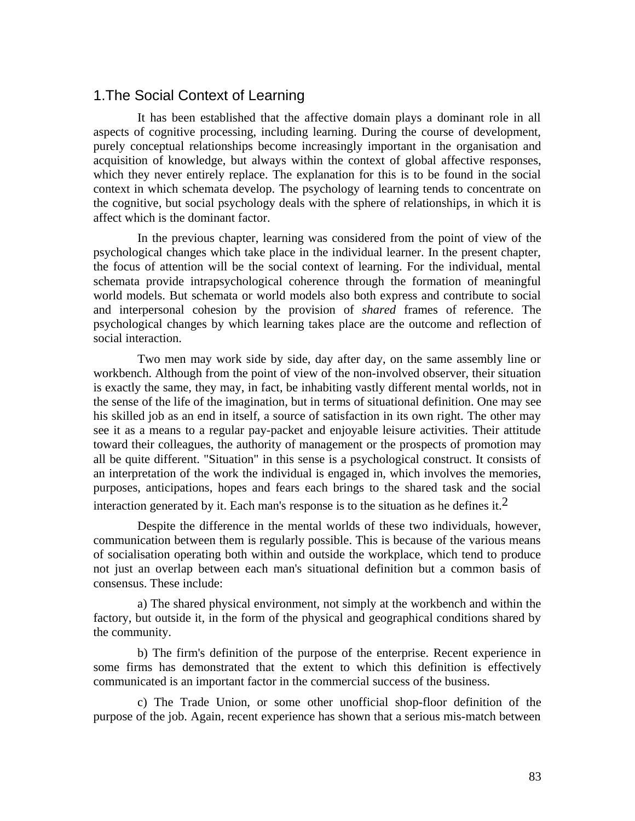### 1.The Social Context of Learning

It has been established that the affective domain plays a dominant role in all aspects of cognitive processing, including learning. During the course of development, purely conceptual relationships become increasingly important in the organisation and acquisition of knowledge, but always within the context of global affective responses, which they never entirely replace. The explanation for this is to be found in the social context in which schemata develop. The psychology of learning tends to concentrate on the cognitive, but social psychology deals with the sphere of relationships, in which it is affect which is the dominant factor.

In the previous chapter, learning was considered from the point of view of the psychological changes which take place in the individual learner. In the present chapter, the focus of attention will be the social context of learning. For the individual, mental schemata provide intrapsychological coherence through the formation of meaningful world models. But schemata or world models also both express and contribute to social and interpersonal cohesion by the provision of *shared* frames of reference. The psychological changes by which learning takes place are the outcome and reflection of social interaction.

Two men may work side by side, day after day, on the same assembly line or workbench. Although from the point of view of the non-involved observer, their situation is exactly the same, they may, in fact, be inhabiting vastly different mental worlds, not in the sense of the life of the imagination, but in terms of situational definition. One may see his skilled job as an end in itself, a source of satisfaction in its own right. The other may see it as a means to a regular pay-packet and enjoyable leisure activities. Their attitude toward their colleagues, the authority of management or the prospects of promotion may all be quite different. "Situation" in this sense is a psychological construct. It consists of an interpretation of the work the individual is engaged in, which involves the memories, purposes, anticipations, hopes and fears each brings to the shared task and the social interaction generated by it. Each man's response is to the situation as he defines it.<sup>2</sup>

Despite the difference in the mental worlds of these two individuals, however, communication between them is regularly possible. This is because of the various means of socialisation operating both within and outside the workplace, which tend to produce not just an overlap between each man's situational definition but a common basis of consensus. These include:

a) The shared physical environment, not simply at the workbench and within the factory, but outside it, in the form of the physical and geographical conditions shared by the community.

b) The firm's definition of the purpose of the enterprise. Recent experience in some firms has demonstrated that the extent to which this definition is effectively communicated is an important factor in the commercial success of the business.

c) The Trade Union, or some other unofficial shop-floor definition of the purpose of the job. Again, recent experience has shown that a serious mis-match between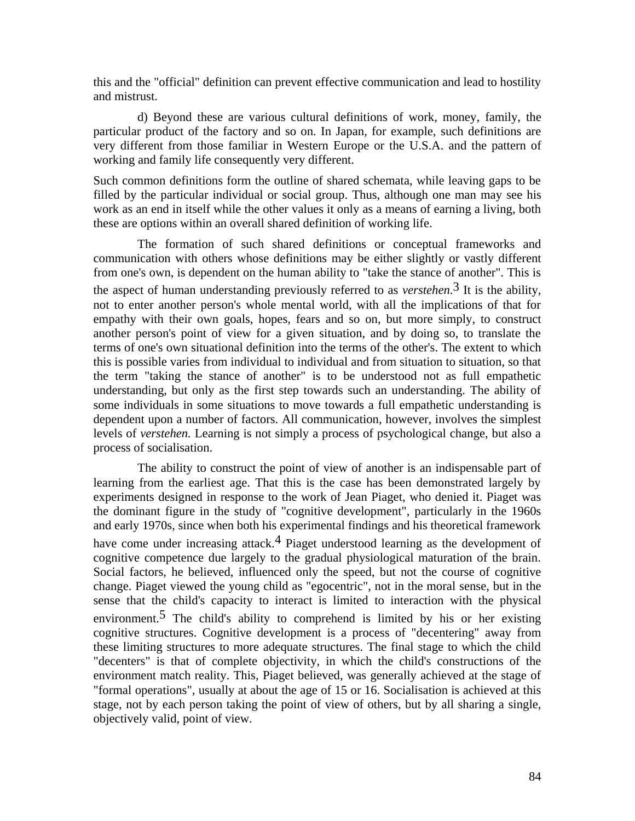this and the "official" definition can prevent effective communication and lead to hostility and mistrust.

d) Beyond these are various cultural definitions of work, money, family, the particular product of the factory and so on. In Japan, for example, such definitions are very different from those familiar in Western Europe or the U.S.A. and the pattern of working and family life consequently very different.

Such common definitions form the outline of shared schemata, while leaving gaps to be filled by the particular individual or social group. Thus, although one man may see his work as an end in itself while the other values it only as a means of earning a living, both these are options within an overall shared definition of working life.

The formation of such shared definitions or conceptual frameworks and communication with others whose definitions may be either slightly or vastly different from one's own, is dependent on the human ability to "take the stance of another". This is the aspect of human understanding previously referred to as *verstehen*. 3 It is the ability, not to enter another person's whole mental world, with all the implications of that for empathy with their own goals, hopes, fears and so on, but more simply, to construct another person's point of view for a given situation, and by doing so, to translate the terms of one's own situational definition into the terms of the other's. The extent to which this is possible varies from individual to individual and from situation to situation, so that the term "taking the stance of another" is to be understood not as full empathetic understanding, but only as the first step towards such an understanding. The ability of some individuals in some situations to move towards a full empathetic understanding is dependent upon a number of factors. All communication, however, involves the simplest levels of *verstehen.* Learning is not simply a process of psychological change, but also a process of socialisation.

The ability to construct the point of view of another is an indispensable part of learning from the earliest age. That this is the case has been demonstrated largely by experiments designed in response to the work of Jean Piaget, who denied it. Piaget was the dominant figure in the study of "cognitive development", particularly in the 1960s and early 1970s, since when both his experimental findings and his theoretical framework have come under increasing attack.<sup>4</sup> Piaget understood learning as the development of cognitive competence due largely to the gradual physiological maturation of the brain. Social factors, he believed, influenced only the speed, but not the course of cognitive change. Piaget viewed the young child as "egocentric", not in the moral sense, but in the sense that the child's capacity to interact is limited to interaction with the physical environment.<sup>5</sup> The child's ability to comprehend is limited by his or her existing cognitive structures. Cognitive development is a process of "decentering" away from these limiting structures to more adequate structures. The final stage to which the child "decenters" is that of complete objectivity, in which the child's constructions of the environment match reality. This, Piaget believed, was generally achieved at the stage of "formal operations", usually at about the age of 15 or 16. Socialisation is achieved at this stage, not by each person taking the point of view of others, but by all sharing a single, objectively valid, point of view.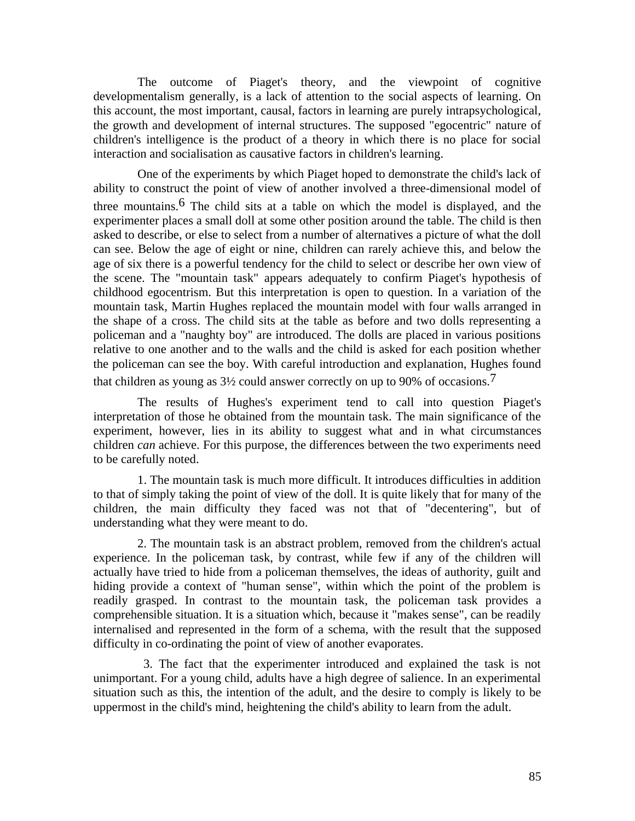The outcome of Piaget's theory, and the viewpoint of cognitive developmentalism generally, is a lack of attention to the social aspects of learning. On this account, the most important, causal, factors in learning are purely intrapsychological, the growth and development of internal structures. The supposed "egocentric" nature of children's intelligence is the product of a theory in which there is no place for social interaction and socialisation as causative factors in children's learning.

One of the experiments by which Piaget hoped to demonstrate the child's lack of ability to construct the point of view of another involved a three-dimensional model of three mountains.<sup>6</sup> The child sits at a table on which the model is displayed, and the experimenter places a small doll at some other position around the table. The child is then asked to describe, or else to select from a number of alternatives a picture of what the doll can see. Below the age of eight or nine, children can rarely achieve this, and below the age of six there is a powerful tendency for the child to select or describe her own view of the scene. The "mountain task" appears adequately to confirm Piaget's hypothesis of childhood egocentrism. But this interpretation is open to question. In a variation of the mountain task, Martin Hughes replaced the mountain model with four walls arranged in the shape of a cross. The child sits at the table as before and two dolls representing a policeman and a "naughty boy" are introduced. The dolls are placed in various positions relative to one another and to the walls and the child is asked for each position whether the policeman can see the boy. With careful introduction and explanation, Hughes found that children as young as  $3\frac{1}{2}$  could answer correctly on up to 90% of occasions.<sup>7</sup>

The results of Hughes's experiment tend to call into question Piaget's interpretation of those he obtained from the mountain task. The main significance of the experiment, however, lies in its ability to suggest what and in what circumstances children *can* achieve. For this purpose, the differences between the two experiments need to be carefully noted.

1. The mountain task is much more difficult. It introduces difficulties in addition to that of simply taking the point of view of the doll. It is quite likely that for many of the children, the main difficulty they faced was not that of "decentering", but of understanding what they were meant to do.

2. The mountain task is an abstract problem, removed from the children's actual experience. In the policeman task, by contrast, while few if any of the children will actually have tried to hide from a policeman themselves, the ideas of authority, guilt and hiding provide a context of "human sense", within which the point of the problem is readily grasped. In contrast to the mountain task, the policeman task provides a comprehensible situation. It is a situation which, because it "makes sense", can be readily internalised and represented in the form of a schema, with the result that the supposed difficulty in co-ordinating the point of view of another evaporates.

 3. The fact that the experimenter introduced and explained the task is not unimportant. For a young child, adults have a high degree of salience. In an experimental situation such as this, the intention of the adult, and the desire to comply is likely to be uppermost in the child's mind, heightening the child's ability to learn from the adult.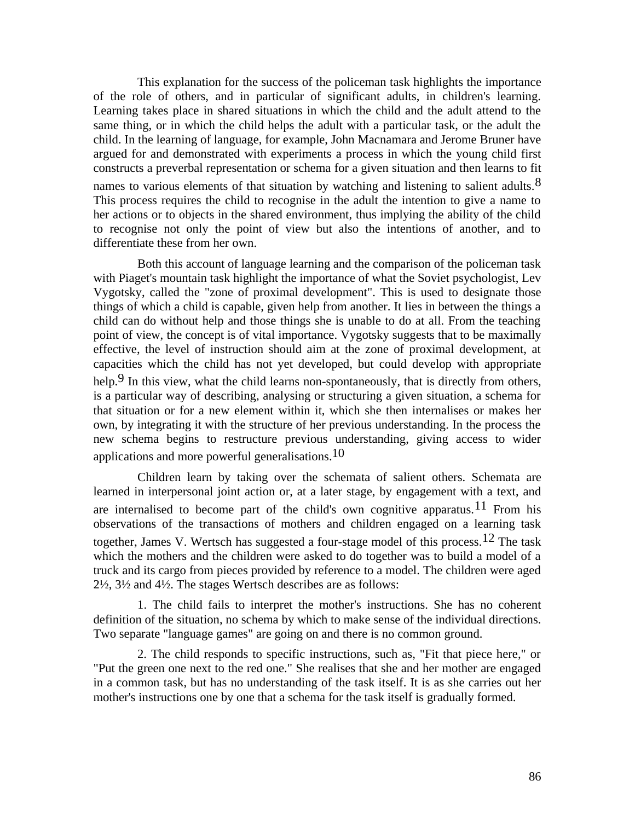This explanation for the success of the policeman task highlights the importance of the role of others, and in particular of significant adults, in children's learning. Learning takes place in shared situations in which the child and the adult attend to the same thing, or in which the child helps the adult with a particular task, or the adult the child. In the learning of language, for example, John Macnamara and Jerome Bruner have argued for and demonstrated with experiments a process in which the young child first constructs a preverbal representation or schema for a given situation and then learns to fit names to various elements of that situation by watching and listening to salient adults.<sup>8</sup> This process requires the child to recognise in the adult the intention to give a name to her actions or to objects in the shared environment, thus implying the ability of the child to recognise not only the point of view but also the intentions of another, and to differentiate these from her own.

Both this account of language learning and the comparison of the policeman task with Piaget's mountain task highlight the importance of what the Soviet psychologist, Lev Vygotsky, called the "zone of proximal development". This is used to designate those things of which a child is capable, given help from another. It lies in between the things a child can do without help and those things she is unable to do at all. From the teaching point of view, the concept is of vital importance. Vygotsky suggests that to be maximally effective, the level of instruction should aim at the zone of proximal development, at capacities which the child has not yet developed, but could develop with appropriate help.<sup>9</sup> In this view, what the child learns non-spontaneously, that is directly from others, is a particular way of describing, analysing or structuring a given situation, a schema for that situation or for a new element within it, which she then internalises or makes her own, by integrating it with the structure of her previous understanding. In the process the new schema begins to restructure previous understanding, giving access to wider applications and more powerful generalisations.<sup>10</sup>

Children learn by taking over the schemata of salient others. Schemata are learned in interpersonal joint action or, at a later stage, by engagement with a text, and are internalised to become part of the child's own cognitive apparatus.<sup>11</sup> From his observations of the transactions of mothers and children engaged on a learning task together, James V. Wertsch has suggested a four-stage model of this process.12 The task which the mothers and the children were asked to do together was to build a model of a truck and its cargo from pieces provided by reference to a model. The children were aged 2½, 3½ and 4½. The stages Wertsch describes are as follows:

1. The child fails to interpret the mother's instructions. She has no coherent definition of the situation, no schema by which to make sense of the individual directions. Two separate "language games" are going on and there is no common ground.

2. The child responds to specific instructions, such as, "Fit that piece here," or "Put the green one next to the red one." She realises that she and her mother are engaged in a common task, but has no understanding of the task itself. It is as she carries out her mother's instructions one by one that a schema for the task itself is gradually formed.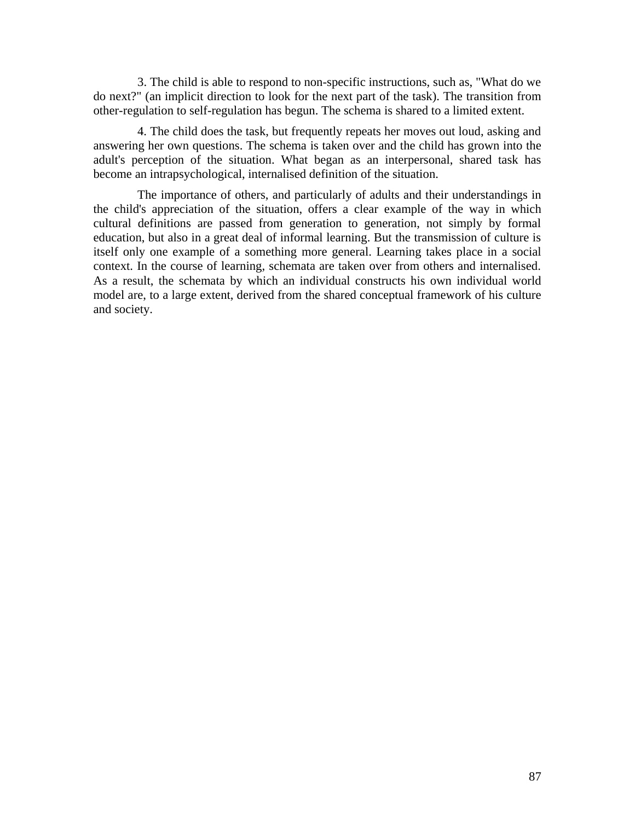3. The child is able to respond to non-specific instructions, such as, "What do we do next?" (an implicit direction to look for the next part of the task). The transition from other-regulation to self-regulation has begun. The schema is shared to a limited extent.

4. The child does the task, but frequently repeats her moves out loud, asking and answering her own questions. The schema is taken over and the child has grown into the adult's perception of the situation. What began as an interpersonal, shared task has become an intrapsychological, internalised definition of the situation.

The importance of others, and particularly of adults and their understandings in the child's appreciation of the situation, offers a clear example of the way in which cultural definitions are passed from generation to generation, not simply by formal education, but also in a great deal of informal learning. But the transmission of culture is itself only one example of a something more general. Learning takes place in a social context. In the course of learning, schemata are taken over from others and internalised. As a result, the schemata by which an individual constructs his own individual world model are, to a large extent, derived from the shared conceptual framework of his culture and society.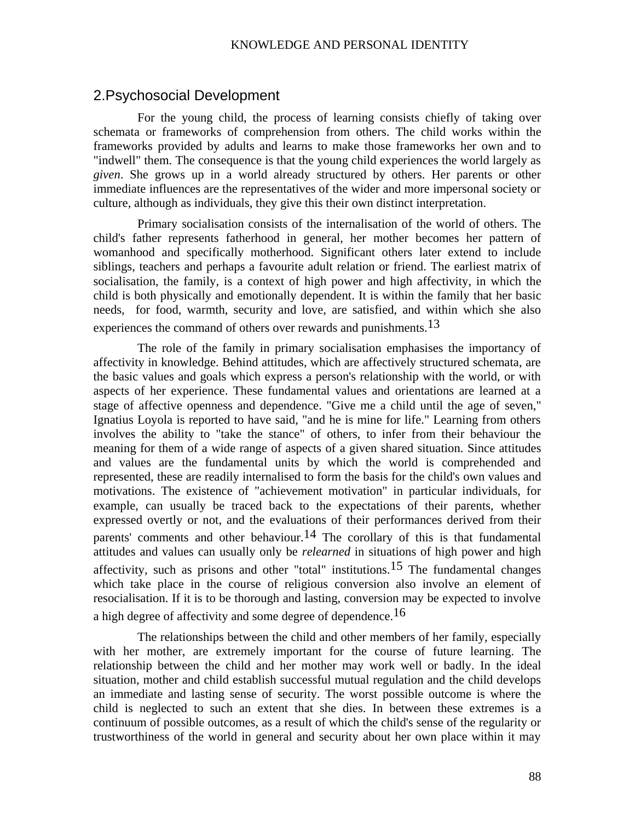#### KNOWLEDGE AND PERSONAL IDENTITY

### 2.Psychosocial Development

For the young child, the process of learning consists chiefly of taking over schemata or frameworks of comprehension from others. The child works within the frameworks provided by adults and learns to make those frameworks her own and to "indwell" them. The consequence is that the young child experiences the world largely as *given*. She grows up in a world already structured by others. Her parents or other immediate influences are the representatives of the wider and more impersonal society or culture, although as individuals, they give this their own distinct interpretation.

Primary socialisation consists of the internalisation of the world of others. The child's father represents fatherhood in general, her mother becomes her pattern of womanhood and specifically motherhood. Significant others later extend to include siblings, teachers and perhaps a favourite adult relation or friend. The earliest matrix of socialisation, the family, is a context of high power and high affectivity, in which the child is both physically and emotionally dependent. It is within the family that her basic needs, for food, warmth, security and love, are satisfied, and within which she also experiences the command of others over rewards and punishments.<sup>13</sup>

The role of the family in primary socialisation emphasises the importancy of affectivity in knowledge. Behind attitudes, which are affectively structured schemata, are the basic values and goals which express a person's relationship with the world, or with aspects of her experience. These fundamental values and orientations are learned at a stage of affective openness and dependence. "Give me a child until the age of seven," Ignatius Loyola is reported to have said, "and he is mine for life." Learning from others involves the ability to "take the stance" of others, to infer from their behaviour the meaning for them of a wide range of aspects of a given shared situation. Since attitudes and values are the fundamental units by which the world is comprehended and represented, these are readily internalised to form the basis for the child's own values and motivations. The existence of "achievement motivation" in particular individuals, for example, can usually be traced back to the expectations of their parents, whether expressed overtly or not, and the evaluations of their performances derived from their parents' comments and other behaviour.<sup>14</sup> The corollary of this is that fundamental attitudes and values can usually only be *relearned* in situations of high power and high affectivity, such as prisons and other "total" institutions.<sup>15</sup> The fundamental changes which take place in the course of religious conversion also involve an element of resocialisation. If it is to be thorough and lasting, conversion may be expected to involve a high degree of affectivity and some degree of dependence.<sup>16</sup>

The relationships between the child and other members of her family, especially with her mother, are extremely important for the course of future learning. The relationship between the child and her mother may work well or badly. In the ideal situation, mother and child establish successful mutual regulation and the child develops an immediate and lasting sense of security. The worst possible outcome is where the child is neglected to such an extent that she dies. In between these extremes is a continuum of possible outcomes, as a result of which the child's sense of the regularity or trustworthiness of the world in general and security about her own place within it may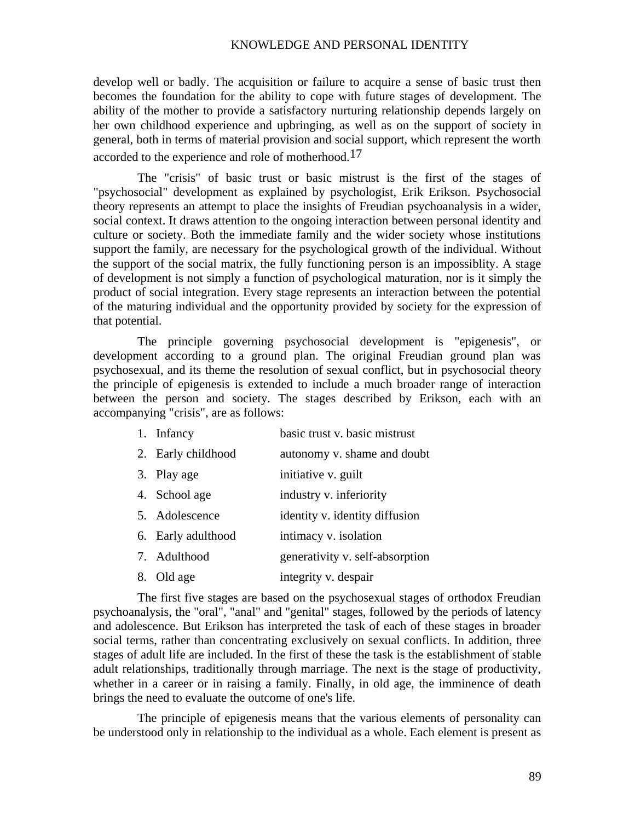develop well or badly. The acquisition or failure to acquire a sense of basic trust then becomes the foundation for the ability to cope with future stages of development. The ability of the mother to provide a satisfactory nurturing relationship depends largely on her own childhood experience and upbringing, as well as on the support of society in general, both in terms of material provision and social support, which represent the worth accorded to the experience and role of motherhood.17

The "crisis" of basic trust or basic mistrust is the first of the stages of "psychosocial" development as explained by psychologist, Erik Erikson. Psychosocial theory represents an attempt to place the insights of Freudian psychoanalysis in a wider, social context. It draws attention to the ongoing interaction between personal identity and culture or society. Both the immediate family and the wider society whose institutions support the family, are necessary for the psychological growth of the individual. Without the support of the social matrix, the fully functioning person is an impossiblity. A stage of development is not simply a function of psychological maturation, nor is it simply the product of social integration. Every stage represents an interaction between the potential of the maturing individual and the opportunity provided by society for the expression of that potential.

The principle governing psychosocial development is "epigenesis", or development according to a ground plan. The original Freudian ground plan was psychosexual, and its theme the resolution of sexual conflict, but in psychosocial theory the principle of epigenesis is extended to include a much broader range of interaction between the person and society. The stages described by Erikson, each with an accompanying "crisis", are as follows:

| 1. Infancy         | basic trust v. basic mistrust   |
|--------------------|---------------------------------|
| 2. Early childhood | autonomy v. shame and doubt     |
| 3. Play age        | initiative v. guilt             |
| 4. School age      | industry v. inferiority         |
| 5. Adolescence     | identity v. identity diffusion  |
| 6. Early adulthood | intimacy v. isolation           |
| 7. Adulthood       | generativity v. self-absorption |
| 8. Old age         | integrity v. despair            |

The first five stages are based on the psychosexual stages of orthodox Freudian psychoanalysis, the "oral", "anal" and "genital" stages, followed by the periods of latency and adolescence. But Erikson has interpreted the task of each of these stages in broader social terms, rather than concentrating exclusively on sexual conflicts. In addition, three stages of adult life are included. In the first of these the task is the establishment of stable adult relationships, traditionally through marriage. The next is the stage of productivity, whether in a career or in raising a family. Finally, in old age, the imminence of death brings the need to evaluate the outcome of one's life.

The principle of epigenesis means that the various elements of personality can be understood only in relationship to the individual as a whole. Each element is present as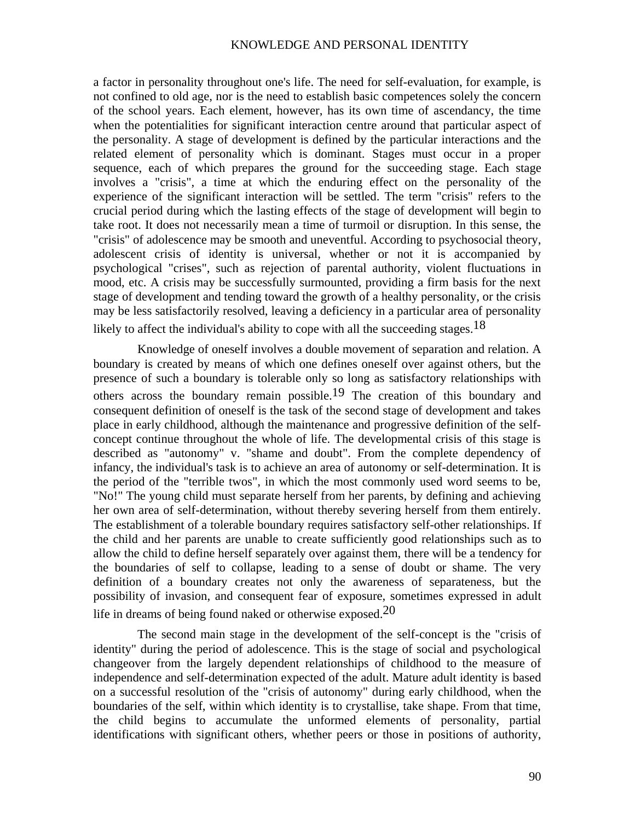a factor in personality throughout one's life. The need for self-evaluation, for example, is not confined to old age, nor is the need to establish basic competences solely the concern of the school years. Each element, however, has its own time of ascendancy, the time when the potentialities for significant interaction centre around that particular aspect of the personality. A stage of development is defined by the particular interactions and the related element of personality which is dominant. Stages must occur in a proper sequence, each of which prepares the ground for the succeeding stage. Each stage involves a "crisis", a time at which the enduring effect on the personality of the experience of the significant interaction will be settled. The term "crisis" refers to the crucial period during which the lasting effects of the stage of development will begin to take root. It does not necessarily mean a time of turmoil or disruption. In this sense, the "crisis" of adolescence may be smooth and uneventful. According to psychosocial theory, adolescent crisis of identity is universal, whether or not it is accompanied by psychological "crises", such as rejection of parental authority, violent fluctuations in mood, etc. A crisis may be successfully surmounted, providing a firm basis for the next stage of development and tending toward the growth of a healthy personality, or the crisis may be less satisfactorily resolved, leaving a deficiency in a particular area of personality likely to affect the individual's ability to cope with all the succeeding stages.<sup>18</sup>

Knowledge of oneself involves a double movement of separation and relation. A boundary is created by means of which one defines oneself over against others, but the presence of such a boundary is tolerable only so long as satisfactory relationships with others across the boundary remain possible.19 The creation of this boundary and consequent definition of oneself is the task of the second stage of development and takes place in early childhood, although the maintenance and progressive definition of the selfconcept continue throughout the whole of life. The developmental crisis of this stage is described as "autonomy" v. "shame and doubt". From the complete dependency of infancy, the individual's task is to achieve an area of autonomy or self-determination. It is the period of the "terrible twos", in which the most commonly used word seems to be, "No!" The young child must separate herself from her parents, by defining and achieving her own area of self-determination, without thereby severing herself from them entirely. The establishment of a tolerable boundary requires satisfactory self-other relationships. If the child and her parents are unable to create sufficiently good relationships such as to allow the child to define herself separately over against them, there will be a tendency for the boundaries of self to collapse, leading to a sense of doubt or shame. The very definition of a boundary creates not only the awareness of separateness, but the possibility of invasion, and consequent fear of exposure, sometimes expressed in adult life in dreams of being found naked or otherwise exposed.<sup>20</sup>

The second main stage in the development of the self-concept is the "crisis of identity" during the period of adolescence. This is the stage of social and psychological changeover from the largely dependent relationships of childhood to the measure of independence and self-determination expected of the adult. Mature adult identity is based on a successful resolution of the "crisis of autonomy" during early childhood, when the boundaries of the self, within which identity is to crystallise, take shape. From that time, the child begins to accumulate the unformed elements of personality, partial identifications with significant others, whether peers or those in positions of authority,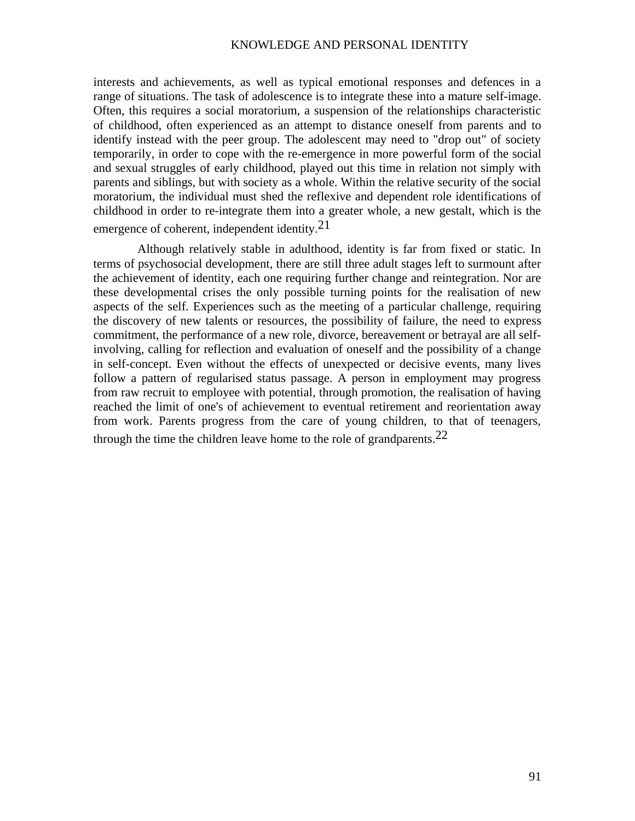#### KNOWLEDGE AND PERSONAL IDENTITY

interests and achievements, as well as typical emotional responses and defences in a range of situations. The task of adolescence is to integrate these into a mature self-image. Often, this requires a social moratorium, a suspension of the relationships characteristic of childhood, often experienced as an attempt to distance oneself from parents and to identify instead with the peer group. The adolescent may need to "drop out" of society temporarily, in order to cope with the re-emergence in more powerful form of the social and sexual struggles of early childhood, played out this time in relation not simply with parents and siblings, but with society as a whole. Within the relative security of the social moratorium, the individual must shed the reflexive and dependent role identifications of childhood in order to re-integrate them into a greater whole, a new gestalt, which is the emergence of coherent, independent identity.<sup>21</sup>

Although relatively stable in adulthood, identity is far from fixed or static. In terms of psychosocial development, there are still three adult stages left to surmount after the achievement of identity, each one requiring further change and reintegration. Nor are these developmental crises the only possible turning points for the realisation of new aspects of the self. Experiences such as the meeting of a particular challenge, requiring the discovery of new talents or resources, the possibility of failure, the need to express commitment, the performance of a new role, divorce, bereavement or betrayal are all selfinvolving, calling for reflection and evaluation of oneself and the possibility of a change in self-concept. Even without the effects of unexpected or decisive events, many lives follow a pattern of regularised status passage. A person in employment may progress from raw recruit to employee with potential, through promotion, the realisation of having reached the limit of one's of achievement to eventual retirement and reorientation away from work. Parents progress from the care of young children, to that of teenagers, through the time the children leave home to the role of grandparents.22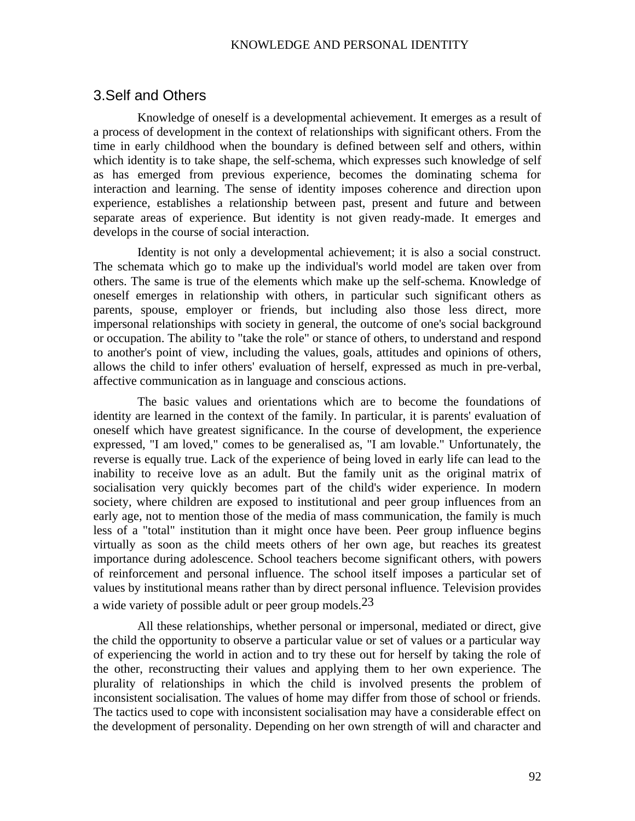#### KNOWLEDGE AND PERSONAL IDENTITY

### 3.Self and Others

Knowledge of oneself is a developmental achievement. It emerges as a result of a process of development in the context of relationships with significant others. From the time in early childhood when the boundary is defined between self and others, within which identity is to take shape, the self-schema, which expresses such knowledge of self as has emerged from previous experience, becomes the dominating schema for interaction and learning. The sense of identity imposes coherence and direction upon experience, establishes a relationship between past, present and future and between separate areas of experience. But identity is not given ready-made. It emerges and develops in the course of social interaction.

Identity is not only a developmental achievement; it is also a social construct. The schemata which go to make up the individual's world model are taken over from others. The same is true of the elements which make up the self-schema. Knowledge of oneself emerges in relationship with others, in particular such significant others as parents, spouse, employer or friends, but including also those less direct, more impersonal relationships with society in general, the outcome of one's social background or occupation. The ability to "take the role" or stance of others, to understand and respond to another's point of view, including the values, goals, attitudes and opinions of others, allows the child to infer others' evaluation of herself, expressed as much in pre-verbal, affective communication as in language and conscious actions.

The basic values and orientations which are to become the foundations of identity are learned in the context of the family. In particular, it is parents' evaluation of oneself which have greatest significance. In the course of development, the experience expressed, "I am loved," comes to be generalised as, "I am lovable." Unfortunately, the reverse is equally true. Lack of the experience of being loved in early life can lead to the inability to receive love as an adult. But the family unit as the original matrix of socialisation very quickly becomes part of the child's wider experience. In modern society, where children are exposed to institutional and peer group influences from an early age, not to mention those of the media of mass communication, the family is much less of a "total" institution than it might once have been. Peer group influence begins virtually as soon as the child meets others of her own age, but reaches its greatest importance during adolescence. School teachers become significant others, with powers of reinforcement and personal influence. The school itself imposes a particular set of values by institutional means rather than by direct personal influence. Television provides a wide variety of possible adult or peer group models.23

All these relationships, whether personal or impersonal, mediated or direct, give the child the opportunity to observe a particular value or set of values or a particular way of experiencing the world in action and to try these out for herself by taking the role of the other, reconstructing their values and applying them to her own experience. The plurality of relationships in which the child is involved presents the problem of inconsistent socialisation. The values of home may differ from those of school or friends. The tactics used to cope with inconsistent socialisation may have a considerable effect on the development of personality. Depending on her own strength of will and character and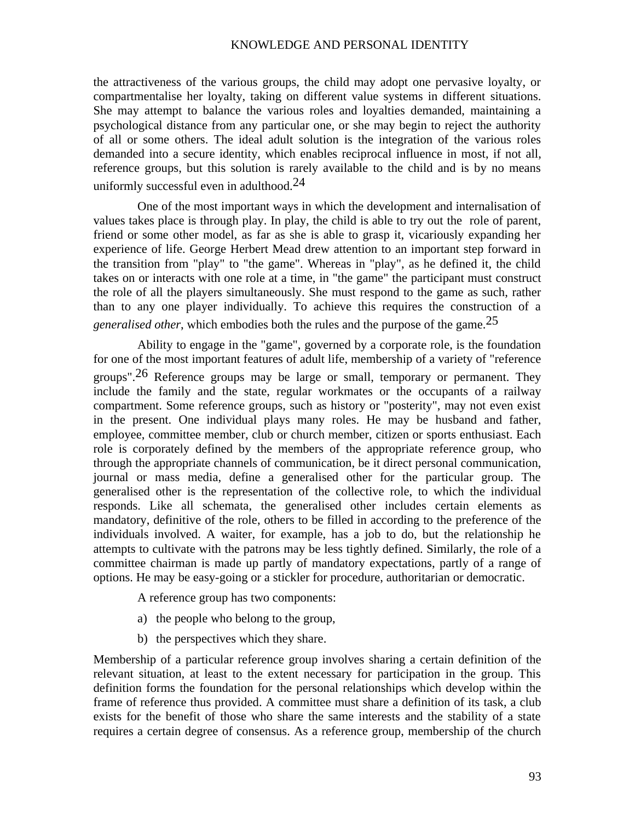the attractiveness of the various groups, the child may adopt one pervasive loyalty, or compartmentalise her loyalty, taking on different value systems in different situations. She may attempt to balance the various roles and loyalties demanded, maintaining a psychological distance from any particular one, or she may begin to reject the authority of all or some others. The ideal adult solution is the integration of the various roles demanded into a secure identity, which enables reciprocal influence in most, if not all, reference groups, but this solution is rarely available to the child and is by no means uniformly successful even in adulthood.<sup>24</sup>

One of the most important ways in which the development and internalisation of values takes place is through play. In play, the child is able to try out the role of parent, friend or some other model, as far as she is able to grasp it, vicariously expanding her experience of life. George Herbert Mead drew attention to an important step forward in the transition from "play" to "the game". Whereas in "play", as he defined it, the child takes on or interacts with one role at a time, in "the game" the participant must construct the role of all the players simultaneously. She must respond to the game as such, rather than to any one player individually. To achieve this requires the construction of a *generalised other*, which embodies both the rules and the purpose of the game.25

Ability to engage in the "game", governed by a corporate role, is the foundation for one of the most important features of adult life, membership of a variety of "reference groups".<sup>26</sup> Reference groups may be large or small, temporary or permanent. They include the family and the state, regular workmates or the occupants of a railway compartment. Some reference groups, such as history or "posterity", may not even exist in the present. One individual plays many roles. He may be husband and father, employee, committee member, club or church member, citizen or sports enthusiast. Each role is corporately defined by the members of the appropriate reference group, who through the appropriate channels of communication, be it direct personal communication, journal or mass media, define a generalised other for the particular group. The generalised other is the representation of the collective role, to which the individual responds. Like all schemata, the generalised other includes certain elements as mandatory, definitive of the role, others to be filled in according to the preference of the individuals involved. A waiter, for example, has a job to do, but the relationship he attempts to cultivate with the patrons may be less tightly defined. Similarly, the role of a committee chairman is made up partly of mandatory expectations, partly of a range of options. He may be easy-going or a stickler for procedure, authoritarian or democratic.

A reference group has two components:

- a) the people who belong to the group,
- b) the perspectives which they share.

Membership of a particular reference group involves sharing a certain definition of the relevant situation, at least to the extent necessary for participation in the group. This definition forms the foundation for the personal relationships which develop within the frame of reference thus provided. A committee must share a definition of its task, a club exists for the benefit of those who share the same interests and the stability of a state requires a certain degree of consensus. As a reference group, membership of the church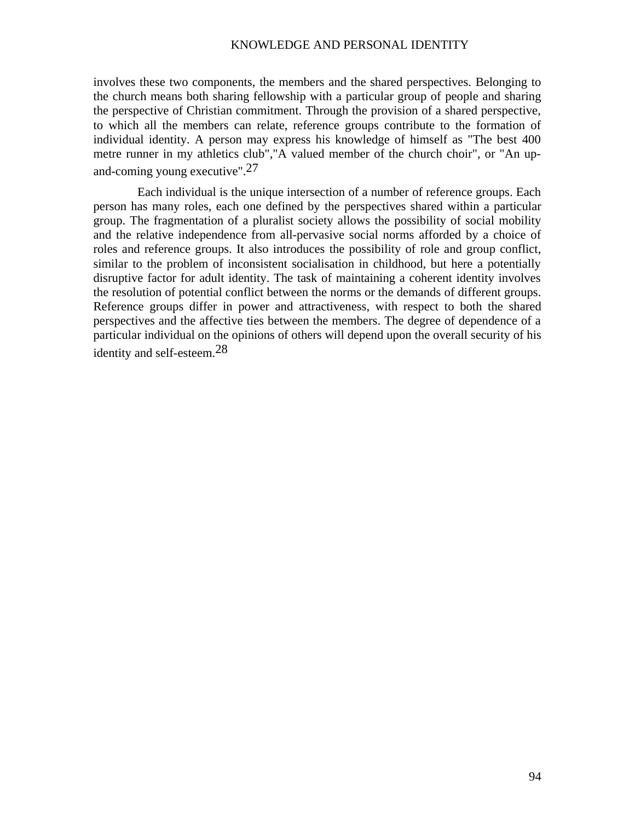#### KNOWLEDGE AND PERSONAL IDENTITY

involves these two components, the members and the shared perspectives. Belonging to the church means both sharing fellowship with a particular group of people and sharing the perspective of Christian commitment. Through the provision of a shared perspective, to which all the members can relate, reference groups contribute to the formation of individual identity. A person may express his knowledge of himself as "The best 400 metre runner in my athletics club","A valued member of the church choir", or "An upand-coming young executive".27

Each individual is the unique intersection of a number of reference groups. Each person has many roles, each one defined by the perspectives shared within a particular group. The fragmentation of a pluralist society allows the possibility of social mobility and the relative independence from all-pervasive social norms afforded by a choice of roles and reference groups. It also introduces the possibility of role and group conflict, similar to the problem of inconsistent socialisation in childhood, but here a potentially disruptive factor for adult identity. The task of maintaining a coherent identity involves the resolution of potential conflict between the norms or the demands of different groups. Reference groups differ in power and attractiveness, with respect to both the shared perspectives and the affective ties between the members. The degree of dependence of a particular individual on the opinions of others will depend upon the overall security of his identity and self-esteem.28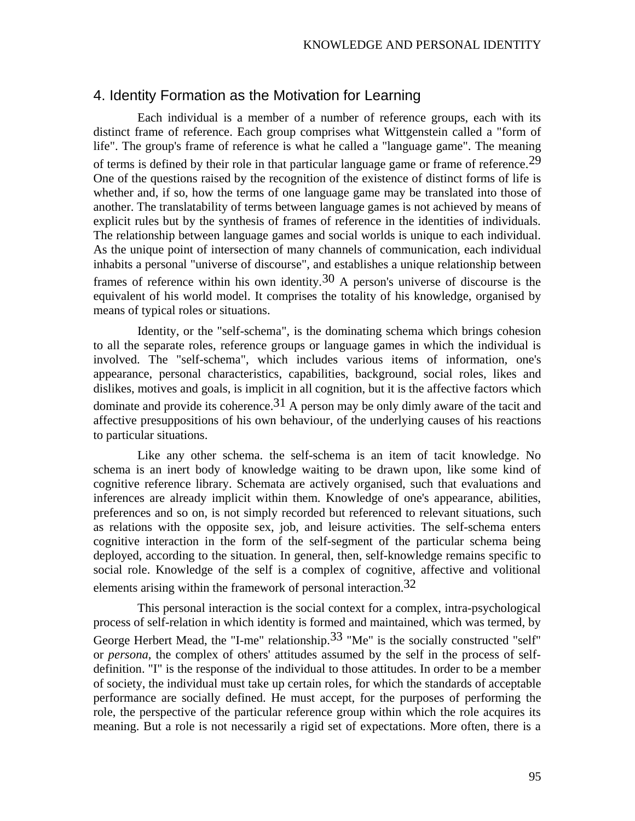# 4. Identity Formation as the Motivation for Learning

Each individual is a member of a number of reference groups, each with its distinct frame of reference. Each group comprises what Wittgenstein called a "form of life". The group's frame of reference is what he called a "language game". The meaning of terms is defined by their role in that particular language game or frame of reference.29 One of the questions raised by the recognition of the existence of distinct forms of life is whether and, if so, how the terms of one language game may be translated into those of another. The translatability of terms between language games is not achieved by means of explicit rules but by the synthesis of frames of reference in the identities of individuals. The relationship between language games and social worlds is unique to each individual. As the unique point of intersection of many channels of communication, each individual inhabits a personal "universe of discourse", and establishes a unique relationship between frames of reference within his own identity.<sup>30</sup> A person's universe of discourse is the equivalent of his world model. It comprises the totality of his knowledge, organised by means of typical roles or situations.

Identity, or the "self-schema", is the dominating schema which brings cohesion to all the separate roles, reference groups or language games in which the individual is involved. The "self-schema", which includes various items of information, one's appearance, personal characteristics, capabilities, background, social roles, likes and dislikes, motives and goals, is implicit in all cognition, but it is the affective factors which dominate and provide its coherence.<sup>31</sup> A person may be only dimly aware of the tacit and affective presuppositions of his own behaviour, of the underlying causes of his reactions to particular situations.

Like any other schema. the self-schema is an item of tacit knowledge. No schema is an inert body of knowledge waiting to be drawn upon, like some kind of cognitive reference library. Schemata are actively organised, such that evaluations and inferences are already implicit within them. Knowledge of one's appearance, abilities, preferences and so on, is not simply recorded but referenced to relevant situations, such as relations with the opposite sex, job, and leisure activities. The self-schema enters cognitive interaction in the form of the self-segment of the particular schema being deployed, according to the situation. In general, then, self-knowledge remains specific to social role. Knowledge of the self is a complex of cognitive, affective and volitional elements arising within the framework of personal interaction.  $32$ 

This personal interaction is the social context for a complex, intra-psychological process of self-relation in which identity is formed and maintained, which was termed, by George Herbert Mead, the "I-me" relationship.33 "Me" is the socially constructed "self" or *persona*, the complex of others' attitudes assumed by the self in the process of selfdefinition. "I" is the response of the individual to those attitudes. In order to be a member of society, the individual must take up certain roles, for which the standards of acceptable performance are socially defined. He must accept, for the purposes of performing the role, the perspective of the particular reference group within which the role acquires its meaning. But a role is not necessarily a rigid set of expectations. More often, there is a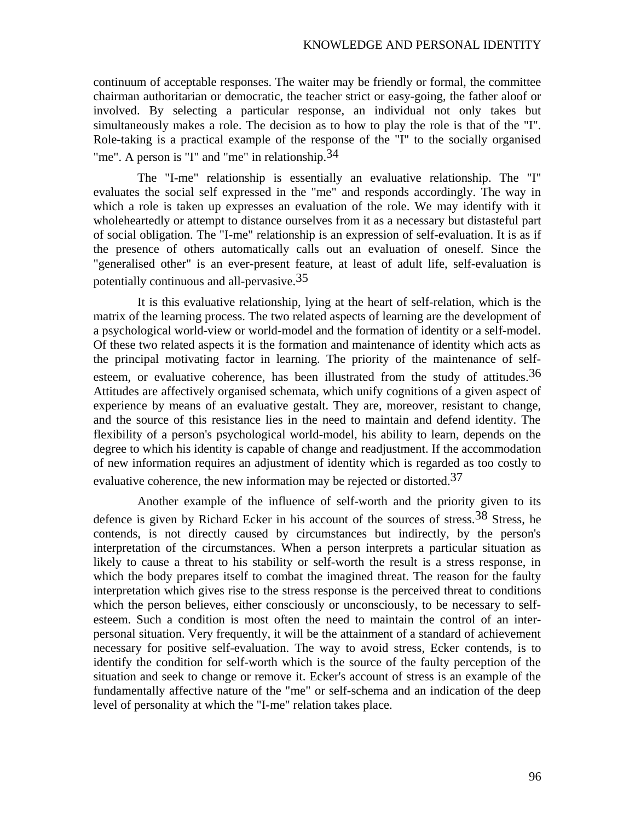continuum of acceptable responses. The waiter may be friendly or formal, the committee chairman authoritarian or democratic, the teacher strict or easy-going, the father aloof or involved. By selecting a particular response, an individual not only takes but simultaneously makes a role. The decision as to how to play the role is that of the "I". Role-taking is a practical example of the response of the "I" to the socially organised "me". A person is "I" and "me" in relationship.<sup>34</sup>

The "I-me" relationship is essentially an evaluative relationship. The "I" evaluates the social self expressed in the "me" and responds accordingly. The way in which a role is taken up expresses an evaluation of the role. We may identify with it wholeheartedly or attempt to distance ourselves from it as a necessary but distasteful part of social obligation. The "I-me" relationship is an expression of self-evaluation. It is as if the presence of others automatically calls out an evaluation of oneself. Since the "generalised other" is an ever-present feature, at least of adult life, self-evaluation is potentially continuous and all-pervasive.35

It is this evaluative relationship, lying at the heart of self-relation, which is the matrix of the learning process. The two related aspects of learning are the development of a psychological world-view or world-model and the formation of identity or a self-model. Of these two related aspects it is the formation and maintenance of identity which acts as the principal motivating factor in learning. The priority of the maintenance of selfesteem, or evaluative coherence, has been illustrated from the study of attitudes.  $36$ Attitudes are affectively organised schemata, which unify cognitions of a given aspect of experience by means of an evaluative gestalt. They are, moreover, resistant to change, and the source of this resistance lies in the need to maintain and defend identity. The flexibility of a person's psychological world-model, his ability to learn, depends on the degree to which his identity is capable of change and readjustment. If the accommodation of new information requires an adjustment of identity which is regarded as too costly to evaluative coherence, the new information may be rejected or distorted.<sup>37</sup>

Another example of the influence of self-worth and the priority given to its defence is given by Richard Ecker in his account of the sources of stress.38 Stress, he contends, is not directly caused by circumstances but indirectly, by the person's interpretation of the circumstances. When a person interprets a particular situation as likely to cause a threat to his stability or self-worth the result is a stress response, in which the body prepares itself to combat the imagined threat. The reason for the faulty interpretation which gives rise to the stress response is the perceived threat to conditions which the person believes, either consciously or unconsciously, to be necessary to selfesteem. Such a condition is most often the need to maintain the control of an interpersonal situation. Very frequently, it will be the attainment of a standard of achievement necessary for positive self-evaluation. The way to avoid stress, Ecker contends, is to identify the condition for self-worth which is the source of the faulty perception of the situation and seek to change or remove it. Ecker's account of stress is an example of the fundamentally affective nature of the "me" or self-schema and an indication of the deep level of personality at which the "I-me" relation takes place.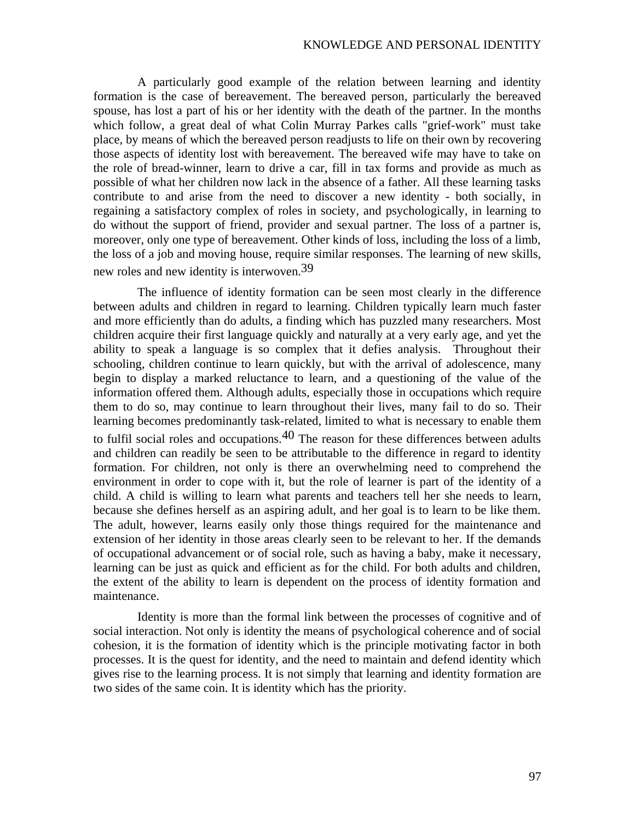A particularly good example of the relation between learning and identity formation is the case of bereavement. The bereaved person, particularly the bereaved spouse, has lost a part of his or her identity with the death of the partner. In the months which follow, a great deal of what Colin Murray Parkes calls "grief-work" must take place, by means of which the bereaved person readjusts to life on their own by recovering those aspects of identity lost with bereavement. The bereaved wife may have to take on the role of bread-winner, learn to drive a car, fill in tax forms and provide as much as possible of what her children now lack in the absence of a father. All these learning tasks contribute to and arise from the need to discover a new identity - both socially, in regaining a satisfactory complex of roles in society, and psychologically, in learning to do without the support of friend, provider and sexual partner. The loss of a partner is, moreover, only one type of bereavement. Other kinds of loss, including the loss of a limb, the loss of a job and moving house, require similar responses. The learning of new skills, new roles and new identity is interwoven.39

The influence of identity formation can be seen most clearly in the difference between adults and children in regard to learning. Children typically learn much faster and more efficiently than do adults, a finding which has puzzled many researchers. Most children acquire their first language quickly and naturally at a very early age, and yet the ability to speak a language is so complex that it defies analysis. Throughout their schooling, children continue to learn quickly, but with the arrival of adolescence, many begin to display a marked reluctance to learn, and a questioning of the value of the information offered them. Although adults, especially those in occupations which require them to do so, may continue to learn throughout their lives, many fail to do so. Their learning becomes predominantly task-related, limited to what is necessary to enable them to fulfil social roles and occupations.  $40$  The reason for these differences between adults and children can readily be seen to be attributable to the difference in regard to identity formation. For children, not only is there an overwhelming need to comprehend the environment in order to cope with it, but the role of learner is part of the identity of a child. A child is willing to learn what parents and teachers tell her she needs to learn, because she defines herself as an aspiring adult, and her goal is to learn to be like them. The adult, however, learns easily only those things required for the maintenance and extension of her identity in those areas clearly seen to be relevant to her. If the demands of occupational advancement or of social role, such as having a baby, make it necessary, learning can be just as quick and efficient as for the child. For both adults and children, the extent of the ability to learn is dependent on the process of identity formation and maintenance.

Identity is more than the formal link between the processes of cognitive and of social interaction. Not only is identity the means of psychological coherence and of social cohesion, it is the formation of identity which is the principle motivating factor in both processes. It is the quest for identity, and the need to maintain and defend identity which gives rise to the learning process. It is not simply that learning and identity formation are two sides of the same coin. It is identity which has the priority.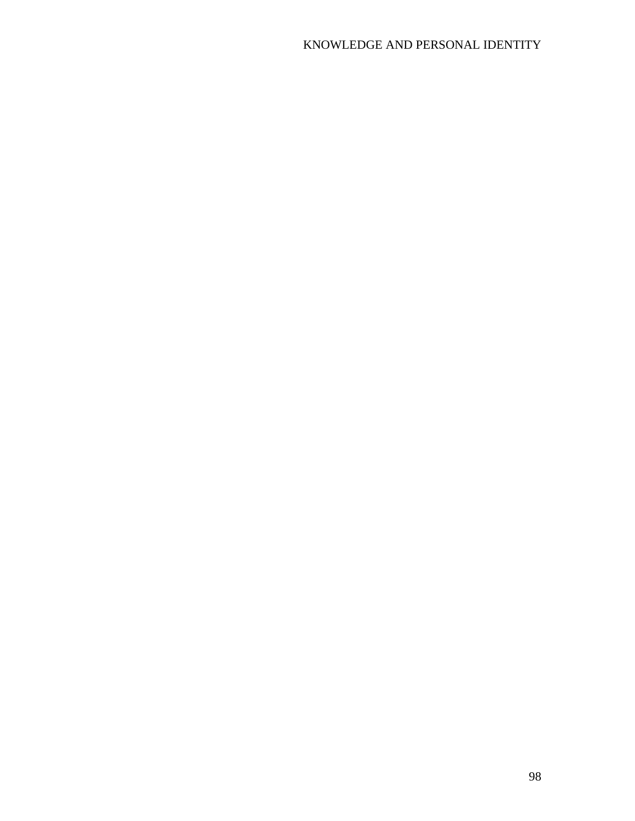## KNOWLEDGE AND PERSONAL IDENTITY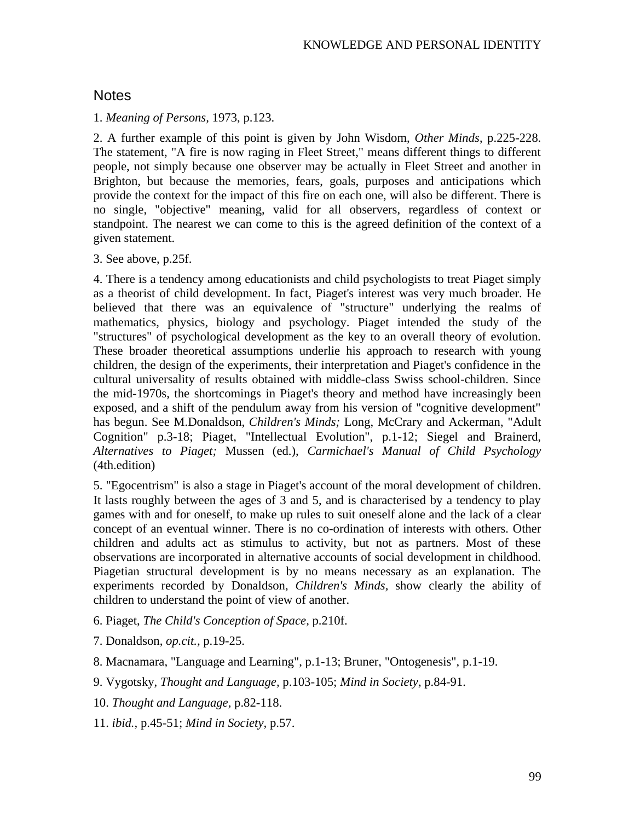# **Notes**

1. *Meaning of Persons,* 1973, p.123.

2. A further example of this point is given by John Wisdom, *Other Minds*, p.225-228. The statement, "A fire is now raging in Fleet Street," means different things to different people, not simply because one observer may be actually in Fleet Street and another in Brighton, but because the memories, fears, goals, purposes and anticipations which provide the context for the impact of this fire on each one, will also be different. There is no single, "objective" meaning, valid for all observers, regardless of context or standpoint. The nearest we can come to this is the agreed definition of the context of a given statement.

3. See above, p.25f.

4. There is a tendency among educationists and child psychologists to treat Piaget simply as a theorist of child development. In fact, Piaget's interest was very much broader. He believed that there was an equivalence of "structure" underlying the realms of mathematics, physics, biology and psychology. Piaget intended the study of the "structures" of psychological development as the key to an overall theory of evolution. These broader theoretical assumptions underlie his approach to research with young children, the design of the experiments, their interpretation and Piaget's confidence in the cultural universality of results obtained with middle-class Swiss school-children. Since the mid-1970s, the shortcomings in Piaget's theory and method have increasingly been exposed, and a shift of the pendulum away from his version of "cognitive development" has begun. See M.Donaldson, *Children's Minds;* Long, McCrary and Ackerman, "Adult Cognition" p.3-18; Piaget, "Intellectual Evolution", p.1-12; Siegel and Brainerd, *Alternatives to Piaget;* Mussen (ed.), *Carmichael's Manual of Child Psychology* (4th.edition)

5. "Egocentrism" is also a stage in Piaget's account of the moral development of children. It lasts roughly between the ages of 3 and 5, and is characterised by a tendency to play games with and for oneself, to make up rules to suit oneself alone and the lack of a clear concept of an eventual winner. There is no co-ordination of interests with others. Other children and adults act as stimulus to activity, but not as partners. Most of these observations are incorporated in alternative accounts of social development in childhood. Piagetian structural development is by no means necessary as an explanation. The experiments recorded by Donaldson, *Children's Minds,* show clearly the ability of children to understand the point of view of another.

- 6. Piaget, *The Child's Conception of Space,* p.210f.
- 7. Donaldson, *op.cit.,* p.19-25.
- 8. Macnamara, "Language and Learning", p.1-13; Bruner, "Ontogenesis", p.1-19.
- 9. Vygotsky, *Thought and Language,* p.103-105; *Mind in Society,* p.84-91.
- 10. *Thought and Language,* p.82-118.
- 11. *ibid.,* p.45-51; *Mind in Society,* p.57.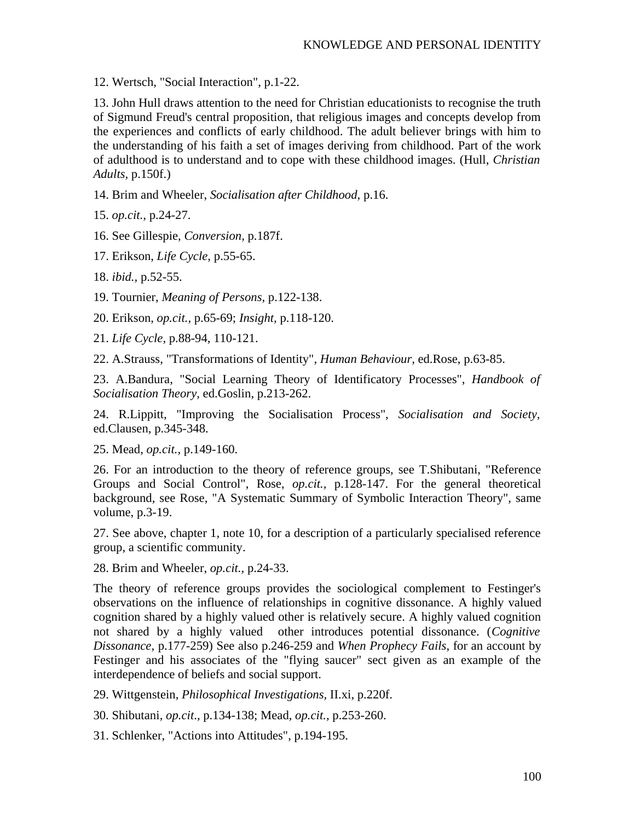12. Wertsch, "Social Interaction", p.1-22.

13. John Hull draws attention to the need for Christian educationists to recognise the truth of Sigmund Freud's central proposition, that religious images and concepts develop from the experiences and conflicts of early childhood. The adult believer brings with him to the understanding of his faith a set of images deriving from childhood. Part of the work of adulthood is to understand and to cope with these childhood images. (Hull, *Christian Adults,* p.150f.)

14. Brim and Wheeler, *Socialisation after Childhood,* p.16.

15. *op.cit.,* p.24-27.

16. See Gillespie, *Conversion,* p.187f.

17. Erikson, *Life Cycle,* p.55-65.

18. *ibid.,* p.52-55.

19. Tournier, *Meaning of Persons,* p.122-138.

20. Erikson, *op.cit.,* p.65-69; *Insight,* p.118-120.

21. *Life Cycle,* p.88-94, 110-121.

22. A.Strauss, "Transformations of Identity", *Human Behaviour,* ed.Rose, p.63-85.

23. A.Bandura, "Social Learning Theory of Identificatory Processes", *Handbook of Socialisation Theory,* ed.Goslin, p.213-262.

24. R.Lippitt, "Improving the Socialisation Process", *Socialisation and Society,* ed.Clausen, p.345-348.

25. Mead, *op.cit.,* p.149-160.

26. For an introduction to the theory of reference groups, see T.Shibutani, "Reference Groups and Social Control", Rose, *op.cit.,* p.128-147. For the general theoretical background, see Rose, "A Systematic Summary of Symbolic Interaction Theory", same volume, p.3-19.

27. See above, chapter 1, note 10, for a description of a particularly specialised reference group, a scientific community.

28. Brim and Wheeler, *op.cit.,* p.24-33.

The theory of reference groups provides the sociological complement to Festinger's observations on the influence of relationships in cognitive dissonance. A highly valued cognition shared by a highly valued other is relatively secure. A highly valued cognition not shared by a highly valued other introduces potential dissonance. (*Cognitive Dissonance,* p.177-259) See also p.246-259 and *When Prophecy Fails*, for an account by Festinger and his associates of the "flying saucer" sect given as an example of the interdependence of beliefs and social support.

29. Wittgenstein, *Philosophical Investigations,* II.xi, p.220f.

30. Shibutani, *op.cit*., p.134-138; Mead, *op.cit.,* p.253-260.

31. Schlenker, "Actions into Attitudes", p.194-195.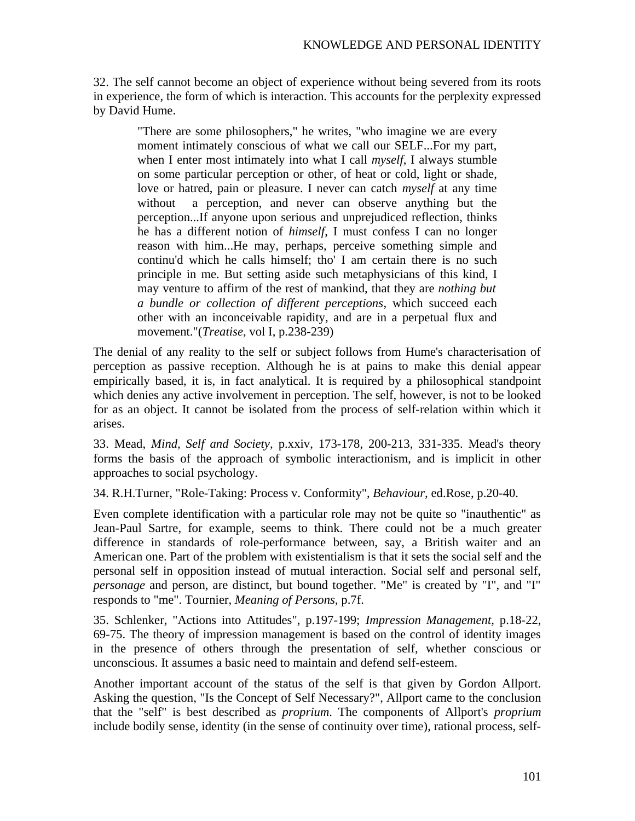32. The self cannot become an object of experience without being severed from its roots in experience, the form of which is interaction. This accounts for the perplexity expressed by David Hume.

"There are some philosophers," he writes, "who imagine we are every moment intimately conscious of what we call our SELF...For my part, when I enter most intimately into what I call *myself*, I always stumble on some particular perception or other, of heat or cold, light or shade, love or hatred, pain or pleasure. I never can catch *myself* at any time without a perception, and never can observe anything but the perception...If anyone upon serious and unprejudiced reflection, thinks he has a different notion of *himself*, I must confess I can no longer reason with him...He may, perhaps, perceive something simple and continu'd which he calls himself; tho' I am certain there is no such principle in me. But setting aside such metaphysicians of this kind, I may venture to affirm of the rest of mankind, that they are *nothing but a bundle or collection of different perceptions*, which succeed each other with an inconceivable rapidity, and are in a perpetual flux and movement."(*Treatise,* vol I, p.238-239)

The denial of any reality to the self or subject follows from Hume's characterisation of perception as passive reception. Although he is at pains to make this denial appear empirically based, it is, in fact analytical. It is required by a philosophical standpoint which denies any active involvement in perception. The self, however, is not to be looked for as an object. It cannot be isolated from the process of self-relation within which it arises.

33. Mead, *Mind, Self and Society,* p.xxiv, 173-178, 200-213, 331-335. Mead's theory forms the basis of the approach of symbolic interactionism, and is implicit in other approaches to social psychology.

34. R.H.Turner, "Role-Taking: Process v. Conformity", *Behaviour,* ed.Rose, p.20-40.

Even complete identification with a particular role may not be quite so "inauthentic" as Jean-Paul Sartre, for example, seems to think. There could not be a much greater difference in standards of role-performance between, say, a British waiter and an American one. Part of the problem with existentialism is that it sets the social self and the personal self in opposition instead of mutual interaction. Social self and personal self, *personage* and person, are distinct, but bound together. "Me" is created by "I", and "I" responds to "me". Tournier, *Meaning of Persons,* p.7f.

35. Schlenker, "Actions into Attitudes", p.197-199; *Impression Management,* p.18-22, 69-75. The theory of impression management is based on the control of identity images in the presence of others through the presentation of self, whether conscious or unconscious. It assumes a basic need to maintain and defend self-esteem.

Another important account of the status of the self is that given by Gordon Allport. Asking the question, "Is the Concept of Self Necessary?", Allport came to the conclusion that the "self" is best described as *proprium*. The components of Allport's *proprium* include bodily sense, identity (in the sense of continuity over time), rational process, self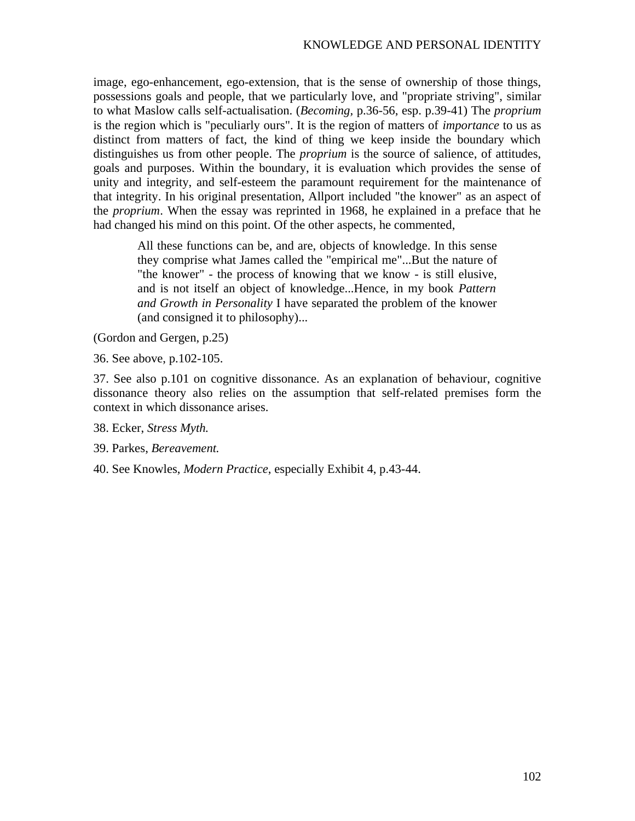image, ego-enhancement, ego-extension, that is the sense of ownership of those things, possessions goals and people, that we particularly love, and "propriate striving", similar to what Maslow calls self-actualisation. (*Becoming,* p.36-56, esp. p.39-41) The *proprium* is the region which is "peculiarly ours". It is the region of matters of *importance* to us as distinct from matters of fact, the kind of thing we keep inside the boundary which distinguishes us from other people. The *proprium* is the source of salience, of attitudes, goals and purposes. Within the boundary, it is evaluation which provides the sense of unity and integrity, and self-esteem the paramount requirement for the maintenance of that integrity. In his original presentation, Allport included "the knower" as an aspect of the *proprium*. When the essay was reprinted in 1968, he explained in a preface that he had changed his mind on this point. Of the other aspects, he commented,

All these functions can be, and are, objects of knowledge. In this sense they comprise what James called the "empirical me"...But the nature of "the knower" - the process of knowing that we know - is still elusive, and is not itself an object of knowledge...Hence, in my book *Pattern and Growth in Personality* I have separated the problem of the knower (and consigned it to philosophy)...

(Gordon and Gergen, p.25)

36. See above, p.102-105.

37. See also p.101 on cognitive dissonance. As an explanation of behaviour, cognitive dissonance theory also relies on the assumption that self-related premises form the context in which dissonance arises.

38. Ecker, *Stress Myth.*

39. Parkes, *Bereavement.*

40. See Knowles, *Modern Practice*, especially Exhibit 4, p.43-44.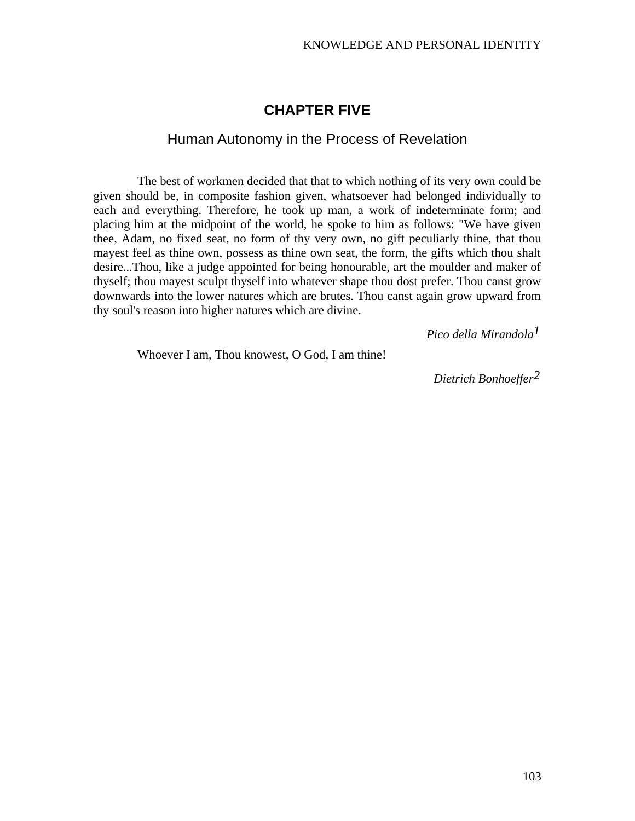#### KNOWLEDGE AND PERSONAL IDENTITY

# **CHAPTER FIVE**

### Human Autonomy in the Process of Revelation

The best of workmen decided that that to which nothing of its very own could be given should be, in composite fashion given, whatsoever had belonged individually to each and everything. Therefore, he took up man, a work of indeterminate form; and placing him at the midpoint of the world, he spoke to him as follows: "We have given thee, Adam, no fixed seat, no form of thy very own, no gift peculiarly thine, that thou mayest feel as thine own, possess as thine own seat, the form, the gifts which thou shalt desire...Thou, like a judge appointed for being honourable, art the moulder and maker of thyself; thou mayest sculpt thyself into whatever shape thou dost prefer. Thou canst grow downwards into the lower natures which are brutes. Thou canst again grow upward from thy soul's reason into higher natures which are divine.

*Pico della Mirandola1*

Whoever I am, Thou knowest, O God, I am thine!

*Dietrich Bonhoeffer2*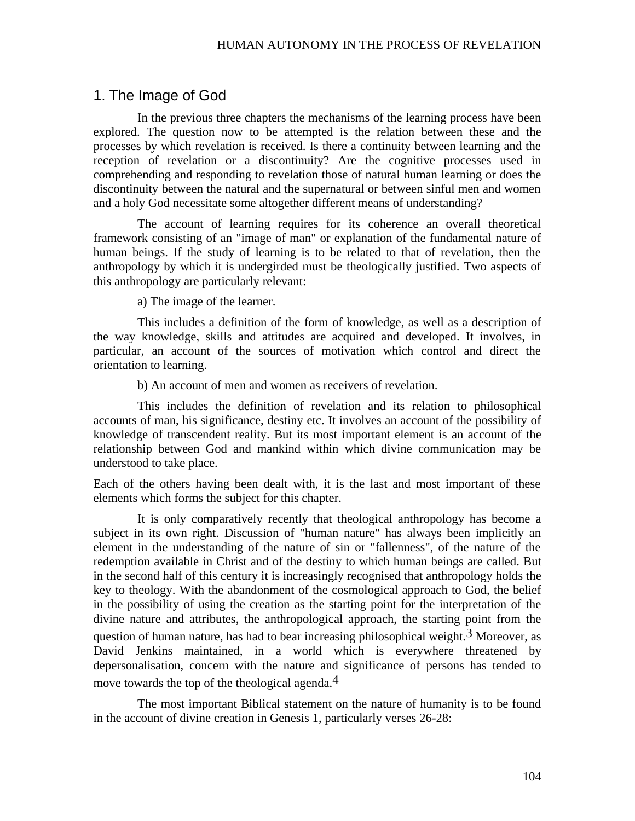## 1. The Image of God

In the previous three chapters the mechanisms of the learning process have been explored. The question now to be attempted is the relation between these and the processes by which revelation is received. Is there a continuity between learning and the reception of revelation or a discontinuity? Are the cognitive processes used in comprehending and responding to revelation those of natural human learning or does the discontinuity between the natural and the supernatural or between sinful men and women and a holy God necessitate some altogether different means of understanding?

The account of learning requires for its coherence an overall theoretical framework consisting of an "image of man" or explanation of the fundamental nature of human beings. If the study of learning is to be related to that of revelation, then the anthropology by which it is undergirded must be theologically justified. Two aspects of this anthropology are particularly relevant:

a) The image of the learner.

This includes a definition of the form of knowledge, as well as a description of the way knowledge, skills and attitudes are acquired and developed. It involves, in particular, an account of the sources of motivation which control and direct the orientation to learning.

b) An account of men and women as receivers of revelation.

This includes the definition of revelation and its relation to philosophical accounts of man, his significance, destiny etc. It involves an account of the possibility of knowledge of transcendent reality. But its most important element is an account of the relationship between God and mankind within which divine communication may be understood to take place.

Each of the others having been dealt with, it is the last and most important of these elements which forms the subject for this chapter.

It is only comparatively recently that theological anthropology has become a subject in its own right. Discussion of "human nature" has always been implicitly an element in the understanding of the nature of sin or "fallenness", of the nature of the redemption available in Christ and of the destiny to which human beings are called. But in the second half of this century it is increasingly recognised that anthropology holds the key to theology. With the abandonment of the cosmological approach to God, the belief in the possibility of using the creation as the starting point for the interpretation of the divine nature and attributes, the anthropological approach, the starting point from the question of human nature, has had to bear increasing philosophical weight.<sup>3</sup> Moreover, as David Jenkins maintained, in a world which is everywhere threatened by depersonalisation, concern with the nature and significance of persons has tended to move towards the top of the theological agenda.<sup>4</sup>

The most important Biblical statement on the nature of humanity is to be found in the account of divine creation in Genesis 1, particularly verses 26-28: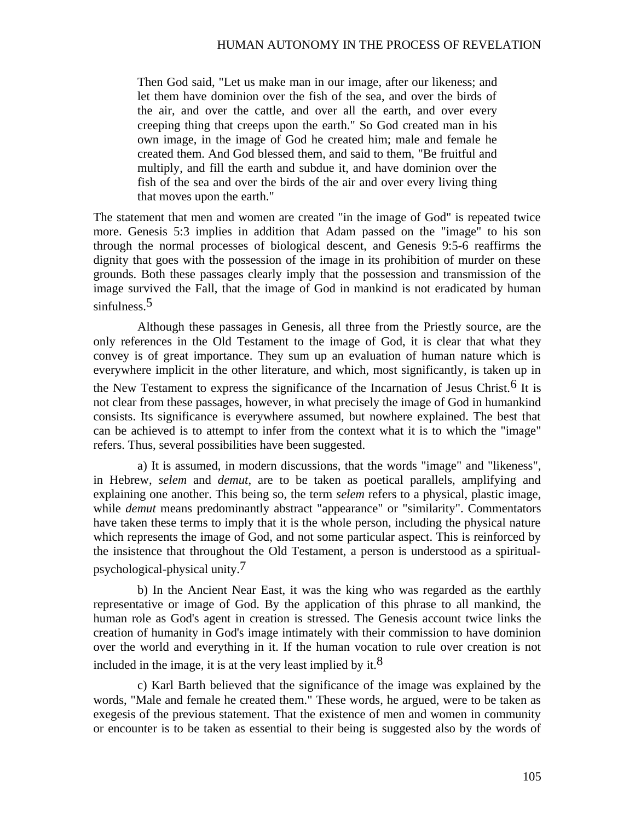Then God said, "Let us make man in our image, after our likeness; and let them have dominion over the fish of the sea, and over the birds of the air, and over the cattle, and over all the earth, and over every creeping thing that creeps upon the earth." So God created man in his own image, in the image of God he created him; male and female he created them. And God blessed them, and said to them, "Be fruitful and multiply, and fill the earth and subdue it, and have dominion over the fish of the sea and over the birds of the air and over every living thing that moves upon the earth."

The statement that men and women are created "in the image of God" is repeated twice more. Genesis 5:3 implies in addition that Adam passed on the "image" to his son through the normal processes of biological descent, and Genesis 9:5-6 reaffirms the dignity that goes with the possession of the image in its prohibition of murder on these grounds. Both these passages clearly imply that the possession and transmission of the image survived the Fall, that the image of God in mankind is not eradicated by human sinfulness.<sup>5</sup>

Although these passages in Genesis, all three from the Priestly source, are the only references in the Old Testament to the image of God, it is clear that what they convey is of great importance. They sum up an evaluation of human nature which is everywhere implicit in the other literature, and which, most significantly, is taken up in the New Testament to express the significance of the Incarnation of Jesus Christ.<sup>6</sup> It is not clear from these passages, however, in what precisely the image of God in humankind consists. Its significance is everywhere assumed, but nowhere explained. The best that can be achieved is to attempt to infer from the context what it is to which the "image" refers. Thus, several possibilities have been suggested.

a) It is assumed, in modern discussions, that the words "image" and "likeness", in Hebrew, *selem* and *demut*, are to be taken as poetical parallels, amplifying and explaining one another. This being so, the term *selem* refers to a physical, plastic image, while *demut* means predominantly abstract "appearance" or "similarity". Commentators have taken these terms to imply that it is the whole person, including the physical nature which represents the image of God, and not some particular aspect. This is reinforced by the insistence that throughout the Old Testament, a person is understood as a spiritualpsychological-physical unity.7

b) In the Ancient Near East, it was the king who was regarded as the earthly representative or image of God. By the application of this phrase to all mankind, the human role as God's agent in creation is stressed. The Genesis account twice links the creation of humanity in God's image intimately with their commission to have dominion over the world and everything in it. If the human vocation to rule over creation is not included in the image, it is at the very least implied by it.<sup>8</sup>

c) Karl Barth believed that the significance of the image was explained by the words, "Male and female he created them." These words, he argued, were to be taken as exegesis of the previous statement. That the existence of men and women in community or encounter is to be taken as essential to their being is suggested also by the words of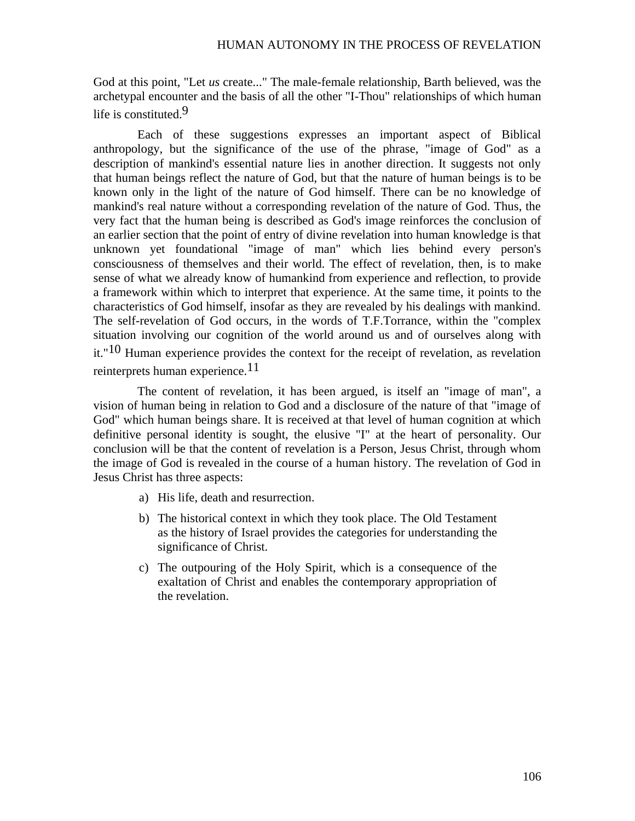God at this point, "Let *us* create..." The male-female relationship, Barth believed, was the archetypal encounter and the basis of all the other "I-Thou" relationships of which human life is constituted.<sup>9</sup>

Each of these suggestions expresses an important aspect of Biblical anthropology, but the significance of the use of the phrase, "image of God" as a description of mankind's essential nature lies in another direction. It suggests not only that human beings reflect the nature of God, but that the nature of human beings is to be known only in the light of the nature of God himself. There can be no knowledge of mankind's real nature without a corresponding revelation of the nature of God. Thus, the very fact that the human being is described as God's image reinforces the conclusion of an earlier section that the point of entry of divine revelation into human knowledge is that unknown yet foundational "image of man" which lies behind every person's consciousness of themselves and their world. The effect of revelation, then, is to make sense of what we already know of humankind from experience and reflection, to provide a framework within which to interpret that experience. At the same time, it points to the characteristics of God himself, insofar as they are revealed by his dealings with mankind. The self-revelation of God occurs, in the words of T.F.Torrance, within the "complex situation involving our cognition of the world around us and of ourselves along with it." $10$  Human experience provides the context for the receipt of revelation, as revelation reinterprets human experience.<sup>11</sup>

The content of revelation, it has been argued, is itself an "image of man", a vision of human being in relation to God and a disclosure of the nature of that "image of God" which human beings share. It is received at that level of human cognition at which definitive personal identity is sought, the elusive "I" at the heart of personality. Our conclusion will be that the content of revelation is a Person, Jesus Christ, through whom the image of God is revealed in the course of a human history. The revelation of God in Jesus Christ has three aspects:

- a) His life, death and resurrection.
- b) The historical context in which they took place. The Old Testament as the history of Israel provides the categories for understanding the significance of Christ.
- c) The outpouring of the Holy Spirit, which is a consequence of the exaltation of Christ and enables the contemporary appropriation of the revelation.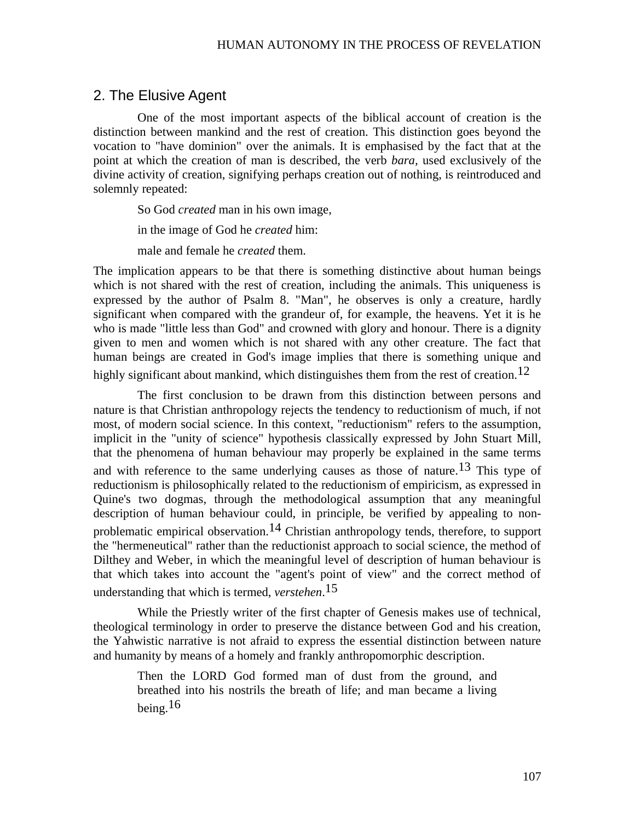### 2. The Elusive Agent

One of the most important aspects of the biblical account of creation is the distinction between mankind and the rest of creation. This distinction goes beyond the vocation to "have dominion" over the animals. It is emphasised by the fact that at the point at which the creation of man is described, the verb *bara,* used exclusively of the divine activity of creation, signifying perhaps creation out of nothing, is reintroduced and solemnly repeated:

So God *created* man in his own image,

in the image of God he *created* him:

male and female he *created* them.

The implication appears to be that there is something distinctive about human beings which is not shared with the rest of creation, including the animals. This uniqueness is expressed by the author of Psalm 8. "Man", he observes is only a creature, hardly significant when compared with the grandeur of, for example, the heavens. Yet it is he who is made "little less than God" and crowned with glory and honour. There is a dignity given to men and women which is not shared with any other creature. The fact that human beings are created in God's image implies that there is something unique and highly significant about mankind, which distinguishes them from the rest of creation.  $^{12}$ 

The first conclusion to be drawn from this distinction between persons and nature is that Christian anthropology rejects the tendency to reductionism of much, if not most, of modern social science. In this context, "reductionism" refers to the assumption, implicit in the "unity of science" hypothesis classically expressed by John Stuart Mill, that the phenomena of human behaviour may properly be explained in the same terms and with reference to the same underlying causes as those of nature.<sup>13</sup> This type of reductionism is philosophically related to the reductionism of empiricism, as expressed in Quine's two dogmas, through the methodological assumption that any meaningful description of human behaviour could, in principle, be verified by appealing to nonproblematic empirical observation.<sup>14</sup> Christian anthropology tends, therefore, to support the "hermeneutical" rather than the reductionist approach to social science, the method of Dilthey and Weber, in which the meaningful level of description of human behaviour is that which takes into account the "agent's point of view" and the correct method of understanding that which is termed, *verstehen*. 15

While the Priestly writer of the first chapter of Genesis makes use of technical, theological terminology in order to preserve the distance between God and his creation, the Yahwistic narrative is not afraid to express the essential distinction between nature and humanity by means of a homely and frankly anthropomorphic description.

Then the LORD God formed man of dust from the ground, and breathed into his nostrils the breath of life; and man became a living being. $16$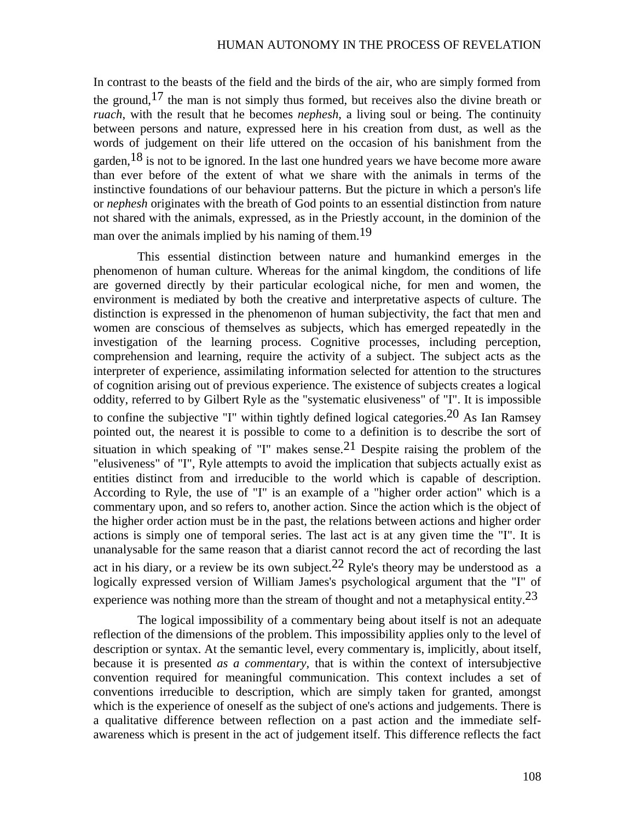In contrast to the beasts of the field and the birds of the air, who are simply formed from the ground,  $17$  the man is not simply thus formed, but receives also the divine breath or *ruach*, with the result that he becomes *nephesh*, a living soul or being. The continuity between persons and nature, expressed here in his creation from dust, as well as the words of judgement on their life uttered on the occasion of his banishment from the garden,  $18$  is not to be ignored. In the last one hundred years we have become more aware than ever before of the extent of what we share with the animals in terms of the instinctive foundations of our behaviour patterns. But the picture in which a person's life or *nephesh* originates with the breath of God points to an essential distinction from nature not shared with the animals, expressed, as in the Priestly account, in the dominion of the man over the animals implied by his naming of them.19

This essential distinction between nature and humankind emerges in the phenomenon of human culture. Whereas for the animal kingdom, the conditions of life are governed directly by their particular ecological niche, for men and women, the environment is mediated by both the creative and interpretative aspects of culture. The distinction is expressed in the phenomenon of human subjectivity, the fact that men and women are conscious of themselves as subjects, which has emerged repeatedly in the investigation of the learning process. Cognitive processes, including perception, comprehension and learning, require the activity of a subject. The subject acts as the interpreter of experience, assimilating information selected for attention to the structures of cognition arising out of previous experience. The existence of subjects creates a logical oddity, referred to by Gilbert Ryle as the "systematic elusiveness" of "I". It is impossible to confine the subjective "I" within tightly defined logical categories.<sup>20</sup> As Ian Ramsey pointed out, the nearest it is possible to come to a definition is to describe the sort of situation in which speaking of "I" makes sense.<sup>21</sup> Despite raising the problem of the "elusiveness" of "I", Ryle attempts to avoid the implication that subjects actually exist as entities distinct from and irreducible to the world which is capable of description. According to Ryle, the use of "I" is an example of a "higher order action" which is a commentary upon, and so refers to, another action. Since the action which is the object of the higher order action must be in the past, the relations between actions and higher order actions is simply one of temporal series. The last act is at any given time the "I". It is unanalysable for the same reason that a diarist cannot record the act of recording the last act in his diary, or a review be its own subject.<sup>22</sup> Ryle's theory may be understood as a logically expressed version of William James's psychological argument that the "I" of experience was nothing more than the stream of thought and not a metaphysical entity.<sup>23</sup>

The logical impossibility of a commentary being about itself is not an adequate reflection of the dimensions of the problem. This impossibility applies only to the level of description or syntax. At the semantic level, every commentary is, implicitly, about itself, because it is presented *as a commentary,* that is within the context of intersubjective convention required for meaningful communication. This context includes a set of conventions irreducible to description, which are simply taken for granted, amongst which is the experience of oneself as the subject of one's actions and judgements. There is a qualitative difference between reflection on a past action and the immediate selfawareness which is present in the act of judgement itself. This difference reflects the fact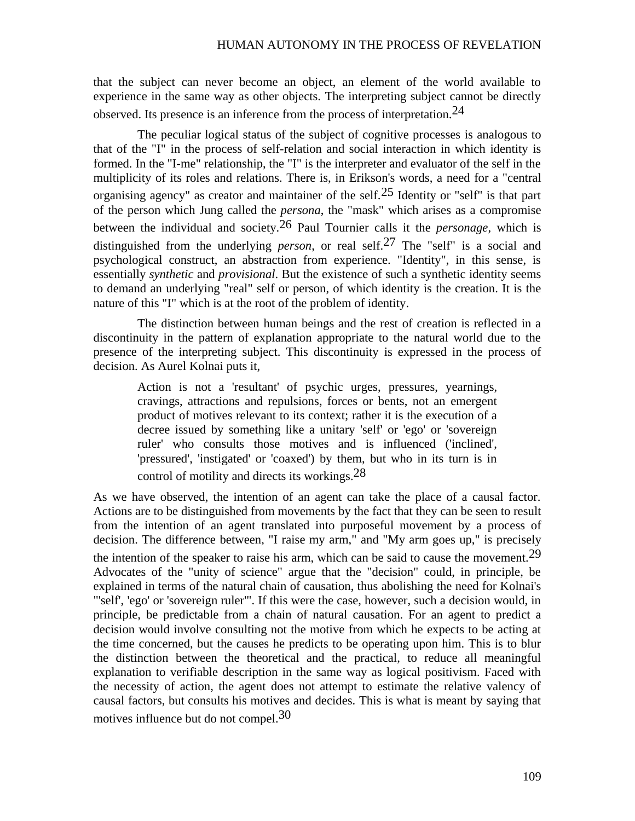that the subject can never become an object, an element of the world available to experience in the same way as other objects. The interpreting subject cannot be directly observed. Its presence is an inference from the process of interpretation.  $24$ 

The peculiar logical status of the subject of cognitive processes is analogous to that of the "I" in the process of self-relation and social interaction in which identity is formed. In the "I-me" relationship, the "I" is the interpreter and evaluator of the self in the multiplicity of its roles and relations. There is, in Erikson's words, a need for a "central organising agency" as creator and maintainer of the self.25 Identity or "self" is that part of the person which Jung called the *persona*, the "mask" which arises as a compromise between the individual and society.26 Paul Tournier calls it the *personage*, which is distinguished from the underlying *person*, or real self.27 The "self" is a social and psychological construct, an abstraction from experience. "Identity", in this sense, is essentially *synthetic* and *provisional*. But the existence of such a synthetic identity seems to demand an underlying "real" self or person, of which identity is the creation. It is the nature of this "I" which is at the root of the problem of identity.

The distinction between human beings and the rest of creation is reflected in a discontinuity in the pattern of explanation appropriate to the natural world due to the presence of the interpreting subject. This discontinuity is expressed in the process of decision. As Aurel Kolnai puts it,

Action is not a 'resultant' of psychic urges, pressures, yearnings, cravings, attractions and repulsions, forces or bents, not an emergent product of motives relevant to its context; rather it is the execution of a decree issued by something like a unitary 'self' or 'ego' or 'sovereign ruler' who consults those motives and is influenced ('inclined', 'pressured', 'instigated' or 'coaxed') by them, but who in its turn is in control of motility and directs its workings.28

As we have observed, the intention of an agent can take the place of a causal factor. Actions are to be distinguished from movements by the fact that they can be seen to result from the intention of an agent translated into purposeful movement by a process of decision. The difference between, "I raise my arm," and "My arm goes up," is precisely the intention of the speaker to raise his arm, which can be said to cause the movement.<sup>29</sup> Advocates of the "unity of science" argue that the "decision" could, in principle, be explained in terms of the natural chain of causation, thus abolishing the need for Kolnai's "'self', 'ego' or 'sovereign ruler'". If this were the case, however, such a decision would, in principle, be predictable from a chain of natural causation. For an agent to predict a decision would involve consulting not the motive from which he expects to be acting at the time concerned, but the causes he predicts to be operating upon him. This is to blur the distinction between the theoretical and the practical, to reduce all meaningful explanation to verifiable description in the same way as logical positivism. Faced with the necessity of action, the agent does not attempt to estimate the relative valency of causal factors, but consults his motives and decides. This is what is meant by saying that motives influence but do not compel.30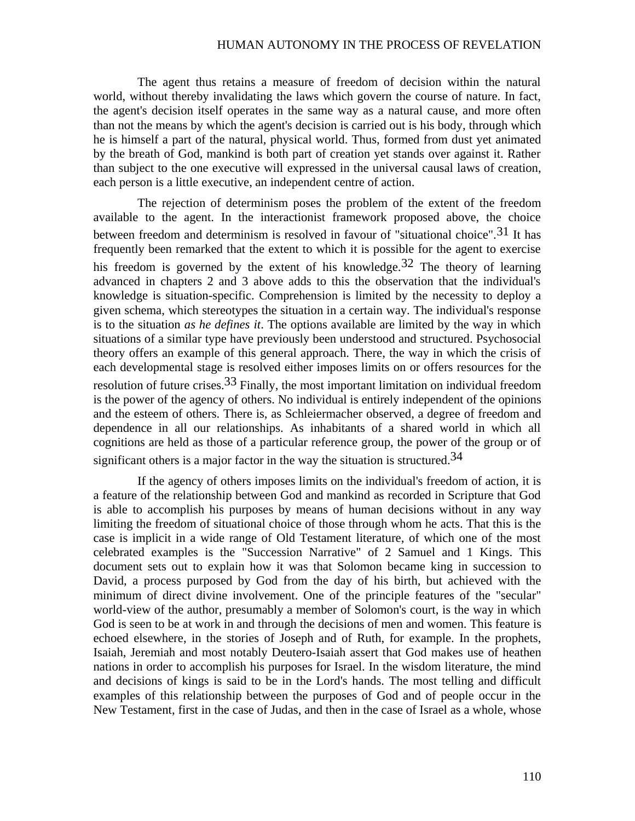#### HUMAN AUTONOMY IN THE PROCESS OF REVELATION

The agent thus retains a measure of freedom of decision within the natural world, without thereby invalidating the laws which govern the course of nature. In fact, the agent's decision itself operates in the same way as a natural cause, and more often than not the means by which the agent's decision is carried out is his body, through which he is himself a part of the natural, physical world. Thus, formed from dust yet animated by the breath of God, mankind is both part of creation yet stands over against it. Rather than subject to the one executive will expressed in the universal causal laws of creation, each person is a little executive, an independent centre of action.

The rejection of determinism poses the problem of the extent of the freedom available to the agent. In the interactionist framework proposed above, the choice between freedom and determinism is resolved in favour of "situational choice".31 It has frequently been remarked that the extent to which it is possible for the agent to exercise his freedom is governed by the extent of his knowledge.<sup>32</sup> The theory of learning advanced in chapters 2 and 3 above adds to this the observation that the individual's knowledge is situation-specific. Comprehension is limited by the necessity to deploy a given schema, which stereotypes the situation in a certain way. The individual's response is to the situation *as he defines it*. The options available are limited by the way in which situations of a similar type have previously been understood and structured. Psychosocial theory offers an example of this general approach. There, the way in which the crisis of each developmental stage is resolved either imposes limits on or offers resources for the resolution of future crises.33 Finally, the most important limitation on individual freedom is the power of the agency of others. No individual is entirely independent of the opinions and the esteem of others. There is, as Schleiermacher observed, a degree of freedom and dependence in all our relationships. As inhabitants of a shared world in which all cognitions are held as those of a particular reference group, the power of the group or of significant others is a major factor in the way the situation is structured.<sup>34</sup>

If the agency of others imposes limits on the individual's freedom of action, it is a feature of the relationship between God and mankind as recorded in Scripture that God is able to accomplish his purposes by means of human decisions without in any way limiting the freedom of situational choice of those through whom he acts. That this is the case is implicit in a wide range of Old Testament literature, of which one of the most celebrated examples is the "Succession Narrative" of 2 Samuel and 1 Kings. This document sets out to explain how it was that Solomon became king in succession to David, a process purposed by God from the day of his birth, but achieved with the minimum of direct divine involvement. One of the principle features of the "secular" world-view of the author, presumably a member of Solomon's court, is the way in which God is seen to be at work in and through the decisions of men and women. This feature is echoed elsewhere, in the stories of Joseph and of Ruth, for example. In the prophets, Isaiah, Jeremiah and most notably Deutero-Isaiah assert that God makes use of heathen nations in order to accomplish his purposes for Israel. In the wisdom literature, the mind and decisions of kings is said to be in the Lord's hands. The most telling and difficult examples of this relationship between the purposes of God and of people occur in the New Testament, first in the case of Judas, and then in the case of Israel as a whole, whose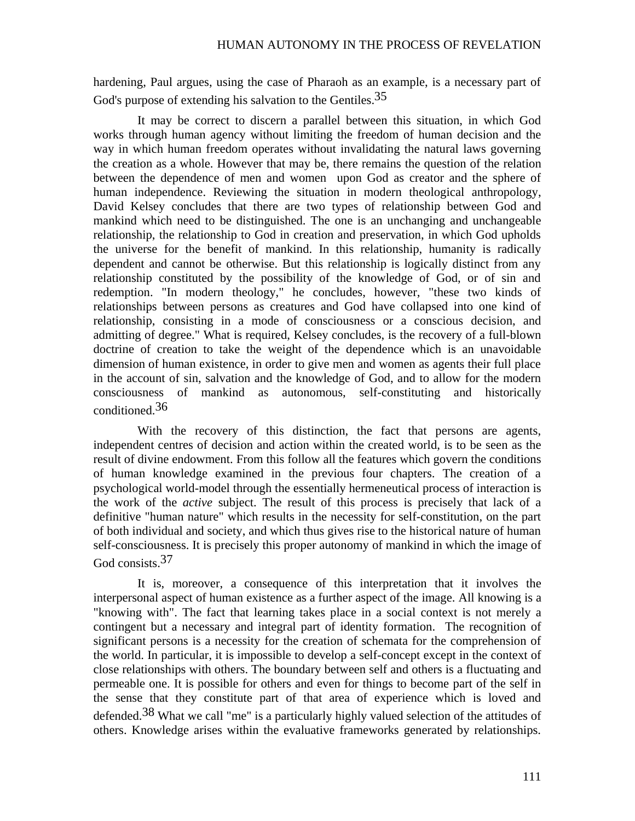hardening, Paul argues, using the case of Pharaoh as an example, is a necessary part of God's purpose of extending his salvation to the Gentiles.<sup>35</sup>

It may be correct to discern a parallel between this situation, in which God works through human agency without limiting the freedom of human decision and the way in which human freedom operates without invalidating the natural laws governing the creation as a whole. However that may be, there remains the question of the relation between the dependence of men and women upon God as creator and the sphere of human independence. Reviewing the situation in modern theological anthropology, David Kelsey concludes that there are two types of relationship between God and mankind which need to be distinguished. The one is an unchanging and unchangeable relationship, the relationship to God in creation and preservation, in which God upholds the universe for the benefit of mankind. In this relationship, humanity is radically dependent and cannot be otherwise. But this relationship is logically distinct from any relationship constituted by the possibility of the knowledge of God, or of sin and redemption. "In modern theology," he concludes, however, "these two kinds of relationships between persons as creatures and God have collapsed into one kind of relationship, consisting in a mode of consciousness or a conscious decision, and admitting of degree." What is required, Kelsey concludes, is the recovery of a full-blown doctrine of creation to take the weight of the dependence which is an unavoidable dimension of human existence, in order to give men and women as agents their full place in the account of sin, salvation and the knowledge of God, and to allow for the modern consciousness of mankind as autonomous, self-constituting and historically conditioned.36

With the recovery of this distinction, the fact that persons are agents, independent centres of decision and action within the created world, is to be seen as the result of divine endowment. From this follow all the features which govern the conditions of human knowledge examined in the previous four chapters. The creation of a psychological world-model through the essentially hermeneutical process of interaction is the work of the *active* subject. The result of this process is precisely that lack of a definitive "human nature" which results in the necessity for self-constitution, on the part of both individual and society, and which thus gives rise to the historical nature of human self-consciousness. It is precisely this proper autonomy of mankind in which the image of God consists.37

It is, moreover, a consequence of this interpretation that it involves the interpersonal aspect of human existence as a further aspect of the image. All knowing is a "knowing with". The fact that learning takes place in a social context is not merely a contingent but a necessary and integral part of identity formation. The recognition of significant persons is a necessity for the creation of schemata for the comprehension of the world. In particular, it is impossible to develop a self-concept except in the context of close relationships with others. The boundary between self and others is a fluctuating and permeable one. It is possible for others and even for things to become part of the self in the sense that they constitute part of that area of experience which is loved and defended.38 What we call "me" is a particularly highly valued selection of the attitudes of others. Knowledge arises within the evaluative frameworks generated by relationships.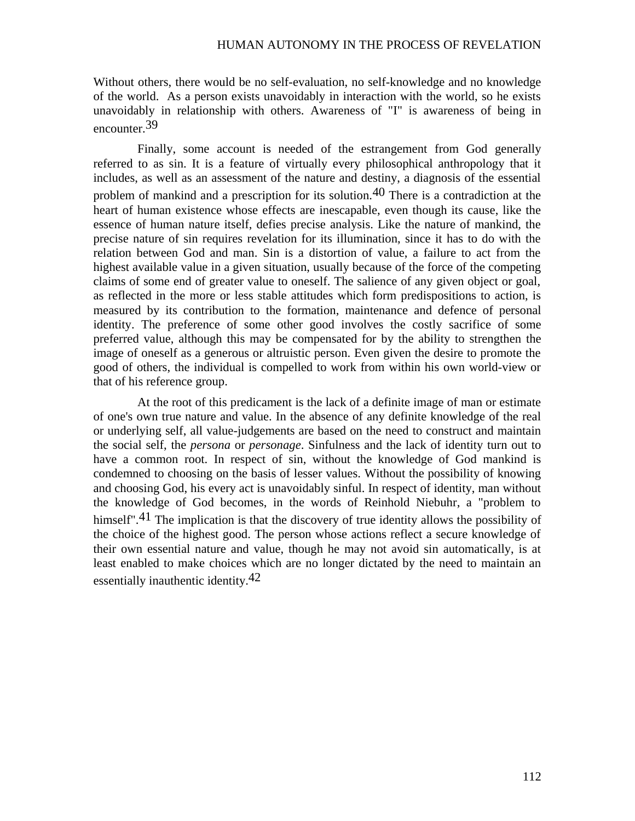Without others, there would be no self-evaluation, no self-knowledge and no knowledge of the world. As a person exists unavoidably in interaction with the world, so he exists unavoidably in relationship with others. Awareness of "I" is awareness of being in encounter.39

Finally, some account is needed of the estrangement from God generally referred to as sin. It is a feature of virtually every philosophical anthropology that it includes, as well as an assessment of the nature and destiny, a diagnosis of the essential problem of mankind and a prescription for its solution.40 There is a contradiction at the heart of human existence whose effects are inescapable, even though its cause, like the essence of human nature itself, defies precise analysis. Like the nature of mankind, the precise nature of sin requires revelation for its illumination, since it has to do with the relation between God and man. Sin is a distortion of value, a failure to act from the highest available value in a given situation, usually because of the force of the competing claims of some end of greater value to oneself. The salience of any given object or goal, as reflected in the more or less stable attitudes which form predispositions to action, is measured by its contribution to the formation, maintenance and defence of personal identity. The preference of some other good involves the costly sacrifice of some preferred value, although this may be compensated for by the ability to strengthen the image of oneself as a generous or altruistic person. Even given the desire to promote the good of others, the individual is compelled to work from within his own world-view or that of his reference group.

At the root of this predicament is the lack of a definite image of man or estimate of one's own true nature and value. In the absence of any definite knowledge of the real or underlying self, all value-judgements are based on the need to construct and maintain the social self, the *persona* or *personage*. Sinfulness and the lack of identity turn out to have a common root. In respect of sin, without the knowledge of God mankind is condemned to choosing on the basis of lesser values. Without the possibility of knowing and choosing God, his every act is unavoidably sinful. In respect of identity, man without the knowledge of God becomes, in the words of Reinhold Niebuhr, a "problem to himself".<sup>41</sup> The implication is that the discovery of true identity allows the possibility of the choice of the highest good. The person whose actions reflect a secure knowledge of their own essential nature and value, though he may not avoid sin automatically, is at least enabled to make choices which are no longer dictated by the need to maintain an essentially inauthentic identity.<sup>42</sup>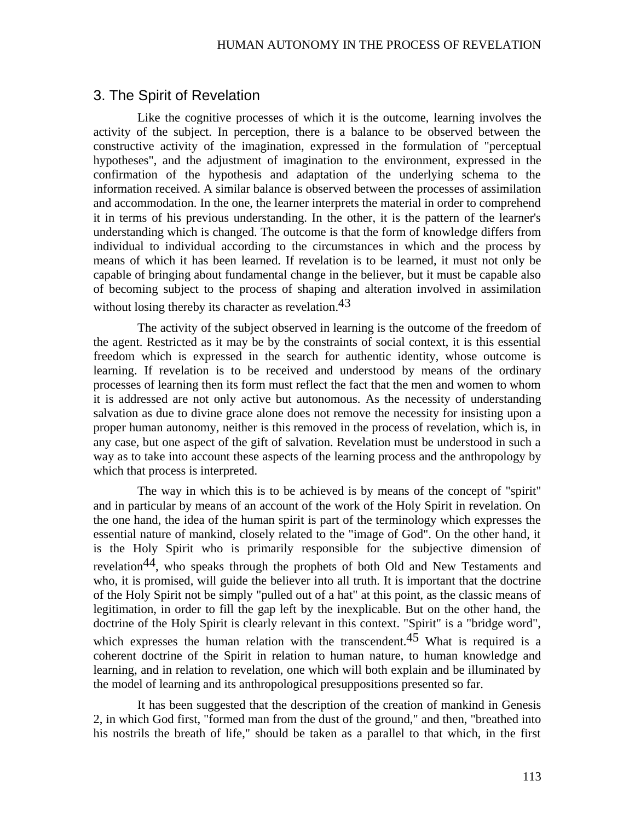## 3. The Spirit of Revelation

Like the cognitive processes of which it is the outcome, learning involves the activity of the subject. In perception, there is a balance to be observed between the constructive activity of the imagination, expressed in the formulation of "perceptual hypotheses", and the adjustment of imagination to the environment, expressed in the confirmation of the hypothesis and adaptation of the underlying schema to the information received. A similar balance is observed between the processes of assimilation and accommodation. In the one, the learner interprets the material in order to comprehend it in terms of his previous understanding. In the other, it is the pattern of the learner's understanding which is changed. The outcome is that the form of knowledge differs from individual to individual according to the circumstances in which and the process by means of which it has been learned. If revelation is to be learned, it must not only be capable of bringing about fundamental change in the believer, but it must be capable also of becoming subject to the process of shaping and alteration involved in assimilation without losing thereby its character as revelation.<sup>43</sup>

The activity of the subject observed in learning is the outcome of the freedom of the agent. Restricted as it may be by the constraints of social context, it is this essential freedom which is expressed in the search for authentic identity, whose outcome is learning. If revelation is to be received and understood by means of the ordinary processes of learning then its form must reflect the fact that the men and women to whom it is addressed are not only active but autonomous. As the necessity of understanding salvation as due to divine grace alone does not remove the necessity for insisting upon a proper human autonomy, neither is this removed in the process of revelation, which is, in any case, but one aspect of the gift of salvation. Revelation must be understood in such a way as to take into account these aspects of the learning process and the anthropology by which that process is interpreted.

The way in which this is to be achieved is by means of the concept of "spirit" and in particular by means of an account of the work of the Holy Spirit in revelation. On the one hand, the idea of the human spirit is part of the terminology which expresses the essential nature of mankind, closely related to the "image of God". On the other hand, it is the Holy Spirit who is primarily responsible for the subjective dimension of revelation44, who speaks through the prophets of both Old and New Testaments and who, it is promised, will guide the believer into all truth. It is important that the doctrine of the Holy Spirit not be simply "pulled out of a hat" at this point, as the classic means of legitimation, in order to fill the gap left by the inexplicable. But on the other hand, the doctrine of the Holy Spirit is clearly relevant in this context. "Spirit" is a "bridge word", which expresses the human relation with the transcendent.<sup>45</sup> What is required is a coherent doctrine of the Spirit in relation to human nature, to human knowledge and learning, and in relation to revelation, one which will both explain and be illuminated by the model of learning and its anthropological presuppositions presented so far.

It has been suggested that the description of the creation of mankind in Genesis 2, in which God first, "formed man from the dust of the ground," and then, "breathed into his nostrils the breath of life," should be taken as a parallel to that which, in the first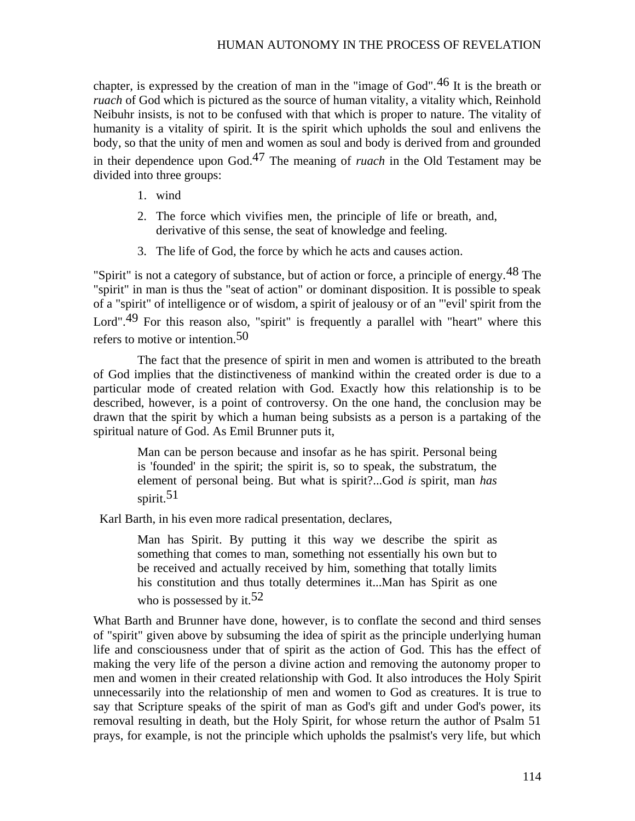chapter, is expressed by the creation of man in the "image of God".<sup>46</sup> It is the breath or *ruach* of God which is pictured as the source of human vitality, a vitality which, Reinhold Neibuhr insists, is not to be confused with that which is proper to nature. The vitality of humanity is a vitality of spirit. It is the spirit which upholds the soul and enlivens the body, so that the unity of men and women as soul and body is derived from and grounded in their dependence upon God.47 The meaning of *ruach* in the Old Testament may be divided into three groups:

- 1. wind
- 2. The force which vivifies men, the principle of life or breath, and, derivative of this sense, the seat of knowledge and feeling.
- 3. The life of God, the force by which he acts and causes action.

"Spirit" is not a category of substance, but of action or force, a principle of energy.<sup>48</sup> The "spirit" in man is thus the "seat of action" or dominant disposition. It is possible to speak of a "spirit" of intelligence or of wisdom, a spirit of jealousy or of an "'evil' spirit from the Lord".<sup>49</sup> For this reason also, "spirit" is frequently a parallel with "heart" where this refers to motive or intention.50

The fact that the presence of spirit in men and women is attributed to the breath of God implies that the distinctiveness of mankind within the created order is due to a particular mode of created relation with God. Exactly how this relationship is to be described, however, is a point of controversy. On the one hand, the conclusion may be drawn that the spirit by which a human being subsists as a person is a partaking of the spiritual nature of God. As Emil Brunner puts it,

Man can be person because and insofar as he has spirit. Personal being is 'founded' in the spirit; the spirit is, so to speak, the substratum, the element of personal being. But what is spirit?...God *is* spirit, man *has* spirit.<sup>51</sup>

Karl Barth, in his even more radical presentation, declares,

Man has Spirit. By putting it this way we describe the spirit as something that comes to man, something not essentially his own but to be received and actually received by him, something that totally limits his constitution and thus totally determines it...Man has Spirit as one who is possessed by it.<sup>52</sup>

What Barth and Brunner have done, however, is to conflate the second and third senses of "spirit" given above by subsuming the idea of spirit as the principle underlying human life and consciousness under that of spirit as the action of God. This has the effect of making the very life of the person a divine action and removing the autonomy proper to men and women in their created relationship with God. It also introduces the Holy Spirit unnecessarily into the relationship of men and women to God as creatures. It is true to say that Scripture speaks of the spirit of man as God's gift and under God's power, its removal resulting in death, but the Holy Spirit, for whose return the author of Psalm 51 prays, for example, is not the principle which upholds the psalmist's very life, but which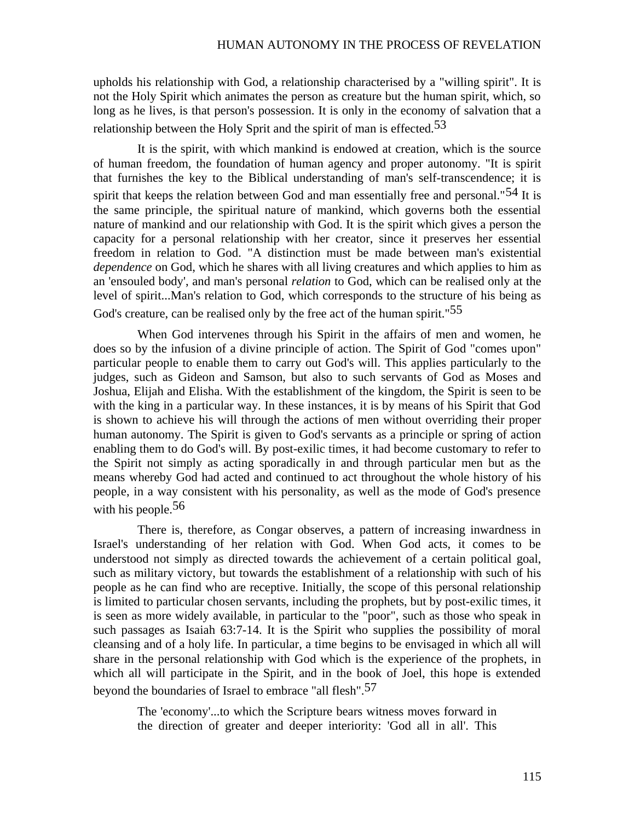upholds his relationship with God, a relationship characterised by a "willing spirit". It is not the Holy Spirit which animates the person as creature but the human spirit, which, so long as he lives, is that person's possession. It is only in the economy of salvation that a relationship between the Holy Sprit and the spirit of man is effected.<sup>53</sup>

It is the spirit, with which mankind is endowed at creation, which is the source of human freedom, the foundation of human agency and proper autonomy. "It is spirit that furnishes the key to the Biblical understanding of man's self-transcendence; it is spirit that keeps the relation between God and man essentially free and personal."<sup>54</sup> It is the same principle, the spiritual nature of mankind, which governs both the essential nature of mankind and our relationship with God. It is the spirit which gives a person the capacity for a personal relationship with her creator, since it preserves her essential freedom in relation to God. "A distinction must be made between man's existential *dependence* on God, which he shares with all living creatures and which applies to him as an 'ensouled body', and man's personal *relation* to God, which can be realised only at the level of spirit...Man's relation to God, which corresponds to the structure of his being as God's creature, can be realised only by the free act of the human spirit."<sup>55</sup>

When God intervenes through his Spirit in the affairs of men and women, he does so by the infusion of a divine principle of action. The Spirit of God "comes upon" particular people to enable them to carry out God's will. This applies particularly to the judges, such as Gideon and Samson, but also to such servants of God as Moses and Joshua, Elijah and Elisha. With the establishment of the kingdom, the Spirit is seen to be with the king in a particular way. In these instances, it is by means of his Spirit that God is shown to achieve his will through the actions of men without overriding their proper human autonomy. The Spirit is given to God's servants as a principle or spring of action enabling them to do God's will. By post-exilic times, it had become customary to refer to the Spirit not simply as acting sporadically in and through particular men but as the means whereby God had acted and continued to act throughout the whole history of his people, in a way consistent with his personality, as well as the mode of God's presence with his people.<sup>56</sup>

There is, therefore, as Congar observes, a pattern of increasing inwardness in Israel's understanding of her relation with God. When God acts, it comes to be understood not simply as directed towards the achievement of a certain political goal, such as military victory, but towards the establishment of a relationship with such of his people as he can find who are receptive. Initially, the scope of this personal relationship is limited to particular chosen servants, including the prophets, but by post-exilic times, it is seen as more widely available, in particular to the "poor", such as those who speak in such passages as Isaiah 63:7-14. It is the Spirit who supplies the possibility of moral cleansing and of a holy life. In particular, a time begins to be envisaged in which all will share in the personal relationship with God which is the experience of the prophets, in which all will participate in the Spirit, and in the book of Joel, this hope is extended beyond the boundaries of Israel to embrace "all flesh".57

The 'economy'...to which the Scripture bears witness moves forward in the direction of greater and deeper interiority: 'God all in all'. This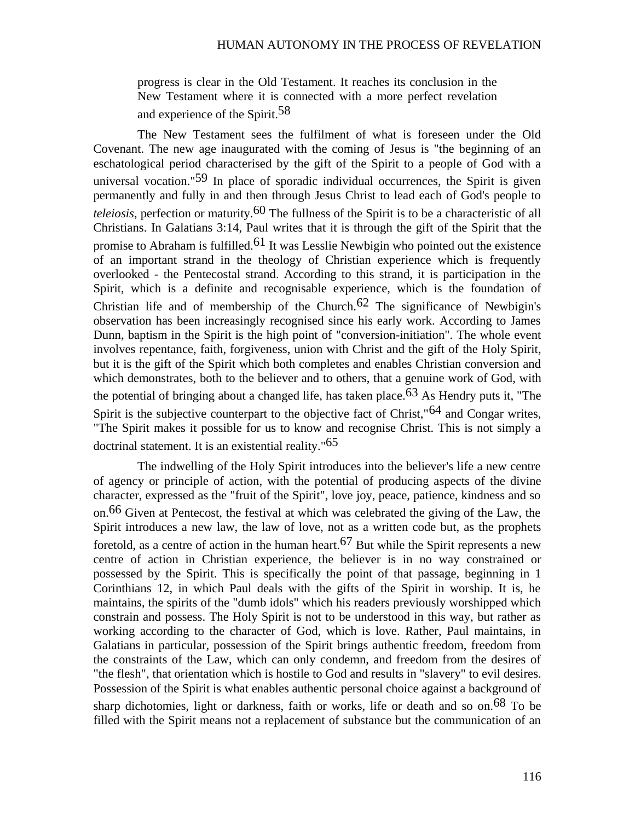progress is clear in the Old Testament. It reaches its conclusion in the New Testament where it is connected with a more perfect revelation and experience of the Spirit.<sup>58</sup>

The New Testament sees the fulfilment of what is foreseen under the Old Covenant. The new age inaugurated with the coming of Jesus is "the beginning of an eschatological period characterised by the gift of the Spirit to a people of God with a universal vocation." $59$  In place of sporadic individual occurrences, the Spirit is given permanently and fully in and then through Jesus Christ to lead each of God's people to *teleiosis*, perfection or maturity.60 The fullness of the Spirit is to be a characteristic of all Christians. In Galatians 3:14, Paul writes that it is through the gift of the Spirit that the promise to Abraham is fulfilled.<sup>61</sup> It was Lesslie Newbigin who pointed out the existence of an important strand in the theology of Christian experience which is frequently overlooked - the Pentecostal strand. According to this strand, it is participation in the Spirit, which is a definite and recognisable experience, which is the foundation of Christian life and of membership of the Church. $62$  The significance of Newbigin's observation has been increasingly recognised since his early work. According to James Dunn, baptism in the Spirit is the high point of "conversion-initiation". The whole event involves repentance, faith, forgiveness, union with Christ and the gift of the Holy Spirit, but it is the gift of the Spirit which both completes and enables Christian conversion and which demonstrates, both to the believer and to others, that a genuine work of God, with the potential of bringing about a changed life, has taken place.<sup>63</sup> As Hendry puts it, "The Spirit is the subjective counterpart to the objective fact of Christ,"<sup>64</sup> and Congar writes, "The Spirit makes it possible for us to know and recognise Christ. This is not simply a doctrinal statement. It is an existential reality."<sup>65</sup>

The indwelling of the Holy Spirit introduces into the believer's life a new centre of agency or principle of action, with the potential of producing aspects of the divine character, expressed as the "fruit of the Spirit", love joy, peace, patience, kindness and so on.66 Given at Pentecost, the festival at which was celebrated the giving of the Law, the Spirit introduces a new law, the law of love, not as a written code but, as the prophets foretold, as a centre of action in the human heart.<sup>67</sup> But while the Spirit represents a new centre of action in Christian experience, the believer is in no way constrained or possessed by the Spirit. This is specifically the point of that passage, beginning in 1 Corinthians 12, in which Paul deals with the gifts of the Spirit in worship. It is, he maintains, the spirits of the "dumb idols" which his readers previously worshipped which constrain and possess. The Holy Spirit is not to be understood in this way, but rather as working according to the character of God, which is love. Rather, Paul maintains, in Galatians in particular, possession of the Spirit brings authentic freedom, freedom from the constraints of the Law, which can only condemn, and freedom from the desires of "the flesh", that orientation which is hostile to God and results in "slavery" to evil desires. Possession of the Spirit is what enables authentic personal choice against a background of sharp dichotomies, light or darkness, faith or works, life or death and so on.68 To be filled with the Spirit means not a replacement of substance but the communication of an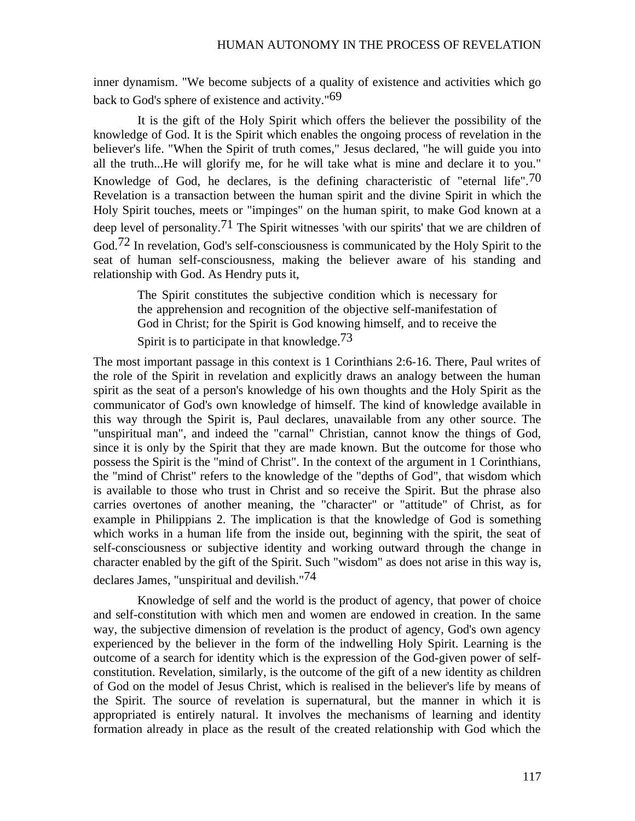inner dynamism. "We become subjects of a quality of existence and activities which go back to God's sphere of existence and activity."69

It is the gift of the Holy Spirit which offers the believer the possibility of the knowledge of God. It is the Spirit which enables the ongoing process of revelation in the believer's life. "When the Spirit of truth comes," Jesus declared, "he will guide you into all the truth...He will glorify me, for he will take what is mine and declare it to you." Knowledge of God, he declares, is the defining characteristic of "eternal life".<sup>70</sup> Revelation is a transaction between the human spirit and the divine Spirit in which the Holy Spirit touches, meets or "impinges" on the human spirit, to make God known at a deep level of personality.<sup>71</sup> The Spirit witnesses 'with our spirits' that we are children of God.72 In revelation, God's self-consciousness is communicated by the Holy Spirit to the seat of human self-consciousness, making the believer aware of his standing and relationship with God. As Hendry puts it,

The Spirit constitutes the subjective condition which is necessary for the apprehension and recognition of the objective self-manifestation of God in Christ; for the Spirit is God knowing himself, and to receive the Spirit is to participate in that knowledge.<sup>73</sup>

The most important passage in this context is 1 Corinthians 2:6-16. There, Paul writes of the role of the Spirit in revelation and explicitly draws an analogy between the human spirit as the seat of a person's knowledge of his own thoughts and the Holy Spirit as the communicator of God's own knowledge of himself. The kind of knowledge available in this way through the Spirit is, Paul declares, unavailable from any other source. The "unspiritual man", and indeed the "carnal" Christian, cannot know the things of God, since it is only by the Spirit that they are made known. But the outcome for those who possess the Spirit is the "mind of Christ". In the context of the argument in 1 Corinthians, the "mind of Christ" refers to the knowledge of the "depths of God", that wisdom which is available to those who trust in Christ and so receive the Spirit. But the phrase also carries overtones of another meaning, the "character" or "attitude" of Christ, as for example in Philippians 2. The implication is that the knowledge of God is something which works in a human life from the inside out, beginning with the spirit, the seat of self-consciousness or subjective identity and working outward through the change in character enabled by the gift of the Spirit. Such "wisdom" as does not arise in this way is, declares James, "unspiritual and devilish."74

Knowledge of self and the world is the product of agency, that power of choice and self-constitution with which men and women are endowed in creation. In the same way, the subjective dimension of revelation is the product of agency, God's own agency experienced by the believer in the form of the indwelling Holy Spirit. Learning is the outcome of a search for identity which is the expression of the God-given power of selfconstitution. Revelation, similarly, is the outcome of the gift of a new identity as children of God on the model of Jesus Christ, which is realised in the believer's life by means of the Spirit. The source of revelation is supernatural, but the manner in which it is appropriated is entirely natural. It involves the mechanisms of learning and identity formation already in place as the result of the created relationship with God which the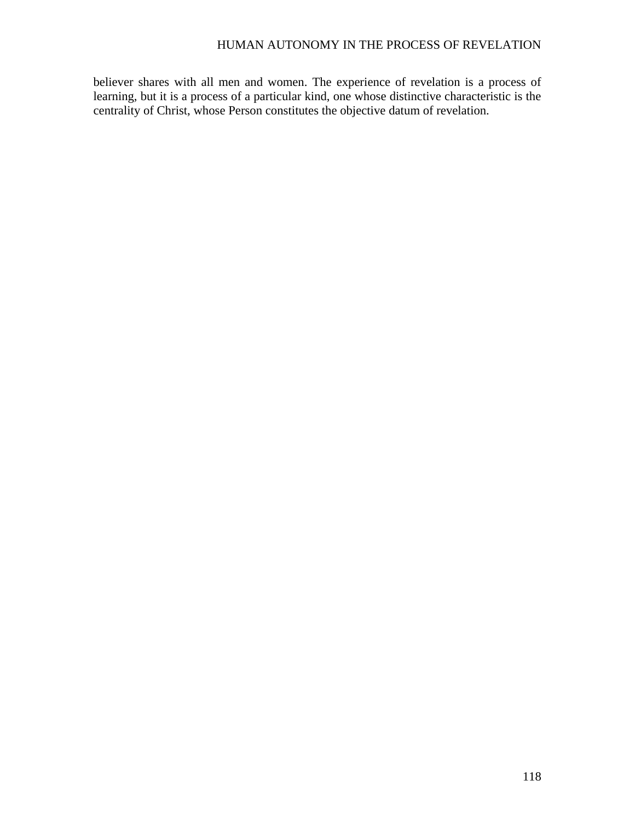believer shares with all men and women. The experience of revelation is a process of learning, but it is a process of a particular kind, one whose distinctive characteristic is the centrality of Christ, whose Person constitutes the objective datum of revelation.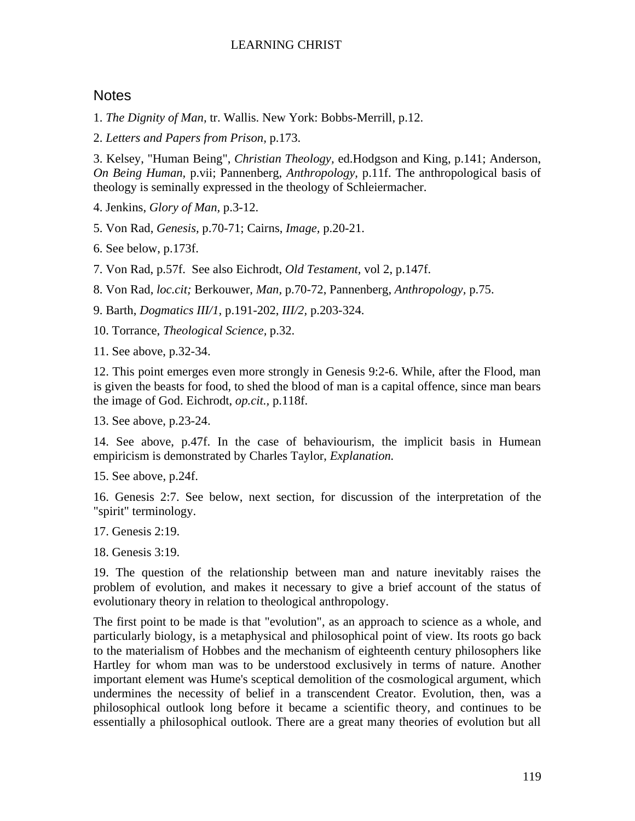## **Notes**

1. *The Dignity of Man,* tr. Wallis. New York: Bobbs-Merrill, p.12.

2. *Letters and Papers from Prison,* p.173.

3. Kelsey, "Human Being", *Christian Theology,* ed.Hodgson and King, p.141; Anderson, *On Being Human,* p.vii; Pannenberg, *Anthropology,* p.11f. The anthropological basis of theology is seminally expressed in the theology of Schleiermacher.

4. Jenkins, *Glory of Man,* p.3-12.

5. Von Rad, *Genesis,* p.70-71; Cairns, *Image,* p.20-21.

6. See below, p.173f.

7. Von Rad, p.57f. See also Eichrodt, *Old Testament,* vol 2, p.147f.

8. Von Rad, *loc.cit;* Berkouwer, *Man,* p.70-72, Pannenberg, *Anthropology,* p.75.

9. Barth, *Dogmatics III/1,* p.191-202, *III/2,* p.203-324.

10. Torrance, *Theological Science,* p.32.

11. See above, p.32-34.

12. This point emerges even more strongly in Genesis 9:2-6. While, after the Flood, man is given the beasts for food, to shed the blood of man is a capital offence, since man bears the image of God. Eichrodt, *op.cit.,* p.118f.

13. See above, p.23-24.

14. See above, p.47f. In the case of behaviourism, the implicit basis in Humean empiricism is demonstrated by Charles Taylor, *Explanation.*

15. See above, p.24f.

16. Genesis 2:7. See below, next section, for discussion of the interpretation of the "spirit" terminology.

17. Genesis 2:19.

18. Genesis 3:19.

19. The question of the relationship between man and nature inevitably raises the problem of evolution, and makes it necessary to give a brief account of the status of evolutionary theory in relation to theological anthropology.

The first point to be made is that "evolution", as an approach to science as a whole, and particularly biology, is a metaphysical and philosophical point of view. Its roots go back to the materialism of Hobbes and the mechanism of eighteenth century philosophers like Hartley for whom man was to be understood exclusively in terms of nature. Another important element was Hume's sceptical demolition of the cosmological argument, which undermines the necessity of belief in a transcendent Creator. Evolution, then, was a philosophical outlook long before it became a scientific theory, and continues to be essentially a philosophical outlook. There are a great many theories of evolution but all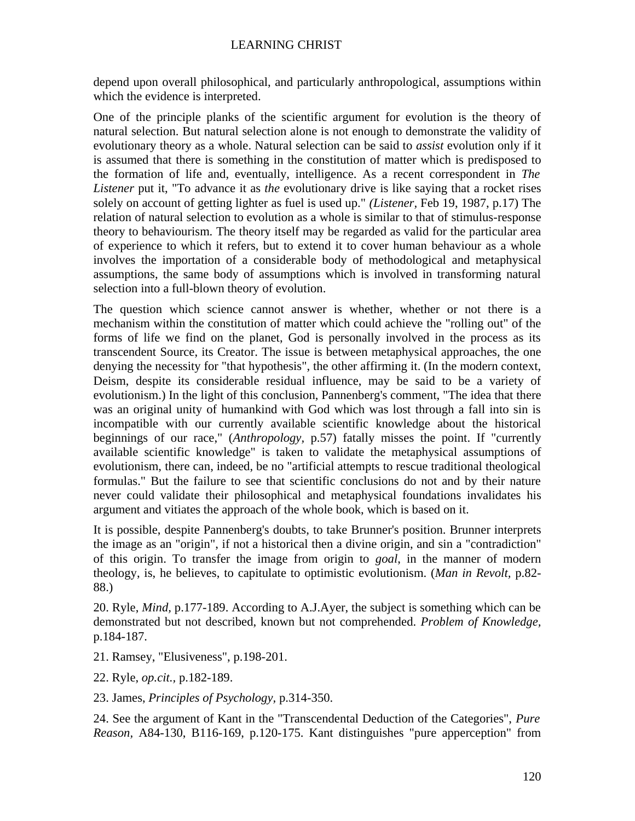depend upon overall philosophical, and particularly anthropological, assumptions within which the evidence is interpreted.

One of the principle planks of the scientific argument for evolution is the theory of natural selection. But natural selection alone is not enough to demonstrate the validity of evolutionary theory as a whole. Natural selection can be said to *assist* evolution only if it is assumed that there is something in the constitution of matter which is predisposed to the formation of life and, eventually, intelligence. As a recent correspondent in *The Listener* put it, "To advance it as *the* evolutionary drive is like saying that a rocket rises solely on account of getting lighter as fuel is used up." *(Listener,* Feb 19, 1987, p.17) The relation of natural selection to evolution as a whole is similar to that of stimulus-response theory to behaviourism. The theory itself may be regarded as valid for the particular area of experience to which it refers, but to extend it to cover human behaviour as a whole involves the importation of a considerable body of methodological and metaphysical assumptions, the same body of assumptions which is involved in transforming natural selection into a full-blown theory of evolution.

The question which science cannot answer is whether, whether or not there is a mechanism within the constitution of matter which could achieve the "rolling out" of the forms of life we find on the planet, God is personally involved in the process as its transcendent Source, its Creator. The issue is between metaphysical approaches, the one denying the necessity for "that hypothesis", the other affirming it. (In the modern context, Deism, despite its considerable residual influence, may be said to be a variety of evolutionism.) In the light of this conclusion, Pannenberg's comment, "The idea that there was an original unity of humankind with God which was lost through a fall into sin is incompatible with our currently available scientific knowledge about the historical beginnings of our race," (*Anthropology,* p.57) fatally misses the point. If "currently available scientific knowledge" is taken to validate the metaphysical assumptions of evolutionism, there can, indeed, be no "artificial attempts to rescue traditional theological formulas." But the failure to see that scientific conclusions do not and by their nature never could validate their philosophical and metaphysical foundations invalidates his argument and vitiates the approach of the whole book, which is based on it.

It is possible, despite Pannenberg's doubts, to take Brunner's position. Brunner interprets the image as an "origin", if not a historical then a divine origin, and sin a "contradiction" of this origin. To transfer the image from origin to *goal*, in the manner of modern theology, is, he believes, to capitulate to optimistic evolutionism. (*Man in Revolt,* p.82- 88.)

20. Ryle, *Mind,* p.177-189. According to A.J.Ayer, the subject is something which can be demonstrated but not described, known but not comprehended. *Problem of Knowledge,* p.184-187.

21. Ramsey, "Elusiveness", p.198-201.

- 22. Ryle, *op.cit.,* p.182-189.
- 23. James, *Principles of Psychology,* p.314-350.

24. See the argument of Kant in the "Transcendental Deduction of the Categories", *Pure Reason,* A84-130, B116-169, p.120-175. Kant distinguishes "pure apperception" from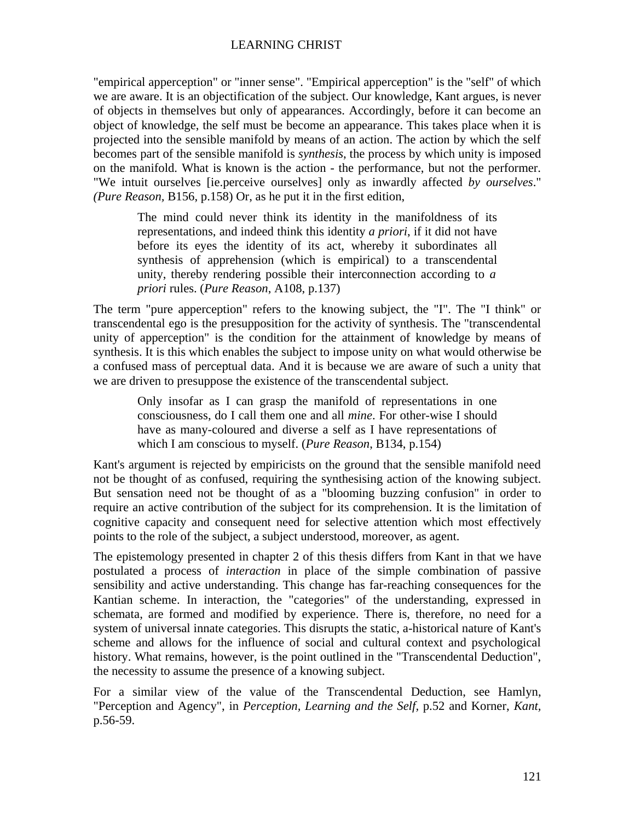"empirical apperception" or "inner sense". "Empirical apperception" is the "self" of which we are aware. It is an objectification of the subject. Our knowledge, Kant argues, is never of objects in themselves but only of appearances. Accordingly, before it can become an object of knowledge, the self must be become an appearance. This takes place when it is projected into the sensible manifold by means of an action. The action by which the self becomes part of the sensible manifold is *synthesis*, the process by which unity is imposed on the manifold. What is known is the action - the performance, but not the performer. "We intuit ourselves [ie.perceive ourselves] only as inwardly affected *by ourselves*." *(Pure Reason,* B156, p.158) Or, as he put it in the first edition,

The mind could never think its identity in the manifoldness of its representations, and indeed think this identity *a priori*, if it did not have before its eyes the identity of its act, whereby it subordinates all synthesis of apprehension (which is empirical) to a transcendental unity, thereby rendering possible their interconnection according to *a priori* rules. (*Pure Reason*, A108, p.137)

The term "pure apperception" refers to the knowing subject, the "I". The "I think" or transcendental ego is the presupposition for the activity of synthesis. The "transcendental unity of apperception" is the condition for the attainment of knowledge by means of synthesis. It is this which enables the subject to impose unity on what would otherwise be a confused mass of perceptual data. And it is because we are aware of such a unity that we are driven to presuppose the existence of the transcendental subject.

Only insofar as I can grasp the manifold of representations in one consciousness, do I call them one and all *mine*. For other-wise I should have as many-coloured and diverse a self as I have representations of which I am conscious to myself. (*Pure Reason*, B134, p.154)

Kant's argument is rejected by empiricists on the ground that the sensible manifold need not be thought of as confused, requiring the synthesising action of the knowing subject. But sensation need not be thought of as a "blooming buzzing confusion" in order to require an active contribution of the subject for its comprehension. It is the limitation of cognitive capacity and consequent need for selective attention which most effectively points to the role of the subject, a subject understood, moreover, as agent.

The epistemology presented in chapter 2 of this thesis differs from Kant in that we have postulated a process of *interaction* in place of the simple combination of passive sensibility and active understanding. This change has far-reaching consequences for the Kantian scheme. In interaction, the "categories" of the understanding, expressed in schemata, are formed and modified by experience. There is, therefore, no need for a system of universal innate categories. This disrupts the static, a-historical nature of Kant's scheme and allows for the influence of social and cultural context and psychological history. What remains, however, is the point outlined in the "Transcendental Deduction", the necessity to assume the presence of a knowing subject.

For a similar view of the value of the Transcendental Deduction, see Hamlyn, "Perception and Agency", in *Perception, Learning and the Self,* p.52 and Korner, *Kant,* p.56-59.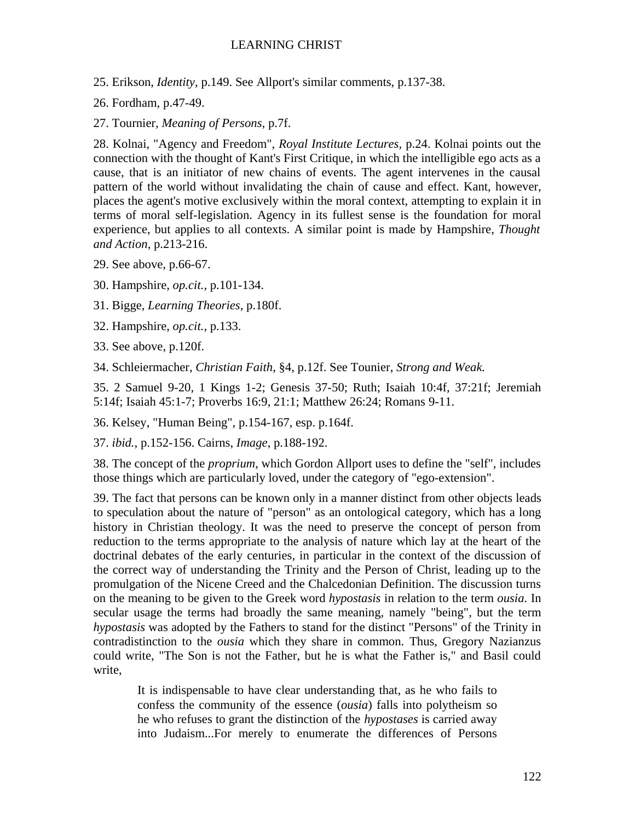- 25. Erikson, *Identity,* p.149. See Allport's similar comments, p.137-38.
- 26. Fordham, p.47-49.
- 27. Tournier, *Meaning of Persons,* p.7f.

28. Kolnai, "Agency and Freedom", *Royal Institute Lectures,* p.24. Kolnai points out the connection with the thought of Kant's First Critique, in which the intelligible ego acts as a cause, that is an initiator of new chains of events. The agent intervenes in the causal pattern of the world without invalidating the chain of cause and effect. Kant, however, places the agent's motive exclusively within the moral context, attempting to explain it in terms of moral self-legislation. Agency in its fullest sense is the foundation for moral experience, but applies to all contexts. A similar point is made by Hampshire, *Thought and Action,* p.213-216.

- 29. See above, p.66-67.
- 30. Hampshire, *op.cit.,* p.101-134.
- 31. Bigge, *Learning Theories,* p.180f.
- 32. Hampshire, *op.cit.,* p.133.
- 33. See above, p.120f.
- 34. Schleiermacher, *Christian Faith,* §4, p.12f. See Tounier, *Strong and Weak.*

35. 2 Samuel 9-20, 1 Kings 1-2; Genesis 37-50; Ruth; Isaiah 10:4f, 37:21f; Jeremiah 5:14f; Isaiah 45:1-7; Proverbs 16:9, 21:1; Matthew 26:24; Romans 9-11.

36. Kelsey, "Human Being", p.154-167, esp. p.164f.

37. *ibid.,* p.152-156. Cairns, *Image*, p.188-192.

38. The concept of the *proprium*, which Gordon Allport uses to define the "self", includes those things which are particularly loved, under the category of "ego-extension".

39. The fact that persons can be known only in a manner distinct from other objects leads to speculation about the nature of "person" as an ontological category, which has a long history in Christian theology. It was the need to preserve the concept of person from reduction to the terms appropriate to the analysis of nature which lay at the heart of the doctrinal debates of the early centuries, in particular in the context of the discussion of the correct way of understanding the Trinity and the Person of Christ, leading up to the promulgation of the Nicene Creed and the Chalcedonian Definition. The discussion turns on the meaning to be given to the Greek word *hypostasis* in relation to the term *ousia*. In secular usage the terms had broadly the same meaning, namely "being", but the term *hypostasis* was adopted by the Fathers to stand for the distinct "Persons" of the Trinity in contradistinction to the *ousia* which they share in common. Thus, Gregory Nazianzus could write, "The Son is not the Father, but he is what the Father is," and Basil could write,

It is indispensable to have clear understanding that, as he who fails to confess the community of the essence (*ousia*) falls into polytheism so he who refuses to grant the distinction of the *hypostases* is carried away into Judaism...For merely to enumerate the differences of Persons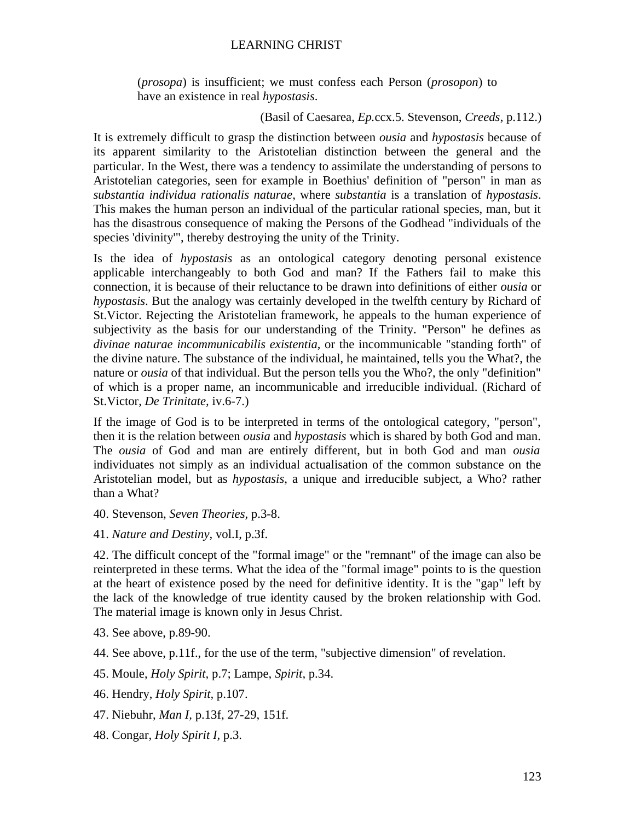(*prosopa*) is insufficient; we must confess each Person (*prosopon*) to have an existence in real *hypostasis*.

#### (Basil of Caesarea, *Ep.*ccx.5. Stevenson, *Creeds*, p.112.)

It is extremely difficult to grasp the distinction between *ousia* and *hypostasis* because of its apparent similarity to the Aristotelian distinction between the general and the particular. In the West, there was a tendency to assimilate the understanding of persons to Aristotelian categories, seen for example in Boethius' definition of "person" in man as *substantia individua rationalis naturae*, where *substantia* is a translation of *hypostasis*. This makes the human person an individual of the particular rational species, man, but it has the disastrous consequence of making the Persons of the Godhead "individuals of the species 'divinity'", thereby destroying the unity of the Trinity.

Is the idea of *hypostasis* as an ontological category denoting personal existence applicable interchangeably to both God and man? If the Fathers fail to make this connection, it is because of their reluctance to be drawn into definitions of either *ousia* or *hypostasis*. But the analogy was certainly developed in the twelfth century by Richard of St.Victor. Rejecting the Aristotelian framework, he appeals to the human experience of subjectivity as the basis for our understanding of the Trinity. "Person" he defines as *divinae naturae incommunicabilis existentia*, or the incommunicable "standing forth" of the divine nature. The substance of the individual, he maintained, tells you the What?, the nature or *ousia* of that individual. But the person tells you the Who?, the only "definition" of which is a proper name, an incommunicable and irreducible individual. (Richard of St.Victor, *De Trinitate,* iv.6-7.)

If the image of God is to be interpreted in terms of the ontological category, "person", then it is the relation between *ousia* and *hypostasis* which is shared by both God and man. The *ousia* of God and man are entirely different, but in both God and man *ousia* individuates not simply as an individual actualisation of the common substance on the Aristotelian model, but as *hypostasis*, a unique and irreducible subject, a Who? rather than a What?

40. Stevenson, *Seven Theories,* p.3-8.

#### 41. *Nature and Destiny,* vol.I, p.3f.

42. The difficult concept of the "formal image" or the "remnant" of the image can also be reinterpreted in these terms. What the idea of the "formal image" points to is the question at the heart of existence posed by the need for definitive identity. It is the "gap" left by the lack of the knowledge of true identity caused by the broken relationship with God. The material image is known only in Jesus Christ.

43. See above, p.89-90.

44. See above, p.11f., for the use of the term, "subjective dimension" of revelation.

45. Moule, *Holy Spirit,* p.7; Lampe, *Spirit,* p.34.

- 46. Hendry, *Holy Spirit,* p.107.
- 47. Niebuhr, *Man I,* p.13f, 27-29, 151f.
- 48. Congar, *Holy Spirit I,* p.3.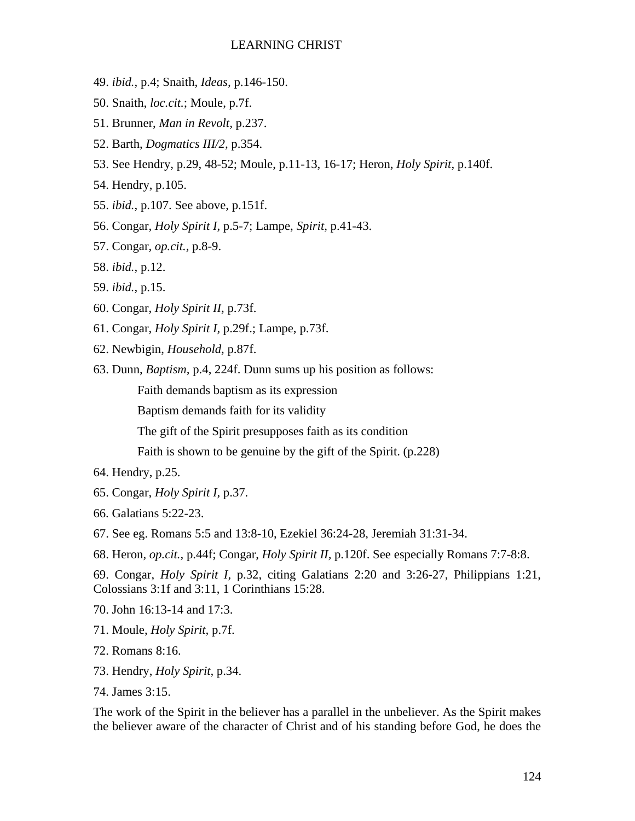- 49. *ibid.,* p.4; Snaith, *Ideas,* p.146-150.
- 50. Snaith, *loc.cit.*; Moule, p.7f.
- 51. Brunner, *Man in Revolt,* p.237.
- 52. Barth, *Dogmatics III/2,* p.354.
- 53. See Hendry, p.29, 48-52; Moule, p.11-13, 16-17; Heron, *Holy Spirit,* p.140f.
- 54. Hendry, p.105.
- 55. *ibid.,* p.107. See above, p.151f.
- 56. Congar, *Holy Spirit I,* p.5-7; Lampe, *Spirit,* p.41-43.
- 57. Congar, *op.cit.,* p.8-9.
- 58. *ibid.,* p.12.
- 59. *ibid.,* p.15.
- 60. Congar, *Holy Spirit II,* p.73f.
- 61. Congar, *Holy Spirit I,* p.29f.; Lampe, p.73f.
- 62. Newbigin, *Household,* p.87f.
- 63. Dunn, *Baptism,* p.4, 224f. Dunn sums up his position as follows:

Faith demands baptism as its expression

Baptism demands faith for its validity

The gift of the Spirit presupposes faith as its condition

Faith is shown to be genuine by the gift of the Spirit. (p.228)

- 64. Hendry, p.25.
- 65. Congar, *Holy Spirit I,* p.37.
- 66. Galatians 5:22-23.
- 67. See eg. Romans 5:5 and 13:8-10, Ezekiel 36:24-28, Jeremiah 31:31-34.
- 68. Heron, *op.cit.,* p.44f; Congar, *Holy Spirit II,* p.120f. See especially Romans 7:7-8:8.

69. Congar, *Holy Spirit I,* p.32, citing Galatians 2:20 and 3:26-27, Philippians 1:21, Colossians 3:1f and 3:11, 1 Corinthians 15:28.

- 70. John 16:13-14 and 17:3.
- 71. Moule, *Holy Spirit,* p.7f.
- 72. Romans 8:16.
- 73. Hendry, *Holy Spirit,* p.34.
- 74. James 3:15.

The work of the Spirit in the believer has a parallel in the unbeliever. As the Spirit makes the believer aware of the character of Christ and of his standing before God, he does the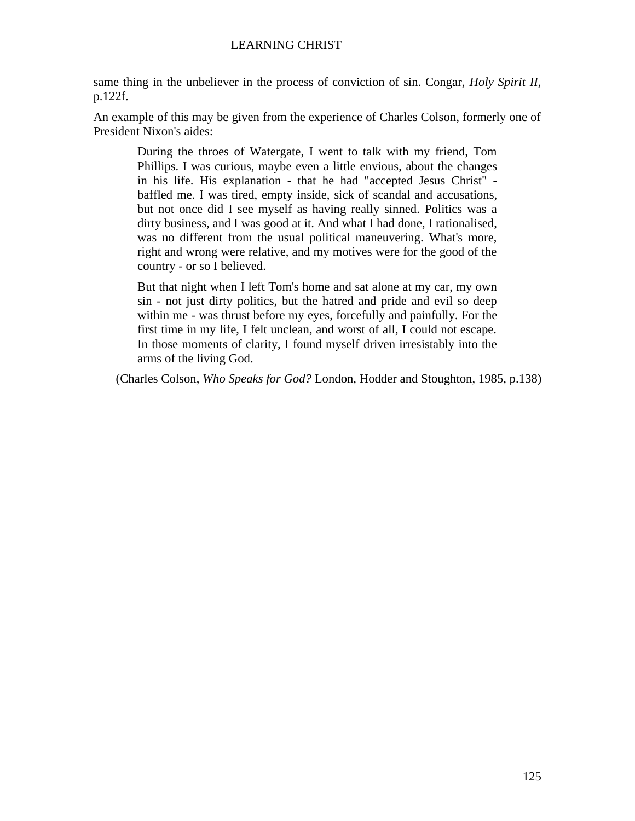same thing in the unbeliever in the process of conviction of sin. Congar, *Holy Spirit II,* p.122f.

An example of this may be given from the experience of Charles Colson, formerly one of President Nixon's aides:

During the throes of Watergate, I went to talk with my friend, Tom Phillips. I was curious, maybe even a little envious, about the changes in his life. His explanation - that he had "accepted Jesus Christ" baffled me. I was tired, empty inside, sick of scandal and accusations, but not once did I see myself as having really sinned. Politics was a dirty business, and I was good at it. And what I had done, I rationalised, was no different from the usual political maneuvering. What's more, right and wrong were relative, and my motives were for the good of the country - or so I believed.

But that night when I left Tom's home and sat alone at my car, my own sin - not just dirty politics, but the hatred and pride and evil so deep within me - was thrust before my eyes, forcefully and painfully. For the first time in my life, I felt unclean, and worst of all, I could not escape. In those moments of clarity, I found myself driven irresistably into the arms of the living God.

(Charles Colson, *Who Speaks for God?* London, Hodder and Stoughton, 1985, p.138)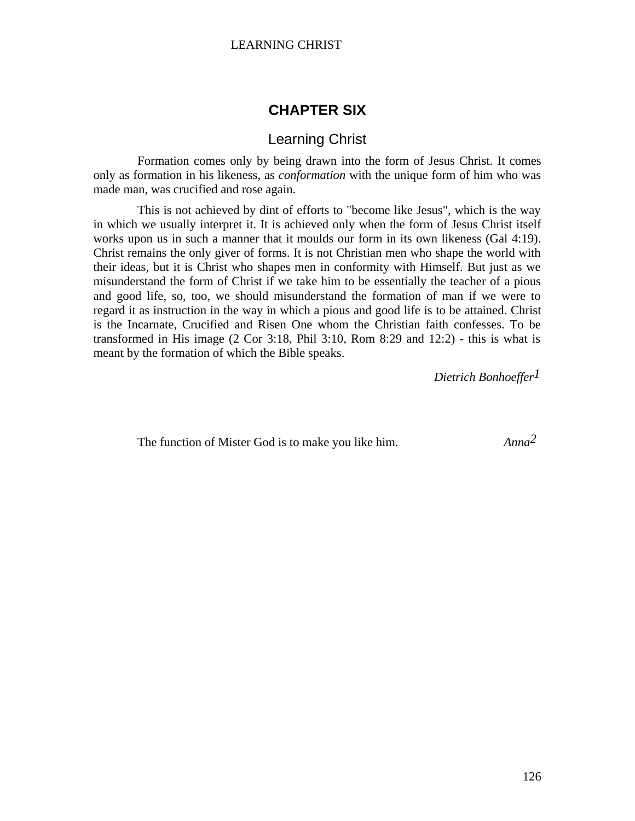# **CHAPTER SIX**

# Learning Christ

Formation comes only by being drawn into the form of Jesus Christ. It comes only as formation in his likeness, as *conformation* with the unique form of him who was made man, was crucified and rose again.

This is not achieved by dint of efforts to "become like Jesus", which is the way in which we usually interpret it. It is achieved only when the form of Jesus Christ itself works upon us in such a manner that it moulds our form in its own likeness (Gal 4:19). Christ remains the only giver of forms. It is not Christian men who shape the world with their ideas, but it is Christ who shapes men in conformity with Himself. But just as we misunderstand the form of Christ if we take him to be essentially the teacher of a pious and good life, so, too, we should misunderstand the formation of man if we were to regard it as instruction in the way in which a pious and good life is to be attained. Christ is the Incarnate, Crucified and Risen One whom the Christian faith confesses. To be transformed in His image  $(2 \text{ Cor } 3:18, \text{ Phil } 3:10, \text{ Rom } 8:29 \text{ and } 12:2)$  - this is what is meant by the formation of which the Bible speaks.

*Dietrich Bonhoeffer1*

The function of Mister God is to make you like him. *Anna<sup>2</sup>*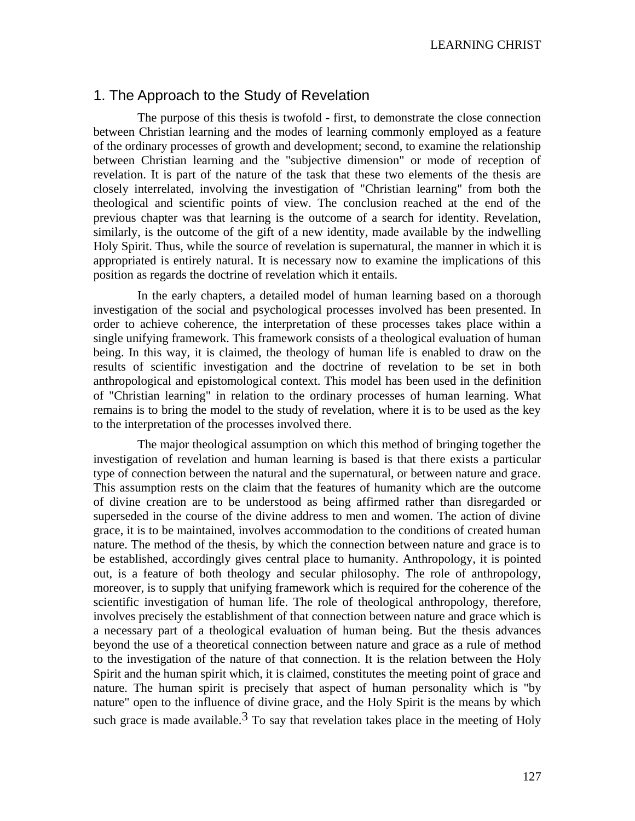## 1. The Approach to the Study of Revelation

The purpose of this thesis is twofold - first, to demonstrate the close connection between Christian learning and the modes of learning commonly employed as a feature of the ordinary processes of growth and development; second, to examine the relationship between Christian learning and the "subjective dimension" or mode of reception of revelation. It is part of the nature of the task that these two elements of the thesis are closely interrelated, involving the investigation of "Christian learning" from both the theological and scientific points of view. The conclusion reached at the end of the previous chapter was that learning is the outcome of a search for identity. Revelation, similarly, is the outcome of the gift of a new identity, made available by the indwelling Holy Spirit. Thus, while the source of revelation is supernatural, the manner in which it is appropriated is entirely natural. It is necessary now to examine the implications of this position as regards the doctrine of revelation which it entails.

In the early chapters, a detailed model of human learning based on a thorough investigation of the social and psychological processes involved has been presented. In order to achieve coherence, the interpretation of these processes takes place within a single unifying framework. This framework consists of a theological evaluation of human being. In this way, it is claimed, the theology of human life is enabled to draw on the results of scientific investigation and the doctrine of revelation to be set in both anthropological and epistomological context. This model has been used in the definition of "Christian learning" in relation to the ordinary processes of human learning. What remains is to bring the model to the study of revelation, where it is to be used as the key to the interpretation of the processes involved there.

The major theological assumption on which this method of bringing together the investigation of revelation and human learning is based is that there exists a particular type of connection between the natural and the supernatural, or between nature and grace. This assumption rests on the claim that the features of humanity which are the outcome of divine creation are to be understood as being affirmed rather than disregarded or superseded in the course of the divine address to men and women. The action of divine grace, it is to be maintained, involves accommodation to the conditions of created human nature. The method of the thesis, by which the connection between nature and grace is to be established, accordingly gives central place to humanity. Anthropology, it is pointed out, is a feature of both theology and secular philosophy. The role of anthropology, moreover, is to supply that unifying framework which is required for the coherence of the scientific investigation of human life. The role of theological anthropology, therefore, involves precisely the establishment of that connection between nature and grace which is a necessary part of a theological evaluation of human being. But the thesis advances beyond the use of a theoretical connection between nature and grace as a rule of method to the investigation of the nature of that connection. It is the relation between the Holy Spirit and the human spirit which, it is claimed, constitutes the meeting point of grace and nature. The human spirit is precisely that aspect of human personality which is "by nature" open to the influence of divine grace, and the Holy Spirit is the means by which such grace is made available.<sup>3</sup> To say that revelation takes place in the meeting of Holy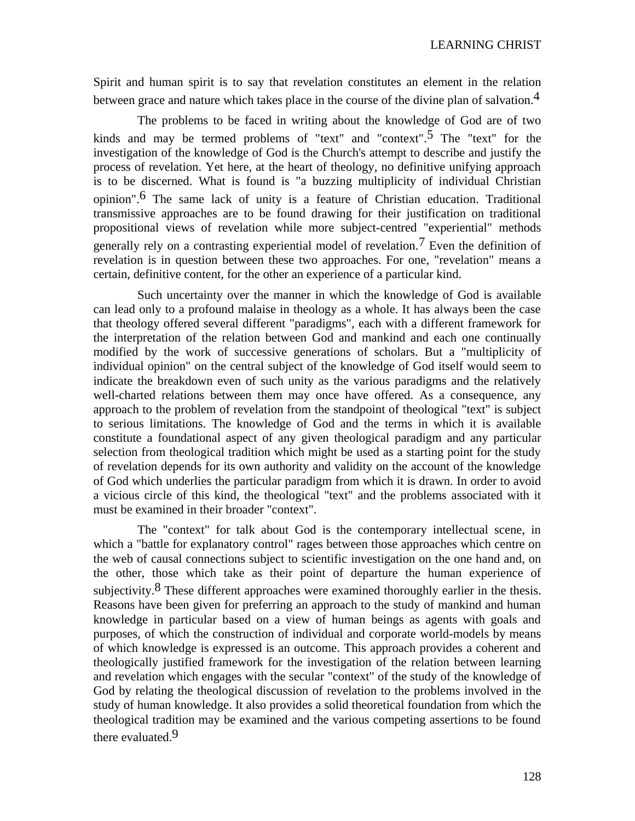Spirit and human spirit is to say that revelation constitutes an element in the relation between grace and nature which takes place in the course of the divine plan of salvation.<sup>4</sup>

The problems to be faced in writing about the knowledge of God are of two kinds and may be termed problems of "text" and "context".<sup>5</sup> The "text" for the investigation of the knowledge of God is the Church's attempt to describe and justify the process of revelation. Yet here, at the heart of theology, no definitive unifying approach is to be discerned. What is found is "a buzzing multiplicity of individual Christian opinion".6 The same lack of unity is a feature of Christian education. Traditional transmissive approaches are to be found drawing for their justification on traditional propositional views of revelation while more subject-centred "experiential" methods generally rely on a contrasting experiential model of revelation.7 Even the definition of revelation is in question between these two approaches. For one, "revelation" means a certain, definitive content, for the other an experience of a particular kind.

Such uncertainty over the manner in which the knowledge of God is available can lead only to a profound malaise in theology as a whole. It has always been the case that theology offered several different "paradigms", each with a different framework for the interpretation of the relation between God and mankind and each one continually modified by the work of successive generations of scholars. But a "multiplicity of individual opinion" on the central subject of the knowledge of God itself would seem to indicate the breakdown even of such unity as the various paradigms and the relatively well-charted relations between them may once have offered. As a consequence, any approach to the problem of revelation from the standpoint of theological "text" is subject to serious limitations. The knowledge of God and the terms in which it is available constitute a foundational aspect of any given theological paradigm and any particular selection from theological tradition which might be used as a starting point for the study of revelation depends for its own authority and validity on the account of the knowledge of God which underlies the particular paradigm from which it is drawn. In order to avoid a vicious circle of this kind, the theological "text" and the problems associated with it must be examined in their broader "context".

The "context" for talk about God is the contemporary intellectual scene, in which a "battle for explanatory control" rages between those approaches which centre on the web of causal connections subject to scientific investigation on the one hand and, on the other, those which take as their point of departure the human experience of subjectivity.<sup>8</sup> These different approaches were examined thoroughly earlier in the thesis. Reasons have been given for preferring an approach to the study of mankind and human knowledge in particular based on a view of human beings as agents with goals and purposes, of which the construction of individual and corporate world-models by means of which knowledge is expressed is an outcome. This approach provides a coherent and theologically justified framework for the investigation of the relation between learning and revelation which engages with the secular "context" of the study of the knowledge of God by relating the theological discussion of revelation to the problems involved in the study of human knowledge. It also provides a solid theoretical foundation from which the theological tradition may be examined and the various competing assertions to be found there evaluated.<sup>9</sup>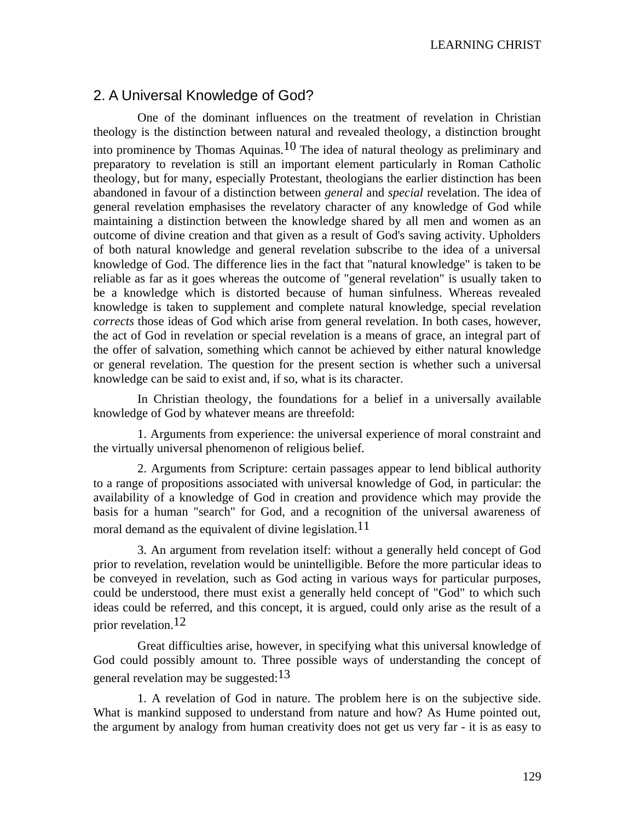# 2. A Universal Knowledge of God?

One of the dominant influences on the treatment of revelation in Christian theology is the distinction between natural and revealed theology, a distinction brought into prominence by Thomas Aquinas.<sup>10</sup> The idea of natural theology as preliminary and preparatory to revelation is still an important element particularly in Roman Catholic theology, but for many, especially Protestant, theologians the earlier distinction has been abandoned in favour of a distinction between *general* and *special* revelation. The idea of general revelation emphasises the revelatory character of any knowledge of God while maintaining a distinction between the knowledge shared by all men and women as an outcome of divine creation and that given as a result of God's saving activity. Upholders of both natural knowledge and general revelation subscribe to the idea of a universal knowledge of God. The difference lies in the fact that "natural knowledge" is taken to be reliable as far as it goes whereas the outcome of "general revelation" is usually taken to be a knowledge which is distorted because of human sinfulness. Whereas revealed knowledge is taken to supplement and complete natural knowledge, special revelation *corrects* those ideas of God which arise from general revelation. In both cases, however, the act of God in revelation or special revelation is a means of grace, an integral part of the offer of salvation, something which cannot be achieved by either natural knowledge or general revelation. The question for the present section is whether such a universal knowledge can be said to exist and, if so, what is its character.

In Christian theology, the foundations for a belief in a universally available knowledge of God by whatever means are threefold:

1. Arguments from experience: the universal experience of moral constraint and the virtually universal phenomenon of religious belief.

2. Arguments from Scripture: certain passages appear to lend biblical authority to a range of propositions associated with universal knowledge of God, in particular: the availability of a knowledge of God in creation and providence which may provide the basis for a human "search" for God, and a recognition of the universal awareness of moral demand as the equivalent of divine legislation.<sup>11</sup>

3. An argument from revelation itself: without a generally held concept of God prior to revelation, revelation would be unintelligible. Before the more particular ideas to be conveyed in revelation, such as God acting in various ways for particular purposes, could be understood, there must exist a generally held concept of "God" to which such ideas could be referred, and this concept, it is argued, could only arise as the result of a prior revelation. $12$ 

Great difficulties arise, however, in specifying what this universal knowledge of God could possibly amount to. Three possible ways of understanding the concept of general revelation may be suggested:  $13$ 

1. A revelation of God in nature. The problem here is on the subjective side. What is mankind supposed to understand from nature and how? As Hume pointed out, the argument by analogy from human creativity does not get us very far - it is as easy to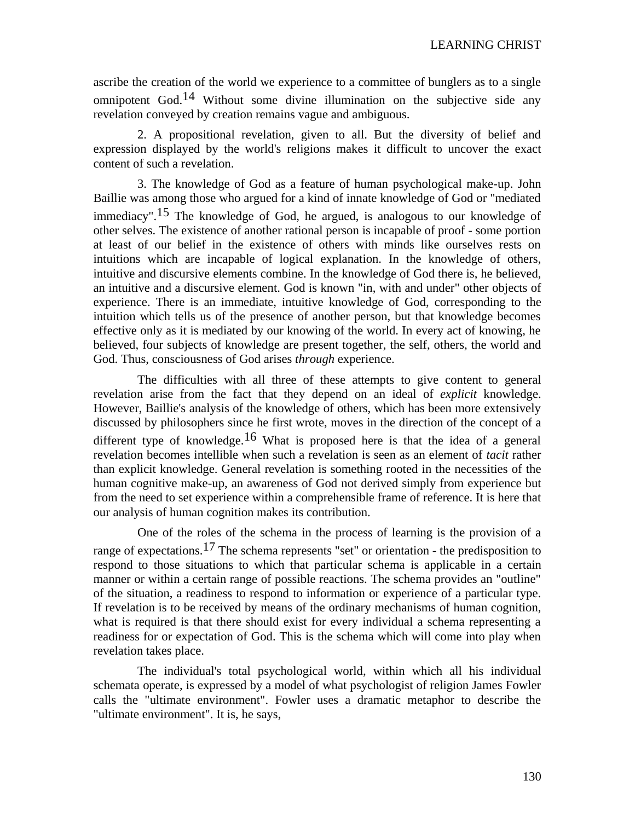ascribe the creation of the world we experience to a committee of bunglers as to a single omnipotent God.14 Without some divine illumination on the subjective side any revelation conveyed by creation remains vague and ambiguous.

2. A propositional revelation, given to all. But the diversity of belief and expression displayed by the world's religions makes it difficult to uncover the exact content of such a revelation.

3. The knowledge of God as a feature of human psychological make-up. John Baillie was among those who argued for a kind of innate knowledge of God or "mediated immediacy".<sup>15</sup> The knowledge of God, he argued, is analogous to our knowledge of other selves. The existence of another rational person is incapable of proof - some portion at least of our belief in the existence of others with minds like ourselves rests on intuitions which are incapable of logical explanation. In the knowledge of others, intuitive and discursive elements combine. In the knowledge of God there is, he believed, an intuitive and a discursive element. God is known "in, with and under" other objects of experience. There is an immediate, intuitive knowledge of God, corresponding to the intuition which tells us of the presence of another person, but that knowledge becomes effective only as it is mediated by our knowing of the world. In every act of knowing, he believed, four subjects of knowledge are present together, the self, others, the world and God. Thus, consciousness of God arises *through* experience.

The difficulties with all three of these attempts to give content to general revelation arise from the fact that they depend on an ideal of *explicit* knowledge. However, Baillie's analysis of the knowledge of others, which has been more extensively discussed by philosophers since he first wrote, moves in the direction of the concept of a different type of knowledge.<sup>16</sup> What is proposed here is that the idea of a general revelation becomes intellible when such a revelation is seen as an element of *tacit* rather than explicit knowledge. General revelation is something rooted in the necessities of the human cognitive make-up, an awareness of God not derived simply from experience but from the need to set experience within a comprehensible frame of reference. It is here that our analysis of human cognition makes its contribution.

One of the roles of the schema in the process of learning is the provision of a range of expectations.<sup>17</sup> The schema represents "set" or orientation - the predisposition to respond to those situations to which that particular schema is applicable in a certain manner or within a certain range of possible reactions. The schema provides an "outline" of the situation, a readiness to respond to information or experience of a particular type. If revelation is to be received by means of the ordinary mechanisms of human cognition, what is required is that there should exist for every individual a schema representing a readiness for or expectation of God. This is the schema which will come into play when revelation takes place.

The individual's total psychological world, within which all his individual schemata operate, is expressed by a model of what psychologist of religion James Fowler calls the "ultimate environment". Fowler uses a dramatic metaphor to describe the "ultimate environment". It is, he says,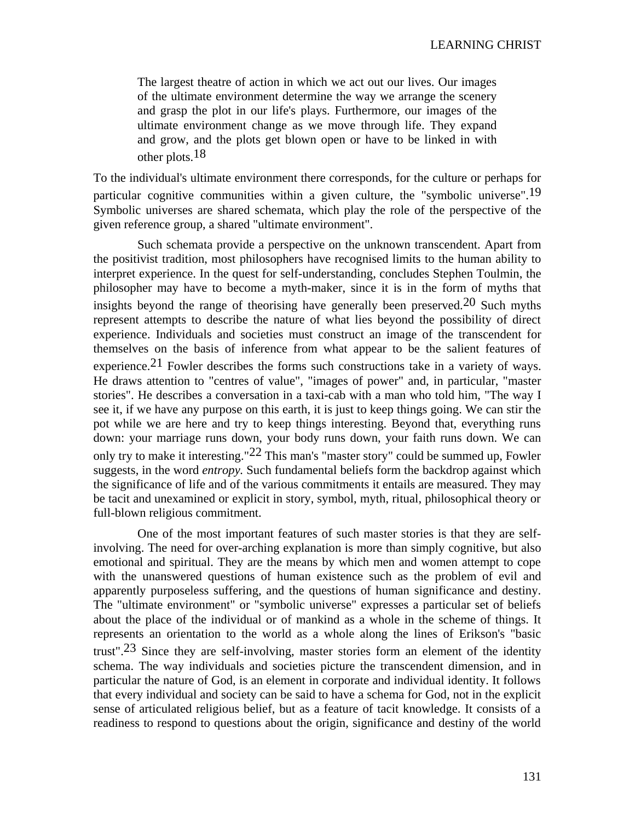The largest theatre of action in which we act out our lives. Our images of the ultimate environment determine the way we arrange the scenery and grasp the plot in our life's plays. Furthermore, our images of the ultimate environment change as we move through life. They expand and grow, and the plots get blown open or have to be linked in with other plots.18

To the individual's ultimate environment there corresponds, for the culture or perhaps for particular cognitive communities within a given culture, the "symbolic universe".<sup>19</sup> Symbolic universes are shared schemata, which play the role of the perspective of the given reference group, a shared "ultimate environment".

Such schemata provide a perspective on the unknown transcendent. Apart from the positivist tradition, most philosophers have recognised limits to the human ability to interpret experience. In the quest for self-understanding, concludes Stephen Toulmin, the philosopher may have to become a myth-maker, since it is in the form of myths that insights beyond the range of theorising have generally been preserved.<sup>20</sup> Such myths represent attempts to describe the nature of what lies beyond the possibility of direct experience. Individuals and societies must construct an image of the transcendent for themselves on the basis of inference from what appear to be the salient features of experience.<sup>21</sup> Fowler describes the forms such constructions take in a variety of ways. He draws attention to "centres of value", "images of power" and, in particular, "master stories". He describes a conversation in a taxi-cab with a man who told him, "The way I see it, if we have any purpose on this earth, it is just to keep things going. We can stir the pot while we are here and try to keep things interesting. Beyond that, everything runs down: your marriage runs down, your body runs down, your faith runs down. We can only try to make it interesting."22 This man's "master story" could be summed up, Fowler suggests, in the word *entropy.* Such fundamental beliefs form the backdrop against which the significance of life and of the various commitments it entails are measured. They may be tacit and unexamined or explicit in story, symbol, myth, ritual, philosophical theory or full-blown religious commitment.

One of the most important features of such master stories is that they are selfinvolving. The need for over-arching explanation is more than simply cognitive, but also emotional and spiritual. They are the means by which men and women attempt to cope with the unanswered questions of human existence such as the problem of evil and apparently purposeless suffering, and the questions of human significance and destiny. The "ultimate environment" or "symbolic universe" expresses a particular set of beliefs about the place of the individual or of mankind as a whole in the scheme of things. It represents an orientation to the world as a whole along the lines of Erikson's "basic trust".<sup>23</sup> Since they are self-involving, master stories form an element of the identity schema. The way individuals and societies picture the transcendent dimension, and in particular the nature of God, is an element in corporate and individual identity. It follows that every individual and society can be said to have a schema for God, not in the explicit sense of articulated religious belief, but as a feature of tacit knowledge. It consists of a readiness to respond to questions about the origin, significance and destiny of the world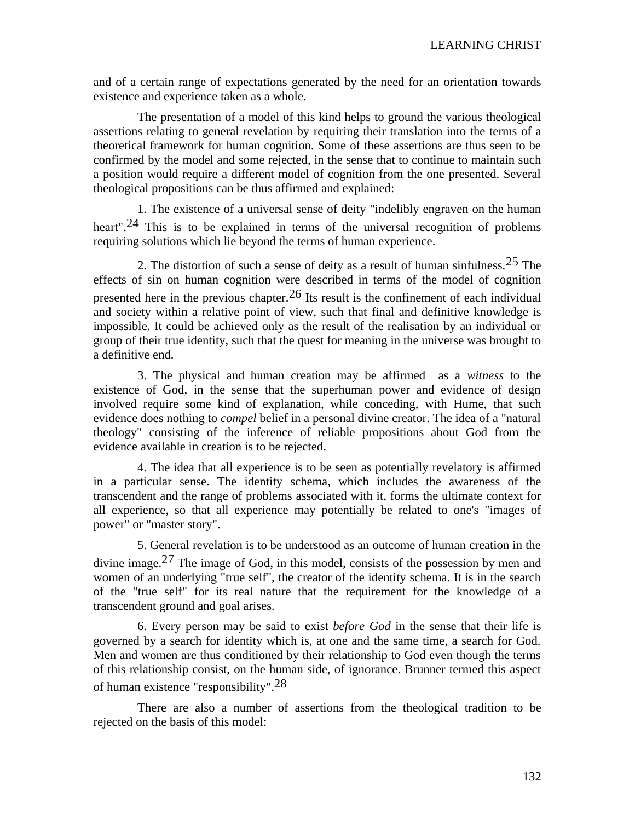and of a certain range of expectations generated by the need for an orientation towards existence and experience taken as a whole.

The presentation of a model of this kind helps to ground the various theological assertions relating to general revelation by requiring their translation into the terms of a theoretical framework for human cognition. Some of these assertions are thus seen to be confirmed by the model and some rejected, in the sense that to continue to maintain such a position would require a different model of cognition from the one presented. Several theological propositions can be thus affirmed and explained:

1. The existence of a universal sense of deity "indelibly engraven on the human heart".24 This is to be explained in terms of the universal recognition of problems requiring solutions which lie beyond the terms of human experience.

2. The distortion of such a sense of deity as a result of human sinfulness.25 The effects of sin on human cognition were described in terms of the model of cognition presented here in the previous chapter.<sup>26</sup> Its result is the confinement of each individual and society within a relative point of view, such that final and definitive knowledge is impossible. It could be achieved only as the result of the realisation by an individual or group of their true identity, such that the quest for meaning in the universe was brought to a definitive end.

3. The physical and human creation may be affirmed as a *witness* to the existence of God, in the sense that the superhuman power and evidence of design involved require some kind of explanation, while conceding, with Hume, that such evidence does nothing to *compel* belief in a personal divine creator. The idea of a "natural theology" consisting of the inference of reliable propositions about God from the evidence available in creation is to be rejected.

4. The idea that all experience is to be seen as potentially revelatory is affirmed in a particular sense. The identity schema, which includes the awareness of the transcendent and the range of problems associated with it, forms the ultimate context for all experience, so that all experience may potentially be related to one's "images of power" or "master story".

5. General revelation is to be understood as an outcome of human creation in the divine image.<sup>27</sup> The image of God, in this model, consists of the possession by men and women of an underlying "true self", the creator of the identity schema. It is in the search of the "true self" for its real nature that the requirement for the knowledge of a transcendent ground and goal arises.

6. Every person may be said to exist *before God* in the sense that their life is governed by a search for identity which is, at one and the same time, a search for God. Men and women are thus conditioned by their relationship to God even though the terms of this relationship consist, on the human side, of ignorance. Brunner termed this aspect of human existence "responsibility".28

There are also a number of assertions from the theological tradition to be rejected on the basis of this model: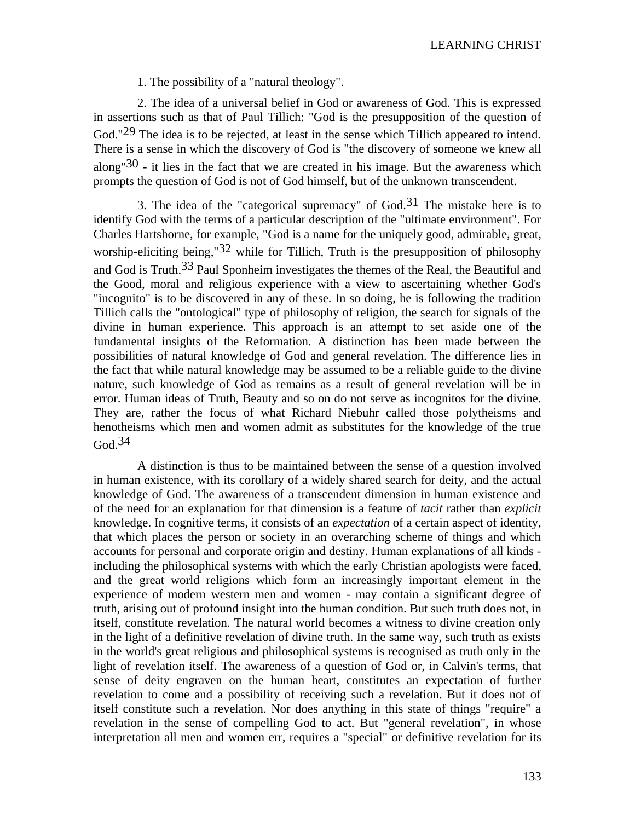1. The possibility of a "natural theology".

2. The idea of a universal belief in God or awareness of God. This is expressed in assertions such as that of Paul Tillich: "God is the presupposition of the question of God."<sup>29</sup> The idea is to be rejected, at least in the sense which Tillich appeared to intend. There is a sense in which the discovery of God is "the discovery of someone we knew all along" $30$  - it lies in the fact that we are created in his image. But the awareness which prompts the question of God is not of God himself, but of the unknown transcendent.

3. The idea of the "categorical supremacy" of  $God.^31$  The mistake here is to identify God with the terms of a particular description of the "ultimate environment". For Charles Hartshorne, for example, "God is a name for the uniquely good, admirable, great, worship-eliciting being,  $32$  while for Tillich, Truth is the presupposition of philosophy and God is Truth.33 Paul Sponheim investigates the themes of the Real, the Beautiful and the Good, moral and religious experience with a view to ascertaining whether God's "incognito" is to be discovered in any of these. In so doing, he is following the tradition Tillich calls the "ontological" type of philosophy of religion, the search for signals of the divine in human experience. This approach is an attempt to set aside one of the fundamental insights of the Reformation. A distinction has been made between the possibilities of natural knowledge of God and general revelation. The difference lies in the fact that while natural knowledge may be assumed to be a reliable guide to the divine nature, such knowledge of God as remains as a result of general revelation will be in error. Human ideas of Truth, Beauty and so on do not serve as incognitos for the divine. They are, rather the focus of what Richard Niebuhr called those polytheisms and henotheisms which men and women admit as substitutes for the knowledge of the true God  $34$ 

A distinction is thus to be maintained between the sense of a question involved in human existence, with its corollary of a widely shared search for deity, and the actual knowledge of God. The awareness of a transcendent dimension in human existence and of the need for an explanation for that dimension is a feature of *tacit* rather than *explicit* knowledge. In cognitive terms, it consists of an *expectation* of a certain aspect of identity, that which places the person or society in an overarching scheme of things and which accounts for personal and corporate origin and destiny. Human explanations of all kinds including the philosophical systems with which the early Christian apologists were faced, and the great world religions which form an increasingly important element in the experience of modern western men and women - may contain a significant degree of truth, arising out of profound insight into the human condition. But such truth does not, in itself, constitute revelation. The natural world becomes a witness to divine creation only in the light of a definitive revelation of divine truth. In the same way, such truth as exists in the world's great religious and philosophical systems is recognised as truth only in the light of revelation itself. The awareness of a question of God or, in Calvin's terms, that sense of deity engraven on the human heart, constitutes an expectation of further revelation to come and a possibility of receiving such a revelation. But it does not of itself constitute such a revelation. Nor does anything in this state of things "require" a revelation in the sense of compelling God to act. But "general revelation", in whose interpretation all men and women err, requires a "special" or definitive revelation for its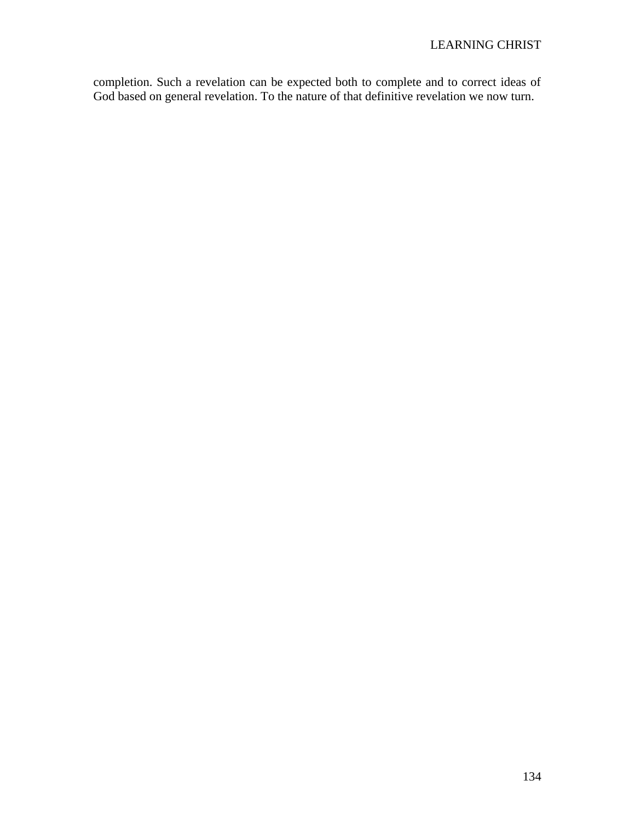completion. Such a revelation can be expected both to complete and to correct ideas of God based on general revelation. To the nature of that definitive revelation we now turn.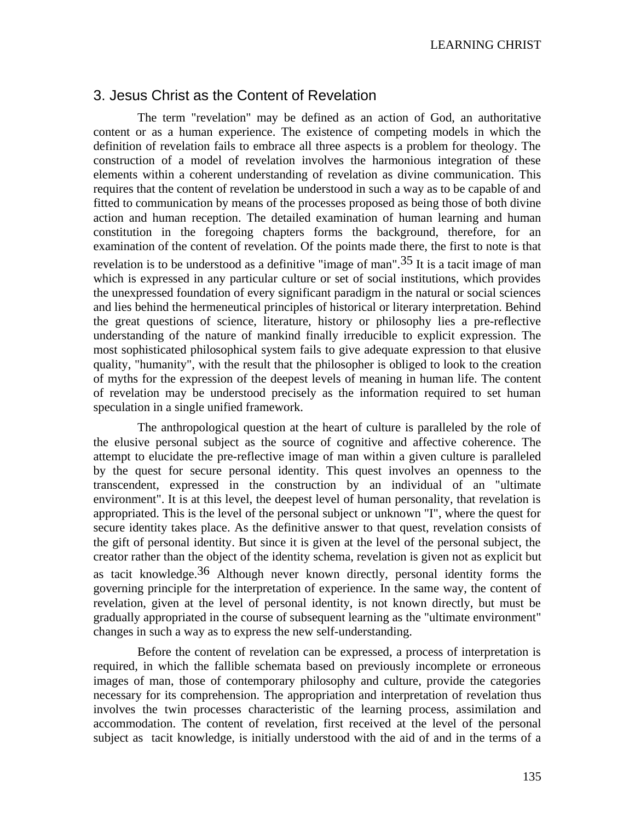# 3. Jesus Christ as the Content of Revelation

The term "revelation" may be defined as an action of God, an authoritative content or as a human experience. The existence of competing models in which the definition of revelation fails to embrace all three aspects is a problem for theology. The construction of a model of revelation involves the harmonious integration of these elements within a coherent understanding of revelation as divine communication. This requires that the content of revelation be understood in such a way as to be capable of and fitted to communication by means of the processes proposed as being those of both divine action and human reception. The detailed examination of human learning and human constitution in the foregoing chapters forms the background, therefore, for an examination of the content of revelation. Of the points made there, the first to note is that revelation is to be understood as a definitive "image of man".35 It is a tacit image of man which is expressed in any particular culture or set of social institutions, which provides the unexpressed foundation of every significant paradigm in the natural or social sciences and lies behind the hermeneutical principles of historical or literary interpretation. Behind the great questions of science, literature, history or philosophy lies a pre-reflective understanding of the nature of mankind finally irreducible to explicit expression. The most sophisticated philosophical system fails to give adequate expression to that elusive quality, "humanity", with the result that the philosopher is obliged to look to the creation of myths for the expression of the deepest levels of meaning in human life. The content of revelation may be understood precisely as the information required to set human speculation in a single unified framework.

The anthropological question at the heart of culture is paralleled by the role of the elusive personal subject as the source of cognitive and affective coherence. The attempt to elucidate the pre-reflective image of man within a given culture is paralleled by the quest for secure personal identity. This quest involves an openness to the transcendent, expressed in the construction by an individual of an "ultimate environment". It is at this level, the deepest level of human personality, that revelation is appropriated. This is the level of the personal subject or unknown "I", where the quest for secure identity takes place. As the definitive answer to that quest, revelation consists of the gift of personal identity. But since it is given at the level of the personal subject, the creator rather than the object of the identity schema, revelation is given not as explicit but as tacit knowledge.36 Although never known directly, personal identity forms the governing principle for the interpretation of experience. In the same way, the content of revelation, given at the level of personal identity, is not known directly, but must be gradually appropriated in the course of subsequent learning as the "ultimate environment" changes in such a way as to express the new self-understanding.

Before the content of revelation can be expressed, a process of interpretation is required, in which the fallible schemata based on previously incomplete or erroneous images of man, those of contemporary philosophy and culture, provide the categories necessary for its comprehension. The appropriation and interpretation of revelation thus involves the twin processes characteristic of the learning process, assimilation and accommodation. The content of revelation, first received at the level of the personal subject as tacit knowledge, is initially understood with the aid of and in the terms of a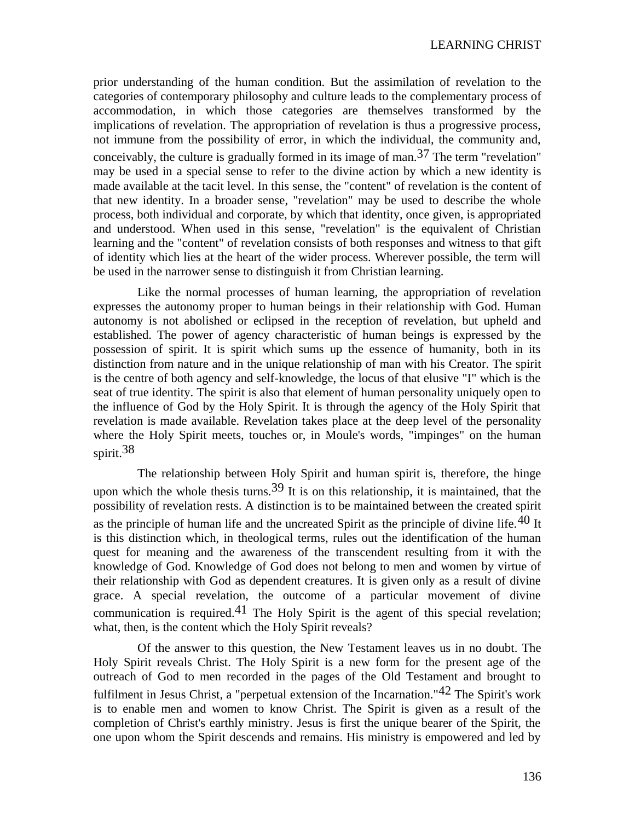prior understanding of the human condition. But the assimilation of revelation to the categories of contemporary philosophy and culture leads to the complementary process of accommodation, in which those categories are themselves transformed by the implications of revelation. The appropriation of revelation is thus a progressive process, not immune from the possibility of error, in which the individual, the community and, conceivably, the culture is gradually formed in its image of man.37 The term "revelation" may be used in a special sense to refer to the divine action by which a new identity is made available at the tacit level. In this sense, the "content" of revelation is the content of that new identity. In a broader sense, "revelation" may be used to describe the whole process, both individual and corporate, by which that identity, once given, is appropriated and understood. When used in this sense, "revelation" is the equivalent of Christian learning and the "content" of revelation consists of both responses and witness to that gift of identity which lies at the heart of the wider process. Wherever possible, the term will be used in the narrower sense to distinguish it from Christian learning.

Like the normal processes of human learning, the appropriation of revelation expresses the autonomy proper to human beings in their relationship with God. Human autonomy is not abolished or eclipsed in the reception of revelation, but upheld and established. The power of agency characteristic of human beings is expressed by the possession of spirit. It is spirit which sums up the essence of humanity, both in its distinction from nature and in the unique relationship of man with his Creator. The spirit is the centre of both agency and self-knowledge, the locus of that elusive "I" which is the seat of true identity. The spirit is also that element of human personality uniquely open to the influence of God by the Holy Spirit. It is through the agency of the Holy Spirit that revelation is made available. Revelation takes place at the deep level of the personality where the Holy Spirit meets, touches or, in Moule's words, "impinges" on the human spirit.38

The relationship between Holy Spirit and human spirit is, therefore, the hinge upon which the whole thesis turns.<sup>39</sup> It is on this relationship, it is maintained, that the possibility of revelation rests. A distinction is to be maintained between the created spirit as the principle of human life and the uncreated Spirit as the principle of divine life.<sup>40</sup> It is this distinction which, in theological terms, rules out the identification of the human quest for meaning and the awareness of the transcendent resulting from it with the knowledge of God. Knowledge of God does not belong to men and women by virtue of their relationship with God as dependent creatures. It is given only as a result of divine grace. A special revelation, the outcome of a particular movement of divine communication is required.<sup>41</sup> The Holy Spirit is the agent of this special revelation; what, then, is the content which the Holy Spirit reveals?

Of the answer to this question, the New Testament leaves us in no doubt. The Holy Spirit reveals Christ. The Holy Spirit is a new form for the present age of the outreach of God to men recorded in the pages of the Old Testament and brought to fulfilment in Jesus Christ, a "perpetual extension of the Incarnation."42 The Spirit's work is to enable men and women to know Christ. The Spirit is given as a result of the completion of Christ's earthly ministry. Jesus is first the unique bearer of the Spirit, the one upon whom the Spirit descends and remains. His ministry is empowered and led by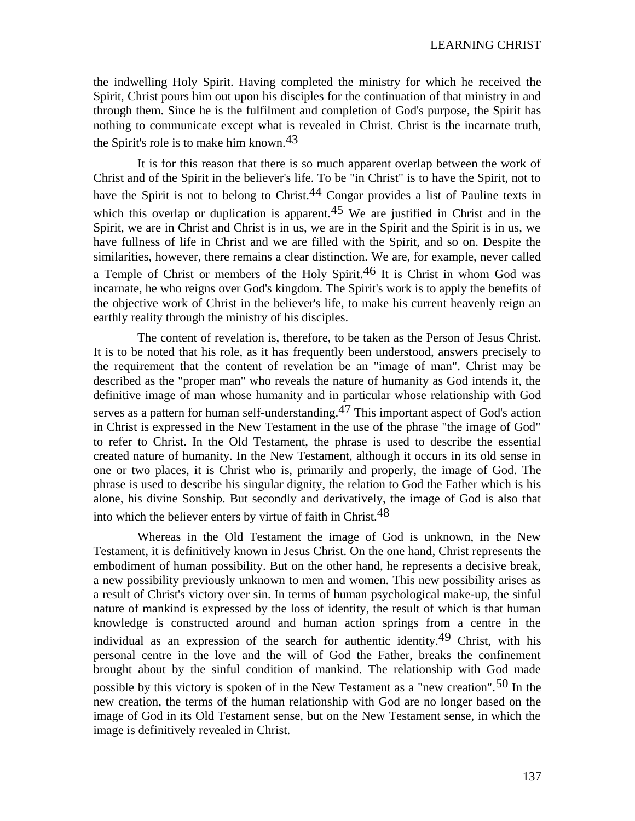the indwelling Holy Spirit. Having completed the ministry for which he received the Spirit, Christ pours him out upon his disciples for the continuation of that ministry in and through them. Since he is the fulfilment and completion of God's purpose, the Spirit has nothing to communicate except what is revealed in Christ. Christ is the incarnate truth, the Spirit's role is to make him known.<sup>43</sup>

It is for this reason that there is so much apparent overlap between the work of Christ and of the Spirit in the believer's life. To be "in Christ" is to have the Spirit, not to have the Spirit is not to belong to Christ.<sup>44</sup> Congar provides a list of Pauline texts in which this overlap or duplication is apparent.<sup>45</sup> We are justified in Christ and in the Spirit, we are in Christ and Christ is in us, we are in the Spirit and the Spirit is in us, we have fullness of life in Christ and we are filled with the Spirit, and so on. Despite the similarities, however, there remains a clear distinction. We are, for example, never called a Temple of Christ or members of the Holy Spirit.46 It is Christ in whom God was incarnate, he who reigns over God's kingdom. The Spirit's work is to apply the benefits of the objective work of Christ in the believer's life, to make his current heavenly reign an earthly reality through the ministry of his disciples.

The content of revelation is, therefore, to be taken as the Person of Jesus Christ. It is to be noted that his role, as it has frequently been understood, answers precisely to the requirement that the content of revelation be an "image of man". Christ may be described as the "proper man" who reveals the nature of humanity as God intends it, the definitive image of man whose humanity and in particular whose relationship with God serves as a pattern for human self-understanding.  $47$  This important aspect of God's action in Christ is expressed in the New Testament in the use of the phrase "the image of God" to refer to Christ. In the Old Testament, the phrase is used to describe the essential created nature of humanity. In the New Testament, although it occurs in its old sense in one or two places, it is Christ who is, primarily and properly, the image of God. The phrase is used to describe his singular dignity, the relation to God the Father which is his alone, his divine Sonship. But secondly and derivatively, the image of God is also that into which the believer enters by virtue of faith in Christ.48

Whereas in the Old Testament the image of God is unknown, in the New Testament, it is definitively known in Jesus Christ. On the one hand, Christ represents the embodiment of human possibility. But on the other hand, he represents a decisive break, a new possibility previously unknown to men and women. This new possibility arises as a result of Christ's victory over sin. In terms of human psychological make-up, the sinful nature of mankind is expressed by the loss of identity, the result of which is that human knowledge is constructed around and human action springs from a centre in the individual as an expression of the search for authentic identity.<sup>49</sup> Christ, with his personal centre in the love and the will of God the Father, breaks the confinement brought about by the sinful condition of mankind. The relationship with God made possible by this victory is spoken of in the New Testament as a "new creation".50 In the new creation, the terms of the human relationship with God are no longer based on the image of God in its Old Testament sense, but on the New Testament sense, in which the image is definitively revealed in Christ.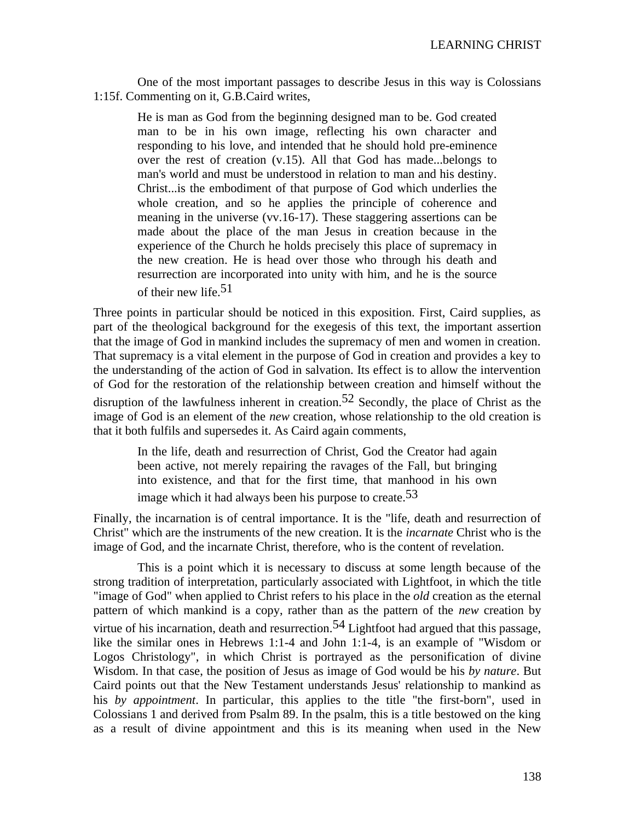One of the most important passages to describe Jesus in this way is Colossians 1:15f. Commenting on it, G.B.Caird writes,

He is man as God from the beginning designed man to be. God created man to be in his own image, reflecting his own character and responding to his love, and intended that he should hold pre-eminence over the rest of creation (v.15). All that God has made...belongs to man's world and must be understood in relation to man and his destiny. Christ...is the embodiment of that purpose of God which underlies the whole creation, and so he applies the principle of coherence and meaning in the universe (vv.16-17). These staggering assertions can be made about the place of the man Jesus in creation because in the experience of the Church he holds precisely this place of supremacy in the new creation. He is head over those who through his death and resurrection are incorporated into unity with him, and he is the source of their new life.<sup>51</sup>

Three points in particular should be noticed in this exposition. First, Caird supplies, as part of the theological background for the exegesis of this text, the important assertion that the image of God in mankind includes the supremacy of men and women in creation. That supremacy is a vital element in the purpose of God in creation and provides a key to the understanding of the action of God in salvation. Its effect is to allow the intervention of God for the restoration of the relationship between creation and himself without the disruption of the lawfulness inherent in creation.<sup>52</sup> Secondly, the place of Christ as the image of God is an element of the *new* creation, whose relationship to the old creation is that it both fulfils and supersedes it. As Caird again comments,

In the life, death and resurrection of Christ, God the Creator had again been active, not merely repairing the ravages of the Fall, but bringing into existence, and that for the first time, that manhood in his own image which it had always been his purpose to create.<sup>53</sup>

Finally, the incarnation is of central importance. It is the "life, death and resurrection of Christ" which are the instruments of the new creation. It is the *incarnate* Christ who is the image of God, and the incarnate Christ, therefore, who is the content of revelation.

This is a point which it is necessary to discuss at some length because of the strong tradition of interpretation, particularly associated with Lightfoot, in which the title "image of God" when applied to Christ refers to his place in the *old* creation as the eternal pattern of which mankind is a copy, rather than as the pattern of the *new* creation by virtue of his incarnation, death and resurrection.<sup>54</sup> Lightfoot had argued that this passage, like the similar ones in Hebrews 1:1-4 and John 1:1-4, is an example of "Wisdom or Logos Christology", in which Christ is portrayed as the personification of divine Wisdom. In that case, the position of Jesus as image of God would be his *by nature*. But Caird points out that the New Testament understands Jesus' relationship to mankind as his *by appointment*. In particular, this applies to the title "the first-born", used in Colossians 1 and derived from Psalm 89. In the psalm, this is a title bestowed on the king as a result of divine appointment and this is its meaning when used in the New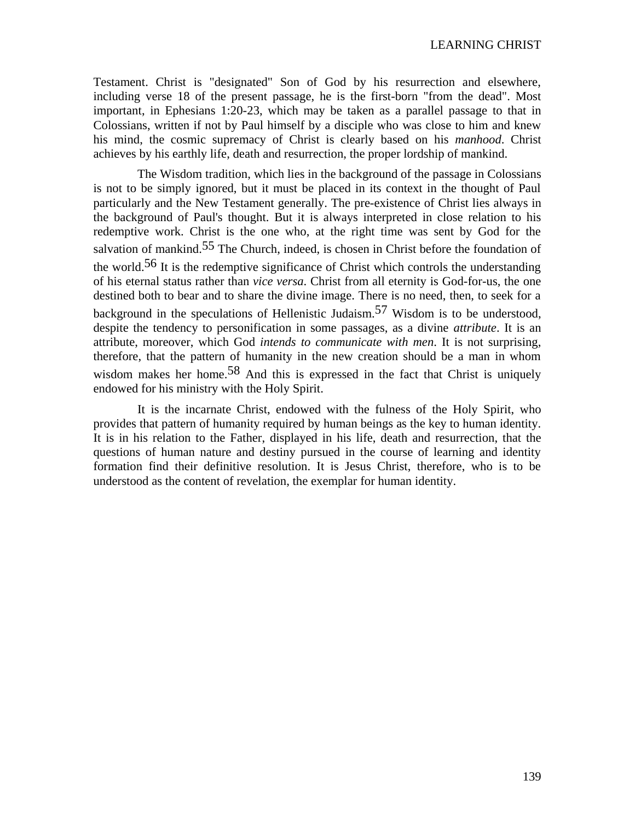Testament. Christ is "designated" Son of God by his resurrection and elsewhere, including verse 18 of the present passage, he is the first-born "from the dead". Most important, in Ephesians 1:20-23, which may be taken as a parallel passage to that in Colossians, written if not by Paul himself by a disciple who was close to him and knew his mind, the cosmic supremacy of Christ is clearly based on his *manhood*. Christ achieves by his earthly life, death and resurrection, the proper lordship of mankind.

The Wisdom tradition, which lies in the background of the passage in Colossians is not to be simply ignored, but it must be placed in its context in the thought of Paul particularly and the New Testament generally. The pre-existence of Christ lies always in the background of Paul's thought. But it is always interpreted in close relation to his redemptive work. Christ is the one who, at the right time was sent by God for the salvation of mankind.<sup>55</sup> The Church, indeed, is chosen in Christ before the foundation of the world.<sup>56</sup> It is the redemptive significance of Christ which controls the understanding of his eternal status rather than *vice versa*. Christ from all eternity is God-for-us, the one destined both to bear and to share the divine image. There is no need, then, to seek for a background in the speculations of Hellenistic Judaism.57 Wisdom is to be understood, despite the tendency to personification in some passages, as a divine *attribute*. It is an attribute, moreover, which God *intends to communicate with men*. It is not surprising, therefore, that the pattern of humanity in the new creation should be a man in whom wisdom makes her home.<sup>58</sup> And this is expressed in the fact that Christ is uniquely endowed for his ministry with the Holy Spirit.

It is the incarnate Christ, endowed with the fulness of the Holy Spirit, who provides that pattern of humanity required by human beings as the key to human identity. It is in his relation to the Father, displayed in his life, death and resurrection, that the questions of human nature and destiny pursued in the course of learning and identity formation find their definitive resolution. It is Jesus Christ, therefore, who is to be understood as the content of revelation, the exemplar for human identity.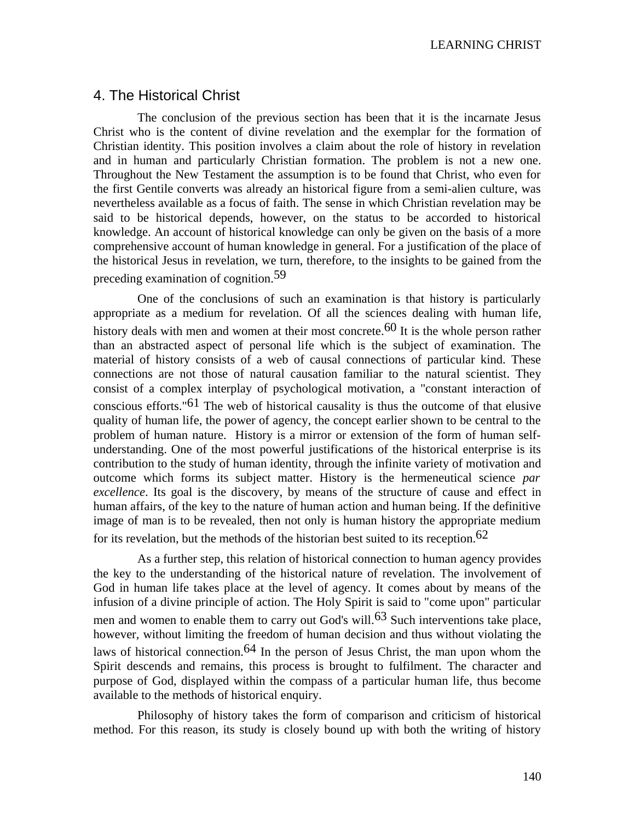### 4. The Historical Christ

The conclusion of the previous section has been that it is the incarnate Jesus Christ who is the content of divine revelation and the exemplar for the formation of Christian identity. This position involves a claim about the role of history in revelation and in human and particularly Christian formation. The problem is not a new one. Throughout the New Testament the assumption is to be found that Christ, who even for the first Gentile converts was already an historical figure from a semi-alien culture, was nevertheless available as a focus of faith. The sense in which Christian revelation may be said to be historical depends, however, on the status to be accorded to historical knowledge. An account of historical knowledge can only be given on the basis of a more comprehensive account of human knowledge in general. For a justification of the place of the historical Jesus in revelation, we turn, therefore, to the insights to be gained from the preceding examination of cognition.59

One of the conclusions of such an examination is that history is particularly appropriate as a medium for revelation. Of all the sciences dealing with human life, history deals with men and women at their most concrete.<sup>60</sup> It is the whole person rather than an abstracted aspect of personal life which is the subject of examination. The material of history consists of a web of causal connections of particular kind. These connections are not those of natural causation familiar to the natural scientist. They consist of a complex interplay of psychological motivation, a "constant interaction of conscious efforts."61 The web of historical causality is thus the outcome of that elusive quality of human life, the power of agency, the concept earlier shown to be central to the problem of human nature. History is a mirror or extension of the form of human selfunderstanding. One of the most powerful justifications of the historical enterprise is its contribution to the study of human identity, through the infinite variety of motivation and outcome which forms its subject matter. History is the hermeneutical science *par excellence*. Its goal is the discovery, by means of the structure of cause and effect in human affairs, of the key to the nature of human action and human being. If the definitive image of man is to be revealed, then not only is human history the appropriate medium for its revelation, but the methods of the historian best suited to its reception.<sup>62</sup>

As a further step, this relation of historical connection to human agency provides the key to the understanding of the historical nature of revelation. The involvement of God in human life takes place at the level of agency. It comes about by means of the infusion of a divine principle of action. The Holy Spirit is said to "come upon" particular men and women to enable them to carry out God's will.<sup>63</sup> Such interventions take place, however, without limiting the freedom of human decision and thus without violating the laws of historical connection.<sup>64</sup> In the person of Jesus Christ, the man upon whom the Spirit descends and remains, this process is brought to fulfilment. The character and purpose of God, displayed within the compass of a particular human life, thus become available to the methods of historical enquiry.

Philosophy of history takes the form of comparison and criticism of historical method. For this reason, its study is closely bound up with both the writing of history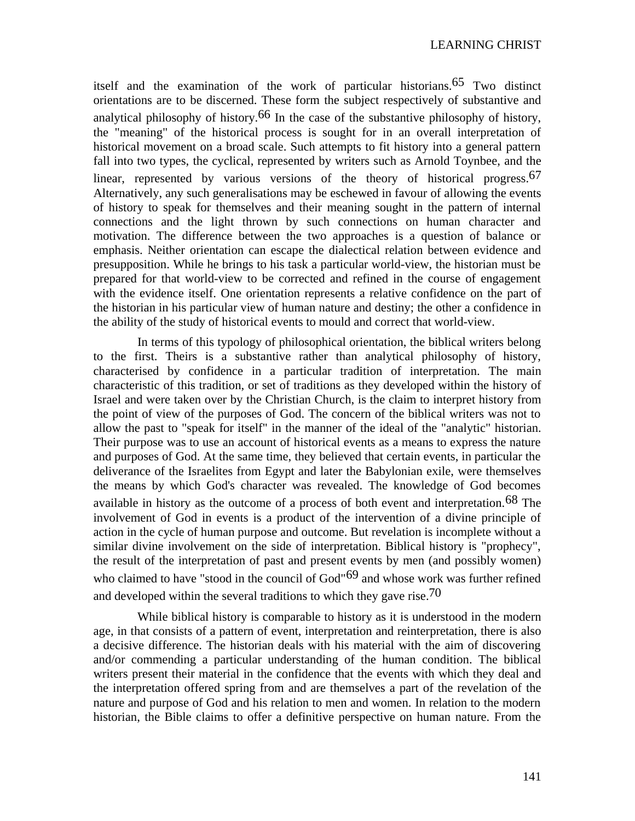itself and the examination of the work of particular historians.65 Two distinct orientations are to be discerned. These form the subject respectively of substantive and analytical philosophy of history.<sup>66</sup> In the case of the substantive philosophy of history, the "meaning" of the historical process is sought for in an overall interpretation of historical movement on a broad scale. Such attempts to fit history into a general pattern fall into two types, the cyclical, represented by writers such as Arnold Toynbee, and the linear, represented by various versions of the theory of historical progress.<sup>67</sup> Alternatively, any such generalisations may be eschewed in favour of allowing the events of history to speak for themselves and their meaning sought in the pattern of internal connections and the light thrown by such connections on human character and motivation. The difference between the two approaches is a question of balance or emphasis. Neither orientation can escape the dialectical relation between evidence and presupposition. While he brings to his task a particular world-view, the historian must be prepared for that world-view to be corrected and refined in the course of engagement with the evidence itself. One orientation represents a relative confidence on the part of the historian in his particular view of human nature and destiny; the other a confidence in the ability of the study of historical events to mould and correct that world-view.

In terms of this typology of philosophical orientation, the biblical writers belong to the first. Theirs is a substantive rather than analytical philosophy of history, characterised by confidence in a particular tradition of interpretation. The main characteristic of this tradition, or set of traditions as they developed within the history of Israel and were taken over by the Christian Church, is the claim to interpret history from the point of view of the purposes of God. The concern of the biblical writers was not to allow the past to "speak for itself" in the manner of the ideal of the "analytic" historian. Their purpose was to use an account of historical events as a means to express the nature and purposes of God. At the same time, they believed that certain events, in particular the deliverance of the Israelites from Egypt and later the Babylonian exile, were themselves the means by which God's character was revealed. The knowledge of God becomes available in history as the outcome of a process of both event and interpretation.68 The involvement of God in events is a product of the intervention of a divine principle of action in the cycle of human purpose and outcome. But revelation is incomplete without a similar divine involvement on the side of interpretation. Biblical history is "prophecy", the result of the interpretation of past and present events by men (and possibly women) who claimed to have "stood in the council of  $God''^{69}$  and whose work was further refined and developed within the several traditions to which they gave rise.70

While biblical history is comparable to history as it is understood in the modern age, in that consists of a pattern of event, interpretation and reinterpretation, there is also a decisive difference. The historian deals with his material with the aim of discovering and/or commending a particular understanding of the human condition. The biblical writers present their material in the confidence that the events with which they deal and the interpretation offered spring from and are themselves a part of the revelation of the nature and purpose of God and his relation to men and women. In relation to the modern historian, the Bible claims to offer a definitive perspective on human nature. From the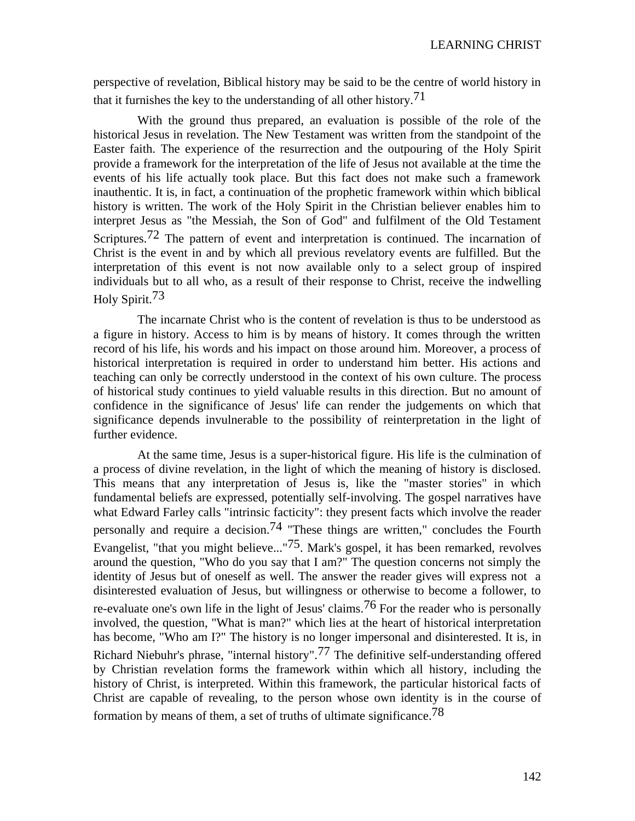perspective of revelation, Biblical history may be said to be the centre of world history in that it furnishes the key to the understanding of all other history.<sup>71</sup>

With the ground thus prepared, an evaluation is possible of the role of the historical Jesus in revelation. The New Testament was written from the standpoint of the Easter faith. The experience of the resurrection and the outpouring of the Holy Spirit provide a framework for the interpretation of the life of Jesus not available at the time the events of his life actually took place. But this fact does not make such a framework inauthentic. It is, in fact, a continuation of the prophetic framework within which biblical history is written. The work of the Holy Spirit in the Christian believer enables him to interpret Jesus as "the Messiah, the Son of God" and fulfilment of the Old Testament Scriptures.<sup>72</sup> The pattern of event and interpretation is continued. The incarnation of Christ is the event in and by which all previous revelatory events are fulfilled. But the interpretation of this event is not now available only to a select group of inspired individuals but to all who, as a result of their response to Christ, receive the indwelling Holy Spirit.73

The incarnate Christ who is the content of revelation is thus to be understood as a figure in history. Access to him is by means of history. It comes through the written record of his life, his words and his impact on those around him. Moreover, a process of historical interpretation is required in order to understand him better. His actions and teaching can only be correctly understood in the context of his own culture. The process of historical study continues to yield valuable results in this direction. But no amount of confidence in the significance of Jesus' life can render the judgements on which that significance depends invulnerable to the possibility of reinterpretation in the light of further evidence.

At the same time, Jesus is a super-historical figure. His life is the culmination of a process of divine revelation, in the light of which the meaning of history is disclosed. This means that any interpretation of Jesus is, like the "master stories" in which fundamental beliefs are expressed, potentially self-involving. The gospel narratives have what Edward Farley calls "intrinsic facticity": they present facts which involve the reader personally and require a decision.74 "These things are written," concludes the Fourth Evangelist, "that you might believe..."<sup>75</sup>. Mark's gospel, it has been remarked, revolves around the question, "Who do you say that I am?" The question concerns not simply the identity of Jesus but of oneself as well. The answer the reader gives will express not a disinterested evaluation of Jesus, but willingness or otherwise to become a follower, to re-evaluate one's own life in the light of Jesus' claims.<sup>76</sup> For the reader who is personally involved, the question, "What is man?" which lies at the heart of historical interpretation has become, "Who am I?" The history is no longer impersonal and disinterested. It is, in Richard Niebuhr's phrase, "internal history".77 The definitive self-understanding offered by Christian revelation forms the framework within which all history, including the history of Christ, is interpreted. Within this framework, the particular historical facts of Christ are capable of revealing, to the person whose own identity is in the course of formation by means of them, a set of truths of ultimate significance.78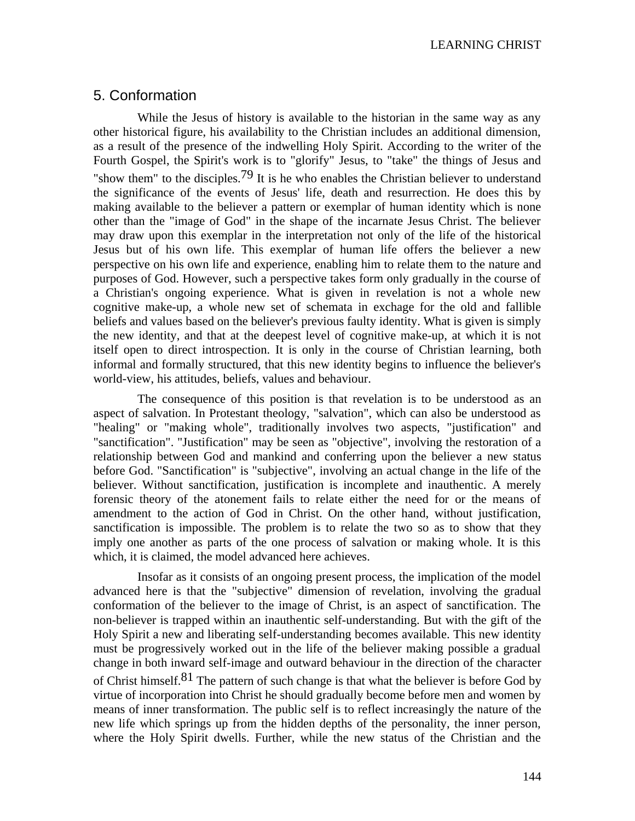## 5. Conformation

While the Jesus of history is available to the historian in the same way as any other historical figure, his availability to the Christian includes an additional dimension, as a result of the presence of the indwelling Holy Spirit. According to the writer of the Fourth Gospel, the Spirit's work is to "glorify" Jesus, to "take" the things of Jesus and "show them" to the disciples.<sup>79</sup> It is he who enables the Christian believer to understand the significance of the events of Jesus' life, death and resurrection. He does this by making available to the believer a pattern or exemplar of human identity which is none other than the "image of God" in the shape of the incarnate Jesus Christ. The believer may draw upon this exemplar in the interpretation not only of the life of the historical Jesus but of his own life. This exemplar of human life offers the believer a new perspective on his own life and experience, enabling him to relate them to the nature and purposes of God. However, such a perspective takes form only gradually in the course of a Christian's ongoing experience. What is given in revelation is not a whole new cognitive make-up, a whole new set of schemata in exchage for the old and fallible beliefs and values based on the believer's previous faulty identity. What is given is simply the new identity, and that at the deepest level of cognitive make-up, at which it is not itself open to direct introspection. It is only in the course of Christian learning, both informal and formally structured, that this new identity begins to influence the believer's world-view, his attitudes, beliefs, values and behaviour.

The consequence of this position is that revelation is to be understood as an aspect of salvation. In Protestant theology, "salvation", which can also be understood as "healing" or "making whole", traditionally involves two aspects, "justification" and "sanctification". "Justification" may be seen as "objective", involving the restoration of a relationship between God and mankind and conferring upon the believer a new status before God. "Sanctification" is "subjective", involving an actual change in the life of the believer. Without sanctification, justification is incomplete and inauthentic. A merely forensic theory of the atonement fails to relate either the need for or the means of amendment to the action of God in Christ. On the other hand, without justification, sanctification is impossible. The problem is to relate the two so as to show that they imply one another as parts of the one process of salvation or making whole. It is this which, it is claimed, the model advanced here achieves.

Insofar as it consists of an ongoing present process, the implication of the model advanced here is that the "subjective" dimension of revelation, involving the gradual conformation of the believer to the image of Christ, is an aspect of sanctification. The non-believer is trapped within an inauthentic self-understanding. But with the gift of the Holy Spirit a new and liberating self-understanding becomes available. This new identity must be progressively worked out in the life of the believer making possible a gradual change in both inward self-image and outward behaviour in the direction of the character of Christ himself.<sup>81</sup> The pattern of such change is that what the believer is before God by virtue of incorporation into Christ he should gradually become before men and women by means of inner transformation. The public self is to reflect increasingly the nature of the new life which springs up from the hidden depths of the personality, the inner person, where the Holy Spirit dwells. Further, while the new status of the Christian and the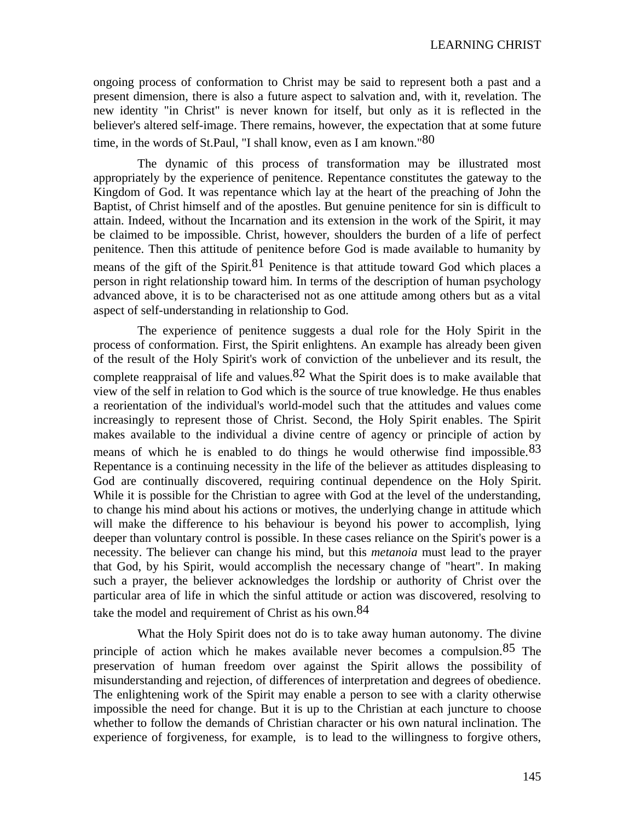ongoing process of conformation to Christ may be said to represent both a past and a present dimension, there is also a future aspect to salvation and, with it, revelation. The new identity "in Christ" is never known for itself, but only as it is reflected in the believer's altered self-image. There remains, however, the expectation that at some future time, in the words of St.Paul, "I shall know, even as I am known."80

The dynamic of this process of transformation may be illustrated most appropriately by the experience of penitence. Repentance constitutes the gateway to the Kingdom of God. It was repentance which lay at the heart of the preaching of John the Baptist, of Christ himself and of the apostles. But genuine penitence for sin is difficult to attain. Indeed, without the Incarnation and its extension in the work of the Spirit, it may be claimed to be impossible. Christ, however, shoulders the burden of a life of perfect penitence. Then this attitude of penitence before God is made available to humanity by means of the gift of the Spirit.<sup>81</sup> Penitence is that attitude toward God which places a person in right relationship toward him. In terms of the description of human psychology advanced above, it is to be characterised not as one attitude among others but as a vital aspect of self-understanding in relationship to God.

The experience of penitence suggests a dual role for the Holy Spirit in the process of conformation. First, the Spirit enlightens. An example has already been given of the result of the Holy Spirit's work of conviction of the unbeliever and its result, the complete reappraisal of life and values.  $82$  What the Spirit does is to make available that view of the self in relation to God which is the source of true knowledge. He thus enables a reorientation of the individual's world-model such that the attitudes and values come increasingly to represent those of Christ. Second, the Holy Spirit enables. The Spirit makes available to the individual a divine centre of agency or principle of action by means of which he is enabled to do things he would otherwise find impossible.83 Repentance is a continuing necessity in the life of the believer as attitudes displeasing to God are continually discovered, requiring continual dependence on the Holy Spirit. While it is possible for the Christian to agree with God at the level of the understanding, to change his mind about his actions or motives, the underlying change in attitude which will make the difference to his behaviour is beyond his power to accomplish, lying deeper than voluntary control is possible. In these cases reliance on the Spirit's power is a necessity. The believer can change his mind, but this *metanoia* must lead to the prayer that God, by his Spirit, would accomplish the necessary change of "heart". In making such a prayer, the believer acknowledges the lordship or authority of Christ over the particular area of life in which the sinful attitude or action was discovered, resolving to take the model and requirement of Christ as his own.84

What the Holy Spirit does not do is to take away human autonomy. The divine principle of action which he makes available never becomes a compulsion.<sup>85</sup> The preservation of human freedom over against the Spirit allows the possibility of misunderstanding and rejection, of differences of interpretation and degrees of obedience. The enlightening work of the Spirit may enable a person to see with a clarity otherwise impossible the need for change. But it is up to the Christian at each juncture to choose whether to follow the demands of Christian character or his own natural inclination. The experience of forgiveness, for example, is to lead to the willingness to forgive others,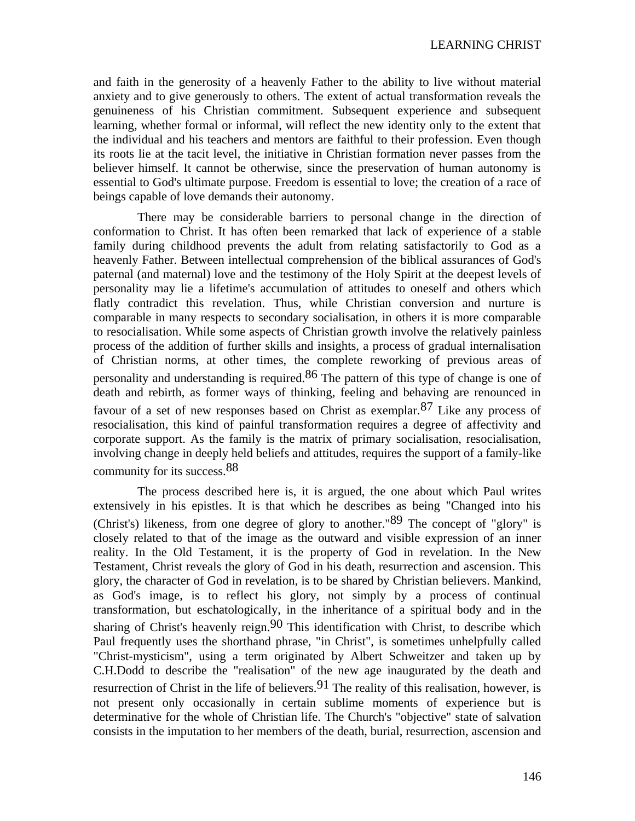and faith in the generosity of a heavenly Father to the ability to live without material anxiety and to give generously to others. The extent of actual transformation reveals the genuineness of his Christian commitment. Subsequent experience and subsequent learning, whether formal or informal, will reflect the new identity only to the extent that the individual and his teachers and mentors are faithful to their profession. Even though its roots lie at the tacit level, the initiative in Christian formation never passes from the believer himself. It cannot be otherwise, since the preservation of human autonomy is essential to God's ultimate purpose. Freedom is essential to love; the creation of a race of beings capable of love demands their autonomy.

There may be considerable barriers to personal change in the direction of conformation to Christ. It has often been remarked that lack of experience of a stable family during childhood prevents the adult from relating satisfactorily to God as a heavenly Father. Between intellectual comprehension of the biblical assurances of God's paternal (and maternal) love and the testimony of the Holy Spirit at the deepest levels of personality may lie a lifetime's accumulation of attitudes to oneself and others which flatly contradict this revelation. Thus, while Christian conversion and nurture is comparable in many respects to secondary socialisation, in others it is more comparable to resocialisation. While some aspects of Christian growth involve the relatively painless process of the addition of further skills and insights, a process of gradual internalisation of Christian norms, at other times, the complete reworking of previous areas of personality and understanding is required.86 The pattern of this type of change is one of death and rebirth, as former ways of thinking, feeling and behaving are renounced in favour of a set of new responses based on Christ as exemplar.87 Like any process of resocialisation, this kind of painful transformation requires a degree of affectivity and corporate support. As the family is the matrix of primary socialisation, resocialisation, involving change in deeply held beliefs and attitudes, requires the support of a family-like community for its success.88

The process described here is, it is argued, the one about which Paul writes extensively in his epistles. It is that which he describes as being "Changed into his (Christ's) likeness, from one degree of glory to another."89 The concept of "glory" is closely related to that of the image as the outward and visible expression of an inner reality. In the Old Testament, it is the property of God in revelation. In the New Testament, Christ reveals the glory of God in his death, resurrection and ascension. This glory, the character of God in revelation, is to be shared by Christian believers. Mankind, as God's image, is to reflect his glory, not simply by a process of continual transformation, but eschatologically, in the inheritance of a spiritual body and in the sharing of Christ's heavenly reign.<sup>90</sup> This identification with Christ, to describe which Paul frequently uses the shorthand phrase, "in Christ", is sometimes unhelpfully called "Christ-mysticism", using a term originated by Albert Schweitzer and taken up by C.H.Dodd to describe the "realisation" of the new age inaugurated by the death and resurrection of Christ in the life of believers. <sup>91</sup> The reality of this realisation, however, is not present only occasionally in certain sublime moments of experience but is determinative for the whole of Christian life. The Church's "objective" state of salvation consists in the imputation to her members of the death, burial, resurrection, ascension and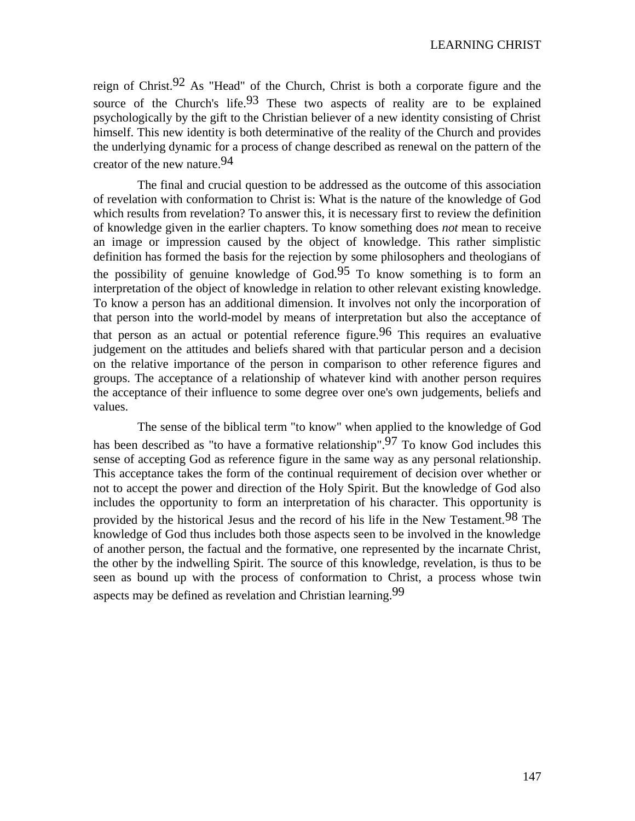LEARNING CHRIST

reign of Christ.<sup>92</sup> As "Head" of the Church, Christ is both a corporate figure and the source of the Church's life.<sup>93</sup> These two aspects of reality are to be explained psychologically by the gift to the Christian believer of a new identity consisting of Christ himself. This new identity is both determinative of the reality of the Church and provides the underlying dynamic for a process of change described as renewal on the pattern of the creator of the new nature.<sup>94</sup>

The final and crucial question to be addressed as the outcome of this association of revelation with conformation to Christ is: What is the nature of the knowledge of God which results from revelation? To answer this, it is necessary first to review the definition of knowledge given in the earlier chapters. To know something does *not* mean to receive an image or impression caused by the object of knowledge. This rather simplistic definition has formed the basis for the rejection by some philosophers and theologians of the possibility of genuine knowledge of  $God.^{95}$  To know something is to form an interpretation of the object of knowledge in relation to other relevant existing knowledge. To know a person has an additional dimension. It involves not only the incorporation of that person into the world-model by means of interpretation but also the acceptance of that person as an actual or potential reference figure.  $96$  This requires an evaluative judgement on the attitudes and beliefs shared with that particular person and a decision on the relative importance of the person in comparison to other reference figures and groups. The acceptance of a relationship of whatever kind with another person requires the acceptance of their influence to some degree over one's own judgements, beliefs and values.

The sense of the biblical term "to know" when applied to the knowledge of God has been described as "to have a formative relationship".<sup>97</sup> To know God includes this sense of accepting God as reference figure in the same way as any personal relationship. This acceptance takes the form of the continual requirement of decision over whether or not to accept the power and direction of the Holy Spirit. But the knowledge of God also includes the opportunity to form an interpretation of his character. This opportunity is provided by the historical Jesus and the record of his life in the New Testament.<sup>98</sup> The knowledge of God thus includes both those aspects seen to be involved in the knowledge of another person, the factual and the formative, one represented by the incarnate Christ, the other by the indwelling Spirit. The source of this knowledge, revelation, is thus to be seen as bound up with the process of conformation to Christ, a process whose twin aspects may be defined as revelation and Christian learning.99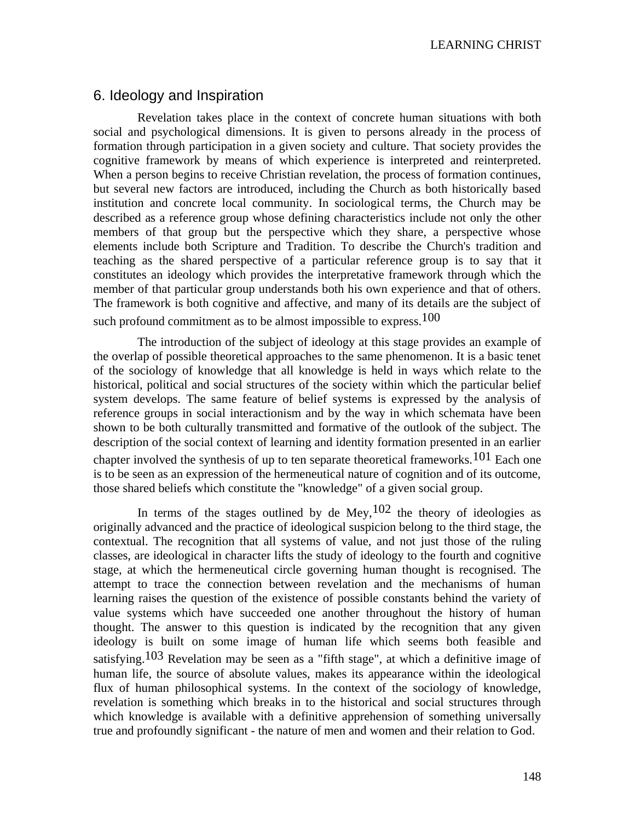# 6. Ideology and Inspiration

Revelation takes place in the context of concrete human situations with both social and psychological dimensions. It is given to persons already in the process of formation through participation in a given society and culture. That society provides the cognitive framework by means of which experience is interpreted and reinterpreted. When a person begins to receive Christian revelation, the process of formation continues, but several new factors are introduced, including the Church as both historically based institution and concrete local community. In sociological terms, the Church may be described as a reference group whose defining characteristics include not only the other members of that group but the perspective which they share, a perspective whose elements include both Scripture and Tradition. To describe the Church's tradition and teaching as the shared perspective of a particular reference group is to say that it constitutes an ideology which provides the interpretative framework through which the member of that particular group understands both his own experience and that of others. The framework is both cognitive and affective, and many of its details are the subject of such profound commitment as to be almost impossible to express.100

The introduction of the subject of ideology at this stage provides an example of the overlap of possible theoretical approaches to the same phenomenon. It is a basic tenet of the sociology of knowledge that all knowledge is held in ways which relate to the historical, political and social structures of the society within which the particular belief system develops. The same feature of belief systems is expressed by the analysis of reference groups in social interactionism and by the way in which schemata have been shown to be both culturally transmitted and formative of the outlook of the subject. The description of the social context of learning and identity formation presented in an earlier chapter involved the synthesis of up to ten separate theoretical frameworks.<sup>101</sup> Each one is to be seen as an expression of the hermeneutical nature of cognition and of its outcome, those shared beliefs which constitute the "knowledge" of a given social group.

In terms of the stages outlined by de Mey,  $102$  the theory of ideologies as originally advanced and the practice of ideological suspicion belong to the third stage, the contextual. The recognition that all systems of value, and not just those of the ruling classes, are ideological in character lifts the study of ideology to the fourth and cognitive stage, at which the hermeneutical circle governing human thought is recognised. The attempt to trace the connection between revelation and the mechanisms of human learning raises the question of the existence of possible constants behind the variety of value systems which have succeeded one another throughout the history of human thought. The answer to this question is indicated by the recognition that any given ideology is built on some image of human life which seems both feasible and satisfying.<sup>103</sup> Revelation may be seen as a "fifth stage", at which a definitive image of human life, the source of absolute values, makes its appearance within the ideological flux of human philosophical systems. In the context of the sociology of knowledge, revelation is something which breaks in to the historical and social structures through which knowledge is available with a definitive apprehension of something universally true and profoundly significant - the nature of men and women and their relation to God.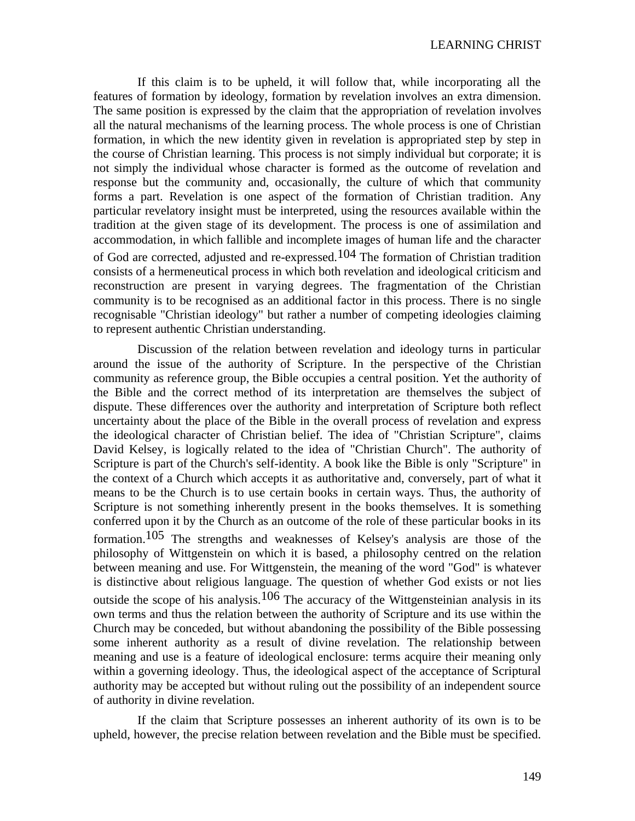If this claim is to be upheld, it will follow that, while incorporating all the features of formation by ideology, formation by revelation involves an extra dimension. The same position is expressed by the claim that the appropriation of revelation involves all the natural mechanisms of the learning process. The whole process is one of Christian formation, in which the new identity given in revelation is appropriated step by step in the course of Christian learning. This process is not simply individual but corporate; it is not simply the individual whose character is formed as the outcome of revelation and response but the community and, occasionally, the culture of which that community forms a part. Revelation is one aspect of the formation of Christian tradition. Any particular revelatory insight must be interpreted, using the resources available within the tradition at the given stage of its development. The process is one of assimilation and accommodation, in which fallible and incomplete images of human life and the character of God are corrected, adjusted and re-expressed.<sup>104</sup> The formation of Christian tradition consists of a hermeneutical process in which both revelation and ideological criticism and reconstruction are present in varying degrees. The fragmentation of the Christian community is to be recognised as an additional factor in this process. There is no single recognisable "Christian ideology" but rather a number of competing ideologies claiming to represent authentic Christian understanding.

Discussion of the relation between revelation and ideology turns in particular around the issue of the authority of Scripture. In the perspective of the Christian community as reference group, the Bible occupies a central position. Yet the authority of the Bible and the correct method of its interpretation are themselves the subject of dispute. These differences over the authority and interpretation of Scripture both reflect uncertainty about the place of the Bible in the overall process of revelation and express the ideological character of Christian belief. The idea of "Christian Scripture", claims David Kelsey, is logically related to the idea of "Christian Church". The authority of Scripture is part of the Church's self-identity. A book like the Bible is only "Scripture" in the context of a Church which accepts it as authoritative and, conversely, part of what it means to be the Church is to use certain books in certain ways. Thus, the authority of Scripture is not something inherently present in the books themselves. It is something conferred upon it by the Church as an outcome of the role of these particular books in its formation.<sup>105</sup> The strengths and weaknesses of Kelsey's analysis are those of the philosophy of Wittgenstein on which it is based, a philosophy centred on the relation between meaning and use. For Wittgenstein, the meaning of the word "God" is whatever is distinctive about religious language. The question of whether God exists or not lies outside the scope of his analysis.106 The accuracy of the Wittgensteinian analysis in its own terms and thus the relation between the authority of Scripture and its use within the Church may be conceded, but without abandoning the possibility of the Bible possessing some inherent authority as a result of divine revelation. The relationship between meaning and use is a feature of ideological enclosure: terms acquire their meaning only within a governing ideology. Thus, the ideological aspect of the acceptance of Scriptural authority may be accepted but without ruling out the possibility of an independent source of authority in divine revelation.

If the claim that Scripture possesses an inherent authority of its own is to be upheld, however, the precise relation between revelation and the Bible must be specified.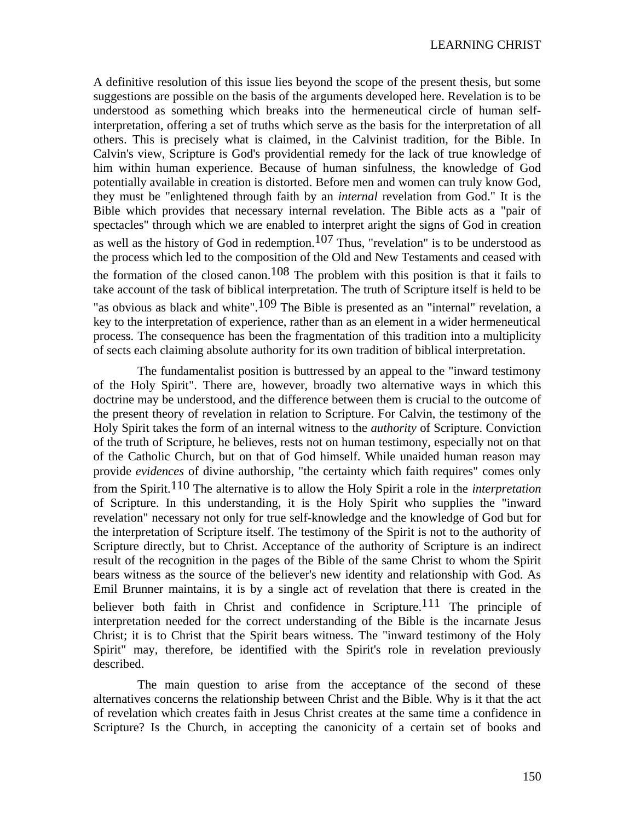A definitive resolution of this issue lies beyond the scope of the present thesis, but some suggestions are possible on the basis of the arguments developed here. Revelation is to be understood as something which breaks into the hermeneutical circle of human selfinterpretation, offering a set of truths which serve as the basis for the interpretation of all others. This is precisely what is claimed, in the Calvinist tradition, for the Bible. In Calvin's view, Scripture is God's providential remedy for the lack of true knowledge of him within human experience. Because of human sinfulness, the knowledge of God potentially available in creation is distorted. Before men and women can truly know God, they must be "enlightened through faith by an *internal* revelation from God." It is the Bible which provides that necessary internal revelation. The Bible acts as a "pair of spectacles" through which we are enabled to interpret aright the signs of God in creation as well as the history of God in redemption.<sup>107</sup> Thus, "revelation" is to be understood as the process which led to the composition of the Old and New Testaments and ceased with the formation of the closed canon.<sup>108</sup> The problem with this position is that it fails to take account of the task of biblical interpretation. The truth of Scripture itself is held to be "as obvious as black and white".<sup>109</sup> The Bible is presented as an "internal" revelation, a key to the interpretation of experience, rather than as an element in a wider hermeneutical process. The consequence has been the fragmentation of this tradition into a multiplicity of sects each claiming absolute authority for its own tradition of biblical interpretation.

The fundamentalist position is buttressed by an appeal to the "inward testimony of the Holy Spirit". There are, however, broadly two alternative ways in which this doctrine may be understood, and the difference between them is crucial to the outcome of the present theory of revelation in relation to Scripture. For Calvin, the testimony of the Holy Spirit takes the form of an internal witness to the *authority* of Scripture. Conviction of the truth of Scripture, he believes, rests not on human testimony, especially not on that of the Catholic Church, but on that of God himself. While unaided human reason may provide *evidences* of divine authorship, "the certainty which faith requires" comes only from the Spirit.110 The alternative is to allow the Holy Spirit a role in the *interpretation* of Scripture. In this understanding, it is the Holy Spirit who supplies the "inward revelation" necessary not only for true self-knowledge and the knowledge of God but for the interpretation of Scripture itself. The testimony of the Spirit is not to the authority of Scripture directly, but to Christ. Acceptance of the authority of Scripture is an indirect result of the recognition in the pages of the Bible of the same Christ to whom the Spirit bears witness as the source of the believer's new identity and relationship with God. As Emil Brunner maintains, it is by a single act of revelation that there is created in the believer both faith in Christ and confidence in Scripture.<sup>111</sup> The principle of interpretation needed for the correct understanding of the Bible is the incarnate Jesus Christ; it is to Christ that the Spirit bears witness. The "inward testimony of the Holy Spirit" may, therefore, be identified with the Spirit's role in revelation previously described.

The main question to arise from the acceptance of the second of these alternatives concerns the relationship between Christ and the Bible. Why is it that the act of revelation which creates faith in Jesus Christ creates at the same time a confidence in Scripture? Is the Church, in accepting the canonicity of a certain set of books and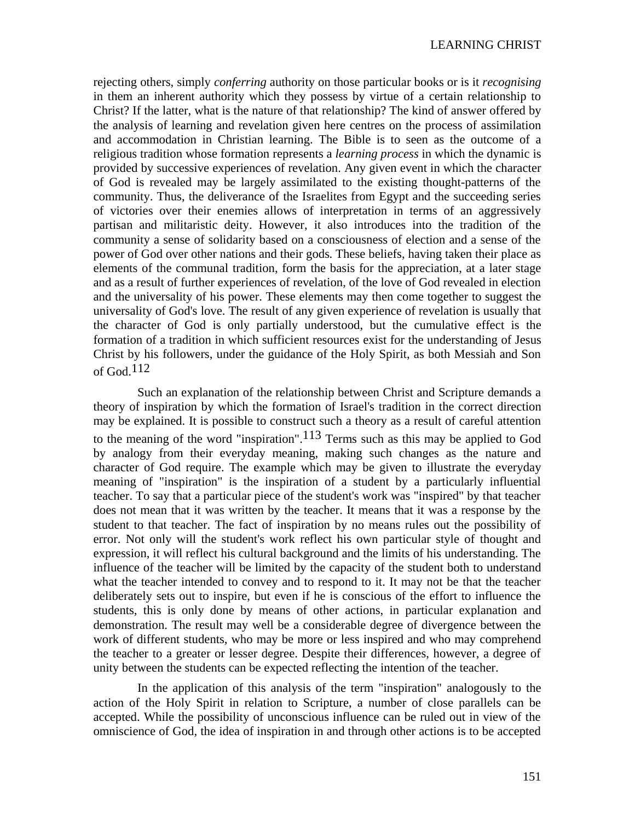rejecting others, simply *conferring* authority on those particular books or is it *recognising* in them an inherent authority which they possess by virtue of a certain relationship to Christ? If the latter, what is the nature of that relationship? The kind of answer offered by the analysis of learning and revelation given here centres on the process of assimilation and accommodation in Christian learning. The Bible is to seen as the outcome of a religious tradition whose formation represents a *learning process* in which the dynamic is provided by successive experiences of revelation. Any given event in which the character of God is revealed may be largely assimilated to the existing thought-patterns of the community. Thus, the deliverance of the Israelites from Egypt and the succeeding series of victories over their enemies allows of interpretation in terms of an aggressively partisan and militaristic deity. However, it also introduces into the tradition of the community a sense of solidarity based on a consciousness of election and a sense of the power of God over other nations and their gods. These beliefs, having taken their place as elements of the communal tradition, form the basis for the appreciation, at a later stage and as a result of further experiences of revelation, of the love of God revealed in election and the universality of his power. These elements may then come together to suggest the universality of God's love. The result of any given experience of revelation is usually that the character of God is only partially understood, but the cumulative effect is the formation of a tradition in which sufficient resources exist for the understanding of Jesus Christ by his followers, under the guidance of the Holy Spirit, as both Messiah and Son of God.112

Such an explanation of the relationship between Christ and Scripture demands a theory of inspiration by which the formation of Israel's tradition in the correct direction may be explained. It is possible to construct such a theory as a result of careful attention to the meaning of the word "inspiration".<sup>113</sup> Terms such as this may be applied to God by analogy from their everyday meaning, making such changes as the nature and character of God require. The example which may be given to illustrate the everyday meaning of "inspiration" is the inspiration of a student by a particularly influential teacher. To say that a particular piece of the student's work was "inspired" by that teacher does not mean that it was written by the teacher. It means that it was a response by the student to that teacher. The fact of inspiration by no means rules out the possibility of error. Not only will the student's work reflect his own particular style of thought and expression, it will reflect his cultural background and the limits of his understanding. The influence of the teacher will be limited by the capacity of the student both to understand what the teacher intended to convey and to respond to it. It may not be that the teacher deliberately sets out to inspire, but even if he is conscious of the effort to influence the students, this is only done by means of other actions, in particular explanation and demonstration. The result may well be a considerable degree of divergence between the work of different students, who may be more or less inspired and who may comprehend the teacher to a greater or lesser degree. Despite their differences, however, a degree of unity between the students can be expected reflecting the intention of the teacher.

In the application of this analysis of the term "inspiration" analogously to the action of the Holy Spirit in relation to Scripture, a number of close parallels can be accepted. While the possibility of unconscious influence can be ruled out in view of the omniscience of God, the idea of inspiration in and through other actions is to be accepted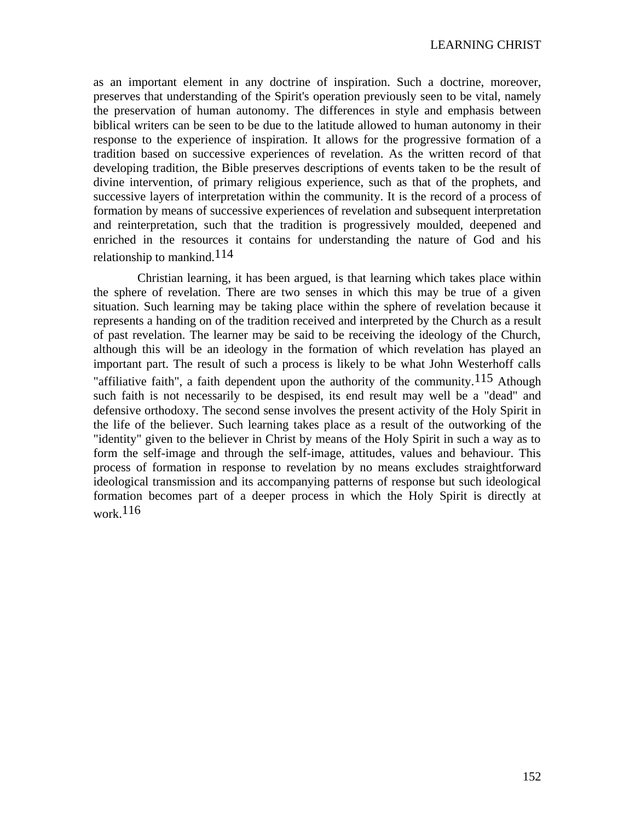as an important element in any doctrine of inspiration. Such a doctrine, moreover, preserves that understanding of the Spirit's operation previously seen to be vital, namely the preservation of human autonomy. The differences in style and emphasis between biblical writers can be seen to be due to the latitude allowed to human autonomy in their response to the experience of inspiration. It allows for the progressive formation of a tradition based on successive experiences of revelation. As the written record of that developing tradition, the Bible preserves descriptions of events taken to be the result of divine intervention, of primary religious experience, such as that of the prophets, and successive layers of interpretation within the community. It is the record of a process of formation by means of successive experiences of revelation and subsequent interpretation and reinterpretation, such that the tradition is progressively moulded, deepened and enriched in the resources it contains for understanding the nature of God and his relationship to mankind.<sup>114</sup>

Christian learning, it has been argued, is that learning which takes place within the sphere of revelation. There are two senses in which this may be true of a given situation. Such learning may be taking place within the sphere of revelation because it represents a handing on of the tradition received and interpreted by the Church as a result of past revelation. The learner may be said to be receiving the ideology of the Church, although this will be an ideology in the formation of which revelation has played an important part. The result of such a process is likely to be what John Westerhoff calls "affiliative faith", a faith dependent upon the authority of the community.<sup>115</sup> Athough such faith is not necessarily to be despised, its end result may well be a "dead" and defensive orthodoxy. The second sense involves the present activity of the Holy Spirit in the life of the believer. Such learning takes place as a result of the outworking of the "identity" given to the believer in Christ by means of the Holy Spirit in such a way as to form the self-image and through the self-image, attitudes, values and behaviour. This process of formation in response to revelation by no means excludes straightforward ideological transmission and its accompanying patterns of response but such ideological formation becomes part of a deeper process in which the Holy Spirit is directly at work. $116$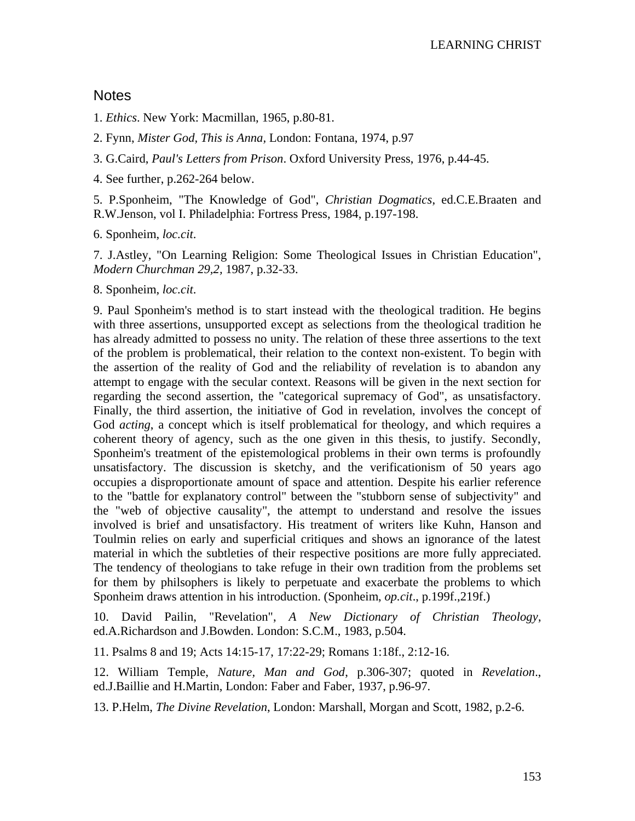#### **Notes**

1. *Ethics*. New York: Macmillan, 1965, p.80-81.

2. Fynn, *Mister God, This is Anna,* London: Fontana, 1974, p.97

3. G.Caird, *Paul's Letters from Prison*. Oxford University Press, 1976, p.44-45.

4. See further, p.262-264 below.

5. P.Sponheim, "The Knowledge of God", *Christian Dogmatics*, ed.C.E.Braaten and R.W.Jenson, vol I. Philadelphia: Fortress Press, 1984, p.197-198.

6. Sponheim, *loc.cit*.

7. J.Astley, "On Learning Religion: Some Theological Issues in Christian Education", *Modern Churchman 29,2,* 1987, p.32-33.

8. Sponheim, *loc.cit*.

9. Paul Sponheim's method is to start instead with the theological tradition. He begins with three assertions, unsupported except as selections from the theological tradition he has already admitted to possess no unity. The relation of these three assertions to the text of the problem is problematical, their relation to the context non-existent. To begin with the assertion of the reality of God and the reliability of revelation is to abandon any attempt to engage with the secular context. Reasons will be given in the next section for regarding the second assertion, the "categorical supremacy of God", as unsatisfactory. Finally, the third assertion, the initiative of God in revelation, involves the concept of God *acting*, a concept which is itself problematical for theology, and which requires a coherent theory of agency, such as the one given in this thesis, to justify. Secondly, Sponheim's treatment of the epistemological problems in their own terms is profoundly unsatisfactory. The discussion is sketchy, and the verificationism of 50 years ago occupies a disproportionate amount of space and attention. Despite his earlier reference to the "battle for explanatory control" between the "stubborn sense of subjectivity" and the "web of objective causality", the attempt to understand and resolve the issues involved is brief and unsatisfactory. His treatment of writers like Kuhn, Hanson and Toulmin relies on early and superficial critiques and shows an ignorance of the latest material in which the subtleties of their respective positions are more fully appreciated. The tendency of theologians to take refuge in their own tradition from the problems set for them by philsophers is likely to perpetuate and exacerbate the problems to which Sponheim draws attention in his introduction. (Sponheim, *op.cit*., p.199f.,219f.)

10. David Pailin, "Revelation", *A New Dictionary of Christian Theology*, ed.A.Richardson and J.Bowden. London: S.C.M., 1983, p.504.

11. Psalms 8 and 19; Acts 14:15-17, 17:22-29; Romans 1:18f., 2:12-16.

12. William Temple, *Nature, Man and God*, p.306-307; quoted in *Revelation*., ed.J.Baillie and H.Martin, London: Faber and Faber, 1937, p.96-97.

13. P.Helm, *The Divine Revelation*, London: Marshall, Morgan and Scott, 1982, p.2-6.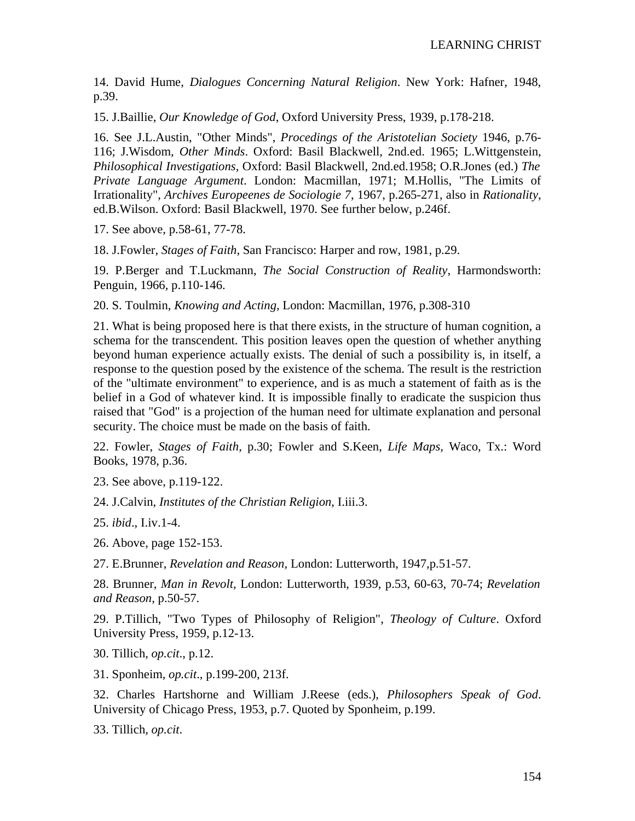14. David Hume, *Dialogues Concerning Natural Religion*. New York: Hafner, 1948, p.39.

15. J.Baillie, *Our Knowledge of God*, Oxford University Press, 1939, p.178-218.

16. See J.L.Austin, "Other Minds", *Procedings of the Aristotelian Society* 1946, p.76- 116; J.Wisdom, *Other Minds*. Oxford: Basil Blackwell, 2nd.ed. 1965; L.Wittgenstein, *Philosophical Investigations*, Oxford: Basil Blackwell, 2nd.ed.1958; O.R.Jones (ed.) *The Private Language Argument*. London: Macmillan, 1971; M.Hollis, "The Limits of Irrationality", *Archives Europeenes de Sociologie 7*, 1967, p.265-271, also in *Rationality*, ed.B.Wilson. Oxford: Basil Blackwell, 1970. See further below, p.246f.

17. See above, p.58-61, 77-78.

18. J.Fowler, *Stages of Faith,* San Francisco: Harper and row, 1981, p.29.

19. P.Berger and T.Luckmann, *The Social Construction of Reality*, Harmondsworth: Penguin, 1966, p.110-146.

20. S. Toulmin, *Knowing and Acting,* London: Macmillan, 1976, p.308-310

21. What is being proposed here is that there exists, in the structure of human cognition, a schema for the transcendent. This position leaves open the question of whether anything beyond human experience actually exists. The denial of such a possibility is, in itself, a response to the question posed by the existence of the schema. The result is the restriction of the "ultimate environment" to experience, and is as much a statement of faith as is the belief in a God of whatever kind. It is impossible finally to eradicate the suspicion thus raised that "God" is a projection of the human need for ultimate explanation and personal security. The choice must be made on the basis of faith.

22. Fowler, *Stages of Faith,* p.30; Fowler and S.Keen, *Life Maps,* Waco, Tx.: Word Books, 1978, p.36.

23. See above, p.119-122.

24. J.Calvin, *Institutes of the Christian Religion*, I.iii.3.

25. *ibid*., I.iv.1-4.

26. Above, page 152-153.

27. E.Brunner, *Revelation and Reason*, London: Lutterworth, 1947,p.51-57.

28. Brunner, *Man in Revolt*, London: Lutterworth, 1939, p.53, 60-63, 70-74; *Revelation and Reason*, p.50-57.

29. P.Tillich, "Two Types of Philosophy of Religion", *Theology of Culture*. Oxford University Press, 1959, p.12-13.

30. Tillich, *op.cit*., p.12.

31. Sponheim, *op.cit*., p.199-200, 213f.

32. Charles Hartshorne and William J.Reese (eds.), *Philosophers Speak of God*. University of Chicago Press, 1953, p.7. Quoted by Sponheim, p.199.

33. Tillich, *op.cit*.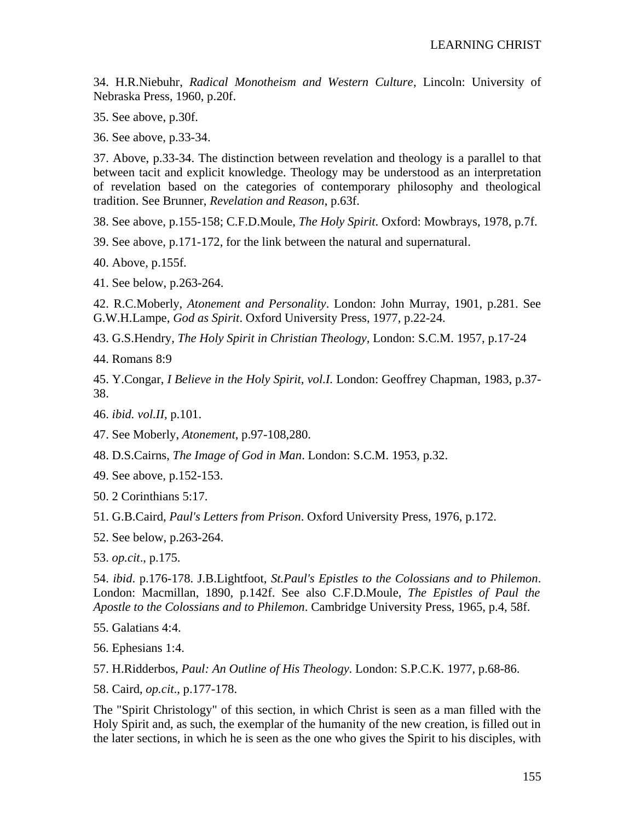34. H.R.Niebuhr, *Radical Monotheism and Western Culture*, Lincoln: University of Nebraska Press, 1960, p.20f.

35. See above, p.30f.

36. See above, p.33-34.

37. Above, p.33-34. The distinction between revelation and theology is a parallel to that between tacit and explicit knowledge. Theology may be understood as an interpretation of revelation based on the categories of contemporary philosophy and theological tradition. See Brunner, *Revelation and Reason*, p.63f.

38. See above, p.155-158; C.F.D.Moule, *The Holy Spirit*. Oxford: Mowbrays, 1978, p.7f.

39. See above, p.171-172, for the link between the natural and supernatural.

40. Above, p.155f.

41. See below, p.263-264.

42. R.C.Moberly, *Atonement and Personality*. London: John Murray, 1901, p.281. See G.W.H.Lampe, *God as Spirit*. Oxford University Press, 1977, p.22-24.

43. G.S.Hendry, *The Holy Spirit in Christian Theology,* London: S.C.M. 1957, p.17-24

44. Romans 8:9

45. Y.Congar, *I Believe in the Holy Spirit, vol.I.* London: Geoffrey Chapman, 1983, p.37- 38.

46. *ibid. vol.II,* p.101.

47. See Moberly, *Atonement*, p.97-108,280.

48. D.S.Cairns, *The Image of God in Man*. London: S.C.M. 1953, p.32.

49. See above, p.152-153.

50. 2 Corinthians 5:17.

51. G.B.Caird, *Paul's Letters from Prison*. Oxford University Press, 1976, p.172.

52. See below, p.263-264.

53. *op.cit*., p.175.

54. *ibid*. p.176-178. J.B.Lightfoot, *St.Paul's Epistles to the Colossians and to Philemon*. London: Macmillan, 1890, p.142f. See also C.F.D.Moule, *The Epistles of Paul the Apostle to the Colossians and to Philemon*. Cambridge University Press, 1965, p.4, 58f.

55. Galatians 4:4.

56. Ephesians 1:4.

57. H.Ridderbos, *Paul: An Outline of His Theology*. London: S.P.C.K. 1977, p.68-86.

58. Caird, *op.cit*., p.177-178.

The "Spirit Christology" of this section, in which Christ is seen as a man filled with the Holy Spirit and, as such, the exemplar of the humanity of the new creation, is filled out in the later sections, in which he is seen as the one who gives the Spirit to his disciples, with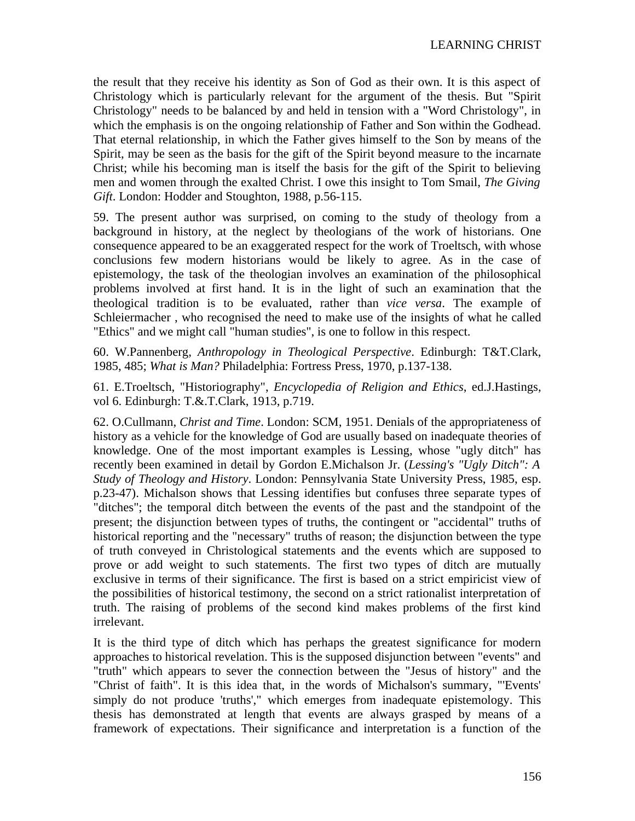the result that they receive his identity as Son of God as their own. It is this aspect of Christology which is particularly relevant for the argument of the thesis. But "Spirit Christology" needs to be balanced by and held in tension with a "Word Christology", in which the emphasis is on the ongoing relationship of Father and Son within the Godhead. That eternal relationship, in which the Father gives himself to the Son by means of the Spirit, may be seen as the basis for the gift of the Spirit beyond measure to the incarnate Christ; while his becoming man is itself the basis for the gift of the Spirit to believing men and women through the exalted Christ. I owe this insight to Tom Smail, *The Giving Gift*. London: Hodder and Stoughton, 1988, p.56-115.

59. The present author was surprised, on coming to the study of theology from a background in history, at the neglect by theologians of the work of historians. One consequence appeared to be an exaggerated respect for the work of Troeltsch, with whose conclusions few modern historians would be likely to agree. As in the case of epistemology, the task of the theologian involves an examination of the philosophical problems involved at first hand. It is in the light of such an examination that the theological tradition is to be evaluated, rather than *vice versa*. The example of Schleiermacher , who recognised the need to make use of the insights of what he called "Ethics" and we might call "human studies", is one to follow in this respect.

60. W.Pannenberg, *Anthropology in Theological Perspective*. Edinburgh: T&T.Clark, 1985, 485; *What is Man?* Philadelphia: Fortress Press, 1970, p.137-138.

61. E.Troeltsch, "Historiography", *Encyclopedia of Religion and Ethics*, ed.J.Hastings, vol 6. Edinburgh: T.&.T.Clark, 1913, p.719.

62. O.Cullmann, *Christ and Time*. London: SCM, 1951. Denials of the appropriateness of history as a vehicle for the knowledge of God are usually based on inadequate theories of knowledge. One of the most important examples is Lessing, whose "ugly ditch" has recently been examined in detail by Gordon E.Michalson Jr. (*Lessing's "Ugly Ditch": A Study of Theology and History*. London: Pennsylvania State University Press, 1985, esp. p.23-47). Michalson shows that Lessing identifies but confuses three separate types of "ditches"; the temporal ditch between the events of the past and the standpoint of the present; the disjunction between types of truths, the contingent or "accidental" truths of historical reporting and the "necessary" truths of reason; the disjunction between the type of truth conveyed in Christological statements and the events which are supposed to prove or add weight to such statements. The first two types of ditch are mutually exclusive in terms of their significance. The first is based on a strict empiricist view of the possibilities of historical testimony, the second on a strict rationalist interpretation of truth. The raising of problems of the second kind makes problems of the first kind irrelevant.

It is the third type of ditch which has perhaps the greatest significance for modern approaches to historical revelation. This is the supposed disjunction between "events" and "truth" which appears to sever the connection between the "Jesus of history" and the "Christ of faith". It is this idea that, in the words of Michalson's summary, "'Events' simply do not produce 'truths'," which emerges from inadequate epistemology. This thesis has demonstrated at length that events are always grasped by means of a framework of expectations. Their significance and interpretation is a function of the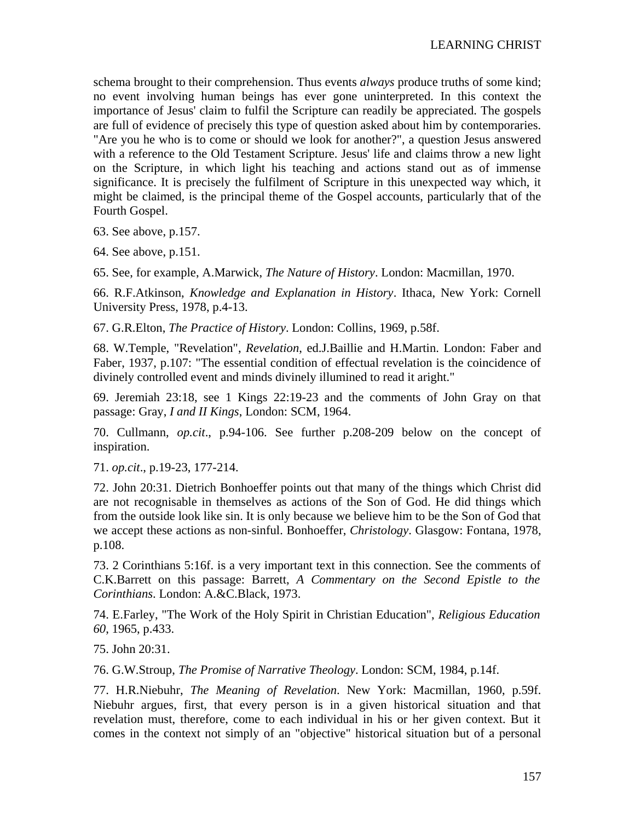schema brought to their comprehension. Thus events *always* produce truths of some kind; no event involving human beings has ever gone uninterpreted. In this context the importance of Jesus' claim to fulfil the Scripture can readily be appreciated. The gospels are full of evidence of precisely this type of question asked about him by contemporaries. "Are you he who is to come or should we look for another?", a question Jesus answered with a reference to the Old Testament Scripture. Jesus' life and claims throw a new light on the Scripture, in which light his teaching and actions stand out as of immense significance. It is precisely the fulfilment of Scripture in this unexpected way which, it might be claimed, is the principal theme of the Gospel accounts, particularly that of the Fourth Gospel.

63. See above, p.157.

64. See above, p.151.

65. See, for example, A.Marwick, *The Nature of History*. London: Macmillan, 1970.

66. R.F.Atkinson, *Knowledge and Explanation in History*. Ithaca, New York: Cornell University Press, 1978, p.4-13.

67. G.R.Elton, *The Practice of History*. London: Collins, 1969, p.58f.

68. W.Temple, "Revelation", *Revelation*, ed.J.Baillie and H.Martin. London: Faber and Faber, 1937, p.107: "The essential condition of effectual revelation is the coincidence of divinely controlled event and minds divinely illumined to read it aright."

69. Jeremiah 23:18, see 1 Kings 22:19-23 and the comments of John Gray on that passage: Gray, *I and II Kings*, London: SCM, 1964.

70. Cullmann, *op.cit*., p.94-106. See further p.208-209 below on the concept of inspiration.

71. *op.cit*., p.19-23, 177-214.

72. John 20:31. Dietrich Bonhoeffer points out that many of the things which Christ did are not recognisable in themselves as actions of the Son of God. He did things which from the outside look like sin. It is only because we believe him to be the Son of God that we accept these actions as non-sinful. Bonhoeffer, *Christology*. Glasgow: Fontana, 1978, p.108.

73. 2 Corinthians 5:16f. is a very important text in this connection. See the comments of C.K.Barrett on this passage: Barrett, *A Commentary on the Second Epistle to the Corinthians*. London: A.&C.Black, 1973.

74. E.Farley, "The Work of the Holy Spirit in Christian Education", *Religious Education 60*, 1965, p.433.

75. John 20:31.

76. G.W.Stroup, *The Promise of Narrative Theology*. London: SCM, 1984, p.14f.

77. H.R.Niebuhr, *The Meaning of Revelation*. New York: Macmillan, 1960, p.59f. Niebuhr argues, first, that every person is in a given historical situation and that revelation must, therefore, come to each individual in his or her given context. But it comes in the context not simply of an "objective" historical situation but of a personal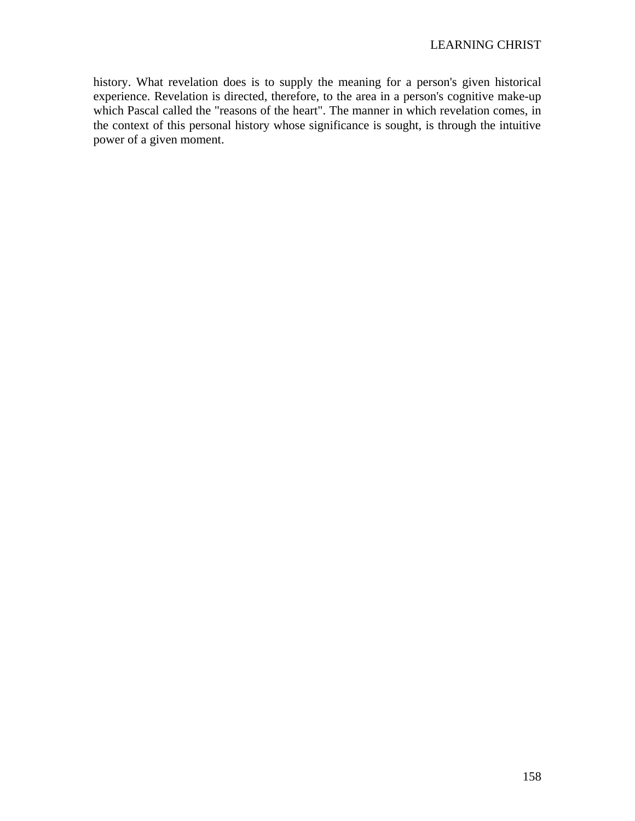history. What revelation does is to supply the meaning for a person's given historical experience. Revelation is directed, therefore, to the area in a person's cognitive make-up which Pascal called the "reasons of the heart". The manner in which revelation comes, in the context of this personal history whose significance is sought, is through the intuitive power of a given moment.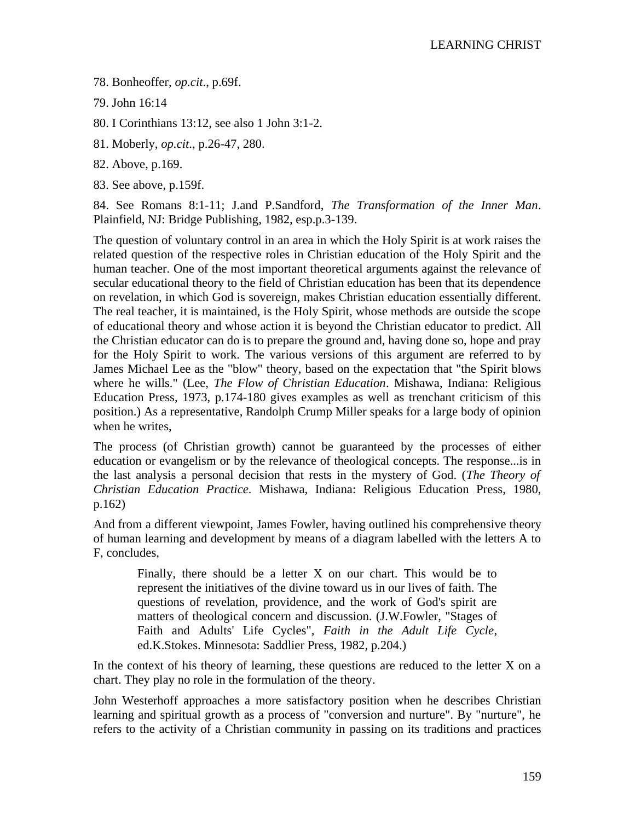- 78. Bonheoffer, *op.cit*., p.69f.
- 79. John 16:14
- 80. I Corinthians 13:12, see also 1 John 3:1-2.
- 81. Moberly, *op.cit*., p.26-47, 280.
- 82. Above, p.169.
- 83. See above, p.159f.

84. See Romans 8:1-11; J.and P.Sandford, *The Transformation of the Inner Man*. Plainfield, NJ: Bridge Publishing, 1982, esp.p.3-139.

The question of voluntary control in an area in which the Holy Spirit is at work raises the related question of the respective roles in Christian education of the Holy Spirit and the human teacher. One of the most important theoretical arguments against the relevance of secular educational theory to the field of Christian education has been that its dependence on revelation, in which God is sovereign, makes Christian education essentially different. The real teacher, it is maintained, is the Holy Spirit, whose methods are outside the scope of educational theory and whose action it is beyond the Christian educator to predict. All the Christian educator can do is to prepare the ground and, having done so, hope and pray for the Holy Spirit to work. The various versions of this argument are referred to by James Michael Lee as the "blow" theory, based on the expectation that "the Spirit blows where he wills." (Lee, *The Flow of Christian Education*. Mishawa, Indiana: Religious Education Press, 1973, p.174-180 gives examples as well as trenchant criticism of this position.) As a representative, Randolph Crump Miller speaks for a large body of opinion when he writes,

The process (of Christian growth) cannot be guaranteed by the processes of either education or evangelism or by the relevance of theological concepts. The response...is in the last analysis a personal decision that rests in the mystery of God. (*The Theory of Christian Education Practice*. Mishawa, Indiana: Religious Education Press, 1980, p.162)

And from a different viewpoint, James Fowler, having outlined his comprehensive theory of human learning and development by means of a diagram labelled with the letters A to F, concludes,

Finally, there should be a letter X on our chart. This would be to represent the initiatives of the divine toward us in our lives of faith. The questions of revelation, providence, and the work of God's spirit are matters of theological concern and discussion. (J.W.Fowler, "Stages of Faith and Adults' Life Cycles", *Faith in the Adult Life Cycle*, ed.K.Stokes. Minnesota: Saddlier Press, 1982, p.204.)

In the context of his theory of learning, these questions are reduced to the letter X on a chart. They play no role in the formulation of the theory.

John Westerhoff approaches a more satisfactory position when he describes Christian learning and spiritual growth as a process of "conversion and nurture". By "nurture", he refers to the activity of a Christian community in passing on its traditions and practices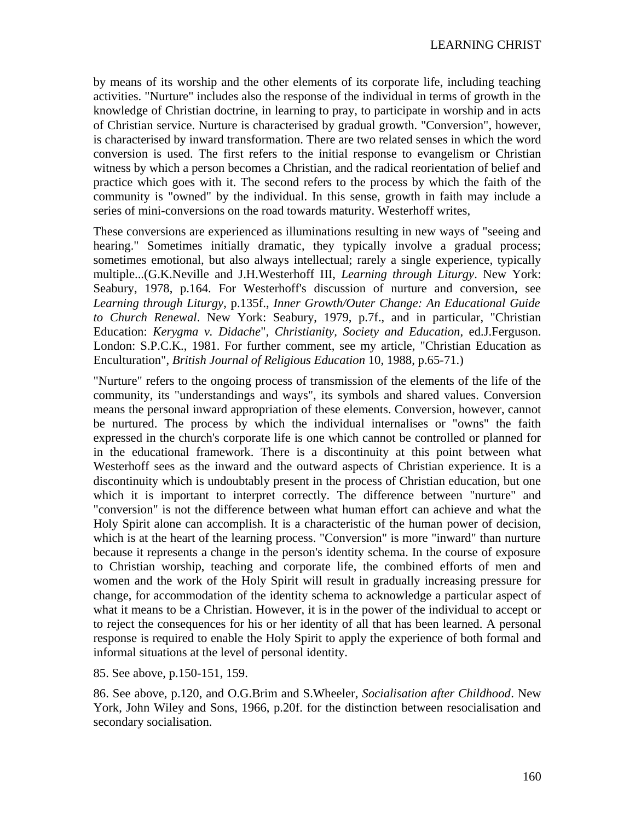by means of its worship and the other elements of its corporate life, including teaching activities. "Nurture" includes also the response of the individual in terms of growth in the knowledge of Christian doctrine, in learning to pray, to participate in worship and in acts of Christian service. Nurture is characterised by gradual growth. "Conversion", however, is characterised by inward transformation. There are two related senses in which the word conversion is used. The first refers to the initial response to evangelism or Christian witness by which a person becomes a Christian, and the radical reorientation of belief and practice which goes with it. The second refers to the process by which the faith of the community is "owned" by the individual. In this sense, growth in faith may include a series of mini-conversions on the road towards maturity. Westerhoff writes,

These conversions are experienced as illuminations resulting in new ways of "seeing and hearing." Sometimes initially dramatic, they typically involve a gradual process; sometimes emotional, but also always intellectual; rarely a single experience, typically multiple...(G.K.Neville and J.H.Westerhoff III, *Learning through Liturgy*. New York: Seabury, 1978, p.164. For Westerhoff's discussion of nurture and conversion, see *Learning through Liturgy*, p.135f., *Inner Growth/Outer Change: An Educational Guide to Church Renewal*. New York: Seabury, 1979, p.7f., and in particular, "Christian Education: *Kerygma v. Didache*", *Christianity, Society and Education*, ed.J.Ferguson. London: S.P.C.K., 1981. For further comment, see my article, "Christian Education as Enculturation", *British Journal of Religious Education* 10, 1988, p.65-71.)

"Nurture" refers to the ongoing process of transmission of the elements of the life of the community, its "understandings and ways", its symbols and shared values. Conversion means the personal inward appropriation of these elements. Conversion, however, cannot be nurtured. The process by which the individual internalises or "owns" the faith expressed in the church's corporate life is one which cannot be controlled or planned for in the educational framework. There is a discontinuity at this point between what Westerhoff sees as the inward and the outward aspects of Christian experience. It is a discontinuity which is undoubtably present in the process of Christian education, but one which it is important to interpret correctly. The difference between "nurture" and "conversion" is not the difference between what human effort can achieve and what the Holy Spirit alone can accomplish. It is a characteristic of the human power of decision, which is at the heart of the learning process. "Conversion" is more "inward" than nurture because it represents a change in the person's identity schema. In the course of exposure to Christian worship, teaching and corporate life, the combined efforts of men and women and the work of the Holy Spirit will result in gradually increasing pressure for change, for accommodation of the identity schema to acknowledge a particular aspect of what it means to be a Christian. However, it is in the power of the individual to accept or to reject the consequences for his or her identity of all that has been learned. A personal response is required to enable the Holy Spirit to apply the experience of both formal and informal situations at the level of personal identity.

85. See above, p.150-151, 159.

86. See above, p.120, and O.G.Brim and S.Wheeler, *Socialisation after Childhood*. New York, John Wiley and Sons, 1966, p.20f. for the distinction between resocialisation and secondary socialisation.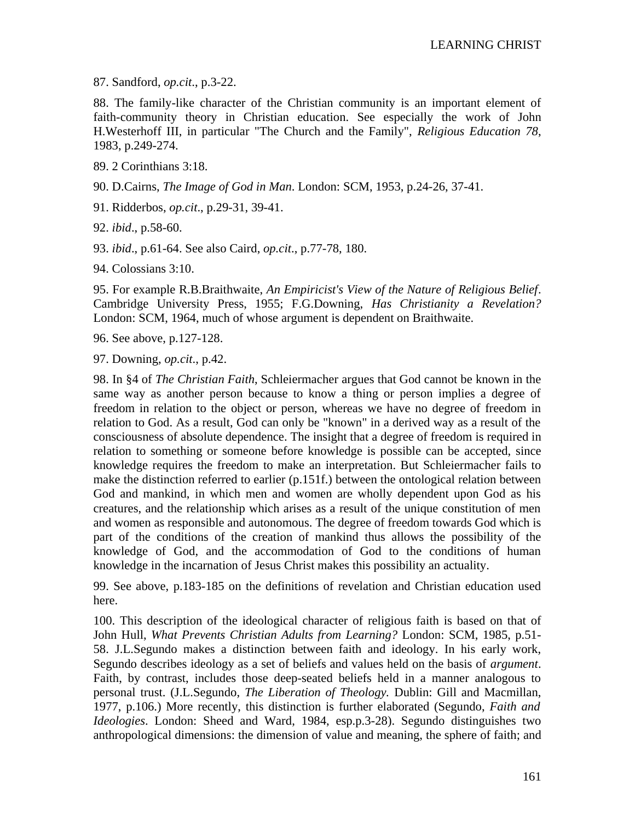87. Sandford, *op.cit*., p.3-22.

88. The family-like character of the Christian community is an important element of faith-community theory in Christian education. See especially the work of John H.Westerhoff III, in particular "The Church and the Family", *Religious Education 78*, 1983, p.249-274.

89. 2 Corinthians 3:18.

90. D.Cairns, *The Image of God in Man*. London: SCM, 1953, p.24-26, 37-41.

91. Ridderbos, *op.cit*., p.29-31, 39-41.

92. *ibid*., p.58-60.

93. *ibid*., p.61-64. See also Caird, *op.cit*., p.77-78, 180.

94. Colossians 3:10.

95. For example R.B.Braithwaite, *An Empiricist's View of the Nature of Religious Belief*. Cambridge University Press, 1955; F.G.Downing, *Has Christianity a Revelation?* London: SCM, 1964, much of whose argument is dependent on Braithwaite.

96. See above, p.127-128.

97. Downing, *op.cit*., p.42.

98. In §4 of *The Christian Faith*, Schleiermacher argues that God cannot be known in the same way as another person because to know a thing or person implies a degree of freedom in relation to the object or person, whereas we have no degree of freedom in relation to God. As a result, God can only be "known" in a derived way as a result of the consciousness of absolute dependence. The insight that a degree of freedom is required in relation to something or someone before knowledge is possible can be accepted, since knowledge requires the freedom to make an interpretation. But Schleiermacher fails to make the distinction referred to earlier (p.151f.) between the ontological relation between God and mankind, in which men and women are wholly dependent upon God as his creatures, and the relationship which arises as a result of the unique constitution of men and women as responsible and autonomous. The degree of freedom towards God which is part of the conditions of the creation of mankind thus allows the possibility of the knowledge of God, and the accommodation of God to the conditions of human knowledge in the incarnation of Jesus Christ makes this possibility an actuality.

99. See above, p.183-185 on the definitions of revelation and Christian education used here.

100. This description of the ideological character of religious faith is based on that of John Hull, *What Prevents Christian Adults from Learning?* London: SCM, 1985, p.51- 58. J.L.Segundo makes a distinction between faith and ideology. In his early work, Segundo describes ideology as a set of beliefs and values held on the basis of *argument*. Faith, by contrast, includes those deep-seated beliefs held in a manner analogous to personal trust. (J.L.Segundo, *The Liberation of Theology.* Dublin: Gill and Macmillan, 1977, p.106.) More recently, this distinction is further elaborated (Segundo, *Faith and Ideologies*. London: Sheed and Ward, 1984, esp.p.3-28). Segundo distinguishes two anthropological dimensions: the dimension of value and meaning, the sphere of faith; and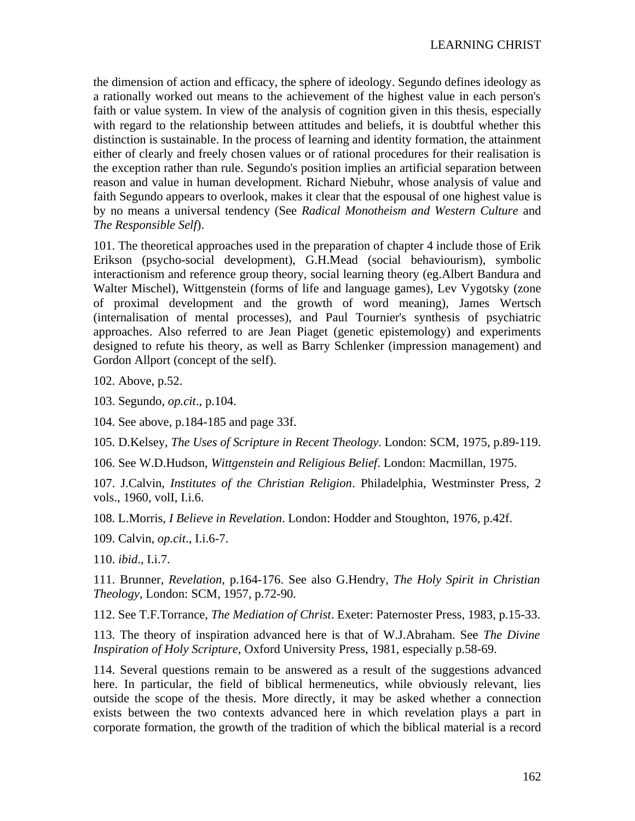the dimension of action and efficacy, the sphere of ideology. Segundo defines ideology as a rationally worked out means to the achievement of the highest value in each person's faith or value system. In view of the analysis of cognition given in this thesis, especially with regard to the relationship between attitudes and beliefs, it is doubtful whether this distinction is sustainable. In the process of learning and identity formation, the attainment either of clearly and freely chosen values or of rational procedures for their realisation is the exception rather than rule. Segundo's position implies an artificial separation between reason and value in human development. Richard Niebuhr, whose analysis of value and faith Segundo appears to overlook, makes it clear that the espousal of one highest value is by no means a universal tendency (See *Radical Monotheism and Western Culture* and *The Responsible Self*).

101. The theoretical approaches used in the preparation of chapter 4 include those of Erik Erikson (psycho-social development), G.H.Mead (social behaviourism), symbolic interactionism and reference group theory, social learning theory (eg.Albert Bandura and Walter Mischel), Wittgenstein (forms of life and language games), Lev Vygotsky (zone of proximal development and the growth of word meaning), James Wertsch (internalisation of mental processes), and Paul Tournier's synthesis of psychiatric approaches. Also referred to are Jean Piaget (genetic epistemology) and experiments designed to refute his theory, as well as Barry Schlenker (impression management) and Gordon Allport (concept of the self).

102. Above, p.52.

103. Segundo, *op.cit*., p.104.

104. See above, p.184-185 and page 33f.

105. D.Kelsey, *The Uses of Scripture in Recent Theology*. London: SCM, 1975, p.89-119.

106. See W.D.Hudson, *Wittgenstein and Religious Belief*. London: Macmillan, 1975.

107. J.Calvin, *Institutes of the Christian Religion*. Philadelphia, Westminster Press, 2 vols., 1960, volI, I.i.6.

108. L.Morris, *I Believe in Revelation*. London: Hodder and Stoughton, 1976, p.42f.

109. Calvin, *op.cit*., I.i.6-7.

110. *ibid*., I.i.7.

111. Brunner, *Revelation*, p.164-176. See also G.Hendry, *The Holy Spirit in Christian Theology*, London: SCM, 1957, p.72-90.

112. See T.F.Torrance, *The Mediation of Christ*. Exeter: Paternoster Press, 1983, p.15-33.

113. The theory of inspiration advanced here is that of W.J.Abraham. See *The Divine Inspiration of Holy Scripture*, Oxford University Press, 1981, especially p.58-69.

114. Several questions remain to be answered as a result of the suggestions advanced here. In particular, the field of biblical hermeneutics, while obviously relevant, lies outside the scope of the thesis. More directly, it may be asked whether a connection exists between the two contexts advanced here in which revelation plays a part in corporate formation, the growth of the tradition of which the biblical material is a record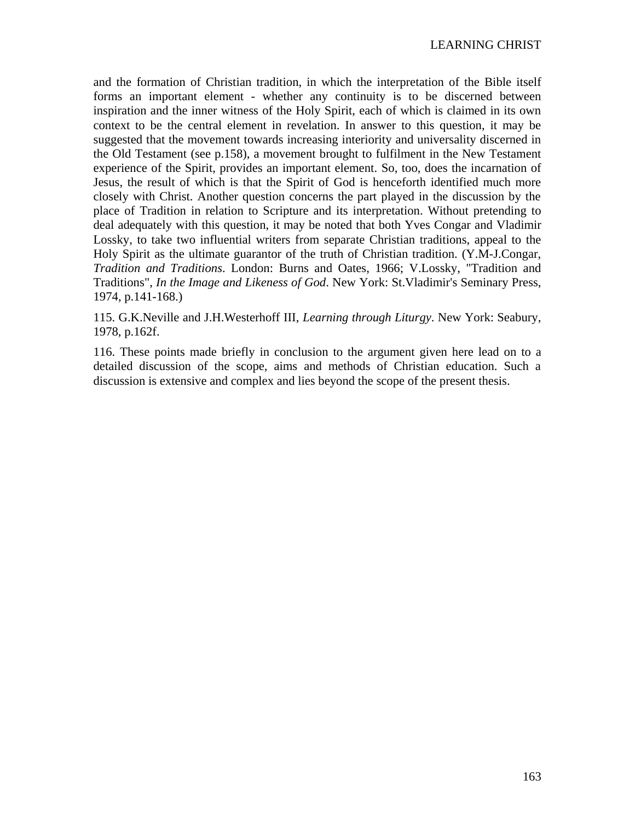and the formation of Christian tradition, in which the interpretation of the Bible itself forms an important element - whether any continuity is to be discerned between inspiration and the inner witness of the Holy Spirit, each of which is claimed in its own context to be the central element in revelation. In answer to this question, it may be suggested that the movement towards increasing interiority and universality discerned in the Old Testament (see p.158), a movement brought to fulfilment in the New Testament experience of the Spirit, provides an important element. So, too, does the incarnation of Jesus, the result of which is that the Spirit of God is henceforth identified much more closely with Christ. Another question concerns the part played in the discussion by the place of Tradition in relation to Scripture and its interpretation. Without pretending to deal adequately with this question, it may be noted that both Yves Congar and Vladimir Lossky, to take two influential writers from separate Christian traditions, appeal to the Holy Spirit as the ultimate guarantor of the truth of Christian tradition. (Y.M-J.Congar, *Tradition and Traditions*. London: Burns and Oates, 1966; V.Lossky, "Tradition and Traditions", *In the Image and Likeness of God*. New York: St.Vladimir's Seminary Press, 1974, p.141-168.)

115. G.K.Neville and J.H.Westerhoff III, *Learning through Liturgy*. New York: Seabury, 1978, p.162f.

116. These points made briefly in conclusion to the argument given here lead on to a detailed discussion of the scope, aims and methods of Christian education. Such a discussion is extensive and complex and lies beyond the scope of the present thesis.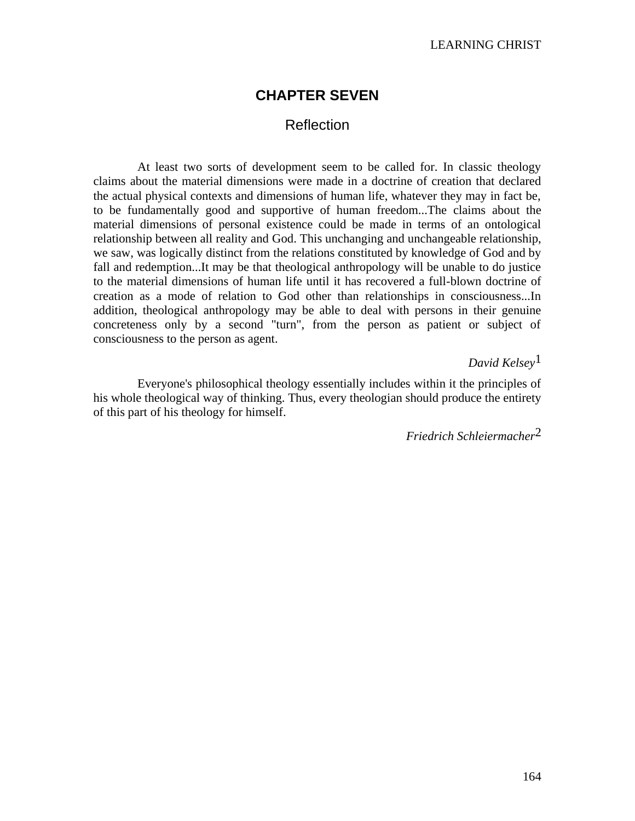# **CHAPTER SEVEN**

# Reflection

At least two sorts of development seem to be called for. In classic theology claims about the material dimensions were made in a doctrine of creation that declared the actual physical contexts and dimensions of human life, whatever they may in fact be, to be fundamentally good and supportive of human freedom...The claims about the material dimensions of personal existence could be made in terms of an ontological relationship between all reality and God. This unchanging and unchangeable relationship, we saw, was logically distinct from the relations constituted by knowledge of God and by fall and redemption...It may be that theological anthropology will be unable to do justice to the material dimensions of human life until it has recovered a full-blown doctrine of creation as a mode of relation to God other than relationships in consciousness...In addition, theological anthropology may be able to deal with persons in their genuine concreteness only by a second "turn", from the person as patient or subject of consciousness to the person as agent.

*David Kelsey*1

Everyone's philosophical theology essentially includes within it the principles of his whole theological way of thinking. Thus, every theologian should produce the entirety of this part of his theology for himself.

*Friedrich Schleiermacher*2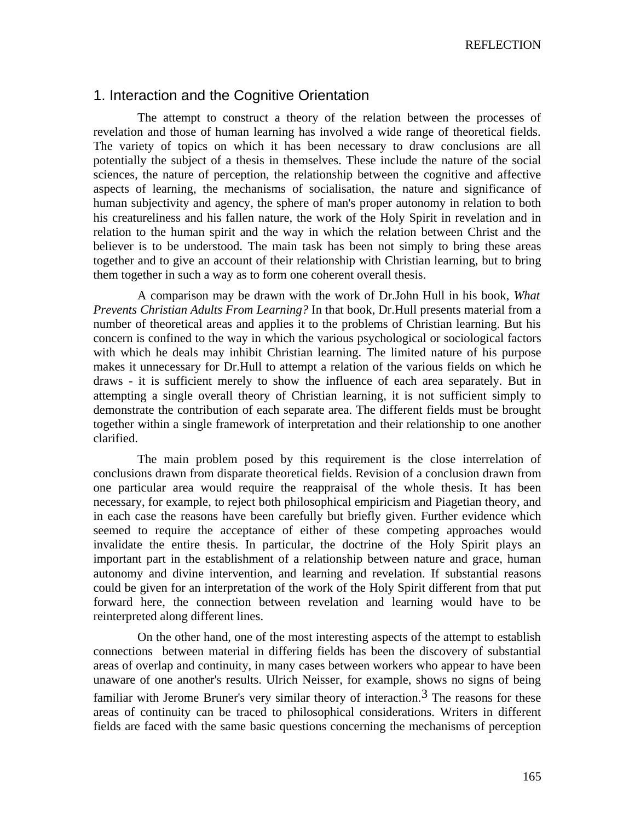## 1. Interaction and the Cognitive Orientation

The attempt to construct a theory of the relation between the processes of revelation and those of human learning has involved a wide range of theoretical fields. The variety of topics on which it has been necessary to draw conclusions are all potentially the subject of a thesis in themselves. These include the nature of the social sciences, the nature of perception, the relationship between the cognitive and affective aspects of learning, the mechanisms of socialisation, the nature and significance of human subjectivity and agency, the sphere of man's proper autonomy in relation to both his creatureliness and his fallen nature, the work of the Holy Spirit in revelation and in relation to the human spirit and the way in which the relation between Christ and the believer is to be understood. The main task has been not simply to bring these areas together and to give an account of their relationship with Christian learning, but to bring them together in such a way as to form one coherent overall thesis.

A comparison may be drawn with the work of Dr.John Hull in his book, *What Prevents Christian Adults From Learning?* In that book, Dr.Hull presents material from a number of theoretical areas and applies it to the problems of Christian learning. But his concern is confined to the way in which the various psychological or sociological factors with which he deals may inhibit Christian learning. The limited nature of his purpose makes it unnecessary for Dr.Hull to attempt a relation of the various fields on which he draws - it is sufficient merely to show the influence of each area separately. But in attempting a single overall theory of Christian learning, it is not sufficient simply to demonstrate the contribution of each separate area. The different fields must be brought together within a single framework of interpretation and their relationship to one another clarified.

The main problem posed by this requirement is the close interrelation of conclusions drawn from disparate theoretical fields. Revision of a conclusion drawn from one particular area would require the reappraisal of the whole thesis. It has been necessary, for example, to reject both philosophical empiricism and Piagetian theory, and in each case the reasons have been carefully but briefly given. Further evidence which seemed to require the acceptance of either of these competing approaches would invalidate the entire thesis. In particular, the doctrine of the Holy Spirit plays an important part in the establishment of a relationship between nature and grace, human autonomy and divine intervention, and learning and revelation. If substantial reasons could be given for an interpretation of the work of the Holy Spirit different from that put forward here, the connection between revelation and learning would have to be reinterpreted along different lines.

On the other hand, one of the most interesting aspects of the attempt to establish connections between material in differing fields has been the discovery of substantial areas of overlap and continuity, in many cases between workers who appear to have been unaware of one another's results. Ulrich Neisser, for example, shows no signs of being familiar with Jerome Bruner's very similar theory of interaction.<sup>3</sup> The reasons for these areas of continuity can be traced to philosophical considerations. Writers in different fields are faced with the same basic questions concerning the mechanisms of perception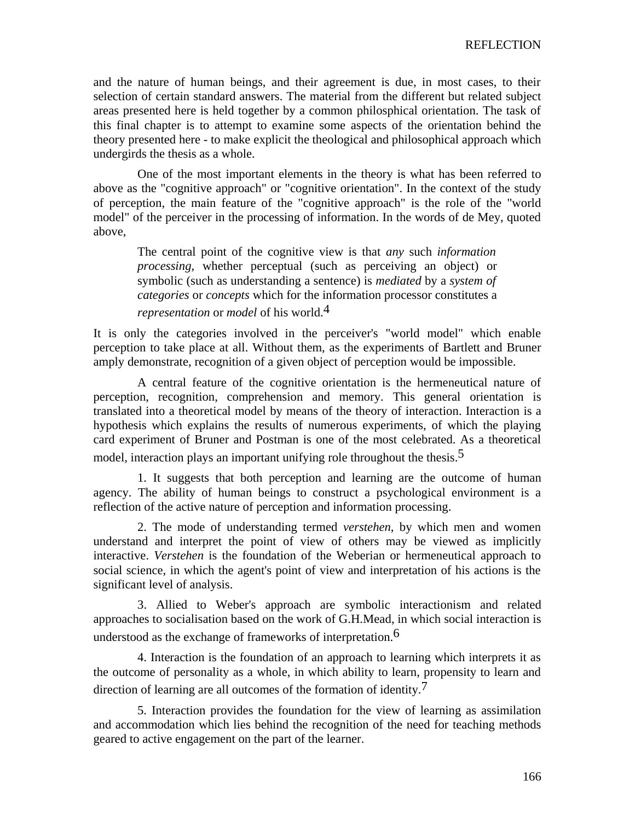and the nature of human beings, and their agreement is due, in most cases, to their selection of certain standard answers. The material from the different but related subject areas presented here is held together by a common philosphical orientation. The task of this final chapter is to attempt to examine some aspects of the orientation behind the theory presented here - to make explicit the theological and philosophical approach which undergirds the thesis as a whole.

One of the most important elements in the theory is what has been referred to above as the "cognitive approach" or "cognitive orientation". In the context of the study of perception, the main feature of the "cognitive approach" is the role of the "world model" of the perceiver in the processing of information. In the words of de Mey, quoted above,

The central point of the cognitive view is that *any* such *information processing*, whether perceptual (such as perceiving an object) or symbolic (such as understanding a sentence) is *mediated* by a *system of categories* or *concepts* which for the information processor constitutes a *representation* or *model* of his world.4

It is only the categories involved in the perceiver's "world model" which enable perception to take place at all. Without them, as the experiments of Bartlett and Bruner amply demonstrate, recognition of a given object of perception would be impossible.

A central feature of the cognitive orientation is the hermeneutical nature of perception, recognition, comprehension and memory. This general orientation is translated into a theoretical model by means of the theory of interaction. Interaction is a hypothesis which explains the results of numerous experiments, of which the playing card experiment of Bruner and Postman is one of the most celebrated. As a theoretical model, interaction plays an important unifying role throughout the thesis.<sup>5</sup>

1. It suggests that both perception and learning are the outcome of human agency. The ability of human beings to construct a psychological environment is a reflection of the active nature of perception and information processing.

2. The mode of understanding termed *verstehen*, by which men and women understand and interpret the point of view of others may be viewed as implicitly interactive. *Verstehen* is the foundation of the Weberian or hermeneutical approach to social science, in which the agent's point of view and interpretation of his actions is the significant level of analysis.

3. Allied to Weber's approach are symbolic interactionism and related approaches to socialisation based on the work of G.H.Mead, in which social interaction is understood as the exchange of frameworks of interpretation.<sup>6</sup>

4. Interaction is the foundation of an approach to learning which interprets it as the outcome of personality as a whole, in which ability to learn, propensity to learn and direction of learning are all outcomes of the formation of identity.7

5. Interaction provides the foundation for the view of learning as assimilation and accommodation which lies behind the recognition of the need for teaching methods geared to active engagement on the part of the learner.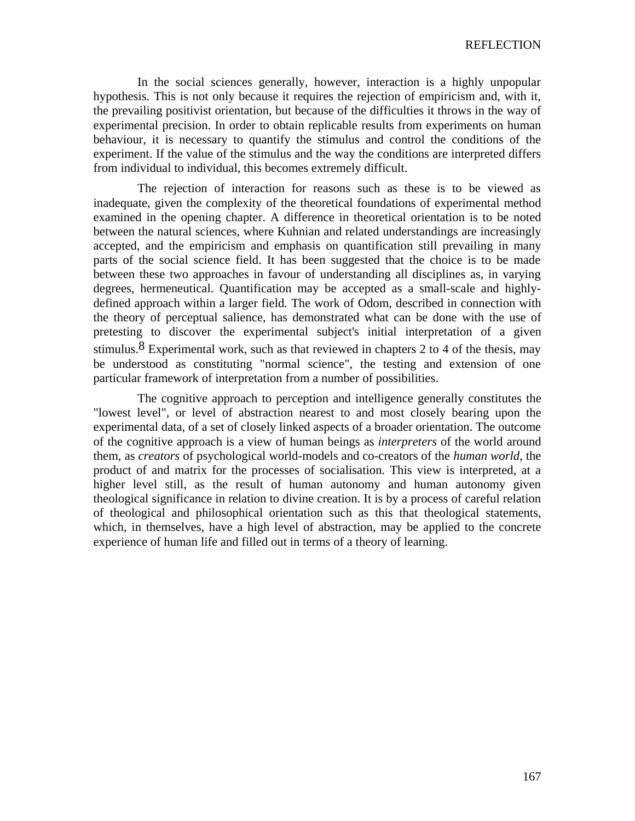**REFLECTION** 

In the social sciences generally, however, interaction is a highly unpopular hypothesis. This is not only because it requires the rejection of empiricism and, with it, the prevailing positivist orientation, but because of the difficulties it throws in the way of experimental precision. In order to obtain replicable results from experiments on human behaviour, it is necessary to quantify the stimulus and control the conditions of the experiment. If the value of the stimulus and the way the conditions are interpreted differs from individual to individual, this becomes extremely difficult.

The rejection of interaction for reasons such as these is to be viewed as inadequate, given the complexity of the theoretical foundations of experimental method examined in the opening chapter. A difference in theoretical orientation is to be noted between the natural sciences, where Kuhnian and related understandings are increasingly accepted, and the empiricism and emphasis on quantification still prevailing in many parts of the social science field. It has been suggested that the choice is to be made between these two approaches in favour of understanding all disciplines as, in varying degrees, hermeneutical. Quantification may be accepted as a small-scale and highlydefined approach within a larger field. The work of Odom, described in connection with the theory of perceptual salience, has demonstrated what can be done with the use of pretesting to discover the experimental subject's initial interpretation of a given stimulus.<sup>8</sup> Experimental work, such as that reviewed in chapters 2 to 4 of the thesis, may be understood as constituting "normal science", the testing and extension of one particular framework of interpretation from a number of possibilities.

The cognitive approach to perception and intelligence generally constitutes the "lowest level", or level of abstraction nearest to and most closely bearing upon the experimental data, of a set of closely linked aspects of a broader orientation. The outcome of the cognitive approach is a view of human beings as *interpreters* of the world around them, as *creators* of psychological world-models and co-creators of the *human world*, the product of and matrix for the processes of socialisation. This view is interpreted, at a higher level still, as the result of human autonomy and human autonomy given theological significance in relation to divine creation. It is by a process of careful relation of theological and philosophical orientation such as this that theological statements, which, in themselves, have a high level of abstraction, may be applied to the concrete experience of human life and filled out in terms of a theory of learning.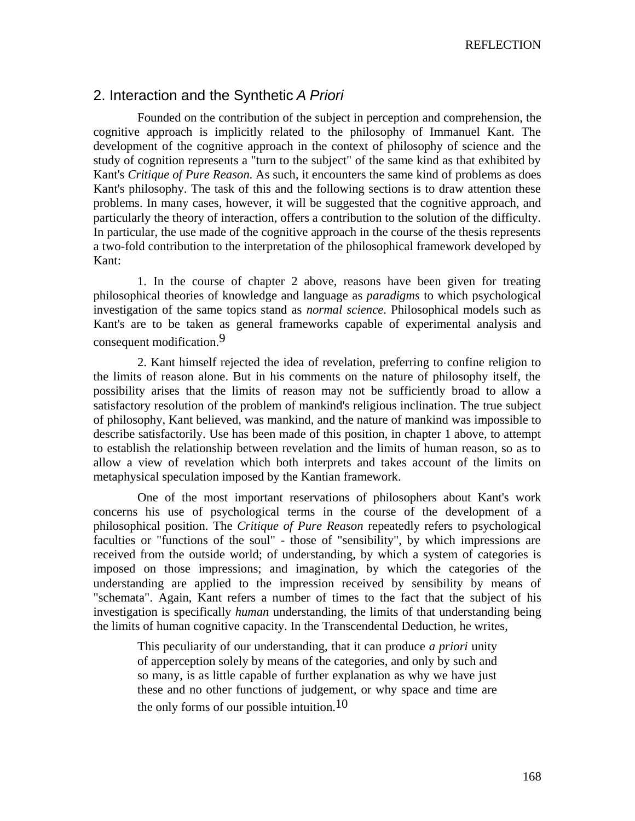#### 2. Interaction and the Synthetic *A Priori*

Founded on the contribution of the subject in perception and comprehension, the cognitive approach is implicitly related to the philosophy of Immanuel Kant. The development of the cognitive approach in the context of philosophy of science and the study of cognition represents a "turn to the subject" of the same kind as that exhibited by Kant's *Critique of Pure Reason*. As such, it encounters the same kind of problems as does Kant's philosophy. The task of this and the following sections is to draw attention these problems. In many cases, however, it will be suggested that the cognitive approach, and particularly the theory of interaction, offers a contribution to the solution of the difficulty. In particular, the use made of the cognitive approach in the course of the thesis represents a two-fold contribution to the interpretation of the philosophical framework developed by Kant:

1. In the course of chapter 2 above, reasons have been given for treating philosophical theories of knowledge and language as *paradigms* to which psychological investigation of the same topics stand as *normal science*. Philosophical models such as Kant's are to be taken as general frameworks capable of experimental analysis and consequent modification.9

2. Kant himself rejected the idea of revelation, preferring to confine religion to the limits of reason alone. But in his comments on the nature of philosophy itself, the possibility arises that the limits of reason may not be sufficiently broad to allow a satisfactory resolution of the problem of mankind's religious inclination. The true subject of philosophy, Kant believed, was mankind, and the nature of mankind was impossible to describe satisfactorily. Use has been made of this position, in chapter 1 above, to attempt to establish the relationship between revelation and the limits of human reason, so as to allow a view of revelation which both interprets and takes account of the limits on metaphysical speculation imposed by the Kantian framework.

One of the most important reservations of philosophers about Kant's work concerns his use of psychological terms in the course of the development of a philosophical position. The *Critique of Pure Reason* repeatedly refers to psychological faculties or "functions of the soul" - those of "sensibility", by which impressions are received from the outside world; of understanding, by which a system of categories is imposed on those impressions; and imagination, by which the categories of the understanding are applied to the impression received by sensibility by means of "schemata". Again, Kant refers a number of times to the fact that the subject of his investigation is specifically *human* understanding, the limits of that understanding being the limits of human cognitive capacity. In the Transcendental Deduction, he writes,

This peculiarity of our understanding, that it can produce *a priori* unity of apperception solely by means of the categories, and only by such and so many, is as little capable of further explanation as why we have just these and no other functions of judgement, or why space and time are the only forms of our possible intuition.<sup>10</sup>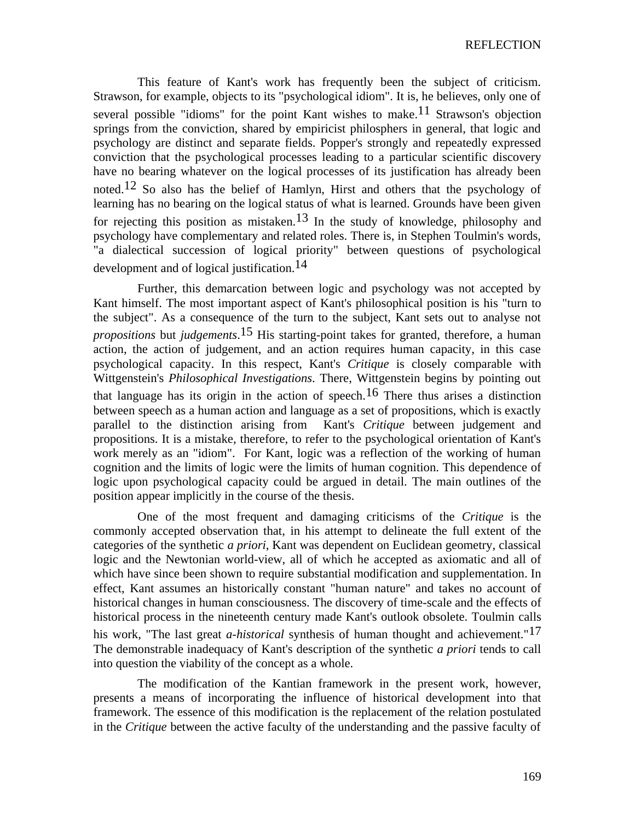**REFLECTION** 

This feature of Kant's work has frequently been the subject of criticism. Strawson, for example, objects to its "psychological idiom". It is, he believes, only one of several possible "idioms" for the point Kant wishes to make.<sup>11</sup> Strawson's objection springs from the conviction, shared by empiricist philosphers in general, that logic and psychology are distinct and separate fields. Popper's strongly and repeatedly expressed conviction that the psychological processes leading to a particular scientific discovery have no bearing whatever on the logical processes of its justification has already been noted.<sup>12</sup> So also has the belief of Hamlyn, Hirst and others that the psychology of learning has no bearing on the logical status of what is learned. Grounds have been given for rejecting this position as mistaken.<sup>13</sup> In the study of knowledge, philosophy and psychology have complementary and related roles. There is, in Stephen Toulmin's words, "a dialectical succession of logical priority" between questions of psychological development and of logical justification.<sup>14</sup>

Further, this demarcation between logic and psychology was not accepted by Kant himself. The most important aspect of Kant's philosophical position is his "turn to the subject". As a consequence of the turn to the subject, Kant sets out to analyse not *propositions* but *judgements*. 15 His starting-point takes for granted, therefore, a human action, the action of judgement, and an action requires human capacity, in this case psychological capacity. In this respect, Kant's *Critique* is closely comparable with Wittgenstein's *Philosophical Investigations*. There, Wittgenstein begins by pointing out that language has its origin in the action of speech.<sup>16</sup> There thus arises a distinction between speech as a human action and language as a set of propositions, which is exactly parallel to the distinction arising from Kant's *Critique* between judgement and propositions. It is a mistake, therefore, to refer to the psychological orientation of Kant's work merely as an "idiom". For Kant, logic was a reflection of the working of human cognition and the limits of logic were the limits of human cognition. This dependence of logic upon psychological capacity could be argued in detail. The main outlines of the position appear implicitly in the course of the thesis.

One of the most frequent and damaging criticisms of the *Critique* is the commonly accepted observation that, in his attempt to delineate the full extent of the categories of the synthetic *a priori*, Kant was dependent on Euclidean geometry, classical logic and the Newtonian world-view, all of which he accepted as axiomatic and all of which have since been shown to require substantial modification and supplementation. In effect, Kant assumes an historically constant "human nature" and takes no account of historical changes in human consciousness. The discovery of time-scale and the effects of historical process in the nineteenth century made Kant's outlook obsolete. Toulmin calls his work, "The last great *a-historical* synthesis of human thought and achievement."17 The demonstrable inadequacy of Kant's description of the synthetic *a priori* tends to call into question the viability of the concept as a whole.

The modification of the Kantian framework in the present work, however, presents a means of incorporating the influence of historical development into that framework. The essence of this modification is the replacement of the relation postulated in the *Critique* between the active faculty of the understanding and the passive faculty of

169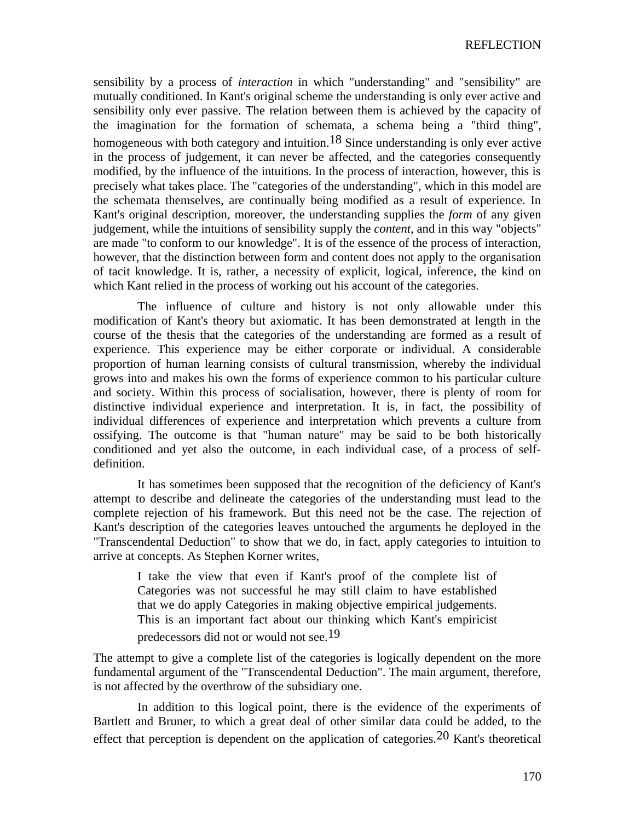sensibility by a process of *interaction* in which "understanding" and "sensibility" are mutually conditioned. In Kant's original scheme the understanding is only ever active and sensibility only ever passive. The relation between them is achieved by the capacity of the imagination for the formation of schemata, a schema being a "third thing", homogeneous with both category and intuition.<sup>18</sup> Since understanding is only ever active in the process of judgement, it can never be affected, and the categories consequently modified, by the influence of the intuitions. In the process of interaction, however, this is precisely what takes place. The "categories of the understanding", which in this model are the schemata themselves, are continually being modified as a result of experience. In Kant's original description, moreover, the understanding supplies the *form* of any given judgement, while the intuitions of sensibility supply the *content*, and in this way "objects" are made "to conform to our knowledge". It is of the essence of the process of interaction, however, that the distinction between form and content does not apply to the organisation of tacit knowledge. It is, rather, a necessity of explicit, logical, inference, the kind on which Kant relied in the process of working out his account of the categories.

The influence of culture and history is not only allowable under this modification of Kant's theory but axiomatic. It has been demonstrated at length in the course of the thesis that the categories of the understanding are formed as a result of experience. This experience may be either corporate or individual. A considerable proportion of human learning consists of cultural transmission, whereby the individual grows into and makes his own the forms of experience common to his particular culture and society. Within this process of socialisation, however, there is plenty of room for distinctive individual experience and interpretation. It is, in fact, the possibility of individual differences of experience and interpretation which prevents a culture from ossifying. The outcome is that "human nature" may be said to be both historically conditioned and yet also the outcome, in each individual case, of a process of selfdefinition.

It has sometimes been supposed that the recognition of the deficiency of Kant's attempt to describe and delineate the categories of the understanding must lead to the complete rejection of his framework. But this need not be the case. The rejection of Kant's description of the categories leaves untouched the arguments he deployed in the "Transcendental Deduction" to show that we do, in fact, apply categories to intuition to arrive at concepts. As Stephen Korner writes,

I take the view that even if Kant's proof of the complete list of Categories was not successful he may still claim to have established that we do apply Categories in making objective empirical judgements. This is an important fact about our thinking which Kant's empiricist predecessors did not or would not see.<sup>19</sup>

The attempt to give a complete list of the categories is logically dependent on the more fundamental argument of the "Transcendental Deduction". The main argument, therefore, is not affected by the overthrow of the subsidiary one.

In addition to this logical point, there is the evidence of the experiments of Bartlett and Bruner, to which a great deal of other similar data could be added, to the effect that perception is dependent on the application of categories.<sup>20</sup> Kant's theoretical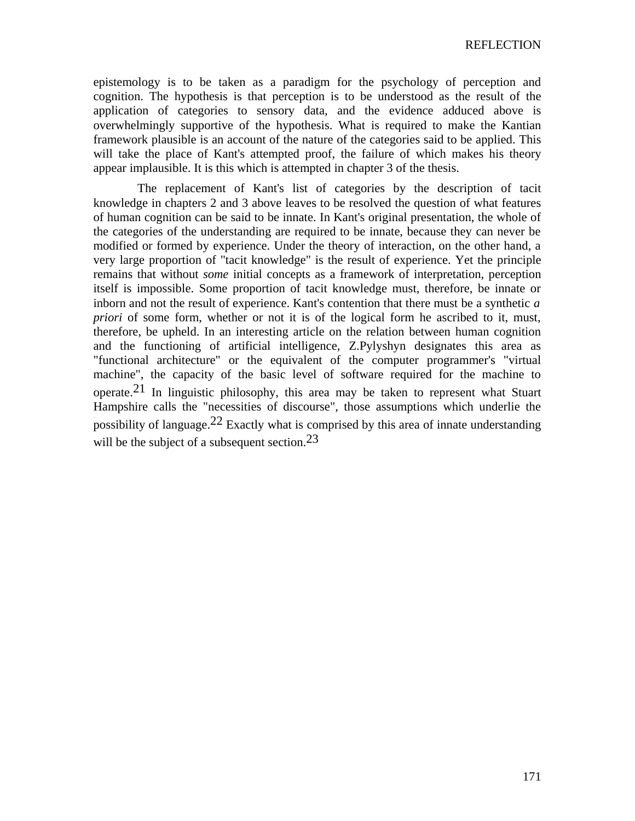epistemology is to be taken as a paradigm for the psychology of perception and cognition. The hypothesis is that perception is to be understood as the result of the application of categories to sensory data, and the evidence adduced above is overwhelmingly supportive of the hypothesis. What is required to make the Kantian framework plausible is an account of the nature of the categories said to be applied. This will take the place of Kant's attempted proof, the failure of which makes his theory appear implausible. It is this which is attempted in chapter 3 of the thesis.

The replacement of Kant's list of categories by the description of tacit knowledge in chapters 2 and 3 above leaves to be resolved the question of what features of human cognition can be said to be innate. In Kant's original presentation, the whole of the categories of the understanding are required to be innate, because they can never be modified or formed by experience. Under the theory of interaction, on the other hand, a very large proportion of "tacit knowledge" is the result of experience. Yet the principle remains that without *some* initial concepts as a framework of interpretation, perception itself is impossible. Some proportion of tacit knowledge must, therefore, be innate or inborn and not the result of experience. Kant's contention that there must be a synthetic *a priori* of some form, whether or not it is of the logical form he ascribed to it, must, therefore, be upheld. In an interesting article on the relation between human cognition and the functioning of artificial intelligence, Z.Pylyshyn designates this area as "functional architecture" or the equivalent of the computer programmer's "virtual machine", the capacity of the basic level of software required for the machine to operate.21 In linguistic philosophy, this area may be taken to represent what Stuart Hampshire calls the "necessities of discourse", those assumptions which underlie the possibility of language.<sup>22</sup> Exactly what is comprised by this area of innate understanding will be the subject of a subsequent section.<sup>23</sup>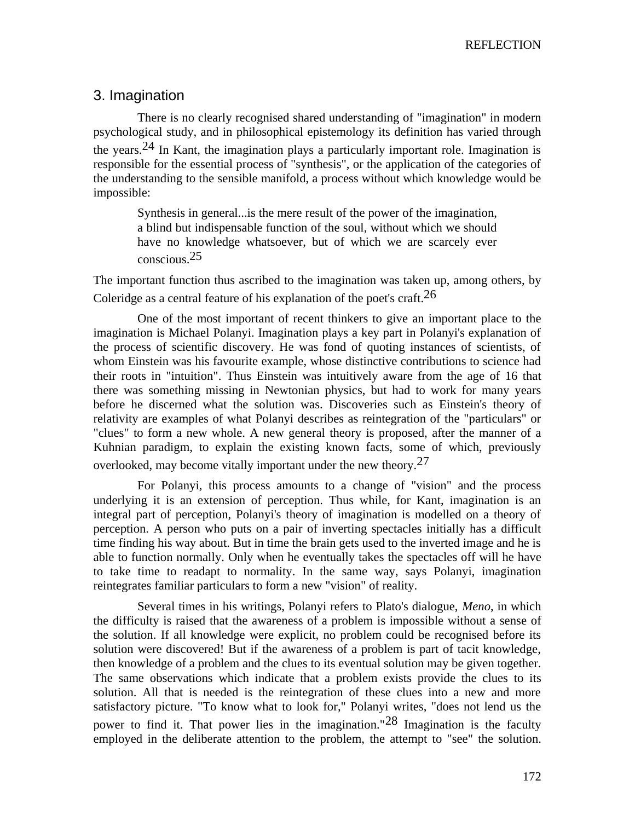#### 3. Imagination

There is no clearly recognised shared understanding of "imagination" in modern psychological study, and in philosophical epistemology its definition has varied through the years. <sup>24</sup> In Kant, the imagination plays a particularly important role. Imagination is responsible for the essential process of "synthesis", or the application of the categories of the understanding to the sensible manifold, a process without which knowledge would be impossible:

Synthesis in general...is the mere result of the power of the imagination, a blind but indispensable function of the soul, without which we should have no knowledge whatsoever, but of which we are scarcely ever conscious.25

The important function thus ascribed to the imagination was taken up, among others, by Coleridge as a central feature of his explanation of the poet's craft.26

One of the most important of recent thinkers to give an important place to the imagination is Michael Polanyi. Imagination plays a key part in Polanyi's explanation of the process of scientific discovery. He was fond of quoting instances of scientists, of whom Einstein was his favourite example, whose distinctive contributions to science had their roots in "intuition". Thus Einstein was intuitively aware from the age of 16 that there was something missing in Newtonian physics, but had to work for many years before he discerned what the solution was. Discoveries such as Einstein's theory of relativity are examples of what Polanyi describes as reintegration of the "particulars" or "clues" to form a new whole. A new general theory is proposed, after the manner of a Kuhnian paradigm, to explain the existing known facts, some of which, previously overlooked, may become vitally important under the new theory.27

For Polanyi, this process amounts to a change of "vision" and the process underlying it is an extension of perception. Thus while, for Kant, imagination is an integral part of perception, Polanyi's theory of imagination is modelled on a theory of perception. A person who puts on a pair of inverting spectacles initially has a difficult time finding his way about. But in time the brain gets used to the inverted image and he is able to function normally. Only when he eventually takes the spectacles off will he have to take time to readapt to normality. In the same way, says Polanyi, imagination reintegrates familiar particulars to form a new "vision" of reality.

Several times in his writings, Polanyi refers to Plato's dialogue, *Meno*, in which the difficulty is raised that the awareness of a problem is impossible without a sense of the solution. If all knowledge were explicit, no problem could be recognised before its solution were discovered! But if the awareness of a problem is part of tacit knowledge, then knowledge of a problem and the clues to its eventual solution may be given together. The same observations which indicate that a problem exists provide the clues to its solution. All that is needed is the reintegration of these clues into a new and more satisfactory picture. "To know what to look for," Polanyi writes, "does not lend us the power to find it. That power lies in the imagination."<sup>28</sup> Imagination is the faculty employed in the deliberate attention to the problem, the attempt to "see" the solution.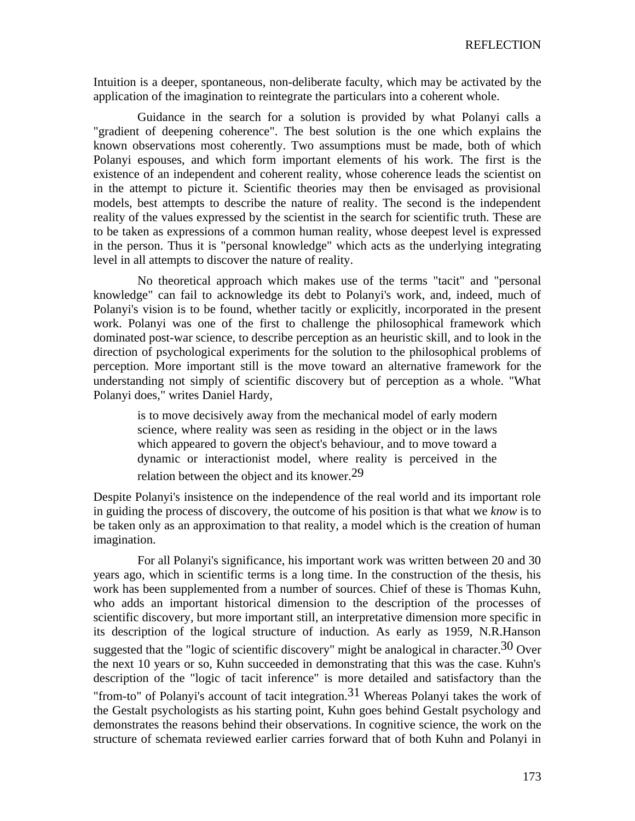Intuition is a deeper, spontaneous, non-deliberate faculty, which may be activated by the application of the imagination to reintegrate the particulars into a coherent whole.

Guidance in the search for a solution is provided by what Polanyi calls a "gradient of deepening coherence". The best solution is the one which explains the known observations most coherently. Two assumptions must be made, both of which Polanyi espouses, and which form important elements of his work. The first is the existence of an independent and coherent reality, whose coherence leads the scientist on in the attempt to picture it. Scientific theories may then be envisaged as provisional models, best attempts to describe the nature of reality. The second is the independent reality of the values expressed by the scientist in the search for scientific truth. These are to be taken as expressions of a common human reality, whose deepest level is expressed in the person. Thus it is "personal knowledge" which acts as the underlying integrating level in all attempts to discover the nature of reality.

No theoretical approach which makes use of the terms "tacit" and "personal knowledge" can fail to acknowledge its debt to Polanyi's work, and, indeed, much of Polanyi's vision is to be found, whether tacitly or explicitly, incorporated in the present work. Polanyi was one of the first to challenge the philosophical framework which dominated post-war science, to describe perception as an heuristic skill, and to look in the direction of psychological experiments for the solution to the philosophical problems of perception. More important still is the move toward an alternative framework for the understanding not simply of scientific discovery but of perception as a whole. "What Polanyi does," writes Daniel Hardy,

is to move decisively away from the mechanical model of early modern science, where reality was seen as residing in the object or in the laws which appeared to govern the object's behaviour, and to move toward a dynamic or interactionist model, where reality is perceived in the relation between the object and its knower.29

Despite Polanyi's insistence on the independence of the real world and its important role in guiding the process of discovery, the outcome of his position is that what we *know* is to be taken only as an approximation to that reality, a model which is the creation of human imagination.

For all Polanyi's significance, his important work was written between 20 and 30 years ago, which in scientific terms is a long time. In the construction of the thesis, his work has been supplemented from a number of sources. Chief of these is Thomas Kuhn, who adds an important historical dimension to the description of the processes of scientific discovery, but more important still, an interpretative dimension more specific in its description of the logical structure of induction. As early as 1959, N.R.Hanson suggested that the "logic of scientific discovery" might be analogical in character.<sup>30</sup> Over the next 10 years or so, Kuhn succeeded in demonstrating that this was the case. Kuhn's description of the "logic of tacit inference" is more detailed and satisfactory than the "from-to" of Polanyi's account of tacit integration.<sup>31</sup> Whereas Polanyi takes the work of the Gestalt psychologists as his starting point, Kuhn goes behind Gestalt psychology and demonstrates the reasons behind their observations. In cognitive science, the work on the structure of schemata reviewed earlier carries forward that of both Kuhn and Polanyi in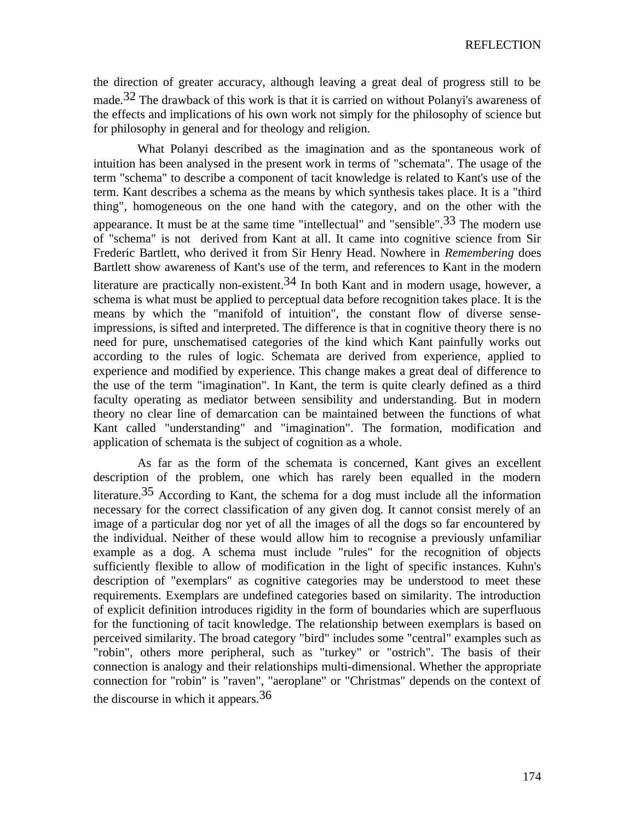**REFLECTION** 

the direction of greater accuracy, although leaving a great deal of progress still to be made.32 The drawback of this work is that it is carried on without Polanyi's awareness of the effects and implications of his own work not simply for the philosophy of science but for philosophy in general and for theology and religion.

What Polanyi described as the imagination and as the spontaneous work of intuition has been analysed in the present work in terms of "schemata". The usage of the term "schema" to describe a component of tacit knowledge is related to Kant's use of the term. Kant describes a schema as the means by which synthesis takes place. It is a "third thing", homogeneous on the one hand with the category, and on the other with the appearance. It must be at the same time "intellectual" and "sensible". $33$  The modern use of "schema" is not derived from Kant at all. It came into cognitive science from Sir Frederic Bartlett, who derived it from Sir Henry Head. Nowhere in *Remembering* does Bartlett show awareness of Kant's use of the term, and references to Kant in the modern literature are practically non-existent.<sup>34</sup> In both Kant and in modern usage, however, a schema is what must be applied to perceptual data before recognition takes place. It is the means by which the "manifold of intuition", the constant flow of diverse senseimpressions, is sifted and interpreted. The difference is that in cognitive theory there is no need for pure, unschematised categories of the kind which Kant painfully works out according to the rules of logic. Schemata are derived from experience, applied to experience and modified by experience. This change makes a great deal of difference to the use of the term "imagination". In Kant, the term is quite clearly defined as a third faculty operating as mediator between sensibility and understanding. But in modern theory no clear line of demarcation can be maintained between the functions of what Kant called "understanding" and "imagination". The formation, modification and application of schemata is the subject of cognition as a whole.

As far as the form of the schemata is concerned, Kant gives an excellent description of the problem, one which has rarely been equalled in the modern literature.35 According to Kant, the schema for a dog must include all the information necessary for the correct classification of any given dog. It cannot consist merely of an image of a particular dog nor yet of all the images of all the dogs so far encountered by the individual. Neither of these would allow him to recognise a previously unfamiliar example as a dog. A schema must include "rules" for the recognition of objects sufficiently flexible to allow of modification in the light of specific instances. Kuhn's description of "exemplars" as cognitive categories may be understood to meet these requirements. Exemplars are undefined categories based on similarity. The introduction of explicit definition introduces rigidity in the form of boundaries which are superfluous for the functioning of tacit knowledge. The relationship between exemplars is based on perceived similarity. The broad category "bird" includes some "central" examples such as "robin", others more peripheral, such as "turkey" or "ostrich". The basis of their connection is analogy and their relationships multi-dimensional. Whether the appropriate connection for "robin" is "raven", "aeroplane" or "Christmas" depends on the context of the discourse in which it appears.  $36$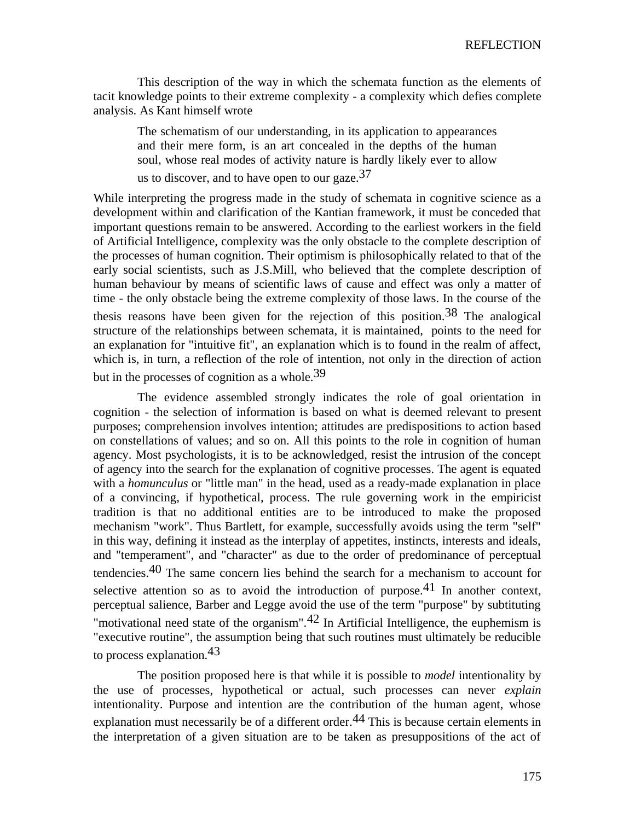This description of the way in which the schemata function as the elements of tacit knowledge points to their extreme complexity - a complexity which defies complete analysis. As Kant himself wrote

The schematism of our understanding, in its application to appearances and their mere form, is an art concealed in the depths of the human soul, whose real modes of activity nature is hardly likely ever to allow us to discover, and to have open to our gaze.  $37$ 

While interpreting the progress made in the study of schemata in cognitive science as a development within and clarification of the Kantian framework, it must be conceded that important questions remain to be answered. According to the earliest workers in the field of Artificial Intelligence, complexity was the only obstacle to the complete description of the processes of human cognition. Their optimism is philosophically related to that of the early social scientists, such as J.S.Mill, who believed that the complete description of human behaviour by means of scientific laws of cause and effect was only a matter of time - the only obstacle being the extreme complexity of those laws. In the course of the thesis reasons have been given for the rejection of this position.38 The analogical structure of the relationships between schemata, it is maintained, points to the need for an explanation for "intuitive fit", an explanation which is to found in the realm of affect, which is, in turn, a reflection of the role of intention, not only in the direction of action but in the processes of cognition as a whole.<sup>39</sup>

The evidence assembled strongly indicates the role of goal orientation in cognition - the selection of information is based on what is deemed relevant to present purposes; comprehension involves intention; attitudes are predispositions to action based on constellations of values; and so on. All this points to the role in cognition of human agency. Most psychologists, it is to be acknowledged, resist the intrusion of the concept of agency into the search for the explanation of cognitive processes. The agent is equated with a *homunculus* or "little man" in the head, used as a ready-made explanation in place of a convincing, if hypothetical, process. The rule governing work in the empiricist tradition is that no additional entities are to be introduced to make the proposed mechanism "work". Thus Bartlett, for example, successfully avoids using the term "self" in this way, defining it instead as the interplay of appetites, instincts, interests and ideals, and "temperament", and "character" as due to the order of predominance of perceptual tendencies.40 The same concern lies behind the search for a mechanism to account for selective attention so as to avoid the introduction of purpose.<sup>41</sup> In another context, perceptual salience, Barber and Legge avoid the use of the term "purpose" by subtituting "motivational need state of the organism".<sup>42</sup> In Artificial Intelligence, the euphemism is "executive routine", the assumption being that such routines must ultimately be reducible to process explanation.43

The position proposed here is that while it is possible to *model* intentionality by the use of processes, hypothetical or actual, such processes can never *explain* intentionality. Purpose and intention are the contribution of the human agent, whose explanation must necessarily be of a different order.<sup>44</sup> This is because certain elements in the interpretation of a given situation are to be taken as presuppositions of the act of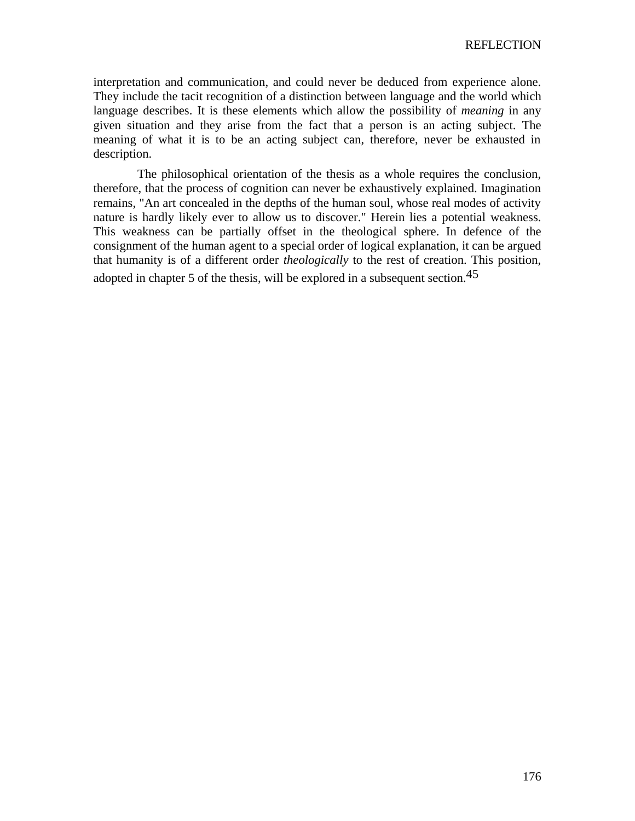interpretation and communication, and could never be deduced from experience alone. They include the tacit recognition of a distinction between language and the world which language describes. It is these elements which allow the possibility of *meaning* in any given situation and they arise from the fact that a person is an acting subject. The meaning of what it is to be an acting subject can, therefore, never be exhausted in description.

The philosophical orientation of the thesis as a whole requires the conclusion, therefore, that the process of cognition can never be exhaustively explained. Imagination remains, "An art concealed in the depths of the human soul, whose real modes of activity nature is hardly likely ever to allow us to discover." Herein lies a potential weakness. This weakness can be partially offset in the theological sphere. In defence of the consignment of the human agent to a special order of logical explanation, it can be argued that humanity is of a different order *theologically* to the rest of creation. This position, adopted in chapter 5 of the thesis, will be explored in a subsequent section.45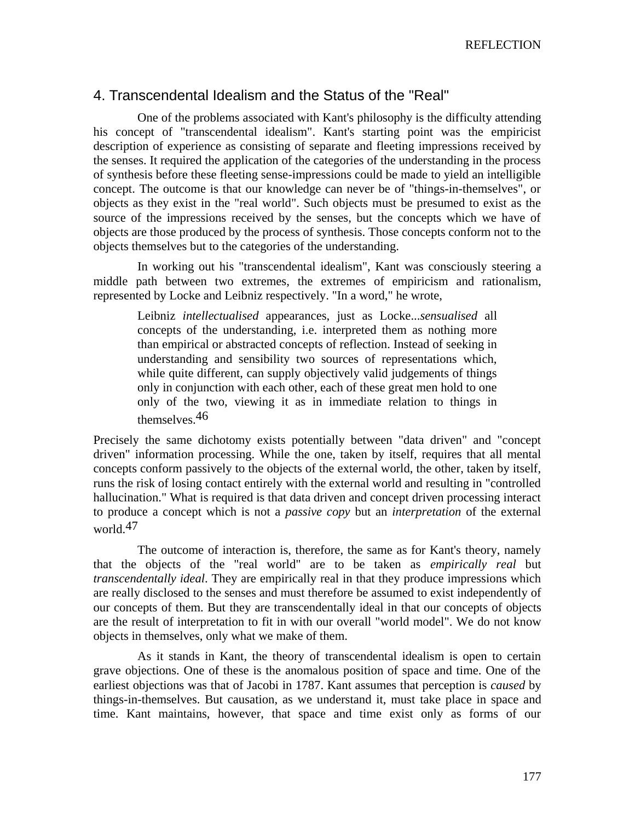# 4. Transcendental Idealism and the Status of the "Real"

One of the problems associated with Kant's philosophy is the difficulty attending his concept of "transcendental idealism". Kant's starting point was the empiricist description of experience as consisting of separate and fleeting impressions received by the senses. It required the application of the categories of the understanding in the process of synthesis before these fleeting sense-impressions could be made to yield an intelligible concept. The outcome is that our knowledge can never be of "things-in-themselves", or objects as they exist in the "real world". Such objects must be presumed to exist as the source of the impressions received by the senses, but the concepts which we have of objects are those produced by the process of synthesis. Those concepts conform not to the objects themselves but to the categories of the understanding.

In working out his "transcendental idealism", Kant was consciously steering a middle path between two extremes, the extremes of empiricism and rationalism, represented by Locke and Leibniz respectively. "In a word," he wrote,

Leibniz *intellectualised* appearances, just as Locke...*sensualised* all concepts of the understanding, i.e. interpreted them as nothing more than empirical or abstracted concepts of reflection. Instead of seeking in understanding and sensibility two sources of representations which, while quite different, can supply objectively valid judgements of things only in conjunction with each other, each of these great men hold to one only of the two, viewing it as in immediate relation to things in themselves 46

Precisely the same dichotomy exists potentially between "data driven" and "concept driven" information processing. While the one, taken by itself, requires that all mental concepts conform passively to the objects of the external world, the other, taken by itself, runs the risk of losing contact entirely with the external world and resulting in "controlled hallucination." What is required is that data driven and concept driven processing interact to produce a concept which is not a *passive copy* but an *interpretation* of the external world  $47$ 

The outcome of interaction is, therefore, the same as for Kant's theory, namely that the objects of the "real world" are to be taken as *empirically real* but *transcendentally ideal*. They are empirically real in that they produce impressions which are really disclosed to the senses and must therefore be assumed to exist independently of our concepts of them. But they are transcendentally ideal in that our concepts of objects are the result of interpretation to fit in with our overall "world model". We do not know objects in themselves, only what we make of them.

As it stands in Kant, the theory of transcendental idealism is open to certain grave objections. One of these is the anomalous position of space and time. One of the earliest objections was that of Jacobi in 1787. Kant assumes that perception is *caused* by things-in-themselves. But causation, as we understand it, must take place in space and time. Kant maintains, however, that space and time exist only as forms of our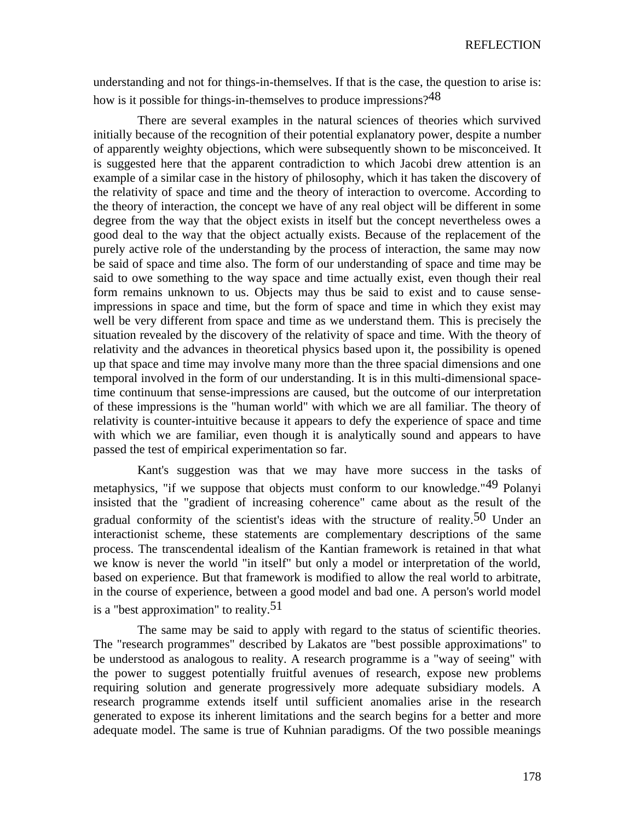understanding and not for things-in-themselves. If that is the case, the question to arise is: how is it possible for things-in-themselves to produce impressions?<sup>48</sup>

There are several examples in the natural sciences of theories which survived initially because of the recognition of their potential explanatory power, despite a number of apparently weighty objections, which were subsequently shown to be misconceived. It is suggested here that the apparent contradiction to which Jacobi drew attention is an example of a similar case in the history of philosophy, which it has taken the discovery of the relativity of space and time and the theory of interaction to overcome. According to the theory of interaction, the concept we have of any real object will be different in some degree from the way that the object exists in itself but the concept nevertheless owes a good deal to the way that the object actually exists. Because of the replacement of the purely active role of the understanding by the process of interaction, the same may now be said of space and time also. The form of our understanding of space and time may be said to owe something to the way space and time actually exist, even though their real form remains unknown to us. Objects may thus be said to exist and to cause senseimpressions in space and time, but the form of space and time in which they exist may well be very different from space and time as we understand them. This is precisely the situation revealed by the discovery of the relativity of space and time. With the theory of relativity and the advances in theoretical physics based upon it, the possibility is opened up that space and time may involve many more than the three spacial dimensions and one temporal involved in the form of our understanding. It is in this multi-dimensional spacetime continuum that sense-impressions are caused, but the outcome of our interpretation of these impressions is the "human world" with which we are all familiar. The theory of relativity is counter-intuitive because it appears to defy the experience of space and time with which we are familiar, even though it is analytically sound and appears to have passed the test of empirical experimentation so far.

Kant's suggestion was that we may have more success in the tasks of metaphysics, "if we suppose that objects must conform to our knowledge."49 Polanyi insisted that the "gradient of increasing coherence" came about as the result of the gradual conformity of the scientist's ideas with the structure of reality.<sup>50</sup> Under an interactionist scheme, these statements are complementary descriptions of the same process. The transcendental idealism of the Kantian framework is retained in that what we know is never the world "in itself" but only a model or interpretation of the world, based on experience. But that framework is modified to allow the real world to arbitrate, in the course of experience, between a good model and bad one. A person's world model is a "best approximation" to reality.<sup>51</sup>

The same may be said to apply with regard to the status of scientific theories. The "research programmes" described by Lakatos are "best possible approximations" to be understood as analogous to reality. A research programme is a "way of seeing" with the power to suggest potentially fruitful avenues of research, expose new problems requiring solution and generate progressively more adequate subsidiary models. A research programme extends itself until sufficient anomalies arise in the research generated to expose its inherent limitations and the search begins for a better and more adequate model. The same is true of Kuhnian paradigms. Of the two possible meanings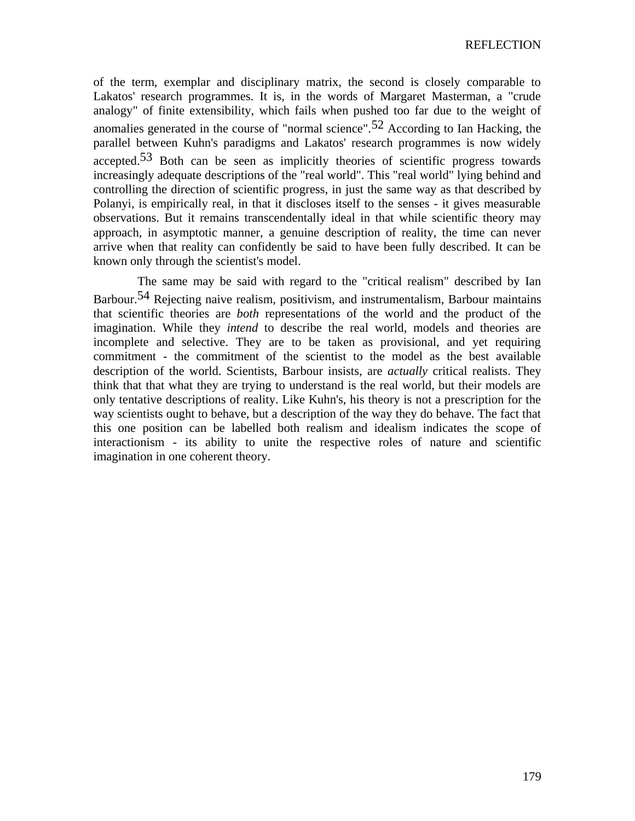**REFLECTION** 

of the term, exemplar and disciplinary matrix, the second is closely comparable to Lakatos' research programmes. It is, in the words of Margaret Masterman, a "crude analogy" of finite extensibility, which fails when pushed too far due to the weight of anomalies generated in the course of "normal science".<sup>52</sup> According to Ian Hacking, the parallel between Kuhn's paradigms and Lakatos' research programmes is now widely accepted.53 Both can be seen as implicitly theories of scientific progress towards increasingly adequate descriptions of the "real world". This "real world" lying behind and controlling the direction of scientific progress, in just the same way as that described by Polanyi, is empirically real, in that it discloses itself to the senses - it gives measurable observations. But it remains transcendentally ideal in that while scientific theory may approach, in asymptotic manner, a genuine description of reality, the time can never arrive when that reality can confidently be said to have been fully described. It can be known only through the scientist's model.

The same may be said with regard to the "critical realism" described by Ian Barbour.<sup>54</sup> Rejecting naive realism, positivism, and instrumentalism, Barbour maintains that scientific theories are *both* representations of the world and the product of the imagination. While they *intend* to describe the real world, models and theories are incomplete and selective. They are to be taken as provisional, and yet requiring commitment - the commitment of the scientist to the model as the best available description of the world. Scientists, Barbour insists, are *actually* critical realists. They think that that what they are trying to understand is the real world, but their models are only tentative descriptions of reality. Like Kuhn's, his theory is not a prescription for the way scientists ought to behave, but a description of the way they do behave. The fact that this one position can be labelled both realism and idealism indicates the scope of interactionism - its ability to unite the respective roles of nature and scientific imagination in one coherent theory.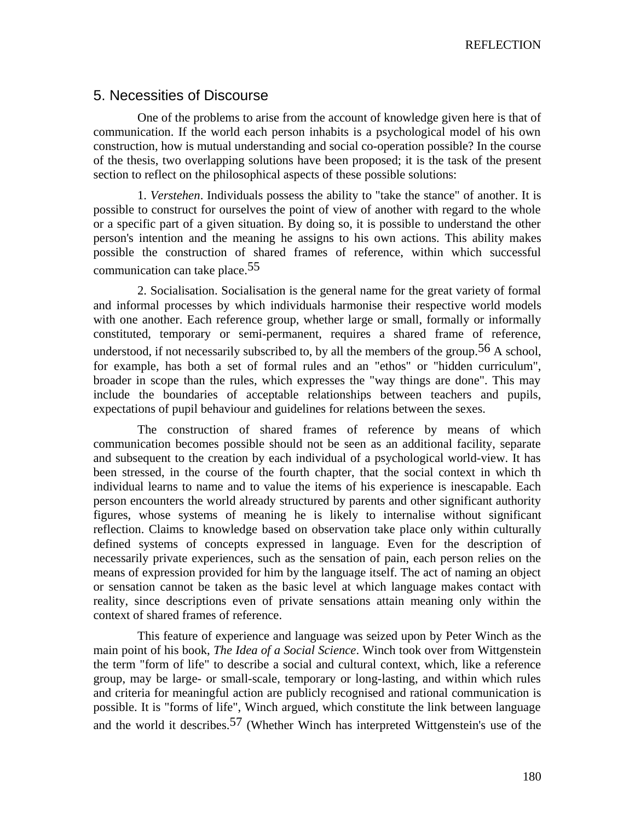#### 5. Necessities of Discourse

One of the problems to arise from the account of knowledge given here is that of communication. If the world each person inhabits is a psychological model of his own construction, how is mutual understanding and social co-operation possible? In the course of the thesis, two overlapping solutions have been proposed; it is the task of the present section to reflect on the philosophical aspects of these possible solutions:

1. *Verstehen*. Individuals possess the ability to "take the stance" of another. It is possible to construct for ourselves the point of view of another with regard to the whole or a specific part of a given situation. By doing so, it is possible to understand the other person's intention and the meaning he assigns to his own actions. This ability makes possible the construction of shared frames of reference, within which successful communication can take place.  $55$ 

2. Socialisation. Socialisation is the general name for the great variety of formal and informal processes by which individuals harmonise their respective world models with one another. Each reference group, whether large or small, formally or informally constituted, temporary or semi-permanent, requires a shared frame of reference, understood, if not necessarily subscribed to, by all the members of the group.<sup>56</sup> A school, for example, has both a set of formal rules and an "ethos" or "hidden curriculum", broader in scope than the rules, which expresses the "way things are done". This may include the boundaries of acceptable relationships between teachers and pupils, expectations of pupil behaviour and guidelines for relations between the sexes.

The construction of shared frames of reference by means of which communication becomes possible should not be seen as an additional facility, separate and subsequent to the creation by each individual of a psychological world-view. It has been stressed, in the course of the fourth chapter, that the social context in which th individual learns to name and to value the items of his experience is inescapable. Each person encounters the world already structured by parents and other significant authority figures, whose systems of meaning he is likely to internalise without significant reflection. Claims to knowledge based on observation take place only within culturally defined systems of concepts expressed in language. Even for the description of necessarily private experiences, such as the sensation of pain, each person relies on the means of expression provided for him by the language itself. The act of naming an object or sensation cannot be taken as the basic level at which language makes contact with reality, since descriptions even of private sensations attain meaning only within the context of shared frames of reference.

This feature of experience and language was seized upon by Peter Winch as the main point of his book, *The Idea of a Social Science*. Winch took over from Wittgenstein the term "form of life" to describe a social and cultural context, which, like a reference group, may be large- or small-scale, temporary or long-lasting, and within which rules and criteria for meaningful action are publicly recognised and rational communication is possible. It is "forms of life", Winch argued, which constitute the link between language and the world it describes.<sup>57</sup> (Whether Winch has interpreted Wittgenstein's use of the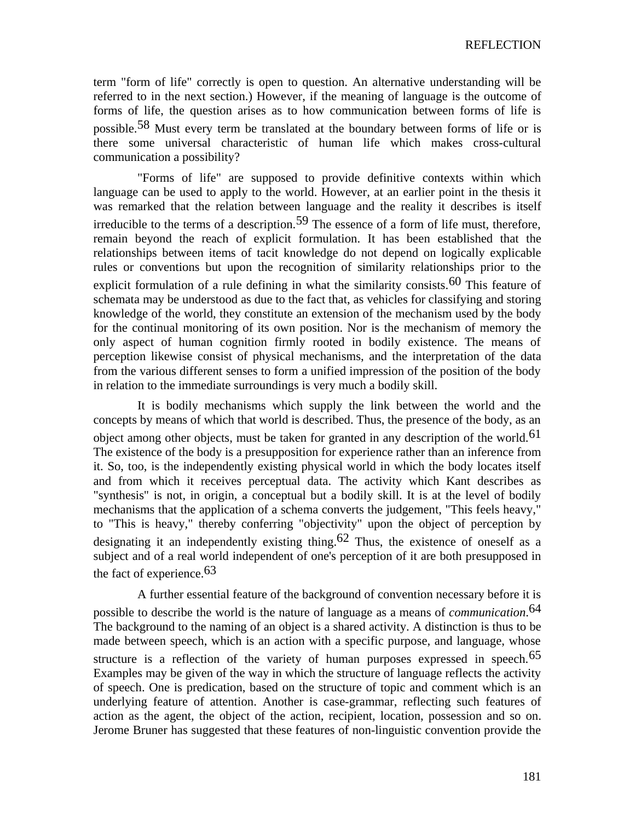term "form of life" correctly is open to question. An alternative understanding will be referred to in the next section.) However, if the meaning of language is the outcome of forms of life, the question arises as to how communication between forms of life is possible.58 Must every term be translated at the boundary between forms of life or is there some universal characteristic of human life which makes cross-cultural communication a possibility?

"Forms of life" are supposed to provide definitive contexts within which language can be used to apply to the world. However, at an earlier point in the thesis it was remarked that the relation between language and the reality it describes is itself irreducible to the terms of a description.<sup>59</sup> The essence of a form of life must, therefore, remain beyond the reach of explicit formulation. It has been established that the relationships between items of tacit knowledge do not depend on logically explicable rules or conventions but upon the recognition of similarity relationships prior to the explicit formulation of a rule defining in what the similarity consists.<sup>60</sup> This feature of schemata may be understood as due to the fact that, as vehicles for classifying and storing knowledge of the world, they constitute an extension of the mechanism used by the body for the continual monitoring of its own position. Nor is the mechanism of memory the only aspect of human cognition firmly rooted in bodily existence. The means of perception likewise consist of physical mechanisms, and the interpretation of the data from the various different senses to form a unified impression of the position of the body in relation to the immediate surroundings is very much a bodily skill.

It is bodily mechanisms which supply the link between the world and the concepts by means of which that world is described. Thus, the presence of the body, as an object among other objects, must be taken for granted in any description of the world.<sup>61</sup> The existence of the body is a presupposition for experience rather than an inference from it. So, too, is the independently existing physical world in which the body locates itself and from which it receives perceptual data. The activity which Kant describes as "synthesis" is not, in origin, a conceptual but a bodily skill. It is at the level of bodily mechanisms that the application of a schema converts the judgement, "This feels heavy," to "This is heavy," thereby conferring "objectivity" upon the object of perception by designating it an independently existing thing.<sup>62</sup> Thus, the existence of oneself as a subject and of a real world independent of one's perception of it are both presupposed in the fact of experience.63

A further essential feature of the background of convention necessary before it is possible to describe the world is the nature of language as a means of *communication*. 64 The background to the naming of an object is a shared activity. A distinction is thus to be made between speech, which is an action with a specific purpose, and language, whose structure is a reflection of the variety of human purposes expressed in speech.65 Examples may be given of the way in which the structure of language reflects the activity of speech. One is predication, based on the structure of topic and comment which is an underlying feature of attention. Another is case-grammar, reflecting such features of action as the agent, the object of the action, recipient, location, possession and so on. Jerome Bruner has suggested that these features of non-linguistic convention provide the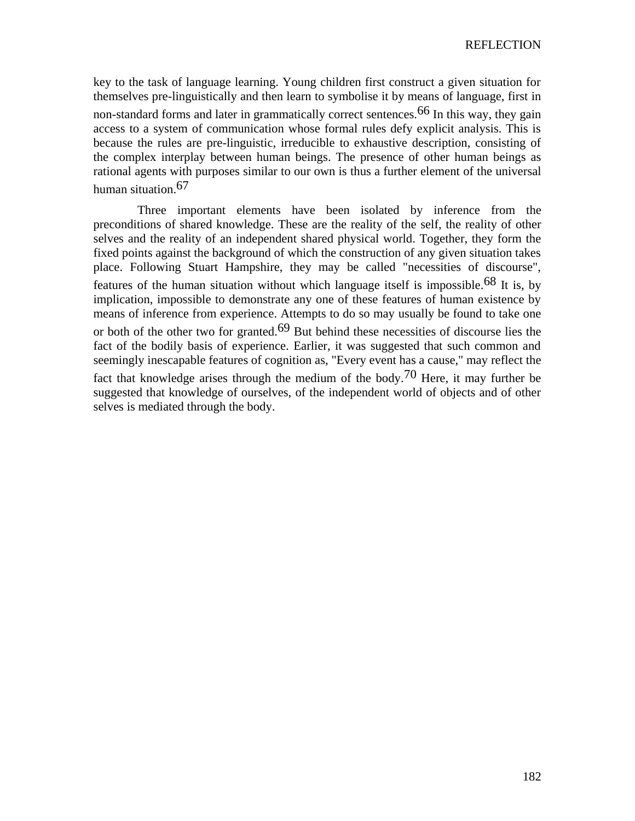key to the task of language learning. Young children first construct a given situation for themselves pre-linguistically and then learn to symbolise it by means of language, first in non-standard forms and later in grammatically correct sentences.<sup>66</sup> In this way, they gain access to a system of communication whose formal rules defy explicit analysis. This is because the rules are pre-linguistic, irreducible to exhaustive description, consisting of the complex interplay between human beings. The presence of other human beings as rational agents with purposes similar to our own is thus a further element of the universal human situation.<sup>67</sup>

Three important elements have been isolated by inference from the preconditions of shared knowledge. These are the reality of the self, the reality of other selves and the reality of an independent shared physical world. Together, they form the fixed points against the background of which the construction of any given situation takes place. Following Stuart Hampshire, they may be called "necessities of discourse", features of the human situation without which language itself is impossible.68 It is, by implication, impossible to demonstrate any one of these features of human existence by means of inference from experience. Attempts to do so may usually be found to take one or both of the other two for granted.<sup>69</sup> But behind these necessities of discourse lies the fact of the bodily basis of experience. Earlier, it was suggested that such common and seemingly inescapable features of cognition as, "Every event has a cause," may reflect the fact that knowledge arises through the medium of the body.<sup>70</sup> Here, it may further be suggested that knowledge of ourselves, of the independent world of objects and of other selves is mediated through the body.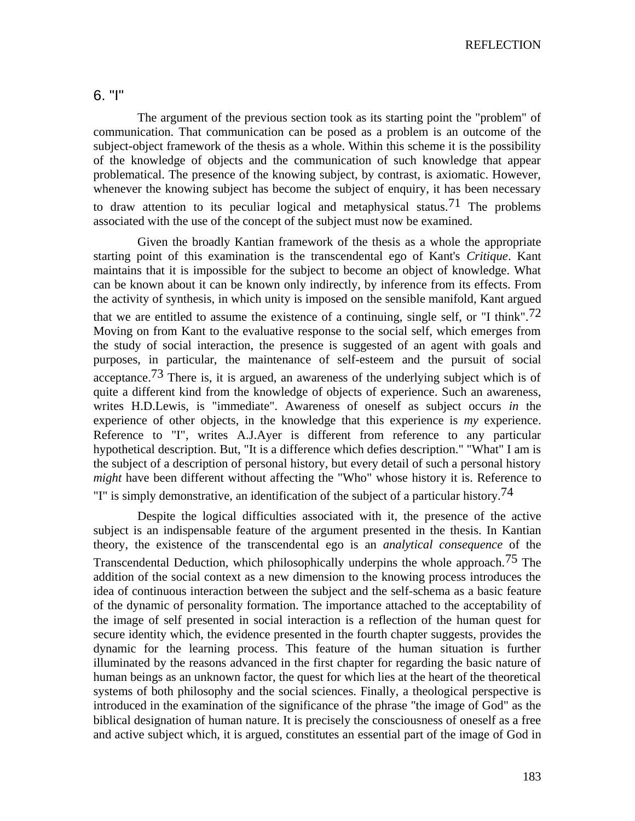### 6. "I"

The argument of the previous section took as its starting point the "problem" of communication. That communication can be posed as a problem is an outcome of the subject-object framework of the thesis as a whole. Within this scheme it is the possibility of the knowledge of objects and the communication of such knowledge that appear problematical. The presence of the knowing subject, by contrast, is axiomatic. However, whenever the knowing subject has become the subject of enquiry, it has been necessary to draw attention to its peculiar logical and metaphysical status.<sup>71</sup> The problems associated with the use of the concept of the subject must now be examined.

Given the broadly Kantian framework of the thesis as a whole the appropriate starting point of this examination is the transcendental ego of Kant's *Critique*. Kant maintains that it is impossible for the subject to become an object of knowledge. What can be known about it can be known only indirectly, by inference from its effects. From the activity of synthesis, in which unity is imposed on the sensible manifold, Kant argued that we are entitled to assume the existence of a continuing, single self, or "I think".<sup>72</sup> Moving on from Kant to the evaluative response to the social self, which emerges from the study of social interaction, the presence is suggested of an agent with goals and purposes, in particular, the maintenance of self-esteem and the pursuit of social acceptance.73 There is, it is argued, an awareness of the underlying subject which is of quite a different kind from the knowledge of objects of experience. Such an awareness, writes H.D.Lewis, is "immediate". Awareness of oneself as subject occurs *in* the experience of other objects, in the knowledge that this experience is *my* experience. Reference to "I", writes A.J.Ayer is different from reference to any particular hypothetical description. But, "It is a difference which defies description." "What" I am is the subject of a description of personal history, but every detail of such a personal history *might* have been different without affecting the "Who" whose history it is. Reference to "I" is simply demonstrative, an identification of the subject of a particular history.<sup>74</sup>

Despite the logical difficulties associated with it, the presence of the active subject is an indispensable feature of the argument presented in the thesis. In Kantian theory, the existence of the transcendental ego is an *analytical consequence* of the Transcendental Deduction, which philosophically underpins the whole approach.75 The addition of the social context as a new dimension to the knowing process introduces the idea of continuous interaction between the subject and the self-schema as a basic feature of the dynamic of personality formation. The importance attached to the acceptability of the image of self presented in social interaction is a reflection of the human quest for secure identity which, the evidence presented in the fourth chapter suggests, provides the dynamic for the learning process. This feature of the human situation is further illuminated by the reasons advanced in the first chapter for regarding the basic nature of human beings as an unknown factor, the quest for which lies at the heart of the theoretical systems of both philosophy and the social sciences. Finally, a theological perspective is introduced in the examination of the significance of the phrase "the image of God" as the biblical designation of human nature. It is precisely the consciousness of oneself as a free and active subject which, it is argued, constitutes an essential part of the image of God in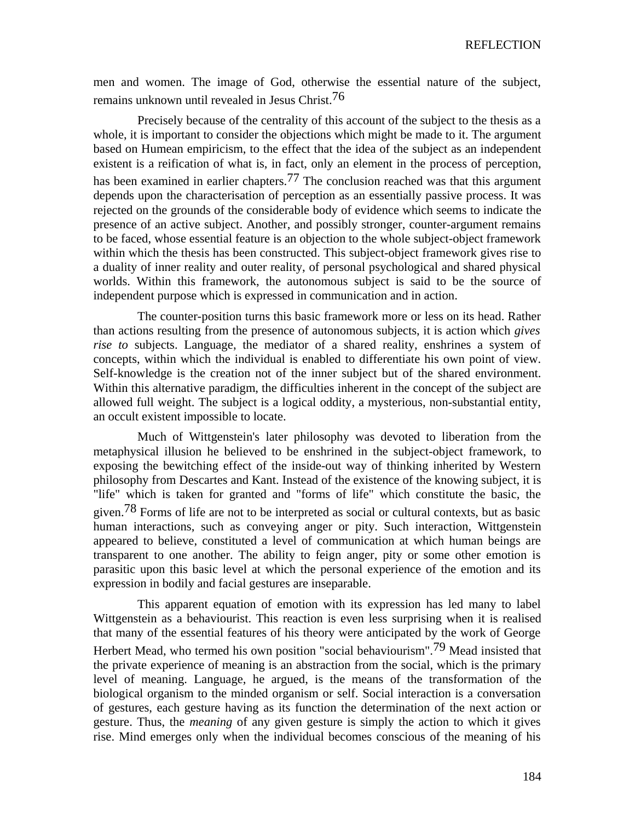men and women. The image of God, otherwise the essential nature of the subject, remains unknown until revealed in Jesus Christ.76

Precisely because of the centrality of this account of the subject to the thesis as a whole, it is important to consider the objections which might be made to it. The argument based on Humean empiricism, to the effect that the idea of the subject as an independent existent is a reification of what is, in fact, only an element in the process of perception, has been examined in earlier chapters.<sup>77</sup> The conclusion reached was that this argument depends upon the characterisation of perception as an essentially passive process. It was rejected on the grounds of the considerable body of evidence which seems to indicate the presence of an active subject. Another, and possibly stronger, counter-argument remains to be faced, whose essential feature is an objection to the whole subject-object framework within which the thesis has been constructed. This subject-object framework gives rise to a duality of inner reality and outer reality, of personal psychological and shared physical worlds. Within this framework, the autonomous subject is said to be the source of independent purpose which is expressed in communication and in action.

The counter-position turns this basic framework more or less on its head. Rather than actions resulting from the presence of autonomous subjects, it is action which *gives rise to* subjects. Language, the mediator of a shared reality, enshrines a system of concepts, within which the individual is enabled to differentiate his own point of view. Self-knowledge is the creation not of the inner subject but of the shared environment. Within this alternative paradigm, the difficulties inherent in the concept of the subject are allowed full weight. The subject is a logical oddity, a mysterious, non-substantial entity, an occult existent impossible to locate.

Much of Wittgenstein's later philosophy was devoted to liberation from the metaphysical illusion he believed to be enshrined in the subject-object framework, to exposing the bewitching effect of the inside-out way of thinking inherited by Western philosophy from Descartes and Kant. Instead of the existence of the knowing subject, it is "life" which is taken for granted and "forms of life" which constitute the basic, the given.78 Forms of life are not to be interpreted as social or cultural contexts, but as basic human interactions, such as conveying anger or pity. Such interaction, Wittgenstein appeared to believe, constituted a level of communication at which human beings are transparent to one another. The ability to feign anger, pity or some other emotion is parasitic upon this basic level at which the personal experience of the emotion and its expression in bodily and facial gestures are inseparable.

This apparent equation of emotion with its expression has led many to label Wittgenstein as a behaviourist. This reaction is even less surprising when it is realised that many of the essential features of his theory were anticipated by the work of George Herbert Mead, who termed his own position "social behaviourism".<sup>79</sup> Mead insisted that the private experience of meaning is an abstraction from the social, which is the primary level of meaning. Language, he argued, is the means of the transformation of the biological organism to the minded organism or self. Social interaction is a conversation of gestures, each gesture having as its function the determination of the next action or gesture. Thus, the *meaning* of any given gesture is simply the action to which it gives rise. Mind emerges only when the individual becomes conscious of the meaning of his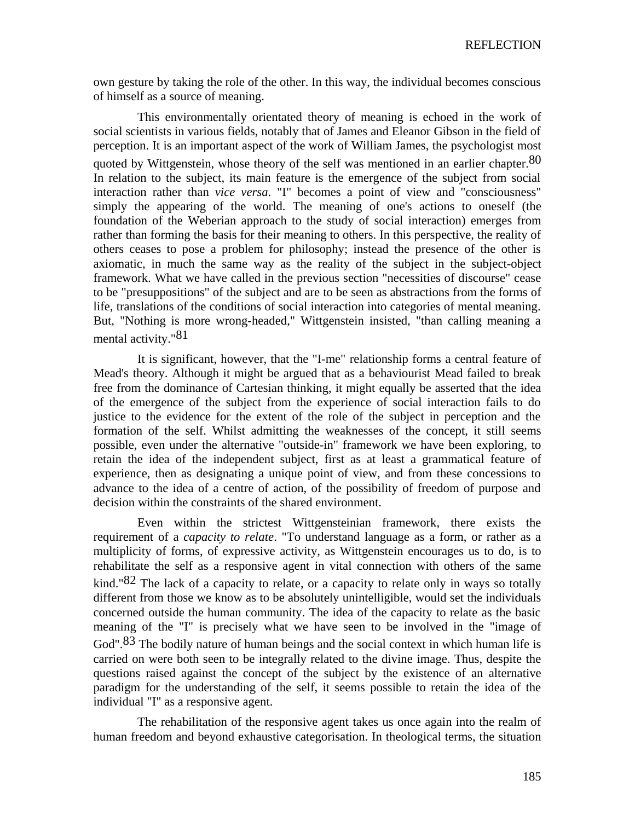own gesture by taking the role of the other. In this way, the individual becomes conscious of himself as a source of meaning.

This environmentally orientated theory of meaning is echoed in the work of social scientists in various fields, notably that of James and Eleanor Gibson in the field of perception. It is an important aspect of the work of William James, the psychologist most quoted by Wittgenstein, whose theory of the self was mentioned in an earlier chapter. 80 In relation to the subject, its main feature is the emergence of the subject from social interaction rather than *vice versa*. "I" becomes a point of view and "consciousness" simply the appearing of the world. The meaning of one's actions to oneself (the foundation of the Weberian approach to the study of social interaction) emerges from rather than forming the basis for their meaning to others. In this perspective, the reality of others ceases to pose a problem for philosophy; instead the presence of the other is axiomatic, in much the same way as the reality of the subject in the subject-object framework. What we have called in the previous section "necessities of discourse" cease to be "presuppositions" of the subject and are to be seen as abstractions from the forms of life, translations of the conditions of social interaction into categories of mental meaning. But, "Nothing is more wrong-headed," Wittgenstein insisted, "than calling meaning a mental activity."<sup>81</sup>

It is significant, however, that the "I-me" relationship forms a central feature of Mead's theory. Although it might be argued that as a behaviourist Mead failed to break free from the dominance of Cartesian thinking, it might equally be asserted that the idea of the emergence of the subject from the experience of social interaction fails to do justice to the evidence for the extent of the role of the subject in perception and the formation of the self. Whilst admitting the weaknesses of the concept, it still seems possible, even under the alternative "outside-in" framework we have been exploring, to retain the idea of the independent subject, first as at least a grammatical feature of experience, then as designating a unique point of view, and from these concessions to advance to the idea of a centre of action, of the possibility of freedom of purpose and decision within the constraints of the shared environment.

Even within the strictest Wittgensteinian framework, there exists the requirement of a *capacity to relate*. "To understand language as a form, or rather as a multiplicity of forms, of expressive activity, as Wittgenstein encourages us to do, is to rehabilitate the self as a responsive agent in vital connection with others of the same kind." $82$  The lack of a capacity to relate, or a capacity to relate only in ways so totally different from those we know as to be absolutely unintelligible, would set the individuals concerned outside the human community. The idea of the capacity to relate as the basic meaning of the "I" is precisely what we have seen to be involved in the "image of God".<sup>83</sup> The bodily nature of human beings and the social context in which human life is carried on were both seen to be integrally related to the divine image. Thus, despite the questions raised against the concept of the subject by the existence of an alternative paradigm for the understanding of the self, it seems possible to retain the idea of the individual "I" as a responsive agent.

The rehabilitation of the responsive agent takes us once again into the realm of human freedom and beyond exhaustive categorisation. In theological terms, the situation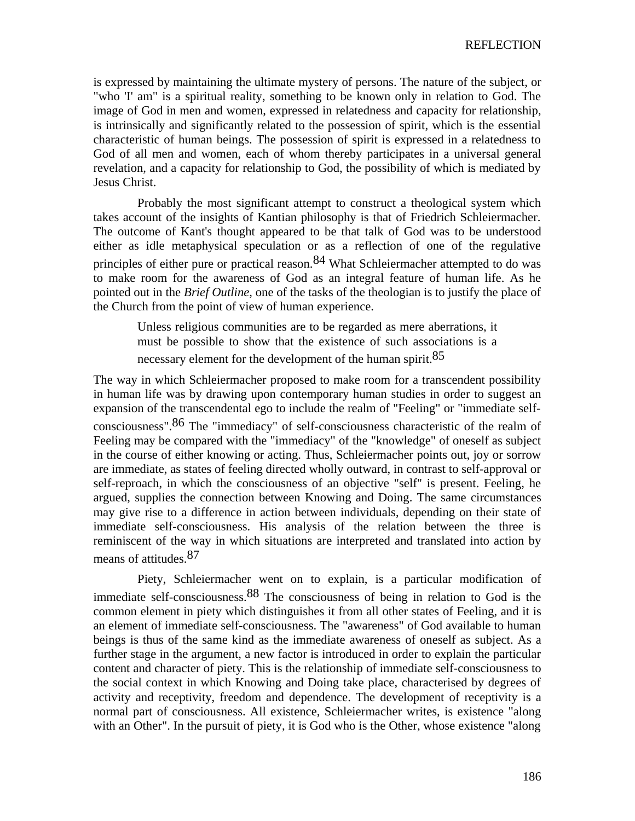is expressed by maintaining the ultimate mystery of persons. The nature of the subject, or "who 'I' am" is a spiritual reality, something to be known only in relation to God. The image of God in men and women, expressed in relatedness and capacity for relationship, is intrinsically and significantly related to the possession of spirit, which is the essential characteristic of human beings. The possession of spirit is expressed in a relatedness to God of all men and women, each of whom thereby participates in a universal general revelation, and a capacity for relationship to God, the possibility of which is mediated by Jesus Christ.

Probably the most significant attempt to construct a theological system which takes account of the insights of Kantian philosophy is that of Friedrich Schleiermacher. The outcome of Kant's thought appeared to be that talk of God was to be understood either as idle metaphysical speculation or as a reflection of one of the regulative principles of either pure or practical reason.  $84$  What Schleiermacher attempted to do was to make room for the awareness of God as an integral feature of human life. As he pointed out in the *Brief Outline*, one of the tasks of the theologian is to justify the place of the Church from the point of view of human experience.

Unless religious communities are to be regarded as mere aberrations, it must be possible to show that the existence of such associations is a necessary element for the development of the human spirit.<sup>85</sup>

The way in which Schleiermacher proposed to make room for a transcendent possibility in human life was by drawing upon contemporary human studies in order to suggest an expansion of the transcendental ego to include the realm of "Feeling" or "immediate selfconsciousness".86 The "immediacy" of self-consciousness characteristic of the realm of Feeling may be compared with the "immediacy" of the "knowledge" of oneself as subject in the course of either knowing or acting. Thus, Schleiermacher points out, joy or sorrow are immediate, as states of feeling directed wholly outward, in contrast to self-approval or self-reproach, in which the consciousness of an objective "self" is present. Feeling, he argued, supplies the connection between Knowing and Doing. The same circumstances may give rise to a difference in action between individuals, depending on their state of immediate self-consciousness. His analysis of the relation between the three is reminiscent of the way in which situations are interpreted and translated into action by means of attitudes.87

Piety, Schleiermacher went on to explain, is a particular modification of immediate self-consciousness.88 The consciousness of being in relation to God is the common element in piety which distinguishes it from all other states of Feeling, and it is an element of immediate self-consciousness. The "awareness" of God available to human beings is thus of the same kind as the immediate awareness of oneself as subject. As a further stage in the argument, a new factor is introduced in order to explain the particular content and character of piety. This is the relationship of immediate self-consciousness to the social context in which Knowing and Doing take place, characterised by degrees of activity and receptivity, freedom and dependence. The development of receptivity is a normal part of consciousness. All existence, Schleiermacher writes, is existence "along with an Other". In the pursuit of piety, it is God who is the Other, whose existence "along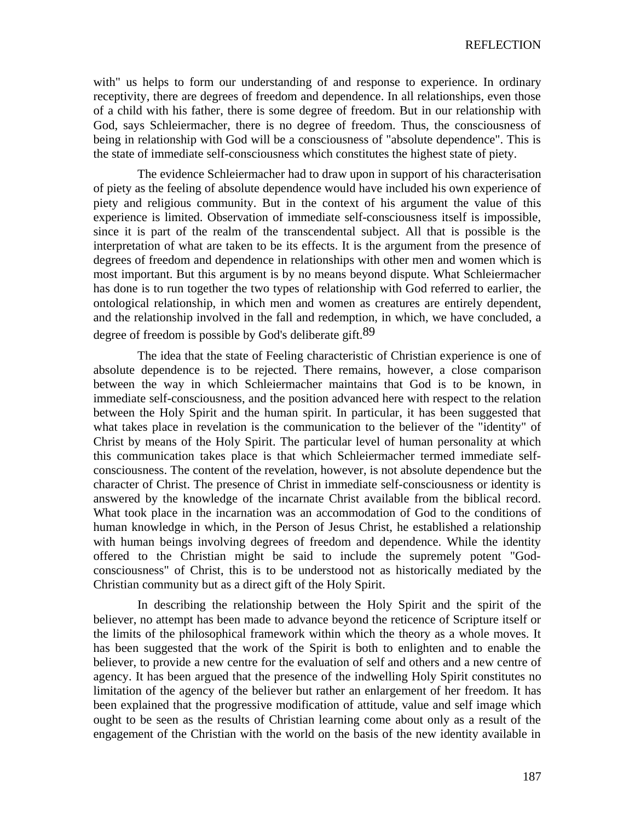with" us helps to form our understanding of and response to experience. In ordinary receptivity, there are degrees of freedom and dependence. In all relationships, even those of a child with his father, there is some degree of freedom. But in our relationship with God, says Schleiermacher, there is no degree of freedom. Thus, the consciousness of being in relationship with God will be a consciousness of "absolute dependence". This is the state of immediate self-consciousness which constitutes the highest state of piety.

The evidence Schleiermacher had to draw upon in support of his characterisation of piety as the feeling of absolute dependence would have included his own experience of piety and religious community. But in the context of his argument the value of this experience is limited. Observation of immediate self-consciousness itself is impossible, since it is part of the realm of the transcendental subject. All that is possible is the interpretation of what are taken to be its effects. It is the argument from the presence of degrees of freedom and dependence in relationships with other men and women which is most important. But this argument is by no means beyond dispute. What Schleiermacher has done is to run together the two types of relationship with God referred to earlier, the ontological relationship, in which men and women as creatures are entirely dependent, and the relationship involved in the fall and redemption, in which, we have concluded, a degree of freedom is possible by God's deliberate gift.<sup>89</sup>

The idea that the state of Feeling characteristic of Christian experience is one of absolute dependence is to be rejected. There remains, however, a close comparison between the way in which Schleiermacher maintains that God is to be known, in immediate self-consciousness, and the position advanced here with respect to the relation between the Holy Spirit and the human spirit. In particular, it has been suggested that what takes place in revelation is the communication to the believer of the "identity" of Christ by means of the Holy Spirit. The particular level of human personality at which this communication takes place is that which Schleiermacher termed immediate selfconsciousness. The content of the revelation, however, is not absolute dependence but the character of Christ. The presence of Christ in immediate self-consciousness or identity is answered by the knowledge of the incarnate Christ available from the biblical record. What took place in the incarnation was an accommodation of God to the conditions of human knowledge in which, in the Person of Jesus Christ, he established a relationship with human beings involving degrees of freedom and dependence. While the identity offered to the Christian might be said to include the supremely potent "Godconsciousness" of Christ, this is to be understood not as historically mediated by the Christian community but as a direct gift of the Holy Spirit.

In describing the relationship between the Holy Spirit and the spirit of the believer, no attempt has been made to advance beyond the reticence of Scripture itself or the limits of the philosophical framework within which the theory as a whole moves. It has been suggested that the work of the Spirit is both to enlighten and to enable the believer, to provide a new centre for the evaluation of self and others and a new centre of agency. It has been argued that the presence of the indwelling Holy Spirit constitutes no limitation of the agency of the believer but rather an enlargement of her freedom. It has been explained that the progressive modification of attitude, value and self image which ought to be seen as the results of Christian learning come about only as a result of the engagement of the Christian with the world on the basis of the new identity available in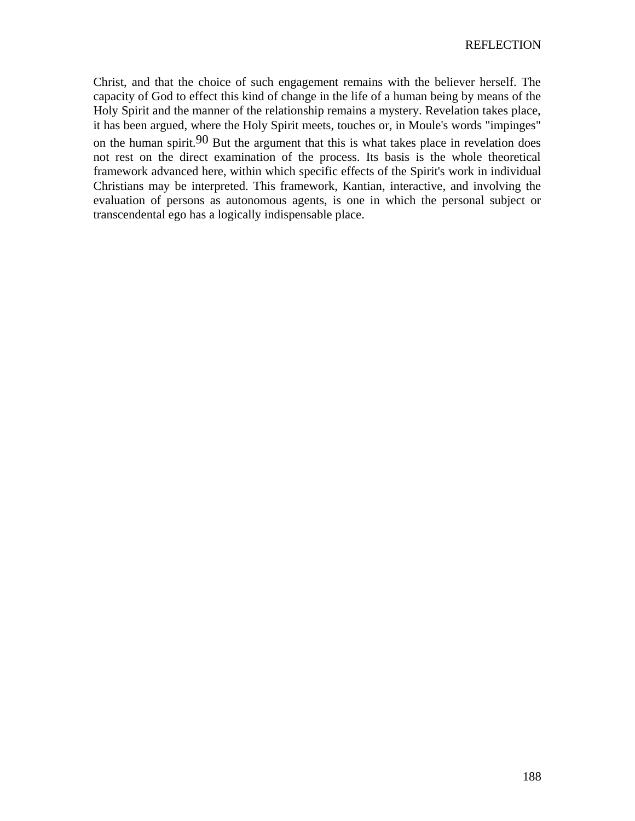Christ, and that the choice of such engagement remains with the believer herself. The capacity of God to effect this kind of change in the life of a human being by means of the Holy Spirit and the manner of the relationship remains a mystery. Revelation takes place, it has been argued, where the Holy Spirit meets, touches or, in Moule's words "impinges" on the human spirit.90 But the argument that this is what takes place in revelation does not rest on the direct examination of the process. Its basis is the whole theoretical framework advanced here, within which specific effects of the Spirit's work in individual Christians may be interpreted. This framework, Kantian, interactive, and involving the evaluation of persons as autonomous agents, is one in which the personal subject or transcendental ego has a logically indispensable place.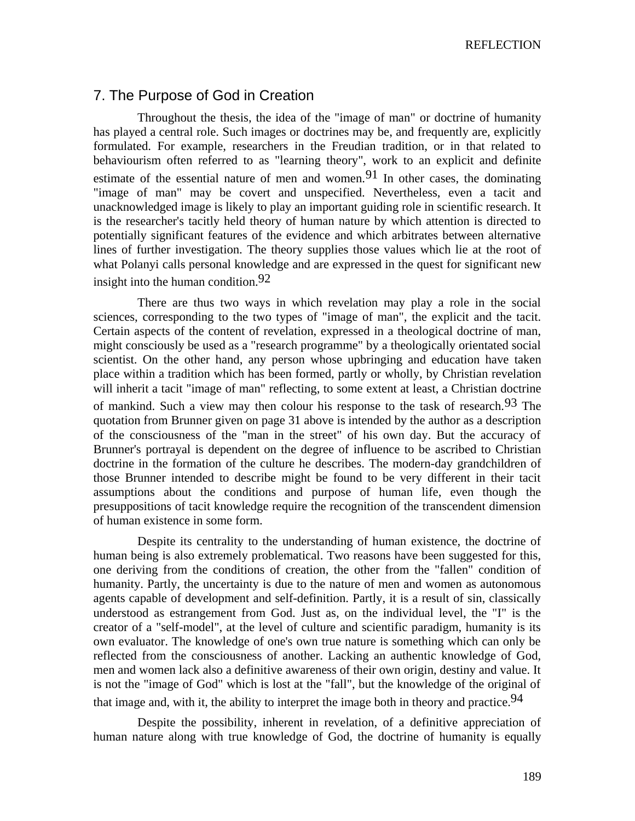## 7. The Purpose of God in Creation

Throughout the thesis, the idea of the "image of man" or doctrine of humanity has played a central role. Such images or doctrines may be, and frequently are, explicitly formulated. For example, researchers in the Freudian tradition, or in that related to behaviourism often referred to as "learning theory", work to an explicit and definite estimate of the essential nature of men and women.<sup>91</sup> In other cases, the dominating "image of man" may be covert and unspecified. Nevertheless, even a tacit and unacknowledged image is likely to play an important guiding role in scientific research. It is the researcher's tacitly held theory of human nature by which attention is directed to potentially significant features of the evidence and which arbitrates between alternative lines of further investigation. The theory supplies those values which lie at the root of what Polanyi calls personal knowledge and are expressed in the quest for significant new insight into the human condition.92

There are thus two ways in which revelation may play a role in the social sciences, corresponding to the two types of "image of man", the explicit and the tacit. Certain aspects of the content of revelation, expressed in a theological doctrine of man, might consciously be used as a "research programme" by a theologically orientated social scientist. On the other hand, any person whose upbringing and education have taken place within a tradition which has been formed, partly or wholly, by Christian revelation will inherit a tacit "image of man" reflecting, to some extent at least, a Christian doctrine of mankind. Such a view may then colour his response to the task of research.93 The quotation from Brunner given on page 31 above is intended by the author as a description of the consciousness of the "man in the street" of his own day. But the accuracy of Brunner's portrayal is dependent on the degree of influence to be ascribed to Christian doctrine in the formation of the culture he describes. The modern-day grandchildren of those Brunner intended to describe might be found to be very different in their tacit assumptions about the conditions and purpose of human life, even though the presuppositions of tacit knowledge require the recognition of the transcendent dimension of human existence in some form.

Despite its centrality to the understanding of human existence, the doctrine of human being is also extremely problematical. Two reasons have been suggested for this, one deriving from the conditions of creation, the other from the "fallen" condition of humanity. Partly, the uncertainty is due to the nature of men and women as autonomous agents capable of development and self-definition. Partly, it is a result of sin, classically understood as estrangement from God. Just as, on the individual level, the "I" is the creator of a "self-model", at the level of culture and scientific paradigm, humanity is its own evaluator. The knowledge of one's own true nature is something which can only be reflected from the consciousness of another. Lacking an authentic knowledge of God, men and women lack also a definitive awareness of their own origin, destiny and value. It is not the "image of God" which is lost at the "fall", but the knowledge of the original of that image and, with it, the ability to interpret the image both in theory and practice.<sup>94</sup>

Despite the possibility, inherent in revelation, of a definitive appreciation of human nature along with true knowledge of God, the doctrine of humanity is equally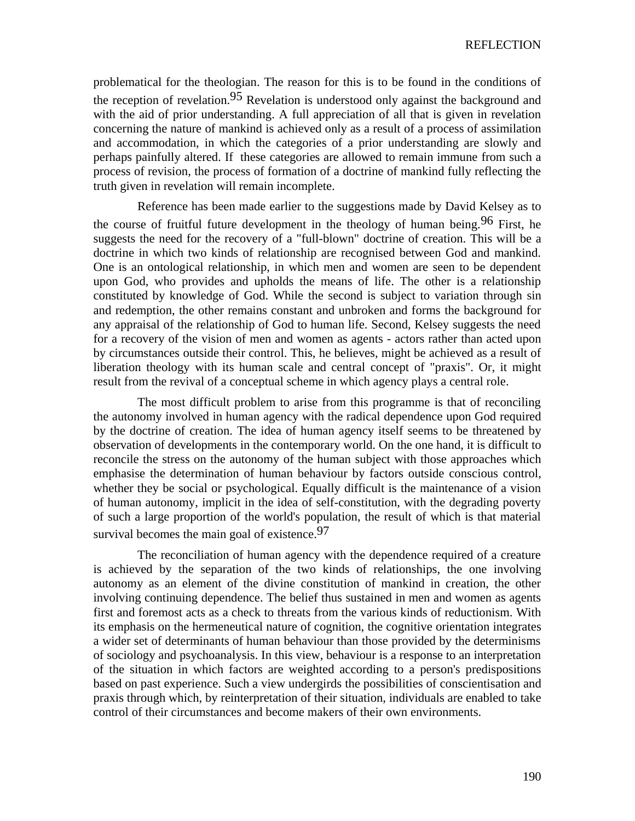problematical for the theologian. The reason for this is to be found in the conditions of the reception of revelation.<sup>95</sup> Revelation is understood only against the background and with the aid of prior understanding. A full appreciation of all that is given in revelation concerning the nature of mankind is achieved only as a result of a process of assimilation and accommodation, in which the categories of a prior understanding are slowly and perhaps painfully altered. If these categories are allowed to remain immune from such a process of revision, the process of formation of a doctrine of mankind fully reflecting the truth given in revelation will remain incomplete.

Reference has been made earlier to the suggestions made by David Kelsey as to the course of fruitful future development in the theology of human being. <sup>96</sup> First, he suggests the need for the recovery of a "full-blown" doctrine of creation. This will be a doctrine in which two kinds of relationship are recognised between God and mankind. One is an ontological relationship, in which men and women are seen to be dependent upon God, who provides and upholds the means of life. The other is a relationship constituted by knowledge of God. While the second is subject to variation through sin and redemption, the other remains constant and unbroken and forms the background for any appraisal of the relationship of God to human life. Second, Kelsey suggests the need for a recovery of the vision of men and women as agents - actors rather than acted upon by circumstances outside their control. This, he believes, might be achieved as a result of liberation theology with its human scale and central concept of "praxis". Or, it might result from the revival of a conceptual scheme in which agency plays a central role.

The most difficult problem to arise from this programme is that of reconciling the autonomy involved in human agency with the radical dependence upon God required by the doctrine of creation. The idea of human agency itself seems to be threatened by observation of developments in the contemporary world. On the one hand, it is difficult to reconcile the stress on the autonomy of the human subject with those approaches which emphasise the determination of human behaviour by factors outside conscious control, whether they be social or psychological. Equally difficult is the maintenance of a vision of human autonomy, implicit in the idea of self-constitution, with the degrading poverty of such a large proportion of the world's population, the result of which is that material survival becomes the main goal of existence.<sup>97</sup>

The reconciliation of human agency with the dependence required of a creature is achieved by the separation of the two kinds of relationships, the one involving autonomy as an element of the divine constitution of mankind in creation, the other involving continuing dependence. The belief thus sustained in men and women as agents first and foremost acts as a check to threats from the various kinds of reductionism. With its emphasis on the hermeneutical nature of cognition, the cognitive orientation integrates a wider set of determinants of human behaviour than those provided by the determinisms of sociology and psychoanalysis. In this view, behaviour is a response to an interpretation of the situation in which factors are weighted according to a person's predispositions based on past experience. Such a view undergirds the possibilities of conscientisation and praxis through which, by reinterpretation of their situation, individuals are enabled to take control of their circumstances and become makers of their own environments.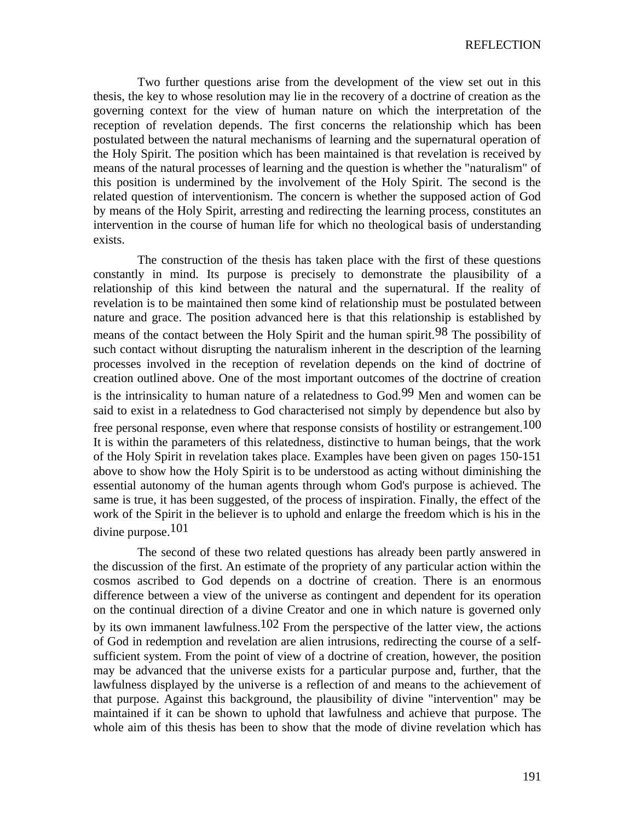Two further questions arise from the development of the view set out in this thesis, the key to whose resolution may lie in the recovery of a doctrine of creation as the governing context for the view of human nature on which the interpretation of the reception of revelation depends. The first concerns the relationship which has been postulated between the natural mechanisms of learning and the supernatural operation of the Holy Spirit. The position which has been maintained is that revelation is received by means of the natural processes of learning and the question is whether the "naturalism" of this position is undermined by the involvement of the Holy Spirit. The second is the related question of interventionism. The concern is whether the supposed action of God by means of the Holy Spirit, arresting and redirecting the learning process, constitutes an intervention in the course of human life for which no theological basis of understanding exists.

The construction of the thesis has taken place with the first of these questions constantly in mind. Its purpose is precisely to demonstrate the plausibility of a relationship of this kind between the natural and the supernatural. If the reality of revelation is to be maintained then some kind of relationship must be postulated between nature and grace. The position advanced here is that this relationship is established by means of the contact between the Holy Spirit and the human spirit.<sup>98</sup> The possibility of such contact without disrupting the naturalism inherent in the description of the learning processes involved in the reception of revelation depends on the kind of doctrine of creation outlined above. One of the most important outcomes of the doctrine of creation is the intrinsicality to human nature of a relatedness to God.<sup>99</sup> Men and women can be said to exist in a relatedness to God characterised not simply by dependence but also by free personal response, even where that response consists of hostility or estrangement.100 It is within the parameters of this relatedness, distinctive to human beings, that the work of the Holy Spirit in revelation takes place. Examples have been given on pages 150-151 above to show how the Holy Spirit is to be understood as acting without diminishing the essential autonomy of the human agents through whom God's purpose is achieved. The same is true, it has been suggested, of the process of inspiration. Finally, the effect of the work of the Spirit in the believer is to uphold and enlarge the freedom which is his in the divine purpose.<sup>101</sup>

The second of these two related questions has already been partly answered in the discussion of the first. An estimate of the propriety of any particular action within the cosmos ascribed to God depends on a doctrine of creation. There is an enormous difference between a view of the universe as contingent and dependent for its operation on the continual direction of a divine Creator and one in which nature is governed only by its own immanent lawfulness.<sup>102</sup> From the perspective of the latter view, the actions of God in redemption and revelation are alien intrusions, redirecting the course of a selfsufficient system. From the point of view of a doctrine of creation, however, the position may be advanced that the universe exists for a particular purpose and, further, that the lawfulness displayed by the universe is a reflection of and means to the achievement of that purpose. Against this background, the plausibility of divine "intervention" may be maintained if it can be shown to uphold that lawfulness and achieve that purpose. The whole aim of this thesis has been to show that the mode of divine revelation which has

191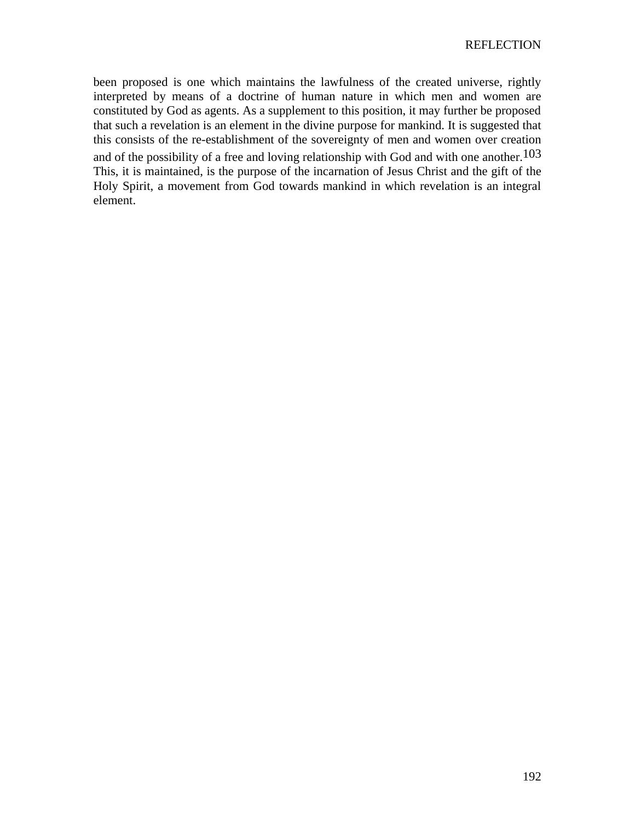been proposed is one which maintains the lawfulness of the created universe, rightly interpreted by means of a doctrine of human nature in which men and women are constituted by God as agents. As a supplement to this position, it may further be proposed that such a revelation is an element in the divine purpose for mankind. It is suggested that this consists of the re-establishment of the sovereignty of men and women over creation

and of the possibility of a free and loving relationship with God and with one another.103 This, it is maintained, is the purpose of the incarnation of Jesus Christ and the gift of the Holy Spirit, a movement from God towards mankind in which revelation is an integral element.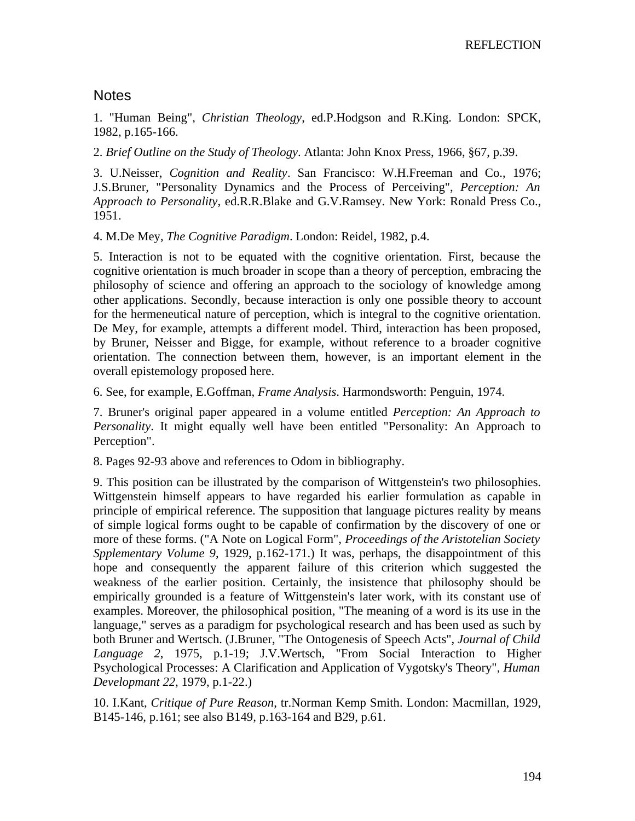## **Notes**

1. "Human Being", *Christian Theology*, ed.P.Hodgson and R.King. London: SPCK, 1982, p.165-166.

2. *Brief Outline on the Study of Theology*. Atlanta: John Knox Press, 1966, §67, p.39.

3. U.Neisser, *Cognition and Reality*. San Francisco: W.H.Freeman and Co., 1976; J.S.Bruner, "Personality Dynamics and the Process of Perceiving", *Perception: An Approach to Personality*, ed.R.R.Blake and G.V.Ramsey. New York: Ronald Press Co., 1951.

4. M.De Mey, *The Cognitive Paradigm*. London: Reidel, 1982, p.4.

5. Interaction is not to be equated with the cognitive orientation. First, because the cognitive orientation is much broader in scope than a theory of perception, embracing the philosophy of science and offering an approach to the sociology of knowledge among other applications. Secondly, because interaction is only one possible theory to account for the hermeneutical nature of perception, which is integral to the cognitive orientation. De Mey, for example, attempts a different model. Third, interaction has been proposed, by Bruner, Neisser and Bigge, for example, without reference to a broader cognitive orientation. The connection between them, however, is an important element in the overall epistemology proposed here.

6. See, for example, E.Goffman, *Frame Analysis*. Harmondsworth: Penguin, 1974.

7. Bruner's original paper appeared in a volume entitled *Perception: An Approach to Personality*. It might equally well have been entitled "Personality: An Approach to Perception".

8. Pages 92-93 above and references to Odom in bibliography.

9. This position can be illustrated by the comparison of Wittgenstein's two philosophies. Wittgenstein himself appears to have regarded his earlier formulation as capable in principle of empirical reference. The supposition that language pictures reality by means of simple logical forms ought to be capable of confirmation by the discovery of one or more of these forms. ("A Note on Logical Form", *Proceedings of the Aristotelian Society Spplementary Volume 9*, 1929, p.162-171.) It was, perhaps, the disappointment of this hope and consequently the apparent failure of this criterion which suggested the weakness of the earlier position. Certainly, the insistence that philosophy should be empirically grounded is a feature of Wittgenstein's later work, with its constant use of examples. Moreover, the philosophical position, "The meaning of a word is its use in the language," serves as a paradigm for psychological research and has been used as such by both Bruner and Wertsch. (J.Bruner, "The Ontogenesis of Speech Acts", *Journal of Child Language 2*, 1975, p.1-19; J.V.Wertsch, "From Social Interaction to Higher Psychological Processes: A Clarification and Application of Vygotsky's Theory", *Human Developmant 22*, 1979, p.1-22.)

10. I.Kant, *Critique of Pure Reason*, tr.Norman Kemp Smith. London: Macmillan, 1929, B145-146, p.161; see also B149, p.163-164 and B29, p.61.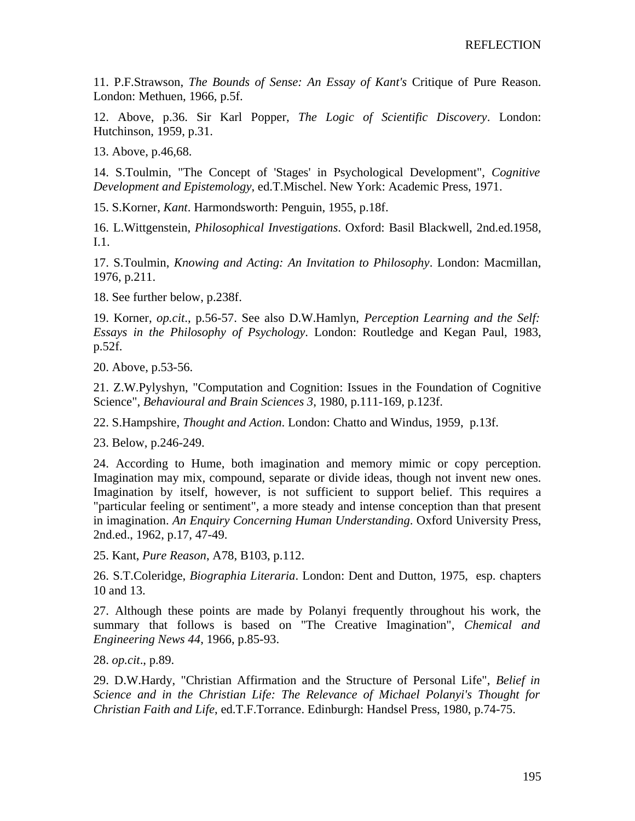11. P.F.Strawson, *The Bounds of Sense: An Essay of Kant's* Critique of Pure Reason. London: Methuen, 1966, p.5f.

12. Above, p.36. Sir Karl Popper, *The Logic of Scientific Discovery*. London: Hutchinson, 1959, p.31.

13. Above, p.46,68.

14. S.Toulmin, "The Concept of 'Stages' in Psychological Development", *Cognitive Development and Epistemology*, ed.T.Mischel. New York: Academic Press, 1971.

15. S.Korner, *Kant*. Harmondsworth: Penguin, 1955, p.18f.

16. L.Wittgenstein, *Philosophical Investigations*. Oxford: Basil Blackwell, 2nd.ed.1958, I.1.

17. S.Toulmin, *Knowing and Acting: An Invitation to Philosophy*. London: Macmillan, 1976, p.211.

18. See further below, p.238f.

19. Korner, *op.cit*., p.56-57. See also D.W.Hamlyn, *Perception Learning and the Self: Essays in the Philosophy of Psychology*. London: Routledge and Kegan Paul, 1983, p.52f.

20. Above, p.53-56.

21. Z.W.Pylyshyn, "Computation and Cognition: Issues in the Foundation of Cognitive Science", *Behavioural and Brain Sciences 3*, 1980, p.111-169, p.123f.

22. S.Hampshire, *Thought and Action*. London: Chatto and Windus, 1959, p.13f.

23. Below, p.246-249.

24. According to Hume, both imagination and memory mimic or copy perception. Imagination may mix, compound, separate or divide ideas, though not invent new ones. Imagination by itself, however, is not sufficient to support belief. This requires a "particular feeling or sentiment", a more steady and intense conception than that present in imagination. *An Enquiry Concerning Human Understanding*. Oxford University Press, 2nd.ed., 1962, p.17, 47-49.

25. Kant, *Pure Reason*, A78, B103, p.112.

26. S.T.Coleridge, *Biographia Literaria*. London: Dent and Dutton, 1975, esp. chapters 10 and 13.

27. Although these points are made by Polanyi frequently throughout his work, the summary that follows is based on "The Creative Imagination", *Chemical and Engineering News 44*, 1966, p.85-93.

28. *op.cit*., p.89.

29. D.W.Hardy, "Christian Affirmation and the Structure of Personal Life", *Belief in Science and in the Christian Life: The Relevance of Michael Polanyi's Thought for Christian Faith and Life*, ed.T.F.Torrance. Edinburgh: Handsel Press, 1980, p.74-75.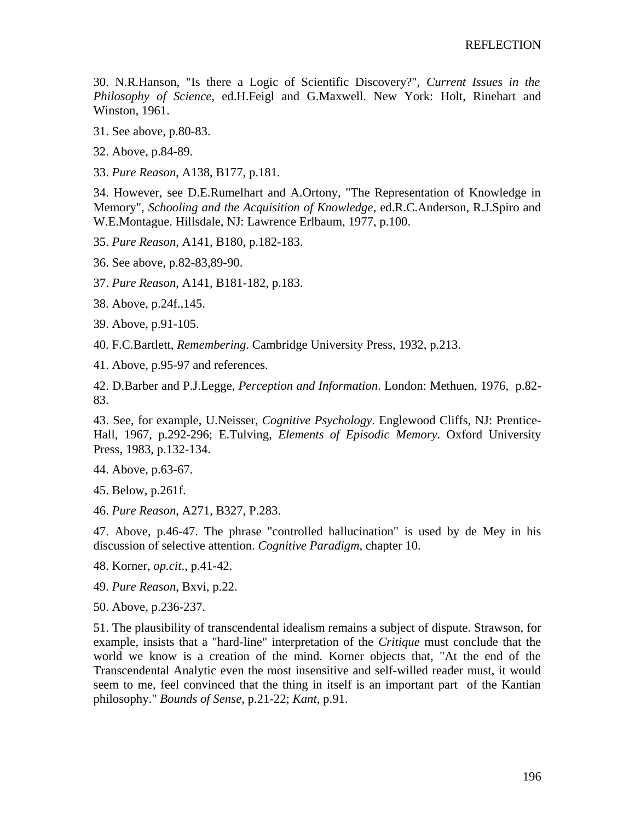30. N.R.Hanson, "Is there a Logic of Scientific Discovery?", *Current Issues in the Philosophy of Science*, ed.H.Feigl and G.Maxwell. New York: Holt, Rinehart and Winston, 1961.

- 31. See above, p.80-83.
- 32. Above, p.84-89.

33. *Pure Reason*, A138, B177, p.181.

34. However, see D.E.Rumelhart and A.Ortony, "The Representation of Knowledge in Memory", *Schooling and the Acquisition of Knowledge*, ed.R.C.Anderson, R.J.Spiro and W.E.Montague. Hillsdale, NJ: Lawrence Erlbaum, 1977, p.100.

35. *Pure Reason*, A141, B180, p.182-183.

36. See above, p.82-83,89-90.

37. *Pure Reason*, A141, B181-182, p.183.

38. Above, p.24f.,145.

39. Above, p.91-105.

40. F.C.Bartlett, *Remembering*. Cambridge University Press, 1932, p.213.

41. Above, p.95-97 and references.

42. D.Barber and P.J.Legge, *Perception and Information*. London: Methuen, 1976, p.82- 83.

43. See, for example, U.Neisser, *Cognitive Psychology*. Englewood Cliffs, NJ: Prentice-Hall, 1967, p.292-296; E.Tulving, *Elements of Episodic Memory*. Oxford University Press, 1983, p.132-134.

44. Above, p.63-67.

45. Below, p.261f.

46. *Pure Reason*, A271, B327, P.283.

47. Above, p.46-47. The phrase "controlled hallucination" is used by de Mey in his discussion of selective attention. *Cognitive Paradigm*, chapter 10.

48. Korner, *op.cit*., p.41-42.

49. *Pure Reason*, Bxvi, p.22.

50. Above, p.236-237.

51. The plausibility of transcendental idealism remains a subject of dispute. Strawson, for example, insists that a "hard-line" interpretation of the *Critique* must conclude that the world we know is a creation of the mind. Korner objects that, "At the end of the Transcendental Analytic even the most insensitive and self-willed reader must, it would seem to me, feel convinced that the thing in itself is an important part of the Kantian philosophy." *Bounds of Sense*, p.21-22; *Kant*, p.91.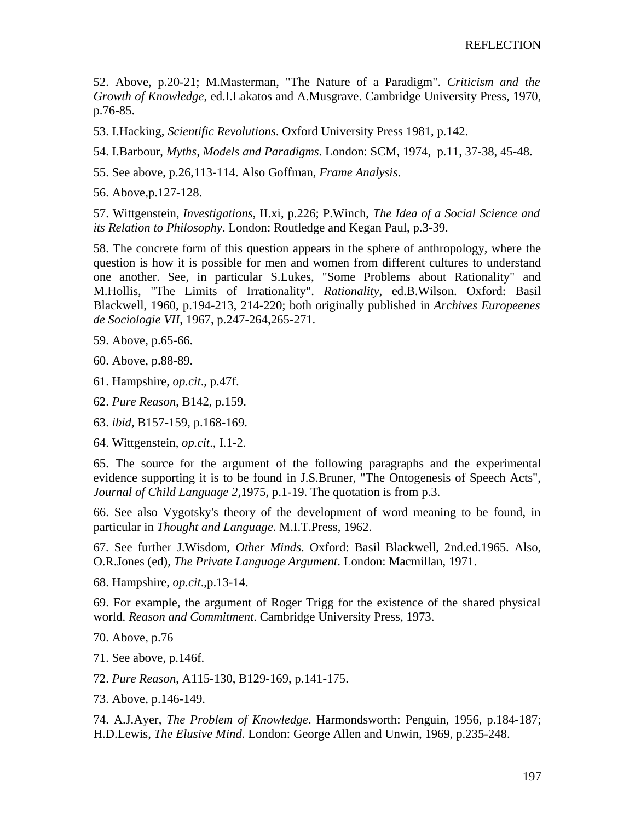52. Above, p.20-21; M.Masterman, "The Nature of a Paradigm". *Criticism and the Growth of Knowledge*, ed.I.Lakatos and A.Musgrave. Cambridge University Press, 1970, p.76-85.

53. I.Hacking, *Scientific Revolutions*. Oxford University Press 1981, p.142.

54. I.Barbour, *Myths, Models and Paradigms*. London: SCM, 1974, p.11, 37-38, 45-48.

55. See above, p.26,113-114. Also Goffman, *Frame Analysis*.

56. Above,p.127-128.

57. Wittgenstein, *Investigations*, II.xi, p.226; P.Winch, *The Idea of a Social Science and its Relation to Philosophy*. London: Routledge and Kegan Paul, p.3-39.

58. The concrete form of this question appears in the sphere of anthropology, where the question is how it is possible for men and women from different cultures to understand one another. See, in particular S.Lukes, "Some Problems about Rationality" and M.Hollis, "The Limits of Irrationality". *Rationality*, ed.B.Wilson. Oxford: Basil Blackwell, 1960, p.194-213, 214-220; both originally published in *Archives Europeenes de Sociologie VII*, 1967, p.247-264,265-271.

59. Above, p.65-66.

60. Above, p.88-89.

- 61. Hampshire, *op.cit*., p.47f.
- 62. *Pure Reason*, B142, p.159.
- 63. *ibid*, B157-159, p.168-169.
- 64. Wittgenstein, *op.cit*., I.1-2.

65. The source for the argument of the following paragraphs and the experimental evidence supporting it is to be found in J.S.Bruner, "The Ontogenesis of Speech Acts", *Journal of Child Language 2,*1975, p.1-19. The quotation is from p.3.

66. See also Vygotsky's theory of the development of word meaning to be found, in particular in *Thought and Language*. M.I.T.Press, 1962.

67. See further J.Wisdom, *Other Minds*. Oxford: Basil Blackwell, 2nd.ed.1965. Also, O.R.Jones (ed), *The Private Language Argument*. London: Macmillan, 1971.

68. Hampshire, *op.cit*.,p.13-14.

69. For example, the argument of Roger Trigg for the existence of the shared physical world. *Reason and Commitment*. Cambridge University Press, 1973.

70. Above, p.76

71. See above, p.146f.

72. *Pure Reason*, A115-130, B129-169, p.141-175.

73. Above, p.146-149.

74. A.J.Ayer, *The Problem of Knowledge*. Harmondsworth: Penguin, 1956, p.184-187; H.D.Lewis, *The Elusive Mind*. London: George Allen and Unwin, 1969, p.235-248.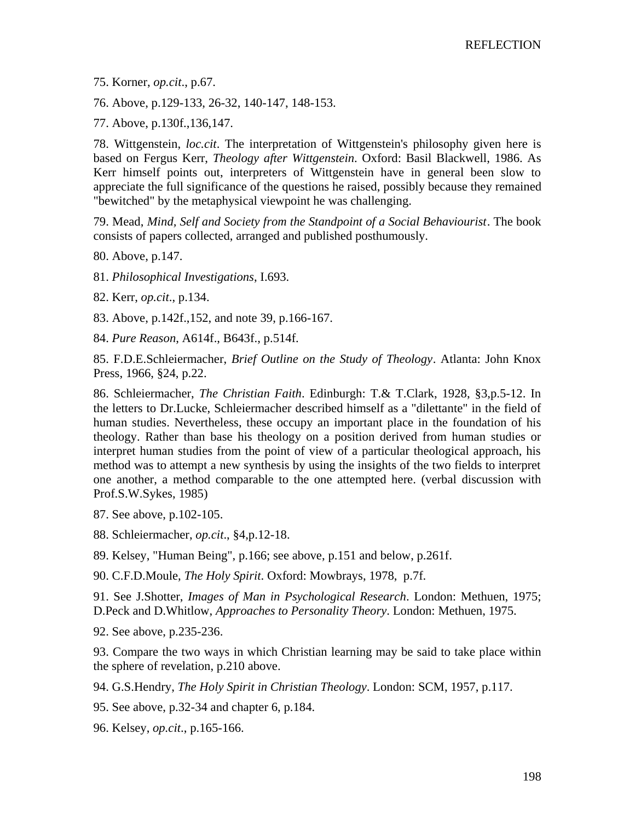75. Korner, *op.cit*., p.67.

76. Above, p.129-133, 26-32, 140-147, 148-153.

77. Above, p.130f.,136,147.

78. Wittgenstein, *loc.cit*. The interpretation of Wittgenstein's philosophy given here is based on Fergus Kerr, *Theology after Wittgenstein*. Oxford: Basil Blackwell, 1986. As Kerr himself points out, interpreters of Wittgenstein have in general been slow to appreciate the full significance of the questions he raised, possibly because they remained "bewitched" by the metaphysical viewpoint he was challenging.

79. Mead, *Mind, Self and Society from the Standpoint of a Social Behaviourist*. The book consists of papers collected, arranged and published posthumously.

80. Above, p.147.

81. *Philosophical Investigations*, I.693.

82. Kerr, *op.cit*., p.134.

83. Above, p.142f.,152, and note 39, p.166-167.

84. *Pure Reason*, A614f., B643f., p.514f.

85. F.D.E.Schleiermacher, *Brief Outline on the Study of Theology*. Atlanta: John Knox Press, 1966, §24, p.22.

86. Schleiermacher, *The Christian Faith*. Edinburgh: T.& T.Clark, 1928, §3,p.5-12. In the letters to Dr.Lucke, Schleiermacher described himself as a "dilettante" in the field of human studies. Nevertheless, these occupy an important place in the foundation of his theology. Rather than base his theology on a position derived from human studies or interpret human studies from the point of view of a particular theological approach, his method was to attempt a new synthesis by using the insights of the two fields to interpret one another, a method comparable to the one attempted here. (verbal discussion with Prof.S.W.Sykes, 1985)

87. See above, p.102-105.

88. Schleiermacher, *op.cit*., §4,p.12-18.

89. Kelsey, "Human Being", p.166; see above, p.151 and below, p.261f.

90. C.F.D.Moule, *The Holy Spirit*. Oxford: Mowbrays, 1978, p.7f.

91. See J.Shotter, *Images of Man in Psychological Research*. London: Methuen, 1975; D.Peck and D.Whitlow, *Approaches to Personality Theory*. London: Methuen, 1975.

92. See above, p.235-236.

93. Compare the two ways in which Christian learning may be said to take place within the sphere of revelation, p.210 above.

94. G.S.Hendry, *The Holy Spirit in Christian Theology*. London: SCM, 1957, p.117.

95. See above, p.32-34 and chapter 6, p.184.

96. Kelsey, *op.cit*., p.165-166.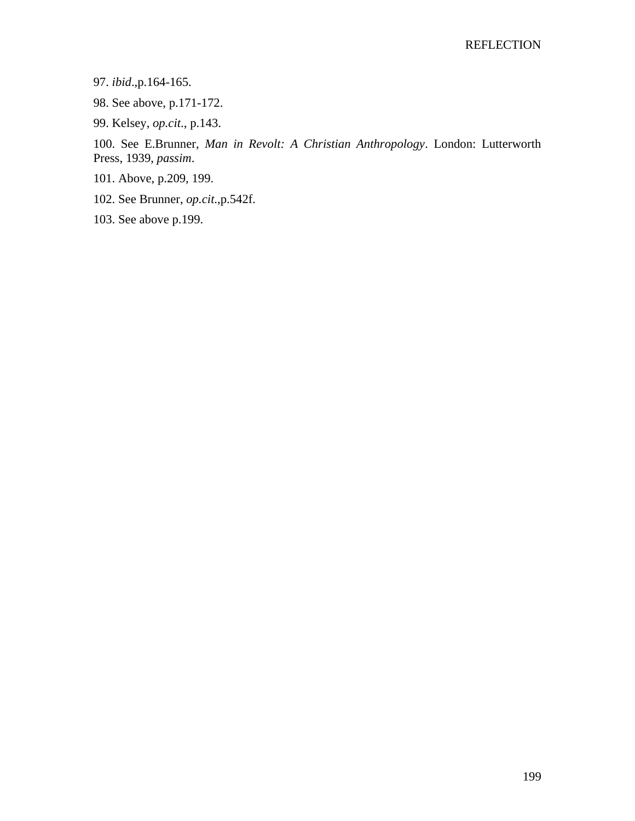97. *ibid*.,p.164-165.

98. See above, p.171-172.

99. Kelsey, *op.cit*., p.143.

100. See E.Brunner, *Man in Revolt: A Christian Anthropology*. London: Lutterworth Press, 1939, *passim*.

101. Above, p.209, 199.

102. See Brunner, *op.cit*.,p.542f.

103. See above p.199.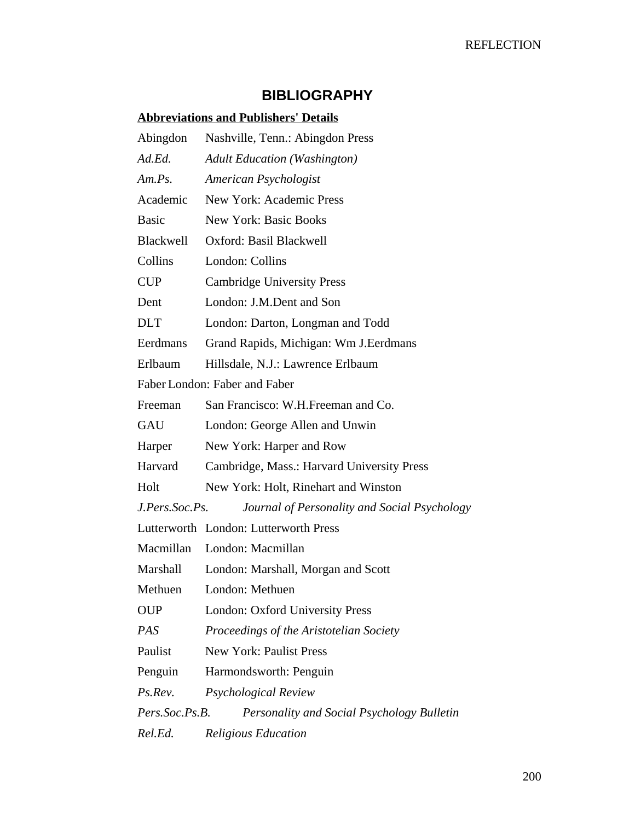# **BIBLIOGRAPHY**

## **Abbreviations and Publishers' Details**

| Abingdon                                                     | Nashville, Tenn.: Abingdon Press             |  |  |  |  |
|--------------------------------------------------------------|----------------------------------------------|--|--|--|--|
| Ad.Ed.                                                       | <b>Adult Education (Washington)</b>          |  |  |  |  |
| Am.Ps.                                                       | American Psychologist                        |  |  |  |  |
| Academic                                                     | <b>New York: Academic Press</b>              |  |  |  |  |
| <b>Basic</b>                                                 | <b>New York: Basic Books</b>                 |  |  |  |  |
| Blackwell                                                    | <b>Oxford: Basil Blackwell</b>               |  |  |  |  |
| Collins                                                      | London: Collins                              |  |  |  |  |
| <b>CUP</b>                                                   | <b>Cambridge University Press</b>            |  |  |  |  |
| Dent                                                         | London: J.M.Dent and Son                     |  |  |  |  |
| <b>DLT</b>                                                   | London: Darton, Longman and Todd             |  |  |  |  |
| Eerdmans                                                     | Grand Rapids, Michigan: Wm J. Eerdmans       |  |  |  |  |
| Erlbaum                                                      | Hillsdale, N.J.: Lawrence Erlbaum            |  |  |  |  |
| Faber London: Faber and Faber                                |                                              |  |  |  |  |
| Freeman                                                      | San Francisco: W.H.Freeman and Co.           |  |  |  |  |
| GAU                                                          | London: George Allen and Unwin               |  |  |  |  |
| Harper                                                       | New York: Harper and Row                     |  |  |  |  |
| Harvard                                                      | Cambridge, Mass.: Harvard University Press   |  |  |  |  |
| Holt                                                         | New York: Holt, Rinehart and Winston         |  |  |  |  |
| J.Pers.Soc.Ps.                                               | Journal of Personality and Social Psychology |  |  |  |  |
|                                                              | Lutterworth London: Lutterworth Press        |  |  |  |  |
| Macmillan                                                    | London: Macmillan                            |  |  |  |  |
| Marshall                                                     | London: Marshall, Morgan and Scott           |  |  |  |  |
| Methuen                                                      | London: Methuen                              |  |  |  |  |
| <b>OUP</b>                                                   | London: Oxford University Press              |  |  |  |  |
| <b>PAS</b>                                                   | Proceedings of the Aristotelian Society      |  |  |  |  |
| Paulist                                                      | <b>New York: Paulist Press</b>               |  |  |  |  |
| Penguin                                                      | Harmondsworth: Penguin                       |  |  |  |  |
| $Ps$ . $Rev.$                                                | Psychological Review                         |  |  |  |  |
| Pers.Soc.Ps.B.<br>Personality and Social Psychology Bulletin |                                              |  |  |  |  |
| Rel.Ed.                                                      | <b>Religious Education</b>                   |  |  |  |  |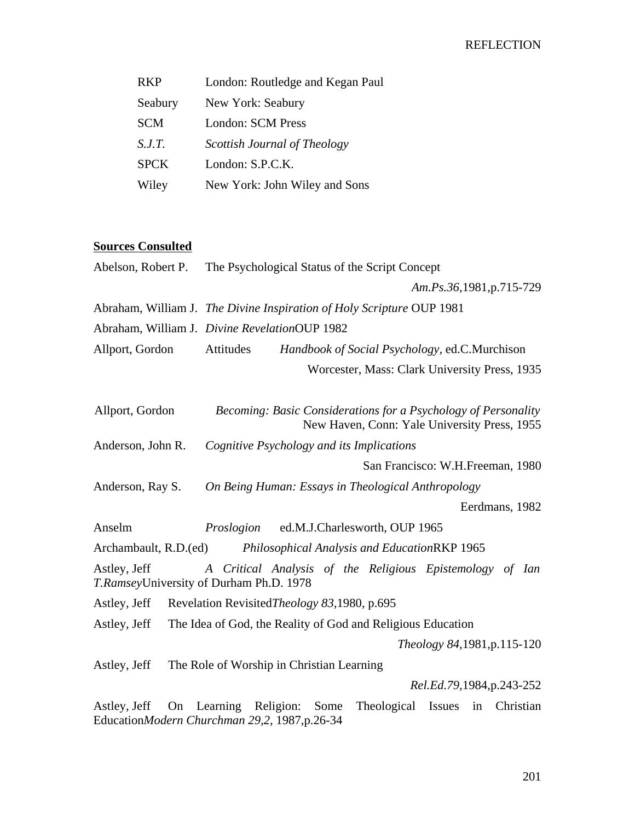## **Sources Consulted**

| The Psychological Status of the Script Concept<br>Abelson, Robert P. |                                                                                                                        |  |  |
|----------------------------------------------------------------------|------------------------------------------------------------------------------------------------------------------------|--|--|
|                                                                      | Am.Ps.36,1981,p.715-729                                                                                                |  |  |
|                                                                      | Abraham, William J. The Divine Inspiration of Holy Scripture OUP 1981                                                  |  |  |
|                                                                      | Abraham, William J. Divine RevelationOUP 1982                                                                          |  |  |
| Allport, Gordon                                                      | Attitudes<br>Handbook of Social Psychology, ed.C.Murchison                                                             |  |  |
|                                                                      | Worcester, Mass: Clark University Press, 1935                                                                          |  |  |
| Allport, Gordon                                                      | Becoming: Basic Considerations for a Psychology of Personality<br>New Haven, Conn: Yale University Press, 1955         |  |  |
| Anderson, John R.                                                    | Cognitive Psychology and its Implications                                                                              |  |  |
|                                                                      | San Francisco: W.H.Freeman, 1980                                                                                       |  |  |
| Anderson, Ray S.                                                     | On Being Human: Essays in Theological Anthropology                                                                     |  |  |
|                                                                      | Eerdmans, 1982                                                                                                         |  |  |
| Anselm                                                               | Proslogion ed.M.J.Charlesworth, OUP 1965                                                                               |  |  |
| Archambault, R.D.(ed)                                                | Philosophical Analysis and EducationRKP 1965                                                                           |  |  |
| Astley, Jeff                                                         | A Critical Analysis of the Religious Epistemology of Ian<br>T.RamseyUniversity of Durham Ph.D. 1978                    |  |  |
| Astley, Jeff                                                         | Revelation Revisited <i>Theology</i> 83, 1980, p.695                                                                   |  |  |
| Astley, Jeff                                                         | The Idea of God, the Reality of God and Religious Education                                                            |  |  |
|                                                                      | <i>Theology 84,</i> 1981, p.115-120                                                                                    |  |  |
| Astley, Jeff                                                         | The Role of Worship in Christian Learning                                                                              |  |  |
|                                                                      | Rel.Ed.79, 1984, p.243-252                                                                                             |  |  |
| Astley, Jeff                                                         | On Learning Religion:<br>Some<br>Theological<br>in Christian<br>Issues<br>EducationModern Churchman 29,2, 1987,p.26-34 |  |  |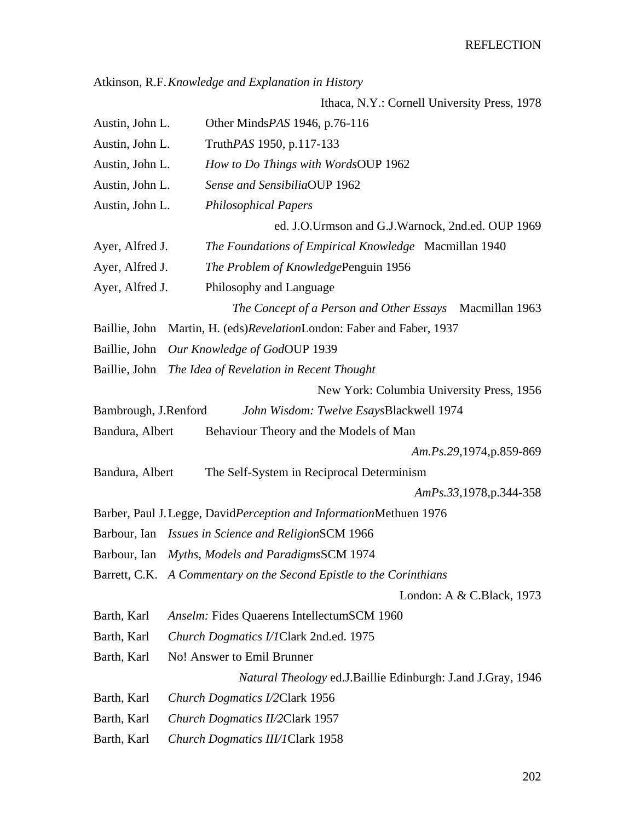| Atkinson, R.F. Knowledge and Explanation in History         |                                                                     |  |  |  |
|-------------------------------------------------------------|---------------------------------------------------------------------|--|--|--|
| Ithaca, N.Y.: Cornell University Press, 1978                |                                                                     |  |  |  |
| Austin, John L.                                             | Other Minds <i>PAS</i> 1946, p.76-116                               |  |  |  |
| Austin, John L.                                             | TruthPAS 1950, p.117-133                                            |  |  |  |
| Austin, John L.                                             | How to Do Things with WordsOUP 1962                                 |  |  |  |
| Austin, John L.                                             | Sense and SensibiliaOUP 1962                                        |  |  |  |
| Austin, John L.                                             | <b>Philosophical Papers</b>                                         |  |  |  |
|                                                             | ed. J.O.Urmson and G.J.Warnock, 2nd.ed. OUP 1969                    |  |  |  |
| Ayer, Alfred J.                                             | The Foundations of Empirical Knowledge Macmillan 1940               |  |  |  |
| Ayer, Alfred J.                                             | The Problem of KnowledgePenguin 1956                                |  |  |  |
| Ayer, Alfred J.                                             | Philosophy and Language                                             |  |  |  |
|                                                             | The Concept of a Person and Other Essays Macmillan 1963             |  |  |  |
| Baillie, John                                               | Martin, H. (eds)RevelationLondon: Faber and Faber, 1937             |  |  |  |
| Baillie, John                                               | Our Knowledge of GodOUP 1939                                        |  |  |  |
| Baillie, John                                               | The Idea of Revelation in Recent Thought                            |  |  |  |
| New York: Columbia University Press, 1956                   |                                                                     |  |  |  |
| Bambrough, J.Renford                                        | John Wisdom: Twelve EsaysBlackwell 1974                             |  |  |  |
| Bandura, Albert<br>Behaviour Theory and the Models of Man   |                                                                     |  |  |  |
| Am.Ps.29,1974,p.859-869                                     |                                                                     |  |  |  |
| Bandura, Albert                                             | The Self-System in Reciprocal Determinism                           |  |  |  |
|                                                             | AmPs.33,1978,p.344-358                                              |  |  |  |
|                                                             | Barber, Paul J. Legge, DavidPerception and InformationMethuen 1976  |  |  |  |
|                                                             | Barbour, Ian <i>Issues in Science and ReligionSCM</i> 1966          |  |  |  |
| Barbour, Ian                                                | Myths, Models and ParadigmsSCM 1974                                 |  |  |  |
|                                                             | Barrett, C.K. A Commentary on the Second Epistle to the Corinthians |  |  |  |
|                                                             | London: A & C.Black, 1973                                           |  |  |  |
| Barth, Karl                                                 | Anselm: Fides Quaerens IntellectumSCM 1960                          |  |  |  |
| Barth, Karl                                                 | Church Dogmatics I/IClark 2nd.ed. 1975                              |  |  |  |
| Barth, Karl                                                 | No! Answer to Emil Brunner                                          |  |  |  |
| Natural Theology ed.J.Baillie Edinburgh: J.and J.Gray, 1946 |                                                                     |  |  |  |
| Barth, Karl                                                 | Church Dogmatics I/2Clark 1956                                      |  |  |  |
| Barth, Karl                                                 | Church Dogmatics II/2Clark 1957                                     |  |  |  |
| Barth, Karl                                                 | Church Dogmatics III/IClark 1958                                    |  |  |  |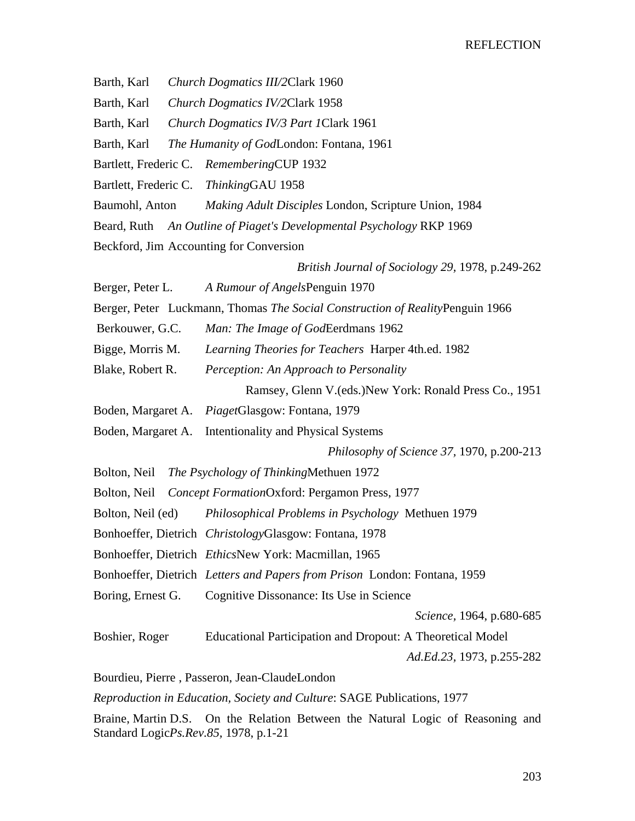- Barth, Karl *Church Dogmatics III/2*Clark 1960
- Barth, Karl *Church Dogmatics IV/2*Clark 1958
- Barth, Karl *Church Dogmatics IV/3 Part 1*Clark 1961
- Barth, Karl *The Humanity of God*London: Fontana, 1961
- Bartlett, Frederic C. *Remembering*CUP 1932
- Bartlett, Frederic C. *Thinking*GAU 1958
- Baumohl, Anton *Making Adult Disciples* London, Scripture Union, 1984
- Beard, Ruth *An Outline of Piaget's Developmental Psychology* RKP 1969
- Beckford, Jim Accounting for Conversion
	- *British Journal of Sociology 29,* 1978, p.249-262
- Berger, Peter L. *A Rumour of Angels*Penguin 1970

Berger, Peter Luckmann, Thomas *The Social Construction of Reality*Penguin 1966

- Berkouwer, G.C. *Man: The Image of God*Eerdmans 1962
- Bigge, Morris M. *Learning Theories for Teachers* Harper 4th.ed. 1982
- Blake, Robert R. *Perception: An Approach to Personality*

Ramsey, Glenn V.(eds.)New York: Ronald Press Co., 1951

- Boden, Margaret A. *Piaget*Glasgow: Fontana, 1979
- Boden, Margaret A. Intentionality and Physical Systems

*Philosophy of Science 37,* 1970, p.200-213

- Bolton, Neil *The Psychology of Thinking*Methuen 1972
- Bolton, Neil *Concept Formation*Oxford: Pergamon Press, 1977
- Bolton, Neil (ed) *Philosophical Problems in Psychology* Methuen 1979
- Bonhoeffer, Dietrich *Christology*Glasgow: Fontana, 1978
- Bonhoeffer, Dietrich *Ethics*New York: Macmillan, 1965
- Bonhoeffer, Dietrich *Letters and Papers from Prison* London: Fontana, 1959
- Boring, Ernest G. Cognitive Dissonance: Its Use in Science

*Science,* 1964, p.680-685

Boshier, Roger Educational Participation and Dropout: A Theoretical Model *Ad.Ed.23,* 1973, p.255-282

Bourdieu, Pierre , Passeron, Jean-ClaudeLondon

*Reproduction in Education, Society and Culture*: SAGE Publications, 1977

Braine, Martin D.S. On the Relation Between the Natural Logic of Reasoning and Standard Logic*Ps.Rev.85,* 1978, p.1-21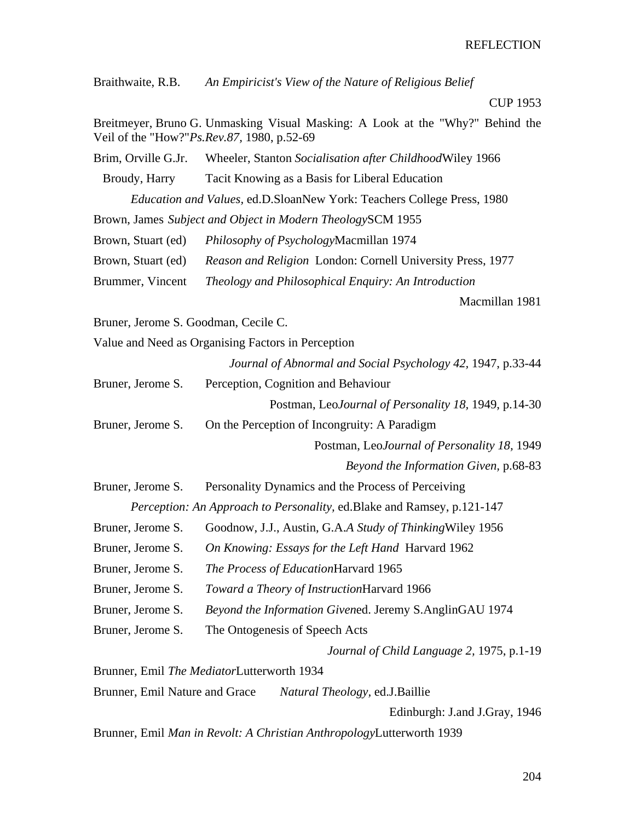Braithwaite, R.B. *An Empiricist's View of the Nature of Religious Belief*

CUP 1953

Breitmeyer, Bruno G. Unmasking Visual Masking: A Look at the "Why?" Behind the Veil of the "How?"*Ps.Rev.87,* 1980, p.52-69

Brim, Orville G.Jr. Wheeler, Stanton *Socialisation after Childhood*Wiley 1966 Broudy, Harry Tacit Knowing as a Basis for Liberal Education

*Education and Values,* ed.D.SloanNew York: Teachers College Press, 1980

Brown, James *Subject and Object in Modern Theology*SCM 1955

Brown, Stuart (ed) *Philosophy of Psychology*Macmillan 1974

Brown, Stuart (ed) *Reason and Religion* London: Cornell University Press, 1977

Brummer, Vincent *Theology and Philosophical Enquiry: An Introduction*

Macmillan 1981

Bruner, Jerome S. Goodman, Cecile C.

Value and Need as Organising Factors in Perception

*Journal of Abnormal and Social Psychology 42,* 1947, p.33-44

Bruner, Jerome S. Perception, Cognition and Behaviour

Postman, Leo*Journal of Personality 18,* 1949, p.14-30

Bruner, Jerome S. On the Perception of Incongruity: A Paradigm

Postman, Leo*Journal of Personality 18,* 1949

*Beyond the Information Given,* p.68-83

Bruner, Jerome S. Personality Dynamics and the Process of Perceiving

*Perception: An Approach to Personality,* ed.Blake and Ramsey, p.121-147

Bruner, Jerome S. Goodnow, J.J., Austin, G.A.*A Study of Thinking*Wiley 1956

Bruner, Jerome S. *On Knowing: Essays for the Left Hand* Harvard 1962

Bruner, Jerome S. *The Process of Education*Harvard 1965

Bruner, Jerome S. *Toward a Theory of Instruction*Harvard 1966

- Bruner, Jerome S. *Beyond the Information Given*ed. Jeremy S.AnglinGAU 1974
- Bruner, Jerome S. The Ontogenesis of Speech Acts

*Journal of Child Language 2,* 1975, p.1-19

Brunner, Emil *The Mediator*Lutterworth 1934

Brunner, Emil Nature and Grace *Natural Theology,* ed.J.Baillie

Edinburgh: J.and J.Gray, 1946

Brunner, Emil *Man in Revolt: A Christian Anthropology*Lutterworth 1939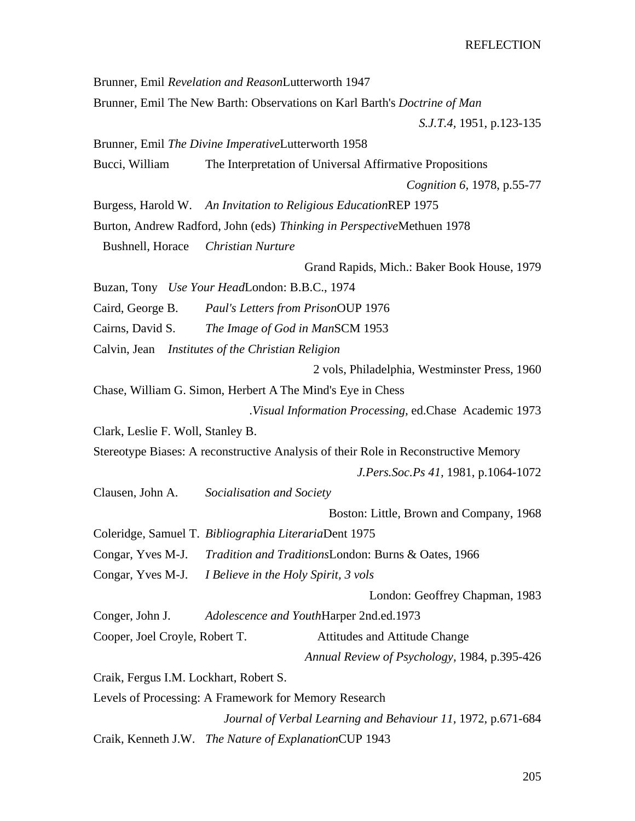Brunner, Emil *Revelation and Reason*Lutterworth 1947

Brunner, Emil The New Barth: Observations on Karl Barth's *Doctrine of Man*

*S.J.T.4,* 1951, p.123-135

Brunner, Emil *The Divine Imperative*Lutterworth 1958

Bucci, William The Interpretation of Universal Affirmative Propositions

*Cognition 6,* 1978, p.55-77

Burgess, Harold W. *An Invitation to Religious Education*REP 1975

Burton, Andrew Radford, John (eds) *Thinking in Perspective*Methuen 1978 Bushnell, Horace *Christian Nurture*

```
Grand Rapids, Mich.: Baker Book House, 1979
```
Buzan, Tony *Use Your Head*London: B.B.C., 1974

Caird, George B. *Paul's Letters from Prison*OUP 1976

Cairns, David S. *The Image of God in Man*SCM 1953

Calvin, Jean *Institutes of the Christian Religion*

2 vols, Philadelphia, Westminster Press, 1960

Chase, William G. Simon, Herbert A The Mind's Eye in Chess

.*Visual Information Processing,* ed.Chase Academic 1973

Clark, Leslie F. Woll, Stanley B.

Stereotype Biases: A reconstructive Analysis of their Role in Reconstructive Memory

*J.Pers.Soc.Ps 41,* 1981, p.1064-1072

Clausen, John A. *Socialisation and Society*

Boston: Little, Brown and Company, 1968

Coleridge, Samuel T. *Bibliographia Literaria*Dent 1975

Congar, Yves M-J. *Tradition and Traditions*London: Burns & Oates, 1966

Congar, Yves M-J. *I Believe in the Holy Spirit, 3 vols*

London: Geoffrey Chapman, 1983

Conger, John J. *Adolescence and Youth*Harper 2nd.ed.1973

Cooper, Joel Croyle, Robert T. Attitudes and Attitude Change

*Annual Review of Psychology,* 1984, p.395-426

Craik, Fergus I.M. Lockhart, Robert S.

Levels of Processing: A Framework for Memory Research

*Journal of Verbal Learning and Behaviour 11,* 1972, p.671-684

Craik, Kenneth J.W. *The Nature of Explanation*CUP 1943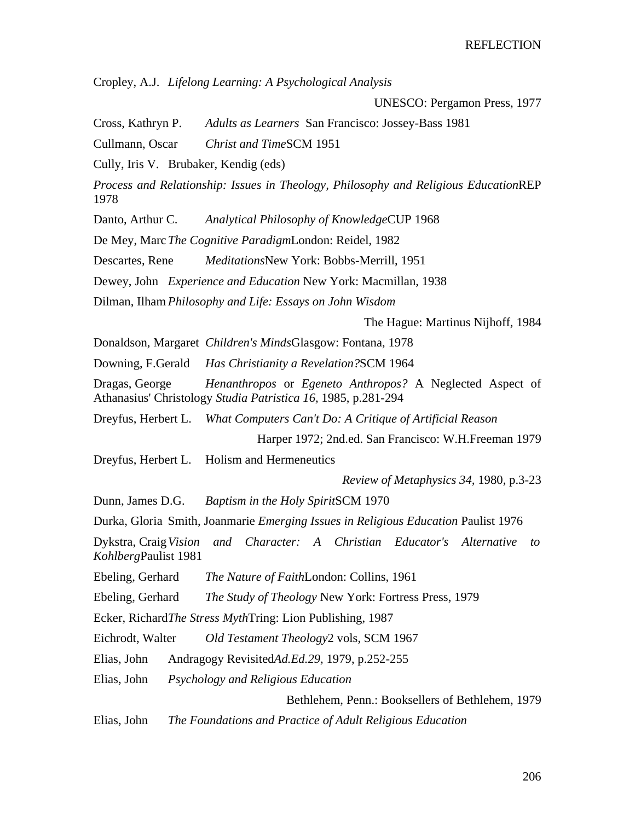Cropley, A.J. *Lifelong Learning: A Psychological Analysis*

Cross, Kathryn P. *Adults as Learners* San Francisco: Jossey-Bass 1981

Cullmann, Oscar *Christ and Time*SCM 1951

Cully, Iris V. Brubaker, Kendig (eds)

*Process and Relationship: Issues in Theology, Philosophy and Religious Education*REP 1978

Danto, Arthur C. *Analytical Philosophy of Knowledge*CUP 1968

De Mey, Marc *The Cognitive Paradigm*London: Reidel, 1982

Descartes, Rene *Meditations*New York: Bobbs-Merrill, 1951

Dewey, John *Experience and Education* New York: Macmillan, 1938

Dilman, Ilham *Philosophy and Life: Essays on John Wisdom*

The Hague: Martinus Nijhoff, 1984

Donaldson, Margaret *Children's Minds*Glasgow: Fontana, 1978

Downing, F.Gerald *Has Christianity a Revelation?*SCM 1964

Dragas, George *Henanthropos* or *Egeneto Anthropos?* A Neglected Aspect of Athanasius' Christology *Studia Patristica 16,* 1985, p.281-294

Dreyfus, Herbert L. *What Computers Can't Do: A Critique of Artificial Reason*

Harper 1972; 2nd.ed. San Francisco: W.H.Freeman 1979

Dreyfus, Herbert L. Holism and Hermeneutics

*Review of Metaphysics 34,* 1980, p.3-23

Dunn, James D.G. *Baptism in the Holy Spirit*SCM 1970

Durka, Gloria Smith, Joanmarie *Emerging Issues in Religious Education* Paulist 1976

Dykstra, Craig*Vision and Character: A Christian Educator's Alternative to Kohlberg*Paulist 1981

Ebeling, Gerhard *The Nature of Faith*London: Collins, 1961

Ebeling, Gerhard *The Study of Theology* New York: Fortress Press, 1979

Ecker, Richard*The Stress Myth*Tring: Lion Publishing, 1987

Eichrodt, Walter *Old Testament Theology*2 vols, SCM 1967

Elias, John Andragogy Revisited*Ad.Ed.29,* 1979, p.252-255

Elias, John *Psychology and Religious Education*

Bethlehem, Penn.: Booksellers of Bethlehem, 1979

Elias, John *The Foundations and Practice of Adult Religious Education*

UNESCO: Pergamon Press, 1977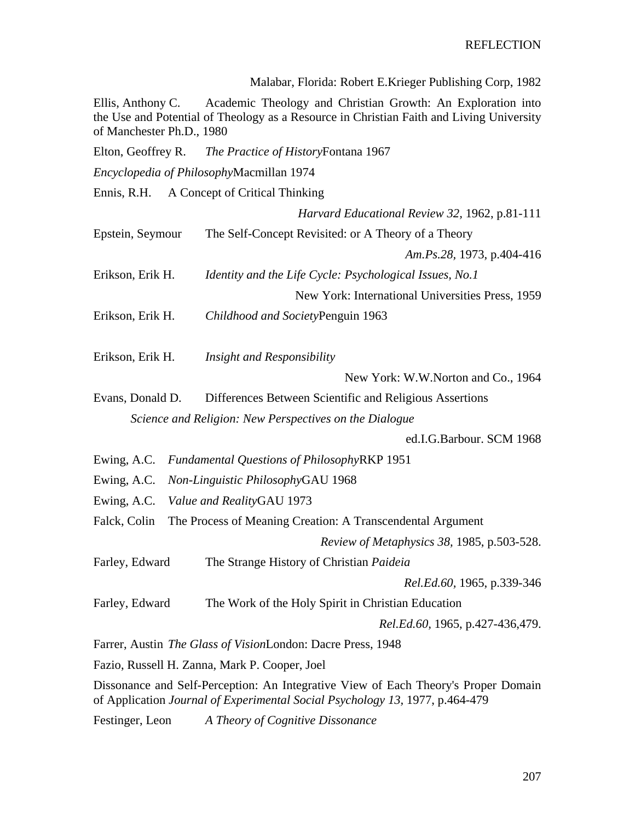|  |  | Malabar, Florida: Robert E.Krieger Publishing Corp, 1982 |  |
|--|--|----------------------------------------------------------|--|
|  |  |                                                          |  |

Ellis, Anthony C. Academic Theology and Christian Growth: An Exploration into the Use and Potential of Theology as a Resource in Christian Faith and Living University of Manchester Ph.D., 1980

Elton, Geoffrey R. *The Practice of History*Fontana 1967

*Encyclopedia of Philosophy*Macmillan 1974

Ennis, R.H. A Concept of Critical Thinking

*Harvard Educational Review 32,* 1962, p.81-111

Epstein, Seymour The Self-Concept Revisited: or A Theory of a Theory

*Am.Ps.28,* 1973, p.404-416

- Erikson, Erik H. *Identity and the Life Cycle: Psychological Issues, No.1* New York: International Universities Press, 1959
- Erikson, Erik H. *Childhood and Society*Penguin 1963
- Erikson, Erik H. *Insight and Responsibility*

New York: W.W.Norton and Co., 1964

Evans, Donald D. Differences Between Scientific and Religious Assertions *Science and Religion: New Perspectives on the Dialogue*

ed.I.G.Barbour. SCM 1968

- Ewing, A.C. *Fundamental Questions of Philosophy*RKP 1951
- Ewing, A.C. *Non-Linguistic Philosophy*GAU 1968
- Ewing, A.C. *Value and Reality*GAU 1973

Falck, Colin The Process of Meaning Creation: A Transcendental Argument

*Review of Metaphysics 38,* 1985, p.503-528.

Farley, Edward The Strange History of Christian *Paideia*

*Rel.Ed.60,* 1965, p.339-346

Farley, Edward The Work of the Holy Spirit in Christian Education

*Rel.Ed.60,* 1965, p.427-436,479.

Farrer, Austin *The Glass of Vision*London: Dacre Press, 1948

Fazio, Russell H. Zanna, Mark P. Cooper, Joel

Dissonance and Self-Perception: An Integrative View of Each Theory's Proper Domain of Application *Journal of Experimental Social Psychology 13,* 1977, p.464-479

Festinger, Leon *A Theory of Cognitive Dissonance*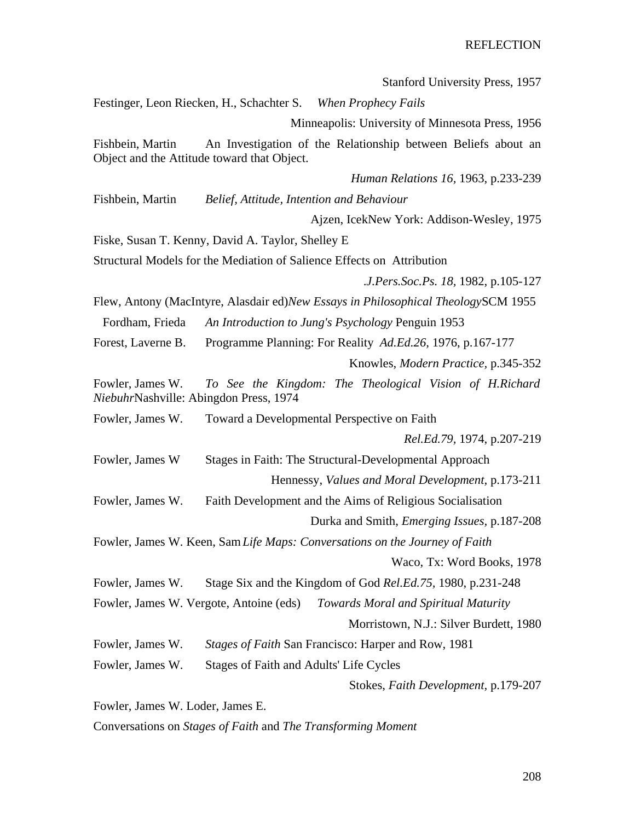|                                  |                                                              | <b>Stanford University Press, 1957</b>                                            |
|----------------------------------|--------------------------------------------------------------|-----------------------------------------------------------------------------------|
|                                  | Festinger, Leon Riecken, H., Schachter S.                    | When Prophecy Fails                                                               |
|                                  |                                                              | Minneapolis: University of Minnesota Press, 1956                                  |
| Fishbein, Martin                 | Object and the Attitude toward that Object.                  | An Investigation of the Relationship between Beliefs about an                     |
|                                  |                                                              | Human Relations 16, 1963, p.233-239                                               |
| Fishbein, Martin                 | Belief, Attitude, Intention and Behaviour                    |                                                                                   |
|                                  |                                                              | Ajzen, IcekNew York: Addison-Wesley, 1975                                         |
|                                  | Fiske, Susan T. Kenny, David A. Taylor, Shelley E.           |                                                                                   |
|                                  |                                                              | Structural Models for the Mediation of Salience Effects on Attribution            |
|                                  |                                                              | .J. Pers. Soc. Ps. 18, 1982, p.105-127                                            |
|                                  |                                                              | Flew, Antony (MacIntyre, Alasdair ed)New Essays in Philosophical TheologySCM 1955 |
| Fordham, Frieda                  |                                                              | An Introduction to Jung's Psychology Penguin 1953                                 |
| Forest, Laverne B.               |                                                              | Programme Planning: For Reality Ad.Ed.26, 1976, p.167-177                         |
|                                  |                                                              | Knowles, Modern Practice, p.345-352                                               |
| Fowler, James W.                 | NiebuhrNashville: Abingdon Press, 1974                       | To See the Kingdom: The Theological Vision of H.Richard                           |
| Fowler, James W.                 |                                                              | Toward a Developmental Perspective on Faith                                       |
|                                  |                                                              | Rel.Ed.79, 1974, p.207-219                                                        |
| Fowler, James W                  |                                                              | Stages in Faith: The Structural-Developmental Approach                            |
|                                  |                                                              | Hennessy, Values and Moral Development, p.173-211                                 |
| Fowler, James W.                 |                                                              | Faith Development and the Aims of Religious Socialisation                         |
|                                  |                                                              | Durka and Smith, <i>Emerging Issues</i> , p.187-208                               |
|                                  |                                                              | Fowler, James W. Keen, Sam Life Maps: Conversations on the Journey of Faith       |
|                                  |                                                              | Waco, Tx: Word Books, 1978                                                        |
| Fowler, James W.                 |                                                              | Stage Six and the Kingdom of God Rel. Ed. 75, 1980, p.231-248                     |
|                                  | Fowler, James W. Vergote, Antoine (eds)                      | Towards Moral and Spiritual Maturity                                              |
|                                  |                                                              | Morristown, N.J.: Silver Burdett, 1980                                            |
| Fowler, James W.                 |                                                              | Stages of Faith San Francisco: Harper and Row, 1981                               |
| Fowler, James W.                 | Stages of Faith and Adults' Life Cycles                      |                                                                                   |
|                                  |                                                              | Stokes, Faith Development, p.179-207                                              |
| Fowler, James W. Loder, James E. |                                                              |                                                                                   |
|                                  | Conversations on Stages of Faith and The Transforming Moment |                                                                                   |
|                                  |                                                              |                                                                                   |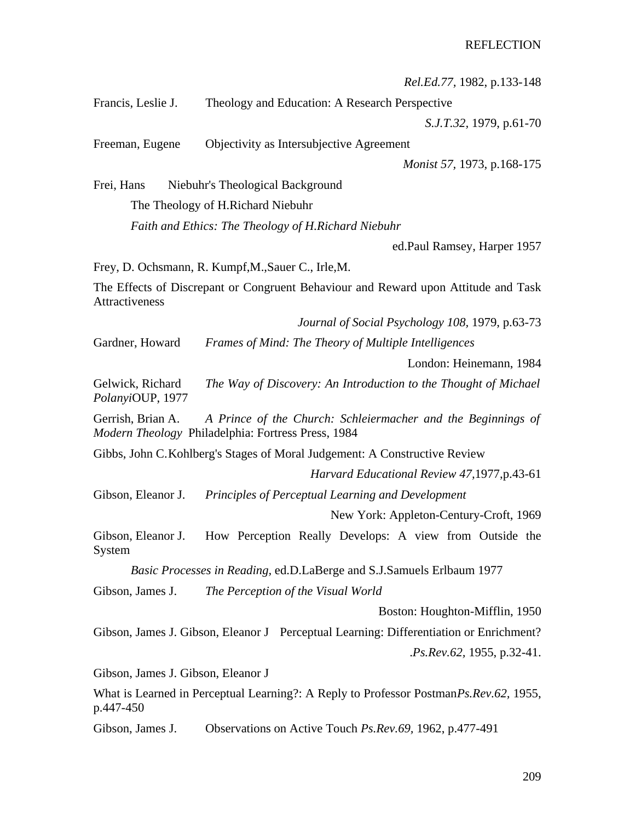*Rel.Ed.77,* 1982, p.133-148

Francis, Leslie J. Theology and Education: A Research Perspective

*S.J.T.32,* 1979, p.61-70

Freeman, Eugene Objectivity as Intersubjective Agreement

*Monist 57,* 1973, p.168-175

Frei, Hans Niebuhr's Theological Background The Theology of H.Richard Niebuhr

*Faith and Ethics: The Theology of H.Richard Niebuhr*

ed.Paul Ramsey, Harper 1957

Frey, D. Ochsmann, R. Kumpf,M.,Sauer C., Irle,M.

The Effects of Discrepant or Congruent Behaviour and Reward upon Attitude and Task Attractiveness

*Journal of Social Psychology 108,* 1979, p.63-73

Gardner, Howard *Frames of Mind: The Theory of Multiple Intelligences*

London: Heinemann, 1984

Gelwick, Richard *The Way of Discovery: An Introduction to the Thought of Michael Polanyi*OUP, 1977

Gerrish, Brian A. *A Prince of the Church: Schleiermacher and the Beginnings of Modern Theology* Philadelphia: Fortress Press, 1984

Gibbs, John C.Kohlberg's Stages of Moral Judgement: A Constructive Review

*Harvard Educational Review 47,*1977,p.43-61

Gibson, Eleanor J. *Principles of Perceptual Learning and Development*

New York: Appleton-Century-Croft, 1969

Gibson, Eleanor J. How Perception Really Develops: A view from Outside the System

*Basic Processes in Reading,* ed.D.LaBerge and S.J.Samuels Erlbaum 1977

Gibson, James J. *The Perception of the Visual World*

Boston: Houghton-Mifflin, 1950

Gibson, James J. Gibson, Eleanor J Perceptual Learning: Differentiation or Enrichment?

.*Ps.Rev.62,* 1955, p.32-41.

Gibson, James J. Gibson, Eleanor J

What is Learned in Perceptual Learning?: A Reply to Professor Postman*Ps.Rev.62,* 1955, p.447-450

Gibson, James J. Observations on Active Touch *Ps.Rev.69,* 1962, p.477-491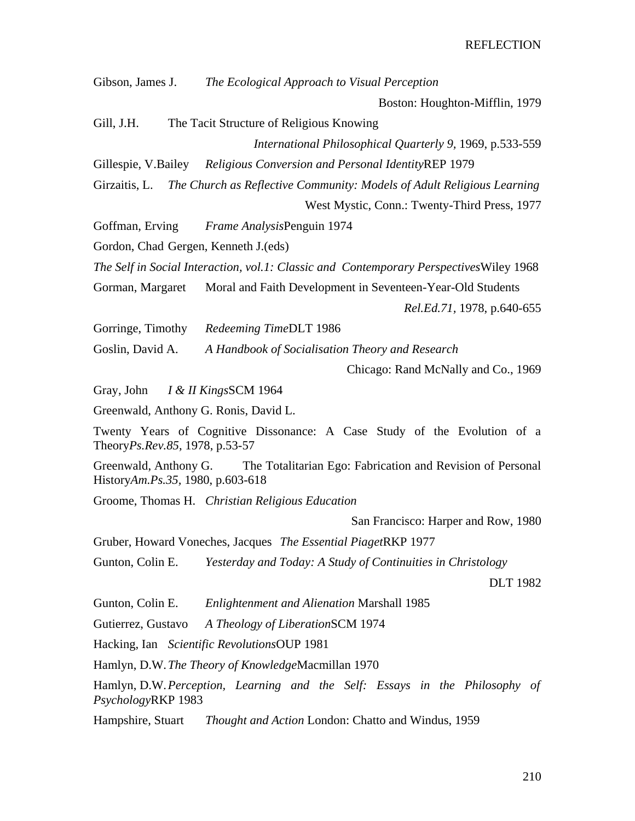Gibson, James J. *The Ecological Approach to Visual Perception*

Boston: Houghton-Mifflin, 1979

Gill, J.H. The Tacit Structure of Religious Knowing

*International Philosophical Quarterly 9,* 1969, p.533-559

Gillespie, V.Bailey *Religious Conversion and Personal Identity*REP 1979

Girzaitis, L. *The Church as Reflective Community: Models of Adult Religious Learning* West Mystic, Conn.: Twenty-Third Press, 1977

Goffman, Erving *Frame Analysis*Penguin 1974

Gordon, Chad Gergen, Kenneth J.(eds)

*The Self in Social Interaction, vol.1: Classic and Contemporary Perspectives*Wiley 1968

Gorman, Margaret Moral and Faith Development in Seventeen-Year-Old Students *Rel.Ed.71,* 1978, p.640-655

Gorringe, Timothy *Redeeming Time*DLT 1986

Goslin, David A. *A Handbook of Socialisation Theory and Research*

Chicago: Rand McNally and Co., 1969

Gray, John *I & II Kings*SCM 1964

Greenwald, Anthony G. Ronis, David L.

Twenty Years of Cognitive Dissonance: A Case Study of the Evolution of a Theory*Ps.Rev.85,* 1978, p.53-57

Greenwald, Anthony G. The Totalitarian Ego: Fabrication and Revision of Personal History*Am.Ps.35,* 1980, p.603-618

Groome, Thomas H. *Christian Religious Education*

San Francisco: Harper and Row, 1980

Gruber, Howard Voneches, Jacques *The Essential Piaget*RKP 1977

Gunton, Colin E. *Yesterday and Today: A Study of Continuities in Christology*

DLT 1982

Gunton, Colin E. *Enlightenment and Alienation* Marshall 1985

Gutierrez, Gustavo *A Theology of Liberation*SCM 1974

Hacking, Ian *Scientific Revolutions*OUP 1981

Hamlyn, D.W.*The Theory of Knowledge*Macmillan 1970

Hamlyn, D.W.*Perception, Learning and the Self: Essays in the Philosophy of Psychology*RKP 1983

Hampshire, Stuart *Thought and Action* London: Chatto and Windus, 1959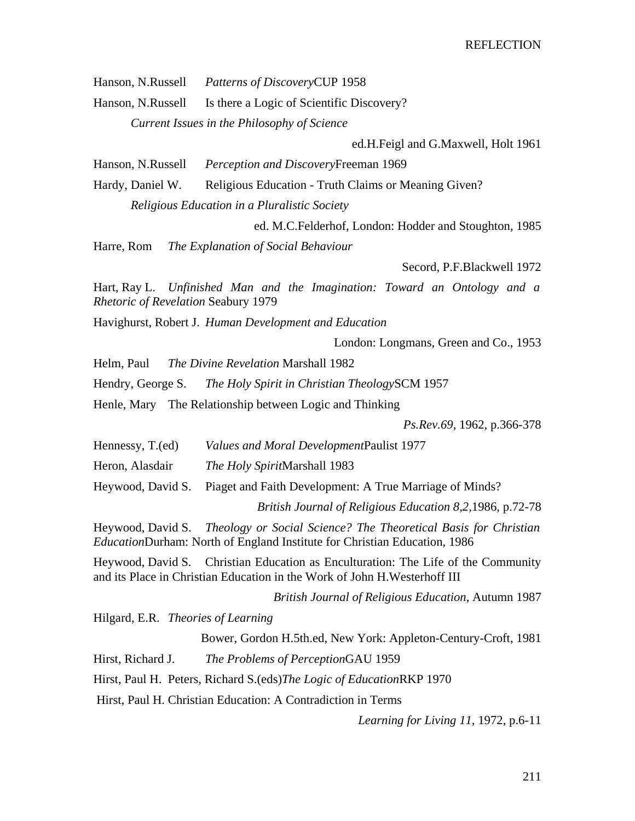Hanson, N.Russell *Patterns of Discovery*CUP 1958

Hanson, N.Russell Is there a Logic of Scientific Discovery?

*Current Issues in the Philosophy of Science*

ed.H.Feigl and G.Maxwell, Holt 1961

Hanson, N.Russell *Perception and Discovery*Freeman 1969

Hardy, Daniel W. Religious Education - Truth Claims or Meaning Given?

*Religious Education in a Pluralistic Society*

ed. M.C.Felderhof, London: Hodder and Stoughton, 1985

Harre, Rom *The Explanation of Social Behaviour*

Secord, P.F.Blackwell 1972

Hart, Ray L. *Unfinished Man and the Imagination: Toward an Ontology and a Rhetoric of Revelation* Seabury 1979

Havighurst, Robert J. *Human Development and Education*

London: Longmans, Green and Co., 1953

Helm, Paul *The Divine Revelation* Marshall 1982

Hendry, George S. *The Holy Spirit in Christian Theology*SCM 1957

Henle, Mary The Relationship between Logic and Thinking

*Ps.Rev.69,* 1962, p.366-378

- Hennessy, T.(ed) *Values and Moral Development*Paulist 1977
- Heron, Alasdair *The Holy Spirit*Marshall 1983

Heywood, David S. Piaget and Faith Development: A True Marriage of Minds?

*British Journal of Religious Education 8,2,*1986, p.72-78

Heywood, David S. *Theology or Social Science? The Theoretical Basis for Christian Education*Durham: North of England Institute for Christian Education, 1986

Heywood, David S. Christian Education as Enculturation: The Life of the Community and its Place in Christian Education in the Work of John H.Westerhoff III

*British Journal of Religious Education*, Autumn 1987

Hilgard, E.R. *Theories of Learning*

Bower, Gordon H.5th.ed, New York: Appleton-Century-Croft, 1981

Hirst, Richard J. *The Problems of Perception*GAU 1959

Hirst, Paul H. Peters, Richard S.(eds)*The Logic of Education*RKP 1970

Hirst, Paul H. Christian Education: A Contradiction in Terms

*Learning for Living 11,* 1972, p.6-11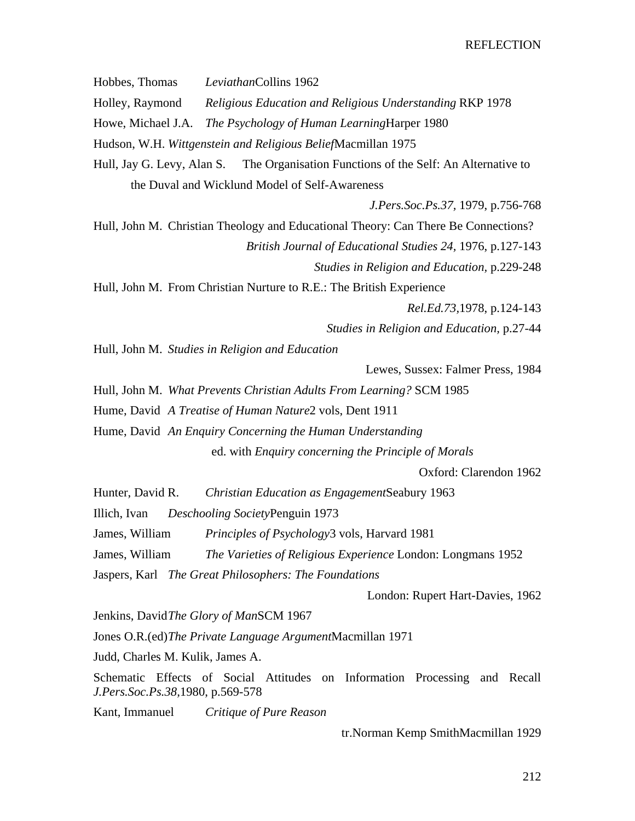Hobbes, Thomas *Leviathan*Collins 1962 Holley, Raymond *Religious Education and Religious Understanding* RKP 1978 Howe, Michael J.A. *The Psychology of Human Learning*Harper 1980 Hudson, W.H. *Wittgenstein and Religious Belief*Macmillan 1975 Hull, Jay G. Levy, Alan S. The Organisation Functions of the Self: An Alternative to the Duval and Wicklund Model of Self-Awareness *J.Pers.Soc.Ps.37,* 1979, p.756-768 Hull, John M. Christian Theology and Educational Theory: Can There Be Connections? *British Journal of Educational Studies 24,* 1976, p.127-143 *Studies in Religion and Education,* p.229-248 Hull, John M. From Christian Nurture to R.E.: The British Experience *Rel.Ed.73,*1978, p.124-143 *Studies in Religion and Education,* p.27-44 Hull, John M. *Studies in Religion and Education* Lewes, Sussex: Falmer Press, 1984 Hull, John M. *What Prevents Christian Adults From Learning?* SCM 1985

Hume, David *A Treatise of Human Nature*2 vols, Dent 1911

Hume, David *An Enquiry Concerning the Human Understanding* ed. with *Enquiry concerning the Principle of Morals*

Oxford: Clarendon 1962

Hunter, David R. *Christian Education as Engagement*Seabury 1963

Illich, Ivan *Deschooling Society*Penguin 1973

James, William *Principles of Psychology*3 vols, Harvard 1981

James, William *The Varieties of Religious Experience* London: Longmans 1952

Jaspers, Karl *The Great Philosophers: The Foundations*

London: Rupert Hart-Davies, 1962

Jenkins, David*The Glory of Man*SCM 1967

Jones O.R.(ed)*The Private Language Argument*Macmillan 1971

Judd, Charles M. Kulik, James A.

Schematic Effects of Social Attitudes on Information Processing and Recall *J.Pers.Soc.Ps.38,*1980, p.569-578

Kant, Immanuel *Critique of Pure Reason*

tr.Norman Kemp SmithMacmillan 1929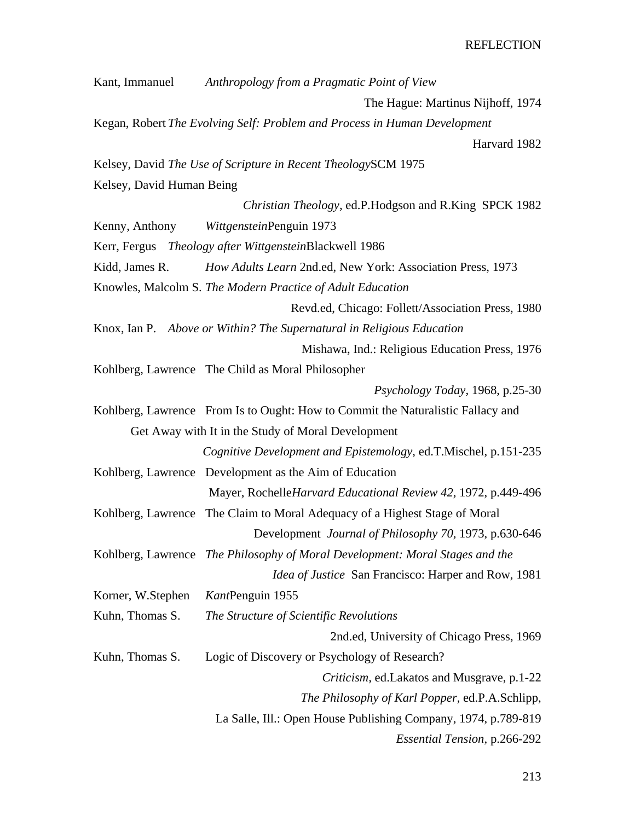| Kant, Immanuel            | Anthropology from a Pragmatic Point of View                                     |
|---------------------------|---------------------------------------------------------------------------------|
|                           | The Hague: Martinus Nijhoff, 1974                                               |
|                           | Kegan, Robert The Evolving Self: Problem and Process in Human Development       |
|                           | Harvard 1982                                                                    |
|                           | Kelsey, David The Use of Scripture in Recent TheologySCM 1975                   |
| Kelsey, David Human Being |                                                                                 |
|                           | Christian Theology, ed.P.Hodgson and R.King SPCK 1982                           |
|                           | Kenny, Anthony WittgensteinPenguin 1973                                         |
|                           | Kerr, Fergus Theology after WittgensteinBlackwell 1986                          |
| Kidd, James R.            | How Adults Learn 2nd.ed, New York: Association Press, 1973                      |
|                           | Knowles, Malcolm S. The Modern Practice of Adult Education                      |
|                           | Revd.ed, Chicago: Follett/Association Press, 1980                               |
|                           | Knox, Ian P. Above or Within? The Supernatural in Religious Education           |
|                           | Mishawa, Ind.: Religious Education Press, 1976                                  |
|                           | Kohlberg, Lawrence The Child as Moral Philosopher                               |
|                           | Psychology Today, 1968, p.25-30                                                 |
|                           | Kohlberg, Lawrence From Is to Ought: How to Commit the Naturalistic Fallacy and |
|                           | Get Away with It in the Study of Moral Development                              |
|                           | Cognitive Development and Epistemology, ed.T.Mischel, p.151-235                 |
|                           | Kohlberg, Lawrence Development as the Aim of Education                          |
|                           | Mayer, RochelleHarvard Educational Review 42, 1972, p.449-496                   |
|                           | Kohlberg, Lawrence The Claim to Moral Adequacy of a Highest Stage of Moral      |
|                           | Development Journal of Philosophy 70, 1973, p.630-646                           |
|                           | Kohlberg, Lawrence The Philosophy of Moral Development: Moral Stages and the    |
|                           | <i>Idea of Justice</i> San Francisco: Harper and Row, 1981                      |
| Korner, W.Stephen         | KantPenguin 1955                                                                |
| Kuhn, Thomas S.           | The Structure of Scientific Revolutions                                         |
|                           | 2nd.ed, University of Chicago Press, 1969                                       |
| Kuhn, Thomas S.           | Logic of Discovery or Psychology of Research?                                   |
|                           | Criticism, ed. Lakatos and Musgrave, p.1-22                                     |
|                           | The Philosophy of Karl Popper, ed.P.A.Schlipp,                                  |
|                           | La Salle, Ill.: Open House Publishing Company, 1974, p.789-819                  |
|                           | Essential Tension, p.266-292                                                    |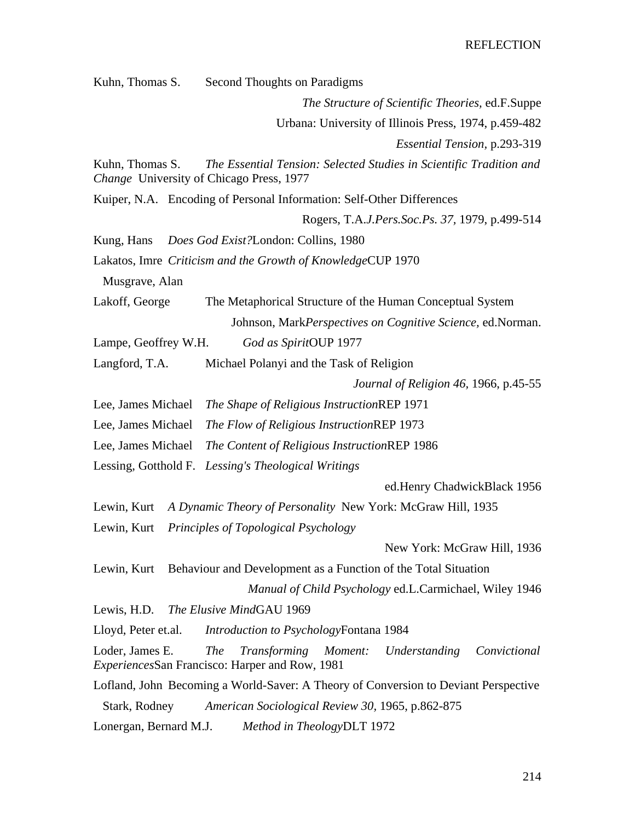Kuhn, Thomas S. Second Thoughts on Paradigms

*The Structure of Scientific Theories,* ed.F.Suppe

Urbana: University of Illinois Press, 1974, p.459-482

*Essential Tension,* p.293-319

Kuhn, Thomas S. *The Essential Tension: Selected Studies in Scientific Tradition and Change* University of Chicago Press, 1977

Kuiper, N.A. Encoding of Personal Information: Self-Other Differences

Rogers, T.A.*J.Pers.Soc.Ps. 37,* 1979, p.499-514

Kung, Hans *Does God Exist?*London: Collins, 1980

Lakatos, Imre *Criticism and the Growth of Knowledge*CUP 1970

Musgrave, Alan

Lakoff, George The Metaphorical Structure of the Human Conceptual System Johnson, Mark*Perspectives on Cognitive Science,* ed.Norman.

Lampe, Geoffrey W.H. *God as Spirit*OUP 1977

Langford, T.A. Michael Polanyi and the Task of Religion

*Journal of Religion 46,* 1966, p.45-55

Lee, James Michael *The Shape of Religious Instruction*REP 1971

Lee, James Michael *The Flow of Religious Instruction*REP 1973

Lee, James Michael *The Content of Religious Instruction*REP 1986

Lessing, Gotthold F. *Lessing's Theological Writings*

ed.Henry ChadwickBlack 1956

Lewin, Kurt *A Dynamic Theory of Personality* New York: McGraw Hill, 1935

Lewin, Kurt *Principles of Topological Psychology*

New York: McGraw Hill, 1936

Lewin, Kurt Behaviour and Development as a Function of the Total Situation *Manual of Child Psychology* ed.L.Carmichael, Wiley 1946

Lewis, H.D. *The Elusive Mind*GAU 1969

Lloyd, Peter et.al. *Introduction to Psychology*Fontana 1984

Loder, James E. *The Transforming Moment: Understanding Convictional Experiences*San Francisco: Harper and Row, 1981

Lofland, John Becoming a World-Saver: A Theory of Conversion to Deviant Perspective Stark, Rodney *American Sociological Review 30,* 1965, p.862-875

Lonergan, Bernard M.J. *Method in Theology*DLT 1972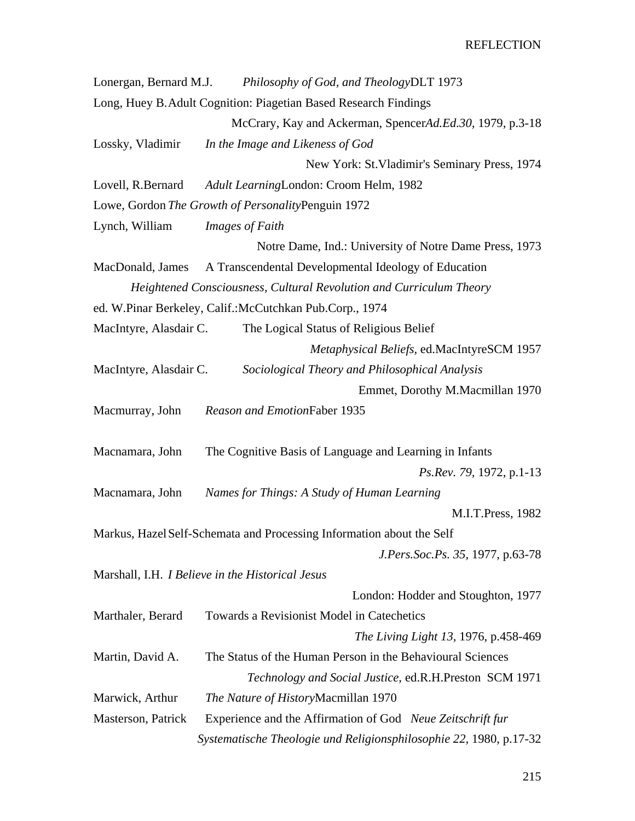|                                                      | Lonergan, Bernard M.J. Philosophy of God, and TheologyDLT 1973        |  |  |  |
|------------------------------------------------------|-----------------------------------------------------------------------|--|--|--|
|                                                      | Long, Huey B. Adult Cognition: Piagetian Based Research Findings      |  |  |  |
|                                                      | McCrary, Kay and Ackerman, SpencerAd.Ed.30, 1979, p.3-18              |  |  |  |
| Lossky, Vladimir<br>In the Image and Likeness of God |                                                                       |  |  |  |
|                                                      | New York: St. Vladimir's Seminary Press, 1974                         |  |  |  |
| Lovell, R.Bernard                                    | Adult LearningLondon: Croom Helm, 1982                                |  |  |  |
|                                                      | Lowe, Gordon The Growth of PersonalityPenguin 1972                    |  |  |  |
| Lynch, William<br><b>Images of Faith</b>             |                                                                       |  |  |  |
|                                                      | Notre Dame, Ind.: University of Notre Dame Press, 1973                |  |  |  |
| MacDonald, James                                     | A Transcendental Developmental Ideology of Education                  |  |  |  |
|                                                      | Heightened Consciousness, Cultural Revolution and Curriculum Theory   |  |  |  |
|                                                      | ed. W.Pinar Berkeley, Calif.: McCutchkan Pub.Corp., 1974              |  |  |  |
| MacIntyre, Alasdair C.                               | The Logical Status of Religious Belief                                |  |  |  |
|                                                      | Metaphysical Beliefs, ed.MacIntyreSCM 1957                            |  |  |  |
| MacIntyre, Alasdair C.                               | Sociological Theory and Philosophical Analysis                        |  |  |  |
|                                                      | Emmet, Dorothy M.Macmillan 1970                                       |  |  |  |
| Macmurray, John                                      | Reason and EmotionFaber 1935                                          |  |  |  |
| Macnamara, John                                      | The Cognitive Basis of Language and Learning in Infants               |  |  |  |
|                                                      | Ps.Rev. 79, 1972, p.1-13                                              |  |  |  |
| Macnamara, John                                      | Names for Things: A Study of Human Learning                           |  |  |  |
|                                                      | <b>M.I.T.Press, 1982</b>                                              |  |  |  |
|                                                      | Markus, Hazel Self-Schemata and Processing Information about the Self |  |  |  |
|                                                      | J.Pers.Soc.Ps. 35, 1977, p.63-78                                      |  |  |  |
|                                                      | Marshall, I.H. I Believe in the Historical Jesus                      |  |  |  |
|                                                      | London: Hodder and Stoughton, 1977                                    |  |  |  |
| Marthaler, Berard                                    | Towards a Revisionist Model in Catechetics                            |  |  |  |
|                                                      | The Living Light 13, 1976, p.458-469                                  |  |  |  |
| Martin, David A.                                     | The Status of the Human Person in the Behavioural Sciences            |  |  |  |
|                                                      | Technology and Social Justice, ed.R.H.Preston SCM 1971                |  |  |  |
| Marwick, Arthur                                      | The Nature of HistoryMacmillan 1970                                   |  |  |  |
| Masterson, Patrick                                   | Experience and the Affirmation of God Neue Zeitschrift fur            |  |  |  |
|                                                      | Systematische Theologie und Religionsphilosophie 22, 1980, p.17-32    |  |  |  |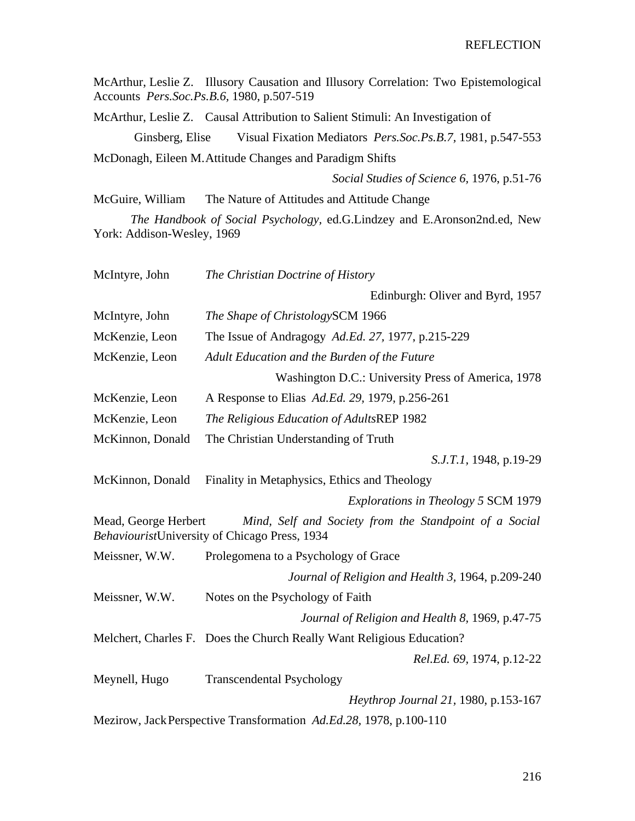| McArthur, Leslie Z. Illusory Causation and Illusory Correlation: Two Epistemological |  |  |  |
|--------------------------------------------------------------------------------------|--|--|--|
| Accounts <i>Pers.Soc.Ps.B.6</i> , 1980, p.507-519                                    |  |  |  |

McArthur, Leslie Z. Causal Attribution to Salient Stimuli: An Investigation of

Ginsberg, Elise Visual Fixation Mediators *Pers.Soc.Ps.B.7,* 1981, p.547-553

McDonagh, Eileen M.Attitude Changes and Paradigm Shifts

*Social Studies of Science 6,* 1976, p.51-76

McGuire, William The Nature of Attitudes and Attitude Change

*The Handbook of Social Psychology,* ed.G.Lindzey and E.Aronson2nd.ed, New York: Addison-Wesley, 1969

| The Christian Doctrine of History                                                                                               |
|---------------------------------------------------------------------------------------------------------------------------------|
| Edinburgh: Oliver and Byrd, 1957                                                                                                |
| The Shape of ChristologySCM 1966                                                                                                |
| The Issue of Andragogy Ad.Ed. 27, 1977, p.215-229                                                                               |
| Adult Education and the Burden of the Future                                                                                    |
| Washington D.C.: University Press of America, 1978                                                                              |
| A Response to Elias Ad.Ed. 29, 1979, p.256-261                                                                                  |
| The Religious Education of AdultsREP 1982                                                                                       |
| The Christian Understanding of Truth                                                                                            |
| S.J.T.1, 1948, p.19-29                                                                                                          |
| Finality in Metaphysics, Ethics and Theology                                                                                    |
| Explorations in Theology 5 SCM 1979                                                                                             |
| Mind, Self and Society from the Standpoint of a Social<br>Mead, George Herbert<br>BehaviouristUniversity of Chicago Press, 1934 |
| Prolegomena to a Psychology of Grace                                                                                            |
| Journal of Religion and Health 3, 1964, p.209-240                                                                               |
| Notes on the Psychology of Faith                                                                                                |
| Journal of Religion and Health 8, 1969, p.47-75                                                                                 |
| Melchert, Charles F. Does the Church Really Want Religious Education?                                                           |
| Rel.Ed. 69, 1974, p.12-22                                                                                                       |
| <b>Transcendental Psychology</b>                                                                                                |
| Heythrop Journal 21, 1980, p.153-167                                                                                            |
| Mezirow, Jack Perspective Transformation Ad.Ed.28, 1978, p.100-110                                                              |
|                                                                                                                                 |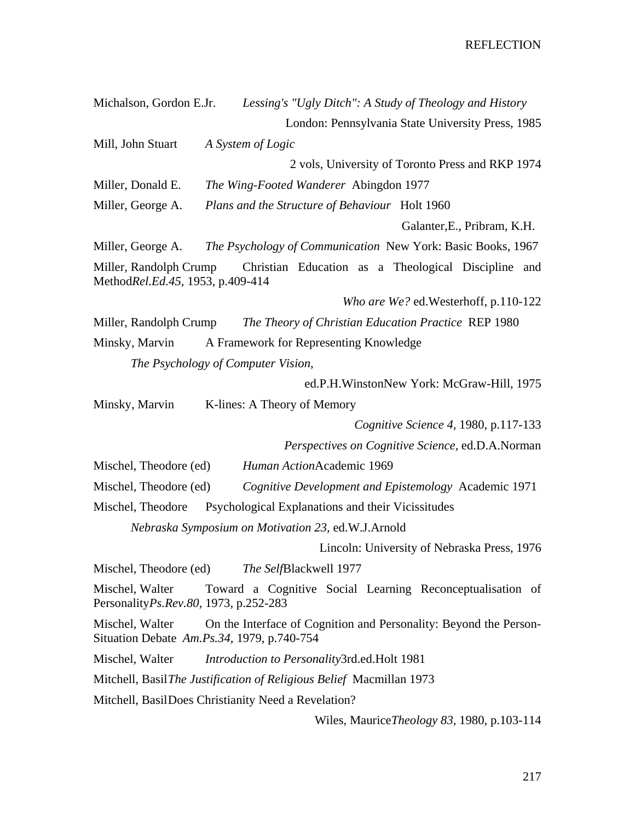| Michalson, Gordon E.Jr.                                       | Lessing's "Ugly Ditch": A Study of Theology and History             |
|---------------------------------------------------------------|---------------------------------------------------------------------|
|                                                               | London: Pennsylvania State University Press, 1985                   |
| Mill, John Stuart                                             | A System of Logic                                                   |
|                                                               | 2 vols, University of Toronto Press and RKP 1974                    |
| Miller, Donald E.                                             | The Wing-Footed Wanderer Abingdon 1977                              |
| Miller, George A.                                             | Plans and the Structure of Behaviour Holt 1960                      |
|                                                               | Galanter, E., Pribram, K.H.                                         |
| Miller, George A.                                             | The Psychology of Communication New York: Basic Books, 1967         |
| Miller, Randolph Crump<br>MethodRel.Ed.45, 1953, p.409-414    | Christian Education as a Theological Discipline and                 |
|                                                               | Who are We? ed. Westerhoff, p.110-122                               |
| Miller, Randolph Crump                                        | The Theory of Christian Education Practice REP 1980                 |
| Minsky, Marvin                                                | A Framework for Representing Knowledge                              |
|                                                               | The Psychology of Computer Vision,                                  |
|                                                               | ed.P.H. WinstonNew York: McGraw-Hill, 1975                          |
| Minsky, Marvin                                                | K-lines: A Theory of Memory                                         |
|                                                               | <i>Cognitive Science 4, 1980, p.117-133</i>                         |
|                                                               | Perspectives on Cognitive Science, ed.D.A.Norman                    |
| Mischel, Theodore (ed)                                        | Human ActionAcademic 1969                                           |
| Mischel, Theodore (ed)                                        | Cognitive Development and Epistemology Academic 1971                |
| Mischel, Theodore                                             | Psychological Explanations and their Vicissitudes                   |
|                                                               | Nebraska Symposium on Motivation 23, ed.W.J.Arnold                  |
|                                                               | Lincoln: University of Nebraska Press, 1976                         |
| Mischel, Theodore (ed)                                        | The SelfBlackwell 1977                                              |
| Mischel, Walter<br>PersonalityPs.Rev.80, 1973, p.252-283      | Toward a Cognitive Social Learning Reconceptualisation of           |
| Mischel, Walter<br>Situation Debate Am.Ps.34, 1979, p.740-754 | On the Interface of Cognition and Personality: Beyond the Person-   |
| Mischel, Walter                                               | Introduction to Personality3rd.ed.Holt 1981                         |
|                                                               | Mitchell, BasilThe Justification of Religious Belief Macmillan 1973 |
|                                                               | Mitchell, BasilDoes Christianity Need a Revelation?                 |

Wiles, Maurice*Theology 83,* 1980, p.103-114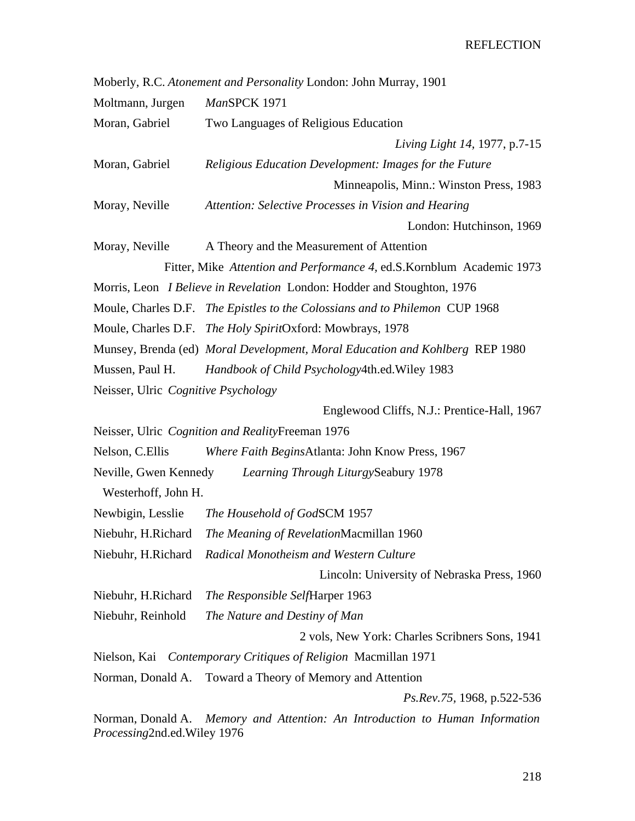|                                     | Moberly, R.C. Atonement and Personality London: John Murray, 1901              |
|-------------------------------------|--------------------------------------------------------------------------------|
| Moltmann, Jurgen                    | ManSPCK 1971                                                                   |
| Moran, Gabriel                      | Two Languages of Religious Education                                           |
|                                     | Living Light 14, 1977, p.7-15                                                  |
| Moran, Gabriel                      | Religious Education Development: Images for the Future                         |
|                                     | Minneapolis, Minn.: Winston Press, 1983                                        |
| Moray, Neville                      | Attention: Selective Processes in Vision and Hearing                           |
|                                     | London: Hutchinson, 1969                                                       |
| Moray, Neville                      | A Theory and the Measurement of Attention                                      |
|                                     | Fitter, Mike Attention and Performance 4, ed.S.Kornblum Academic 1973          |
|                                     | Morris, Leon <i>I Believe in Revelation</i> London: Hodder and Stoughton, 1976 |
|                                     | Moule, Charles D.F. The Epistles to the Colossians and to Philemon CUP 1968    |
|                                     | Moule, Charles D.F. The Holy SpiritOxford: Mowbrays, 1978                      |
|                                     | Munsey, Brenda (ed) Moral Development, Moral Education and Kohlberg REP 1980   |
| Mussen, Paul H.                     | Handbook of Child Psychology4th.ed. Wiley 1983                                 |
| Neisser, Ulric Cognitive Psychology |                                                                                |
|                                     | Englewood Cliffs, N.J.: Prentice-Hall, 1967                                    |
|                                     | Neisser, Ulric Cognition and RealityFreeman 1976                               |
| Nelson, C.Ellis                     | Where Faith BeginsAtlanta: John Know Press, 1967                               |
| Neville, Gwen Kennedy               | Learning Through LiturgySeabury 1978                                           |
| Westerhoff, John H.                 |                                                                                |
| Newbigin, Lesslie                   | The Household of GodSCM 1957                                                   |
| Niebuhr, H.Richard                  | The Meaning of RevelationMacmillan 1960                                        |
|                                     | Niebuhr, H.Richard Radical Monotheism and Western Culture                      |
|                                     | Lincoln: University of Nebraska Press, 1960                                    |
| Niebuhr, H.Richard                  | The Responsible SelfHarper 1963                                                |
| Niebuhr, Reinhold                   | The Nature and Destiny of Man                                                  |
|                                     | 2 vols, New York: Charles Scribners Sons, 1941                                 |
|                                     | Nielson, Kai Contemporary Critiques of Religion Macmillan 1971                 |
|                                     | Norman, Donald A. Toward a Theory of Memory and Attention                      |
|                                     | Ps.Rev.75, 1968, p.522-536                                                     |
|                                     |                                                                                |

Norman, Donald A. *Memory and Attention: An Introduction to Human Information Processing*2nd.ed.Wiley 1976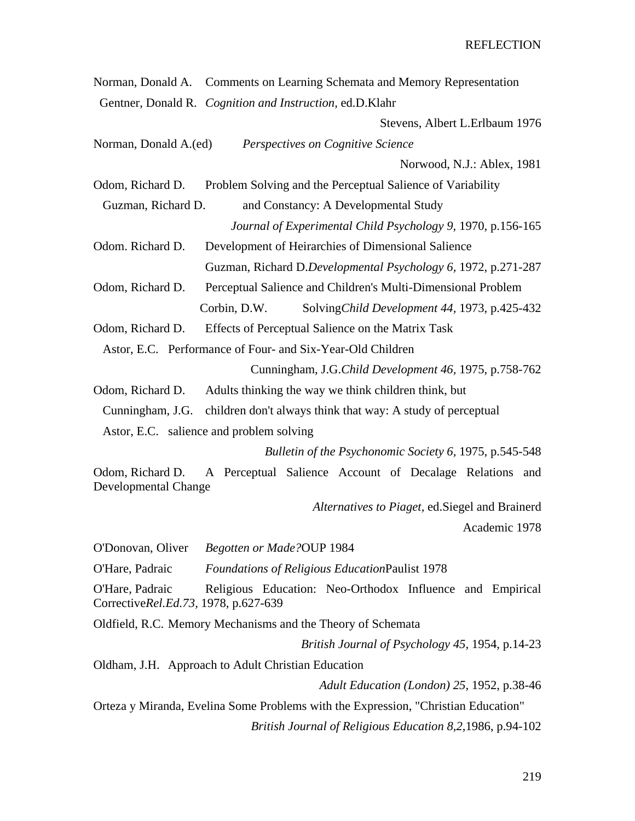Norman, Donald A. Comments on Learning Schemata and Memory Representation Gentner, Donald R. *Cognition and Instruction,* ed.D.Klahr

Stevens, Albert L.Erlbaum 1976

Norman, Donald A.(ed) *Perspectives on Cognitive Science*

Norwood, N.J.: Ablex, 1981

Odom, Richard D. Problem Solving and the Perceptual Salience of Variability Guzman, Richard D. and Constancy: A Developmental Study

*Journal of Experimental Child Psychology 9,* 1970, p.156-165

- Odom. Richard D. Development of Heirarchies of Dimensional Salience Guzman, Richard D.*Developmental Psychology 6,* 1972, p.271-287
- Odom, Richard D. Perceptual Salience and Children's Multi-Dimensional Problem Corbin, D.W. Solving*Child Development 44,* 1973, p.425-432

Odom, Richard D. Effects of Perceptual Salience on the Matrix Task

Astor, E.C. Performance of Four- and Six-Year-Old Children

Cunningham, J.G.*Child Development 46,* 1975, p.758-762

Odom, Richard D. Adults thinking the way we think children think, but

Cunningham, J.G. children don't always think that way: A study of perceptual

Astor, E.C. salience and problem solving

*Bulletin of the Psychonomic Society 6,* 1975, p.545-548

Odom, Richard D. A Perceptual Salience Account of Decalage Relations and Developmental Change

*Alternatives to Piaget,* ed.Siegel and Brainerd

Academic 1978

O'Donovan, Oliver *Begotten or Made?*OUP 1984

O'Hare, Padraic *Foundations of Religious Education*Paulist 1978

O'Hare, Padraic Religious Education: Neo-Orthodox Influence and Empirical Corrective*Rel.Ed.73,* 1978, p.627-639

Oldfield, R.C. Memory Mechanisms and the Theory of Schemata

*British Journal of Psychology 45,* 1954, p.14-23

Oldham, J.H. Approach to Adult Christian Education

*Adult Education (London) 25,* 1952, p.38-46

Orteza y Miranda, Evelina Some Problems with the Expression, "Christian Education" *British Journal of Religious Education 8,2,*1986, p.94-102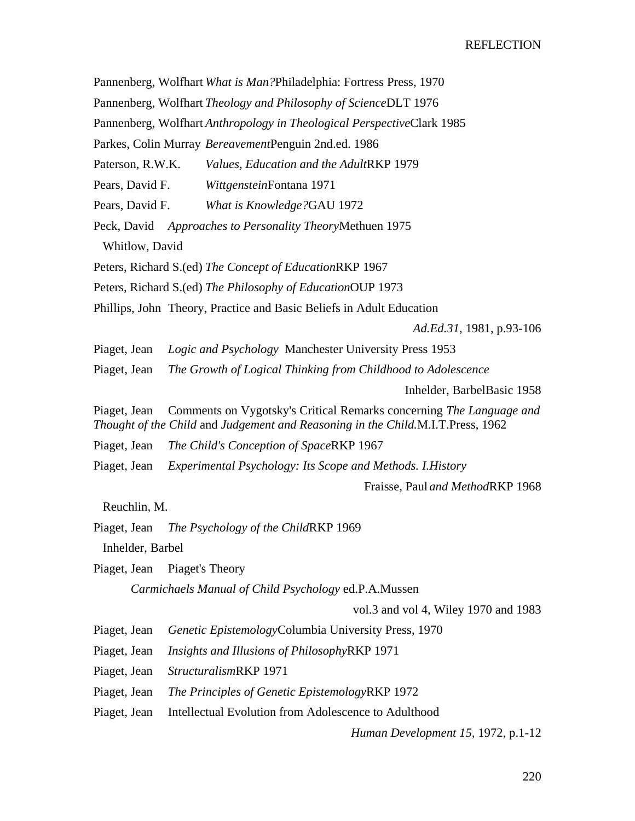Pannenberg, Wolfhart *What is Man?*Philadelphia: Fortress Press, 1970 Pannenberg, Wolfhart *Theology and Philosophy of Science*DLT 1976 Pannenberg, Wolfhart *Anthropology in Theological Perspective*Clark 1985 Parkes, Colin Murray *Bereavement*Penguin 2nd.ed. 1986 Paterson, R.W.K. *Values, Education and the Adult*RKP 1979 Pears, David F. *Wittgenstein*Fontana 1971 Pears, David F. *What is Knowledge?*GAU 1972 Peck, David *Approaches to Personality Theory*Methuen 1975 Whitlow, David Peters, Richard S.(ed) *The Concept of Education*RKP 1967 Peters, Richard S.(ed) *The Philosophy of Education*OUP 1973 Phillips, John Theory, Practice and Basic Beliefs in Adult Education *Ad.Ed.31,* 1981, p.93-106 Piaget, Jean *Logic and Psychology* Manchester University Press 1953 Piaget, Jean *The Growth of Logical Thinking from Childhood to Adolescence* Inhelder, BarbelBasic 1958 Piaget, Jean Comments on Vygotsky's Critical Remarks concerning *The Language and Thought of the Child* and *Judgement and Reasoning in the Child.*M.I.T.Press, 1962

Piaget, Jean *The Child's Conception of Space*RKP 1967

Piaget, Jean *Experimental Psychology: Its Scope and Methods. I.History* 

Fraisse, Paul *and Method*RKP 1968

Reuchlin, M.

Piaget, Jean *The Psychology of the Child*RKP 1969

Inhelder, Barbel

Piaget, Jean Piaget's Theory *Carmichaels Manual of Child Psychology* ed.P.A.Mussen

vol.3 and vol 4, Wiley 1970 and 1983

Piaget, Jean *Genetic Epistemology*Columbia University Press, 1970

Piaget, Jean *Insights and Illusions of Philosophy*RKP 1971

Piaget, Jean *Structuralism*RKP 1971

- Piaget, Jean *The Principles of Genetic Epistemology*RKP 1972
- Piaget, Jean Intellectual Evolution from Adolescence to Adulthood

*Human Development 15,* 1972, p.1-12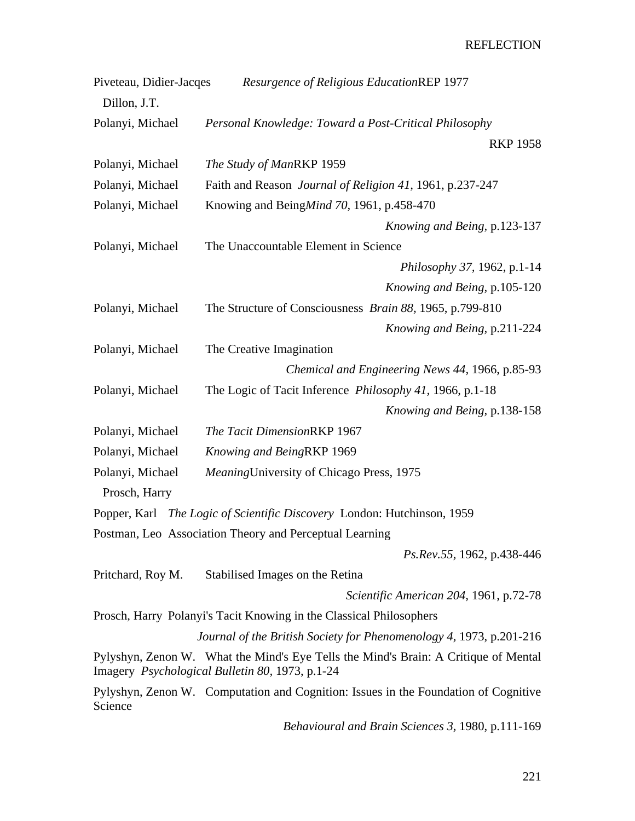| Piveteau, Didier-Jacqes | Resurgence of Religious EducationREP 1977                                                                                              |
|-------------------------|----------------------------------------------------------------------------------------------------------------------------------------|
| Dillon, J.T.            |                                                                                                                                        |
| Polanyi, Michael        | Personal Knowledge: Toward a Post-Critical Philosophy                                                                                  |
|                         | <b>RKP 1958</b>                                                                                                                        |
| Polanyi, Michael        | The Study of ManRKP 1959                                                                                                               |
| Polanyi, Michael        | Faith and Reason Journal of Religion 41, 1961, p.237-247                                                                               |
| Polanyi, Michael        | Knowing and Being <i>Mind 70</i> , 1961, p.458-470                                                                                     |
|                         | Knowing and Being, p.123-137                                                                                                           |
| Polanyi, Michael        | The Unaccountable Element in Science                                                                                                   |
|                         | Philosophy 37, 1962, p.1-14                                                                                                            |
|                         | Knowing and Being, p.105-120                                                                                                           |
| Polanyi, Michael        | The Structure of Consciousness Brain 88, 1965, p.799-810                                                                               |
|                         | Knowing and Being, p.211-224                                                                                                           |
| Polanyi, Michael        | The Creative Imagination                                                                                                               |
|                         | Chemical and Engineering News 44, 1966, p.85-93                                                                                        |
| Polanyi, Michael        | The Logic of Tacit Inference Philosophy 41, 1966, p.1-18                                                                               |
|                         | Knowing and Being, p.138-158                                                                                                           |
| Polanyi, Michael        | The Tacit DimensionRKP 1967                                                                                                            |
| Polanyi, Michael        | Knowing and BeingRKP 1969                                                                                                              |
| Polanyi, Michael        | Meaning University of Chicago Press, 1975                                                                                              |
| Prosch, Harry           |                                                                                                                                        |
|                         | Popper, Karl The Logic of Scientific Discovery London: Hutchinson, 1959                                                                |
|                         | Postman, Leo Association Theory and Perceptual Learning                                                                                |
|                         | Ps.Rev.55, 1962, p.438-446                                                                                                             |
| Pritchard, Roy M.       | Stabilised Images on the Retina                                                                                                        |
|                         | <i>Scientific American 204, 1961, p.72-78</i>                                                                                          |
|                         | Prosch, Harry Polanyi's Tacit Knowing in the Classical Philosophers                                                                    |
|                         | Journal of the British Society for Phenomenology 4, 1973, p.201-216                                                                    |
|                         | Pylyshyn, Zenon W. What the Mind's Eye Tells the Mind's Brain: A Critique of Mental<br>Imagery Psychological Bulletin 80, 1973, p.1-24 |
| Science                 | Pylyshyn, Zenon W. Computation and Cognition: Issues in the Foundation of Cognitive                                                    |

*Behavioural and Brain Sciences 3,* 1980, p.111-169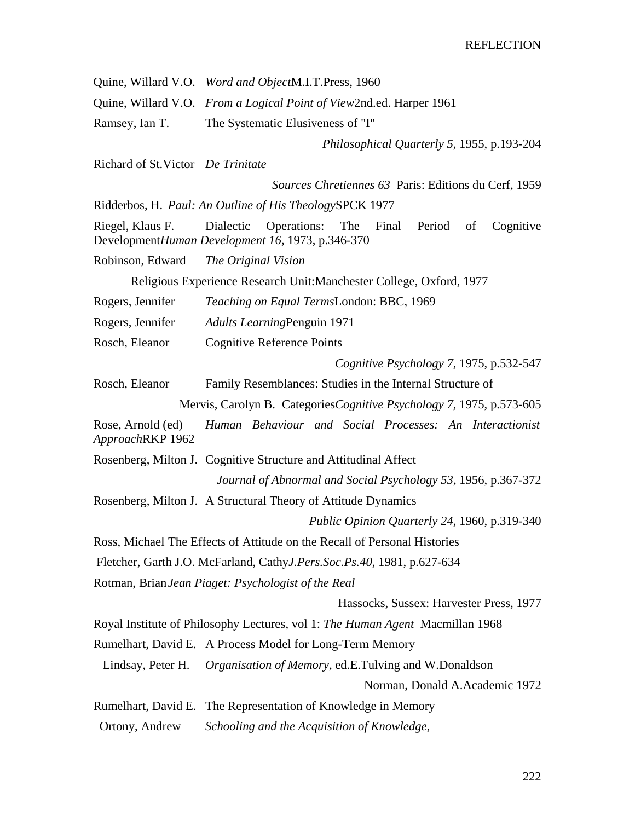Quine, Willard V.O. *Word and Object*M.I.T.Press, 1960

Quine, Willard V.O. *From a Logical Point of View*2nd.ed. Harper 1961

Ramsey, Ian T. The Systematic Elusiveness of "I"

*Philosophical Quarterly 5,* 1955, p.193-204

Richard of St.Victor *De Trinitate*

*Sources Chretiennes 63* Paris: Editions du Cerf, 1959

Ridderbos, H. *Paul: An Outline of His Theology*SPCK 1977

Riegel, Klaus F. Dialectic Operations: The Final Period of Cognitive Development*Human Development 16,* 1973, p.346-370

Robinson, Edward *The Original Vision*

Religious Experience Research Unit:Manchester College, Oxford, 1977

- Rogers, Jennifer *Teaching on Equal Terms*London: BBC, 1969
- Rogers, Jennifer *Adults Learning*Penguin 1971

Rosch, Eleanor Cognitive Reference Points

*Cognitive Psychology 7,* 1975, p.532-547

Rosch, Eleanor Family Resemblances: Studies in the Internal Structure of Mervis, Carolyn B. Categories*Cognitive Psychology 7,* 1975, p.573-605

Rose, Arnold (ed) *Human Behaviour and Social Processes: An Interactionist Approach*RKP 1962

Rosenberg, Milton J. Cognitive Structure and Attitudinal Affect

*Journal of Abnormal and Social Psychology 53,* 1956, p.367-372

Rosenberg, Milton J. A Structural Theory of Attitude Dynamics

*Public Opinion Quarterly 24,* 1960, p.319-340

Ross, Michael The Effects of Attitude on the Recall of Personal Histories

Fletcher, Garth J.O. McFarland, Cathy*J.Pers.Soc.Ps.40,* 1981, p.627-634

Rotman, Brian*Jean Piaget: Psychologist of the Real*

Hassocks, Sussex: Harvester Press, 1977

Royal Institute of Philosophy Lectures, vol 1: *The Human Agent* Macmillan 1968

Rumelhart, David E. A Process Model for Long-Term Memory

Lindsay, Peter H. *Organisation of Memory,* ed.E.Tulving and W.Donaldson

Norman, Donald A.Academic 1972

Rumelhart, David E. The Representation of Knowledge in Memory

Ortony, Andrew *Schooling and the Acquisition of Knowledge*,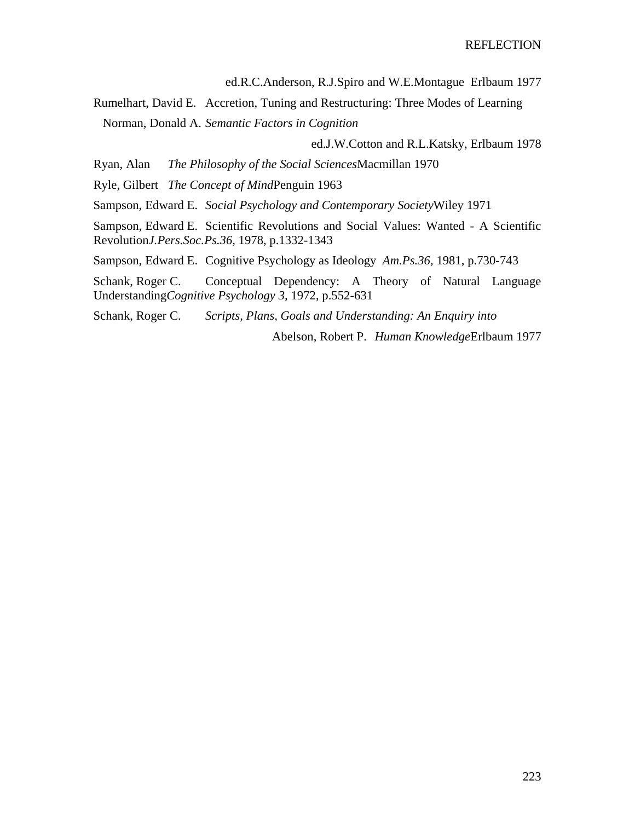ed.R.C.Anderson, R.J.Spiro and W.E.Montague Erlbaum 1977

Rumelhart, David E. Accretion, Tuning and Restructuring: Three Modes of Learning Norman, Donald A. *Semantic Factors in Cognition*

ed.J.W.Cotton and R.L.Katsky, Erlbaum 1978

Ryan, Alan *The Philosophy of the Social Sciences*Macmillan 1970

Ryle, Gilbert *The Concept of Mind*Penguin 1963

Sampson, Edward E. *Social Psychology and Contemporary Society*Wiley 1971

Sampson, Edward E. Scientific Revolutions and Social Values: Wanted - A Scientific Revolution*J.Pers.Soc.Ps.36,* 1978, p.1332-1343

Sampson, Edward E. Cognitive Psychology as Ideology *Am.Ps.36,* 1981, p.730-743

Schank, Roger C. Conceptual Dependency: A Theory of Natural Language Understanding*Cognitive Psychology 3,* 1972, p.552-631

Schank, Roger C. *Scripts, Plans, Goals and Understanding: An Enquiry into*

Abelson, Robert P. *Human Knowledge*Erlbaum 1977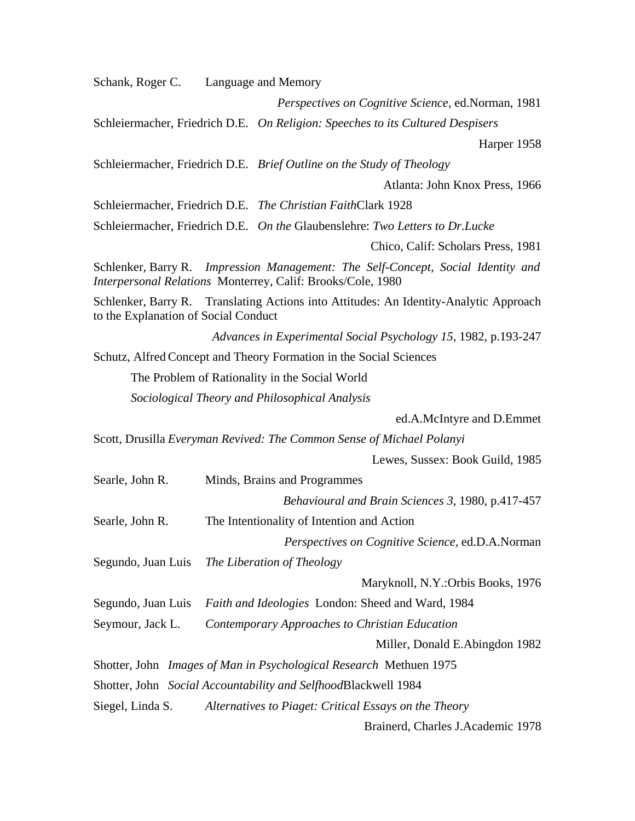Schank, Roger C. Language and Memory

*Perspectives on Cognitive Science,* ed.Norman, 1981

Schleiermacher, Friedrich D.E. *On Religion: Speeches to its Cultured Despisers*

Harper 1958

Schleiermacher, Friedrich D.E. *Brief Outline on the Study of Theology*

Atlanta: John Knox Press, 1966

Schleiermacher, Friedrich D.E. *The Christian Faith*Clark 1928

Schleiermacher, Friedrich D.E. *On the* Glaubenslehre: *Two Letters to Dr.Lucke*

Chico, Calif: Scholars Press, 1981

Schlenker, Barry R. *Impression Management: The Self-Concept, Social Identity and Interpersonal Relations* Monterrey, Calif: Brooks/Cole, 1980

Schlenker, Barry R. Translating Actions into Attitudes: An Identity-Analytic Approach to the Explanation of Social Conduct

*Advances in Experimental Social Psychology 15,* 1982, p.193-247

Schutz, Alfred Concept and Theory Formation in the Social Sciences

The Problem of Rationality in the Social World

*Sociological Theory and Philosophical Analysis*

ed.A.McIntyre and D.Emmet

Scott, Drusilla *Everyman Revived: The Common Sense of Michael Polanyi*

Lewes, Sussex: Book Guild, 1985

Searle, John R. Minds, Brains and Programmes

*Behavioural and Brain Sciences 3,* 1980, p.417-457

Searle, John R. The Intentionality of Intention and Action

*Perspectives on Cognitive Science,* ed.D.A.Norman

Segundo, Juan Luis *The Liberation of Theology*

Maryknoll, N.Y.:Orbis Books, 1976

Segundo, Juan Luis *Faith and Ideologies* London: Sheed and Ward, 1984

Seymour, Jack L. *Contemporary Approaches to Christian Education*

Miller, Donald E.Abingdon 1982

Shotter, John *Images of Man in Psychological Research* Methuen 1975

Shotter, John *Social Accountability and Selfhood*Blackwell 1984

Siegel, Linda S. *Alternatives to Piaget: Critical Essays on the Theory*

Brainerd, Charles J.Academic 1978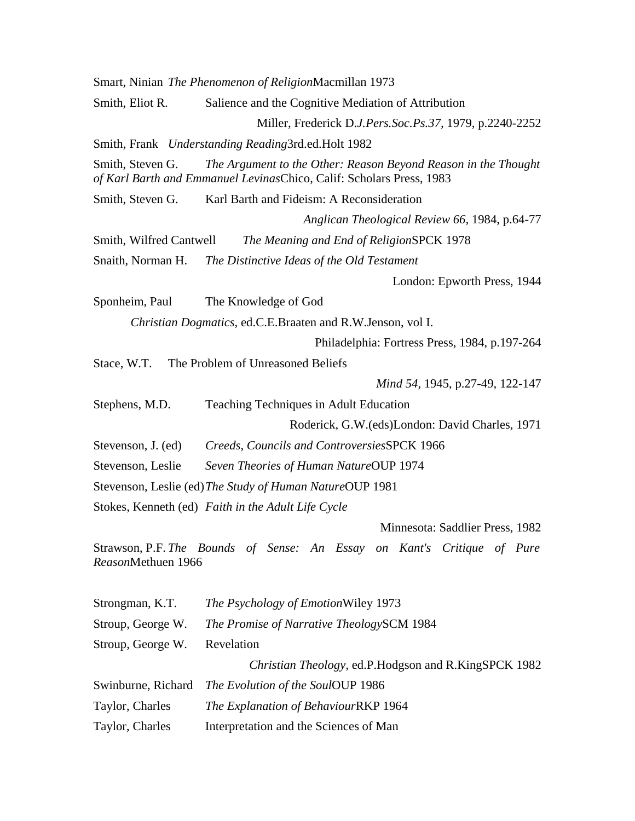| Smart, Ninian The Phenomenon of ReligionMacmillan 1973                                                                                                     |                                                            |  |
|------------------------------------------------------------------------------------------------------------------------------------------------------------|------------------------------------------------------------|--|
| Smith, Eliot R.                                                                                                                                            | Salience and the Cognitive Mediation of Attribution        |  |
|                                                                                                                                                            | Miller, Frederick D.J.Pers.Soc.Ps.37, 1979, p.2240-2252    |  |
|                                                                                                                                                            | Smith, Frank Understanding Reading3rd.ed.Holt 1982         |  |
| The Argument to the Other: Reason Beyond Reason in the Thought<br>Smith, Steven G.<br>of Karl Barth and Emmanuel LevinasChico, Calif: Scholars Press, 1983 |                                                            |  |
| Smith, Steven G.                                                                                                                                           | Karl Barth and Fideism: A Reconsideration                  |  |
|                                                                                                                                                            | Anglican Theological Review 66, 1984, p.64-77              |  |
| Smith, Wilfred Cantwell                                                                                                                                    | The Meaning and End of ReligionSPCK 1978                   |  |
| Snaith, Norman H.                                                                                                                                          | The Distinctive Ideas of the Old Testament                 |  |
|                                                                                                                                                            | London: Epworth Press, 1944                                |  |
| Sponheim, Paul                                                                                                                                             | The Knowledge of God                                       |  |
|                                                                                                                                                            | Christian Dogmatics, ed.C.E.Braaten and R.W.Jenson, vol I. |  |
|                                                                                                                                                            | Philadelphia: Fortress Press, 1984, p.197-264              |  |
| Stace, W.T.                                                                                                                                                | The Problem of Unreasoned Beliefs                          |  |
|                                                                                                                                                            | Mind 54, 1945, p.27-49, 122-147                            |  |
| Stephens, M.D.                                                                                                                                             | Teaching Techniques in Adult Education                     |  |
|                                                                                                                                                            | Roderick, G.W. (eds) London: David Charles, 1971           |  |
| Stevenson, J. (ed)                                                                                                                                         | Creeds, Councils and ControversiesSPCK 1966                |  |
| Stevenson, Leslie                                                                                                                                          | Seven Theories of Human NatureOUP 1974                     |  |
|                                                                                                                                                            | Stevenson, Leslie (ed) The Study of Human NatureOUP 1981   |  |
|                                                                                                                                                            | Stokes, Kenneth (ed) Faith in the Adult Life Cycle         |  |
|                                                                                                                                                            | Minnesota: Saddlier Press, 1982                            |  |
| Strawson, P.F. The Bounds of Sense: An Essay on Kant's Critique of Pure<br>ReasonMethuen 1966                                                              |                                                            |  |
| Strongman, K.T.                                                                                                                                            | The Psychology of EmotionWiley 1973                        |  |
| Stroup, George W.                                                                                                                                          | The Promise of Narrative TheologySCM 1984                  |  |
| Stroup, George W.                                                                                                                                          | Revelation                                                 |  |
|                                                                                                                                                            | Christian Theology, ed.P.Hodgson and R.KingSPCK 1982       |  |
| Swinburne, Richard                                                                                                                                         | The Evolution of the SoulOUP 1986                          |  |
|                                                                                                                                                            |                                                            |  |

- Taylor, Charles *The Explanation of Behaviour*RKP 1964
- Taylor, Charles Interpretation and the Sciences of Man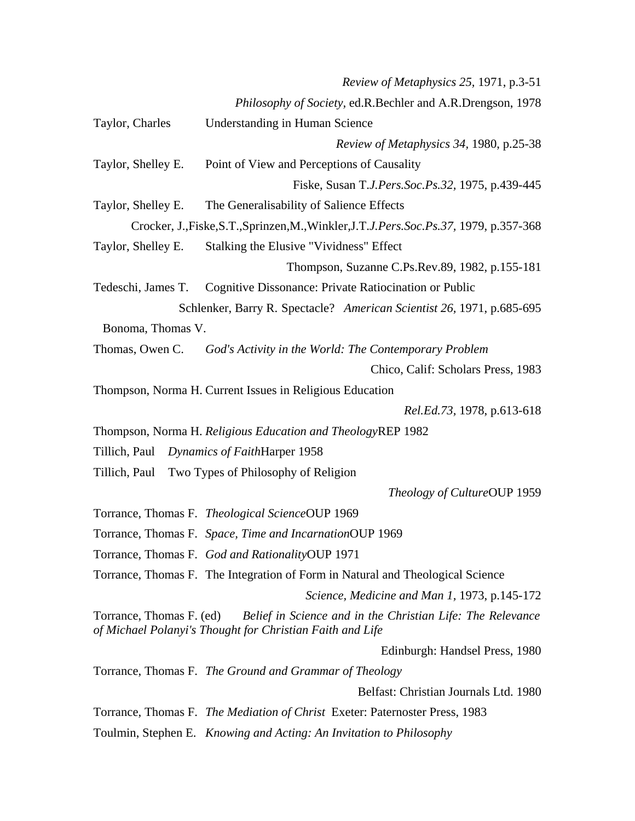| Review of Metaphysics 25, 1971, p.3-51 |  |  |  |
|----------------------------------------|--|--|--|
|----------------------------------------|--|--|--|

*Philosophy of Society,* ed.R.Bechler and A.R.Drengson, 1978

| Taylor, Charles          | Understanding in Human Science                                                                                          |
|--------------------------|-------------------------------------------------------------------------------------------------------------------------|
|                          | Review of Metaphysics 34, 1980, p.25-38                                                                                 |
| Taylor, Shelley E.       | Point of View and Perceptions of Causality                                                                              |
|                          | Fiske, Susan T.J. Pers. Soc. Ps. 32, 1975, p. 439-445                                                                   |
| Taylor, Shelley E.       | The Generalisability of Salience Effects                                                                                |
|                          | Crocker, J., Fiske, S.T., Sprinzen, M., Winkler, J.T. J. Pers. Soc. Ps.37, 1979, p.357-368                              |
| Taylor, Shelley E.       | Stalking the Elusive "Vividness" Effect                                                                                 |
|                          | Thompson, Suzanne C.Ps.Rev.89, 1982, p.155-181                                                                          |
| Tedeschi, James T.       | Cognitive Dissonance: Private Ratiocination or Public                                                                   |
|                          | Schlenker, Barry R. Spectacle? American Scientist 26, 1971, p.685-695                                                   |
| Bonoma, Thomas V.        |                                                                                                                         |
| Thomas, Owen C.          | God's Activity in the World: The Contemporary Problem                                                                   |
|                          | Chico, Calif: Scholars Press, 1983                                                                                      |
|                          | Thompson, Norma H. Current Issues in Religious Education                                                                |
|                          | Rel.Ed.73, 1978, p.613-618                                                                                              |
|                          | Thompson, Norma H. Religious Education and TheologyREP 1982                                                             |
| Tillich, Paul            | Dynamics of FaithHarper 1958                                                                                            |
| Tillich, Paul            | Two Types of Philosophy of Religion                                                                                     |
|                          | Theology of CultureOUP 1959                                                                                             |
|                          | Torrance, Thomas F. Theological ScienceOUP 1969                                                                         |
|                          | Torrance, Thomas F. Space, Time and IncarnationOUP 1969                                                                 |
|                          | Torrance, Thomas F. God and RationalityOUP 1971                                                                         |
|                          | Torrance, Thomas F. The Integration of Form in Natural and Theological Science                                          |
|                          | Science, Medicine and Man 1, 1973, p.145-172                                                                            |
| Torrance, Thomas F. (ed) | Belief in Science and in the Christian Life: The Relevance<br>of Michael Polanyi's Thought for Christian Faith and Life |
|                          | Edinburgh: Handsel Press, 1980                                                                                          |
|                          | Torrance, Thomas F. The Ground and Grammar of Theology                                                                  |
|                          | Belfast: Christian Journals Ltd. 1980                                                                                   |
|                          | Torrance, Thomas F. The Mediation of Christ Exeter: Paternoster Press, 1983                                             |
|                          | Toulmin, Stephen E. Knowing and Acting: An Invitation to Philosophy                                                     |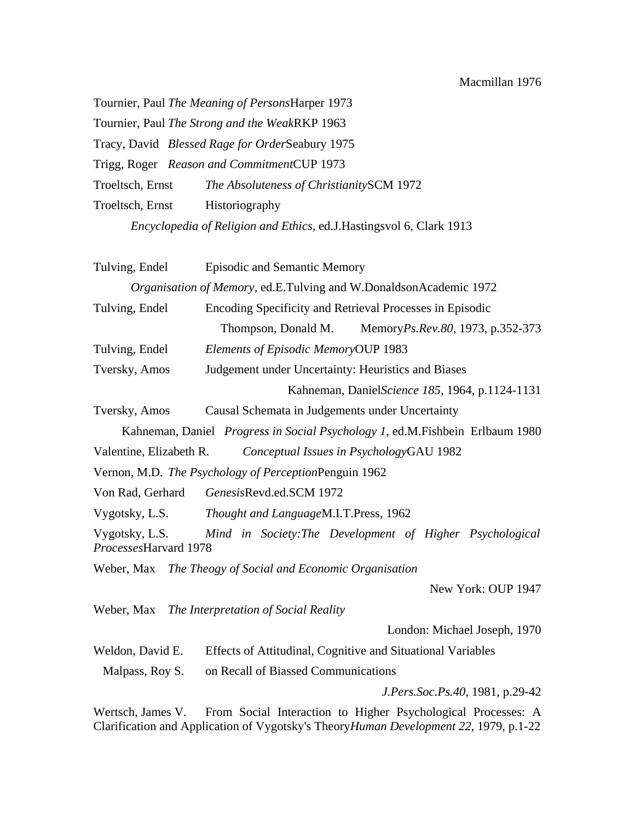Tournier, Paul *The Meaning of Persons*Harper 1973 Tournier, Paul *The Strong and the Weak*RKP 1963 Tracy, David *Blessed Rage for Order*Seabury 1975 Trigg, Roger *Reason and Commitment*CUP 1973 Troeltsch, Ernst *The Absoluteness of Christianity*SCM 1972 Troeltsch, Ernst Historiography *Encyclopedia of Religion and Ethics,* ed.J.Hastingsvol 6, Clark 1913

| Tulving, Endel                          | <b>Episodic and Semantic Memory</b>                                          |
|-----------------------------------------|------------------------------------------------------------------------------|
|                                         | Organisation of Memory, ed.E.Tulving and W.DonaldsonAcademic 1972            |
| Tulving, Endel                          | Encoding Specificity and Retrieval Processes in Episodic                     |
|                                         | Thompson, Donald M. MemoryPs.Rev.80, 1973, p.352-373                         |
| Tulving, Endel                          | Elements of Episodic MemoryOUP 1983                                          |
| Tversky, Amos                           | Judgement under Uncertainty: Heuristics and Biases                           |
|                                         | Kahneman, DanielScience 185, 1964, p.1124-1131                               |
| Tversky, Amos                           | Causal Schemata in Judgements under Uncertainty                              |
|                                         | Kahneman, Daniel Progress in Social Psychology 1, ed.M.Fishbein Erlbaum 1980 |
| Valentine, Elizabeth R.                 | Conceptual Issues in PsychologyGAU 1982                                      |
|                                         | Vernon, M.D. The Psychology of PerceptionPenguin 1962                        |
|                                         | Von Rad, Gerhard GenesisRevd.ed.SCM 1972                                     |
|                                         | Vygotsky, L.S. Thought and LanguageM.I.T.Press, 1962                         |
| Vygotsky, L.S.<br>ProcessesHarvard 1978 | Mind in Society: The Development of Higher Psychological                     |
|                                         | Weber, Max The Theogy of Social and Economic Organisation                    |
|                                         | New York: OUP 1947                                                           |
|                                         | Weber, Max The Interpretation of Social Reality                              |
|                                         | London: Michael Joseph, 1970                                                 |
| Weldon, David E.                        | Effects of Attitudinal, Cognitive and Situational Variables                  |
| Malpass, Roy S.                         | on Recall of Biassed Communications                                          |
|                                         | J.Pers.Soc.Ps.40, 1981, p.29-42                                              |
| Wertsch, James V.                       | From Social Interaction to Higher Psychological Processes: A                 |

Clarification and Application of Vygotsky's Theory*Human Development 22*, 1979, p.1-22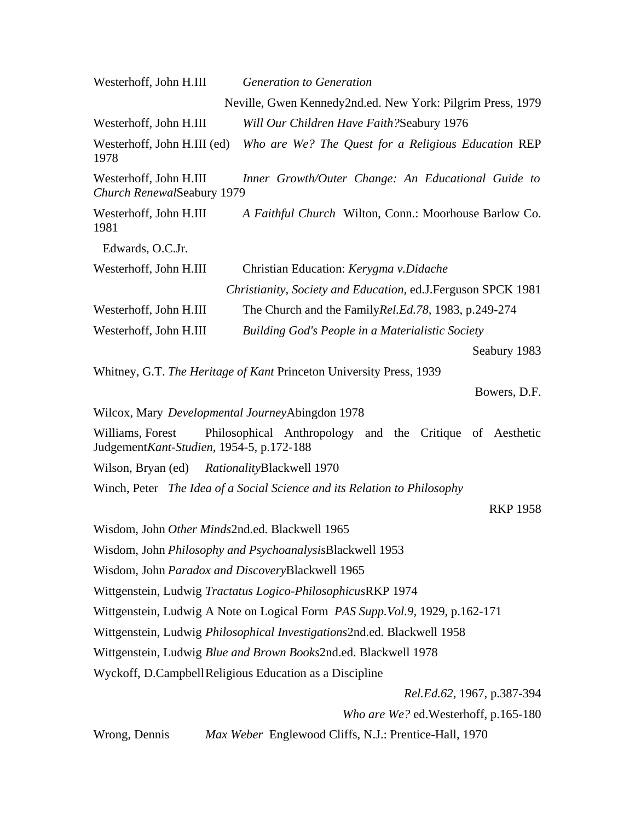| Westerhoff, John H.III                                       | <b>Generation to Generation</b>                                              |
|--------------------------------------------------------------|------------------------------------------------------------------------------|
|                                                              | Neville, Gwen Kennedy2nd.ed. New York: Pilgrim Press, 1979                   |
| Westerhoff, John H.III                                       | Will Our Children Have Faith?Seabury 1976                                    |
| Westerhoff, John H.III (ed)<br>1978                          | Who are We? The Quest for a Religious Education REP                          |
| Westerhoff, John H.III<br>Church RenewalSeabury 1979         | Inner Growth/Outer Change: An Educational Guide to                           |
| Westerhoff, John H.III<br>1981                               | A Faithful Church Wilton, Conn.: Moorhouse Barlow Co.                        |
| Edwards, O.C.Jr.                                             |                                                                              |
| Westerhoff, John H.III                                       | Christian Education: Kerygma v.Didache                                       |
|                                                              | Christianity, Society and Education, ed.J.Ferguson SPCK 1981                 |
| Westerhoff, John H.III                                       | The Church and the Family Rel. Ed. 78, 1983, p.249-274                       |
| Westerhoff, John H.III                                       | Building God's People in a Materialistic Society                             |
|                                                              | Seabury 1983                                                                 |
|                                                              | Whitney, G.T. The Heritage of Kant Princeton University Press, 1939          |
|                                                              | Bowers, D.F.                                                                 |
| Wilcox, Mary Developmental JourneyAbingdon 1978              |                                                                              |
| Williams, Forest<br>JudgementKant-Studien, 1954-5, p.172-188 | Philosophical Anthropology and the Critique of Aesthetic                     |
| Wilson, Bryan (ed) RationalityBlackwell 1970                 |                                                                              |
|                                                              | Winch, Peter The Idea of a Social Science and its Relation to Philosophy     |
|                                                              | <b>RKP 1958</b>                                                              |
| Wisdom, John Other Minds2nd.ed. Blackwell 1965               |                                                                              |
|                                                              | Wisdom, John Philosophy and PsychoanalysisBlackwell 1953                     |
| Wisdom, John Paradox and DiscoveryBlackwell 1965             |                                                                              |
|                                                              | Wittgenstein, Ludwig Tractatus Logico-PhilosophicusRKP 1974                  |
|                                                              | Wittgenstein, Ludwig A Note on Logical Form PAS Supp. Vol.9, 1929, p.162-171 |
|                                                              | Wittgenstein, Ludwig Philosophical Investigations2nd.ed. Blackwell 1958      |
|                                                              | Wittgenstein, Ludwig Blue and Brown Books2nd.ed. Blackwell 1978              |
|                                                              | Wyckoff, D.CampbellReligious Education as a Discipline                       |
|                                                              | Rel.Ed.62, 1967, p.387-394                                                   |
|                                                              | Who are We? ed. Westerhoff, p.165-180                                        |

Wrong, Dennis *Max Weber* Englewood Cliffs, N.J.: Prentice-Hall, 1970